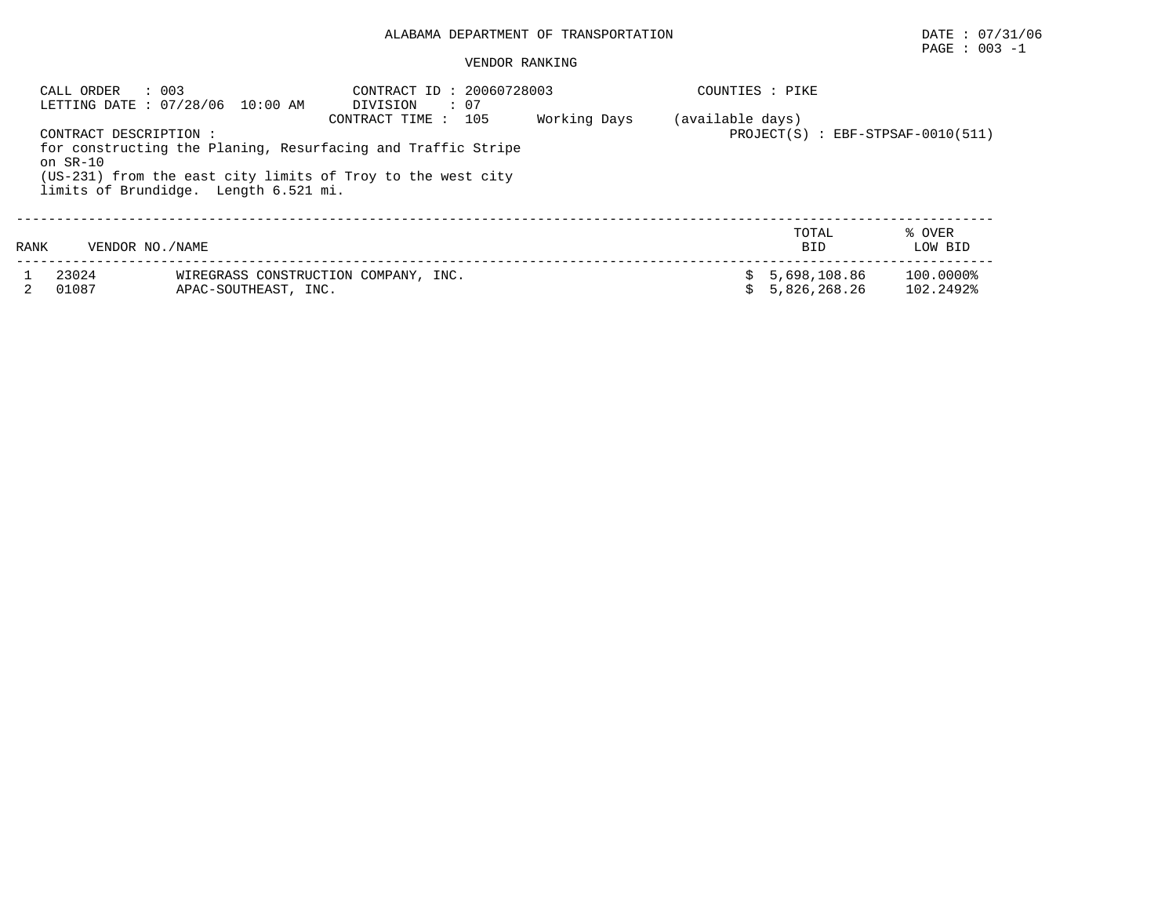## ALABAMA DEPARTMENT OF TRANSPORTATION DATE : 07/31/06

# $\texttt{PAGE}$  : 003 -1

#### VENDOR RANKING

|          | : 003<br>CALL ORDER<br>LETTING DATE: 07/28/06 10:00 AM                                                                                                                                        | CONTRACT ID: 20060728003<br>DIVISION<br>$\cdot$ 07 |                                     | COUNTIES : PIKE |                              |                        |
|----------|-----------------------------------------------------------------------------------------------------------------------------------------------------------------------------------------------|----------------------------------------------------|-------------------------------------|-----------------|------------------------------|------------------------|
| on SR-10 | CONTRACT DESCRIPTION:<br>for constructing the Planing, Resurfacing and Traffic Stripe<br>(US-231) from the east city limits of Troy to the west city<br>limits of Brundidge. Length 6.521 mi. | (available days)                                   | $PROJECT(S)$ : EBF-STPSAF-0010(511) |                 |                              |                        |
| RANK     | VENDOR NO. / NAME                                                                                                                                                                             |                                                    |                                     |                 | TOTAL<br><b>BID</b>          | % OVER<br>LOW BID      |
|          | 23024<br>01087<br>APAC-SOUTHEAST, INC.                                                                                                                                                        | WIREGRASS CONSTRUCTION COMPANY, INC.               |                                     | Ŝ               | 5,698,108.86<br>5,826,268.26 | 100.0000%<br>102.2492% |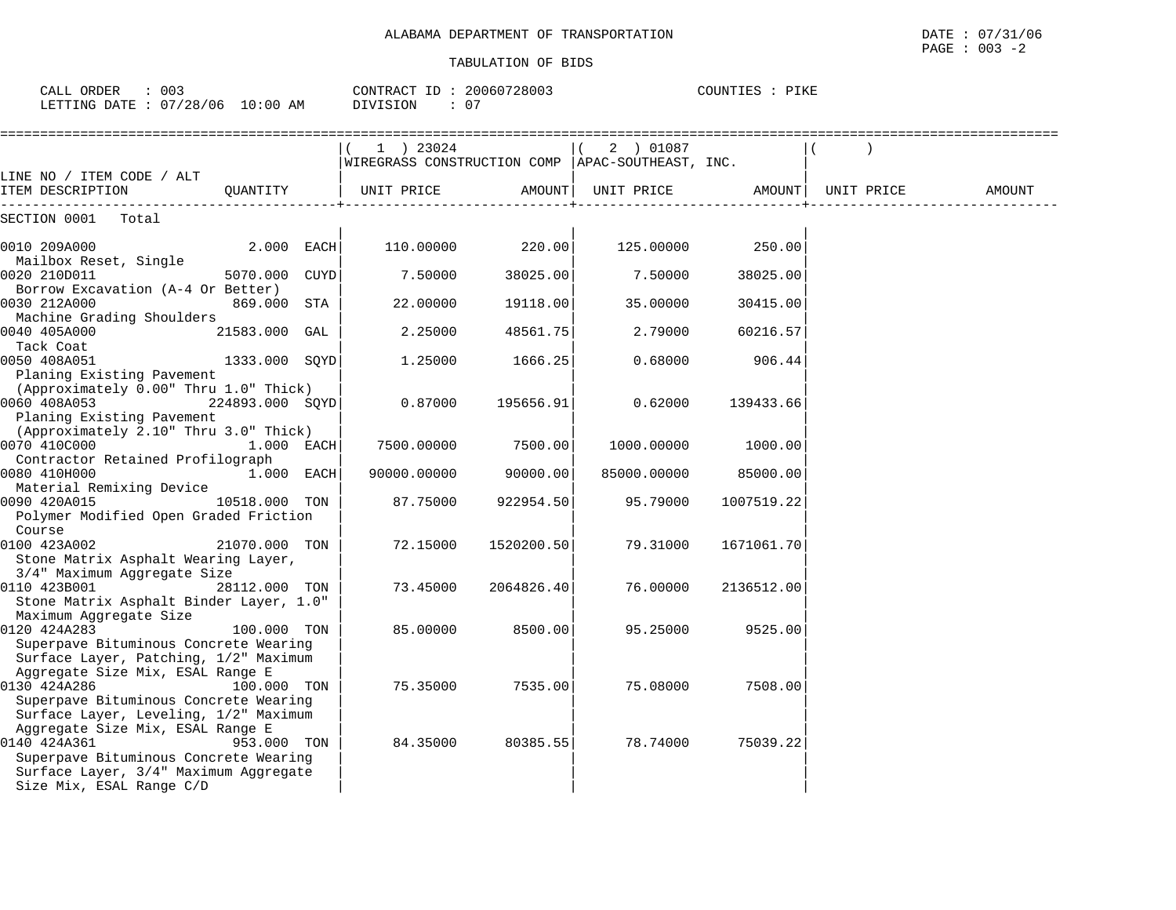| 003<br>CALL ORDER                | CONTRACT ID: 20060728003 | COUNTIES :<br>PIKE |
|----------------------------------|--------------------------|--------------------|
| LETTING DATE : 07/28/06 10:00 AM | - 0<br>DIVISION          |                    |

|                                                                                                                                                                             |               | $(1)$ 23024 |                  | 2 ) 01087                                          |                  |        |
|-----------------------------------------------------------------------------------------------------------------------------------------------------------------------------|---------------|-------------|------------------|----------------------------------------------------|------------------|--------|
|                                                                                                                                                                             |               |             |                  | WIREGRASS CONSTRUCTION COMP   APAC-SOUTHEAST, INC. |                  |        |
| LINE NO / ITEM CODE / ALT<br>ITEM DESCRIPTION                                                                                                                               | QUANTITY      | UNIT PRICE  | AMOUNT           | UNIT PRICE AMOUNT   UNIT PRICE                     |                  | AMOUNT |
| SECTION 0001 Total                                                                                                                                                          |               |             |                  |                                                    |                  |        |
| 0010 209A000<br>Mailbox Reset, Single                                                                                                                                       | 2.000 EACH    |             | 110.00000 220.00 |                                                    | 125.00000 250.00 |        |
| 0020 210D011                                                                                                                                                                | 5070.000 CUYD | 7.50000     | 38025.00         | 7.50000                                            | 38025.00         |        |
| Borrow Excavation (A-4 Or Better)<br>0030 212A000                                                                                                                           | 869.000 STA   | 22.00000    | 19118.00         | 35.00000                                           | 30415.00         |        |
| Machine Grading Shoulders<br>0040 405A000                                                                                                                                   | 21583.000 GAL | 2.25000     | 48561.75         | 2.79000                                            | 60216.57         |        |
| Tack Coat<br>0050 408A051                                                                                                                                                   | 1333.000 SOYD | 1.25000     | 1666.25          | 0.68000                                            | 906.44           |        |
| Planing Existing Pavement<br>(Approximately 0.00" Thru 1.0" Thick)<br>$224893.000$ SQYD<br>0060 408A053<br>Planing Existing Pavement                                        |               | 0.87000     | 195656.91        | 0.62000                                            | 139433.66        |        |
| (Approximately 2.10" Thru 3.0" Thick)<br>0070 410C000                                                                                                                       | 1.000 EACH    | 7500.00000  | 7500.00          | 1000.00000                                         | 1000.00          |        |
| Contractor Retained Profilograph<br>0080 410H000<br>$1.000$ EACH                                                                                                            |               | 90000.00000 | 90000.00         | 85000.00000                                        | 85000.00         |        |
| Material Remixing Device<br>0090 420A015<br>Polymer Modified Open Graded Friction                                                                                           | 10518.000 TON | 87.75000    | 922954.50        | 95.79000                                           | 1007519.22       |        |
| Course<br>0100 423A002<br>Stone Matrix Asphalt Wearing Layer,                                                                                                               | 21070.000 TON | 72.15000    | 1520200.50       | 79.31000                                           | 1671061.70       |        |
| 3/4" Maximum Aggregate Size<br>0110 423B001<br>Stone Matrix Asphalt Binder Layer, 1.0"                                                                                      | 28112.000 TON | 73.45000    | 2064826.40       | 76.00000                                           | 2136512.00       |        |
| Maximum Aggregate Size<br>0120 424A283<br>Superpave Bituminous Concrete Wearing                                                                                             | 100.000 TON   | 85.00000    | 8500.00          | 95.25000                                           | 9525.00          |        |
| Surface Layer, Patching, 1/2" Maximum<br>Aggregate Size Mix, ESAL Range E<br>0130 424A286<br>Superpave Bituminous Concrete Wearing<br>Surface Layer, Leveling, 1/2" Maximum | 100.000 TON   | 75.35000    | 7535.00          | 75.08000                                           | 7508.00          |        |
| Aggregate Size Mix, ESAL Range E<br>0140 424A361<br>Superpave Bituminous Concrete Wearing<br>Surface Layer, 3/4" Maximum Aggregate<br>Size Mix, ESAL Range C/D              | 953.000 TON   | 84.35000    | 80385.55         | 78.74000                                           | 75039.22         |        |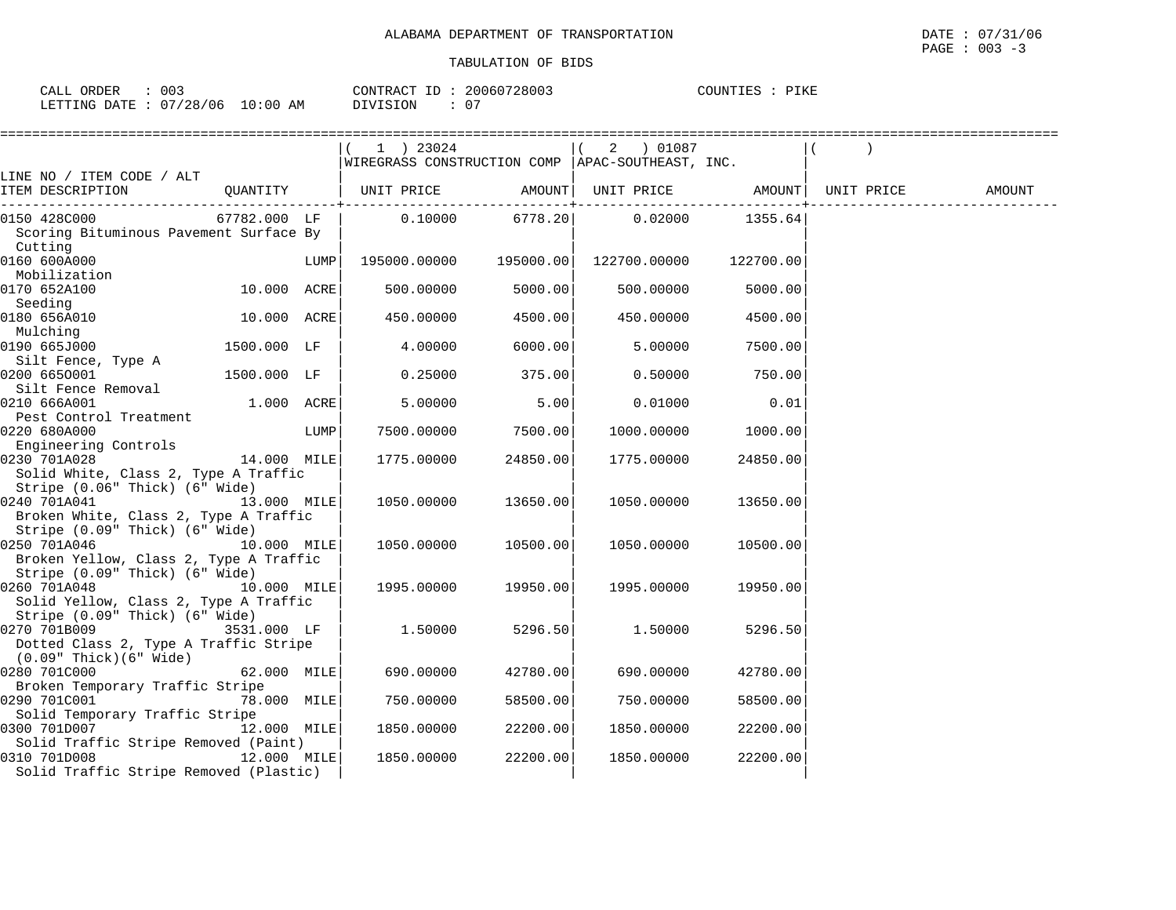| 003<br>ORDER<br>CALL ( |          | 20060728003<br>CONTRACT ID | PIKE<br>COUNTIES |
|------------------------|----------|----------------------------|------------------|
| LETTING DATE: 07/28/06 | 10:00 AM | . .<br>DIVISION            |                  |

|                                        | $(1)$ 23024                                                                                                                                                                                                                                                                                                                                   |                                                                                                                                                                                                                                                                                                                                       |                        |                                                                                                                                                                                                                                                                                                          |                                                                                                                                                                                                    |                                                                                                                  |
|----------------------------------------|-----------------------------------------------------------------------------------------------------------------------------------------------------------------------------------------------------------------------------------------------------------------------------------------------------------------------------------------------|---------------------------------------------------------------------------------------------------------------------------------------------------------------------------------------------------------------------------------------------------------------------------------------------------------------------------------------|------------------------|----------------------------------------------------------------------------------------------------------------------------------------------------------------------------------------------------------------------------------------------------------------------------------------------------------|----------------------------------------------------------------------------------------------------------------------------------------------------------------------------------------------------|------------------------------------------------------------------------------------------------------------------|
|                                        |                                                                                                                                                                                                                                                                                                                                               |                                                                                                                                                                                                                                                                                                                                       |                        |                                                                                                                                                                                                                                                                                                          |                                                                                                                                                                                                    |                                                                                                                  |
|                                        |                                                                                                                                                                                                                                                                                                                                               |                                                                                                                                                                                                                                                                                                                                       |                        |                                                                                                                                                                                                                                                                                                          |                                                                                                                                                                                                    |                                                                                                                  |
|                                        |                                                                                                                                                                                                                                                                                                                                               |                                                                                                                                                                                                                                                                                                                                       |                        |                                                                                                                                                                                                                                                                                                          |                                                                                                                                                                                                    | AMOUNT                                                                                                           |
|                                        |                                                                                                                                                                                                                                                                                                                                               |                                                                                                                                                                                                                                                                                                                                       |                        |                                                                                                                                                                                                                                                                                                          |                                                                                                                                                                                                    |                                                                                                                  |
|                                        |                                                                                                                                                                                                                                                                                                                                               |                                                                                                                                                                                                                                                                                                                                       |                        |                                                                                                                                                                                                                                                                                                          |                                                                                                                                                                                                    |                                                                                                                  |
|                                        |                                                                                                                                                                                                                                                                                                                                               |                                                                                                                                                                                                                                                                                                                                       |                        |                                                                                                                                                                                                                                                                                                          |                                                                                                                                                                                                    |                                                                                                                  |
|                                        | 195000.00000                                                                                                                                                                                                                                                                                                                                  |                                                                                                                                                                                                                                                                                                                                       |                        | 122700.00                                                                                                                                                                                                                                                                                                |                                                                                                                                                                                                    |                                                                                                                  |
|                                        |                                                                                                                                                                                                                                                                                                                                               |                                                                                                                                                                                                                                                                                                                                       |                        |                                                                                                                                                                                                                                                                                                          |                                                                                                                                                                                                    |                                                                                                                  |
|                                        | 500.00000                                                                                                                                                                                                                                                                                                                                     |                                                                                                                                                                                                                                                                                                                                       | 500.00000              |                                                                                                                                                                                                                                                                                                          |                                                                                                                                                                                                    |                                                                                                                  |
|                                        |                                                                                                                                                                                                                                                                                                                                               |                                                                                                                                                                                                                                                                                                                                       |                        |                                                                                                                                                                                                                                                                                                          |                                                                                                                                                                                                    |                                                                                                                  |
|                                        | 450.00000                                                                                                                                                                                                                                                                                                                                     |                                                                                                                                                                                                                                                                                                                                       | 450.00000              | 4500.00                                                                                                                                                                                                                                                                                                  |                                                                                                                                                                                                    |                                                                                                                  |
|                                        |                                                                                                                                                                                                                                                                                                                                               |                                                                                                                                                                                                                                                                                                                                       |                        |                                                                                                                                                                                                                                                                                                          |                                                                                                                                                                                                    |                                                                                                                  |
| 1500.000 LF                            | 4.00000                                                                                                                                                                                                                                                                                                                                       |                                                                                                                                                                                                                                                                                                                                       | 5.00000                | 7500.00                                                                                                                                                                                                                                                                                                  |                                                                                                                                                                                                    |                                                                                                                  |
|                                        |                                                                                                                                                                                                                                                                                                                                               |                                                                                                                                                                                                                                                                                                                                       |                        |                                                                                                                                                                                                                                                                                                          |                                                                                                                                                                                                    |                                                                                                                  |
| 1500.000 LF                            | 0.25000                                                                                                                                                                                                                                                                                                                                       |                                                                                                                                                                                                                                                                                                                                       | 0.50000                | 750.00                                                                                                                                                                                                                                                                                                   |                                                                                                                                                                                                    |                                                                                                                  |
|                                        |                                                                                                                                                                                                                                                                                                                                               |                                                                                                                                                                                                                                                                                                                                       |                        |                                                                                                                                                                                                                                                                                                          |                                                                                                                                                                                                    |                                                                                                                  |
|                                        |                                                                                                                                                                                                                                                                                                                                               |                                                                                                                                                                                                                                                                                                                                       |                        |                                                                                                                                                                                                                                                                                                          |                                                                                                                                                                                                    |                                                                                                                  |
|                                        |                                                                                                                                                                                                                                                                                                                                               |                                                                                                                                                                                                                                                                                                                                       |                        |                                                                                                                                                                                                                                                                                                          |                                                                                                                                                                                                    |                                                                                                                  |
|                                        |                                                                                                                                                                                                                                                                                                                                               |                                                                                                                                                                                                                                                                                                                                       |                        |                                                                                                                                                                                                                                                                                                          |                                                                                                                                                                                                    |                                                                                                                  |
|                                        |                                                                                                                                                                                                                                                                                                                                               |                                                                                                                                                                                                                                                                                                                                       |                        |                                                                                                                                                                                                                                                                                                          |                                                                                                                                                                                                    |                                                                                                                  |
|                                        |                                                                                                                                                                                                                                                                                                                                               |                                                                                                                                                                                                                                                                                                                                       |                        |                                                                                                                                                                                                                                                                                                          |                                                                                                                                                                                                    |                                                                                                                  |
|                                        |                                                                                                                                                                                                                                                                                                                                               |                                                                                                                                                                                                                                                                                                                                       |                        |                                                                                                                                                                                                                                                                                                          |                                                                                                                                                                                                    |                                                                                                                  |
|                                        |                                                                                                                                                                                                                                                                                                                                               |                                                                                                                                                                                                                                                                                                                                       |                        |                                                                                                                                                                                                                                                                                                          |                                                                                                                                                                                                    |                                                                                                                  |
|                                        |                                                                                                                                                                                                                                                                                                                                               |                                                                                                                                                                                                                                                                                                                                       |                        |                                                                                                                                                                                                                                                                                                          |                                                                                                                                                                                                    |                                                                                                                  |
|                                        |                                                                                                                                                                                                                                                                                                                                               |                                                                                                                                                                                                                                                                                                                                       |                        |                                                                                                                                                                                                                                                                                                          |                                                                                                                                                                                                    |                                                                                                                  |
|                                        |                                                                                                                                                                                                                                                                                                                                               |                                                                                                                                                                                                                                                                                                                                       |                        |                                                                                                                                                                                                                                                                                                          |                                                                                                                                                                                                    |                                                                                                                  |
|                                        |                                                                                                                                                                                                                                                                                                                                               |                                                                                                                                                                                                                                                                                                                                       |                        |                                                                                                                                                                                                                                                                                                          |                                                                                                                                                                                                    |                                                                                                                  |
|                                        |                                                                                                                                                                                                                                                                                                                                               |                                                                                                                                                                                                                                                                                                                                       |                        |                                                                                                                                                                                                                                                                                                          |                                                                                                                                                                                                    |                                                                                                                  |
|                                        |                                                                                                                                                                                                                                                                                                                                               |                                                                                                                                                                                                                                                                                                                                       |                        |                                                                                                                                                                                                                                                                                                          |                                                                                                                                                                                                    |                                                                                                                  |
|                                        |                                                                                                                                                                                                                                                                                                                                               |                                                                                                                                                                                                                                                                                                                                       |                        |                                                                                                                                                                                                                                                                                                          |                                                                                                                                                                                                    |                                                                                                                  |
|                                        |                                                                                                                                                                                                                                                                                                                                               |                                                                                                                                                                                                                                                                                                                                       |                        |                                                                                                                                                                                                                                                                                                          |                                                                                                                                                                                                    |                                                                                                                  |
|                                        |                                                                                                                                                                                                                                                                                                                                               |                                                                                                                                                                                                                                                                                                                                       |                        |                                                                                                                                                                                                                                                                                                          |                                                                                                                                                                                                    |                                                                                                                  |
|                                        |                                                                                                                                                                                                                                                                                                                                               |                                                                                                                                                                                                                                                                                                                                       |                        |                                                                                                                                                                                                                                                                                                          |                                                                                                                                                                                                    |                                                                                                                  |
|                                        |                                                                                                                                                                                                                                                                                                                                               |                                                                                                                                                                                                                                                                                                                                       |                        |                                                                                                                                                                                                                                                                                                          |                                                                                                                                                                                                    |                                                                                                                  |
|                                        |                                                                                                                                                                                                                                                                                                                                               |                                                                                                                                                                                                                                                                                                                                       |                        |                                                                                                                                                                                                                                                                                                          |                                                                                                                                                                                                    |                                                                                                                  |
|                                        |                                                                                                                                                                                                                                                                                                                                               |                                                                                                                                                                                                                                                                                                                                       |                        |                                                                                                                                                                                                                                                                                                          |                                                                                                                                                                                                    |                                                                                                                  |
|                                        |                                                                                                                                                                                                                                                                                                                                               |                                                                                                                                                                                                                                                                                                                                       |                        |                                                                                                                                                                                                                                                                                                          |                                                                                                                                                                                                    |                                                                                                                  |
|                                        |                                                                                                                                                                                                                                                                                                                                               |                                                                                                                                                                                                                                                                                                                                       |                        |                                                                                                                                                                                                                                                                                                          |                                                                                                                                                                                                    |                                                                                                                  |
|                                        | 1850.00000                                                                                                                                                                                                                                                                                                                                    |                                                                                                                                                                                                                                                                                                                                       | 1850.00000             | 22200.00                                                                                                                                                                                                                                                                                                 |                                                                                                                                                                                                    |                                                                                                                  |
|                                        |                                                                                                                                                                                                                                                                                                                                               |                                                                                                                                                                                                                                                                                                                                       |                        |                                                                                                                                                                                                                                                                                                          |                                                                                                                                                                                                    |                                                                                                                  |
|                                        | 1850.00000                                                                                                                                                                                                                                                                                                                                    |                                                                                                                                                                                                                                                                                                                                       | 1850.00000             | 22200.00                                                                                                                                                                                                                                                                                                 |                                                                                                                                                                                                    |                                                                                                                  |
| Solid Traffic Stripe Removed (Plastic) |                                                                                                                                                                                                                                                                                                                                               |                                                                                                                                                                                                                                                                                                                                       |                        |                                                                                                                                                                                                                                                                                                          |                                                                                                                                                                                                    |                                                                                                                  |
|                                        | Scoring Bituminous Pavement Surface By<br>Solid White, Class 2, Type A Traffic<br>Broken White, Class 2, Type A Traffic<br>Broken Yellow, Class 2, Type A Traffic<br>Solid Yellow, Class 2, Type A Traffic<br>3531.000 LF<br>Dotted Class 2, Type A Traffic Stripe<br>Broken Temporary Traffic Stripe<br>Solid Traffic Stripe Removed (Paint) | $67782.000$ LF<br>LUMP<br>10.000 ACRE<br>10.000 ACRE<br>1.000 ACRE<br>5.00000<br>LUMP<br>7500.00000<br>14.000 MILE<br>1775.00000<br>13.000 MILE<br>1050.00000<br>10.000 MILE<br>1050.00000<br>10.000 MILE<br>1995.00000<br>1.50000<br>62.000 MILE<br>690.00000<br>0290 701C001 78.000 MILE<br>750.00000<br>12.000 MILE<br>12.000 MILE | ====================== | 195000.00<br>5000.00<br>4500.00<br>6000.00<br>375.00<br>5.00<br>0.01000<br>7500.00<br>1000.00000<br>24850.00<br>1775.00000<br>13650.00<br>1050.00000<br>10500.00<br>1050.00000<br>19950.00<br>1995.00000<br>5296.50<br>1.50000<br>42780.00<br>690.00000<br>58500.00<br>750.00000<br>22200.00<br>22200.00 | $(2)$ 01087<br>WIREGRASS CONSTRUCTION COMP   APAC-SOUTHEAST, INC.<br>122700.00000<br>5000.00<br>0.01<br>1000.00<br>24850.00<br>13650.00<br>10500.00<br>19950.00<br>5296.50<br>42780.00<br>58500.00 | QUANTITY   UNIT PRICE         AMOUNT  UNIT PRICE         AMOUNT  UNIT PRICE<br>$0.10000$ 6778.20 0.02000 1355.64 |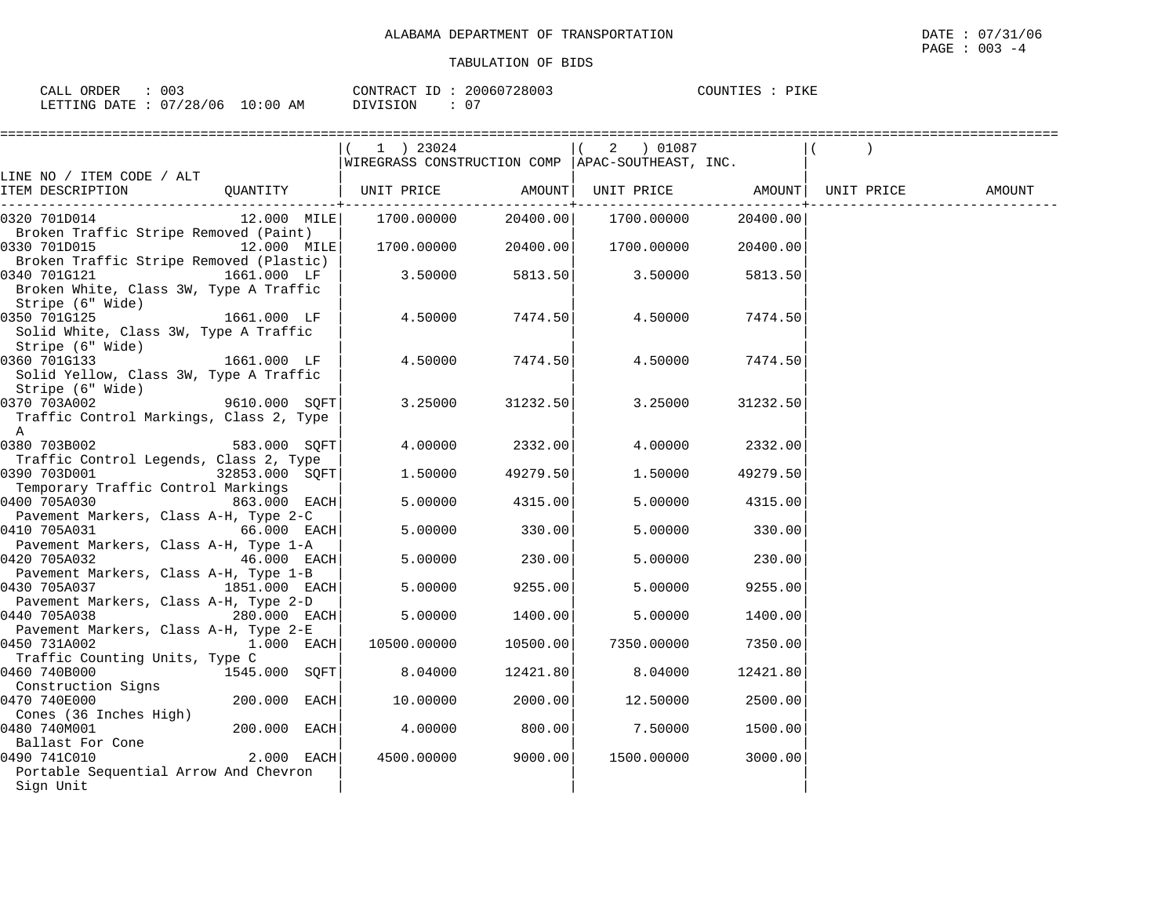| 003<br>CALL ORDER               | CONTRACT ID: 20060728003 | COUNTIES : PIKE |
|---------------------------------|--------------------------|-----------------|
| LETTING DATE: 07/28/06 10:00 AM | DIVISION                 |                 |

| 1 ) 23024                |                                                                                                                                                                                                                                                      |                                                                                                      |                                                                                                                                                                                                                                                                                                            |                                                                                                                                                                                                                                                                    |                   |
|--------------------------|------------------------------------------------------------------------------------------------------------------------------------------------------------------------------------------------------------------------------------------------------|------------------------------------------------------------------------------------------------------|------------------------------------------------------------------------------------------------------------------------------------------------------------------------------------------------------------------------------------------------------------------------------------------------------------|--------------------------------------------------------------------------------------------------------------------------------------------------------------------------------------------------------------------------------------------------------------------|-------------------|
|                          |                                                                                                                                                                                                                                                      |                                                                                                      |                                                                                                                                                                                                                                                                                                            |                                                                                                                                                                                                                                                                    |                   |
|                          |                                                                                                                                                                                                                                                      |                                                                                                      |                                                                                                                                                                                                                                                                                                            |                                                                                                                                                                                                                                                                    |                   |
|                          |                                                                                                                                                                                                                                                      |                                                                                                      |                                                                                                                                                                                                                                                                                                            | UNIT PRICE                                                                                                                                                                                                                                                         | AMOUNT            |
|                          |                                                                                                                                                                                                                                                      |                                                                                                      |                                                                                                                                                                                                                                                                                                            |                                                                                                                                                                                                                                                                    |                   |
|                          |                                                                                                                                                                                                                                                      |                                                                                                      |                                                                                                                                                                                                                                                                                                            |                                                                                                                                                                                                                                                                    |                   |
|                          |                                                                                                                                                                                                                                                      |                                                                                                      |                                                                                                                                                                                                                                                                                                            |                                                                                                                                                                                                                                                                    |                   |
|                          |                                                                                                                                                                                                                                                      |                                                                                                      |                                                                                                                                                                                                                                                                                                            |                                                                                                                                                                                                                                                                    |                   |
|                          |                                                                                                                                                                                                                                                      |                                                                                                      |                                                                                                                                                                                                                                                                                                            |                                                                                                                                                                                                                                                                    |                   |
|                          |                                                                                                                                                                                                                                                      |                                                                                                      |                                                                                                                                                                                                                                                                                                            |                                                                                                                                                                                                                                                                    |                   |
|                          |                                                                                                                                                                                                                                                      |                                                                                                      |                                                                                                                                                                                                                                                                                                            |                                                                                                                                                                                                                                                                    |                   |
| 1661.000 LF              |                                                                                                                                                                                                                                                      |                                                                                                      | 7474.50                                                                                                                                                                                                                                                                                                    |                                                                                                                                                                                                                                                                    |                   |
|                          |                                                                                                                                                                                                                                                      |                                                                                                      |                                                                                                                                                                                                                                                                                                            |                                                                                                                                                                                                                                                                    |                   |
|                          |                                                                                                                                                                                                                                                      |                                                                                                      |                                                                                                                                                                                                                                                                                                            |                                                                                                                                                                                                                                                                    |                   |
| 1661.000 LF  <br>4.50000 |                                                                                                                                                                                                                                                      |                                                                                                      | 7474.50                                                                                                                                                                                                                                                                                                    |                                                                                                                                                                                                                                                                    |                   |
|                          |                                                                                                                                                                                                                                                      |                                                                                                      |                                                                                                                                                                                                                                                                                                            |                                                                                                                                                                                                                                                                    |                   |
|                          |                                                                                                                                                                                                                                                      |                                                                                                      |                                                                                                                                                                                                                                                                                                            |                                                                                                                                                                                                                                                                    |                   |
|                          |                                                                                                                                                                                                                                                      |                                                                                                      |                                                                                                                                                                                                                                                                                                            |                                                                                                                                                                                                                                                                    |                   |
|                          |                                                                                                                                                                                                                                                      |                                                                                                      |                                                                                                                                                                                                                                                                                                            |                                                                                                                                                                                                                                                                    |                   |
|                          |                                                                                                                                                                                                                                                      |                                                                                                      |                                                                                                                                                                                                                                                                                                            |                                                                                                                                                                                                                                                                    |                   |
|                          |                                                                                                                                                                                                                                                      |                                                                                                      |                                                                                                                                                                                                                                                                                                            |                                                                                                                                                                                                                                                                    |                   |
|                          |                                                                                                                                                                                                                                                      |                                                                                                      |                                                                                                                                                                                                                                                                                                            |                                                                                                                                                                                                                                                                    |                   |
|                          |                                                                                                                                                                                                                                                      |                                                                                                      |                                                                                                                                                                                                                                                                                                            |                                                                                                                                                                                                                                                                    |                   |
|                          |                                                                                                                                                                                                                                                      |                                                                                                      |                                                                                                                                                                                                                                                                                                            |                                                                                                                                                                                                                                                                    |                   |
|                          |                                                                                                                                                                                                                                                      |                                                                                                      |                                                                                                                                                                                                                                                                                                            |                                                                                                                                                                                                                                                                    |                   |
| $66.000$ EACH<br>5.00000 |                                                                                                                                                                                                                                                      | 5.00000                                                                                              | 330.00                                                                                                                                                                                                                                                                                                     |                                                                                                                                                                                                                                                                    |                   |
|                          |                                                                                                                                                                                                                                                      |                                                                                                      |                                                                                                                                                                                                                                                                                                            |                                                                                                                                                                                                                                                                    |                   |
| $46.000$ EACH<br>5.00000 |                                                                                                                                                                                                                                                      | 5.00000                                                                                              | 230.00                                                                                                                                                                                                                                                                                                     |                                                                                                                                                                                                                                                                    |                   |
|                          |                                                                                                                                                                                                                                                      |                                                                                                      |                                                                                                                                                                                                                                                                                                            |                                                                                                                                                                                                                                                                    |                   |
| 1851.000 EACH<br>5.00000 |                                                                                                                                                                                                                                                      | 5.00000                                                                                              | 9255.00                                                                                                                                                                                                                                                                                                    |                                                                                                                                                                                                                                                                    |                   |
|                          |                                                                                                                                                                                                                                                      |                                                                                                      |                                                                                                                                                                                                                                                                                                            |                                                                                                                                                                                                                                                                    |                   |
|                          |                                                                                                                                                                                                                                                      |                                                                                                      |                                                                                                                                                                                                                                                                                                            |                                                                                                                                                                                                                                                                    |                   |
|                          |                                                                                                                                                                                                                                                      |                                                                                                      |                                                                                                                                                                                                                                                                                                            |                                                                                                                                                                                                                                                                    |                   |
|                          |                                                                                                                                                                                                                                                      |                                                                                                      |                                                                                                                                                                                                                                                                                                            |                                                                                                                                                                                                                                                                    |                   |
|                          |                                                                                                                                                                                                                                                      |                                                                                                      |                                                                                                                                                                                                                                                                                                            |                                                                                                                                                                                                                                                                    |                   |
|                          |                                                                                                                                                                                                                                                      |                                                                                                      |                                                                                                                                                                                                                                                                                                            |                                                                                                                                                                                                                                                                    |                   |
|                          |                                                                                                                                                                                                                                                      |                                                                                                      |                                                                                                                                                                                                                                                                                                            |                                                                                                                                                                                                                                                                    |                   |
|                          |                                                                                                                                                                                                                                                      |                                                                                                      |                                                                                                                                                                                                                                                                                                            |                                                                                                                                                                                                                                                                    |                   |
| 200.000 EACH<br>4.00000  |                                                                                                                                                                                                                                                      | 7.50000                                                                                              | 1500.00                                                                                                                                                                                                                                                                                                    |                                                                                                                                                                                                                                                                    |                   |
|                          |                                                                                                                                                                                                                                                      |                                                                                                      |                                                                                                                                                                                                                                                                                                            |                                                                                                                                                                                                                                                                    |                   |
| $2.000$ EACH             |                                                                                                                                                                                                                                                      | 1500.00000                                                                                           | 3000.00                                                                                                                                                                                                                                                                                                    |                                                                                                                                                                                                                                                                    |                   |
|                          |                                                                                                                                                                                                                                                      |                                                                                                      |                                                                                                                                                                                                                                                                                                            |                                                                                                                                                                                                                                                                    |                   |
|                          |                                                                                                                                                                                                                                                      |                                                                                                      |                                                                                                                                                                                                                                                                                                            |                                                                                                                                                                                                                                                                    |                   |
|                          | 12.000 MILE<br>12.000 MILE<br>3.50000<br>$9610.000$ SQFT<br>583.000 SQFT<br>32853.000 SOFT<br>1.50000<br>863.000 EACH<br>5.00000<br>280.000 EACH<br>5.00000<br>$1.000$ EACH<br>10500.00000<br>1545.000 SQFT<br>8.04000<br>$200.000$ EACH<br>10.00000 | ======================<br>UNIT PRICE<br>1700.00000<br>1700.00000<br>4.50000<br>3.25000<br>4500.00000 | AMOUNT  <br>20400.00<br>20400.00<br>5813.50<br>3.50000<br>7474.50<br>7474.50<br>31232.50<br>4.00000 2332.00<br>49279.50<br>1,50000<br>4315.00<br>5.00000<br>330.00<br>230.00<br>9255.00<br>1400.00<br>5.00000<br>10500.00<br>7350.00000<br>12421.80<br>8.04000<br>2000.00<br>12.50000<br>800.00<br>9000.00 | 2 ) 01087<br>WIREGRASS CONSTRUCTION COMP   APAC-SOUTHEAST, INC.<br>1700.00000<br>20400.00<br>1700.00000<br>20400.00<br>5813.50<br>4.50000<br>4.50000<br>3.25000<br>31232.50<br>4.00000 2332.00<br>49279.50<br>4315.00<br>1400.00<br>7350.00<br>12421.80<br>2500.00 | UNIT PRICE AMOUNT |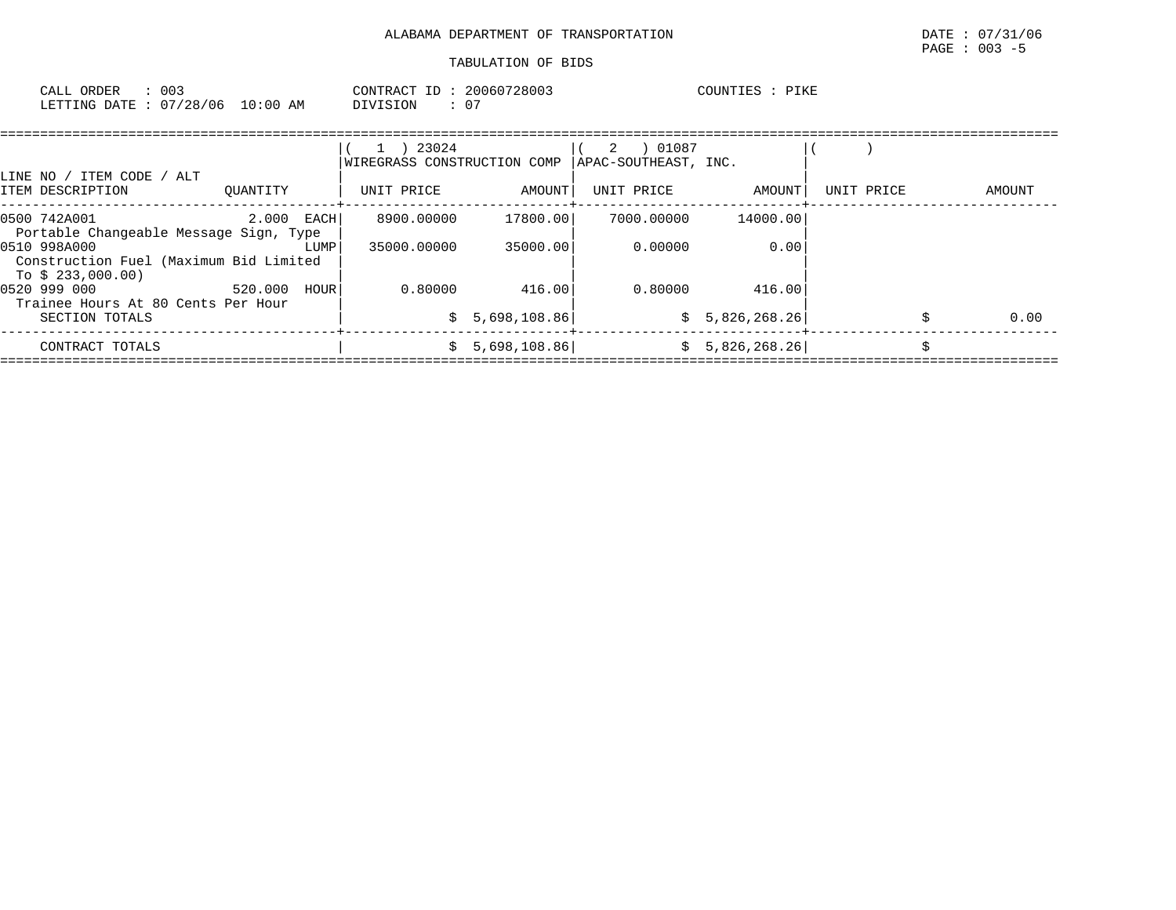| CALL ORDER                      | 003 | CONTRACT ID: 20060728003 |    | COUNTIES : PIKE |  |
|---------------------------------|-----|--------------------------|----|-----------------|--|
| LETTING DATE: 07/28/06 10:00 AM |     | DIVISION                 | 0' |                 |  |

|                                                                             |              |      | 23024<br>$\perp$<br>WIREGRASS CONSTRUCTION COMP |              | 01087<br>2<br>APAC-SOUTHEAST, INC. |                |            |        |
|-----------------------------------------------------------------------------|--------------|------|-------------------------------------------------|--------------|------------------------------------|----------------|------------|--------|
| TTEM CODE / ALT<br>LINE NO /<br>ITEM DESCRIPTION                            | OUANTITY     |      | UNIT PRICE                                      | AMOUNT       | UNIT PRICE                         | AMOUNT         | UNIT PRICE | AMOUNT |
| 0500 742A001<br>Portable Changeable Message Sign, Type                      | $2.000$ EACH |      | 8900.00000                                      | 17800.00     | 7000.00000                         | 14000.00       |            |        |
| 0510 998A000<br>Construction Fuel (Maximum Bid Limited<br>To \$ 233,000.00) |              | LUMP | 35000,00000                                     | 35000.00     | 0.00000                            | 0.00           |            |        |
| 0520 999 000<br>Trainee Hours At 80 Cents Per Hour                          | 520.000      | HOUR | 0.80000                                         | 416.00       | 0.80000                            | 416.00         |            |        |
| SECTION TOTALS                                                              |              |      | S.                                              | 5,698,108.86 |                                    | \$5,826,268.26 |            | 0.00   |
| CONTRACT TOTALS                                                             |              |      | S.                                              | 5,698,108.86 |                                    | \$5,826,268.26 |            |        |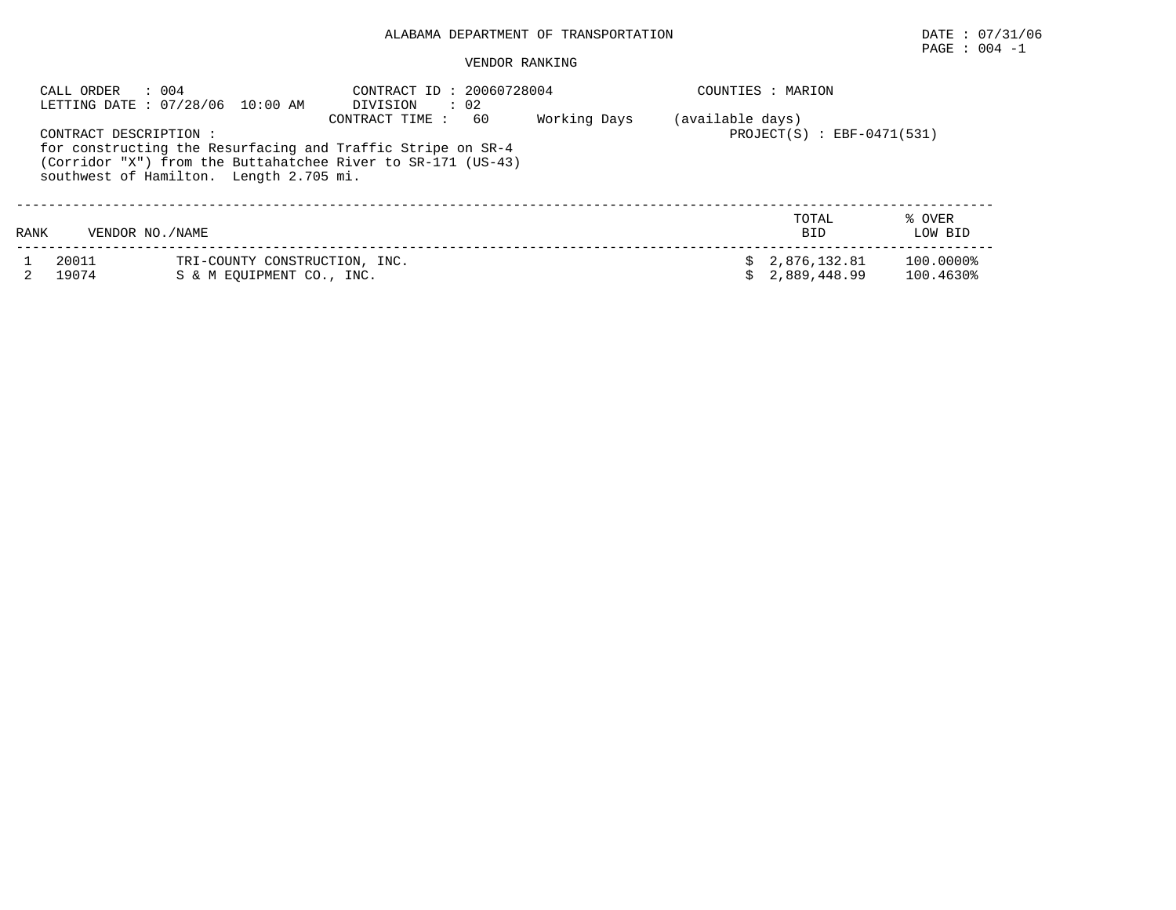## ALABAMA DEPARTMENT OF TRANSPORTATION DATE : 07/31/06

# $\texttt{PAGE}$  :  $004$  -1

#### VENDOR RANKING

|      | CALL ORDER<br>: 004    | LETTING DATE: 07/28/06 10:00 AM                            | CONTRACT ID: 20060728004<br>$\therefore$ 02<br>DIVISION                                                                                             |              |                  | COUNTIES : MARION              |                        |
|------|------------------------|------------------------------------------------------------|-----------------------------------------------------------------------------------------------------------------------------------------------------|--------------|------------------|--------------------------------|------------------------|
|      | CONTRACT DESCRIPTION : | southwest of Hamilton. Length 2.705 mi.                    | 60<br>CONTRACT TIME:<br>for constructing the Resurfacing and Traffic Stripe on SR-4<br>(Corridor "X") from the Buttahatchee River to SR-171 (US-43) | Working Days | (available days) | $PROJECT(S)$ : EBF-0471(531)   |                        |
| RANK | VENDOR NO./NAME        |                                                            |                                                                                                                                                     |              |                  | TOTAL<br><b>BID</b>            | % OVER<br>LOW BID      |
|      | 20011<br>19074         | TRI-COUNTY CONSTRUCTION, INC.<br>S & M EOUIPMENT CO., INC. |                                                                                                                                                     |              |                  | \$2,876,132.81<br>2,889,448.99 | 100.0000%<br>100.4630% |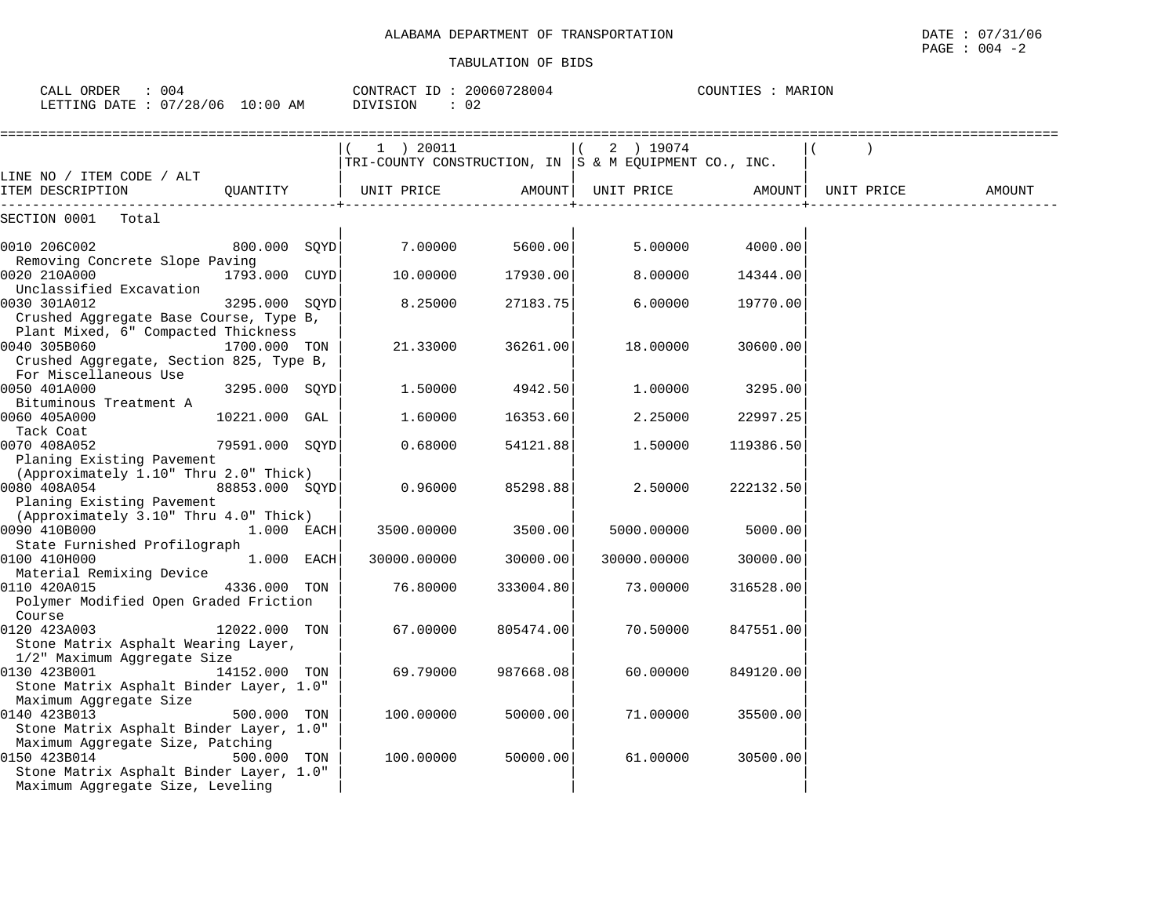| CALL ORDER : 004<br>LETTING DATE : 07/28/06 10:00 AM                                                                                     |                | CONTRACT ID: 20060728004<br>DIVISION<br>: 02                              |           |             | COUNTIES : MARION |            |        |
|------------------------------------------------------------------------------------------------------------------------------------------|----------------|---------------------------------------------------------------------------|-----------|-------------|-------------------|------------|--------|
|                                                                                                                                          |                | $1$ ) 20011   (<br>TRI-COUNTY CONSTRUCTION, IN  S & M EQUIPMENT CO., INC. |           | 2 ) 19074   |                   |            |        |
| LINE NO / ITEM CODE / ALT<br>ITEM DESCRIPTION<br>-------                                                                                 | OUANTITY       | UNIT PRICE                                                                | AMOUNT    | UNIT PRICE  | AMOUNT            | UNIT PRICE | AMOUNT |
| SECTION 0001 Total                                                                                                                       |                |                                                                           |           |             |                   |            |        |
| 0010 206C002                                                                                                                             | 800.000 SQYD   | 7.00000                                                                   | 5600.00   | 5.00000     | 4000.00           |            |        |
| Removing Concrete Slope Paving<br>0020 210A000                                                                                           | 1793.000 CUYD  | 10.00000                                                                  | 17930.00  | 8,00000     | 14344.00          |            |        |
| Unclassified Excavation<br>0030 301A012                                                                                                  | 3295.000 SOYD  | 8.25000                                                                   | 27183.75  | 6,00000     | 19770.00          |            |        |
| Crushed Aggregate Base Course, Type B,<br>Plant Mixed, 6" Compacted Thickness<br>0040 305B060<br>Crushed Aggregate, Section 825, Type B, | 1700.000 TON   | 21.33000                                                                  | 36261.00  | 18.00000    | 30600.00          |            |        |
| For Miscellaneous Use<br>0050 401A000                                                                                                    | 3295.000 SQYD  | 1.50000                                                                   | 4942.50   | 1.00000     | 3295.00           |            |        |
| Bituminous Treatment A<br>0060 405A000                                                                                                   | 10221.000 GAL  | 1.60000                                                                   | 16353.60  | 2.25000     | 22997.25          |            |        |
| Tack Coat<br>0070 408A052                                                                                                                | 79591.000 SQYD | 0.68000                                                                   | 54121.88  | 1.50000     | 119386.50         |            |        |
| Planing Existing Pavement<br>(Approximately 1.10" Thru 2.0" Thick)<br>0080 408A054<br>Planing Existing Pavement                          | 88853.000 SOYD | 0.96000                                                                   | 85298.88  | 2.50000     | 222132.50         |            |        |
| (Approximately 3.10" Thru 4.0" Thick)<br>0090 410B000<br>State Furnished Profilograph                                                    | $1.000$ EACH   | 3500.00000                                                                | 3500.00   | 5000.00000  | 5000.00           |            |        |
| 0100 410H000<br>Material Remixing Device                                                                                                 | $1.000$ EACH   | 30000.00000                                                               | 30000.00  | 30000.00000 | 30000.00          |            |        |
| 0110 420A015<br>Polymer Modified Open Graded Friction                                                                                    | 4336.000 TON   | 76.80000                                                                  | 333004.80 | 73.00000    | 316528.00         |            |        |
| Course<br>0120 423A003<br>Stone Matrix Asphalt Wearing Layer,                                                                            | 12022.000 TON  | 67.00000                                                                  | 805474.00 | 70.50000    | 847551.00         |            |        |
| 1/2" Maximum Aggregate Size<br>0130 423B001<br>Stone Matrix Asphalt Binder Layer, 1.0"                                                   | 14152.000 TON  | 69.79000                                                                  | 987668.08 | 60.00000    | 849120.00         |            |        |
| Maximum Aggregate Size<br>0140 423B013<br>Stone Matrix Asphalt Binder Layer, 1.0"                                                        | 500.000 TON    | 100.00000                                                                 | 50000.00  | 71.00000    | 35500.00          |            |        |
| Maximum Aggregate Size, Patching<br>0150 423B014<br>Stone Matrix Asphalt Binder Layer, 1.0"<br>Maximum Aggregate Size, Leveling          | 500.000 TON    | 100.00000                                                                 | 50000.00  | 61.00000    | 30500.00          |            |        |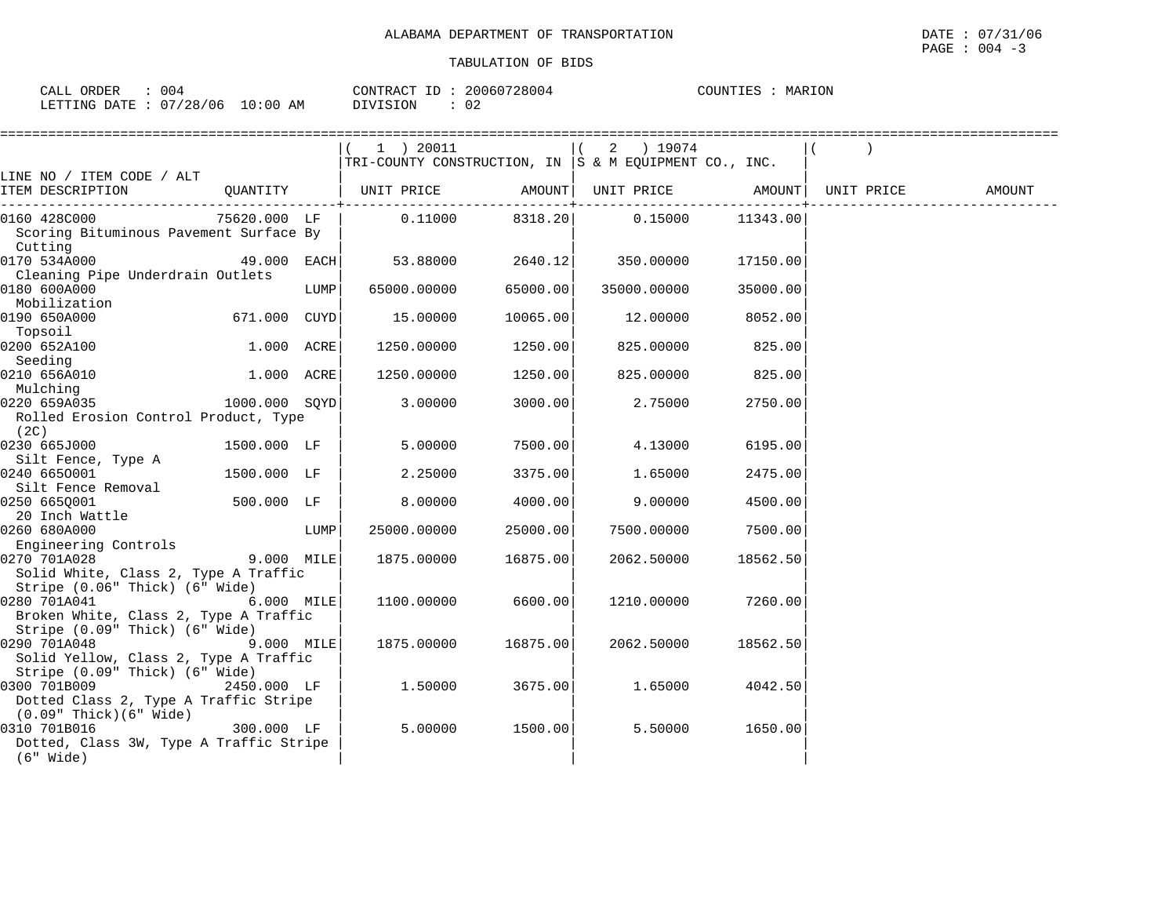| 004<br>ORDER<br>CALL       |            | 20060728004<br>CONTRACT ID: | COUNTIES<br>MARION |
|----------------------------|------------|-----------------------------|--------------------|
| : 07/28/06<br>LETTING DATE | $10:00$ AM | 02<br>DIVISION              |                    |

|                                                                                         |               |      | 1 ) 20011<br>$ THI-COUNTY$ CONSTRUCTION, IN $ S \& M$ EQUIPMENT CO., INC. |                       | 2 ) 19074                  |          |            |        |
|-----------------------------------------------------------------------------------------|---------------|------|---------------------------------------------------------------------------|-----------------------|----------------------------|----------|------------|--------|
| LINE NO / ITEM CODE / ALT                                                               |               |      |                                                                           |                       |                            |          |            |        |
| ITEM DESCRIPTION                                                                        | QUANTITY      |      | UNIT PRICE                 AMOUNT    UNIT PRICE                   AMOUNT  | -------------+------- |                            |          | UNIT PRICE | AMOUNT |
| 0160 428C000<br>Scoring Bituminous Pavement Surface By<br>Cutting                       | 75620.000 LF  |      | 0.11000                                                                   |                       | 8318.20 0.15000            | 11343.00 |            |        |
| 0170 534A000<br>Cleaning Pipe Underdrain Outlets                                        | 49.000 EACH   |      |                                                                           |                       | 53.88000 2640.12 350.00000 | 17150.00 |            |        |
| 0180 600A000<br>Mobilization                                                            |               | LUMP | 65000.00000                                                               | 65000.00              | 35000.00000                | 35000.00 |            |        |
| 0190 650A000<br>Topsoil                                                                 | 671.000 CUYD  |      | 15.00000                                                                  | 10065.00              | 12.00000                   | 8052.00  |            |        |
| 0200 652A100<br>Seeding                                                                 | 1.000 ACRE    |      | 1250.00000                                                                | 1250.00               | 825.00000                  | 825.00   |            |        |
| 0210 656A010<br>Mulching                                                                | 1.000 ACRE    |      | 1250.00000                                                                | 1250.00               | 825.00000                  | 825.00   |            |        |
| 0220 659A035<br>Rolled Erosion Control Product, Type<br>(2C)                            | 1000.000 SQYD |      | 3.00000                                                                   | 3000.00               | 2.75000                    | 2750.00  |            |        |
| 0230 665J000<br>Silt Fence, Type A                                                      | 1500.000 LF   |      | 5.00000                                                                   | 7500.00               | 4.13000                    | 6195.00  |            |        |
| 0240 6650001                                                                            | 1500.000 LF   |      | 2.25000                                                                   | 3375.00               | 1.65000                    | 2475.00  |            |        |
| Silt Fence Removal<br>0250 665Q001<br>20 Inch Wattle                                    | 500.000 LF    |      | 8.00000                                                                   | 4000.00               | 9,00000                    | 4500.00  |            |        |
| 0260 680A000<br>Engineering Controls                                                    |               | LUMP | 25000.00000                                                               | 25000.00              | 7500.00000                 | 7500.00  |            |        |
| 0270 701A028<br>Solid White, Class 2, Type A Traffic<br>Stripe (0.06" Thick) (6" Wide)  | 9.000 MILE    |      | 1875.00000                                                                | 16875.00              | 2062.50000                 | 18562.50 |            |        |
| 0280 701A041<br>Broken White, Class 2, Type A Traffic<br>Stripe (0.09" Thick) (6" Wide) | 6.000 MILE    |      | 1100.00000                                                                | 6600.00               | 1210.00000                 | 7260.00  |            |        |
| 0290 701A048<br>Solid Yellow, Class 2, Type A Traffic<br>Stripe (0.09" Thick) (6" Wide) | 9.000 MILE    |      | 1875.00000                                                                | 16875.00              | 2062.50000                 | 18562.50 |            |        |
| 0300 701B009<br>Dotted Class 2, Type A Traffic Stripe<br>$(0.09"$ Thick $)(6"$ Wide $)$ | 2450.000 LF   |      | 1.50000                                                                   | 3675.00               | 1.65000                    | 4042.50  |            |        |
| 0310 701B016<br>Dotted, Class 3W, Type A Traffic Stripe<br>(6" Wide)                    | $300.000$ LF  |      | 5,00000                                                                   | 1500.00               | 5.50000                    | 1650.00  |            |        |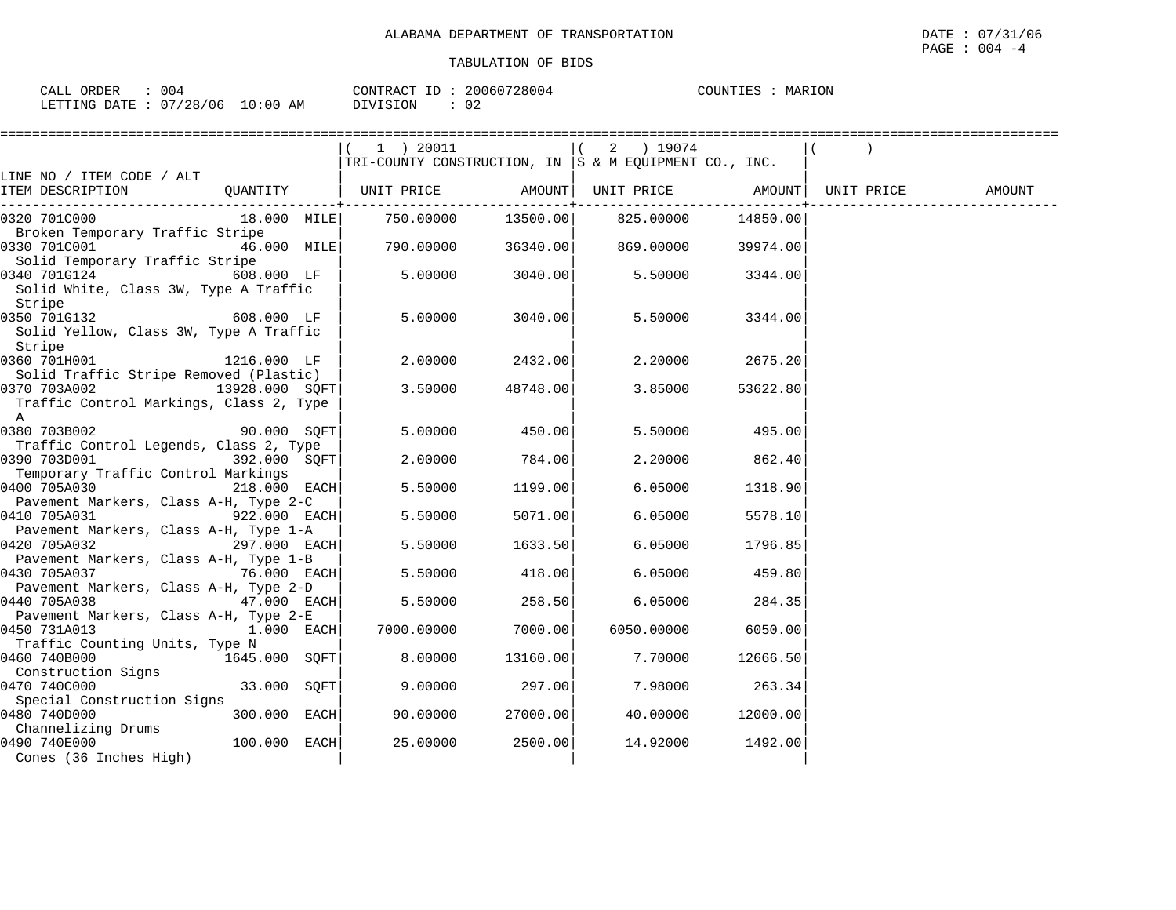| ORDER<br>004<br>$\sim$ $ -$<br>' A I<br>للتحمد |             | CONTRACT<br>$\tau$         | 20060728004 | $\Lambda$ דאז ז $\Lambda$ י $\Gamma$<br>MARION |
|------------------------------------------------|-------------|----------------------------|-------------|------------------------------------------------|
| /28/06<br>$\cap$<br>LETTIMG.<br>R מיד∆ת        | 10:00<br>AΜ | SION <sup>.</sup><br>. לדר | 02          |                                                |

|                                                       |                | 1 ) 20011                                                 |          | 2 ) 19074                  |           |            |        |
|-------------------------------------------------------|----------------|-----------------------------------------------------------|----------|----------------------------|-----------|------------|--------|
|                                                       |                | TRI-COUNTY CONSTRUCTION, IN $ S \& M$ EQUIPMENT CO., INC. |          |                            |           |            |        |
| LINE NO / ITEM CODE / ALT                             |                |                                                           |          |                            |           |            |        |
| ITEM DESCRIPTION                                      | QUANTITY       | UNIT PRICE                                                |          | AMOUNT   UNIT PRICE AMOUNT |           | UNIT PRICE | AMOUNT |
|                                                       |                |                                                           |          |                            |           |            |        |
| 0320 701C000                                          | 18.000 MILE    | 750.00000                                                 | 13500.00 | 825.00000                  | 14850.00  |            |        |
| Broken Temporary Traffic Stripe<br>0330 701C001       | 46.000 MILE    | 790.00000                                                 | 36340.00 | 869.00000                  | 39974.00  |            |        |
| Solid Temporary Traffic Stripe                        |                |                                                           |          |                            |           |            |        |
| 0340 701G124                                          | 608.000 LF     | 5.00000                                                   | 3040.00  | 5.50000                    | 3344.00   |            |        |
| Solid White, Class 3W, Type A Traffic                 |                |                                                           |          |                            |           |            |        |
| Stripe                                                |                |                                                           |          |                            |           |            |        |
| 0350 701G132                                          | 608.000 LF     | 5.00000                                                   | 3040.00  | 5.50000                    | 3344.00   |            |        |
| Solid Yellow, Class 3W, Type A Traffic                |                |                                                           |          |                            |           |            |        |
| Stripe                                                |                |                                                           |          |                            |           |            |        |
| 0360 701H001                                          | 1216.000 LF    | 2.00000                                                   | 2432.00  | 2,20000                    | 2675.20   |            |        |
| Solid Traffic Stripe Removed (Plastic)                |                |                                                           |          |                            |           |            |        |
| 0370 703A002<br>13928.000 SOFT                        |                | 3.50000                                                   | 48748.00 | 3.85000                    | 53622.80  |            |        |
| Traffic Control Markings, Class 2, Type               |                |                                                           |          |                            |           |            |        |
| A                                                     |                |                                                           |          |                            |           |            |        |
| 0380 703B002                                          | 90.000 SOFT    | 5.00000                                                   | 450.00   | 5.50000                    | 495.00    |            |        |
| Traffic Control Legends, Class 2, Type                |                |                                                           |          |                            |           |            |        |
| 0390 703D001                                          | 392.000 SQFT   | 2.00000                                                   | 784.00   | 2.20000                    | 862.40    |            |        |
| Temporary Traffic Control Markings                    |                |                                                           |          |                            |           |            |        |
| 0400 705A030                                          | 218.000 EACH   | 5.50000                                                   | 1199.00  | 6.05000                    | 1318.90   |            |        |
| Pavement Markers, Class A-H, Type 2-C                 |                |                                                           |          |                            |           |            |        |
| 0410 705A031                                          | 922.000 EACH   | 5.50000                                                   | 5071.00  | 6.05000                    | 5578.10   |            |        |
| Pavement Markers, Class A-H, Type 1-A<br>0420 705A032 | 297.000 EACH   | 5.50000                                                   | 1633.50  | 6.05000                    | 1796.85   |            |        |
| Pavement Markers, Class A-H, Type 1-B                 |                |                                                           |          |                            |           |            |        |
| $76.000$ EACH<br>0430 705A037                         |                | 5.50000                                                   | 418.00   | 6.05000                    | 459.80    |            |        |
| Pavement Markers, Class A-H, Type 2-D                 |                |                                                           |          |                            |           |            |        |
| 0440 705A038                                          | 47.000 EACH    | 5.50000                                                   | 258.50   | 6.05000                    | 284.35    |            |        |
| Pavement Markers, Class A-H, Type 2-E                 |                |                                                           |          |                            |           |            |        |
| 0450 731A013                                          | $1.000$ EACH   | 7000.00000                                                | 7000.00  | 6050.00000                 | 6050.00   |            |        |
| Traffic Counting Units, Type N                        |                |                                                           |          |                            |           |            |        |
| 0460 740B000<br>1645.000 SQFT                         |                | 8.00000                                                   | 13160.00 | 7.70000                    | 12666.50  |            |        |
| Construction Signs                                    |                |                                                           |          |                            |           |            |        |
| 0470 740C000                                          | 33.000 SQFT    | 9,00000                                                   | 297.00   | 7.98000                    | 263.34    |            |        |
| Special Construction Signs                            |                |                                                           |          |                            |           |            |        |
| 0480 740D000                                          | 300.000 EACH   | 90.00000                                                  | 27000.00 | 40.00000                   | 12000.001 |            |        |
| Channelizing Drums                                    |                |                                                           |          |                            |           |            |        |
| 0490 740E000                                          | $100.000$ EACH | 25.00000                                                  | 2500.00  | 14.92000                   | 1492.00   |            |        |
| Cones (36 Inches High)                                |                |                                                           |          |                            |           |            |        |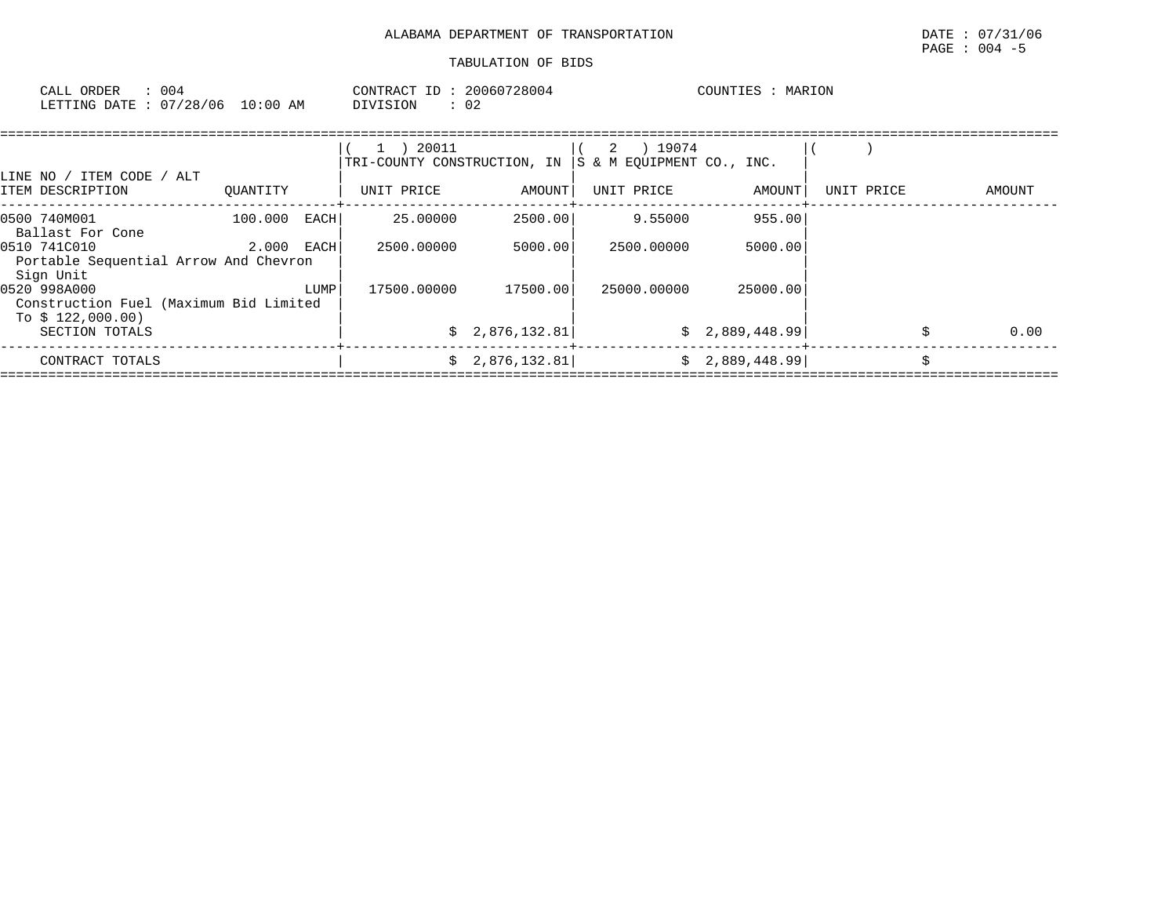| 004<br>CALL ORDER                | 20060728004<br>CONTRACT ID : | MARION<br>COUNTIES |
|----------------------------------|------------------------------|--------------------|
| LETTING DATE : 07/28/06 10:00 AM | $\sim$<br>DIVISION<br>UZ.    |                    |

|                                                                             |            |      | 20011<br>TRI-COUNTY CONSTRUCTION, IN |                | ) 19074<br>2<br>S & M EOUIPMENT CO., INC. |                |            |        |
|-----------------------------------------------------------------------------|------------|------|--------------------------------------|----------------|-------------------------------------------|----------------|------------|--------|
| LINE NO / ITEM CODE / ALT<br>ITEM DESCRIPTION                               | OUANTITY   |      | UNIT PRICE                           | AMOUNT         | UNIT PRICE                                | AMOUNT         | UNIT PRICE | AMOUNT |
| 0500 740M001<br>Ballast For Cone                                            | 100.000    | EACH | 25.00000                             | 2500.00        | 9.55000                                   | 955.00         |            |        |
| 0510 741C010<br>Portable Sequential Arrow And Chevron<br>Sign Unit          | 2.000 EACH |      | 2500.00000                           | 5000.00        | 2500.00000                                | 5000.00        |            |        |
| 0520 998A000<br>Construction Fuel (Maximum Bid Limited<br>To $$122,000.00)$ |            | LUMP | 17500.00000                          | 17500.00       | 25000.00000                               | 25000.00       |            |        |
| SECTION TOTALS                                                              |            |      |                                      | \$2,876,132.81 |                                           | \$2,889,448.99 |            | 0.00   |
| CONTRACT TOTALS                                                             |            |      |                                      | \$2,876,132.81 |                                           | \$2,889,448.99 |            |        |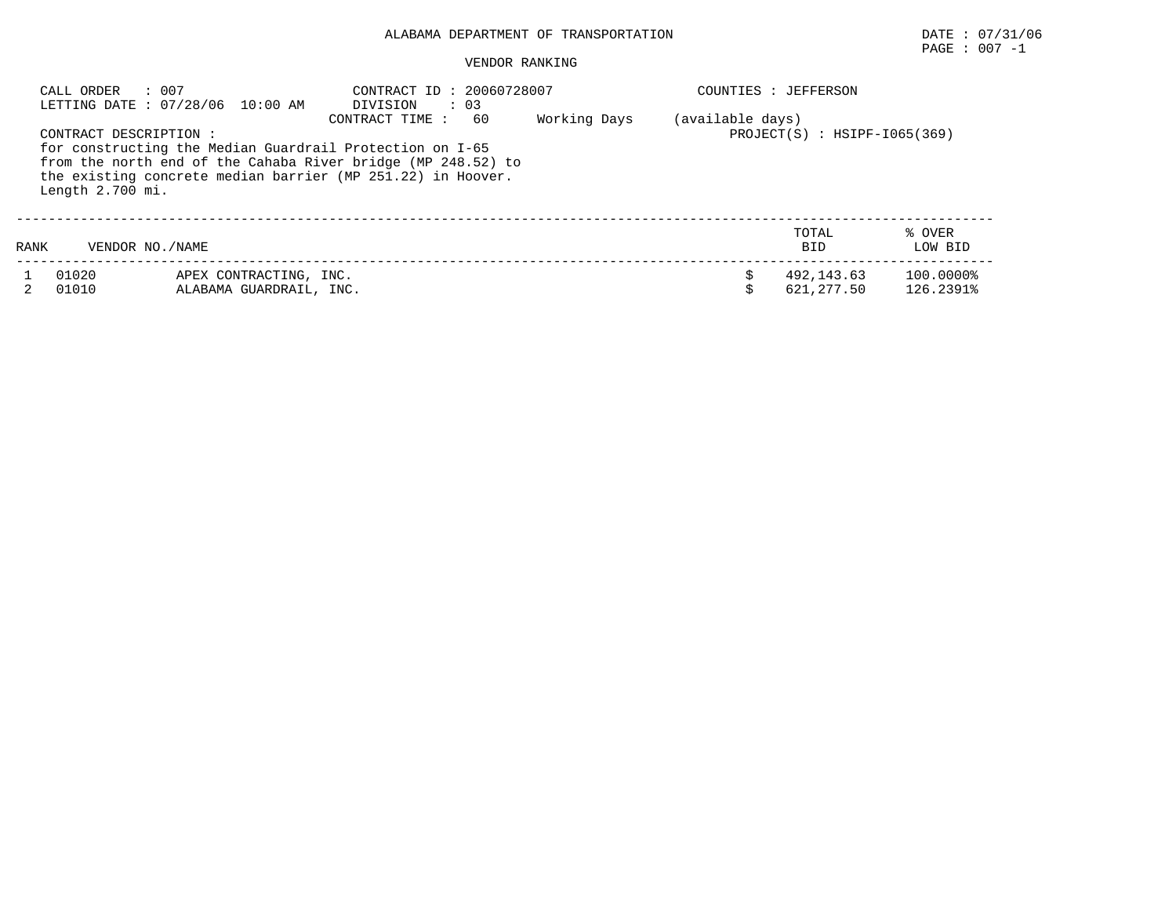## ALABAMA DEPARTMENT OF TRANSPORTATION DATE : 07/31/06

# $\texttt{PAGE}$  : 007 -1

#### VENDOR RANKING

|      | : 007<br>CALL ORDER                       | LETTING DATE: 07/28/06 10:00 AM                   | CONTRACT ID: 20060728007<br>DIVISION<br>$\therefore$ 03                                                                                                                                                          |              |                  | COUNTIES : JEFFERSON              |                        |
|------|-------------------------------------------|---------------------------------------------------|------------------------------------------------------------------------------------------------------------------------------------------------------------------------------------------------------------------|--------------|------------------|-----------------------------------|------------------------|
|      | CONTRACT DESCRIPTION:<br>Length 2.700 mi. |                                                   | CONTRACT TIME :<br>60<br>for constructing the Median Guardrail Protection on I-65<br>from the north end of the Cahaba River bridge (MP 248.52) to<br>the existing concrete median barrier (MP 251.22) in Hoover. | Working Days | (available days) | $PROJECT(S)$ : $H SIPF-I065(369)$ |                        |
| RANK | VENDOR NO. / NAME                         |                                                   |                                                                                                                                                                                                                  |              |                  | TOTAL<br><b>BID</b>               | % OVER<br>LOW BID      |
|      | 01020<br>01010                            | APEX CONTRACTING, INC.<br>ALABAMA GUARDRAIL, INC. |                                                                                                                                                                                                                  |              |                  | 492.143.63<br>621,277.50          | 100.0000%<br>126.2391% |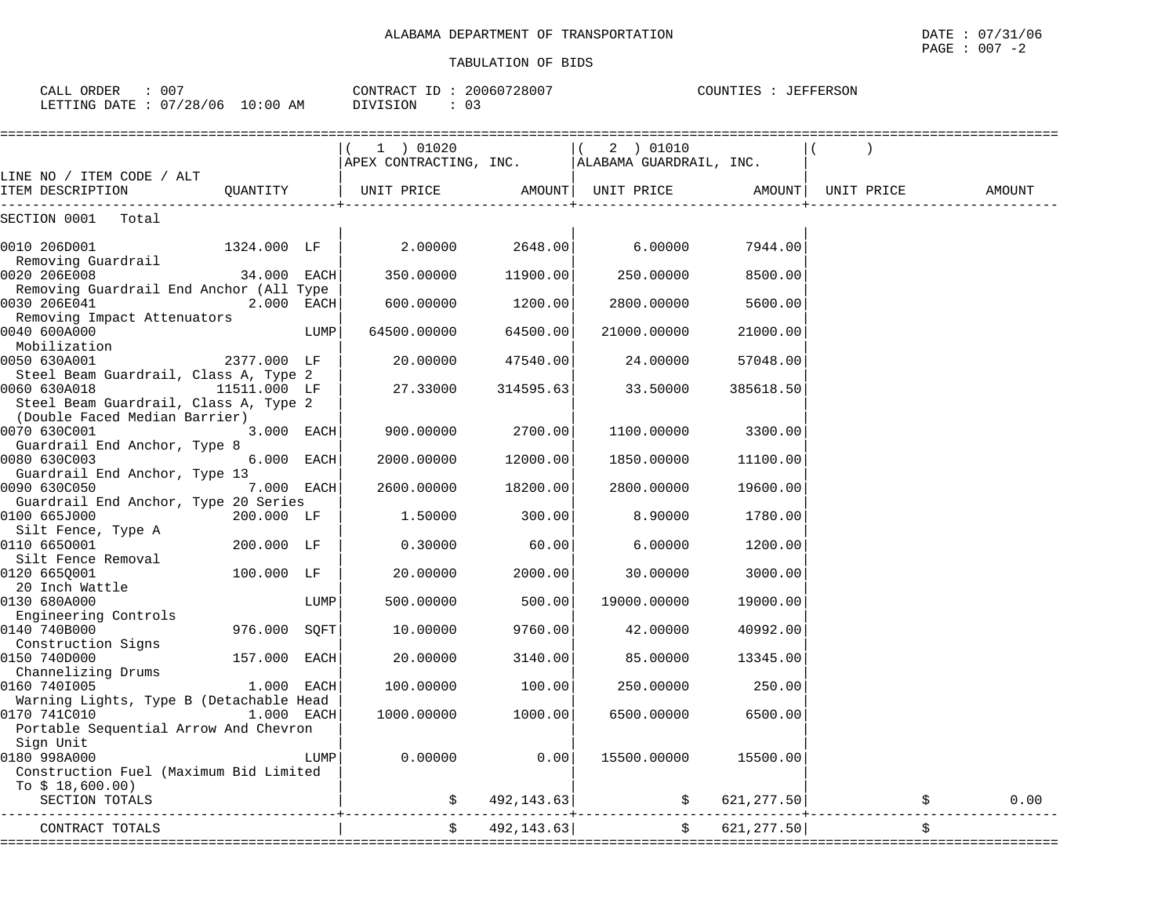COUNTIES : JEFFERSON

#### TABULATION OF BIDS

CALL ORDER : 007 CONTRACT ID : 20060728007 COUNTIES : JEFFERSON

|                                                                                                  |              |      | 1 ) 01020           |            | (2) 01010<br>APEX CONTRACTING, INC.   ALABAMA GUARDRAIL, INC. |            |            |        |
|--------------------------------------------------------------------------------------------------|--------------|------|---------------------|------------|---------------------------------------------------------------|------------|------------|--------|
| LINE NO / ITEM CODE / ALT<br>ITEM DESCRIPTION                                                    |              |      |                     |            | QUANTITY   UNIT PRICE AMOUNT  UNIT PRICE AMOUNT               |            | UNIT PRICE | AMOUNT |
| SECTION 0001<br>Total                                                                            |              |      |                     |            |                                                               |            |            |        |
| 0010 206D001<br>Removing Guardrail                                                               | 1324.000 LF  |      | 2.00000             | 2648.00    | 6.00000                                                       | 7944.00    |            |        |
| 0020 206E008                                                                                     | 34.000 EACH  |      | 350.00000           | 11900.00   | 250.00000                                                     | 8500.00    |            |        |
| Removing Guardrail End Anchor (All Type<br>0030 206E041<br>Removing Impact Attenuators           | 2.000 EACH   |      | 600.00000           | 1200.00    | 2800.00000                                                    | 5600.00    |            |        |
| 0040 600A000<br>Mobilization                                                                     |              | LUMP | 64500.00000         | 64500.00   | 21000.00000                                                   | 21000.00   |            |        |
| 0050 630A001<br>Steel Beam Guardrail, Class A, Type 2                                            | 2377.000 LF  |      | 20.00000            | 47540.00   | 24.00000                                                      | 57048.00   |            |        |
| 0060 630A018<br>Steel Beam Guardrail, Class A, Type 2<br>(Double Faced Median Barrier)           | 11511.000 LF |      | 27.33000            | 314595.63  | 33.50000                                                      | 385618.50  |            |        |
| 0070 630C001                                                                                     | 3.000 EACH   |      | 900.00000           | 2700.00    | 1100.00000                                                    | 3300.00    |            |        |
| Guardrail End Anchor, Type 8<br>0080 630C003<br>Guardrail End Anchor, Type 13                    | 6.000 EACH   |      | 2000.00000          | 12000.00   | 1850.00000                                                    | 11100.00   |            |        |
| 0090 630C050                                                                                     | 7.000 EACH   |      | 2600.00000          | 18200.00   | 2800.00000                                                    | 19600.00   |            |        |
| Guardrail End Anchor, Type 20 Series<br>0100 665J000<br>Silt Fence, Type A                       | 200.000 LF   |      | 1,50000             | 300.00     | 8.90000                                                       | 1780.00    |            |        |
| 0110 6650001<br>Silt Fence Removal                                                               | 200.000 LF   |      | 0.30000             | 60.00      | 6.00000                                                       | 1200.00    |            |        |
| 0120 6650001<br>20 Inch Wattle                                                                   | 100.000 LF   |      | 20.00000            | 2000.00    | 30.00000                                                      | 3000.00    |            |        |
| 0130 680A000<br>Engineering Controls                                                             |              | LUMP | 500.00000           | 500.00     | 19000.00000                                                   | 19000.00   |            |        |
| 0140 740B000<br>Construction Signs                                                               | 976.000      | SQFT | 10.00000            | 9760.00    | 42.00000                                                      | 40992.00   |            |        |
| 0150 740D000<br>Channelizing Drums                                                               | 157.000 EACH |      | 20.00000            | 3140.00    | 85.00000                                                      | 13345.00   |            |        |
| 0160 7401005                                                                                     | 1.000 EACH   |      | 100.00000           | 100.00     | 250.00000                                                     | 250.00     |            |        |
| Warning Lights, Type B (Detachable Head<br>0170 741C010<br>Portable Sequential Arrow And Chevron | $1.000$ EACH |      | 1000.00000          | 1000.00    | 6500.00000                                                    | 6500.00    |            |        |
| Sign Unit<br>0180 998A000<br>Construction Fuel (Maximum Bid Limited                              |              | LUMP | 0.00000             | 0.00       | 15500.00000                                                   | 15500.00   |            |        |
| To $$18,600.00)$<br>SECTION TOTALS                                                               |              |      | \$                  | 492,143.63 | \$621, 277.50]                                                |            |            | 0.00   |
| CONTRACT TOTALS                                                                                  |              |      | $\ddot{\mathsf{S}}$ | 492,143.63 | $\ddot{s}$                                                    | 621,277.50 |            |        |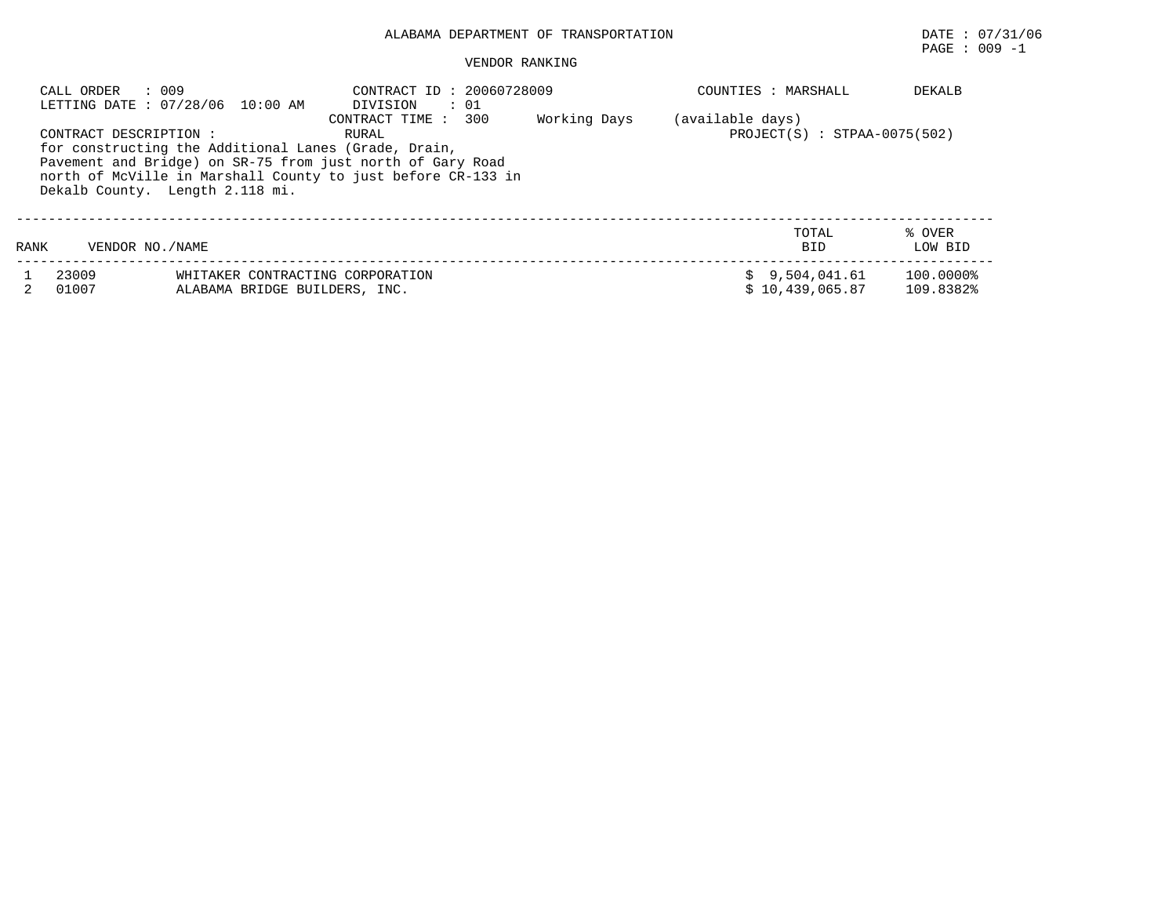## ALABAMA DEPARTMENT OF TRANSPORTATION DATE : 07/31/06

PAGE : 009 -1

### VENDOR RANKING

|      | : 009<br>CALL ORDER    | LETTING DATE: 07/28/06 10:00 AM                                                                                                                                                                                       | CONTRACT ID: 20060728009<br>DIVISION<br>$\cdot$ 01 |              | COUNTIES : MARSHALL                                | DEKALB                 |
|------|------------------------|-----------------------------------------------------------------------------------------------------------------------------------------------------------------------------------------------------------------------|----------------------------------------------------|--------------|----------------------------------------------------|------------------------|
|      | CONTRACT DESCRIPTION : | for constructing the Additional Lanes (Grade, Drain,<br>Pavement and Bridge) on SR-75 from just north of Gary Road<br>north of McVille in Marshall County to just before CR-133 in<br>Dekalb County. Length 2.118 mi. | CONTRACT TIME : 300<br>RURAL                       | Working Days | (available days)<br>$PROJECT(S) : STPAA-0075(502)$ |                        |
| RANK | VENDOR NO. / NAME      |                                                                                                                                                                                                                       |                                                    |              | TOTAL<br><b>BID</b>                                | % OVER<br>LOW BID      |
|      | 23009<br>01007         | WHITAKER CONTRACTING CORPORATION<br>ALABAMA BRIDGE BUILDERS, INC.                                                                                                                                                     |                                                    |              | \$9,504,041.61<br>\$10,439,065.87                  | 100.0000%<br>109.8382% |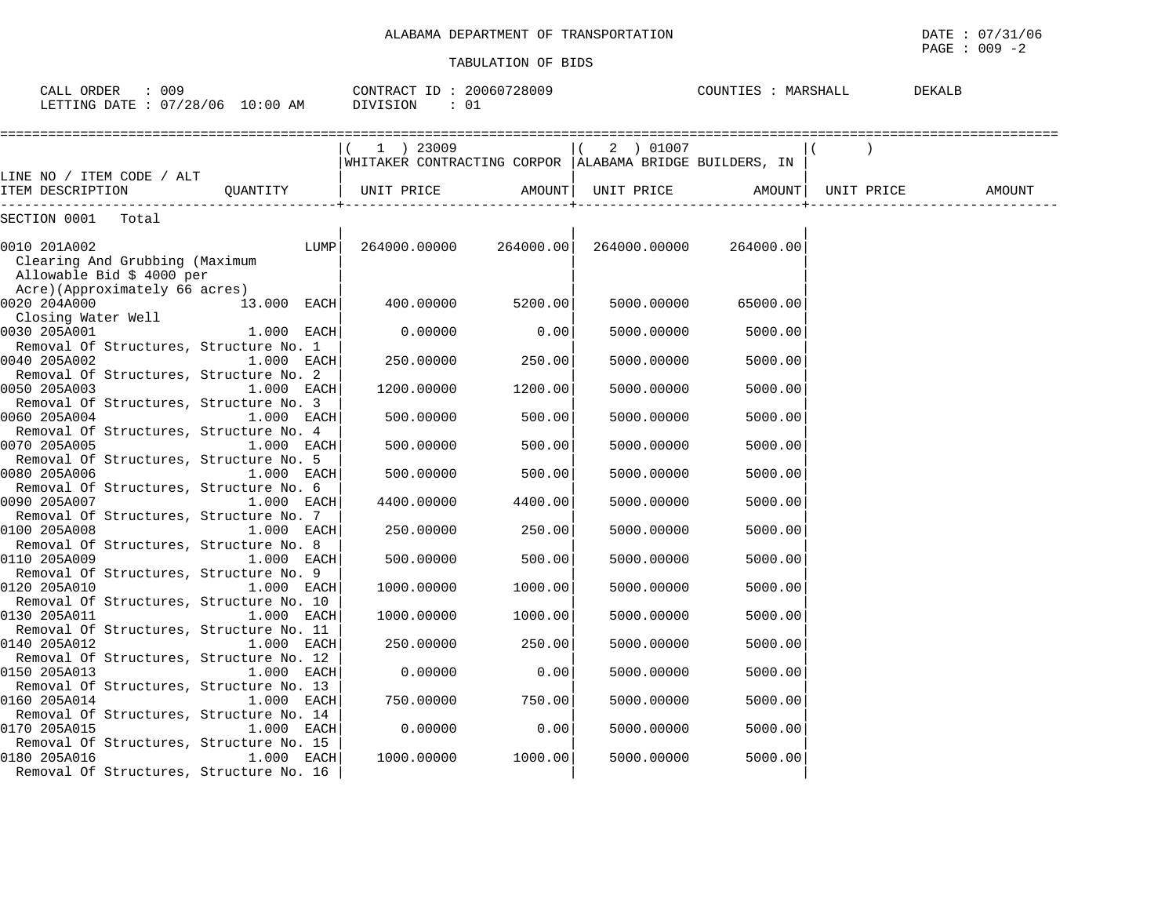| CALL ORDER : 009<br>LETTING DATE: 07/28/06 10:00 AM                         | CONTRACT ID: 20060728009 | DIVISION<br>: 01                                                          |                   |              | COUNTIES : MARSHALL |            | DEKALB |
|-----------------------------------------------------------------------------|--------------------------|---------------------------------------------------------------------------|-------------------|--------------|---------------------|------------|--------|
|                                                                             |                          | $(1)$ 23009<br> WHITAKER CONTRACTING CORPOR   ALABAMA BRIDGE BUILDERS, IN |                   | $(2)$ 01007  |                     |            |        |
| LINE NO / ITEM CODE / ALT<br>ITEM DESCRIPTION                               |                          |                                                                           |                   |              |                     | UNIT PRICE | AMOUNT |
| SECTION 0001 Total                                                          |                          |                                                                           |                   |              |                     |            |        |
| 0010 201A002<br>Clearing And Grubbing (Maximum<br>Allowable Bid \$ 4000 per | LUMP <sup>1</sup>        | 264000.00000 264000.00                                                    |                   | 264000.00000 | 264000.00           |            |        |
| Acre)(Approximately 66 acres)<br>0020 204A000                               | 13.000 EACH              |                                                                           | 400.00000 5200.00 | 5000.00000   | 65000.00            |            |        |
| Closing Water Well<br>0030 205A001                                          | $1.000$ EACH             | 0.00000                                                                   | 0.00              | 5000.00000   | 5000.00             |            |        |
| Removal Of Structures, Structure No. 1<br>0040 205A002                      | $1.000$ EACH             | 250.00000                                                                 | 250.00            | 5000.00000   | 5000.00             |            |        |
| Removal Of Structures, Structure No. 2<br>0050 205A003                      | $1.000$ EACH             | 1200.00000                                                                | 1200.00           | 5000.00000   | 5000.00             |            |        |
| Removal Of Structures, Structure No. 3<br>0060 205A004                      | 1.000 EACH               | 500.00000                                                                 | 500.00            | 5000.00000   | 5000.00             |            |        |
| Removal Of Structures, Structure No. 4<br>0070 205A005                      | $1.000$ EACH             | 500.00000                                                                 | 500.00            | 5000.00000   | 5000.00             |            |        |
| Removal Of Structures, Structure No. 5<br>0080 205A006                      | $1.000$ EACH             | 500.00000                                                                 | 500.00            | 5000.00000   | 5000.00             |            |        |
| Removal Of Structures, Structure No. 6<br>0090 205A007                      | 1.000 EACH               | 4400.00000                                                                | 4400.00           | 5000.00000   | 5000.00             |            |        |
| Removal Of Structures, Structure No. 7<br>0100 205A008                      | $1.000$ EACH             | 250.00000                                                                 | 250.00            | 5000.00000   | 5000.00             |            |        |
| Removal Of Structures, Structure No. 8<br>0110 205A009                      | 1.000 EACH               | 500.00000                                                                 | 500.00            | 5000.00000   | 5000.00             |            |        |
| Removal Of Structures, Structure No. 9<br>0120 205A010                      | 1.000 EACH               | 1000.00000                                                                | 1000.00           | 5000.00000   | 5000.00             |            |        |
| Removal Of Structures, Structure No. 10<br>0130 205A011                     | 1.000 EACH               | 1000.00000                                                                | 1000.00           | 5000.00000   | 5000.00             |            |        |
| Removal Of Structures, Structure No. 11<br>0140 205A012                     | 1.000 EACH               | 250.00000                                                                 | 250.00            | 5000.00000   | 5000.00             |            |        |
| Removal Of Structures, Structure No. 12<br>0150 205A013                     | 1.000 EACH               | 0.00000                                                                   | 0.00              | 5000.00000   | 5000.00             |            |        |
| Removal Of Structures, Structure No. 13<br>0160 205A014                     | 1.000 EACH               | 750.00000                                                                 | 750.00            | 5000.00000   | 5000.00             |            |        |
| Removal Of Structures, Structure No. 14<br>0170 205A015                     | $1.000$ EACH             | 0.00000                                                                   | 0.00              | 5000.00000   | 5000.00             |            |        |
| Removal Of Structures, Structure No. 15<br>0180 205A016                     | $1.000$ EACH             | 1000.00000                                                                | 1000.00           | 5000.00000   | 5000.00             |            |        |
| Removal Of Structures, Structure No. 16                                     |                          |                                                                           |                   |              |                     |            |        |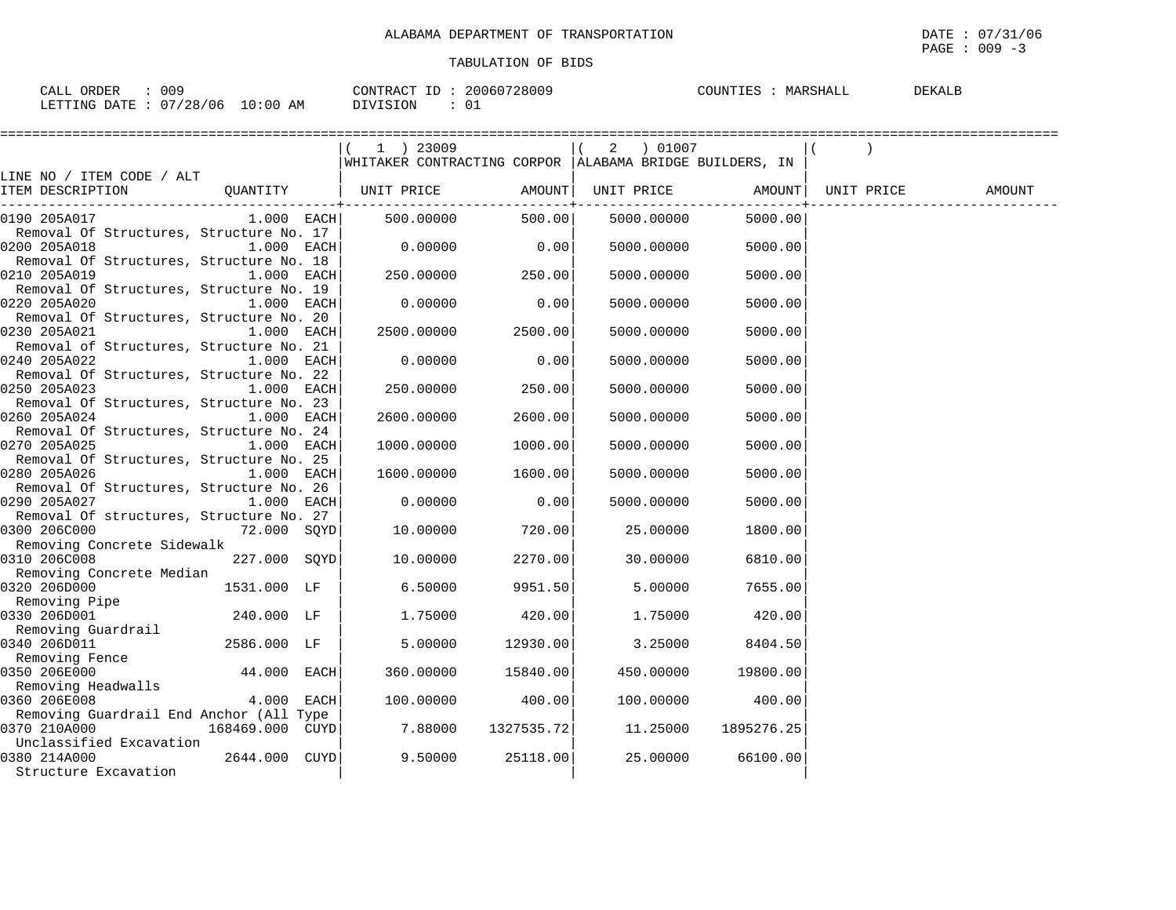$\texttt{PAGE}$  : 009 -3

| 009<br>ORDER<br>CALL            | 20060728009<br>CONTRACT ID: | COUNTIES<br>MARSHALL<br><b>DEKALE</b> |
|---------------------------------|-----------------------------|---------------------------------------|
| LETTING DATE: 07/28/06 10:00 AM | DIVISION                    |                                       |

|                                                         |                 |                                                         |                                                               |            | =====================   |            |        |
|---------------------------------------------------------|-----------------|---------------------------------------------------------|---------------------------------------------------------------|------------|-------------------------|------------|--------|
|                                                         |                 | $(1)$ 23009                                             |                                                               | 2 ) 01007  |                         |            |        |
|                                                         |                 | WHITAKER CONTRACTING CORPOR ALABAMA BRIDGE BUILDERS, IN |                                                               |            |                         |            |        |
| LINE NO / ITEM CODE / ALT                               |                 |                                                         |                                                               |            |                         |            |        |
| ITEM DESCRIPTION                                        |                 | QUANTITY   UNIT PRICE                                   | AMOUNT<br>. _ _ _ _ _ _ _ _ _ _ _ _ _ _ _ + _ _ _ _ _ _ _ _ _ | UNIT PRICE | AMOUNT<br>------------+ | UNIT PRICE | AMOUNT |
| 0190 205A017                                            |                 | 1.000 EACH 500.00000                                    | 500.00                                                        | 5000.00000 | 5000.00                 |            |        |
| Removal Of Structures, Structure No. 17                 |                 |                                                         |                                                               |            |                         |            |        |
| 0200 205A018                                            | $1.000$ EACH    | 0.00000                                                 | 0.00                                                          | 5000.00000 | 5000.00                 |            |        |
| Removal Of Structures, Structure No. 18                 |                 |                                                         |                                                               |            |                         |            |        |
| 0210 205A019                                            | $1.000$ EACH    | 250.00000                                               | 250.00                                                        | 5000.00000 | 5000.00                 |            |        |
| Removal Of Structures, Structure No. 19                 |                 |                                                         |                                                               |            |                         |            |        |
| 0220 205A020                                            | $1.000$ EACH    | 0.00000                                                 | 0.00                                                          | 5000.00000 | 5000.00                 |            |        |
| Removal Of Structures, Structure No. 20                 |                 |                                                         |                                                               |            |                         |            |        |
| 0230 205A021<br>Removal of Structures, Structure No. 21 | $1.000$ EACH    | 2500.00000                                              | 2500.00                                                       | 5000.00000 | 5000.00                 |            |        |
| 0240 205A022                                            | $1.000$ EACH    | 0.00000                                                 | 0.00                                                          | 5000.00000 | 5000.00                 |            |        |
| Removal Of Structures, Structure No. 22                 |                 |                                                         |                                                               |            |                         |            |        |
| 0250 205A023                                            | 1.000 EACH      | 250.00000                                               | 250.00                                                        | 5000.00000 | 5000.00                 |            |        |
| Removal Of Structures, Structure No. 23                 |                 |                                                         |                                                               |            |                         |            |        |
| 0260 205A024                                            | 1.000 EACH      | 2600.00000                                              | 2600.00                                                       | 5000.00000 | 5000.00                 |            |        |
| Removal Of Structures, Structure No. 24                 |                 |                                                         |                                                               |            |                         |            |        |
| 0270 205A025                                            | 1.000 EACH      | 1000.00000                                              | 1000.00                                                       | 5000.00000 | 5000.00                 |            |        |
| Removal Of Structures, Structure No. 25                 |                 |                                                         |                                                               |            |                         |            |        |
| 0280 205A026                                            | $1.000$ EACH    | 1600.00000                                              | 1600.00                                                       | 5000.00000 | 5000.00                 |            |        |
| Removal Of Structures, Structure No. 26                 |                 |                                                         |                                                               |            |                         |            |        |
| 0290 205A027                                            | 1.000 EACH      | 0.00000                                                 | 0.00                                                          | 5000.00000 | 5000.00                 |            |        |
| Removal Of structures, Structure No. 27                 |                 |                                                         |                                                               |            |                         |            |        |
| 0300 206C000                                            | 72.000 SQYD     | 10.00000                                                | 720.00                                                        | 25.00000   | 1800.00                 |            |        |
| Removing Concrete Sidewalk                              |                 |                                                         |                                                               |            |                         |            |        |
| 0310 206C008<br>Removing Concrete Median                | 227.000 SOYD    | 10.00000                                                | 2270.00                                                       | 30.00000   | 6810.00                 |            |        |
| 0320 206D000                                            | 1531.000 LF     | 6.50000                                                 | 9951.50                                                       | 5.00000    | 7655.00                 |            |        |
| Removing Pipe                                           |                 |                                                         |                                                               |            |                         |            |        |
| 0330 206D001                                            | 240.000 LF      | 1.75000                                                 | 420.00                                                        | 1.75000    | 420.00                  |            |        |
| Removing Guardrail                                      |                 |                                                         |                                                               |            |                         |            |        |
| 0340 206D011                                            | 2586.000 LF     | 5.00000                                                 | 12930.00                                                      | 3.25000    | 8404.50                 |            |        |
| Removing Fence                                          |                 |                                                         |                                                               |            |                         |            |        |
| 0350 206E000                                            | 44.000 EACH     | 360.00000                                               | 15840.00                                                      | 450.00000  | 19800.00                |            |        |
| Removing Headwalls                                      |                 |                                                         |                                                               |            |                         |            |        |
| 0360 206E008                                            | 4.000 EACH      | 100.00000                                               | 400.00                                                        | 100.00000  | 400.00                  |            |        |
| Removing Guardrail End Anchor (All Type                 |                 |                                                         |                                                               |            |                         |            |        |
| 0370 210A000                                            | 168469.000 CUYD | 7.88000                                                 | 1327535.72                                                    | 11.25000   | 1895276.25              |            |        |
| Unclassified Excavation                                 |                 |                                                         |                                                               |            |                         |            |        |
| 0380 214A000                                            | 2644.000 CUYDI  | 9.50000                                                 | 25118.00                                                      | 25.00000   | 66100.00                |            |        |
| Structure Excavation                                    |                 |                                                         |                                                               |            |                         |            |        |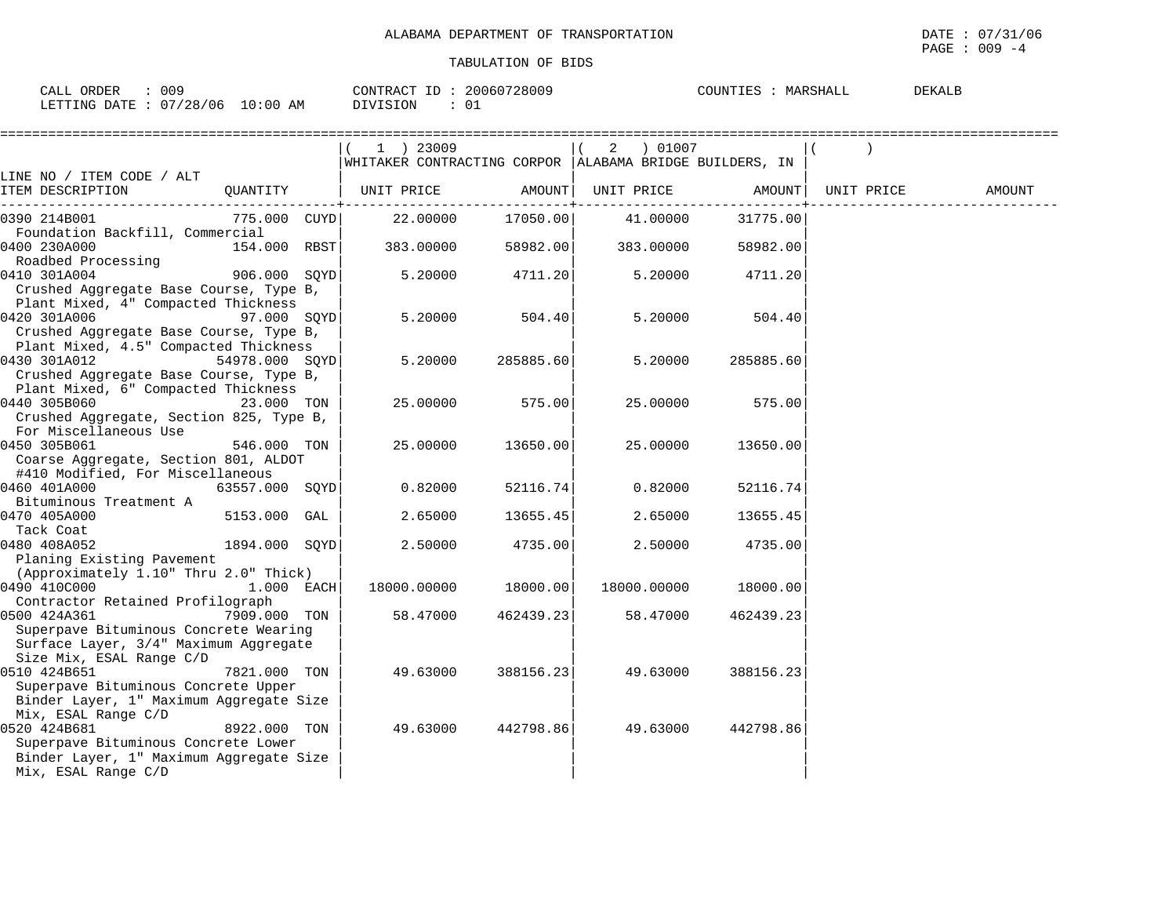| CALL ORDER<br>009               | CONTRACT ID: 20060728009 | COUNTIES : MARSHALL<br><b>DEKALB</b> |
|---------------------------------|--------------------------|--------------------------------------|
| LETTING DATE: 07/28/06 10:00 AM | DIVISION                 |                                      |

|                                          |                | 1 ) 23009                                                 |           | 2 ) 01007   |           |            |        |
|------------------------------------------|----------------|-----------------------------------------------------------|-----------|-------------|-----------|------------|--------|
|                                          |                | WHITAKER CONTRACTING CORPOR   ALABAMA BRIDGE BUILDERS, IN |           |             |           |            |        |
| LINE NO / ITEM CODE / ALT                |                |                                                           |           |             |           |            |        |
| ITEM DESCRIPTION                         | QUANTITY       | UNIT PRICE                                                | AMOUNT    | UNIT PRICE  | AMOUNT    | UNIT PRICE | AMOUNT |
| 0390 214B001                             | 775.000 CUYD   | 22.00000                                                  | 17050.00  | 41.00000    | 31775.00  |            |        |
| Foundation Backfill, Commercial          |                |                                                           |           |             |           |            |        |
| 0400 230A000                             | 154.000 RBST   | 383.00000                                                 | 58982.00  | 383.00000   | 58982.00  |            |        |
| Roadbed Processing                       |                |                                                           |           |             |           |            |        |
| 0410 301A004                             | 906.000 SQYD   | 5.20000                                                   | 4711.20   | 5.20000     | 4711.20   |            |        |
| Crushed Aggregate Base Course, Type B,   |                |                                                           |           |             |           |            |        |
| Plant Mixed, 4" Compacted Thickness      |                |                                                           |           |             |           |            |        |
| 0420 301A006                             | 97.000 SQYD    | 5.20000                                                   | 504.40    | 5.20000     | 504.40    |            |        |
| Crushed Aggregate Base Course, Type B,   |                |                                                           |           |             |           |            |        |
| Plant Mixed, 4.5" Compacted Thickness    |                |                                                           |           |             |           |            |        |
| 0430 301A012<br>54978.000 SOYD           |                | 5.20000                                                   | 285885.60 | 5.20000     | 285885.60 |            |        |
| Crushed Aggregate Base Course, Type B,   |                |                                                           |           |             |           |            |        |
| Plant Mixed, 6" Compacted Thickness      |                |                                                           |           |             |           |            |        |
| 0440 305B060                             | 23.000 TON     | 25.00000                                                  | 575.00    | 25.00000    | 575.00    |            |        |
| Crushed Aggregate, Section 825, Type B,  |                |                                                           |           |             |           |            |        |
| For Miscellaneous Use                    |                |                                                           |           |             |           |            |        |
| 0450 305B061                             | 546.000 TON    | 25.00000                                                  | 13650.00  | 25.00000    | 13650.00  |            |        |
| Coarse Aggregate, Section 801, ALDOT     |                |                                                           |           |             |           |            |        |
| #410 Modified, For Miscellaneous         |                |                                                           |           |             |           |            |        |
| 0460 401A000                             | 63557.000 SQYD | 0.82000                                                   | 52116.74  | 0.82000     | 52116.74  |            |        |
| Bituminous Treatment A                   |                |                                                           |           |             |           |            |        |
| 0470 405A000                             | 5153.000 GAL   | 2.65000                                                   | 13655.45  | 2.65000     | 13655.45  |            |        |
| Tack Coat                                |                |                                                           |           |             |           |            |        |
| 0480 408A052                             | 1894.000 SQYD  | 2.50000                                                   | 4735.00   | 2.50000     | 4735.00   |            |        |
| Planing Existing Pavement                |                |                                                           |           |             |           |            |        |
| (Approximately 1.10" Thru 2.0" Thick)    |                |                                                           |           |             |           |            |        |
| 0490 410C000                             | 1.000 EACH     | 18000.00000                                               | 18000.00  | 18000.00000 | 18000.00  |            |        |
| Contractor Retained Profilograph         |                |                                                           |           |             |           |            |        |
| 0500 424A361                             | 7909.000 TON   | 58.47000                                                  | 462439.23 | 58.47000    | 462439.23 |            |        |
| Superpave Bituminous Concrete Wearing    |                |                                                           |           |             |           |            |        |
| Surface Layer, 3/4" Maximum Aggregate    |                |                                                           |           |             |           |            |        |
| Size Mix, ESAL Range C/D<br>0510 424B651 |                |                                                           |           |             |           |            |        |
| Superpave Bituminous Concrete Upper      | 7821.000 TON   | 49.63000                                                  | 388156.23 | 49.63000    | 388156.23 |            |        |
| Binder Layer, 1" Maximum Aggregate Size  |                |                                                           |           |             |           |            |        |
| Mix, ESAL Range C/D                      |                |                                                           |           |             |           |            |        |
| 0520 424B681                             | 8922.000 TON   | 49.63000                                                  | 442798.86 | 49.63000    | 442798.86 |            |        |
| Superpave Bituminous Concrete Lower      |                |                                                           |           |             |           |            |        |
| Binder Layer, 1" Maximum Aggregate Size  |                |                                                           |           |             |           |            |        |
| Mix, ESAL Range C/D                      |                |                                                           |           |             |           |            |        |
|                                          |                |                                                           |           |             |           |            |        |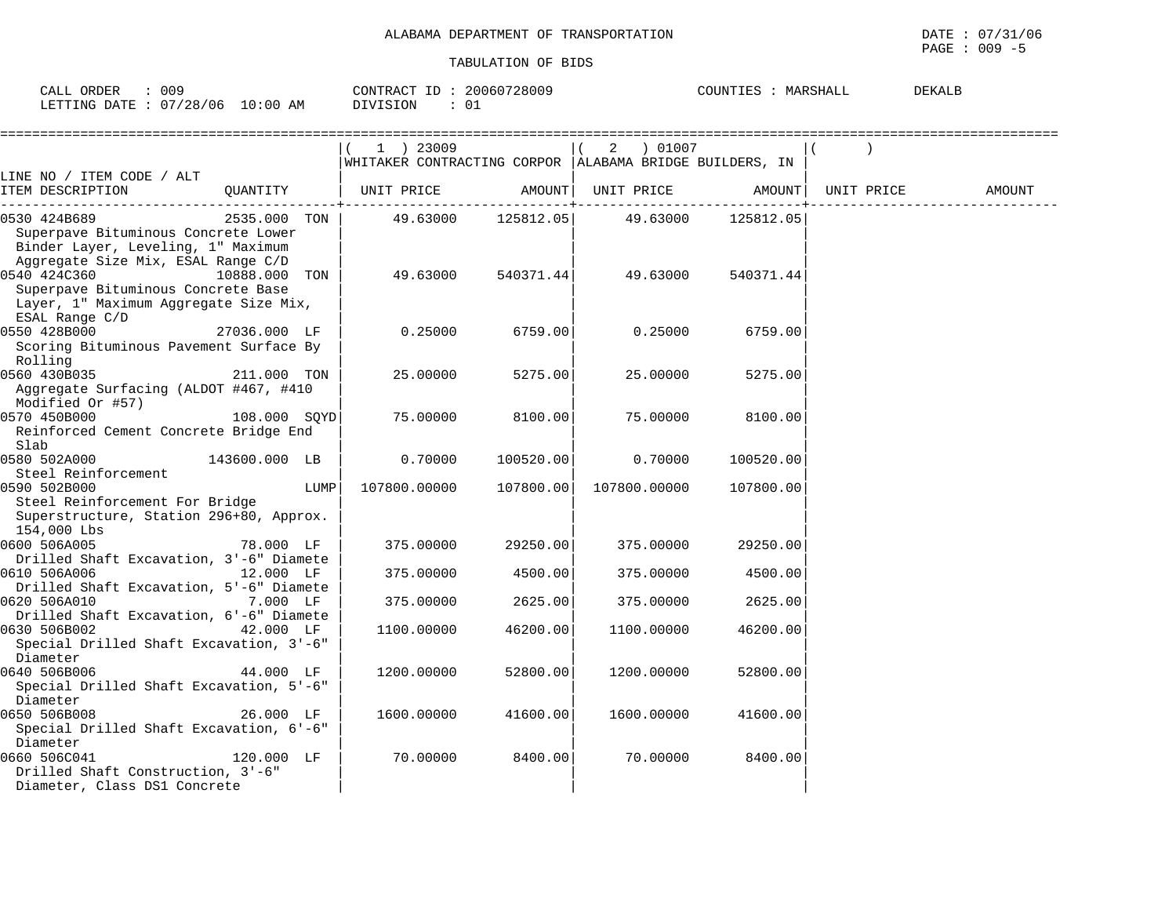| 009<br>ORDER<br>$\bigcap \pi$ $\top$<br>ـ لىلى | 20060728009<br>CONTRACT | DEKALE<br>COUNTIES<br>MARSHALL |
|------------------------------------------------|-------------------------|--------------------------------|
| 10:00<br>07/28/06<br>LETTING DATE<br>AΜ        | דלדר                    |                                |

|                                                                                                                                 |               | 1 ) 23009<br>WHITAKER CONTRACTING CORPOR  ALABAMA BRIDGE BUILDERS, IN |           | 2 ) 01007          |           |            |        |
|---------------------------------------------------------------------------------------------------------------------------------|---------------|-----------------------------------------------------------------------|-----------|--------------------|-----------|------------|--------|
| LINE NO / ITEM CODE / ALT                                                                                                       |               |                                                                       |           |                    |           |            |        |
| ITEM DESCRIPTION                                                                                                                | OUANTITY      | UNIT PRICE                                                            |           | AMOUNT  UNIT PRICE | AMOUNT    | UNIT PRICE | AMOUNT |
| 0530 424B689<br>Superpave Bituminous Concrete Lower<br>Binder Layer, Leveling, 1" Maximum<br>Aggregate Size Mix, ESAL Range C/D | 2535.000 TON  | 49.63000                                                              | 125812.05 | 49.63000           | 125812.05 |            |        |
| 0540 424C360<br>Superpave Bituminous Concrete Base<br>Layer, 1" Maximum Aggregate Size Mix,<br>ESAL Range C/D                   | 10888.000 TON | 49.63000                                                              | 540371.44 | 49.63000           | 540371.44 |            |        |
| 0550 428B000<br>Scoring Bituminous Pavement Surface By<br>Rolling                                                               | 27036.000 LF  | 0.25000                                                               | 6759.00   | 0.25000            | 6759.00   |            |        |
| 0560 430B035<br>Aggregate Surfacing (ALDOT #467, #410<br>Modified Or #57)                                                       | 211.000 TON   | 25.00000                                                              | 5275.00   | 25,00000           | 5275.00   |            |        |
| 0570 450B000<br>Reinforced Cement Concrete Bridge End<br>Slab                                                                   | 108.000 SOYD  | 75.00000                                                              | 8100.00   | 75.00000           | 8100.00   |            |        |
| 0580 502A000<br>Steel Reinforcement                                                                                             | 143600.000 LB | 0.70000                                                               | 100520.00 | 0.70000            | 100520.00 |            |        |
| 0590 502B000<br>Steel Reinforcement For Bridge<br>Superstructure, Station 296+80, Approx.<br>154,000 Lbs                        | LUMP          | 107800.00000                                                          | 107800.00 | 107800.00000       | 107800.00 |            |        |
| 0600 506A005<br>Drilled Shaft Excavation, 3'-6" Diamete                                                                         | 78.000 LF     | 375.00000                                                             | 29250.00  | 375.00000          | 29250.00  |            |        |
| 0610 506A006<br>Drilled Shaft Excavation, 5'-6" Diamete                                                                         | 12.000 LF     | 375,00000                                                             | 4500.00   | 375.00000          | 4500.00   |            |        |
| 0620 506A010<br>Drilled Shaft Excavation, 6'-6" Diamete                                                                         | 7.000 LF      | 375,00000                                                             | 2625.00   | 375.00000          | 2625.00   |            |        |
| 0630 506B002<br>Special Drilled Shaft Excavation, 3'-6"<br>Diameter                                                             | 42.000 LF     | 1100.00000                                                            | 46200.00  | 1100.00000         | 46200.00  |            |        |
| 0640 506B006<br>Special Drilled Shaft Excavation, 5'-6"<br>Diameter                                                             | 44.000 LF     | 1200.00000                                                            | 52800.00  | 1200.00000         | 52800.00  |            |        |
| 0650 506B008<br>Special Drilled Shaft Excavation, 6'-6"<br>Diameter                                                             | 26.000 LF     | 1600.00000                                                            | 41600.00  | 1600.00000         | 41600.00  |            |        |
| 0660 506C041<br>Drilled Shaft Construction, 3'-6"<br>Diameter, Class DS1 Concrete                                               | 120.000 LF    | 70.00000                                                              | 8400.00   | 70.00000           | 8400.00   |            |        |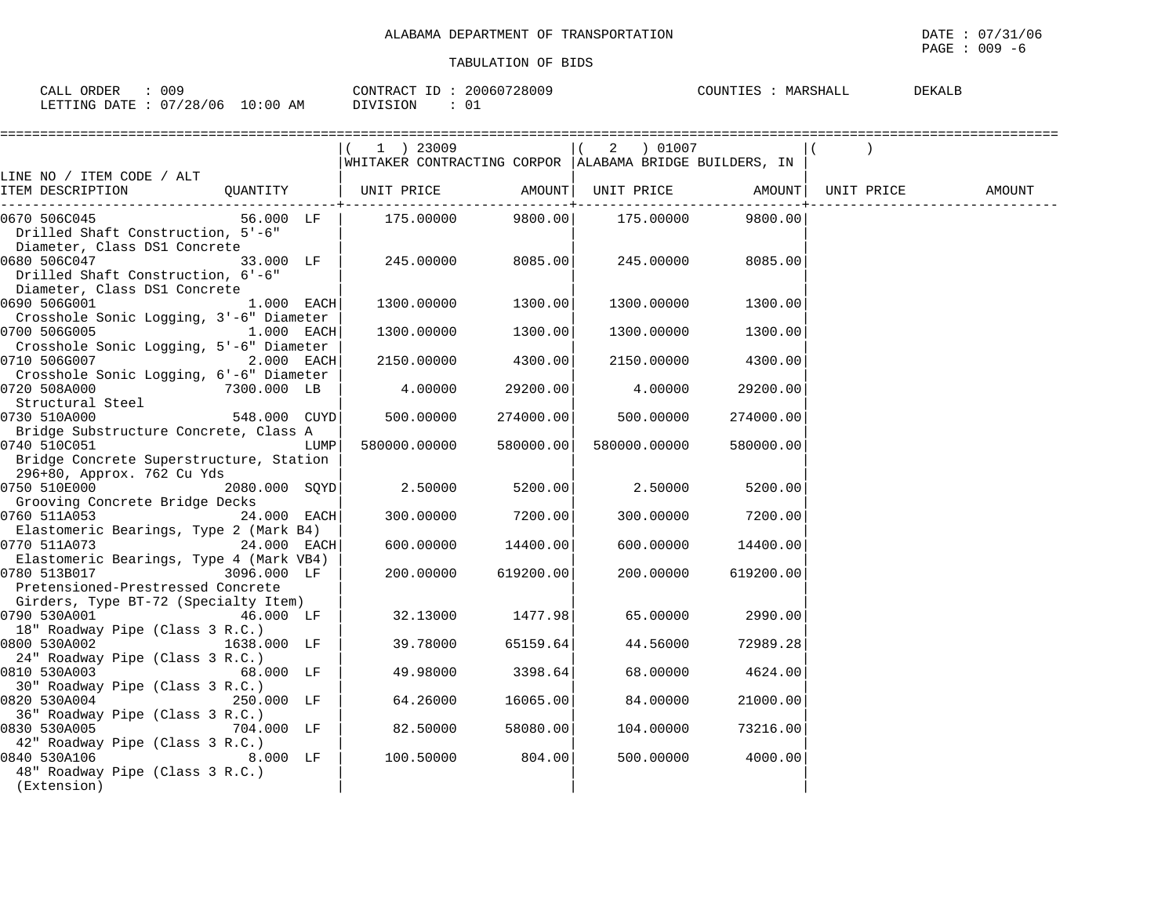| 009<br>n 71<br>A <sub>1</sub>                                              | 28009<br>∟ית∩י<br>70 70 AM<br>20061 | TOUN.<br>בם וו<br>1 B G | <b>DEKAL</b> |
|----------------------------------------------------------------------------|-------------------------------------|-------------------------|--------------|
| $\sqrt{2}$<br>' N F<br>$-$<br>TNG<br>AΜ<br>$\cdot$ $\cdot$ $\cdot$ $\cdot$ | ותר ־<br>ັ∪⊥                        |                         |              |

|                                                                                                      | 1 ) 23009    |                  | 2 ) 01007    | WHITAKER CONTRACTING CORPOR   ALABAMA BRIDGE BUILDERS, IN |            |        |
|------------------------------------------------------------------------------------------------------|--------------|------------------|--------------|-----------------------------------------------------------|------------|--------|
| LINE NO / ITEM CODE / ALT                                                                            |              |                  |              |                                                           |            |        |
| ITEM DESCRIPTION                                                                                     |              | --------------+- |              | QUANTITY   UNIT PRICE AMOUNT  UNIT PRICE AMOUNT           | UNIT PRICE | AMOUNT |
| 0670 506C045<br>56.000 LF<br>Drilled Shaft Construction, 5'-6"<br>Diameter, Class DS1 Concrete       | 175.00000    | 9800.00          | 175.00000    | 9800.00                                                   |            |        |
| 0680 506C047<br>33.000 LF<br>Drilled Shaft Construction, 6'-6"<br>Diameter, Class DS1 Concrete       | 245.00000    | 8085.00          | 245.00000    | 8085.00                                                   |            |        |
| 0690 506G001<br>$1.000$ EACH<br>Crosshole Sonic Logging, 3'-6" Diameter                              | 1300.00000   | 1300.00          | 1300.00000   | 1300.00                                                   |            |        |
| 0700 506G005<br>1.000 EACH<br>Crosshole Sonic Logging, 5'-6" Diameter                                | 1300.00000   | 1300.00          | 1300.00000   | 1300.00                                                   |            |        |
| 0710 506G007<br>$2.000$ EACH<br>Crosshole Sonic Logging, 6'-6" Diameter                              | 2150.00000   | 4300.00          | 2150.00000   | 4300.00                                                   |            |        |
| 0720 508A000<br>7300.000 LB<br>Structural Steel                                                      | 4.00000      | 29200.00         | 4.00000      | 29200.00                                                  |            |        |
| 0730 510A000<br>548.000 CUYD<br>Bridge Substructure Concrete, Class A                                | 500.00000    | 274000.00        | 500.00000    | 274000.00                                                 |            |        |
| 0740 510C051<br>LUMP<br>Bridge Concrete Superstructure, Station<br>296+80, Approx. 762 Cu Yds        | 580000.00000 | 580000.00        | 580000.00000 | 580000.00                                                 |            |        |
| 0750 510E000 2080.000 SQYD<br>Grooving Concrete Bridge Decks                                         | 2.50000      | 5200.00          | 2.50000      | 5200.00                                                   |            |        |
| 0760 511A053<br>24.000 EACH<br>Elastomeric Bearings, Type 2 (Mark B4)                                | 300.00000    | 7200.00          | 300.00000    | 7200.00                                                   |            |        |
| 0770 511A073<br>24.000 EACH<br>Elastomeric Bearings, Type 4 (Mark VB4)                               | 600.00000    | 14400.00         | 600.00000    | 14400.00                                                  |            |        |
| 0780 513B017<br>3096.000 LF<br>Pretensioned-Prestressed Concrete                                     | 200.00000    | 619200.00        | 200.00000    | 619200.00                                                 |            |        |
| Girders, Type BT-72 (Specialty Item)<br>0790 530A001<br>46.000 LF<br>18" Roadway Pipe (Class 3 R.C.) | 32.13000     | 1477.98          | 65.00000     | 2990.00                                                   |            |        |
| 0800 530A002<br>1638.000 LF<br>24" Roadway Pipe (Class 3 R.C.)                                       | 39.78000     | 65159.64         | 44.56000     | 72989.28                                                  |            |        |
| 0810 530A003<br>68.000 LF<br>30" Roadway Pipe (Class 3 R.C.)                                         | 49.98000     | 3398.64          | 68.00000     | 4624.00                                                   |            |        |
| 0820 530A004<br>250.000 LF<br>36" Roadway Pipe (Class 3 R.C.)                                        | 64.26000     | 16065.00         | 84.00000     | 21000.00                                                  |            |        |
| 0830 530A005<br>704.000 LF<br>42" Roadway Pipe (Class 3 R.C.)                                        | 82.50000     | 58080.00         | 104.00000    | 73216.00                                                  |            |        |
| 0840 530A106<br>$8.000$ LF<br>48" Roadway Pipe (Class 3 R.C.)<br>(Extension)                         | 100.50000    | 804.00           | 500.00000    | 4000.00                                                   |            |        |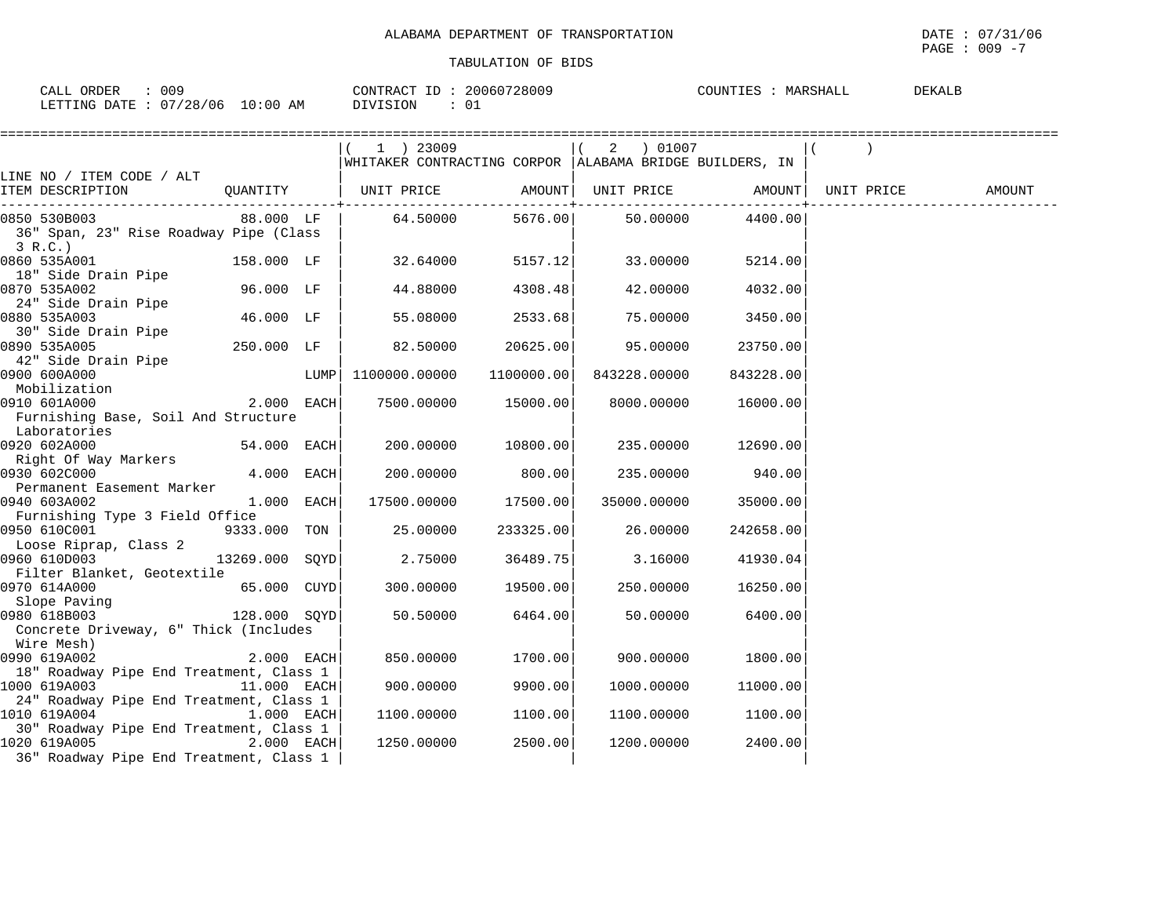$\texttt{PAGE}$  : 009 -7

| $\cap$ $\Delta$ T<br>009<br>◝                                                                                                                                                      | 28009<br>$\cap$ $\cap$<br>≀∆ ש<br>'101.<br>. .   | DEKAL.<br>$\cap$ $\cap$ $\cap$ $\cap$ $\cap$<br>пашт |
|------------------------------------------------------------------------------------------------------------------------------------------------------------------------------------|--------------------------------------------------|------------------------------------------------------|
| T<br>$\cdot$ 0<br>ົ<br>้ () 6<br>IM G<br>$\overline{H}$<br>L'II<br>the contract of the contract of the contract of the contract of the contract of the contract of the contract of | $\sim$ $\sim$ $\sim$ $\sim$<br>. ש<br>$\sim$ $-$ |                                                      |

|                                                                                                                |                |      | 1 ) 23009<br> WHITAKER CONTRACTING CORPOR  ALABAMA BRIDGE BUILDERS, IN |                    | 2 ) 01007    |           |            |        |
|----------------------------------------------------------------------------------------------------------------|----------------|------|------------------------------------------------------------------------|--------------------|--------------|-----------|------------|--------|
| LINE NO / ITEM CODE / ALT<br>ITEM DESCRIPTION                                                                  |                |      |                                                                        |                    |              |           | UNIT PRICE | AMOUNT |
| 0850 530B003<br>36" Span, 23" Rise Roadway Pipe (Class<br>3 R.C.                                               | $88.000$ LF    |      | 64.50000                                                               | 5676.00            | 50.00000     | 4400.00   |            |        |
| 0860 535A001<br>18" Side Drain Pipe                                                                            | 158.000 LF     |      | 32.64000                                                               | 5157.12            | 33.00000     | 5214.00   |            |        |
| 0870 535A002<br>24" Side Drain Pipe                                                                            | 96.000 LF      |      | 44.88000                                                               | 4308.48            | 42.00000     | 4032.00   |            |        |
| 0880 535A003<br>30" Side Drain Pipe                                                                            | 46.000 LF      |      | 55.08000                                                               | 2533.68            | 75.00000     | 3450.00   |            |        |
| 0890 535A005<br>42" Side Drain Pipe                                                                            | 250.000 LF     |      | 82.50000                                                               | 20625.00           | 95.00000     | 23750.00  |            |        |
| 0900 600A000<br>Mobilization                                                                                   |                | LUMP | 1100000.00000                                                          | 1100000.00         | 843228.00000 | 843228.00 |            |        |
| 2.000 EACH<br>0910 601A000<br>Furnishing Base, Soil And Structure<br>Laboratories                              |                |      | 7500.00000                                                             | 15000.00           | 8000.00000   | 16000.00  |            |        |
| 0920 602A000                                                                                                   | 54.000 EACH    |      |                                                                        | 200.00000 10800.00 | 235.00000    | 12690.00  |            |        |
| Right Of Way Markers<br>0930 602C000<br>Permanent Easement Marker                                              | $4.000$ EACH   |      | 200.00000                                                              | 800.00             | 235.00000    | 940.00    |            |        |
| 0940 603A002<br>Furnishing Type 3 Field Office                                                                 | $1.000$ EACH   |      | 17500.00000                                                            | 17500.00           | 35000.00000  | 35000.00  |            |        |
| 0950 610C001<br>Loose Riprap, Class 2                                                                          | 9333.000 TON   |      | 25.00000                                                               | 233325.00          | 26.00000     | 242658.00 |            |        |
| 0960 610D003<br>Filter Blanket, Geotextile                                                                     | 13269.000 SOYD |      | 2.75000                                                                | 36489.75           | 3.16000      | 41930.04  |            |        |
| 0970 614A000<br>Slope Paving                                                                                   | 65.000 CUYD    |      | 300,00000                                                              | 19500.00           | 250.00000    | 16250.00  |            |        |
| 0980 618B003<br>Concrete Driveway, 6" Thick (Includes<br>Wire Mesh)                                            | 128.000 SOYD   |      | 50.50000                                                               | 6464.00            | 50.00000     | 6400.00   |            |        |
| 0990 619A002                                                                                                   | 2.000 EACH     |      | 850.00000                                                              | 1700.00            | 900.00000    | 1800.00   |            |        |
| 18" Roadway Pipe End Treatment, Class 1<br>1000 619A003 11.000 EACH<br>24" Roadway Pipe End Treatment, Class 1 |                |      | 900.00000                                                              | 9900.00            | 1000.00000   | 11000.00  |            |        |
| 1010 619A004<br>30" Roadway Pipe End Treatment, Class 1                                                        | $1.000$ EACH   |      | 1100.00000                                                             | 1100.00            | 1100.00000   | 1100.00   |            |        |
| 1020 619A005<br>36" Roadway Pipe End Treatment, Class 1                                                        | $2.000$ EACH   |      | 1250.00000                                                             | 2500.00            | 1200.00000   | 2400.00   |            |        |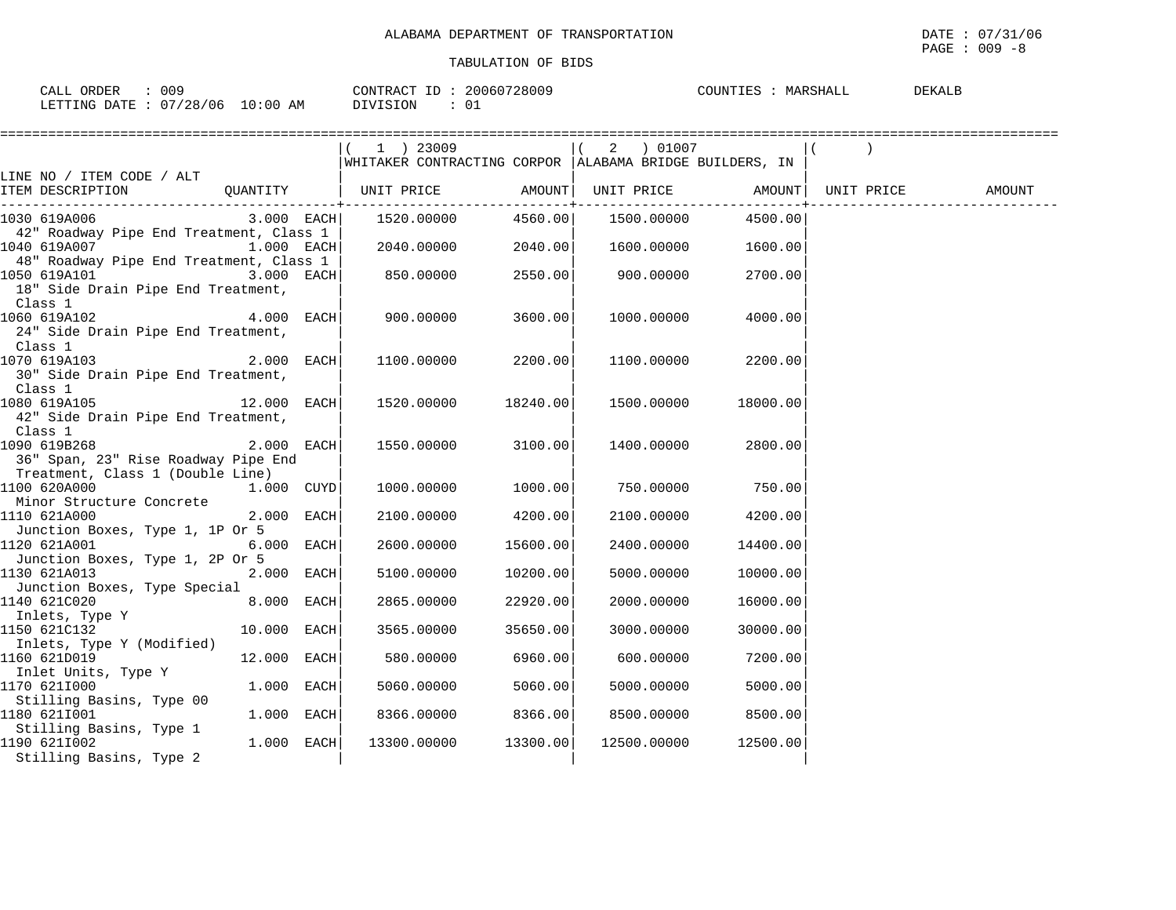| 009<br>ORDER<br>CALL                                 | 20060728009<br>CONTRACT IT | COUNTIES<br>DEKALB<br>MARSHALL |
|------------------------------------------------------|----------------------------|--------------------------------|
| 07/28/06 <sup>.</sup><br>10:00<br>ΆM<br>LETTING DATE | DIVISION<br>∟0             |                                |

|                                                                                                                |              | ===================                                       |                               |            |             |                                                                 |  |        |
|----------------------------------------------------------------------------------------------------------------|--------------|-----------------------------------------------------------|-------------------------------|------------|-------------|-----------------------------------------------------------------|--|--------|
|                                                                                                                |              | 1 ) 23009                                                 |                               |            |             | 2 ) 01007                                                       |  |        |
|                                                                                                                |              | WHITAKER CONTRACTING CORPOR   ALABAMA BRIDGE BUILDERS, IN |                               |            |             |                                                                 |  |        |
| LINE NO / ITEM CODE / ALT                                                                                      |              |                                                           |                               |            |             |                                                                 |  |        |
| ITEM DESCRIPTION                                                                                               |              | QUANTITY   UNIT PRICE AMOUNT                              | . _ _ _ _ _ _ _ _ _ _ _ _ _ _ |            |             | UNIT PRICE AMOUNT   UNIT PRICE<br>. _ _ _ _ _ _ _ _ _ _ _ _ _ _ |  | AMOUNT |
| $3.000$ EACH<br>1030 619A006                                                                                   |              | 1520.00000                                                | 4560.00                       | 1500.00000 |             | 4500.00                                                         |  |        |
| 42" Roadway Pipe End Treatment, Class 1                                                                        |              |                                                           |                               |            |             |                                                                 |  |        |
| 1040 619A007 1.000 EACH                                                                                        |              | 2040.00000                                                | 2040.00                       |            | 1600.00000  | 1600.00                                                         |  |        |
| 48" Roadway Pipe End Treatment, Class 1                                                                        |              |                                                           |                               |            |             |                                                                 |  |        |
| 1050 619A101                                                                                                   | 3.000 EACH   | 850.00000                                                 | 2550.00                       |            | 900.00000   | 2700.00                                                         |  |        |
| 18" Side Drain Pipe End Treatment,                                                                             |              |                                                           |                               |            |             |                                                                 |  |        |
| Class 1                                                                                                        |              |                                                           |                               |            |             |                                                                 |  |        |
| 1060 619A102<br>$4.000$ EACH                                                                                   |              | 900.00000                                                 | 3600.00                       |            | 1000.00000  | 4000.00                                                         |  |        |
| 24" Side Drain Pipe End Treatment,                                                                             |              |                                                           |                               |            |             |                                                                 |  |        |
| Class 1                                                                                                        |              |                                                           |                               |            |             |                                                                 |  |        |
| 1070 619A103                                                                                                   | $2.000$ EACH | 1100.00000                                                | 2200.00                       |            | 1100.00000  | 2200.00                                                         |  |        |
| 30" Side Drain Pipe End Treatment,                                                                             |              |                                                           |                               |            |             |                                                                 |  |        |
| Class 1<br>1080 619A105<br>$12.000$ EACH                                                                       |              | 1520.00000                                                | 18240.00                      |            | 1500.00000  | 18000.00                                                        |  |        |
| 42" Side Drain Pipe End Treatment,                                                                             |              |                                                           |                               |            |             |                                                                 |  |        |
| Class 1                                                                                                        |              |                                                           |                               |            |             |                                                                 |  |        |
| 1090 619B268                                                                                                   | 2.000 EACH   | 1550.00000                                                | 3100.00                       |            | 1400.00000  | 2800.00                                                         |  |        |
| 36" Span, 23" Rise Roadway Pipe End                                                                            |              |                                                           |                               |            |             |                                                                 |  |        |
| Treatment, Class 1 (Double Line)                                                                               |              |                                                           |                               |            |             |                                                                 |  |        |
| 1100 620A000<br>1.000 CUYD                                                                                     |              | 1000.00000                                                | 1000.00                       |            | 750.00000   | 750.00                                                          |  |        |
| Minor Structure Concrete                                                                                       |              |                                                           |                               |            |             |                                                                 |  |        |
| 1110 621A000                                                                                                   | 2.000 EACH   | 2100.00000                                                | 4200.00                       |            | 2100.00000  | 4200.00                                                         |  |        |
| Junction Boxes, Type 1, 1P Or 5                                                                                |              |                                                           |                               |            |             |                                                                 |  |        |
| 1120 621A001                                                                                                   | $6.000$ EACH | 2600.00000                                                | 15600.00                      |            | 2400.00000  | 14400.00                                                        |  |        |
| Junction Boxes, Type 1, 2P Or 5                                                                                |              |                                                           |                               |            |             |                                                                 |  |        |
| 1130 621A013<br>Junction Boxes, Type Special                                                                   | 2.000 EACH   | 5100.00000                                                | 10200.00                      |            | 5000.00000  | 10000.00                                                        |  |        |
| 1140 621C020 and the set of the set of the set of the set of the set of the set of the set of the set of the s | 8.000 EACH   | 2865.00000                                                | 22920.00                      |            | 2000.00000  | 16000.00                                                        |  |        |
| Inlets, Type Y                                                                                                 |              |                                                           |                               |            |             |                                                                 |  |        |
| 1150 621C132                                                                                                   | 10.000 EACH  | 3565.00000                                                | 35650.00                      |            | 3000.00000  | 30000.00                                                        |  |        |
| Inlets, Type Y (Modified)                                                                                      |              |                                                           |                               |            |             |                                                                 |  |        |
| 1160 621D019                                                                                                   | 12.000 EACH  | 580.00000                                                 | 6960.00                       |            | 600.00000   | 7200.00                                                         |  |        |
| Inlet Units, Type Y                                                                                            |              |                                                           |                               |            |             |                                                                 |  |        |
| 1170 6211000                                                                                                   | $1.000$ EACH | 5060.00000                                                | 5060.00                       |            | 5000.00000  | 5000.00                                                         |  |        |
| Stilling Basins, Type 00                                                                                       |              |                                                           |                               |            |             |                                                                 |  |        |
| 1180 6211001                                                                                                   | 1.000 EACH   | 8366.00000                                                | 8366.00                       |            | 8500.00000  | 8500.00                                                         |  |        |
| Stilling Basins, Type 1                                                                                        |              |                                                           |                               |            |             |                                                                 |  |        |
| 1190 6211002                                                                                                   | $1.000$ EACH | 13300.00000                                               | 13300.00                      |            | 12500.00000 | 12500.00                                                        |  |        |
| Stilling Basins, Type 2                                                                                        |              |                                                           |                               |            |             |                                                                 |  |        |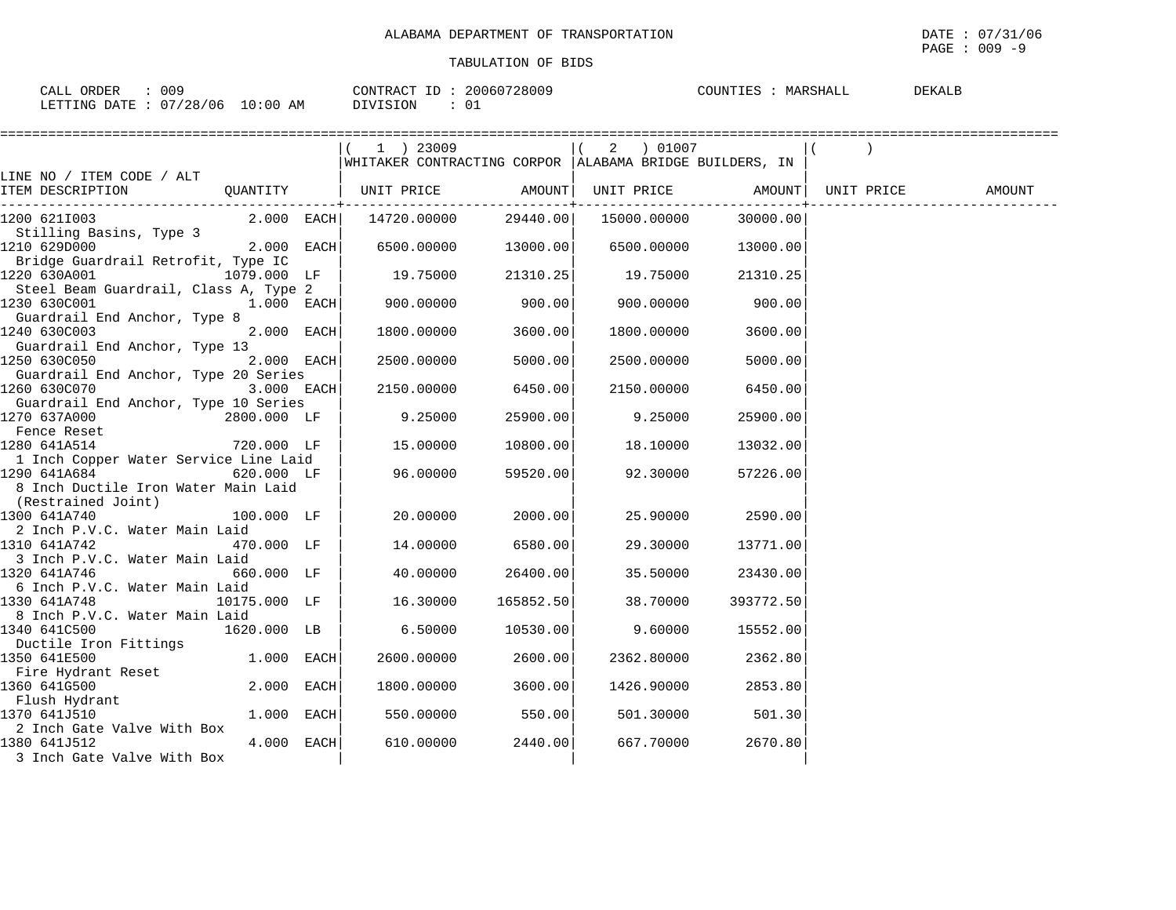| CALL ORDER<br>009               | CONTRACT ID: 20060728009 | <b>DEKALB</b><br>COUNTIES : MARSHALL |
|---------------------------------|--------------------------|--------------------------------------|
| LETTING DATE: 07/28/06 10:00 AM | DIVISION                 |                                      |

|                                       |              | ========================                                                |           |             |           |        |
|---------------------------------------|--------------|-------------------------------------------------------------------------|-----------|-------------|-----------|--------|
|                                       |              | 1 ) 23009                                                               |           | 2 ) 01007   |           |        |
|                                       |              | WHITAKER CONTRACTING CORPOR   ALABAMA BRIDGE BUILDERS, IN               |           |             |           |        |
| LINE NO / ITEM CODE / ALT             |              |                                                                         |           |             |           |        |
| ITEM DESCRIPTION                      |              | QUANTITY   UNIT PRICE       AMOUNT  UNIT PRICE       AMOUNT  UNIT PRICE |           |             |           | AMOUNT |
| 1200 6211003                          | $2.000$ EACH | 14720.00000                                                             | 29440.00  | 15000.00000 | 30000.00  |        |
| Stilling Basins, Type 3               |              |                                                                         |           |             |           |        |
| 1210 629D000                          | 2.000 EACH   | 6500.00000                                                              | 13000.00  | 6500.00000  | 13000.00  |        |
| Bridge Guardrail Retrofit, Type IC    |              |                                                                         |           |             |           |        |
| 1220 630A001                          | 1079.000 LF  | 19.75000                                                                | 21310.25  | 19.75000    | 21310.25  |        |
| Steel Beam Guardrail, Class A, Type 2 |              |                                                                         |           |             |           |        |
| 1230 630C001                          | 1.000 EACH   | 900.00000                                                               | 900.00    | 900.00000   | 900.00    |        |
| Guardrail End Anchor, Type 8          |              |                                                                         |           |             |           |        |
| 1240 630C003                          | 2.000 EACH   | 1800.00000                                                              | 3600.00   | 1800.00000  | 3600.00   |        |
| Guardrail End Anchor, Type 13         |              |                                                                         |           |             |           |        |
| 1250 630C050                          | 2.000 EACH   | 2500.00000                                                              | 5000.00   | 2500.00000  | 5000.00   |        |
| Guardrail End Anchor, Type 20 Series  |              |                                                                         |           |             |           |        |
| 1260 630C070                          | 3.000 EACH   | 2150.00000                                                              | 6450.00   | 2150.00000  | 6450.00   |        |
| Guardrail End Anchor, Type 10 Series  |              |                                                                         |           |             |           |        |
| 1270 637A000                          | 2800.000 LF  | 9.25000                                                                 | 25900.00  | 9.25000     | 25900.00  |        |
| Fence Reset                           |              |                                                                         |           |             |           |        |
| 1280 641A514                          | 720.000 LF   | 15.00000                                                                | 10800.00  | 18.10000    | 13032.00  |        |
| 1 Inch Copper Water Service Line Laid |              |                                                                         |           |             |           |        |
| 1290 641A684                          | 620.000 LF   | 96.00000                                                                | 59520.00  | 92.30000    | 57226.00  |        |
| 8 Inch Ductile Iron Water Main Laid   |              |                                                                         |           |             |           |        |
| (Restrained Joint)                    |              |                                                                         |           |             |           |        |
| 1300 641A740                          | 100.000 LF   | 20.00000                                                                | 2000.00   | 25.90000    | 2590.00   |        |
| 2 Inch P.V.C. Water Main Laid         |              |                                                                         |           |             |           |        |
| 1310 641A742                          | 470.000 LF   | 14.00000                                                                | 6580.00   | 29.30000    | 13771.00  |        |
| 3 Inch P.V.C. Water Main Laid         |              |                                                                         |           |             |           |        |
| 1320 641A746                          | 660.000 LF   | 40.00000                                                                | 26400.00  | 35.50000    | 23430.00  |        |
| 6 Inch P.V.C. Water Main Laid         |              |                                                                         |           |             |           |        |
| 1330 641A748                          | 10175.000 LF | 16.30000                                                                | 165852.50 | 38.70000    | 393772.50 |        |
| 8 Inch P.V.C. Water Main Laid         |              |                                                                         |           |             |           |        |
| 1340 641C500                          | 1620.000 LB  | 6.50000                                                                 | 10530.00  | 9.60000     | 15552.00  |        |
| Ductile Iron Fittings                 |              |                                                                         |           |             |           |        |
| 1350 641E500                          | 1.000 EACH   | 2600.00000                                                              | 2600.00   | 2362.80000  | 2362.80   |        |
| Fire Hydrant Reset                    | 2.000 EACH   |                                                                         |           |             |           |        |
| 1360 641G500                          |              | 1800.00000                                                              | 3600.00   | 1426.90000  | 2853.80   |        |
| Flush Hydrant<br>1370 641J510         | 1.000 EACH   | 550.00000                                                               | 550.00    | 501.30000   | 501.30    |        |
| 2 Inch Gate Valve With Box            |              |                                                                         |           |             |           |        |
|                                       | 4.000 EACH   |                                                                         |           | 667.70000   | 2670.80   |        |
| 1380 641J512                          |              | 610.00000                                                               | 2440.00   |             |           |        |
| 3 Inch Gate Valve With Box            |              |                                                                         |           |             |           |        |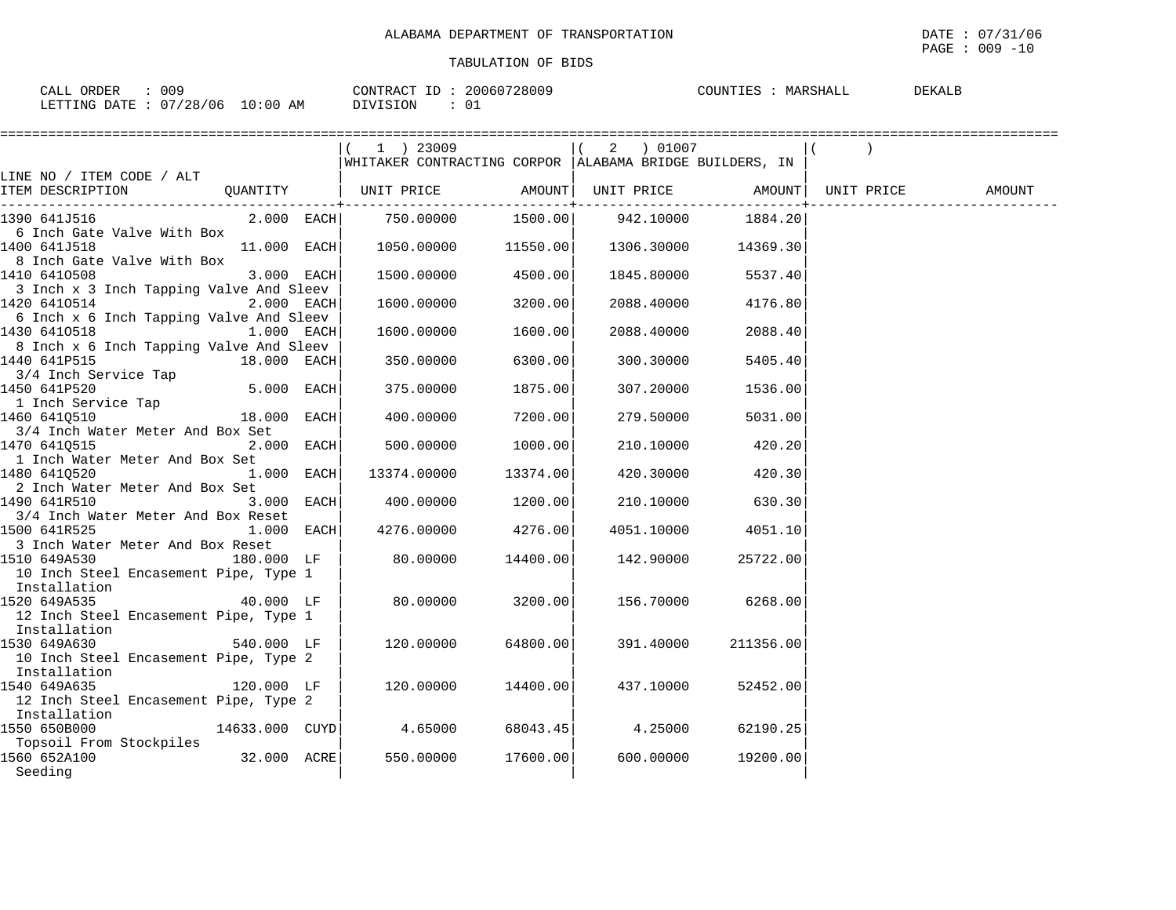| CALL ORDER<br>-009              | CONTRACT ID: 20060728009 | DEKALB<br>COUNTIES :<br>MARSHALL |
|---------------------------------|--------------------------|----------------------------------|
| LETTING DATE: 07/28/06 10:00 AM | DIVISION                 |                                  |

|                                                         |                | 1 ) 23009                                               |                      |            |                           |            |        |
|---------------------------------------------------------|----------------|---------------------------------------------------------|----------------------|------------|---------------------------|------------|--------|
|                                                         |                | WHITAKER CONTRACTING CORPOR ALABAMA BRIDGE BUILDERS, IN |                      |            |                           |            |        |
| LINE NO / ITEM CODE / ALT                               |                |                                                         |                      |            |                           |            |        |
| ITEM DESCRIPTION                                        |                | QUANTITY   UNIT PRICE AMOUNT   UNIT PRICE AMOUNT        | ------------+------- |            |                           | UNIT PRICE | AMOUNT |
| 1390 641J516                                            | $2.000$ EACH   | 750.00000                                               |                      |            | 1500.00 942.10000 1884.20 |            |        |
| 6 Inch Gate Valve With Box                              |                |                                                         |                      |            |                           |            |        |
| 1400 641J518                                            | $11.000$ EACH  | $1050.00000$ $11550.00$ $1306.30000$ $14369.30$         |                      |            |                           |            |        |
| 8 Inch Gate Valve With Box                              |                |                                                         |                      |            |                           |            |        |
| 1410 6410508                                            | $3.000$ EACH   | 1500.00000                                              | 4500.00              | 1845.80000 | 5537.40                   |            |        |
| 3 Inch x 3 Inch Tapping Valve And Sleev                 |                |                                                         |                      |            |                           |            |        |
| 1420 6410514                                            | $2.000$ EACH   | 1600.00000                                              | 3200.00              | 2088.40000 | 4176.80                   |            |        |
| 6 Inch x 6 Inch Tapping Valve And Sleev<br>1430 6410518 | $1.000$ EACH   | 1600.00000                                              |                      |            |                           |            |        |
| 8 Inch x 6 Inch Tapping Valve And Sleev                 |                |                                                         | 1600.00              | 2088.40000 | 2088.40                   |            |        |
| $18.000$ EACH<br>1440 641P515                           |                | 350.00000                                               | 6300.00              | 300.30000  | 5405.40                   |            |        |
| 3/4 Inch Service Tap                                    |                |                                                         |                      |            |                           |            |        |
| 1450 641P520                                            | $5.000$ EACH   | 375.00000                                               | 1875.00              | 307.20000  | 1536.00                   |            |        |
| 1 Inch Service Tap                                      |                |                                                         |                      |            |                           |            |        |
| 1460 6410510                                            | 18.000 EACH    | 400.00000                                               | 7200.001             | 279.50000  | 5031.00                   |            |        |
| 3/4 Inch Water Meter And Box Set                        |                |                                                         |                      |            |                           |            |        |
| 1470 6410515                                            | $2.000$ EACH   | 500.00000                                               | 1000.00              | 210.10000  | 420.20                    |            |        |
| 1 Inch Water Meter And Box Set                          |                |                                                         |                      |            |                           |            |        |
| 1480 6410520                                            | $1.000$ EACH   | 13374.00000                                             | 13374.00             | 420.30000  | 420.30                    |            |        |
| 2 Inch Water Meter And Box Set                          |                |                                                         |                      |            |                           |            |        |
| 1490 641R510                                            | $3.000$ EACH   | 400.00000                                               | 1200.00              | 210.10000  | 630.30                    |            |        |
| 3/4 Inch Water Meter And Box Reset                      |                |                                                         |                      |            |                           |            |        |
| 1500 641R525                                            | $1.000$ EACH   | 4276.00000                                              | 4276.00              | 4051.10000 | 4051.10                   |            |        |
| 3 Inch Water Meter And Box Reset                        |                |                                                         |                      |            |                           |            |        |
| 1510 649A530                                            | 180.000 LF     | 80.00000                                                | 14400.00             | 142.90000  | 25722.00                  |            |        |
| 10 Inch Steel Encasement Pipe, Type 1                   |                |                                                         |                      |            |                           |            |        |
| Installation                                            |                |                                                         |                      |            |                           |            |        |
| 1520 649A535                                            | 40.000 LF      | 80.00000                                                | 3200.00              | 156.70000  | 6268.00                   |            |        |
| 12 Inch Steel Encasement Pipe, Type 1<br>Installation   |                |                                                         |                      |            |                           |            |        |
| 1530 649A630                                            | 540.000 LF     | 120.00000                                               | 64800.00             | 391.40000  | 211356.00                 |            |        |
| 10 Inch Steel Encasement Pipe, Type 2                   |                |                                                         |                      |            |                           |            |        |
| Installation                                            |                |                                                         |                      |            |                           |            |        |
| 1540 649A635                                            | 120.000 LF     | 120.00000                                               | 14400.00             | 437.10000  | 52452.00                  |            |        |
| 12 Inch Steel Encasement Pipe, Type 2                   |                |                                                         |                      |            |                           |            |        |
| Installation                                            |                |                                                         |                      |            |                           |            |        |
| 1550 650B000                                            | 14633.000 CUYD | 4.65000                                                 | 68043.45             | 4.25000    | 62190.25                  |            |        |
| Topsoil From Stockpiles                                 |                |                                                         |                      |            |                           |            |        |
| 1560 652A100                                            | 32.000 ACRE    | 550.00000                                               | 17600.00             | 600.00000  | 19200.00                  |            |        |
| Seeding                                                 |                |                                                         |                      |            |                           |            |        |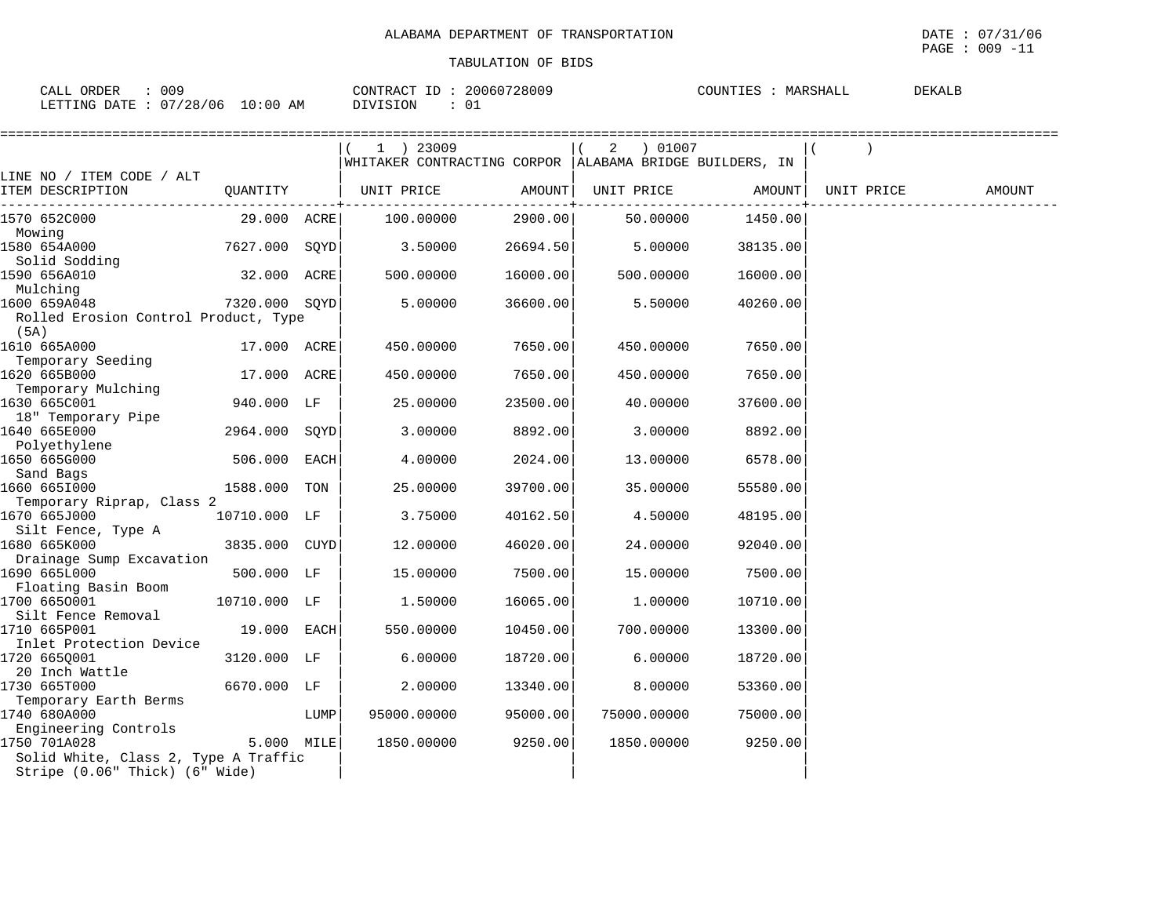$\texttt{PAGE}$  : 009 -11

| 009<br>CALL ORDER                | 20060728009<br>CONTRACT ID: | COUNTIES<br>DEKALB<br>MARSHALL |
|----------------------------------|-----------------------------|--------------------------------|
| LETTING DATE : 07/28/06 10:00 AM | DIVISION                    |                                |

|                                           |               |      | 1 ) 23009<br> WHITAKER CONTRACTING CORPOR  ALABAMA BRIDGE BUILDERS, IN |                            | 01007 (<br>2 |                          |            |        |
|-------------------------------------------|---------------|------|------------------------------------------------------------------------|----------------------------|--------------|--------------------------|------------|--------|
| LINE NO / ITEM CODE / ALT                 |               |      |                                                                        |                            |              |                          |            |        |
| ITEM DESCRIPTION                          | QUANTITY      |      | UNIT PRICE                                                             | AMOUNT  <br>-----------+-- | UNIT PRICE   | AMOUNT  <br>-----------+ | UNIT PRICE | AMOUNT |
| 1570 652C000                              | 29.000 ACRE   |      | 100.00000                                                              | 2900.00                    | 50.00000     | 1450.00                  |            |        |
| Mowing                                    |               |      |                                                                        |                            |              |                          |            |        |
| 1580 654A000                              | 7627.000 SQYD |      | 3.50000                                                                | 26694.50                   | 5.00000      | 38135.00                 |            |        |
| Solid Sodding<br>1590 656A010             | 32.000 ACRE   |      | 500.00000                                                              | 16000.00                   | 500.00000    | 16000.00                 |            |        |
| Mulching                                  |               |      |                                                                        |                            |              |                          |            |        |
| 1600 659A048                              | 7320.000 SQYD |      | 5.00000                                                                | 36600.00                   | 5.50000      | 40260.00                 |            |        |
| Rolled Erosion Control Product, Type      |               |      |                                                                        |                            |              |                          |            |        |
| (5A)                                      |               |      |                                                                        |                            |              |                          |            |        |
| 1610 665A000                              | 17.000 ACRE   |      | 450.00000                                                              | 7650.00                    | 450.00000    | 7650.00                  |            |        |
| Temporary Seeding                         |               |      |                                                                        |                            |              |                          |            |        |
| 1620 665B000                              | 17.000 ACRE   |      | 450.00000                                                              | 7650.00                    | 450.00000    | 7650.00                  |            |        |
| Temporary Mulching                        |               |      |                                                                        |                            |              |                          |            |        |
| 1630 665C001                              | 940.000 LF    |      | 25.00000                                                               | 23500.00                   | 40.00000     | 37600.00                 |            |        |
| 18" Temporary Pipe                        |               |      |                                                                        |                            |              |                          |            |        |
| 1640 665E000                              | 2964.000 SOYD |      | 3.00000                                                                | 8892.00                    | 3.00000      | 8892.00                  |            |        |
| Polyethylene                              |               |      |                                                                        |                            |              |                          |            |        |
| 1650 665G000                              | 506.000 EACH  |      | 4.00000                                                                | 2024.00                    | 13.00000     | 6578.00                  |            |        |
| Sand Bags                                 |               |      |                                                                        |                            |              |                          |            |        |
| 1660 6651000                              | 1588.000 TON  |      | 25.00000                                                               | 39700.00                   | 35.00000     | 55580.00                 |            |        |
| Temporary Riprap, Class 2<br>1670 665J000 | 10710.000 LF  |      | 3.75000                                                                | 40162.50                   | 4.50000      | 48195.00                 |            |        |
| Silt Fence, Type A                        |               |      |                                                                        |                            |              |                          |            |        |
| 1680 665K000                              | 3835.000 CUYD |      | 12.00000                                                               | 46020.00                   | 24.00000     | 92040.00                 |            |        |
| Drainage Sump Excavation                  |               |      |                                                                        |                            |              |                          |            |        |
| 1690 665L000                              | 500.000 LF    |      | 15.00000                                                               | 7500.00                    | 15.00000     | 7500.00                  |            |        |
| Floating Basin Boom                       |               |      |                                                                        |                            |              |                          |            |        |
| 1700 6650001                              | 10710.000 LF  |      | 1.50000                                                                | 16065.00                   | 1,00000      | 10710.00                 |            |        |
| Silt Fence Removal                        |               |      |                                                                        |                            |              |                          |            |        |
| 1710 665P001                              | 19.000 EACH   |      | 550.00000                                                              | 10450.00                   | 700.00000    | 13300.00                 |            |        |
| Inlet Protection Device                   |               |      |                                                                        |                            |              |                          |            |        |
| 1720 665Q001                              | 3120.000 LF   |      | 6.00000                                                                | 18720.00                   | 6.00000      | 18720.00                 |            |        |
| 20 Inch Wattle                            |               |      |                                                                        |                            |              |                          |            |        |
| 1730 665T000<br>Temporary Earth Berms     | 6670.000 LF   |      | 2,00000                                                                | 13340.00                   | 8.00000      | 53360.00                 |            |        |
| 1740 680A000                              |               | LUMP | 95000.00000                                                            | 95000.00                   | 75000.00000  | 75000.00                 |            |        |
| Engineering Controls                      |               |      |                                                                        |                            |              |                          |            |        |
| 1750 701A028                              | 5.000 MILE    |      | 1850.00000                                                             | 9250.00                    | 1850.00000   | 9250.00                  |            |        |
| Solid White, Class 2, Type A Traffic      |               |      |                                                                        |                            |              |                          |            |        |
| Stripe (0.06" Thick) (6" Wide)            |               |      |                                                                        |                            |              |                          |            |        |
|                                           |               |      |                                                                        |                            |              |                          |            |        |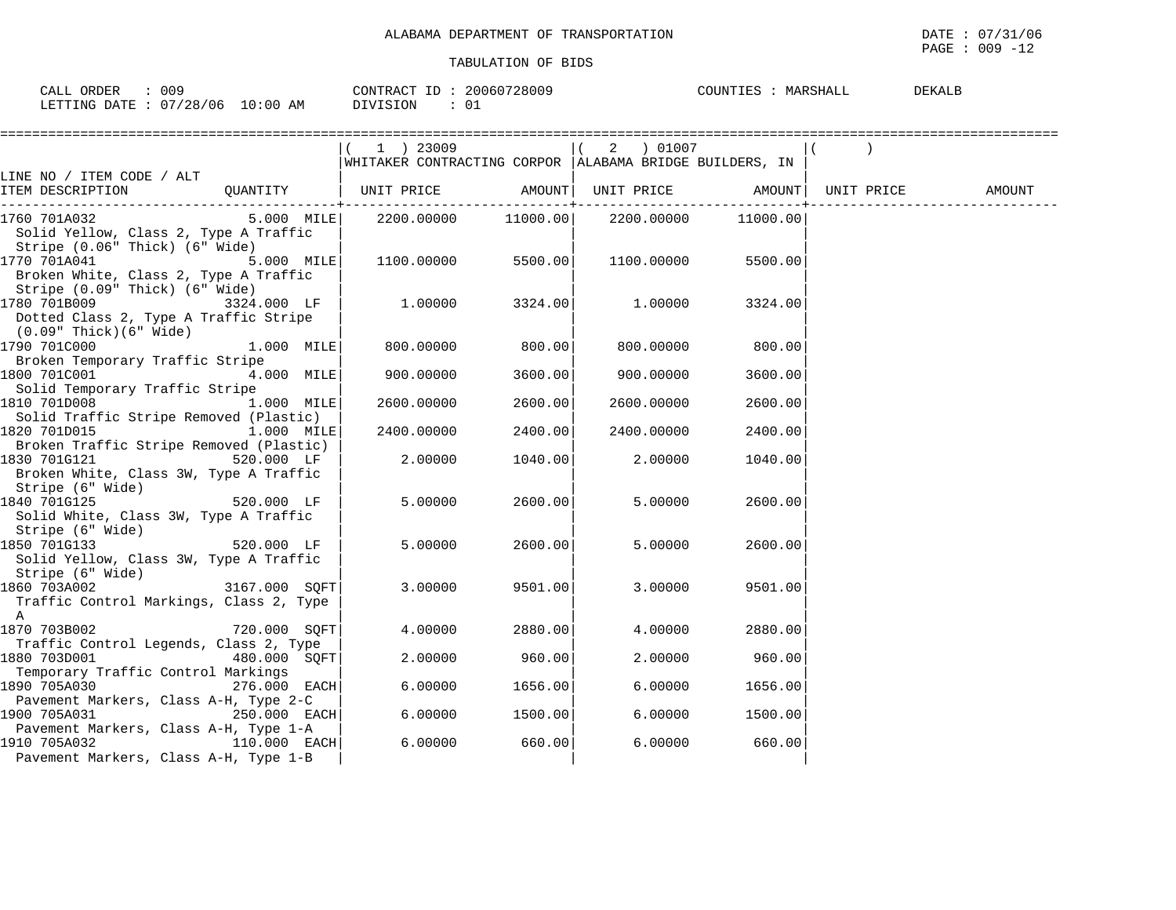$\texttt{PAGE}$  : 009 -12

| 009<br>CALL ORDER               | CONTRACT ID: 20060728009 | COUNTIES : MARSHALL<br><b>DEKALB</b> |
|---------------------------------|--------------------------|--------------------------------------|
| LETTING DATE: 07/28/06 10:00 AM | DIVISION<br>- 01         |                                      |

|                                                                                                                             |                | 1 ) 23009                                                 |                   | 2 ) 01007                      |          |        |
|-----------------------------------------------------------------------------------------------------------------------------|----------------|-----------------------------------------------------------|-------------------|--------------------------------|----------|--------|
|                                                                                                                             |                | WHITAKER CONTRACTING CORPOR   ALABAMA BRIDGE BUILDERS, IN |                   |                                |          |        |
| LINE NO / ITEM CODE / ALT                                                                                                   |                |                                                           |                   |                                |          |        |
| ITEM DESCRIPTION                  QUANTITY         UNIT PRICE             AMOUNT  UNIT PRICE             AMOUNT  UNIT PRICE |                |                                                           | ---------+------- |                                |          | AMOUNT |
| 1760 701A032                                                                                                                | $5.000$ MILE   |                                                           |                   | 2200.00000 11000.00 2200.00000 | 11000.00 |        |
| Solid Yellow, Class 2, Type A Traffic                                                                                       |                |                                                           |                   |                                |          |        |
| Stripe (0.06" Thick) (6" Wide)                                                                                              |                |                                                           |                   |                                |          |        |
| 1770 701A041                                                                                                                | $5.000$ MILE   | 1100.00000                                                | 5500.00           | 1100.00000                     | 5500.00  |        |
| Broken White, Class 2, Type A Traffic                                                                                       |                |                                                           |                   |                                |          |        |
| Stripe (0.09" Thick) (6" Wide)                                                                                              |                |                                                           |                   |                                |          |        |
| 1780 701B009                                                                                                                | 3324.000 LF    | 1.00000                                                   | 3324.00           | 1.00000                        | 3324.00  |        |
| Dotted Class 2, Type A Traffic Stripe                                                                                       |                |                                                           |                   |                                |          |        |
| (0.09" Thick)(6" Wide)                                                                                                      |                |                                                           |                   |                                |          |        |
| 1790 701C000                                                                                                                | $1.000$ $MILE$ | 800.00000                                                 | 800.00            | 800.00000                      | 800.00   |        |
| Broken Temporary Traffic Stripe                                                                                             |                |                                                           |                   |                                |          |        |
| 1800 701C001                                                                                                                | $4.000$ MILE   | 900.00000                                                 | 3600.00           | 900.00000                      | 3600.00  |        |
| Solid Temporary Traffic Stripe                                                                                              |                |                                                           |                   |                                |          |        |
| 1810 701D008                                                                                                                | $1.000$ MILE   | 2600.00000                                                | 2600.00           | 2600.00000                     | 2600.00  |        |
| Solid Traffic Stripe Removed (Plastic)                                                                                      |                |                                                           |                   |                                |          |        |
| 1820 701D015<br>Broken Traffic Stripe Removed (Plastic)                                                                     | 1.000 MILE     | 2400.00000                                                | 2400.00           | 2400.00000                     | 2400.00  |        |
| 1830 701G121                                                                                                                | 520.000 LF     | 2.00000                                                   | 1040.00           | 2,00000                        | 1040.00  |        |
| Broken White, Class 3W, Type A Traffic                                                                                      |                |                                                           |                   |                                |          |        |
| Stripe (6" Wide)                                                                                                            |                |                                                           |                   |                                |          |        |
| 1840 701G125                                                                                                                | 520.000 LF     | 5.00000                                                   | 2600.00           | 5.00000                        | 2600.00  |        |
| Solid White, Class 3W, Type A Traffic                                                                                       |                |                                                           |                   |                                |          |        |
| Stripe (6" Wide)                                                                                                            |                |                                                           |                   |                                |          |        |
| 1850 701G133                                                                                                                | $520.000$ LF   | 5.00000                                                   | 2600.00           | 5,00000                        | 2600.00  |        |
| Solid Yellow, Class 3W, Type A Traffic                                                                                      |                |                                                           |                   |                                |          |        |
| Stripe (6" Wide)                                                                                                            |                |                                                           |                   |                                |          |        |
| 1860 703A002                                                                                                                | 3167.000 SOFT  | 3.00000                                                   | 9501.00           | 3.00000                        | 9501.00  |        |
| Traffic Control Markings, Class 2, Type                                                                                     |                |                                                           |                   |                                |          |        |
| A                                                                                                                           |                |                                                           |                   |                                |          |        |
| 1870 703B002                                                                                                                | 720.000 SOFT   | 4.00000                                                   | 2880.00           | 4.00000                        | 2880.00  |        |
| Traffic Control Legends, Class 2, Type                                                                                      |                |                                                           |                   |                                |          |        |
| 1880 703D001                                                                                                                | $480.000$ SQFT | 2.00000                                                   | 960.00            | 2,00000                        | 960.00   |        |
| Temporary Traffic Control Markings                                                                                          |                |                                                           |                   |                                |          |        |
| Pavement Markers, Class A-H, Type 2-C                                                                                       | $276.000$ EACH | 6.00000                                                   | 1656.00           | 6.00000                        | 1656.00  |        |
| 1900 705A031                                                                                                                | 250.000 EACH   | 6.00000                                                   | 1500.00           | 6.00000                        | 1500.00  |        |
| Pavement Markers, Class A-H, Type 1-A                                                                                       |                |                                                           |                   |                                |          |        |
| 1910 705A032                                                                                                                | 110.000 EACH   | 6.00000                                                   | 660.00            | 6.00000                        | 660.00   |        |
| Pavement Markers, Class A-H, Type 1-B                                                                                       |                |                                                           |                   |                                |          |        |
|                                                                                                                             |                |                                                           |                   |                                |          |        |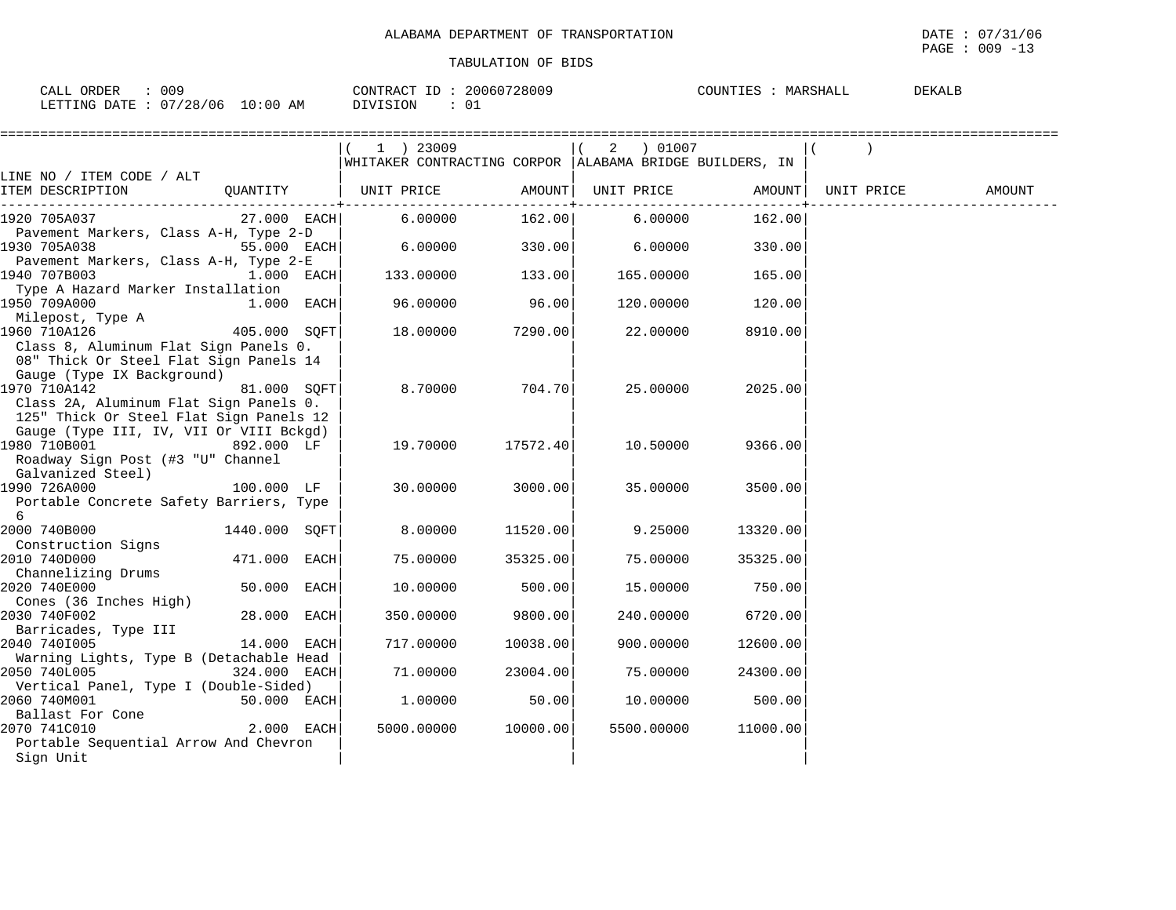$\overline{\text{PAGE}}$  : 009 -13

| 00S<br>ORDER<br>CALL                        | 20060728009<br>CONTRACT<br>$ -$ | <b>DEKALE</b><br>COUNTIES<br>$\ldots$ : MARSHATT |
|---------------------------------------------|---------------------------------|--------------------------------------------------|
| ! 0 : 0 0<br>07/28/06<br>LETTING DATE<br>AΜ | - 01<br>™TRT∩N                  |                                                  |

|                                                         |               |      | 1 ) 23009                                                |          | 01007<br>2 |          |                    |        |
|---------------------------------------------------------|---------------|------|----------------------------------------------------------|----------|------------|----------|--------------------|--------|
|                                                         |               |      | WHITAKER CONTRACTING CORPOR  ALABAMA BRIDGE BUILDERS, IN |          |            |          |                    |        |
| LINE NO / ITEM CODE / ALT                               |               |      |                                                          |          |            |          |                    |        |
| ITEM DESCRIPTION                                        |               |      | QUANTITY   UNIT PRICE AMOUNT                             |          | UNIT PRICE |          | AMOUNT  UNIT PRICE | AMOUNT |
| 1920 705A037                                            | 27.000 EACH   |      | 6.00000                                                  | 162.00   | 6.00000    | 162.00   |                    |        |
| Pavement Markers, Class A-H, Type 2-D                   |               |      |                                                          |          |            |          |                    |        |
| 1930 705A038                                            | 55.000 EACH   |      | 6.00000                                                  | 330.00   | 6.00000    | 330.00   |                    |        |
| Pavement Markers, Class A-H, Type 2-E                   |               |      |                                                          |          |            |          |                    |        |
| 1940 707B003                                            | 1.000 EACH    |      | 133.00000                                                | 133.00   | 165.00000  | 165.00   |                    |        |
| Type A Hazard Marker Installation                       |               |      |                                                          |          |            |          |                    |        |
| 1950 709A000                                            | 1.000 EACH    |      | 96.00000                                                 | 96.00    | 120.00000  | 120.00   |                    |        |
| Milepost, Type A                                        |               |      |                                                          |          |            |          |                    |        |
| 1960 710A126                                            | 405.000 SOFT  |      | 18.00000                                                 | 7290.00  | 22.00000   | 8910.00  |                    |        |
| Class 8, Aluminum Flat Sign Panels 0.                   |               |      |                                                          |          |            |          |                    |        |
| 08" Thick Or Steel Flat Sign Panels 14                  |               |      |                                                          |          |            |          |                    |        |
| Gauge (Type IX Background)                              |               |      |                                                          |          |            |          |                    |        |
| 1970 710A142                                            | 81.000 SOFT   |      | 8,70000                                                  | 704.70   | 25.00000   | 2025.00  |                    |        |
| Class 2A, Aluminum Flat Sign Panels 0.                  |               |      |                                                          |          |            |          |                    |        |
| 125" Thick Or Steel Flat Sign Panels 12                 |               |      |                                                          |          |            |          |                    |        |
| Gauge (Type III, IV, VII Or VIII Bckgd)                 |               |      |                                                          |          |            |          |                    |        |
| 1980 710B001                                            | 892.000 LF    |      | 19.70000                                                 | 17572.40 | 10.50000   | 9366.00  |                    |        |
| Roadway Sign Post (#3 "U" Channel                       |               |      |                                                          |          |            |          |                    |        |
| Galvanized Steel)                                       |               |      |                                                          |          |            |          |                    |        |
| 1990 726A000                                            | 100.000 LF    |      | 30.00000                                                 | 3000.00  | 35.00000   | 3500.00  |                    |        |
| Portable Concrete Safety Barriers, Type                 |               |      |                                                          |          |            |          |                    |        |
| 6                                                       |               |      |                                                          |          |            |          |                    |        |
| 2000 740B000                                            | 1440.000 SOFT |      | 8.00000                                                  | 11520.00 | 9.25000    | 13320.00 |                    |        |
| Construction Signs                                      |               |      |                                                          |          |            |          |                    |        |
| 2010 740D000                                            | 471.000 EACH  |      | 75.00000                                                 | 35325.00 | 75.00000   | 35325.00 |                    |        |
| Channelizing Drums                                      |               |      |                                                          |          |            |          |                    |        |
| 2020 740E000                                            | 50.000 EACH   |      | 10.00000                                                 | 500.00   | 15.00000   | 750.00   |                    |        |
| Cones (36 Inches High)                                  |               |      |                                                          |          |            |          |                    |        |
| 2030 740F002                                            | 28.000        | EACH | 350.00000                                                | 9800.00  | 240.00000  | 6720.00  |                    |        |
| Barricades, Type III                                    |               |      |                                                          |          |            |          |                    |        |
| 2040 7401005<br>Warning Lights, Type B (Detachable Head | 14.000 EACH   |      | 717.00000                                                | 10038.00 | 900.00000  | 12600.00 |                    |        |
| 2050 740L005                                            | 324.000 EACH  |      | 71.00000                                                 | 23004.00 | 75.00000   | 24300.00 |                    |        |
| Vertical Panel, Type I (Double-Sided)                   |               |      |                                                          |          |            |          |                    |        |
| 2060 740M001                                            | 50.000 EACH   |      | 1.00000                                                  | 50.00    | 10.00000   | 500.00   |                    |        |
| Ballast For Cone                                        |               |      |                                                          |          |            |          |                    |        |
| 2070 741C010                                            | 2.000 EACH    |      | 5000.00000                                               | 10000.00 | 5500.00000 | 11000.00 |                    |        |
| Portable Sequential Arrow And Chevron                   |               |      |                                                          |          |            |          |                    |        |
| Sign Unit                                               |               |      |                                                          |          |            |          |                    |        |
|                                                         |               |      |                                                          |          |            |          |                    |        |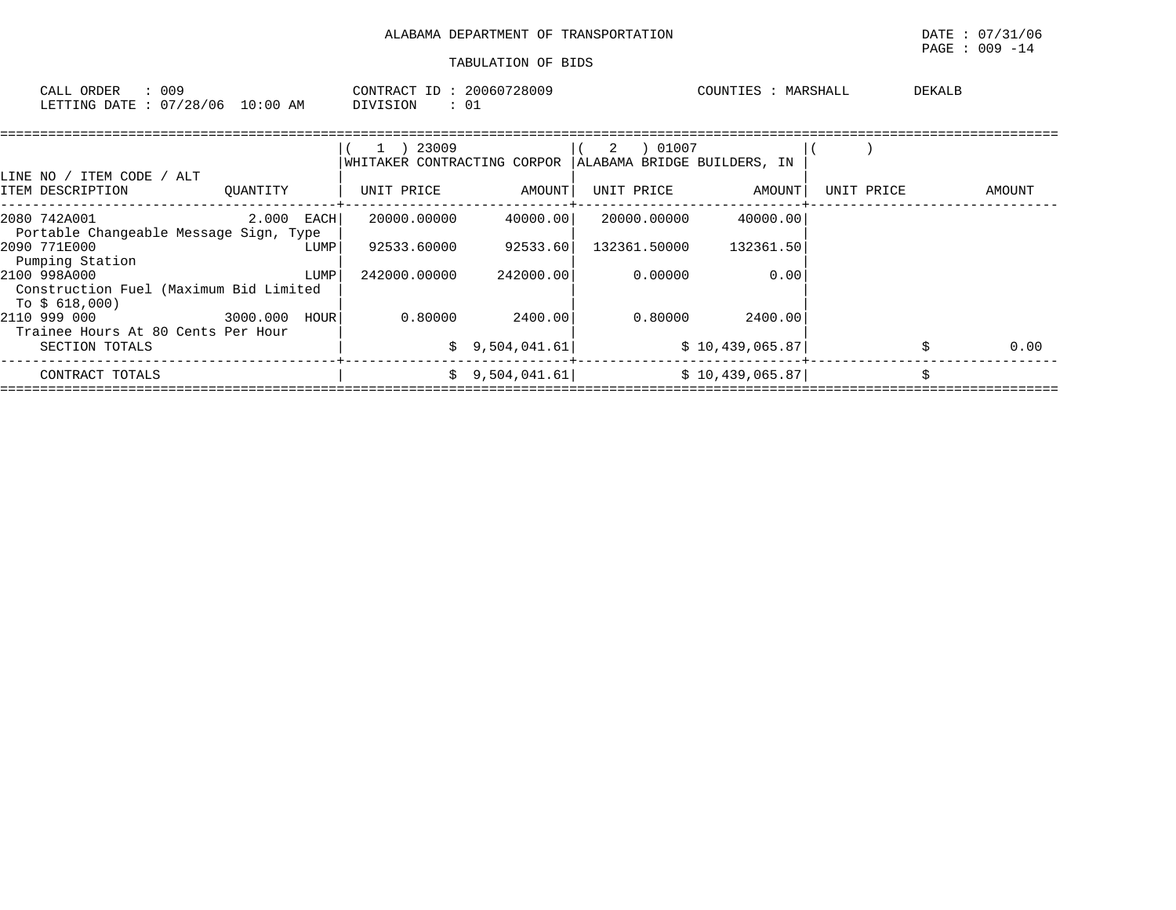|                                                                                       |              |      |                                                                                                   | ALABAMA DEPARTMENT OF TRANSPORTATION |             |                                      |            |        | DATE: 07/31/06<br>PAGE : 009 -14 |
|---------------------------------------------------------------------------------------|--------------|------|---------------------------------------------------------------------------------------------------|--------------------------------------|-------------|--------------------------------------|------------|--------|----------------------------------|
|                                                                                       |              |      |                                                                                                   | TABULATION OF BIDS                   |             |                                      |            |        |                                  |
| CALL ORDER : 009<br>LETTING DATE : 07/28/06 10:00 AM                                  |              |      | CONTRACT ID: 20060728009<br>DIVISION : 01                                                         |                                      |             | COUNTIES : MARSHALL                  |            | DEKALB |                                  |
| LINE NO / ITEM CODE / ALT<br>ITEM DESCRIPTION                                         |              |      | $(1)$ 23009<br>WHITAKER CONTRACTING CORPOR   ALABAMA BRIDGE BUILDERS, IN<br>QUANTITY   UNIT PRICE | AMOUNT                               | $(2)$ 01007 | UNIT PRICE AMOUNT                    | UNIT PRICE |        | AMOUNT                           |
| 2080 742A001<br>Portable Changeable Message Sign, Type                                | $2.000$ EACH |      |                                                                                                   | 20000.00000 40000.00                 | 20000.00000 | 40000.00                             |            |        |                                  |
| 2090 771E000<br>Pumping Station                                                       |              | LUMP |                                                                                                   | 92533.60000 92533.60                 |             | 132361.50000 132361.50               |            |        |                                  |
| 2100 998A000<br>Construction Fuel (Maximum Bid Limited<br>To \$ 618,000)              |              | LUMP | 242000.00000                                                                                      | 242000.00                            | 0.00000     | 0.00                                 |            |        |                                  |
| 2110 999 000<br>3000.000 HOUR<br>Trainee Hours At 80 Cents Per Hour<br>SECTION TOTALS |              |      |                                                                                                   | $0.80000$ 2400.00<br>\$9,504,041.61  |             | $0.80000$ 2400.00<br>\$10,439,065.87 |            |        | 0.00                             |
| CONTRACT TOTALS                                                                       |              |      |                                                                                                   | \$9,504,041.61                       |             | \$10,439,065.87                      |            |        |                                  |

====================================================================================================================================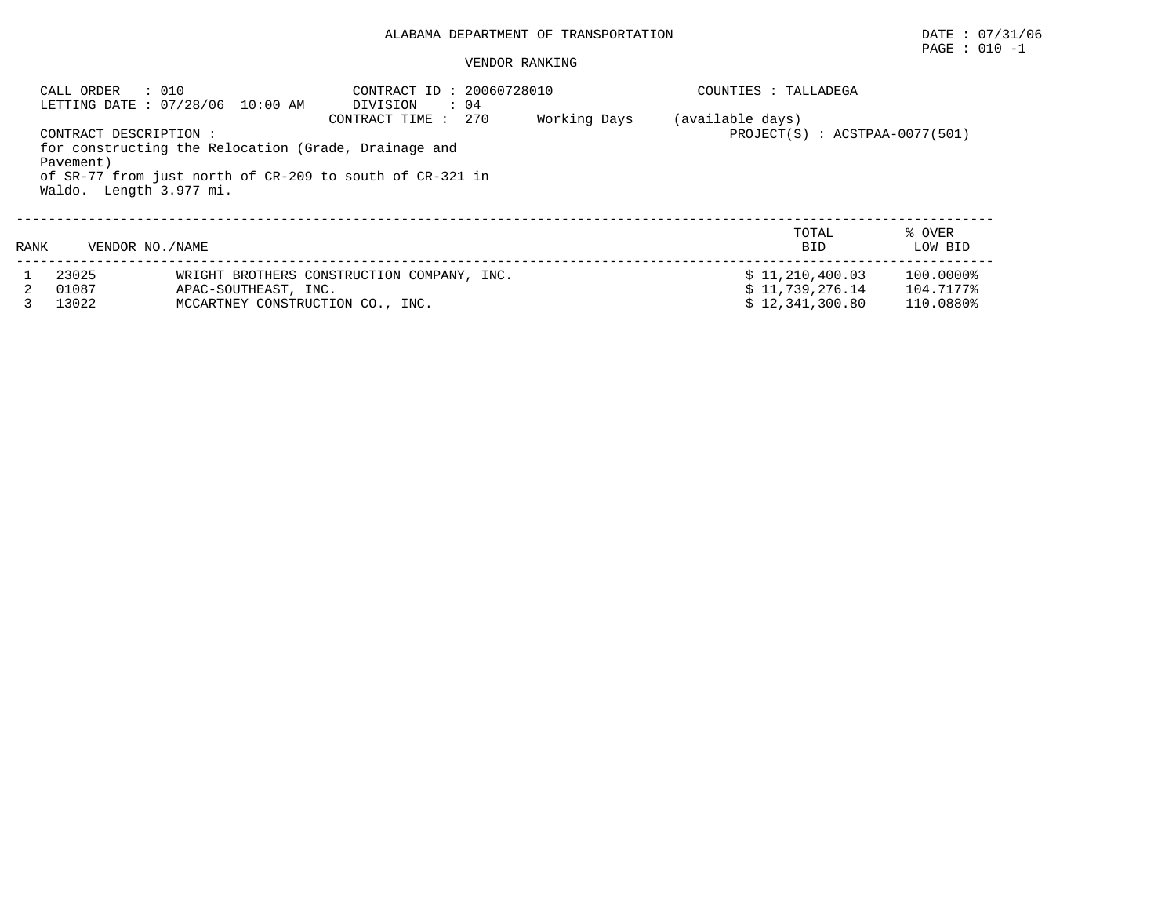## ALABAMA DEPARTMENT OF TRANSPORTATION DATE : 07/31/06

#### VENDOR RANKING

|      | : 010<br>CALL ORDER                                            | LETTING DATE : 07/28/06 10:00 AM                                                                                 | CONTRACT ID: 20060728010<br>DIVISION<br>$\therefore$ 04<br>CONTRACT TIME : 270 | Working Days | COUNTIES : TALLADEGA<br>(available days) |                        |
|------|----------------------------------------------------------------|------------------------------------------------------------------------------------------------------------------|--------------------------------------------------------------------------------|--------------|------------------------------------------|------------------------|
|      | CONTRACT DESCRIPTION :<br>Pavement)<br>Waldo. Length 3.977 mi. | for constructing the Relocation (Grade, Drainage and<br>of SR-77 from just north of CR-209 to south of CR-321 in | $PROJECT(S)$ : $ACSTPAA-0077(501)$                                             |              |                                          |                        |
| RANK | VENDOR NO. / NAME                                              |                                                                                                                  |                                                                                |              | TOTAL<br><b>BID</b>                      | % OVER<br>LOW BID      |
|      | 23025                                                          |                                                                                                                  | WRIGHT BROTHERS CONSTRUCTION COMPANY, INC.                                     |              | \$11,210,400.03                          | 100.0000%              |
| 2.   | 01087<br>13022                                                 | APAC-SOUTHEAST, INC.<br>MCCARTNEY CONSTRUCTION CO., INC.                                                         |                                                                                |              | \$11,739,276.14<br>\$12.341.300.80       | 104.7177%<br>110.0880% |

PAGE : 010 -1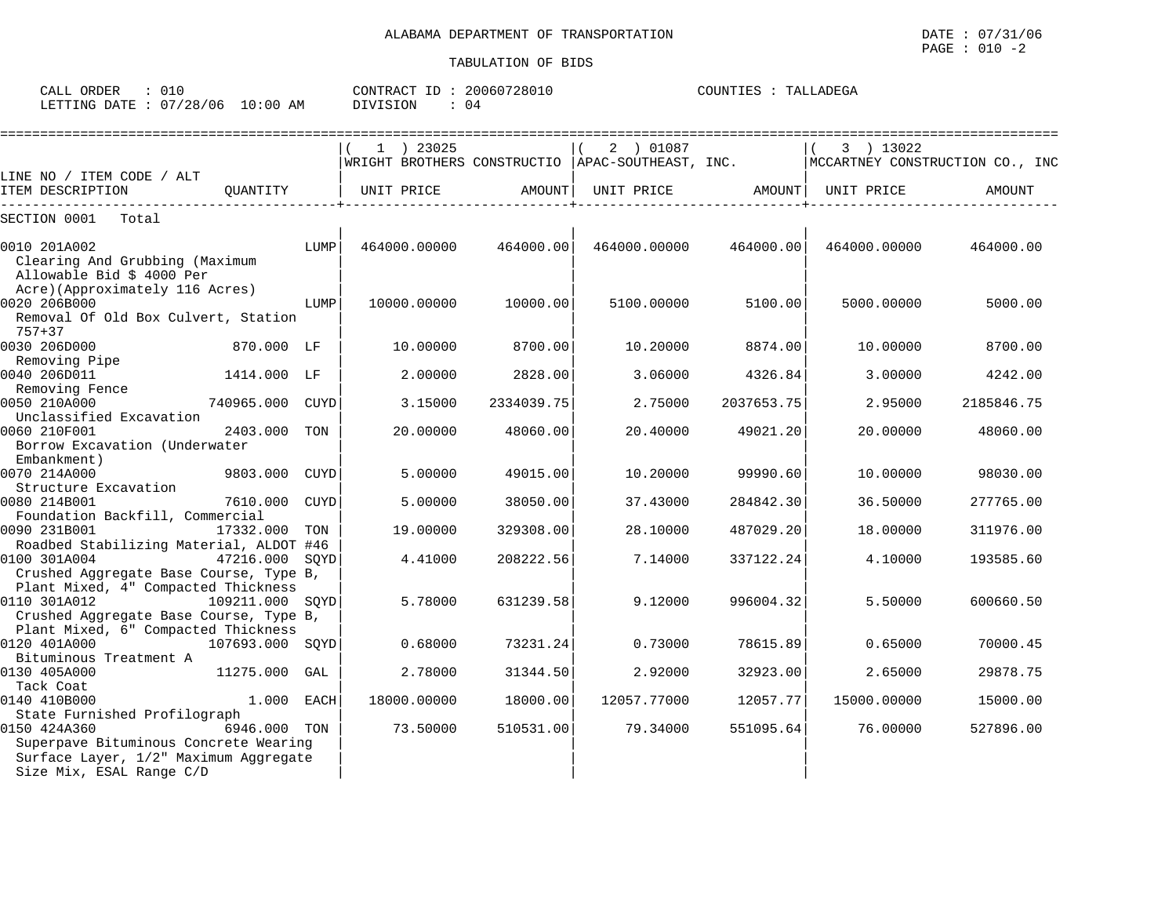| ORDER<br>CALL<br>∪⊥∪         |             | 20060728010<br>CONTRACT ID<br>тD. | COUNTIES<br>TALLADEGA |
|------------------------------|-------------|-----------------------------------|-----------------------|
| 07/28/06<br>LETTING<br>R מ⊤מ | 10:00<br>ΆM | DIVISION<br>U4                    |                       |

|                                                                                                            |                 |      |              |            |                                                               |            |                                              | ================= |
|------------------------------------------------------------------------------------------------------------|-----------------|------|--------------|------------|---------------------------------------------------------------|------------|----------------------------------------------|-------------------|
|                                                                                                            |                 |      | $1$ ) 23025  |            | 2 ) 01087<br>WRIGHT BROTHERS CONSTRUCTIO APAC-SOUTHEAST, INC. |            | 3 ) 13022<br>MCCARTNEY CONSTRUCTION CO., INC |                   |
| LINE NO / ITEM CODE / ALT                                                                                  |                 |      |              |            |                                                               |            |                                              |                   |
| ITEM DESCRIPTION                                                                                           | OUANTITY        |      | UNIT PRICE   | AMOUNT     | UNIT PRICE AMOUNT                                             |            | UNIT PRICE                                   | AMOUNT            |
| SECTION 0001<br>Total                                                                                      |                 |      |              |            |                                                               |            |                                              |                   |
| 0010 201A002                                                                                               |                 | LUMP | 464000.00000 | 464000.00  | 464000.00000                                                  | 464000.00  | 464000.00000                                 | 464000.00         |
| Clearing And Grubbing (Maximum<br>Allowable Bid \$ 4000 Per                                                |                 |      |              |            |                                                               |            |                                              |                   |
| Acre)(Approximately 116 Acres)<br>0020 206B000                                                             |                 | LUMP | 10000.00000  | 10000.00   | 5100.00000                                                    | 5100.00    | 5000.00000                                   | 5000.00           |
| Removal Of Old Box Culvert, Station<br>$757 + 37$                                                          |                 |      |              |            |                                                               |            |                                              |                   |
| 0030 206D000<br>Removing Pipe                                                                              | 870.000 LF      |      | 10.00000     | 8700.00    | 10.20000                                                      | 8874.00    | 10.00000                                     | 8700.00           |
| 0040 206D011                                                                                               | 1414.000 LF     |      | 2.00000      | 2828.00    | 3.06000                                                       | 4326.84    | 3.00000                                      | 4242.00           |
| Removing Fence<br>0050 210A000                                                                             | 740965.000 CUYD |      | 3.15000      | 2334039.75 | 2.75000                                                       | 2037653.75 | 2.95000                                      | 2185846.75        |
| Unclassified Excavation<br>0060 210F001<br>Borrow Excavation (Underwater                                   | 2403.000        | TON  | 20.00000     | 48060.00   | 20,40000                                                      | 49021.20   | 20,00000                                     | 48060.00          |
| Embankment)                                                                                                |                 |      |              |            |                                                               |            |                                              |                   |
| 0070 214A000<br>Structure Excavation                                                                       | 9803.000        | CUYD | 5.00000      | 49015.00   | 10.20000                                                      | 99990.60   | 10.00000                                     | 98030.00          |
| 0080 214B001<br>Foundation Backfill, Commercial                                                            | 7610.000 CUYD   |      | 5.00000      | 38050.00   | 37.43000                                                      | 284842.30  | 36.50000                                     | 277765.00         |
| 0090 231B001                                                                                               | 17332.000       | TON  | 19.00000     | 329308.00  | 28.10000                                                      | 487029.20  | 18.00000                                     | 311976.00         |
| Roadbed Stabilizing Material, ALDOT #46<br>0100 301A004                                                    | 47216.000 SOYD  |      | 4.41000      | 208222.56  | 7.14000                                                       | 337122.24  | 4.10000                                      | 193585.60         |
| Crushed Aggregate Base Course, Type B,<br>Plant Mixed, 4" Compacted Thickness                              |                 |      |              |            |                                                               |            |                                              |                   |
| 0110 301A012<br>Crushed Aggregate Base Course, Type B,                                                     | 109211.000 SQYD |      | 5.78000      | 631239.58  | 9.12000                                                       | 996004.32  | 5.50000                                      | 600660.50         |
| Plant Mixed, 6" Compacted Thickness<br>0120 401A000                                                        | 107693.000 SOYD |      | 0.68000      | 73231.24   | 0.73000                                                       | 78615.89   | 0.65000                                      | 70000.45          |
| Bituminous Treatment A<br>0130 405A000                                                                     | 11275.000       | GAL  | 2.78000      | 31344.50   | 2.92000                                                       | 32923.00   | 2.65000                                      | 29878.75          |
| Tack Coat<br>0140 410B000                                                                                  | 1.000 EACH      |      | 18000.00000  | 18000.00   | 12057.77000                                                   | 12057.77   | 15000.00000                                  | 15000.00          |
| State Furnished Profilograph                                                                               |                 |      |              |            |                                                               |            |                                              |                   |
| 0150 424A360                                                                                               | 6946.000 TON    |      | 73.50000     | 510531.00  | 79.34000                                                      | 551095.64  | 76.00000                                     | 527896.00         |
| Superpave Bituminous Concrete Wearing<br>Surface Layer, 1/2" Maximum Aggregate<br>Size Mix, ESAL Range C/D |                 |      |              |            |                                                               |            |                                              |                   |
|                                                                                                            |                 |      |              |            |                                                               |            |                                              |                   |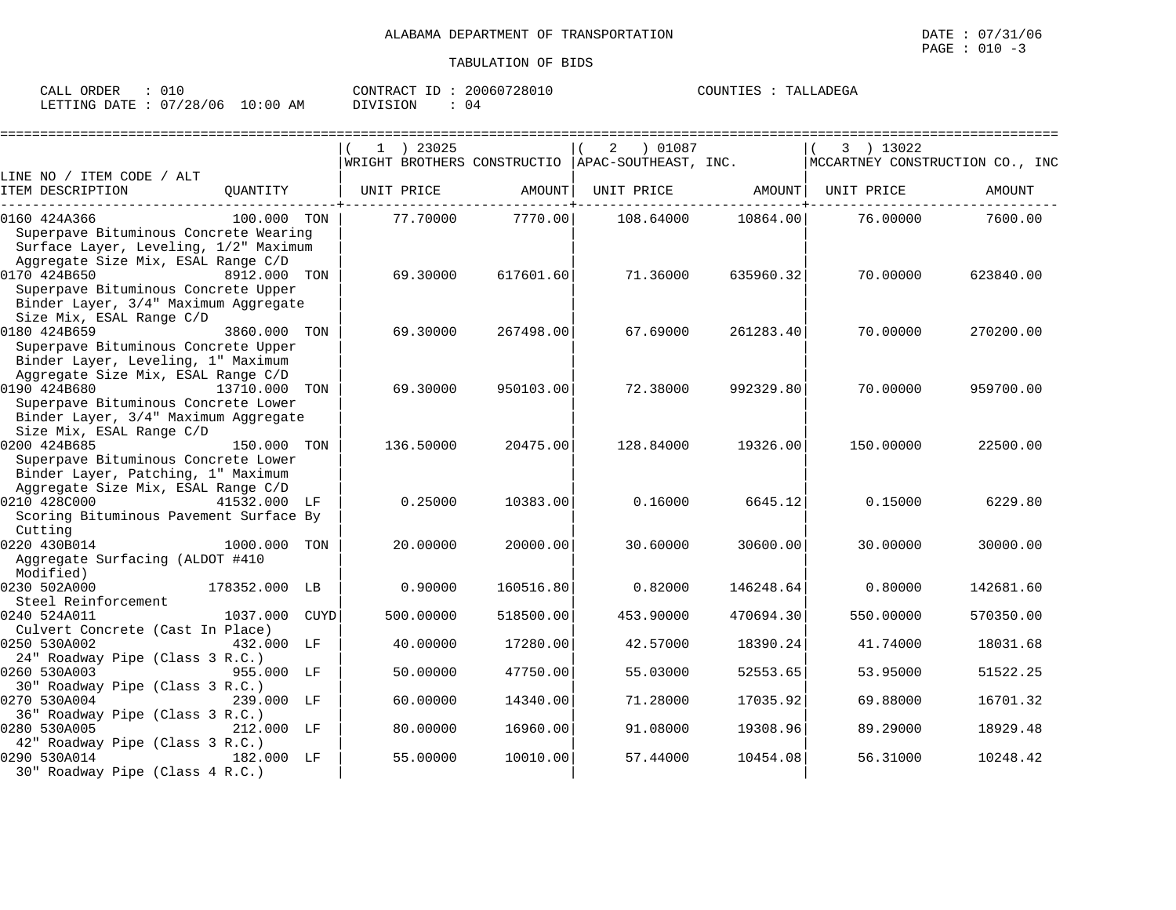| ORDER<br>CALL          |             | 20060728010<br>CONTRACT<br>ID | COUNTIES<br>TALLADEGA |
|------------------------|-------------|-------------------------------|-----------------------|
| LETTING DATE: 07/28/06 | 10:00<br>ΆM | <b>DIVISION</b>               |                       |

|                                                                                                                                                               |               |             | 1 ) 23025  |           | 01087 (<br>2                                      |           | 3 ) 13022                       |           |
|---------------------------------------------------------------------------------------------------------------------------------------------------------------|---------------|-------------|------------|-----------|---------------------------------------------------|-----------|---------------------------------|-----------|
|                                                                                                                                                               |               |             |            |           | WRIGHT BROTHERS CONSTRUCTIO  APAC-SOUTHEAST, INC. |           | MCCARTNEY CONSTRUCTION CO., INC |           |
| LINE NO / ITEM CODE / ALT<br>ITEM DESCRIPTION                                                                                                                 | QUANTITY      |             | UNIT PRICE | AMOUNT    | UNIT PRICE AMOUNT                                 |           | UNIT PRICE                      | AMOUNT    |
| 0160 424A366<br>Superpave Bituminous Concrete Wearing<br>Surface Layer, Leveling, 1/2" Maximum                                                                | 100.000 TON   |             | 77.70000   | 7770.00   | 108.64000                                         | 10864.00  | 76.00000                        | 7600.00   |
| Aggregate Size Mix, ESAL Range C/D<br>0170 424B650<br>Superpave Bituminous Concrete Upper<br>Binder Layer, 3/4" Maximum Aggregate<br>Size Mix, ESAL Range C/D | 8912.000 TON  |             | 69.30000   | 617601.60 | 71.36000                                          | 635960.32 | 70.00000                        | 623840.00 |
| 0180 424B659<br>Superpave Bituminous Concrete Upper<br>Binder Layer, Leveling, 1" Maximum                                                                     | 3860.000 TON  |             | 69.30000   | 267498.00 | 67.69000                                          | 261283.40 | 70.00000                        | 270200.00 |
| Aggregate Size Mix, ESAL Range C/D<br>0190 424B680<br>Superpave Bituminous Concrete Lower<br>Binder Layer, 3/4" Maximum Aggregate<br>Size Mix, ESAL Range C/D | 13710.000 TON |             | 69.30000   | 950103.00 | 72.38000                                          | 992329.80 | 70.00000                        | 959700.00 |
| 0200 424B685<br>Superpave Bituminous Concrete Lower<br>Binder Layer, Patching, 1" Maximum<br>Aggregate Size Mix, ESAL Range C/D                               | 150.000 TON   |             | 136.50000  | 20475.00  | 128.84000                                         | 19326.00  | 150.00000                       | 22500.00  |
| 0210 428C000<br>41532.000 LF<br>Scoring Bituminous Pavement Surface By<br>Cutting                                                                             |               |             | 0.25000    | 10383.00  | 0.16000                                           | 6645.12   | 0.15000                         | 6229.80   |
| 0220 430B014<br>Aggregate Surfacing (ALDOT #410<br>Modified)                                                                                                  | 1000.000      | TON         | 20.00000   | 20000.00  | 30.60000                                          | 30600.00  | 30.00000                        | 30000.00  |
| 0230 502A000<br>Steel Reinforcement                                                                                                                           | 178352.000 LB |             | 0.90000    | 160516.80 | 0.82000                                           | 146248.64 | 0.80000                         | 142681.60 |
| 0240 524A011<br>Culvert Concrete (Cast In Place)                                                                                                              | 1037.000      | <b>CUYD</b> | 500.00000  | 518500.00 | 453.90000                                         | 470694.30 | 550.00000                       | 570350.00 |
| 0250 530A002<br>24" Roadway Pipe (Class 3 R.C.)                                                                                                               | 432.000 LF    |             | 40.00000   | 17280.00  | 42.57000                                          | 18390.24  | 41.74000                        | 18031.68  |
| 0260 530A003<br>30" Roadway Pipe (Class 3 R.C.)                                                                                                               | 955.000 LF    |             | 50.00000   | 47750.00  | 55.03000                                          | 52553.65  | 53.95000                        | 51522.25  |
| 0270 530A004                                                                                                                                                  | 239.000 LF    |             | 60.00000   | 14340.00  | 71.28000                                          | 17035.92  | 69.88000                        | 16701.32  |
| 36" Roadway Pipe (Class 3 R.C.)<br>0280 530A005                                                                                                               | 212.000 LF    |             | 80.00000   | 16960.00  | 91.08000                                          | 19308.96  | 89.29000                        | 18929.48  |
| 42" Roadway Pipe (Class 3 R.C.)<br>0290 530A014<br>182.000 LF<br>30" Roadway Pipe (Class 4 R.C.)                                                              |               |             | 55.00000   | 10010.00  | 57.44000                                          | 10454.08  | 56.31000                        | 10248.42  |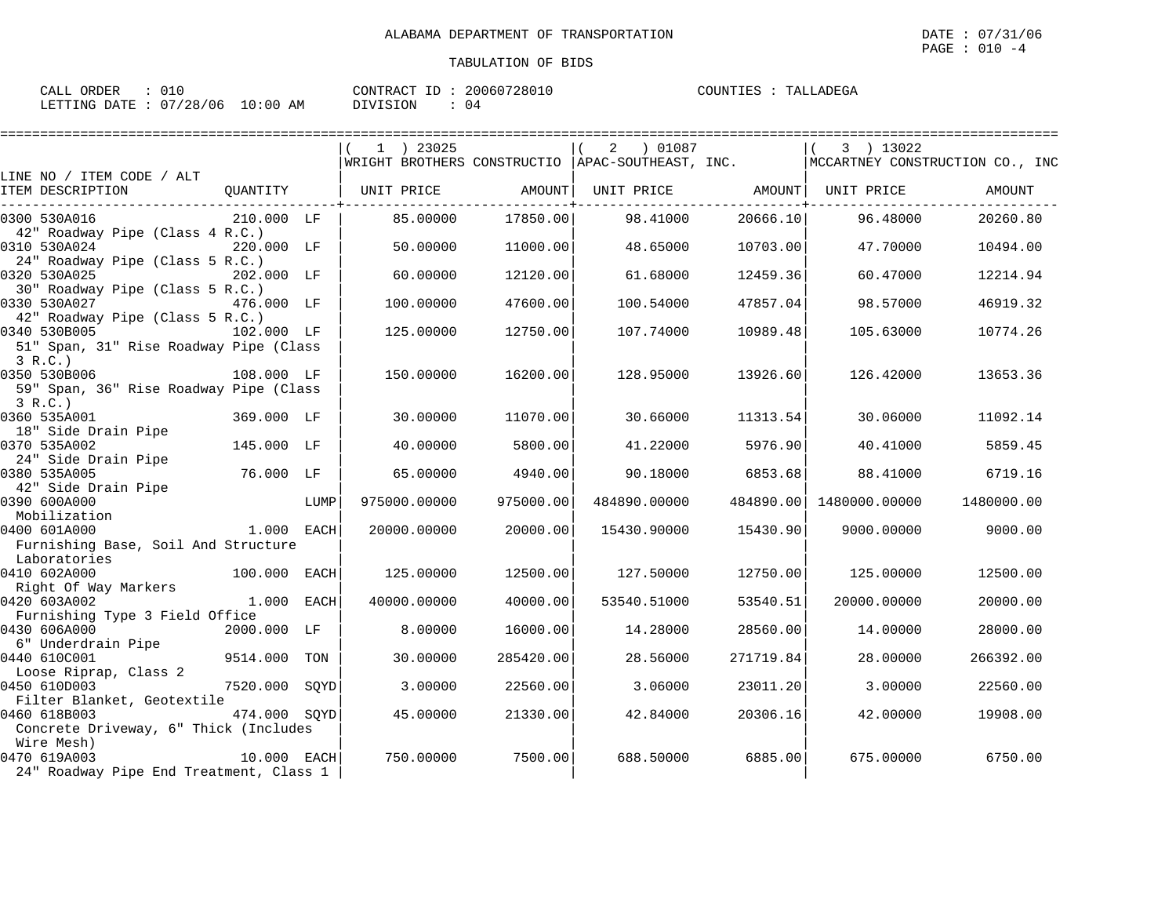| ORDER<br>CALL           |             | 20060728010<br>CONTRACT<br>ID. | TALLADEGA<br>COUNTIES |
|-------------------------|-------------|--------------------------------|-----------------------|
| LETTING DATE : 07/28/06 | 10:00<br>ΆM | <b>DIVISION</b>                |                       |

|                                                                        |               |      | $1$ ) 23025<br> WRIGHT BROTHERS CONSTRUCTIO  APAC-SOUTHEAST, INC. $\vert$ MCCARTNEY CONSTRUCTION CO., INC |           | 2 01087                        |           | 3 ) 13022     |            |
|------------------------------------------------------------------------|---------------|------|-----------------------------------------------------------------------------------------------------------|-----------|--------------------------------|-----------|---------------|------------|
| LINE NO / ITEM CODE / ALT<br>ITEM DESCRIPTION<br>--------------------- |               |      | QUANTITY   UNIT PRICE AMOUNT                                                                              |           | UNIT PRICE AMOUNT   UNIT PRICE |           |               | AMOUNT     |
| 0300 530A016<br>42" Roadway Pipe (Class 4 R.C.)                        | 210.000 LF    |      | 85.00000                                                                                                  | 17850.00  | 98.41000                       | 20666.10  | 96.48000      | 20260.80   |
| 0310 530A024<br>24" Roadway Pipe (Class 5 R.C.)                        | 220.000 LF    |      | 50.00000                                                                                                  | 11000.00  | 48.65000                       | 10703.00  | 47.70000      | 10494.00   |
| 0320 530A025<br>30" Roadway Pipe (Class 5 R.C.)                        | 202.000 LF    |      | 60.00000                                                                                                  | 12120.00  | 61.68000                       | 12459.36  | 60.47000      | 12214.94   |
| 0330 530A027 476.000 LF<br>42" Roadway Pipe (Class 5 R.C.)             |               |      | 100.00000                                                                                                 | 47600.00  | 100.54000                      | 47857.04  | 98.57000      | 46919.32   |
| 0340 530B005<br>51" Span, 31" Rise Roadway Pipe (Class                 | 102.000 LF    |      | 125,00000                                                                                                 | 12750.00  | 107.74000                      | 10989.48  | 105.63000     | 10774.26   |
| 3 R.C.<br>0350 530B006<br>59" Span, 36" Rise Roadway Pipe (Class       | 108.000 LF    |      | 150.00000                                                                                                 | 16200.00  | 128.95000                      | 13926.60  | 126.42000     | 13653.36   |
| 3 R.C.)<br>0360 535A001<br>18" Side Drain Pipe                         | 369.000 LF    |      | 30.00000                                                                                                  | 11070.00  | 30.66000                       | 11313.54  | 30.06000      | 11092.14   |
| 0370 535A002<br>24" Side Drain Pipe                                    | 145.000 LF    |      | 40.00000                                                                                                  | 5800.00   | 41.22000                       | 5976.90   | 40.41000      | 5859.45    |
| 0380 535A005<br>42" Side Drain Pipe                                    | 76.000 LF     |      | 65.00000                                                                                                  | 4940.00   | 90.18000                       | 6853.68   | 88.41000      | 6719.16    |
| 0390 600A000<br>Mobilization                                           |               | LUMP | 975000.00000                                                                                              | 975000.00 | 484890.00000                   | 484890.00 | 1480000.00000 | 1480000.00 |
| 0400 601A000<br>1.000 EACH<br>Furnishing Base, Soil And Structure      |               |      | 20000.00000                                                                                               | 20000.00  | 15430.90000                    | 15430.90  | 9000.00000    | 9000.00    |
| Laboratories<br>0410 602A000                                           | 100.000 EACH  |      | 125.00000                                                                                                 | 12500.00  | 127.50000                      | 12750.00  | 125.00000     | 12500.00   |
| Right Of Way Markers<br>0420 603A002<br>Furnishing Type 3 Field Office | 1.000 EACH    |      | 40000.00000                                                                                               | 40000.00  | 53540.51000                    | 53540.51  | 20000.00000   | 20000.00   |
| 0430 606A000<br>6" Underdrain Pipe                                     | 2000.000 LF   |      | 8,00000                                                                                                   | 16000.00  | 14.28000                       | 28560.00  | 14.00000      | 28000.00   |
| 0440 610C001<br>Loose Riprap, Class 2                                  | 9514.000 TON  |      | 30,00000                                                                                                  | 285420.00 | 28.56000                       | 271719.84 | 28,00000      | 266392.00  |
| 0450 610D003<br>Filter Blanket, Geotextile                             | 7520.000 SQYD |      | 3.00000                                                                                                   | 22560.00  | 3.06000                        | 23011.20  | 3.00000       | 22560.00   |
| 0460 618B003<br>Concrete Driveway, 6" Thick (Includes                  | 474.000 SQYD  |      | 45,00000                                                                                                  | 21330.00  | 42.84000                       | 20306.16  | 42.00000      | 19908.00   |
| Wire Mesh)<br>0470 619A003<br>24" Roadway Pipe End Treatment, Class 1  | $10.000$ EACH |      | 750.00000                                                                                                 | 7500.00   | 688.50000                      | 6885.00   | 675.00000     | 6750.00    |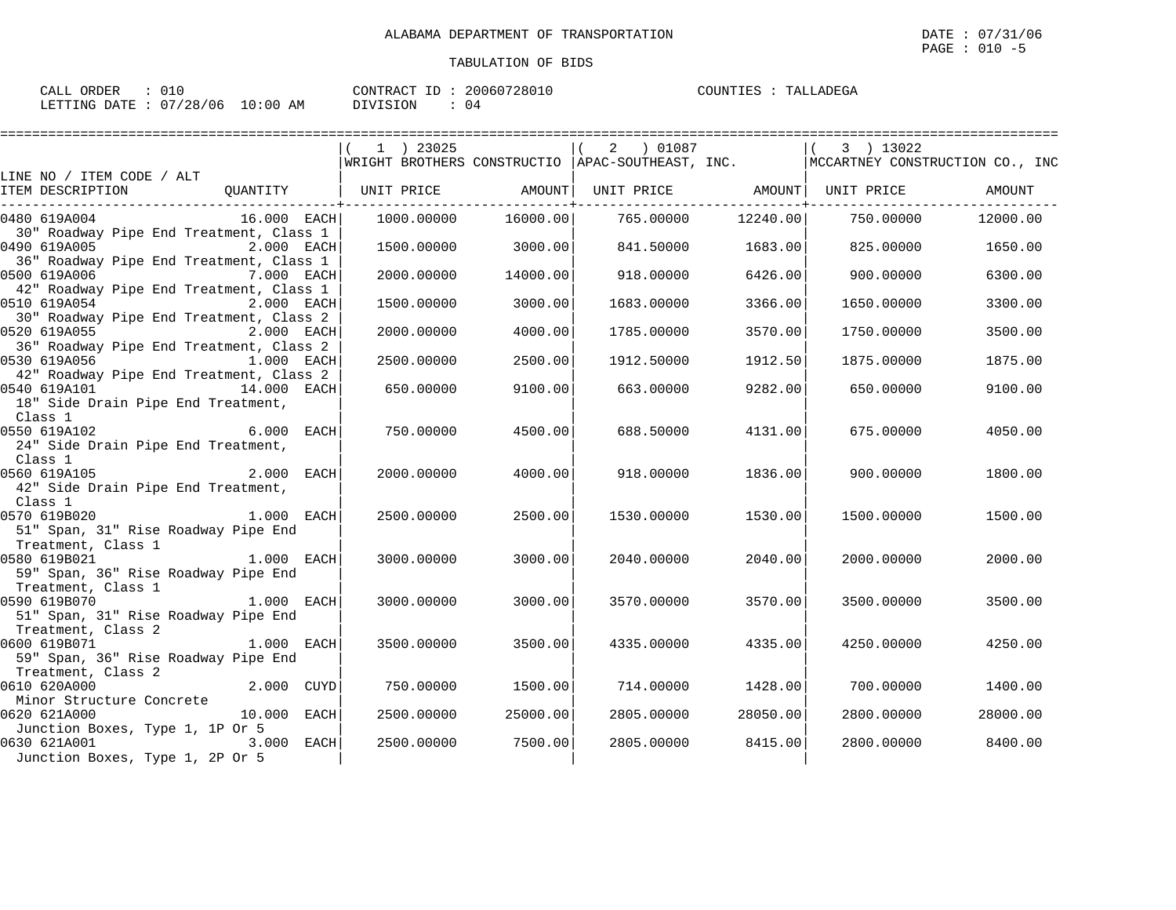====================================================================================================================================

## TABULATION OF BIDS

| CALL ORDER |                                 | CONTRACT ID: 20060728010 | TALLADEGA<br>COUNTIES : ' |
|------------|---------------------------------|--------------------------|---------------------------|
|            | LETTING DATE: 07/28/06 10:00 AM | DIVISION                 |                           |

|                                                                                                           | 1 ) 23025<br>WRIGHT BROTHERS CONSTRUCTIO   APAC-SOUTHEAST, INC. |          | 2 ) 01087         |          | 3 ) 13022<br> MCCARTNEY CONSTRUCTION CO., INC |          |
|-----------------------------------------------------------------------------------------------------------|-----------------------------------------------------------------|----------|-------------------|----------|-----------------------------------------------|----------|
| LINE NO / ITEM CODE / ALT<br>ITEM DESCRIPTION<br>QUANTITY                                                 | UNIT PRICE AMOUNT                                               |          | UNIT PRICE AMOUNT |          | UNIT PRICE                                    | AMOUNT   |
| $16.000$ EACH<br>0480 619A004                                                                             | 1000.00000                                                      | 16000.00 | 765.00000         | 12240.00 | 750.00000                                     | 12000.00 |
| 30" Roadway Pipe End Treatment, Class 1<br>0490 619A005<br>2.000 EACH                                     | 1500.00000                                                      | 3000.00  | 841.50000         | 1683.00  | 825.00000                                     | 1650.00  |
| 36" Roadway Pipe End Treatment, Class 1<br>0500 619A006<br>7.000 EACH                                     | 2000.00000                                                      | 14000.00 | 918,00000         | 6426.00  | 900.00000                                     | 6300.00  |
| 42" Roadway Pipe End Treatment, Class 1<br>0510 619A054 2.000 EACH                                        | 1500.00000                                                      | 3000.00  | 1683.00000        | 3366.00  | 1650.00000                                    | 3300.00  |
| 30" Roadway Pipe End Treatment, Class 2<br>0520 619A055<br>2.000 EACH                                     | 2000.00000                                                      | 4000.00  | 1785.00000        | 3570.00  | 1750.00000                                    | 3500.00  |
| 36" Roadway Pipe End Treatment, Class 2<br>1.000 EACH<br>0530 619A056                                     | 2500.00000                                                      | 2500.00  | 1912.50000        | 1912.50  | 1875.00000                                    | 1875.00  |
| 42" Roadway Pipe End Treatment, Class 2<br>0540 619A101 14.000 EACH<br>18" Side Drain Pipe End Treatment, | 650.00000                                                       | 9100.00  | 663.00000         | 9282.00  | 650.00000                                     | 9100.00  |
| Class 1<br>0550 619A102<br>$6.000$ EACH                                                                   | 750.00000                                                       | 4500.00  | 688.50000         | 4131.00  | 675.00000                                     | 4050.00  |
| 24" Side Drain Pipe End Treatment,<br>Class 1                                                             |                                                                 |          |                   |          |                                               |          |
| $2.000$ EACH<br>0560 619A105<br>42" Side Drain Pipe End Treatment,                                        | 2000.00000                                                      | 4000.00  | 918.00000         | 1836.00  | 900,00000                                     | 1800.00  |
| Class 1<br>0570 619B020<br>1.000 EACH                                                                     | 2500.00000                                                      | 2500.00  | 1530.00000        | 1530.00  | 1500.00000                                    | 1500.00  |
| 51" Span, 31" Rise Roadway Pipe End<br>Treatment, Class 1                                                 |                                                                 |          |                   |          |                                               |          |
| 1.000 EACH<br>0580 619B021<br>59" Span, 36" Rise Roadway Pipe End                                         | 3000.00000                                                      | 3000.00  | 2040.00000        | 2040.00  | 2000.00000                                    | 2000.00  |
| Treatment, Class 1<br>0590 619B070<br>$1.000$ EACH<br>51" Span, 31" Rise Roadway Pipe End                 | 3000.00000                                                      | 3000.00  | 3570.00000        | 3570.00  | 3500.00000                                    | 3500.00  |
| Treatment, Class 2<br>$1.000$ EACH<br>0600 619B071                                                        | 3500.00000                                                      | 3500.00  | 4335.00000        | 4335.00  | 4250.00000                                    | 4250.00  |
| 59" Span, 36" Rise Roadway Pipe End<br>Treatment, Class 2                                                 |                                                                 |          |                   |          |                                               |          |
| 2.000 CUYD<br>0610 620A000<br>Minor Structure Concrete                                                    | 750.00000                                                       | 1500.00  | 714.00000         | 1428.00  | 700.00000                                     | 1400.00  |
| 0620 621A000<br>10.000 EACH<br>Junction Boxes, Type 1, 1P Or 5                                            | 2500.00000                                                      | 25000.00 | 2805.00000        | 28050.00 | 2800.00000                                    | 28000.00 |
| 3.000 EACH<br>0630 621A001<br>Junction Boxes, Type 1, 2P Or 5                                             | 2500.00000                                                      | 7500.00  | 2805,00000        | 8415.00  | 2800,00000                                    | 8400.00  |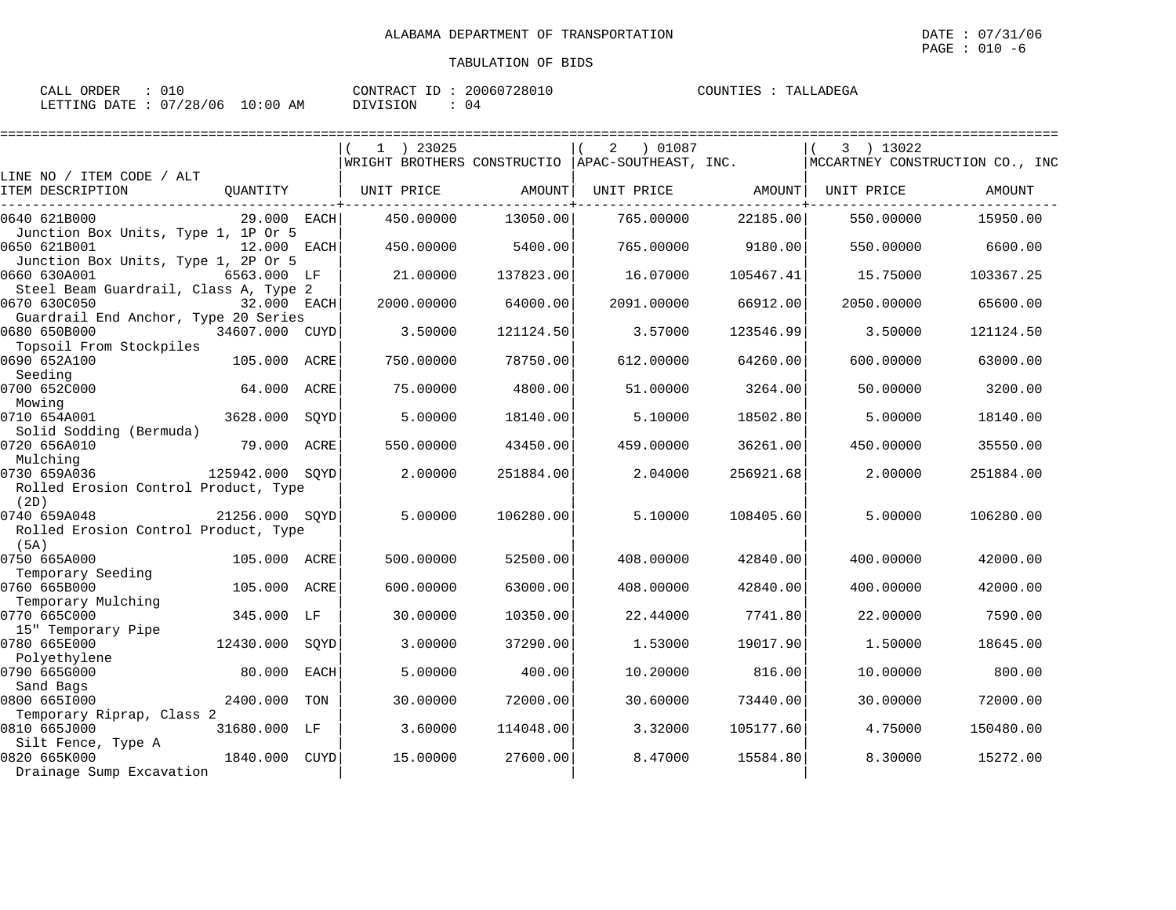====================================================================================================================================

| ORDER<br>CALL           |             | 20060728010<br>CONTRACT<br>ID. | TALLADEGA<br>COUNTIES |
|-------------------------|-------------|--------------------------------|-----------------------|
| LETTING DATE : 07/28/06 | 10:00<br>ΆM | <b>DIVISION</b>                |                       |

|                                                                |                 |      | $1$ ) 23025<br>WRIGHT BROTHERS CONSTRUCTIO |           | 01087<br>2<br>APAC-SOUTHEAST, INC. |               | 3 ) 13022  | MCCARTNEY CONSTRUCTION CO., INC |
|----------------------------------------------------------------|-----------------|------|--------------------------------------------|-----------|------------------------------------|---------------|------------|---------------------------------|
| LINE NO / ITEM CODE / ALT                                      |                 |      |                                            |           |                                    |               |            |                                 |
| ITEM DESCRIPTION                                               | QUANTITY        |      | UNIT PRICE                                 | AMOUNT    | UNIT PRICE                         | <b>AMOUNT</b> | UNIT PRICE | AMOUNT                          |
| 0640 621B000                                                   | 29.000 EACH     |      | 450.00000                                  | 13050.00  | 765.00000                          | 22185.00      | 550.00000  | 15950.00                        |
| Junction Box Units, Type 1, 1P Or 5<br>0650 621B001            | 12.000 EACH     |      | 450.00000                                  | 5400.00   | 765.00000                          | 9180.00       | 550.00000  | 6600.00                         |
| Junction Box Units, Type 1, 2P Or 5<br>0660 630A001            | 6563.000 LF     |      | 21.00000                                   | 137823.00 | 16.07000                           | 105467.41     | 15.75000   | 103367.25                       |
| Steel Beam Guardrail, Class A, Type 2<br>0670 630C050          | 32.000 EACH     |      | 2000.00000                                 | 64000.00  | 2091.00000                         | 66912.00      | 2050.00000 | 65600.00                        |
| Guardrail End Anchor, Type 20 Series<br>0680 650B000           | 34607.000 CUYD  |      | 3.50000                                    | 121124.50 | 3.57000                            | 123546.99     | 3.50000    | 121124.50                       |
| Topsoil From Stockpiles<br>0690 652A100                        | 105.000         | ACRE | 750.00000                                  | 78750.00  | 612.00000                          | 64260.00      | 600.00000  | 63000.00                        |
| Seeding<br>0700 652C000                                        | 64.000 ACRE     |      | 75.00000                                   | 4800.00   | 51.00000                           | 3264.00       | 50.00000   | 3200.00                         |
| Mowing<br>0710 654A001                                         | 3628.000        | SOYD | 5.00000                                    | 18140.00  | 5.10000                            | 18502.80      | 5.00000    | 18140.00                        |
| Solid Sodding (Bermuda)<br>0720 656A010                        | 79.000          | ACRE | 550.00000                                  | 43450.00  | 459.00000                          | 36261.00      | 450.00000  | 35550.00                        |
| Mulching                                                       |                 |      |                                            |           |                                    |               |            |                                 |
| 0730 659A036<br>Rolled Erosion Control Product, Type<br>(2D)   | 125942.000 SOYD |      | 2.00000                                    | 251884.00 | 2.04000                            | 256921.68     | 2.00000    | 251884.00                       |
| 0740 659A048<br>Rolled Erosion Control Product, Type           | 21256.000 SOYD  |      | 5.00000                                    | 106280.00 | 5.10000                            | 108405.60     | 5.00000    | 106280.00                       |
| (5A)                                                           |                 |      |                                            |           |                                    |               |            |                                 |
| 0750 665A000<br>Temporary Seeding                              | 105.000 ACRE    |      | 500.00000                                  | 52500.00  | 408,00000                          | 42840.00      | 400.00000  | 42000.00                        |
| 0760 665B000<br>Temporary Mulching                             | 105.000 ACRE    |      | 600,00000                                  | 63000.00  | 408,00000                          | 42840.00      | 400.00000  | 42000.00                        |
| 0770 665C000<br>15" Temporary Pipe                             | 345.000         | LF   | 30.00000                                   | 10350.00  | 22.44000                           | 7741.80       | 22.00000   | 7590.00                         |
| 0780 665E000                                                   | 12430.000       | SOYD | 3.00000                                    | 37290.00  | 1.53000                            | 19017.90      | 1.50000    | 18645.00                        |
| Polyethylene<br>0790 665G000                                   | 80.000          | EACH | 5.00000                                    | 400.00    | 10.20000                           | 816.00        | 10.00000   | 800.00                          |
| Sand Bags<br>0800 6651000                                      | 2400.000        | TON  | 30.00000                                   | 72000.00  | 30.60000                           | 73440.00      | 30.00000   | 72000.00                        |
| Temporary Riprap, Class 2<br>0810 665J000                      | 31680.000 LF    |      | 3.60000                                    | 114048.00 | 3.32000                            | 105177.60     | 4.75000    | 150480.00                       |
| Silt Fence, Type A<br>0820 665K000<br>Drainage Sump Excavation | 1840.000        | CUYD | 15.00000                                   | 27600.00  | 8.47000                            | 15584.80      | 8.30000    | 15272.00                        |
|                                                                |                 |      |                                            |           |                                    |               |            |                                 |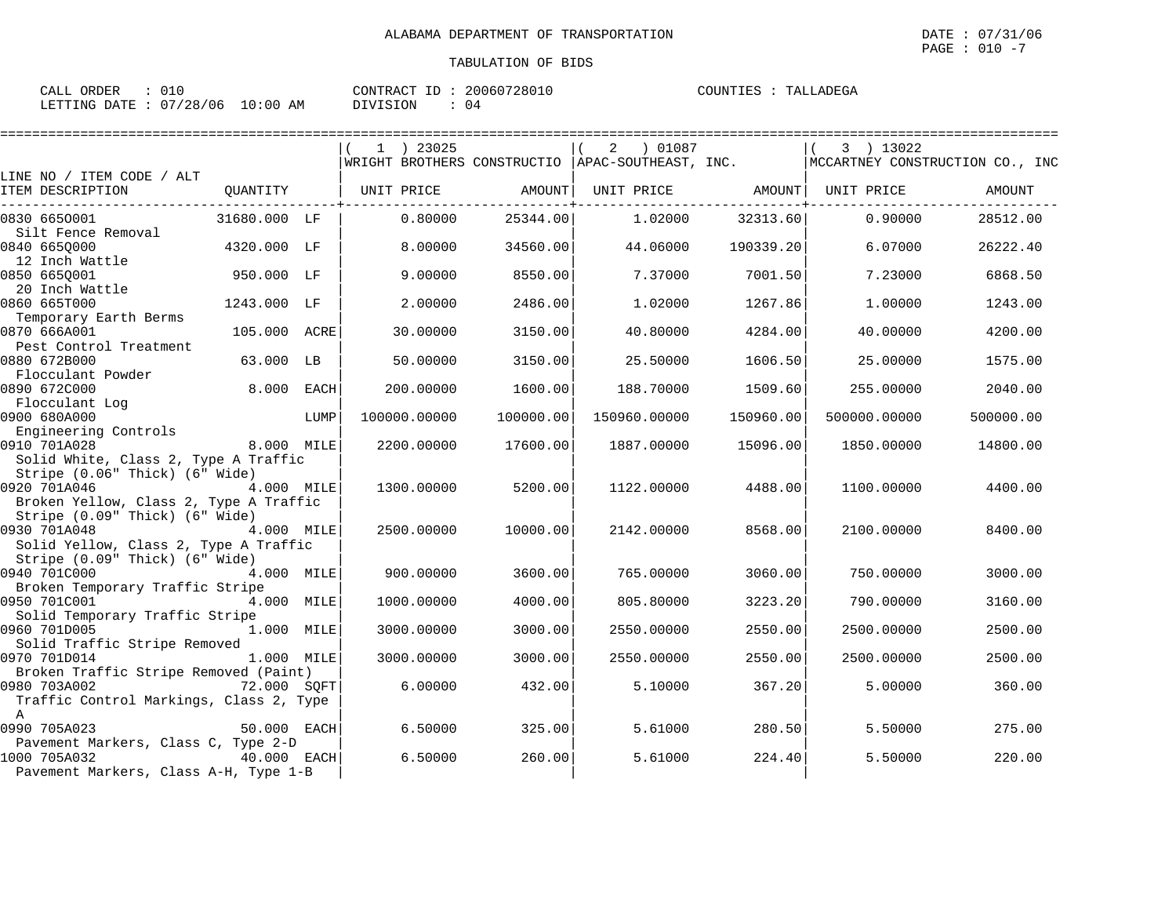| CALL ORDER<br>: 010              |          | CONTRACT ID: 20060728010 | COUNTIES : TALLADEGA |
|----------------------------------|----------|--------------------------|----------------------|
| LETTING DATE : 07/28/06 10:00 AM | DIVISION | $\therefore$ 04          |                      |

|                                                                                                               |              |      | 1 ) 23025                                          | ================== | $\overline{a}$<br>01087 |           | 3 ) 13022                       |           |
|---------------------------------------------------------------------------------------------------------------|--------------|------|----------------------------------------------------|--------------------|-------------------------|-----------|---------------------------------|-----------|
|                                                                                                               |              |      | WRIGHT BROTHERS CONSTRUCTIO   APAC-SOUTHEAST, INC. |                    |                         |           | MCCARTNEY CONSTRUCTION CO., INC |           |
| LINE NO / ITEM CODE / ALT<br>ITEM DESCRIPTION                                                                 |              |      | QUANTITY   UNIT PRICE AMOUNT                       |                    |                         |           | UNIT PRICE AMOUNT UNIT PRICE    | AMOUNT    |
| 0830 6650001<br>Silt Fence Removal                                                                            | 31680.000 LF |      | 0.80000                                            | 25344.00           | 1,02000                 | 32313.60  | 0.90000                         | 28512.00  |
| 0840 6650000<br>12 Inch Wattle                                                                                | 4320.000 LF  |      | 8,00000                                            | 34560.00           | 44.06000                | 190339.20 | 6.07000                         | 26222.40  |
| 0850 6650001<br>20 Inch Wattle                                                                                | 950.000 LF   |      | 9,00000                                            | 8550.00            | 7.37000                 | 7001.50   | 7.23000                         | 6868.50   |
| 0860 665T000<br>Temporary Earth Berms                                                                         | 1243.000 LF  |      | 2.00000                                            | 2486.00            | 1.02000                 | 1267.86   | 1,00000                         | 1243.00   |
| 0870 666A001<br>Pest Control Treatment                                                                        | 105.000 ACRE |      | 30.00000                                           | 3150.00            | 40.80000                | 4284.00   | 40.00000                        | 4200.00   |
| 0880 672B000<br>Flocculant Powder                                                                             | 63.000 LB    |      | 50.00000                                           | 3150.00            | 25.50000                | 1606.50   | 25.00000                        | 1575.00   |
| 0890 672C000<br>Flocculant Log                                                                                | 8.000 EACH   |      | 200.00000                                          | 1600.00            | 188.70000               | 1509.60   | 255.00000                       | 2040.00   |
| 0900 680A000<br>Engineering Controls                                                                          |              | LUMP | 100000.00000                                       | 100000.00          | 150960.00000            | 150960.00 | 500000.00000                    | 500000.00 |
| 0910 701A028<br>Solid White, Class 2, Type A Traffic                                                          | 8.000 MILE   |      | 2200.00000                                         | 17600.00           | 1887.00000              | 15096.00  | 1850.00000                      | 14800.00  |
| Stripe (0.06" Thick) (6" Wide)<br>0920 701A046<br>Broken Yellow, Class 2, Type A Traffic                      | 4.000 MILE   |      | 1300.00000                                         | 5200.00            | 1122,00000              | 4488.00   | 1100.00000                      | 4400.00   |
| Stripe (0.09" Thick) (6" Wide)<br>0930 701A048<br>4.000 MILE<br>Solid Yellow, Class 2, Type A Traffic         |              |      | 2500.00000                                         | 10000.00           | 2142.00000              | 8568.00   | 2100.00000                      | 8400.00   |
| Stripe (0.09" Thick) (6" Wide)<br>0940 701C000                                                                | 4.000 MILE   |      | 900.00000                                          | 3600.00            | 765.00000               | 3060.00   | 750.00000                       | 3000.00   |
| Broken Temporary Traffic Stripe<br>0950 701C001<br>Solid Temporary Traffic Stripe                             | 4.000 MILE   |      | 1000.00000                                         | 4000.00            | 805.80000               | 3223.20   | 790.00000                       | 3160.00   |
| 0960 701D005<br>Solid Traffic Stripe Removed                                                                  | 1.000 MILE   |      | 3000.00000                                         | 3000.00            | 2550.00000              | 2550.00   | 2500.00000                      | 2500.00   |
| 0970 701D014<br>Broken Traffic Stripe Removed (Paint)                                                         | 1.000 MILE   |      | 3000.00000                                         | 3000.00            | 2550.00000              | 2550.00   | 2500.00000                      | 2500.00   |
| 72.000 SQFT<br>0980 703A002<br>Traffic Control Markings, Class 2, Type<br>A                                   |              |      | 6.00000                                            | 432.00             | 5.10000                 | 367.20    | 5.00000                         | 360.00    |
| 0990 705A023                                                                                                  | 50.000 EACH  |      | 6.50000                                            | 325.00             | 5.61000                 | 280.50    | 5.50000                         | 275.00    |
| Pavement Markers, Class C, Type 2-D<br>1000 705A032<br>$40.000$ EACH<br>Pavement Markers, Class A-H, Type 1-B |              |      | 6.50000                                            | 260.00             | 5.61000                 | 224.40    | 5.50000                         | 220.00    |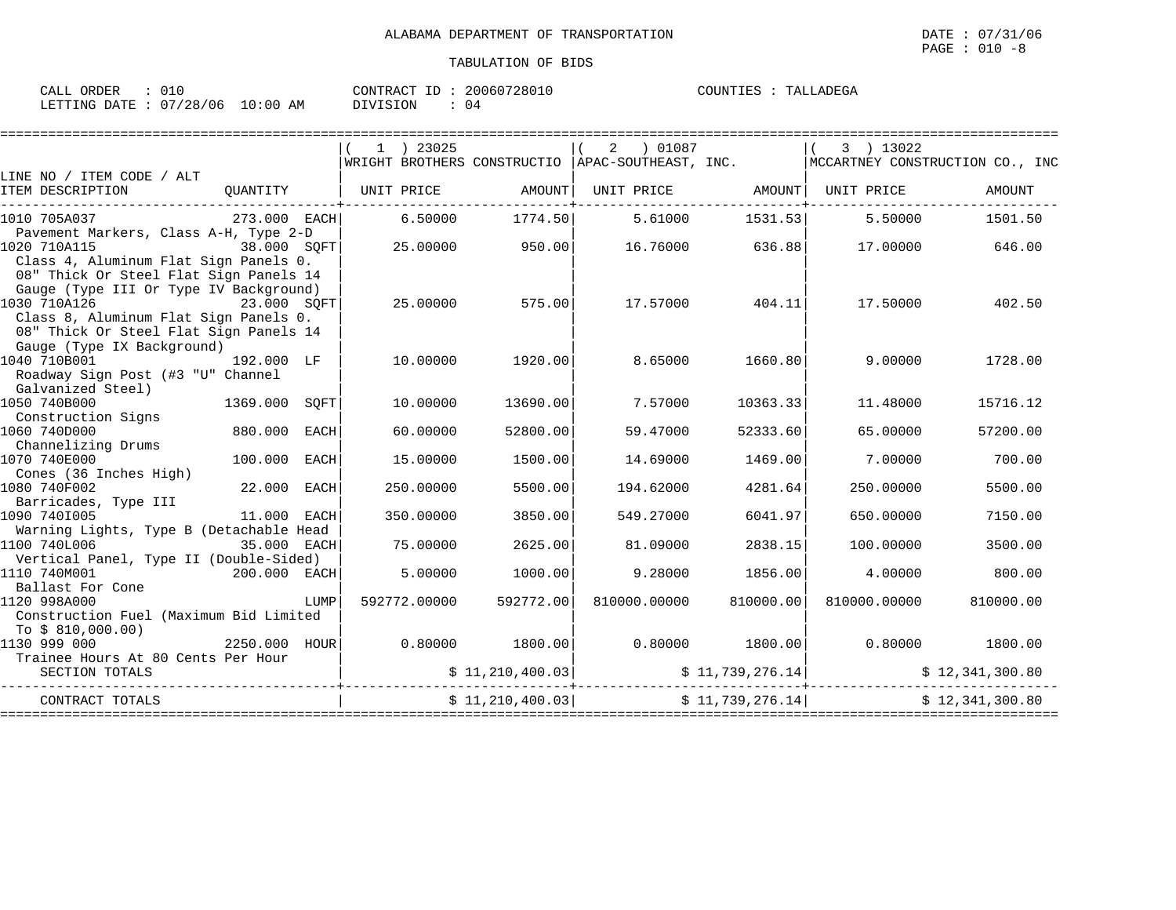| ORDER<br>CALL           |             | 20060728010<br>CONTRACT<br>ID. | TALLADEGA<br>COUNTIES |
|-------------------------|-------------|--------------------------------|-----------------------|
| LETTING DATE : 07/28/06 | 10:00<br>ΆM | <b>DIVISION</b>                |                       |

|                                                                                                                           |                 |      |              |                 |                                                      | ========================== |                                                                  |                                                                                     |
|---------------------------------------------------------------------------------------------------------------------------|-----------------|------|--------------|-----------------|------------------------------------------------------|----------------------------|------------------------------------------------------------------|-------------------------------------------------------------------------------------|
|                                                                                                                           |                 |      | $(1)$ 23025  |                 | $(2)$ 01087                                          |                            | $(3)$ 13022                                                      | WRIGHT BROTHERS CONSTRUCTIO  APAC-SOUTHEAST, INC.   MCCARTNEY CONSTRUCTION CO., INC |
| LINE NO / ITEM CODE / ALT<br>ITEM DESCRIPTION                                                                             |                 |      |              |                 |                                                      |                            | QUANTITY   UNIT PRICE AMOUNT UNIT PRICE AMOUNT AMOUNT UNIT PRICE | AMOUNT                                                                              |
| 1010 705A037                                                                                                              |                 |      |              |                 | 273.000 EACH 6.50000 1774.50 5.61000 1531.53 1531.53 |                            | 5.50000                                                          | 1501.50                                                                             |
| Pavement Markers, Class A-H, Type 2-D<br>1020 710A115<br>$38.000$ SQFT                                                    |                 |      |              |                 |                                                      |                            | $25.00000$ $950.00$ $16.76000$ $636.88$ $17.00000$ $646.00$      |                                                                                     |
| Class 4, Aluminum Flat Sign Panels 0.<br>08" Thick Or Steel Flat Sign Panels 14<br>Gauge (Type III Or Type IV Background) |                 |      |              |                 |                                                      |                            |                                                                  |                                                                                     |
| Class 8, Aluminum Flat Sign Panels 0.                                                                                     |                 |      |              | 25.00000 575.00 |                                                      | $17.57000$ 404.11          | 17.50000                                                         | 402.50                                                                              |
| 08" Thick Or Steel Flat Sign Panels 14<br>Gauge (Type IX Background)                                                      |                 |      |              |                 |                                                      |                            |                                                                  |                                                                                     |
| 1040 710B001<br>Roadway Sign Post (#3 "U" Channel                                                                         | 192.000 LF      |      | 10.00000     | 1920.00         | 8.65000 1660.80                                      |                            | 9.00000                                                          | 1728.00                                                                             |
| Galvanized Steel)<br>1050 740B000                                                                                         | $1369.000$ SQFT |      | 10.00000     | 13690.00        | 7.57000                                              | 10363.33                   | 11.48000                                                         | 15716.12                                                                            |
| Construction Signs<br>880.000 EACH<br>1060 740D000                                                                        |                 |      | 60.00000     | 52800.00        | 59.47000                                             | 52333.60                   | 65.00000                                                         | 57200.00                                                                            |
| Channelizing Drums<br>1070 740E000<br>Cones (36 Inches High)                                                              | 100.000 EACH    |      | 15.00000     | 1500.00         | 14.69000                                             | 1469.00                    | 7.00000                                                          | 700.00                                                                              |
| 1080 740F002<br>Barricades, Type III                                                                                      | $22.000$ EACH   |      | 250.00000    | 5500.00         | 194.62000                                            | 4281.64                    | 250.00000                                                        | 5500.00                                                                             |
| 1090 7401005<br>Warning Lights, Type B (Detachable Head                                                                   | 11.000 EACH     |      | 350.00000    | 3850.00         | 549.27000                                            | 6041.97                    | 650.00000                                                        | 7150.00                                                                             |
| 1100 740L006<br>35.000 EACH<br>Vertical Panel, Type II (Double-Sided)                                                     |                 |      | 75.00000     | 2625.00         | 81.09000                                             | 2838.15                    | 100.00000                                                        | 3500.00                                                                             |
| $200.000$ EACH<br>1110 740M001<br>Ballast For Cone                                                                        |                 |      | 5.00000      | 1000.00         | 9.28000                                              | 1856.00                    | 4.00000                                                          | 800.00                                                                              |
| 1120 998A000<br>Construction Fuel (Maximum Bid Limited                                                                    |                 | LUMP | 592772.00000 | 592772.00       | 810000.00000                                         | 810000.00                  | 810000.00000                                                     | 810000.00                                                                           |
| To \$ 810,000.00)<br>1130 999 000                                                                                         | 2250.000 HOUR   |      |              |                 |                                                      |                            | $0.80000$ $1800.00$ $0.80000$ $1800.00$ $0.80000$ $1800.00$      |                                                                                     |
| Trainee Hours At 80 Cents Per Hour<br>SECTION TOTALS                                                                      |                 |      |              |                 |                                                      |                            |                                                                  |                                                                                     |
| CONTRACT TOTALS                                                                                                           |                 |      |              |                 | $\upbeta$ 11, 210, 400.03 $\upbeta$ 11, 739, 276.14  |                            |                                                                  | \$12,341,300.80                                                                     |
|                                                                                                                           |                 |      |              |                 |                                                      |                            |                                                                  |                                                                                     |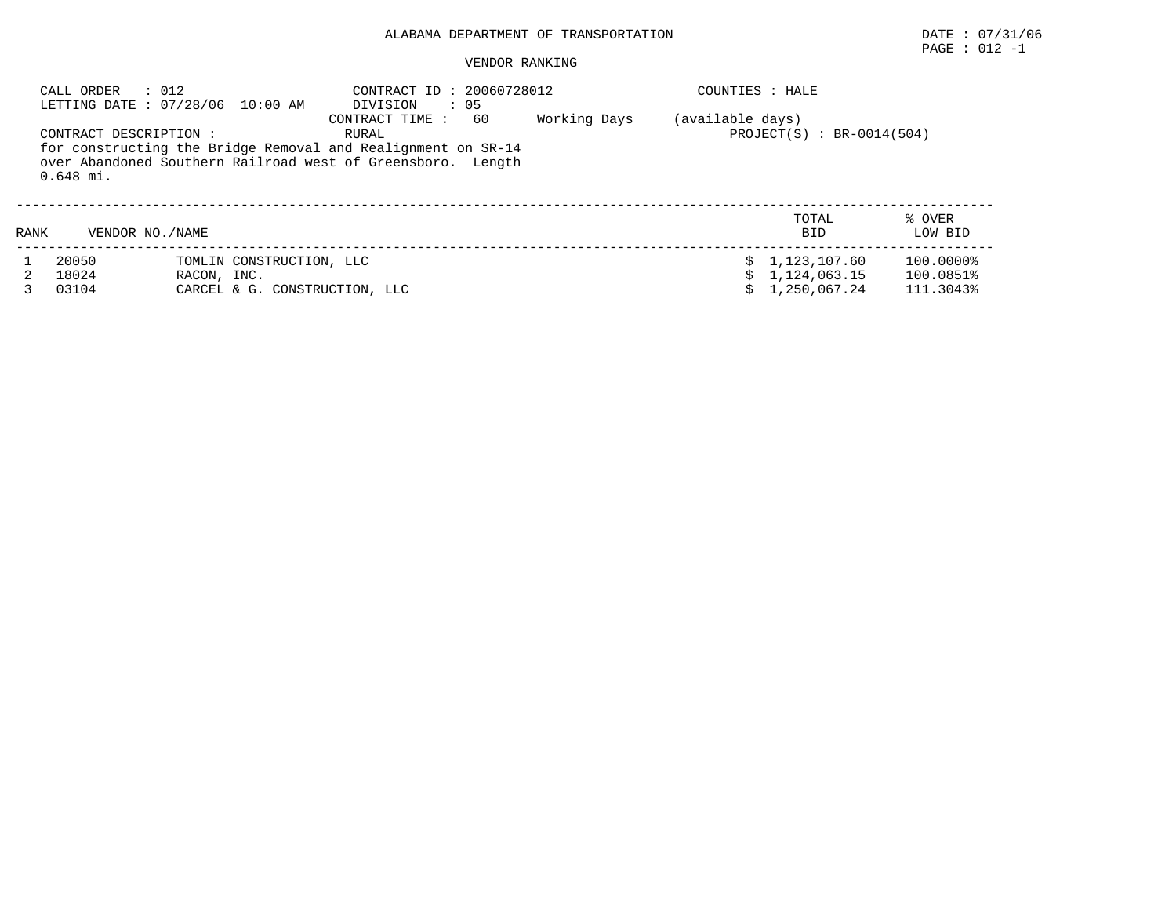## ALABAMA DEPARTMENT OF TRANSPORTATION DATE : 07/31/06

#### VENDOR RANKING

|      | CALL ORDER<br>$\therefore$ 012        | LETTING DATE : 07/28/06 10:00 AM                                         | CONTRACT ID: 20060728012<br>$\therefore$ 05<br>DIVISION                                                                                                      |              | COUNTIES : HALE  |                                                |                                     |
|------|---------------------------------------|--------------------------------------------------------------------------|--------------------------------------------------------------------------------------------------------------------------------------------------------------|--------------|------------------|------------------------------------------------|-------------------------------------|
|      | CONTRACT DESCRIPTION :<br>$0.648$ mi. |                                                                          | 60<br>CONTRACT TIME:<br>RURAL<br>for constructing the Bridge Removal and Realignment on SR-14<br>over Abandoned Southern Railroad west of Greensboro. Length | Working Days | (available days) | $PROJECT(S)$ : BR-0014(504)                    |                                     |
| RANK | VENDOR NO. / NAME                     |                                                                          |                                                                                                                                                              |              |                  | TOTAL<br><b>BID</b>                            | % OVER<br>LOW BID                   |
|      | 20050<br>18024<br>03104               | TOMLIN CONSTRUCTION, LLC<br>RACON, INC.<br>CARCEL & G. CONSTRUCTION, LLC |                                                                                                                                                              |              |                  | 1,123,107.60<br>\$1,124,063.15<br>1,250,067.24 | 100.0000%<br>100.0851%<br>111.3043% |

 $\texttt{PAGE}$  : 012 -1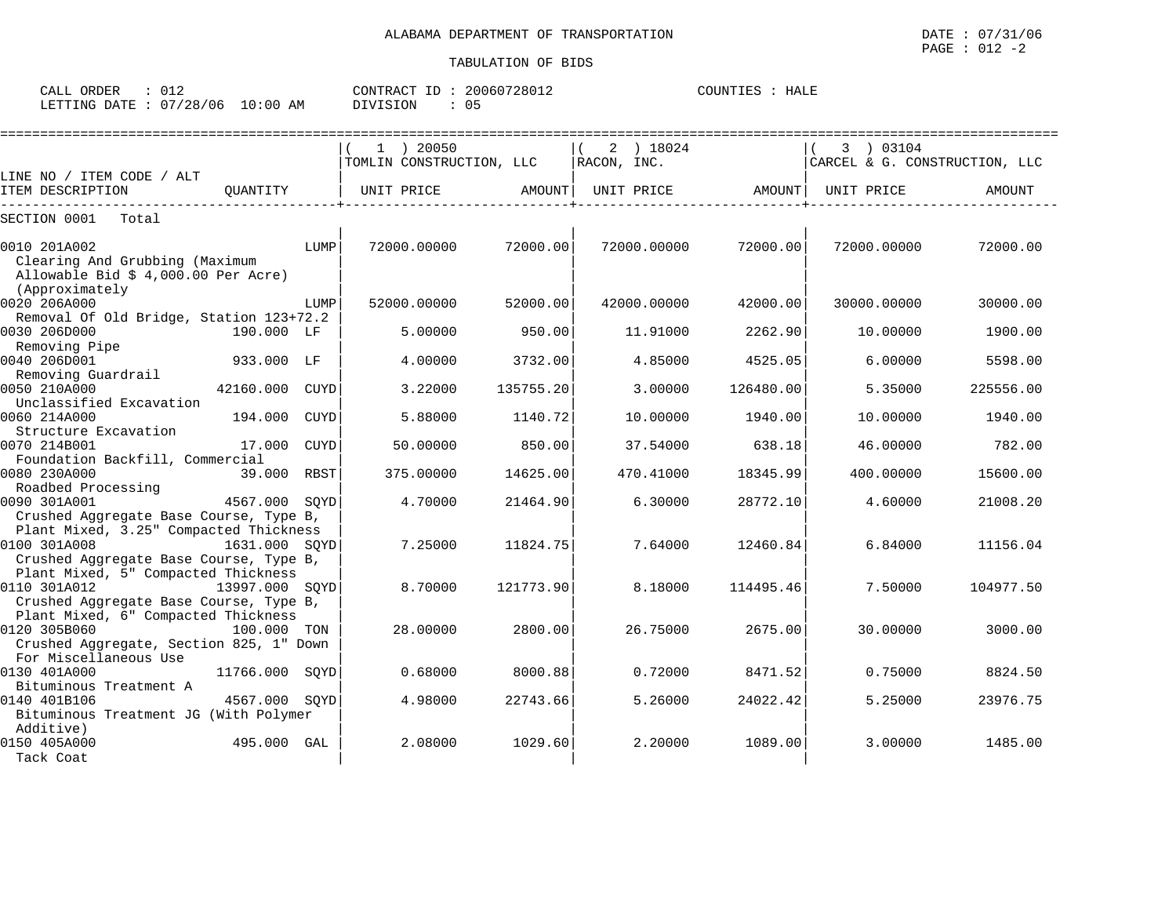| ORDER<br>CALL (                 |  |          | CONTRACT ID: 20060728012 | COUNTIES : HALE |  |
|---------------------------------|--|----------|--------------------------|-----------------|--|
| LETTING DATE: 07/28/06 10:00 AM |  | DIVISION |                          |                 |  |

| CARCEL & G. CONSTRUCTION, LLC |
|-------------------------------|
|                               |
|                               |
|                               |
| AMOUNT                        |
|                               |
|                               |
| 72000.00                      |
|                               |
|                               |
| 30000.00                      |
|                               |
| 1900.00                       |
|                               |
| 5598.00                       |
|                               |
| 225556.00                     |
|                               |
| 1940.00                       |
|                               |
| 782.00                        |
|                               |
| 15600.00                      |
| 21008.20                      |
|                               |
|                               |
| 11156.04                      |
|                               |
|                               |
| 104977.50                     |
|                               |
|                               |
| 3000.00                       |
|                               |
|                               |
| 8824.50                       |
| 23976.75                      |
|                               |
|                               |
| 1485.00                       |
|                               |
|                               |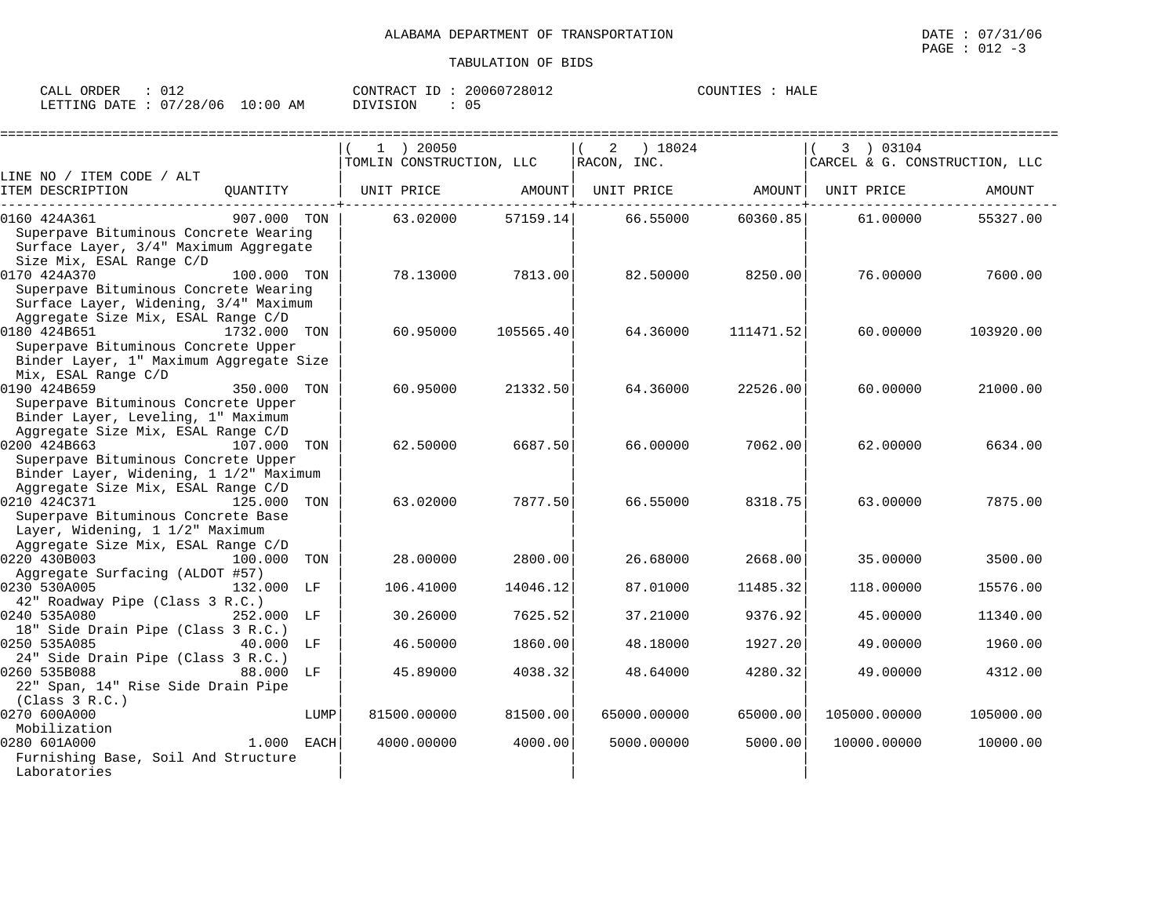| CALL ORDER : 012                |  |          | CONTRACT ID: 20060728012 | COUNTIES : HALE |  |
|---------------------------------|--|----------|--------------------------|-----------------|--|
| LETTING DATE: 07/28/06 10:00 AM |  | DIVISION | $\therefore$ 05          |                 |  |

|                                                                                                                                 |              |      | $1$ ) 20050              |           | ) 18024<br>2      |           | 3 ) 03104                     |           |
|---------------------------------------------------------------------------------------------------------------------------------|--------------|------|--------------------------|-----------|-------------------|-----------|-------------------------------|-----------|
|                                                                                                                                 |              |      | TOMLIN CONSTRUCTION, LLC |           | RACON, INC.       |           | CARCEL & G. CONSTRUCTION, LLC |           |
| LINE NO / ITEM CODE / ALT                                                                                                       |              |      |                          |           |                   |           |                               |           |
| ITEM DESCRIPTION                                                                                                                | OUANTITY     |      |                          |           | UNIT PRICE AMOUNT |           | UNIT PRICE                    | AMOUNT    |
| 0160 424A361                                                                                                                    | 907.000 TON  |      | 63.02000                 | 57159.14  | 66.55000          | 60360.85  | 61.00000                      | 55327.00  |
| Superpave Bituminous Concrete Wearing<br>Surface Layer, 3/4" Maximum Aggregate                                                  |              |      |                          |           |                   |           |                               |           |
| Size Mix, ESAL Range C/D<br>0170 424A370<br>Superpave Bituminous Concrete Wearing<br>Surface Layer, Widening, 3/4" Maximum      | 100.000 TON  |      | 78.13000                 | 7813.00   | 82.50000          | 8250.00   | 76.00000                      | 7600.00   |
| Aggregate Size Mix, ESAL Range C/D<br>0180 424B651<br>Superpave Bituminous Concrete Upper                                       | 1732.000 TON |      | 60.95000                 | 105565.40 | 64.36000          | 111471.52 | 60.00000                      | 103920.00 |
| Binder Layer, 1" Maximum Aggregate Size<br>Mix, ESAL Range C/D                                                                  |              |      |                          |           |                   |           |                               |           |
| 0190 424B659<br>Superpave Bituminous Concrete Upper<br>Binder Layer, Leveling, 1" Maximum<br>Aggregate Size Mix, ESAL Range C/D | 350.000 TON  |      | 60.95000                 | 21332.50  | 64.36000          | 22526.00  | 60.00000                      | 21000.00  |
| 0200 424B663<br>Superpave Bituminous Concrete Upper<br>Binder Layer, Widening, 1 1/2" Maximum                                   | 107.000 TON  |      | 62.50000                 | 6687.50   | 66.00000          | 7062.00   | 62.00000                      | 6634.00   |
| Aggregate Size Mix, ESAL Range C/D<br>0210 424C371<br>Superpave Bituminous Concrete Base<br>Layer, Widening, 1 1/2" Maximum     | 125.000      | TON  | 63.02000                 | 7877.50   | 66.55000          | 8318.75   | 63.00000                      | 7875.00   |
| Aggregate Size Mix, ESAL Range C/D<br>0220 430B003<br>Aggregate Surfacing (ALDOT #57)                                           | 100.000      | TON  | 28,00000                 | 2800.00   | 26.68000          | 2668.00   | 35.00000                      | 3500.00   |
| 0230 530A005                                                                                                                    | 132.000 LF   |      | 106.41000                | 14046.12  | 87.01000          | 11485.32  | 118.00000                     | 15576.00  |
| 42" Roadway Pipe (Class 3 R.C.)<br>0240 535A080<br>18" Side Drain Pipe (Class 3 R.C.)                                           | 252.000 LF   |      | 30.26000                 | 7625.52   | 37.21000          | 9376.92   | 45.00000                      | 11340.00  |
| 0250 535A085<br>24" Side Drain Pipe (Class 3 R.C.)                                                                              | 40.000 LF    |      | 46.50000                 | 1860.00   | 48.18000          | 1927.20   | 49.00000                      | 1960.00   |
| 0260 535B088<br>22" Span, 14" Rise Side Drain Pipe<br>(Class 3 R.C.)                                                            | 88.000       | LF   | 45.89000                 | 4038.32   | 48.64000          | 4280.32   | 49.00000                      | 4312.00   |
| 0270 600A000<br>Mobilization                                                                                                    |              | LUMP | 81500.00000              | 81500.00  | 65000.00000       | 65000.00  | 105000.00000                  | 105000.00 |
| 0280 601A000<br>Furnishing Base, Soil And Structure<br>Laboratories                                                             | 1.000        | EACH | 4000.00000               | 4000.00   | 5000.00000        | 5000.00   | 10000.00000                   | 10000.00  |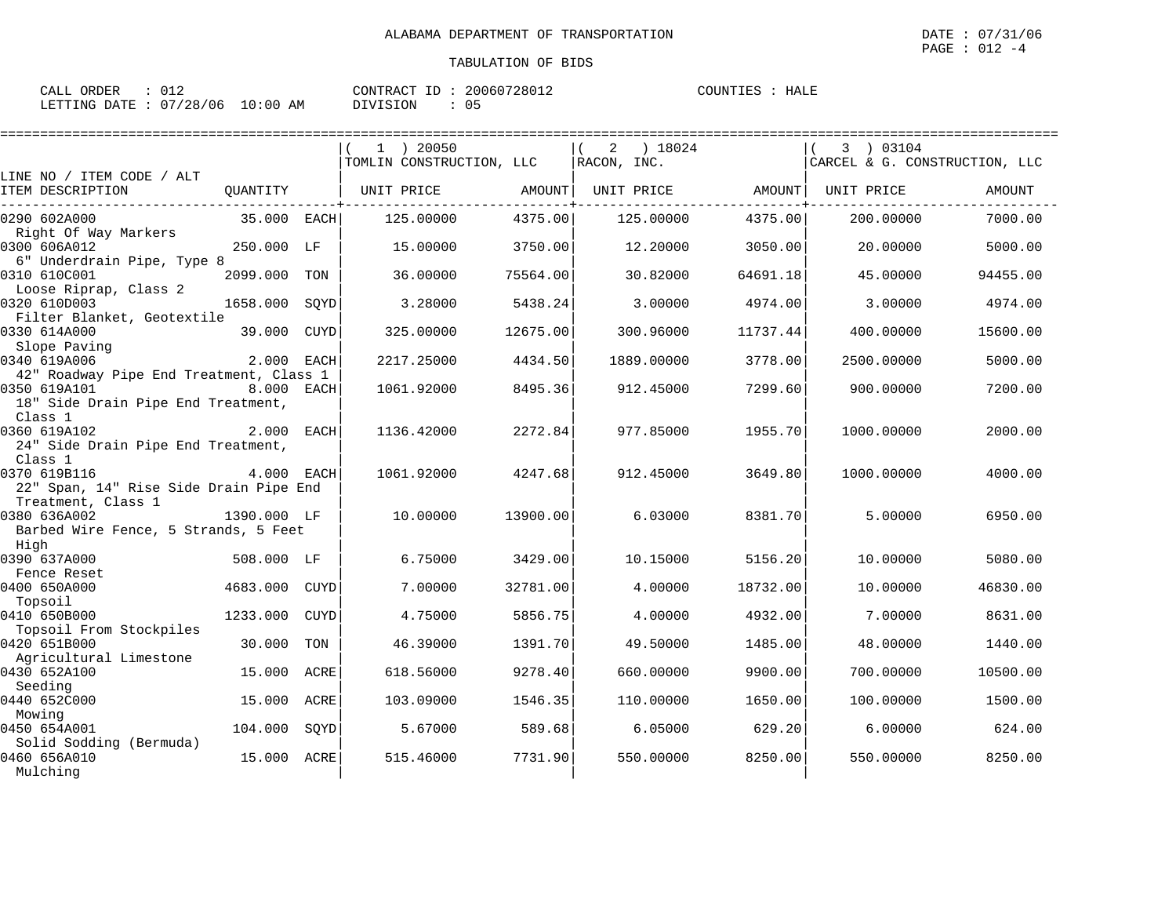| CALL ORDER                      | : 012 |          |  | CONTRACT ID: 20060728012 | COUNTIES : HALE |  |
|---------------------------------|-------|----------|--|--------------------------|-----------------|--|
| LETTING DATE: 07/28/06 10:00 AM |       | DIVISION |  | : 05                     |                 |  |

|                                                                            |               |      | $1$ ) 20050<br>TOMLIN CONSTRUCTION, LLC |          | 18024<br>2<br>RACON, INC. |          | 3 ) 03104<br>CARCEL & G. CONSTRUCTION, LLC |          |
|----------------------------------------------------------------------------|---------------|------|-----------------------------------------|----------|---------------------------|----------|--------------------------------------------|----------|
| LINE NO / ITEM CODE / ALT                                                  |               |      |                                         |          |                           |          |                                            |          |
| ITEM DESCRIPTION                                                           | OUANTITY      |      | UNIT PRICE                              | AMOUNT   | UNIT PRICE AMOUNT         |          | UNIT PRICE                                 | AMOUNT   |
| 0290 602A000<br>Right Of Way Markers                                       | 35.000 EACH   |      | 125,00000                               | 4375.00  | 125,00000                 | 4375.00  | 200.00000                                  | 7000.00  |
| 0300 606A012<br>6" Underdrain Pipe, Type 8                                 | 250.000 LF    |      | 15.00000                                | 3750.00  | 12.20000                  | 3050.00  | 20.00000                                   | 5000.00  |
| 0310 610C001                                                               | 2099.000 TON  |      | 36.00000                                | 75564.00 | 30.82000                  | 64691.18 | 45.00000                                   | 94455.00 |
| Loose Riprap, Class 2<br>0320 610D003                                      | 1658.000      | SOYD | 3.28000                                 | 5438.24  | 3.00000                   | 4974.00  | 3.00000                                    | 4974.00  |
| Filter Blanket, Geotextile<br>0330 614A000<br>Slope Paving                 | 39.000 CUYD   |      | 325.00000                               | 12675.00 | 300.96000                 | 11737.44 | 400.00000                                  | 15600.00 |
| 0340 619A006<br>42" Roadway Pipe End Treatment, Class 1                    | 2.000 EACH    |      | 2217.25000                              | 4434.50  | 1889.00000                | 3778.00  | 2500.00000                                 | 5000.00  |
| 0350 619A101<br>18" Side Drain Pipe End Treatment,<br>Class 1              | 8.000 EACH    |      | 1061.92000                              | 8495.36  | 912.45000                 | 7299.60  | 900.00000                                  | 7200.00  |
| 0360 619A102<br>24" Side Drain Pipe End Treatment,<br>Class 1              | 2.000 EACH    |      | 1136.42000                              | 2272.84  | 977.85000                 | 1955.70  | 1000.00000                                 | 2000.00  |
| 0370 619B116<br>22" Span, 14" Rise Side Drain Pipe End                     | 4.000 EACH    |      | 1061.92000                              | 4247.68  | 912.45000                 | 3649.80  | 1000.00000                                 | 4000.00  |
| Treatment, Class 1<br>0380 636A002<br>Barbed Wire Fence, 5 Strands, 5 Feet | 1390.000 LF   |      | 10.00000                                | 13900.00 | 6.03000                   | 8381.70  | 5.00000                                    | 6950.00  |
| High<br>0390 637A000                                                       | 508.000 LF    |      | 6.75000                                 | 3429.00  | 10.15000                  | 5156.20  | 10.00000                                   | 5080.00  |
| Fence Reset<br>0400 650A000<br>Topsoil                                     | 4683.000 CUYD |      | 7.00000                                 | 32781.00 | 4,00000                   | 18732.00 | 10.00000                                   | 46830.00 |
| 0410 650B000<br>Topsoil From Stockpiles                                    | 1233.000      | CUYD | 4.75000                                 | 5856.75  | 4.00000                   | 4932.00  | 7.00000                                    | 8631.00  |
| 0420 651B000<br>Agricultural Limestone                                     | 30.000        | TON  | 46.39000                                | 1391.70  | 49.50000                  | 1485.00  | 48.00000                                   | 1440.00  |
| 0430 652A100<br>Seeding                                                    | 15.000        | ACRE | 618.56000                               | 9278.40  | 660.00000                 | 9900.00  | 700.00000                                  | 10500.00 |
| 0440 652C000<br>Mowing                                                     | 15.000        | ACRE | 103.09000                               | 1546.35  | 110.00000                 | 1650.00  | 100.00000                                  | 1500.00  |
| 0450 654A001<br>Solid Sodding (Bermuda)                                    | 104.000       | SQYD | 5.67000                                 | 589.68   | 6.05000                   | 629.20   | 6.00000                                    | 624.00   |
| 0460 656A010<br>Mulching                                                   | 15.000 ACRE   |      | 515.46000                               | 7731.90  | 550.00000                 | 8250.00  | 550.00000                                  | 8250.00  |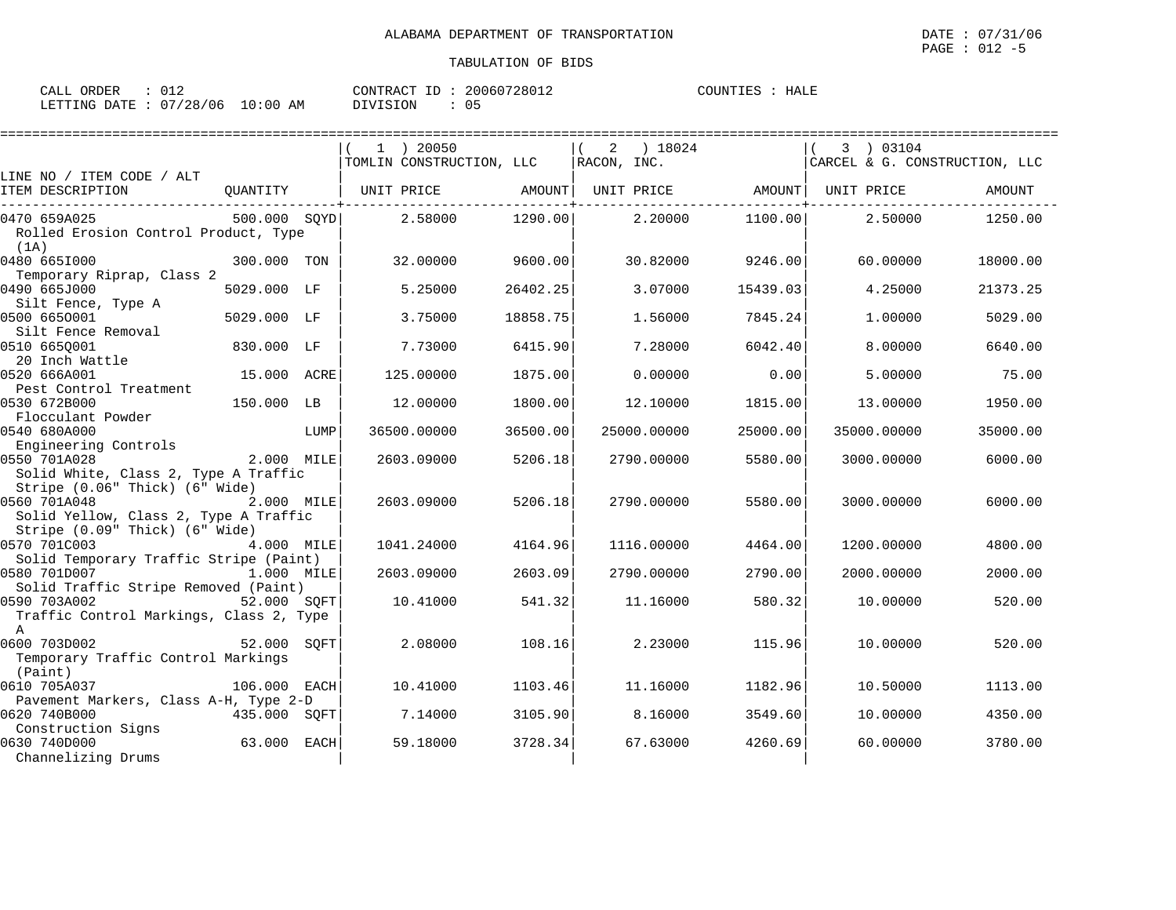| ORDER<br>CALL          |             | CONTRACT ID    | 20060728012 | HALE<br>COUNTIES |
|------------------------|-------------|----------------|-------------|------------------|
| LETTING DATE: 07/28/06 | 10:00<br>AM | DIVISION<br>η۱ |             |                  |

|                                                                                                                |              |      |                                         |          |                             |          |                                            | ======================== |
|----------------------------------------------------------------------------------------------------------------|--------------|------|-----------------------------------------|----------|-----------------------------|----------|--------------------------------------------|--------------------------|
|                                                                                                                |              |      | $1$ ) 20050<br>TOMLIN CONSTRUCTION, LLC |          | ) 18024<br>2<br>RACON, INC. |          | 3 ) 03104<br>CARCEL & G. CONSTRUCTION, LLC |                          |
| LINE NO / ITEM CODE / ALT                                                                                      |              |      |                                         |          |                             |          |                                            |                          |
| ITEM DESCRIPTION                                                                                               | QUANTITY     |      | UNIT PRICE                              | AMOUNT   | UNIT PRICE                  | AMOUNT   | UNIT PRICE                                 | <b>AMOUNT</b>            |
| 0470 659A025<br>Rolled Erosion Control Product, Type<br>(1A)                                                   | 500.000 SQYD |      | 2.58000                                 | 1290.00  | 2,20000                     | 1100.00  | 2.50000                                    | 1250.00                  |
| 0480 6651000<br>Temporary Riprap, Class 2                                                                      | 300.000 TON  |      | 32.00000                                | 9600.00  | 30.82000                    | 9246.00  | 60,00000                                   | 18000.00                 |
| 0490 665J000<br>Silt Fence, Type A                                                                             | 5029.000 LF  |      | 5.25000                                 | 26402.25 | 3.07000                     | 15439.03 | 4.25000                                    | 21373.25                 |
| 0500 6650001<br>Silt Fence Removal                                                                             | 5029.000 LF  |      | 3.75000                                 | 18858.75 | 1.56000                     | 7845.24  | 1,00000                                    | 5029.00                  |
| 0510 6650001<br>20 Inch Wattle                                                                                 | 830.000 LF   |      | 7.73000                                 | 6415.90  | 7.28000                     | 6042.40  | 8,00000                                    | 6640.00                  |
| 0520 666A001<br>Pest Control Treatment                                                                         | 15.000 ACRE  |      | 125.00000                               | 1875.00  | 0.00000                     | 0.00     | 5.00000                                    | 75.00                    |
| 0530 672B000<br>Flocculant Powder                                                                              | 150.000 LB   |      | 12,00000                                | 1800.00  | 12.10000                    | 1815.00  | 13,00000                                   | 1950.00                  |
| 0540 680A000                                                                                                   |              | LUMP | 36500.00000                             | 36500.00 | 25000.00000                 | 25000.00 | 35000.00000                                | 35000.00                 |
| Engineering Controls<br>0550 701A028<br>Solid White, Class 2, Type A Traffic<br>Stripe (0.06" Thick) (6" Wide) | 2.000 MILE   |      | 2603.09000                              | 5206.18  | 2790.00000                  | 5580.00  | 3000.00000                                 | 6000.00                  |
| 0560 701A048<br>Solid Yellow, Class 2, Type A Traffic<br>Stripe (0.09" Thick) (6" Wide)                        | 2.000 MILE   |      | 2603.09000                              | 5206.18  | 2790.00000                  | 5580.00  | 3000.00000                                 | 6000.00                  |
| 0570 701C003<br>Solid Temporary Traffic Stripe (Paint)                                                         | 4.000 MILE   |      | 1041.24000                              | 4164.96  | 1116.00000                  | 4464.00  | 1200.00000                                 | 4800.00                  |
| 0580 701D007<br>Solid Traffic Stripe Removed (Paint)                                                           | 1.000 MILE   |      | 2603.09000                              | 2603.09  | 2790.00000                  | 2790.00  | 2000.00000                                 | 2000.00                  |
| 0590 703A002<br>Traffic Control Markings, Class 2, Type<br>$\mathbb{A}$                                        | 52.000 SQFT  |      | 10.41000                                | 541.32   | 11.16000                    | 580.32   | 10.00000                                   | 520.00                   |
| 0600 703D002<br>Temporary Traffic Control Markings<br>(Paint)                                                  | 52.000 SQFT  |      | 2.08000                                 | 108.16   | 2.23000                     | 115.96   | 10.00000                                   | 520.00                   |
| 0610 705A037<br>Pavement Markers, Class A-H, Type 2-D                                                          | 106.000      | EACH | 10.41000                                | 1103.46  | 11.16000                    | 1182.96  | 10.50000                                   | 1113.00                  |
| 0620 740B000<br>Construction Signs                                                                             | 435.000 SQFT |      | 7.14000                                 | 3105.90  | 8.16000                     | 3549.60  | 10.00000                                   | 4350.00                  |
| 0630 740D000<br>Channelizing Drums                                                                             | 63.000       | EACH | 59.18000                                | 3728.34  | 67.63000                    | 4260.69  | 60.00000                                   | 3780.00                  |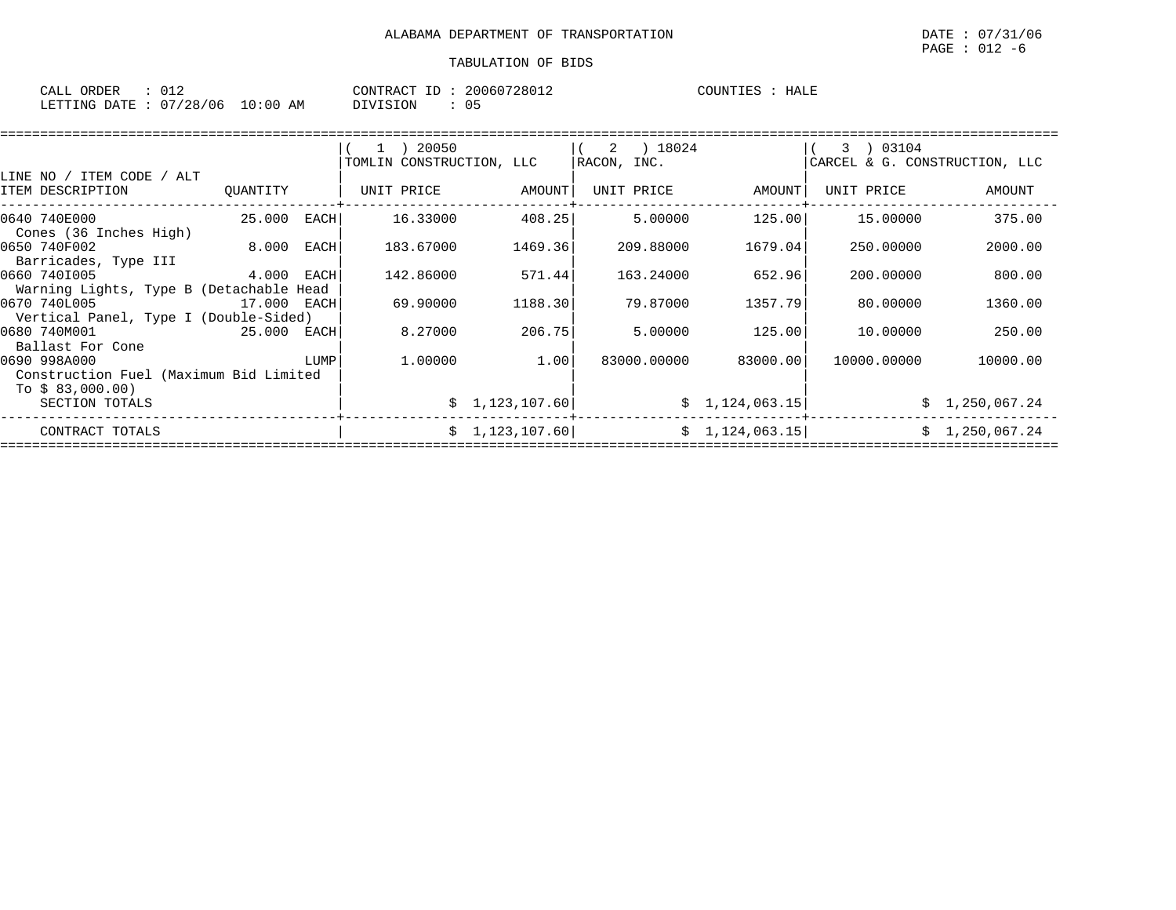| CALL ORDER                       | $\therefore$ 012 |  |          | CONTRACT ID: 20060728012 | COUNTIES : HALE |  |
|----------------------------------|------------------|--|----------|--------------------------|-----------------|--|
| LETTING DATE : 07/28/06 10:00 AM |                  |  | DIVISION |                          |                 |  |

| LINE NO / ITEM CODE / ALT                                                  |             |      | 20050<br>$1$ )<br>TOMLIN CONSTRUCTION, LLC |                | ) 18024<br>$\overline{\phantom{a}}^2$<br> RACON, INC. |                 | 3 ) 03104<br>CARCEL & G. CONSTRUCTION, LLC |                |
|----------------------------------------------------------------------------|-------------|------|--------------------------------------------|----------------|-------------------------------------------------------|-----------------|--------------------------------------------|----------------|
| ITEM DESCRIPTION                                                           | QUANTITY    |      | UNIT PRICE                                 | AMOUNT         | UNIT PRICE                                            | AMOUNT          | UNIT PRICE                                 | AMOUNT         |
| 0640 740E000<br>Cones (36 Inches High)                                     | 25.000      | EACH | 16.33000                                   | 408.25         | 5.00000                                               | 125.00          | 15.00000                                   | 375.00         |
| 0650 740F002<br>Barricades, Type III                                       | 8.000       | EACH | 183.67000                                  | 1469.36        | 209.88000                                             | 1679.04         | 250.00000                                  | 2000.00        |
| 0660 7401005<br>Warning Lights, Type B (Detachable Head                    | 4.000 EACH  |      | 142.86000                                  | 571.44         | 163.24000                                             | 652.96          | 200.00000                                  | 800.00         |
| 0670 740L005<br>Vertical Panel, Type I (Double-Sided)                      | 17.000 EACH |      | 69.90000                                   | 1188.30        | 79.87000                                              | 1357.79         | 80.00000                                   | 1360.00        |
| 0680 740M001<br>Ballast For Cone                                           | 25.000 EACH |      | 8.27000                                    | 206.75         | 5.00000                                               | 125.00          | 10.00000                                   | 250.00         |
| 0690 998A000<br>Construction Fuel (Maximum Bid Limited<br>To $$83,000.00)$ |             | LUMP | 1,00000                                    | 1.00           | 83000.00000                                           | 83000.00        | 10000.00000                                | 10000.00       |
| SECTION TOTALS                                                             |             |      |                                            | \$1,123,107.60 |                                                       | \$1,124,063.15] |                                            | \$1,250,067.24 |
| CONTRACT TOTALS                                                            |             |      |                                            | \$1,123,107.60 |                                                       | \$1,124,063.15] |                                            | \$1,250,067.24 |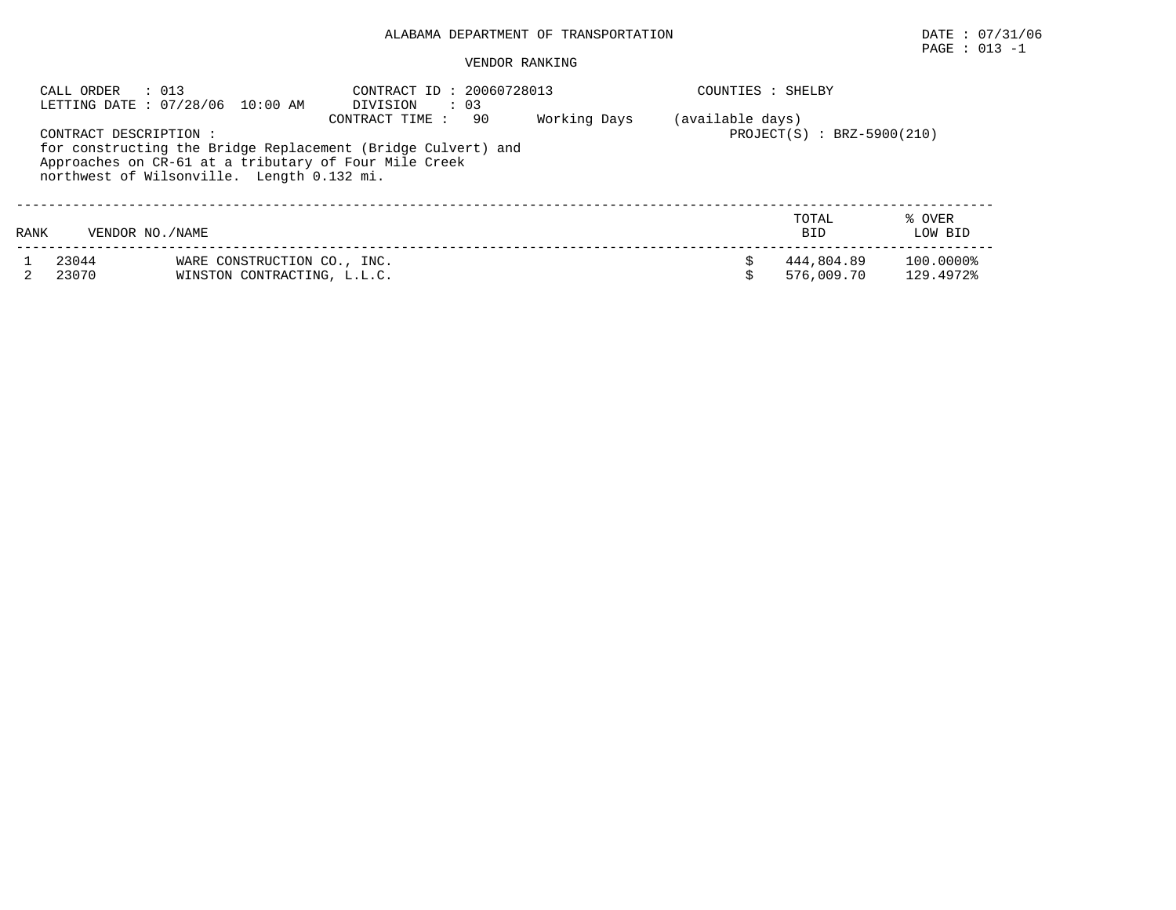# $\texttt{PAGE}$  : 013 -1

|      | : 013<br>CALL ORDER    | LETTING DATE: 07/28/06 10:00 AM                                                                                                                                     | CONTRACT ID: 20060728013<br>DIVISION | $\therefore$ 03 |              | COUNTIES : SHELBY |                              |                        |
|------|------------------------|---------------------------------------------------------------------------------------------------------------------------------------------------------------------|--------------------------------------|-----------------|--------------|-------------------|------------------------------|------------------------|
|      | CONTRACT DESCRIPTION : | for constructing the Bridge Replacement (Bridge Culvert) and<br>Approaches on CR-61 at a tributary of Four Mile Creek<br>northwest of Wilsonville. Length 0.132 mi. | CONTRACT TIME:                       | 90              | Working Days | (available days)  | $PROJECT(S)$ : BRZ-5900(210) |                        |
| RANK | VENDOR NO./NAME        |                                                                                                                                                                     |                                      |                 |              |                   | TOTAL<br><b>BID</b>          | % OVER<br>LOW BID      |
|      | 23044<br>23070         | WARE CONSTRUCTION CO., INC.<br>WINSTON CONTRACTING, L.L.C.                                                                                                          |                                      |                 |              |                   | 444,804.89<br>576,009.70     | 100.0000%<br>129.4972% |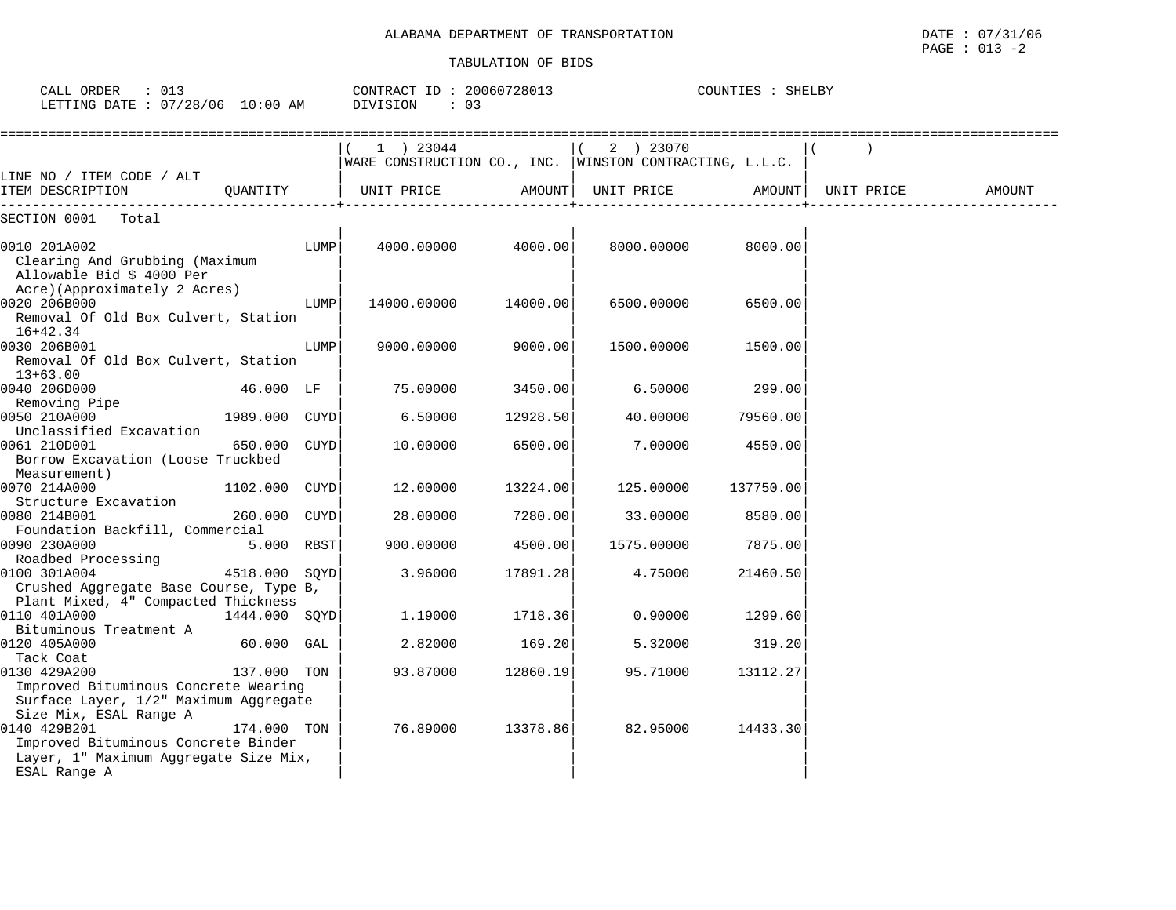CALL ORDER : 013 CONTRACT ID : 20060728013 COUNTIES : SHELBY

| LETTING DATE : 07/28/06 10:00 AM                                                                                        |               | DIVISION<br>$\colon$ 03                                                |          |            |           |            |        |
|-------------------------------------------------------------------------------------------------------------------------|---------------|------------------------------------------------------------------------|----------|------------|-----------|------------|--------|
|                                                                                                                         |               | 1 ) 23044<br>WARE CONSTRUCTION CO., INC.   WINSTON CONTRACTING, L.L.C. |          | 2 ) 23070  |           |            |        |
| LINE NO / ITEM CODE / ALT<br>ITEM DESCRIPTION<br>OUANTITY                                                               |               | UNIT PRICE                                                             | AMOUNT   | UNIT PRICE | AMOUNT    | UNIT PRICE | AMOUNT |
| SECTION 0001 Total                                                                                                      |               |                                                                        |          |            |           |            |        |
| 0010 201A002<br>Clearing And Grubbing (Maximum<br>Allowable Bid \$ 4000 Per                                             | LUMP          | 4000.00000                                                             | 4000.00  | 8000.00000 | 8000.00   |            |        |
| Acre)(Approximately 2 Acres)<br>0020 206B000<br>Removal Of Old Box Culvert, Station                                     | LUMP          | 14000.00000                                                            | 14000.00 | 6500.00000 | 6500.00   |            |        |
| 16+42.34<br>0030 206B001<br>Removal Of Old Box Culvert, Station<br>$13+63.00$                                           | LUMP          | 9000.00000                                                             | 9000.00  | 1500.00000 | 1500.00   |            |        |
| 0040 206D000                                                                                                            | 46.000 LF     | 75.00000                                                               | 3450.00  | 6.50000    | 299.00    |            |        |
| Removing Pipe<br>0050 210A000<br>Unclassified Excavation                                                                | 1989.000 CUYD | 6.50000                                                                | 12928.50 | 40.00000   | 79560.00  |            |        |
| 0061 210D001<br>650.000<br>Borrow Excavation (Loose Truckbed<br>Measurement)                                            | CUYD          | 10.00000                                                               | 6500.00  | 7.00000    | 4550.00   |            |        |
| 0070 214A000<br>Structure Excavation                                                                                    | 1102.000 CUYD | 12.00000                                                               | 13224.00 | 125.00000  | 137750.00 |            |        |
| 0080 214B001<br>Foundation Backfill, Commercial                                                                         | 260.000 CUYD  | 28,00000                                                               | 7280.00  | 33.00000   | 8580.00   |            |        |
| 0090 230A000                                                                                                            | 5.000 RBST    | 900.00000                                                              | 4500.00  | 1575.00000 | 7875.00   |            |        |
| Roadbed Processing<br>0100 301A004<br>Crushed Aggregate Base Course, Type B,<br>Plant Mixed, 4" Compacted Thickness     | 4518.000 SOYD | 3.96000                                                                | 17891.28 | 4.75000    | 21460.50  |            |        |
| 0110 401A000<br>Bituminous Treatment A                                                                                  | 1444.000 SOYD | 1.19000                                                                | 1718.36  | 0.90000    | 1299.60   |            |        |
| 0120 405A000<br>Tack Coat                                                                                               | 60.000 GAL    | 2.82000                                                                | 169.20   | 5.32000    | 319.20    |            |        |
| 0130 429A200<br>Improved Bituminous Concrete Wearing<br>Surface Layer, 1/2" Maximum Aggregate<br>Size Mix, ESAL Range A | 137.000 TON   | 93.87000                                                               | 12860.19 | 95.71000   | 13112.27  |            |        |
| 0140 429B201<br>Improved Bituminous Concrete Binder<br>Layer, 1" Maximum Aggregate Size Mix,<br>ESAL Range A            | 174.000 TON   | 76.89000                                                               | 13378.86 | 82.95000   | 14433.30  |            |        |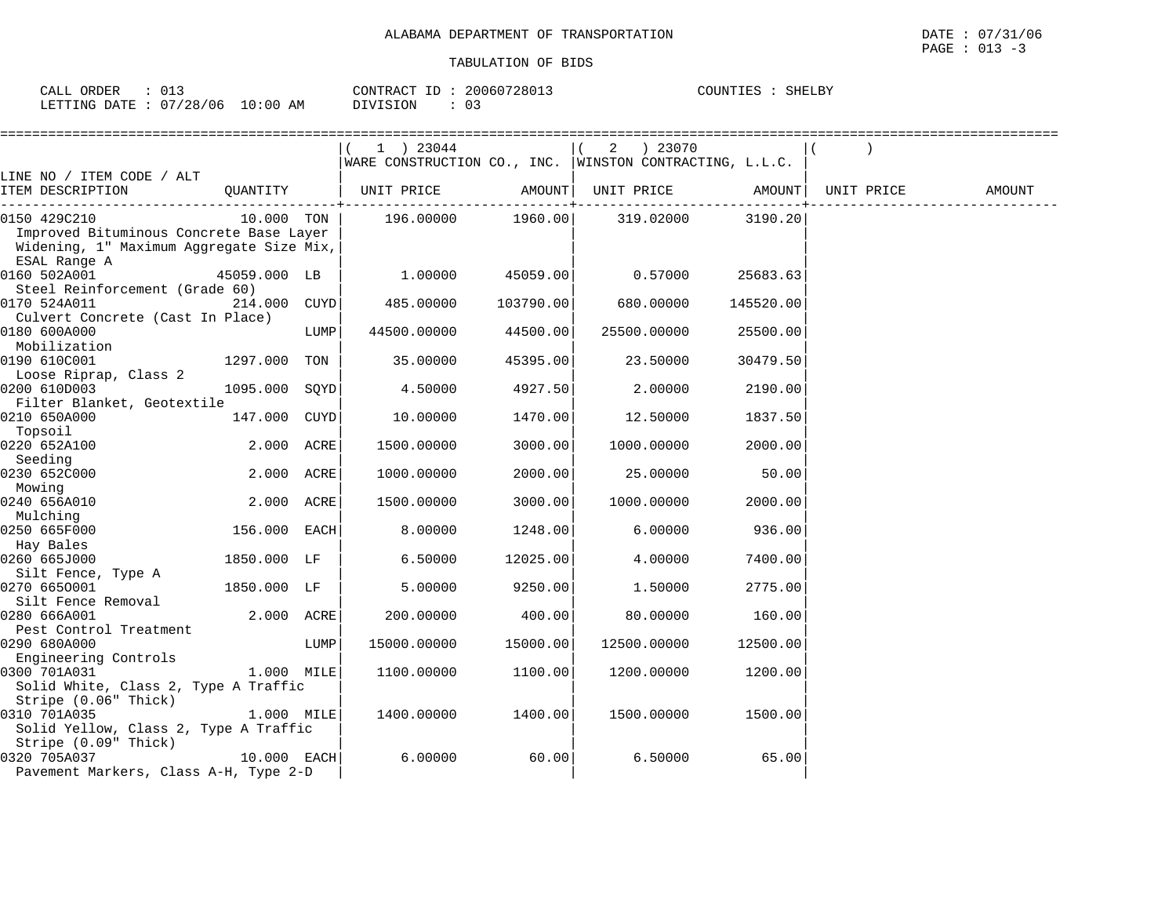| $\sim$ $\sim$<br>ORDER<br>$\sim$ $\sim$ $\sim$<br>ـ ىلىلىك<br>∪⊥౨ |             | TD.<br>CONTRACT | 20060728013 | COUNTIES<br>SHELBY<br>-oon the |
|-------------------------------------------------------------------|-------------|-----------------|-------------|--------------------------------|
| 07/28/c<br>/06<br>DATE<br>LETTING                                 | 10:00<br>AM | $\mathcal{L}$   | ບ           |                                |

|                                                                                                                     |               |      | 1 ) 23044                                                               |           | 2 ) 23070   |           |        |
|---------------------------------------------------------------------------------------------------------------------|---------------|------|-------------------------------------------------------------------------|-----------|-------------|-----------|--------|
| LINE NO / ITEM CODE / ALT                                                                                           |               |      | WARE CONSTRUCTION CO., INC. WINSTON CONTRACTING, $L.L.C.$               |           |             |           |        |
| ITEM DESCRIPTION                                                                                                    |               |      | QUANTITY   UNIT PRICE       AMOUNT  UNIT PRICE       AMOUNT  UNIT PRICE |           |             |           | AMOUNT |
| 0150 429C210<br>Improved Bituminous Concrete Base Layer<br>Widening, 1" Maximum Aggregate Size Mix,<br>ESAL Range A | 10.000 TON    |      | 196.00000 1960.00 319.02000                                             |           |             | 3190.20   |        |
| 0160 502A001<br>Steel Reinforcement (Grade 60)                                                                      | 45059.000 LB  |      | 1.00000                                                                 | 45059.00  | 0.57000     | 25683.63  |        |
| 0170 524A011<br>Culvert Concrete (Cast In Place)                                                                    | 214.000 CUYD  |      | 485.00000                                                               | 103790.00 | 680.00000   | 145520.00 |        |
| 0180 600A000<br>Mobilization                                                                                        |               | LUMP | 44500.00000                                                             | 44500.00  | 25500.00000 | 25500.00  |        |
| 0190 610C001<br>Loose Riprap, Class 2                                                                               | 1297.000 TON  |      | 35.00000                                                                | 45395.00  | 23.50000    | 30479.50  |        |
| 0200 610D003<br>Filter Blanket, Geotextile                                                                          | 1095.000 SOYD |      | 4.50000                                                                 | 4927.50   | 2.00000     | 2190.00   |        |
| 0210 650A000<br>Topsoil                                                                                             | 147.000 CUYD  |      | 10.00000                                                                | 1470.00   | 12.50000    | 1837.50   |        |
| 0220 652A100<br>Seeding                                                                                             | 2.000 ACRE    |      | 1500.00000                                                              | 3000.00   | 1000.00000  | 2000.00   |        |
| 0230 652C000<br>Mowing                                                                                              | 2.000 ACRE    |      | 1000.00000                                                              | 2000.00   | 25.00000    | 50.00     |        |
| 0240 656A010<br>Mulching                                                                                            | 2.000 ACRE    |      | 1500.00000                                                              | 3000.00   | 1000.00000  | 2000.00   |        |
| 0250 665F000<br>Hay Bales                                                                                           | 156.000 EACH  |      | 8.00000                                                                 | 1248.00   | 6.00000     | 936.00    |        |
| 0260 665J000<br>Silt Fence, Type A                                                                                  | 1850.000 LF   |      | 6.50000                                                                 | 12025.00  | 4.00000     | 7400.00   |        |
| 0270 6650001<br>Silt Fence Removal                                                                                  | 1850.000 LF   |      | 5.00000                                                                 | 9250.00   | 1.50000     | 2775.00   |        |
| 0280 666A001<br>Pest Control Treatment                                                                              | 2.000 ACRE    |      | 200.00000                                                               | 400.00    | 80.00000    | 160.00    |        |
| 0290 680A000<br>Engineering Controls                                                                                |               | LUMP | 15000.00000                                                             | 15000.00  | 12500.00000 | 12500.00  |        |
| 0300 701A031<br>Solid White, Class 2, Type A Traffic<br>Stripe (0.06" Thick)                                        | 1.000 MILE    |      | 1100.00000                                                              | 1100.00   | 1200.00000  | 1200.00   |        |
| 0310 701A035<br>Solid Yellow, Class 2, Type A Traffic                                                               | $1.000$ MILE  |      | 1400.00000                                                              | 1400.001  | 1500.00000  | 1500.001  |        |
| Stripe (0.09" Thick)<br>0320 705A037<br>Pavement Markers, Class A-H, Type 2-D                                       | 10.000 EACH   |      | 6.00000                                                                 | 60.00     | 6.50000     | 65.00     |        |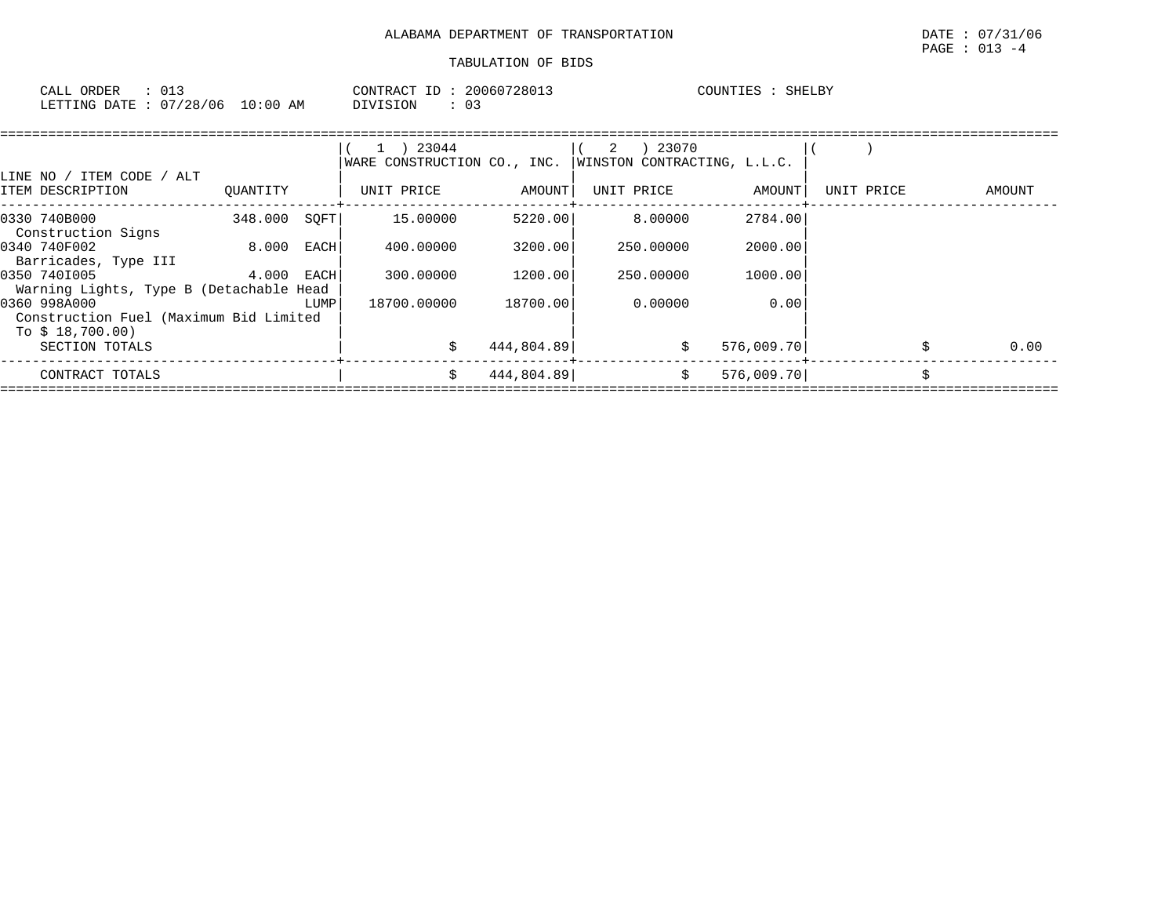| ORDER<br>CALL |          |            | CONTRACT<br>T | 20060728013 | COUNTIES | <b>SHELBY</b> |
|---------------|----------|------------|---------------|-------------|----------|---------------|
| LETTING DATE  | 07/28/06 | $10:00$ AM | DIVISION      | 03          |          |               |

|          |      | 23044                                                                                                 |            | 23070<br>2                  |                       |                             |                          |        |
|----------|------|-------------------------------------------------------------------------------------------------------|------------|-----------------------------|-----------------------|-----------------------------|--------------------------|--------|
| OUANTITY |      | UNIT PRICE                                                                                            | AMOUNT     | UNIT PRICE                  | AMOUNT                | UNIT PRICE                  |                          | AMOUNT |
|          |      | 15,00000                                                                                              |            | 8.00000                     | 2784.00               |                             |                          |        |
| 8.000    | EACH | 400.00000                                                                                             | 3200.00    | 250.00000                   | 2000.00               |                             |                          |        |
|          | EACH | 300,00000                                                                                             | 1200.00    | 250.00000                   | 1000.00               |                             |                          |        |
|          | LUMP | 18700.00000                                                                                           | 18700.00   | 0.00000                     | 0.00                  |                             |                          |        |
|          |      | S                                                                                                     | 444,804.89 | \$                          |                       |                             | Ŝ.                       | 0.00   |
|          |      | S.                                                                                                    |            | S.                          |                       |                             |                          |        |
|          |      | 348.000<br>4.000<br>Warning Lights, Type B (Detachable Head<br>Construction Fuel (Maximum Bid Limited | SOFT       | WARE CONSTRUCTION CO., INC. | 5220.00<br>444,804.89 | WINSTON CONTRACTING, L.L.C. | 576,009.70<br>576,009.70 |        |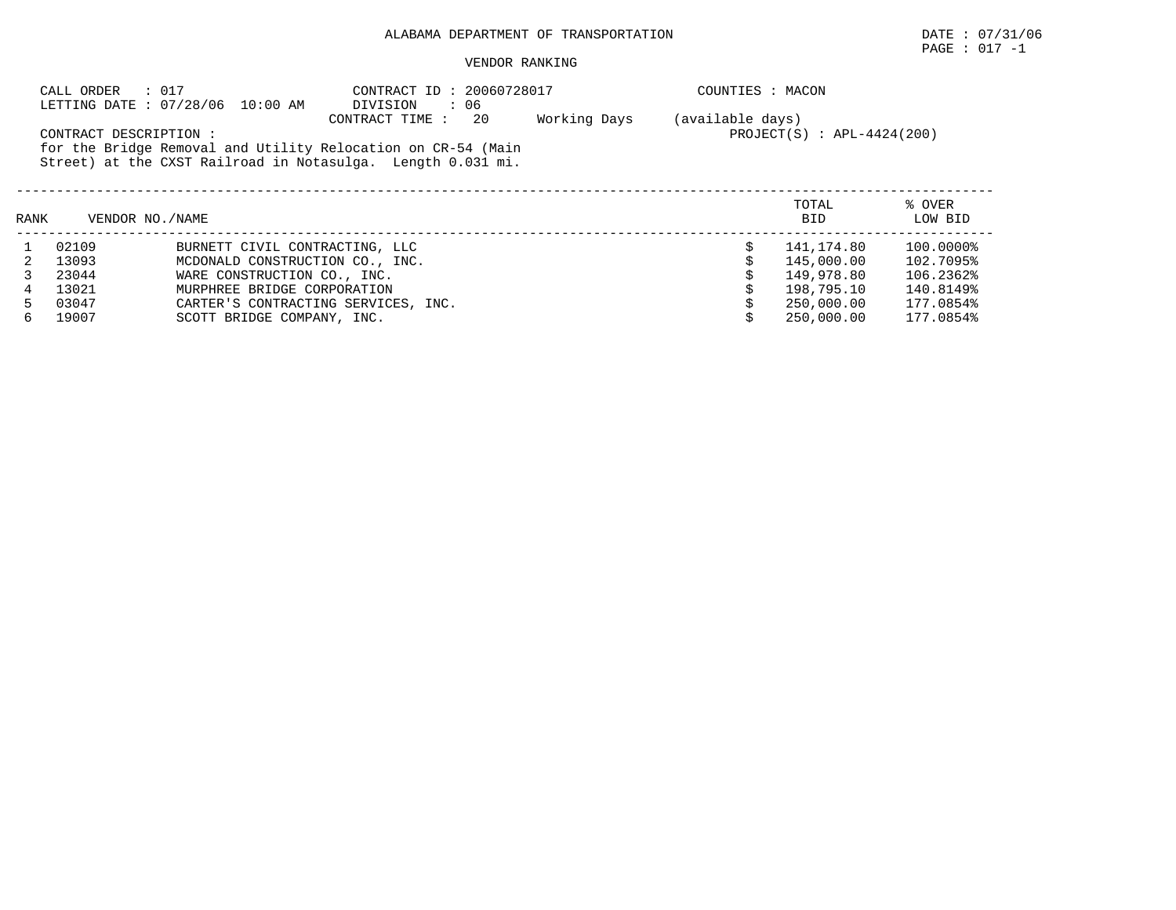$\texttt{PAGE}$  : 017 -1

|                                                                                                                                                                                                                                                    | : 017<br>CALL ORDER | LETTING DATE: 07/28/06 10:00 AM     | CONTRACT ID: 20060728017<br>DIVISION<br>: 06 |  | COUNTIES : MACON |                     |                   |  |  |
|----------------------------------------------------------------------------------------------------------------------------------------------------------------------------------------------------------------------------------------------------|---------------------|-------------------------------------|----------------------------------------------|--|------------------|---------------------|-------------------|--|--|
| 20<br>Working Days<br>(available days)<br>CONTRACT TIME:<br>$PROJECT(S)$ : $APL-4424(200)$<br>CONTRACT DESCRIPTION:<br>for the Bridge Removal and Utility Relocation on CR-54 (Main<br>Street) at the CXST Railroad in Notasulga. Length 0.031 mi. |                     |                                     |                                              |  |                  |                     |                   |  |  |
| RANK                                                                                                                                                                                                                                               | VENDOR NO. / NAME   |                                     |                                              |  |                  | TOTAL<br><b>BID</b> | % OVER<br>LOW BID |  |  |
|                                                                                                                                                                                                                                                    | 02109               | BURNETT CIVIL CONTRACTING, LLC      |                                              |  |                  | 141,174.80          | 100.0000%         |  |  |
|                                                                                                                                                                                                                                                    | 13093               | MCDONALD CONSTRUCTION CO., INC.     |                                              |  |                  | 145,000.00          | 102.7095%         |  |  |
|                                                                                                                                                                                                                                                    | 23044               | WARE CONSTRUCTION CO., INC.         |                                              |  |                  | 149,978.80          | 106.2362%         |  |  |
| 4                                                                                                                                                                                                                                                  | 13021               | MURPHREE BRIDGE CORPORATION         |                                              |  |                  | 198,795.10          | 140.8149%         |  |  |
| 5.                                                                                                                                                                                                                                                 | 03047               | CARTER'S CONTRACTING SERVICES, INC. |                                              |  |                  | 250,000.00          | 177.0854%         |  |  |
| 6                                                                                                                                                                                                                                                  | 19007               | SCOTT BRIDGE COMPANY, INC.          |                                              |  |                  | 250,000.00          | 177.0854%         |  |  |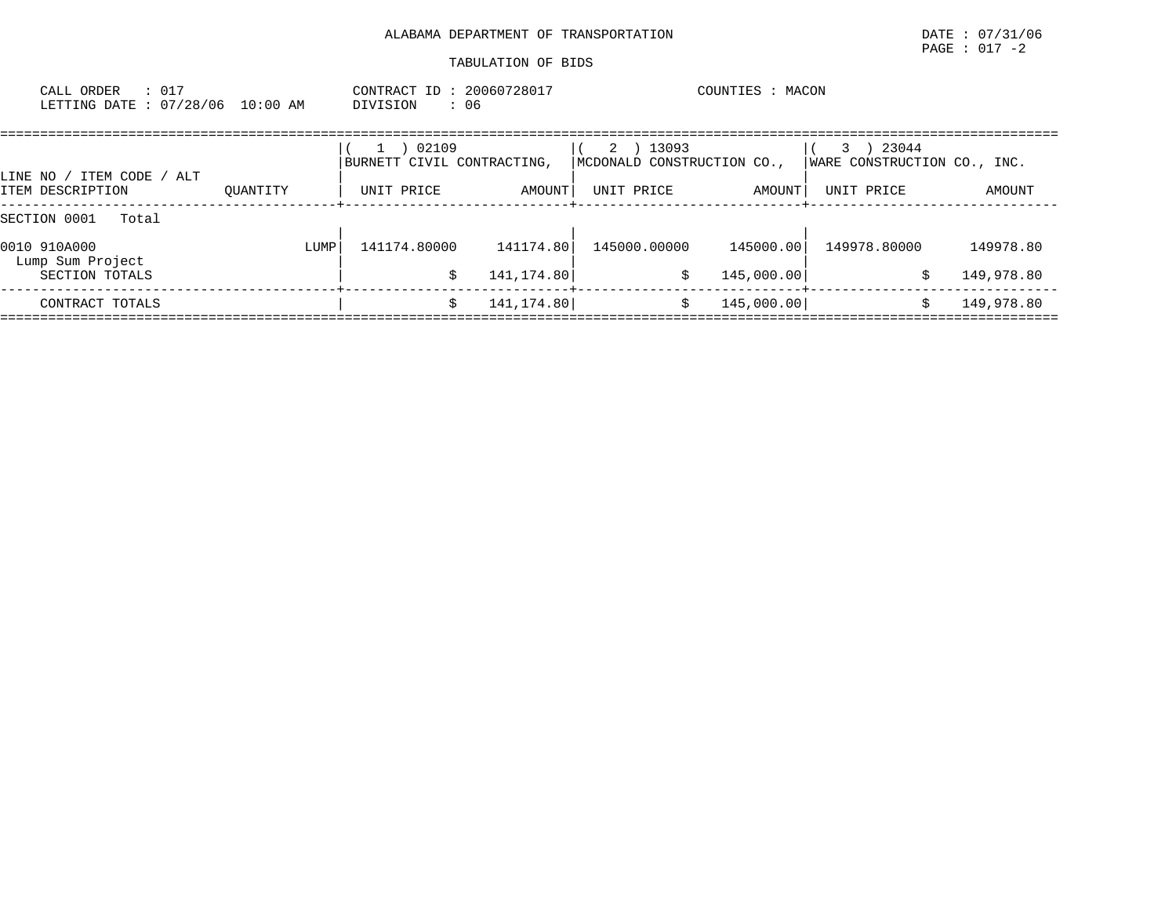| ORDER<br>CALL - |            |            | 20060728017<br>TD :<br>CONTRACT | MACON<br>COUNTIES |
|-----------------|------------|------------|---------------------------------|-------------------|
| LETTING DATE:   | : 07/28/06 | $10:00$ AM | DIVISION<br>06                  |                   |

| TTEM CODE / ALT<br>LINE NO /     | 02109<br>BURNETT CIVIL CONTRACTING, |              | ) 13093<br>2<br>MCDONALD CONSTRUCTION CO., |              | 23044<br>WARE CONSTRUCTION CO., INC.     |              |            |
|----------------------------------|-------------------------------------|--------------|--------------------------------------------|--------------|------------------------------------------|--------------|------------|
| ITEM DESCRIPTION                 | OUANTITY                            | UNIT PRICE   | AMOUNT                                     | UNIT PRICE   | AMOUNT  <br>--------------+------------- | UNIT PRICE   | AMOUNT     |
| SECTION 0001<br>Total            |                                     |              |                                            |              |                                          |              |            |
| 0010 910A000<br>Lump Sum Project | LUMP                                | 141174.80000 | 141174.80                                  | 145000.00000 | 145000.00                                | 149978.80000 | 149978.80  |
| SECTION TOTALS                   |                                     |              | 141,174.80                                 | \$           | 145,000.00                               |              | 149,978.80 |
| CONTRACT TOTALS                  |                                     |              | 141, 174.80                                |              | 145,000.00                               |              | 149,978.80 |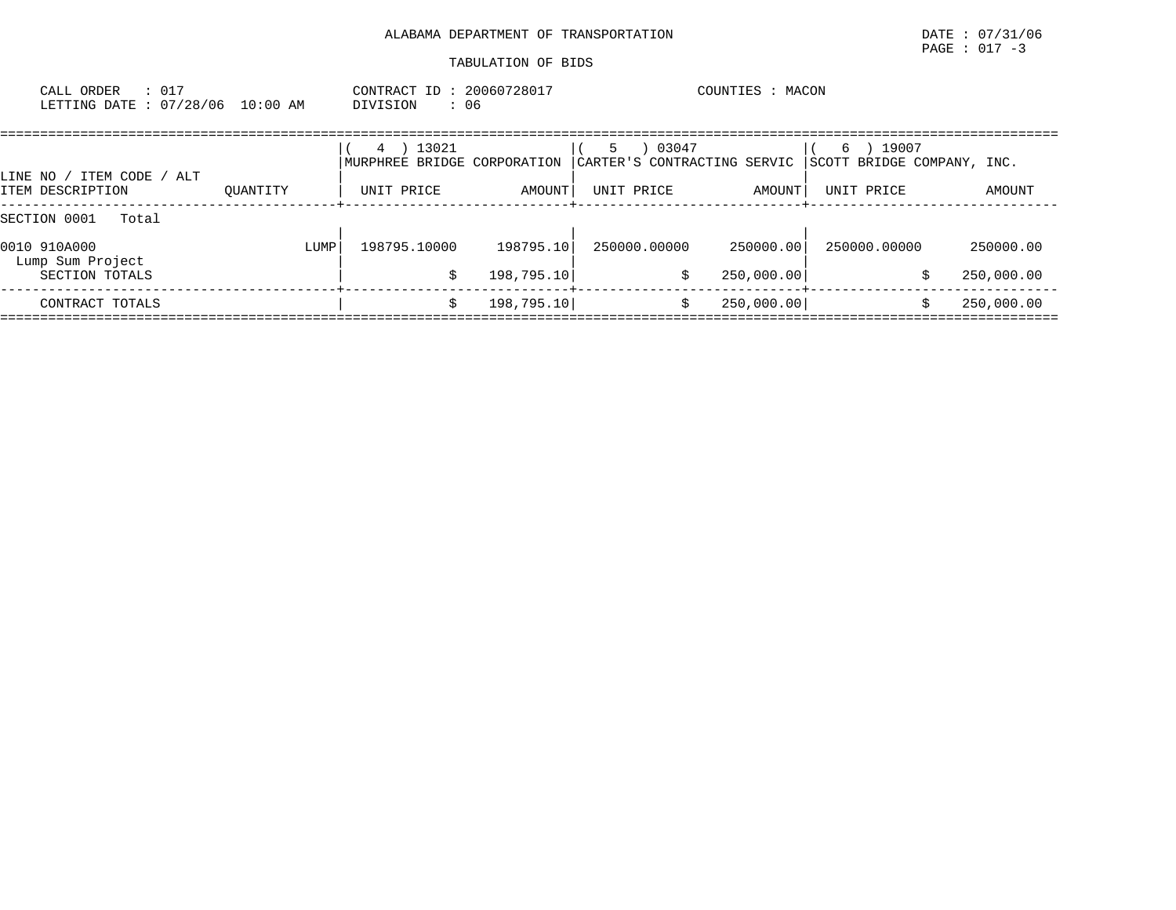| ORDER<br>CALL  |          |                  | CONTRACT<br>ID | 20060728017 | MACON<br>COUNTIES |
|----------------|----------|------------------|----------------|-------------|-------------------|
| LETTING DATE : | 07/28/06 | $10:00$ AM<br>__ | DIVISION       | 06          |                   |

| ALT<br>ITEM CODE<br>LINE NO /    |          |      | 13021<br>4<br>MURPHREE BRIDGE CORPORATION |            | 5.         | 03047        | CARTER'S CONTRACTING SERVIC | 19007<br>6<br>SCOTT BRIDGE COMPANY, INC. |            |
|----------------------------------|----------|------|-------------------------------------------|------------|------------|--------------|-----------------------------|------------------------------------------|------------|
| ITEM DESCRIPTION                 | OUANTITY |      | UNIT PRICE                                | AMOUNT     | UNIT PRICE |              | AMOUNT                      | UNIT PRICE                               | AMOUNT     |
| SECTION 0001<br>Total            |          |      |                                           |            |            |              |                             |                                          |            |
| 0010 910A000<br>Lump Sum Project |          | LUMP | 198795.10000                              | 198795.10  |            | 250000.00000 | 250000.00                   | 250000.00000                             | 250000.00  |
| SECTION TOTALS                   |          |      |                                           | 198,795.10 |            | \$           | 250,000.00                  |                                          | 250,000.00 |
| CONTRACT TOTALS                  |          |      |                                           | 198,795.10 |            |              | 250,000.00                  |                                          | 250,000.00 |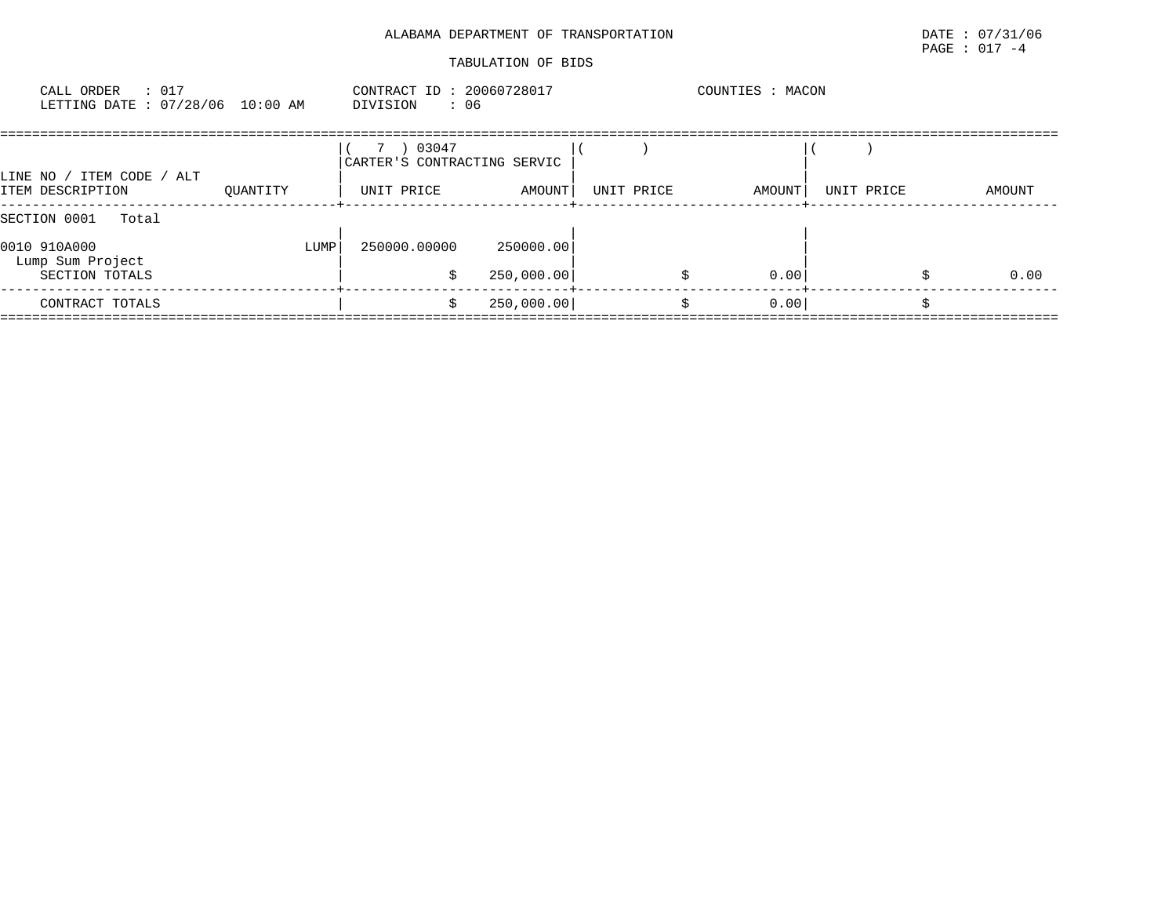| : 017<br>CALL ORDER<br>LETTING DATE : 07/28/06 10:00 AM |          | CONTRACT ID: 20060728017<br>: 06<br>DIVISION |        |            | COUNTIES : MACON |            |        |
|---------------------------------------------------------|----------|----------------------------------------------|--------|------------|------------------|------------|--------|
| LINE NO / ITEM CODE / ALT                               |          | 03047<br>CARTER'S CONTRACTING SERVIC         |        |            |                  |            |        |
| ITEM DESCRIPTION                                        | OUANTITY | UNIT PRICE                                   | AMOUNT | UNIT PRICE | AMOUNT           | UNIT PRICE | AMOUNT |
| SECTION 0001<br>Total                                   |          |                                              |        |            |                  |            |        |

| 0010 910A000<br>Lump Sum Project | 250000.00000<br>LUMP | 250000.00  |      |      |
|----------------------------------|----------------------|------------|------|------|
| SECTION TOTALS                   |                      | 250,000.00 | 0.00 | 0.00 |
| CONTRACT TOTALS                  |                      | 250,000.00 | 0.00 |      |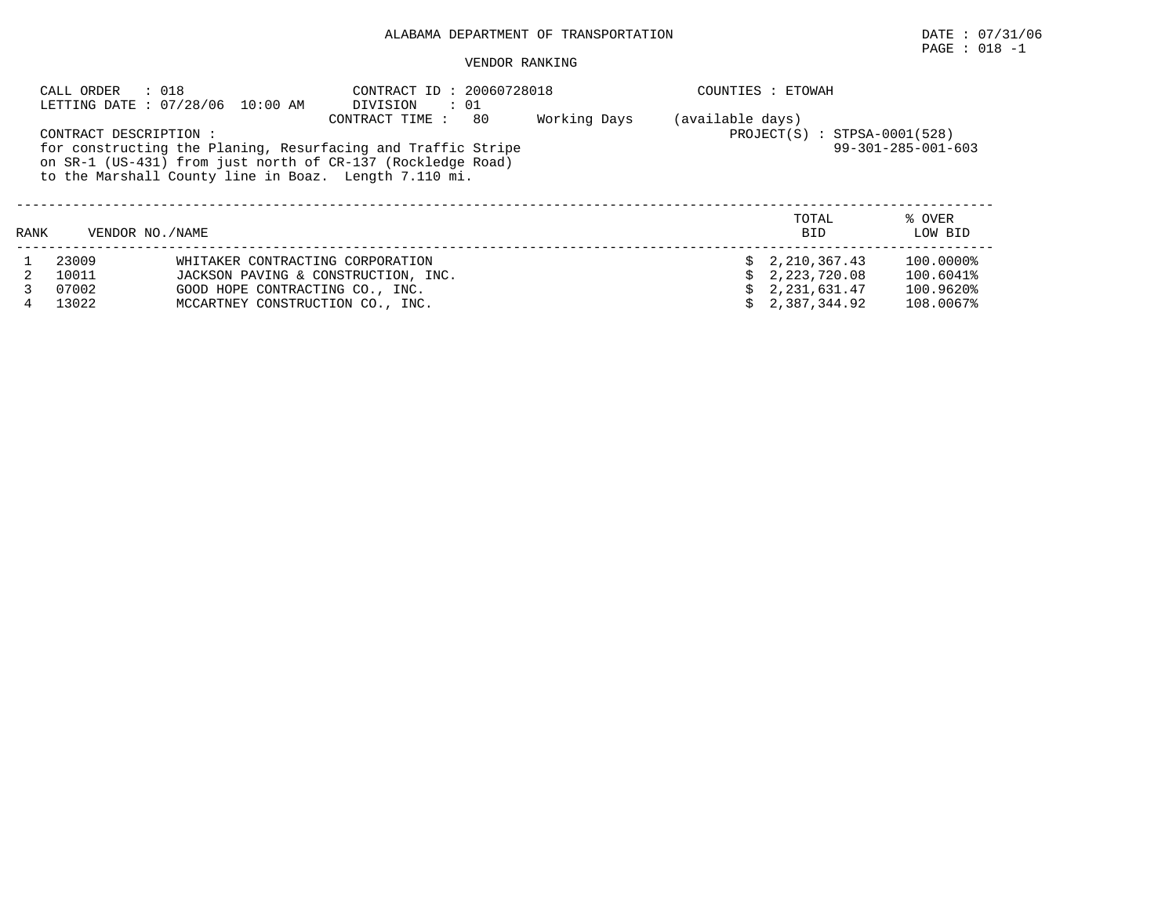# PAGE : 018 -1

|      | CALL ORDER            | : 018<br>LETTING DATE: 07/28/06 10:00 AM | CONTRACT ID: 20060728018<br>DIVISION : 01                                                                                                                                                                    |              |                  | COUNTIES : ETOWAH              |                              |
|------|-----------------------|------------------------------------------|--------------------------------------------------------------------------------------------------------------------------------------------------------------------------------------------------------------|--------------|------------------|--------------------------------|------------------------------|
|      | CONTRACT DESCRIPTION: |                                          | CONTRACT TIME:<br>80<br>for constructing the Planing, Resurfacing and Traffic Stripe<br>on SR-1 (US-431) from just north of CR-137 (Rockledge Road)<br>to the Marshall County line in Boaz. Length 7.110 mi. | Working Days | (available days) | $PROJECT(S)$ : STPSA-0001(528) | $99 - 301 - 285 - 001 - 603$ |
| RANK | VENDOR NO. / NAME     |                                          |                                                                                                                                                                                                              |              |                  | TOTAL<br><b>BID</b>            | % OVER<br>LOW BID            |
|      | 23009                 | WHITAKER CONTRACTING CORPORATION         |                                                                                                                                                                                                              |              |                  | \$2,210,367.43                 | 100.0000%                    |
|      | 10011                 | JACKSON PAVING & CONSTRUCTION, INC.      |                                                                                                                                                                                                              |              |                  | 2,223,720.08                   | 100.6041%                    |
|      | 07002                 | GOOD HOPE CONTRACTING CO., INC.          |                                                                                                                                                                                                              |              |                  | 2,231,631.47                   | 100.9620%                    |
|      | 13022                 | MCCARTNEY CONSTRUCTION CO., INC.         |                                                                                                                                                                                                              |              |                  | 2,387,344.92                   | 108.0067%                    |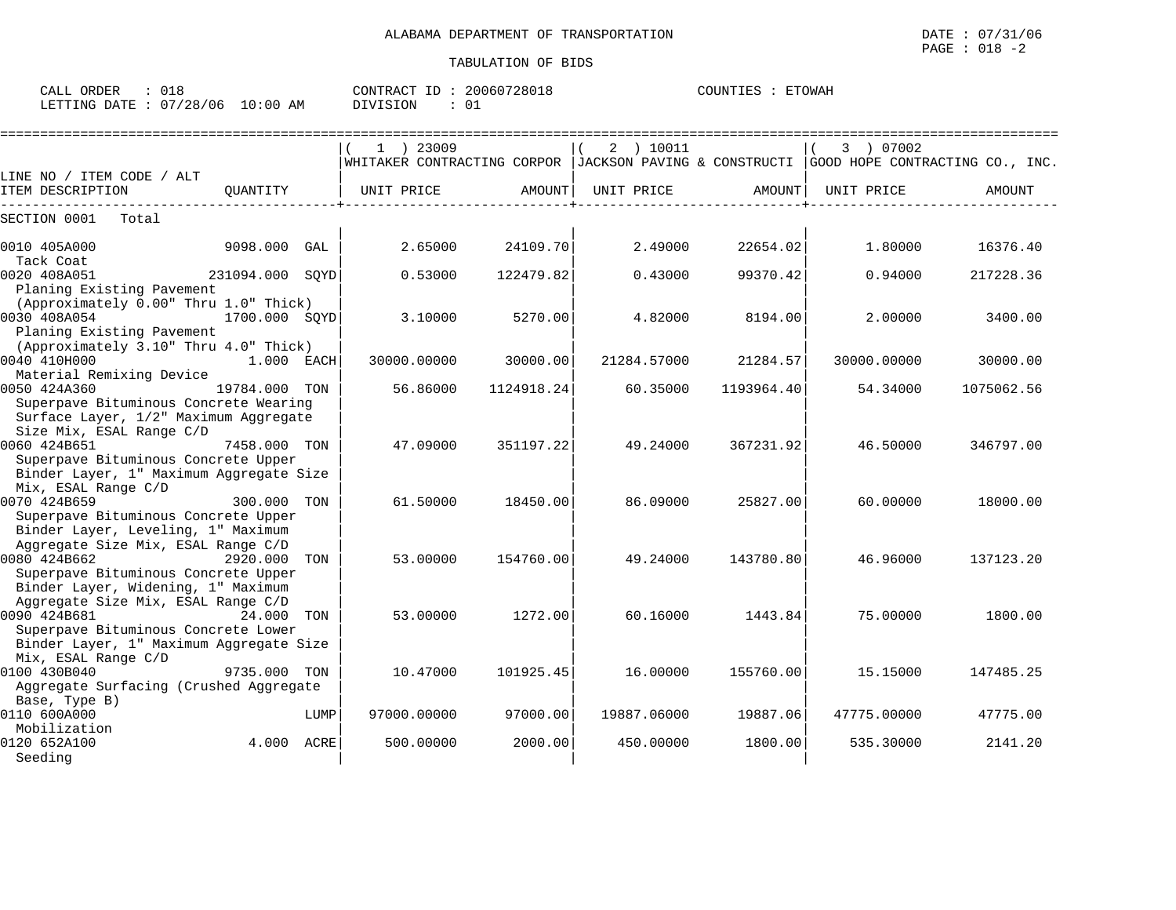| ORDER<br>CALL                    |  | CONTRACT ID:    | 20060728018 | COUNTIES : | <b>ETOWAH</b> |
|----------------------------------|--|-----------------|-------------|------------|---------------|
| LETTING DATE : 07/28/06 10:00 AM |  | <b>DIVISION</b> |             |            |               |

|                                                                                          |                 |      | $1$ ) 23009 |            | 2 ) 10011   |            | 3 ) 07002   |                                                                                             |
|------------------------------------------------------------------------------------------|-----------------|------|-------------|------------|-------------|------------|-------------|---------------------------------------------------------------------------------------------|
|                                                                                          |                 |      |             |            |             |            |             | WHITAKER CONTRACTING CORPOR   JACKSON PAVING & CONSTRUCTI   GOOD HOPE CONTRACTING CO., INC. |
| LINE NO / ITEM CODE / ALT                                                                |                 |      |             |            |             |            |             |                                                                                             |
| ITEM DESCRIPTION                                                                         | OUANTITY        |      | UNIT PRICE  | AMOUNT     | UNIT PRICE  | AMOUNT     | UNIT PRICE  | AMOUNT                                                                                      |
| SECTION 0001<br>Total                                                                    |                 |      |             |            |             |            |             |                                                                                             |
| 0010 405A000<br>Tack Coat                                                                | 9098.000        | GAL  | 2.65000     | 24109.70   | 2.49000     | 22654.02   | 1,80000     | 16376.40                                                                                    |
| 0020 408A051<br>Planing Existing Pavement                                                | 231094.000 SOYD |      | 0.53000     | 122479.82  | 0.43000     | 99370.42   | 0.94000     | 217228.36                                                                                   |
| (Approximately 0.00" Thru 1.0" Thick)                                                    |                 |      |             |            |             |            |             |                                                                                             |
| 0030 408A054<br>Planing Existing Pavement<br>(Approximately 3.10" Thru 4.0" Thick)       | 1700.000 SOYD   |      | 3.10000     | 5270.00    | 4.82000     | 8194.00    | 2.00000     | 3400.00                                                                                     |
| 0040 410H000                                                                             | $1.000$ EACH    |      | 30000.00000 | 30000.00   | 21284.57000 | 21284.57   | 30000.00000 | 30000.00                                                                                    |
| Material Remixing Device                                                                 |                 |      |             |            |             |            |             |                                                                                             |
| 0050 424A360                                                                             | 19784.000 TON   |      | 56.86000    | 1124918.24 | 60.35000    | 1193964.40 | 54.34000    | 1075062.56                                                                                  |
| Superpave Bituminous Concrete Wearing<br>Surface Layer, 1/2" Maximum Aggregate           |                 |      |             |            |             |            |             |                                                                                             |
| Size Mix, ESAL Range C/D<br>0060 424B651                                                 | 7458.000 TON    |      | 47.09000    | 351197.22  | 49.24000    | 367231.92  | 46.50000    | 346797.00                                                                                   |
| Superpave Bituminous Concrete Upper<br>Binder Layer, 1" Maximum Aggregate Size           |                 |      |             |            |             |            |             |                                                                                             |
| Mix, ESAL Range C/D<br>0070 424B659<br>Superpave Bituminous Concrete Upper               | 300.000 TON     |      | 61.50000    | 18450.00   | 86.09000    | 25827.00   | 60.00000    | 18000.00                                                                                    |
| Binder Layer, Leveling, 1" Maximum<br>Aggregate Size Mix, ESAL Range C/D                 |                 |      |             |            |             |            |             |                                                                                             |
| 0080 424B662<br>Superpave Bituminous Concrete Upper                                      | 2920.000        | TON  | 53.00000    | 154760.00  | 49.24000    | 143780.80  | 46.96000    | 137123.20                                                                                   |
| Binder Layer, Widening, 1" Maximum<br>Aggregate Size Mix, ESAL Range C/D<br>0090 424B681 | 24.000 TON      |      | 53.00000    | 1272.00    | 60.16000    | 1443.84    | 75.00000    | 1800.00                                                                                     |
| Superpave Bituminous Concrete Lower<br>Binder Layer, 1" Maximum Aggregate Size           |                 |      |             |            |             |            |             |                                                                                             |
| Mix, ESAL Range C/D<br>0100 430B040<br>Aggregate Surfacing (Crushed Aggregate            | 9735.000 TON    |      | 10.47000    | 101925.45  | 16.00000    | 155760.00  | 15.15000    | 147485.25                                                                                   |
| Base, Type B)                                                                            |                 |      |             |            |             |            |             |                                                                                             |
| 0110 600A000                                                                             |                 | LUMP | 97000.00000 | 97000.00   | 19887.06000 | 19887.06   | 47775.00000 | 47775.00                                                                                    |
| Mobilization<br>0120 652A100<br>Seeding                                                  | 4.000 ACRE      |      | 500.00000   | 2000.00    | 450.00000   | 1800.00    | 535.30000   | 2141.20                                                                                     |
|                                                                                          |                 |      |             |            |             |            |             |                                                                                             |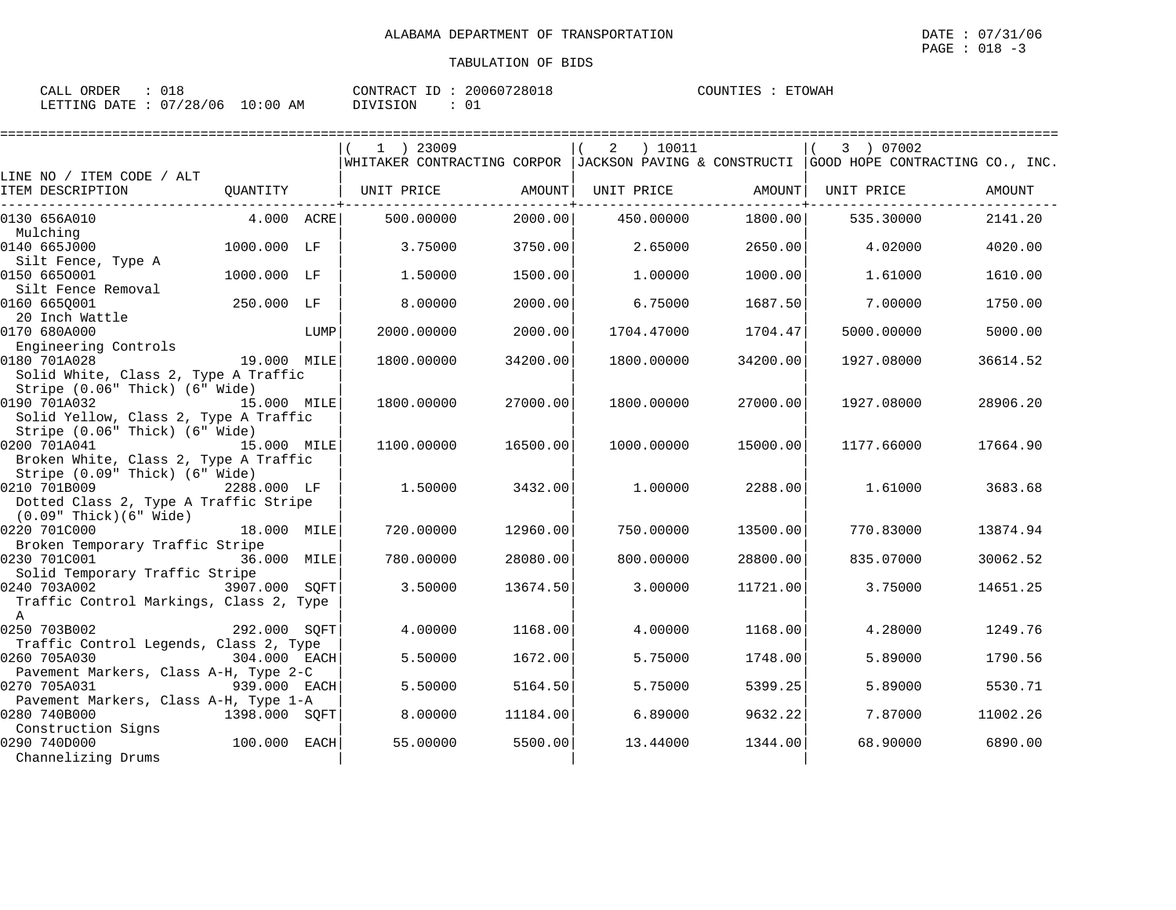| $\sim$ $\sim$ $\sim$<br>ORDER<br>- ALL -<br>しょく |                                | 20060728018<br>CONTRACT<br>ID | ETOWAH<br>COUNTIES |
|-------------------------------------------------|--------------------------------|-------------------------------|--------------------|
| /28/06<br>LETTING<br>RATE:                      | :00<br>$\sim$<br>AM<br>.<br>ᅩັ | DIVISION<br>$\sim$<br>ັບ      |                    |

|                                                                                                |               |      | 1 ) 23009                                                                                 |          | ) 10011<br>2 |          | 3 ) 07002  |          |
|------------------------------------------------------------------------------------------------|---------------|------|-------------------------------------------------------------------------------------------|----------|--------------|----------|------------|----------|
| LINE NO / ITEM CODE / ALT                                                                      |               |      | WHITAKER CONTRACTING CORPOR  JACKSON PAVING & CONSTRUCTI  GOOD HOPE CONTRACTING CO., INC. |          |              |          |            |          |
| ITEM DESCRIPTION                                                                               | OUANTITY      |      | UNIT PRICE                                                                                | AMOUNT   | UNIT PRICE   | AMOUNT   | UNIT PRICE | AMOUNT   |
| 0130 656A010                                                                                   | 4.000 ACRE    |      | 500.00000                                                                                 | 2000.00  | 450.00000    | 1800.00  | 535.30000  | 2141.20  |
| Mulching<br>0140 665J000                                                                       | 1000.000 LF   |      | 3.75000                                                                                   | 3750.00  | 2.65000      | 2650.00  | 4.02000    | 4020.00  |
| Silt Fence, Type A<br>0150 6650001                                                             | 1000.000 LF   |      | 1.50000                                                                                   | 1500.00  | 1,00000      | 1000.00  | 1.61000    | 1610.00  |
| Silt Fence Removal<br>0160 665Q001                                                             | 250.000 LF    |      | 8,00000                                                                                   | 2000.00  | 6.75000      | 1687.50  | 7.00000    | 1750.00  |
| 20 Inch Wattle<br>0170 680A000<br>Engineering Controls                                         |               | LUMP | 2000.00000                                                                                | 2000.00  | 1704.47000   | 1704.47  | 5000.00000 | 5000.00  |
| 0180 701A028<br>Solid White, Class 2, Type A Traffic                                           | 19.000 MILE   |      | 1800.00000                                                                                | 34200.00 | 1800.00000   | 34200.00 | 1927.08000 | 36614.52 |
| Stripe (0.06" Thick) (6" Wide)<br>0190 701A032                                                 | 15.000 MILE   |      | 1800,00000                                                                                | 27000.00 | 1800.00000   | 27000.00 | 1927.08000 | 28906.20 |
| Solid Yellow, Class 2, Type A Traffic<br>Stripe (0.06" Thick) (6" Wide)                        |               |      |                                                                                           |          |              |          |            |          |
| 0200 701A041<br>Broken White, Class 2, Type A Traffic                                          | 15.000 MILE   |      | 1100.00000                                                                                | 16500.00 | 1000.00000   | 15000.00 | 1177.66000 | 17664.90 |
| Stripe (0.09" Thick) (6" Wide)<br>0210 701B009<br>Dotted Class 2, Type A Traffic Stripe        | 2288.000 LF   |      | 1.50000                                                                                   | 3432.00  | 1,00000      | 2288.00  | 1.61000    | 3683.68  |
| $(0.09"$ Thick $)(6"$ Wide $)$<br>0220 701C000<br>Broken Temporary Traffic Stripe              | 18.000 MILE   |      | 720,00000                                                                                 | 12960.00 | 750.00000    | 13500.00 | 770.83000  | 13874.94 |
| 0230 701C001<br>Solid Temporary Traffic Stripe                                                 | 36.000 MILE   |      | 780.00000                                                                                 | 28080.00 | 800,00000    | 28800.00 | 835.07000  | 30062.52 |
| 3907.000 SQFT<br>0240 703A002<br>Traffic Control Markings, Class 2, Type                       |               |      | 3.50000                                                                                   | 13674.50 | 3.00000      | 11721.00 | 3.75000    | 14651.25 |
| $\mathbb{A}$<br>0250 703B002                                                                   | 292.000 SOFT  |      | 4.00000                                                                                   | 1168.00  | 4.00000      | 1168.00  | 4.28000    | 1249.76  |
| Traffic Control Legends, Class 2, Type<br>0260 705A030                                         | 304.000 EACH  |      | 5.50000                                                                                   | 1672.00  | 5.75000      | 1748.00  | 5.89000    | 1790.56  |
| Pavement Markers, Class A-H, Type 2-C<br>0270 705A031<br>Pavement Markers, Class A-H, Type 1-A | 939.000 EACH  |      | 5.50000                                                                                   | 5164.50  | 5.75000      | 5399.25  | 5.89000    | 5530.71  |
| 0280 740B000<br>Construction Signs                                                             | 1398.000 SOFT |      | 8.00000                                                                                   | 11184.00 | 6.89000      | 9632.22  | 7.87000    | 11002.26 |
| 0290 740D000<br>Channelizing Drums                                                             | 100.000 EACH  |      | 55.00000                                                                                  | 5500.00  | 13.44000     | 1344.00  | 68,90000   | 6890.00  |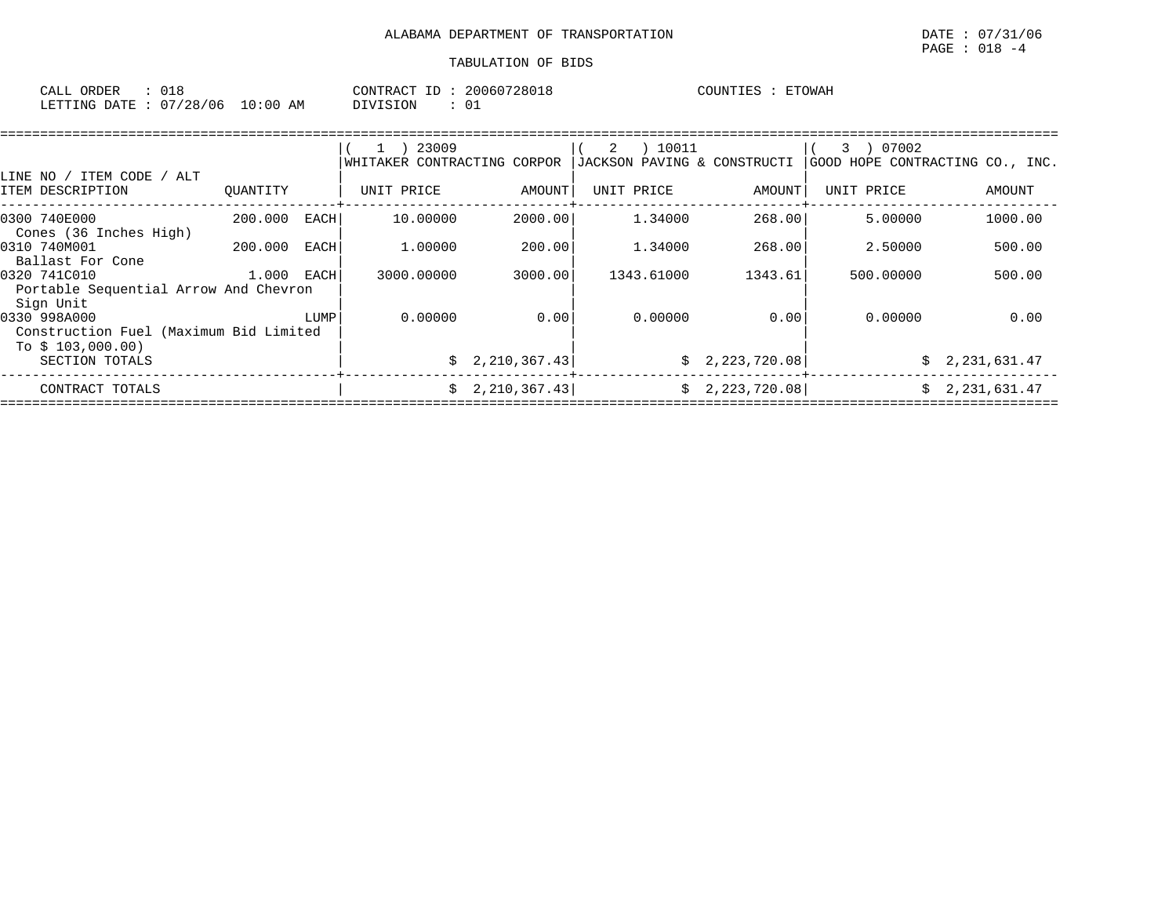| $\sim$ $\sim$ $\sim$ $\sim$<br>ORDER<br>CALL | <b>. .</b>                  |                  | CONTR.<br>$\sqrt{2}$<br>TD.<br>'R A ( | 20060728018  | COUNTIES | <b>ETOWAH</b> |
|----------------------------------------------|-----------------------------|------------------|---------------------------------------|--------------|----------|---------------|
| <b>ETTING</b><br>DATE                        | $\sim$ $\sim$<br>128<br>106 | :00<br>L O<br>AΜ | VISION                                | $\sim$<br>◡∸ |          |               |

| LINE NO / ITEM CODE /<br>ALT                                                |          |      | 23009<br>$\mathbf{1}$<br>WHITAKER CONTRACTING CORPOR |                 | ) 10011<br>2<br>JACKSON PAVING & CONSTRUCTI |                 | 07002<br>3<br>GOOD HOPE CONTRACTING CO., INC. |                |
|-----------------------------------------------------------------------------|----------|------|------------------------------------------------------|-----------------|---------------------------------------------|-----------------|-----------------------------------------------|----------------|
| ITEM DESCRIPTION                                                            | OUANTITY |      | UNIT PRICE                                           | AMOUNT          | UNIT PRICE                                  | AMOUNT          | UNIT PRICE                                    | AMOUNT         |
| 0300 740E000<br>Cones (36 Inches High)                                      | 200.000  | EACH | 10.00000                                             | 2000.00         | 1.34000                                     | 268.00          | 5.00000                                       | 1000.00        |
| 0310 740M001<br>Ballast For Cone                                            | 200.000  | EACH | 1,00000                                              | 200.00          | 1.34000                                     | 268.00          | 2.50000                                       | 500.00         |
| 0320 741C010<br>Portable Sequential Arrow And Chevron<br>Sign Unit          | 1.000    | EACH | 3000.00000                                           | 3000.00         | 1343.61000                                  | 1343.61         | 500,00000                                     | 500.00         |
| 0330 998A000<br>Construction Fuel (Maximum Bid Limited<br>To $$103,000.00)$ |          | LUMP | 0.00000                                              | 0.00            | 0.00000                                     | 0.00            | 0.00000                                       | 0.00           |
| SECTION TOTALS                                                              |          |      |                                                      | \$2,210,367.43] |                                             | \$2,223,720.08] |                                               | \$2,231,631.47 |
| CONTRACT TOTALS                                                             |          |      |                                                      | \$2,210,367.43] |                                             | \$2,223,720.08] |                                               | \$2,231,631.47 |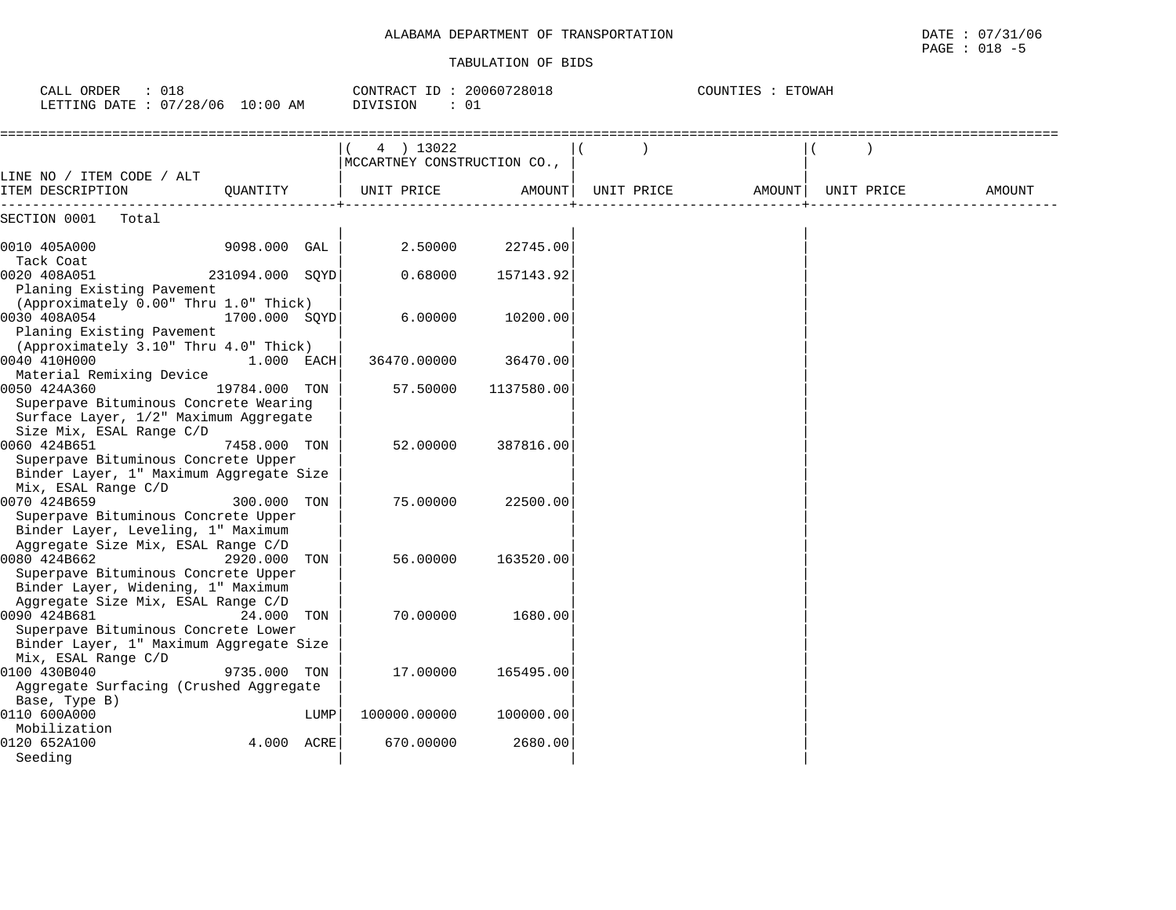| . DEPARTMENT OF TRANSPORTATION<br>ALABAMA | /31/06<br>DATE<br>. U U<br>the contract of the contract of the contract of the contract of the contract of the contract of the contract of |
|-------------------------------------------|--------------------------------------------------------------------------------------------------------------------------------------------|
|                                           | 018<br>PAGE                                                                                                                                |

| : 018<br>CALL ORDER<br>LETTING DATE : 07/28/06 10:00 AM                                                               |                 |      | CONTRACT ID: 20060728018<br>: 01<br>DIVISION |            | COUNTIES : ETOWAH |        |  |            |        |
|-----------------------------------------------------------------------------------------------------------------------|-----------------|------|----------------------------------------------|------------|-------------------|--------|--|------------|--------|
| LINE NO / ITEM CODE / ALT                                                                                             |                 |      | 4 ) 13022<br>MCCARTNEY CONSTRUCTION CO.,     |            |                   |        |  |            |        |
| ITEM DESCRIPTION                                                                                                      | OUANTITY        |      | UNIT PRICE                                   | AMOUNT     | UNIT PRICE        | AMOUNT |  | UNIT PRICE | AMOUNT |
| SECTION 0001<br>Total                                                                                                 |                 |      |                                              |            |                   |        |  |            |        |
| 0010 405A000<br>Tack Coat                                                                                             | 9098.000 GAL    |      | 2.50000                                      | 22745.00   |                   |        |  |            |        |
| 0020 408A051<br>Planing Existing Pavement                                                                             | 231094.000 SOYD |      | 0.68000                                      | 157143.92  |                   |        |  |            |        |
| (Approximately 0.00" Thru 1.0" Thick)                                                                                 |                 |      |                                              |            |                   |        |  |            |        |
| 0030 408A054<br>Planing Existing Pavement<br>(Approximately 3.10" Thru 4.0" Thick)                                    | 1700.000 SOYD   |      | 6.00000                                      | 10200.00   |                   |        |  |            |        |
| 0040 410H000<br>Material Remixing Device                                                                              | 1.000 EACH      |      | 36470.00000                                  | 36470.00   |                   |        |  |            |        |
| 0050 424A360<br>Superpave Bituminous Concrete Wearing<br>Surface Layer, 1/2" Maximum Aggregate                        | 19784.000 TON   |      | 57.50000                                     | 1137580.00 |                   |        |  |            |        |
| Size Mix, ESAL Range C/D                                                                                              |                 |      |                                              |            |                   |        |  |            |        |
| 0060 424B651<br>Superpave Bituminous Concrete Upper<br>Binder Layer, 1" Maximum Aggregate Size<br>Mix, ESAL Range C/D | 7458.000 TON    |      | 52.00000                                     | 387816.00  |                   |        |  |            |        |
| 0070 424B659<br>Superpave Bituminous Concrete Upper<br>Binder Layer, Leveling, 1" Maximum                             | 300.000 TON     |      | 75.00000                                     | 22500.00   |                   |        |  |            |        |
| Aggregate Size Mix, ESAL Range C/D<br>0080 424B662<br>Superpave Bituminous Concrete Upper                             | 2920.000 TON    |      | 56.00000                                     | 163520.00  |                   |        |  |            |        |
| Binder Layer, Widening, 1" Maximum<br>Aggregate Size Mix, ESAL Range C/D                                              |                 |      |                                              |            |                   |        |  |            |        |
| 0090 424B681<br>Superpave Bituminous Concrete Lower<br>Binder Layer, 1" Maximum Aggregate Size                        | 24.000 TON      |      | 70.00000                                     | 1680.00    |                   |        |  |            |        |
| Mix, ESAL Range C/D<br>0100 430B040                                                                                   | 9735.000 TON    |      | 17.00000                                     | 165495.00  |                   |        |  |            |        |
| Aggregate Surfacing (Crushed Aggregate<br>Base, Type B)                                                               |                 |      |                                              |            |                   |        |  |            |        |
| 0110 600A000<br>Mobilization                                                                                          |                 | LUMP | 100000.00000                                 | 100000.00  |                   |        |  |            |        |
| 0120 652A100<br>Seeding                                                                                               | 4.000 ACRE      |      | 670.00000                                    | 2680.00    |                   |        |  |            |        |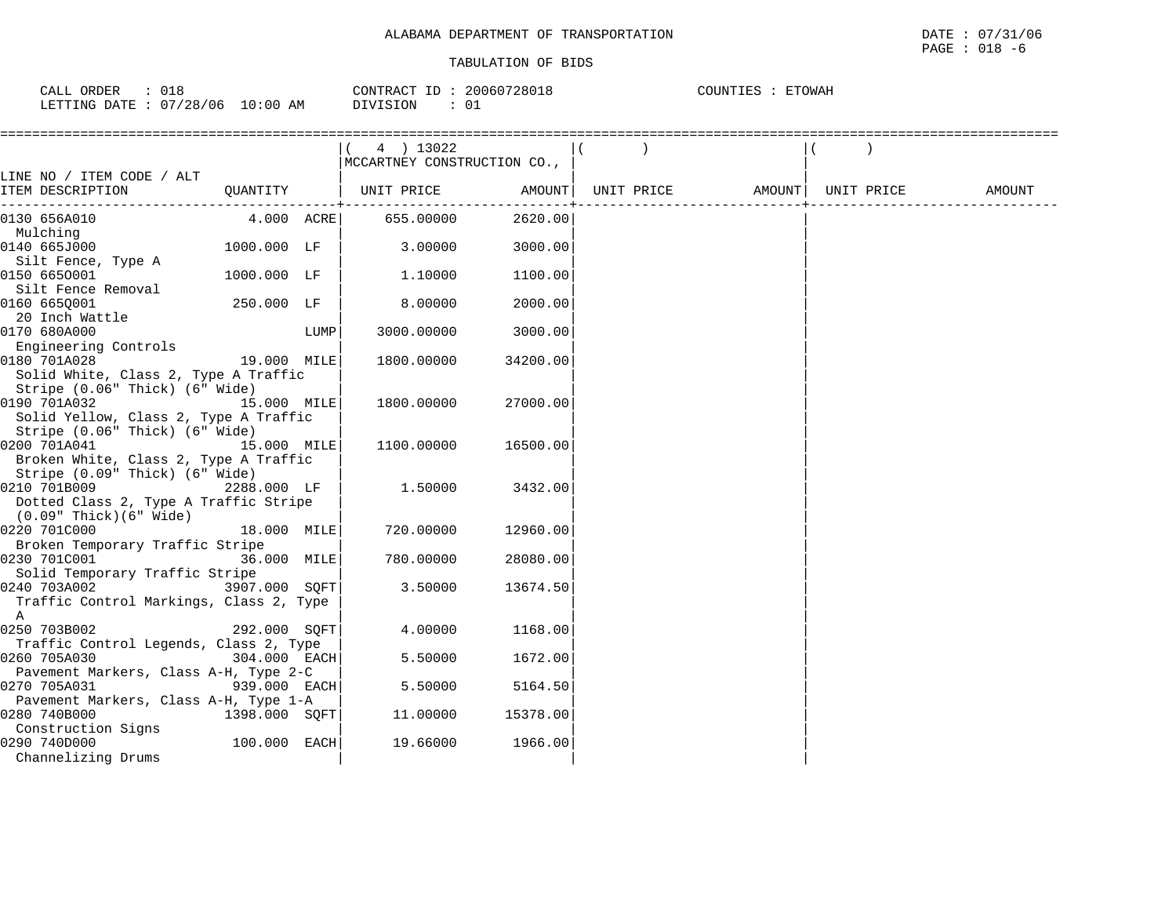| ORDER<br>CALL<br>∪⊥⊂     |            | 20060728018<br>CONTRACT ID | ETOWAH<br>COUNTIES |
|--------------------------|------------|----------------------------|--------------------|
| 07/28/06<br>LETTING DATE | $10:00$ AM | ن0<br><b>DIVISION</b>      |                    |

| LINE NO / ITEM CODE / ALT<br>QUANTITY   UNIT PRICE AMOUNT<br>UNIT PRICE AMOUNT<br>ITEM DESCRIPTION<br>$4.000$ ACRE 655.00000<br>2620.00<br>0130 656A010<br>Mulching<br>3.00000<br>0140 665J000<br>1000.000 LF<br>3000.00<br>Silt Fence, Type A<br>0150 6650001<br>1000.000 LF<br>1,10000<br>1100.00<br>Silt Fence Removal<br>0160 6650001<br>250.000 LF<br>8.00000<br>2000.00<br>20 Inch Wattle |  |            |        |
|-------------------------------------------------------------------------------------------------------------------------------------------------------------------------------------------------------------------------------------------------------------------------------------------------------------------------------------------------------------------------------------------------|--|------------|--------|
|                                                                                                                                                                                                                                                                                                                                                                                                 |  | UNIT PRICE | AMOUNT |
|                                                                                                                                                                                                                                                                                                                                                                                                 |  |            |        |
|                                                                                                                                                                                                                                                                                                                                                                                                 |  |            |        |
|                                                                                                                                                                                                                                                                                                                                                                                                 |  |            |        |
|                                                                                                                                                                                                                                                                                                                                                                                                 |  |            |        |
|                                                                                                                                                                                                                                                                                                                                                                                                 |  |            |        |
|                                                                                                                                                                                                                                                                                                                                                                                                 |  |            |        |
|                                                                                                                                                                                                                                                                                                                                                                                                 |  |            |        |
|                                                                                                                                                                                                                                                                                                                                                                                                 |  |            |        |
| 0170 680A000<br>3000.00<br>LUMP<br>3000.00000                                                                                                                                                                                                                                                                                                                                                   |  |            |        |
| Engineering Controls                                                                                                                                                                                                                                                                                                                                                                            |  |            |        |
| 19.000 MILE<br>0180 701A028<br>1800.00000<br>34200.00                                                                                                                                                                                                                                                                                                                                           |  |            |        |
| Solid White, Class 2, Type A Traffic                                                                                                                                                                                                                                                                                                                                                            |  |            |        |
| Stripe (0.06" Thick) (6" Wide)                                                                                                                                                                                                                                                                                                                                                                  |  |            |        |
| 0190 701A032<br>15.000 MILE<br>1800.00000<br>27000.00                                                                                                                                                                                                                                                                                                                                           |  |            |        |
| Solid Yellow, Class 2, Type A Traffic                                                                                                                                                                                                                                                                                                                                                           |  |            |        |
| Stripe (0.06" Thick) (6" Wide)                                                                                                                                                                                                                                                                                                                                                                  |  |            |        |
| 0200 701A041<br>15.000 MILE<br>1100.00000<br>16500.00                                                                                                                                                                                                                                                                                                                                           |  |            |        |
| Broken White, Class 2, Type A Traffic                                                                                                                                                                                                                                                                                                                                                           |  |            |        |
| Stripe (0.09" Thick) (6" Wide)<br>0210 701B009<br>2288.000 LF<br>1.50000<br>3432.00                                                                                                                                                                                                                                                                                                             |  |            |        |
| Dotted Class 2, Type A Traffic Stripe                                                                                                                                                                                                                                                                                                                                                           |  |            |        |
| (0.09" Thick)(6" Wide)                                                                                                                                                                                                                                                                                                                                                                          |  |            |        |
| 0220 701C000<br>18.000 MILE<br>720.00000<br>12960.00                                                                                                                                                                                                                                                                                                                                            |  |            |        |
| Broken Temporary Traffic Stripe                                                                                                                                                                                                                                                                                                                                                                 |  |            |        |
| 0230 701C001<br>36.000 MILE<br>780.00000<br>28080.00                                                                                                                                                                                                                                                                                                                                            |  |            |        |
| Solid Temporary Traffic Stripe                                                                                                                                                                                                                                                                                                                                                                  |  |            |        |
| 0240 703A002 3907.000 SOFT<br>3.50000<br>13674.50                                                                                                                                                                                                                                                                                                                                               |  |            |        |
| Traffic Control Markings, Class 2, Type                                                                                                                                                                                                                                                                                                                                                         |  |            |        |
| A                                                                                                                                                                                                                                                                                                                                                                                               |  |            |        |
| 0250 703B002<br>4.00000<br>292.000 SOFT<br>1168.00                                                                                                                                                                                                                                                                                                                                              |  |            |        |
| Traffic Control Legends, Class 2, Type                                                                                                                                                                                                                                                                                                                                                          |  |            |        |
| 0260 705A030<br>304.000 EACH<br>5.50000<br>1672.00                                                                                                                                                                                                                                                                                                                                              |  |            |        |
| Pavement Markers, Class A-H, Type 2-C                                                                                                                                                                                                                                                                                                                                                           |  |            |        |
| 0270 705A031<br>939.000 EACH<br>5.50000<br>5164.50                                                                                                                                                                                                                                                                                                                                              |  |            |        |
| Pavement Markers, Class A-H, Type 1-A                                                                                                                                                                                                                                                                                                                                                           |  |            |        |
| 0280 740B000<br>1398.000 SOFT <br>11.00000<br>15378.00<br>Construction Signs                                                                                                                                                                                                                                                                                                                    |  |            |        |
| 100.000 EACH<br>0290 740D000<br>19.66000<br>1966.00                                                                                                                                                                                                                                                                                                                                             |  |            |        |
| Channelizing Drums                                                                                                                                                                                                                                                                                                                                                                              |  |            |        |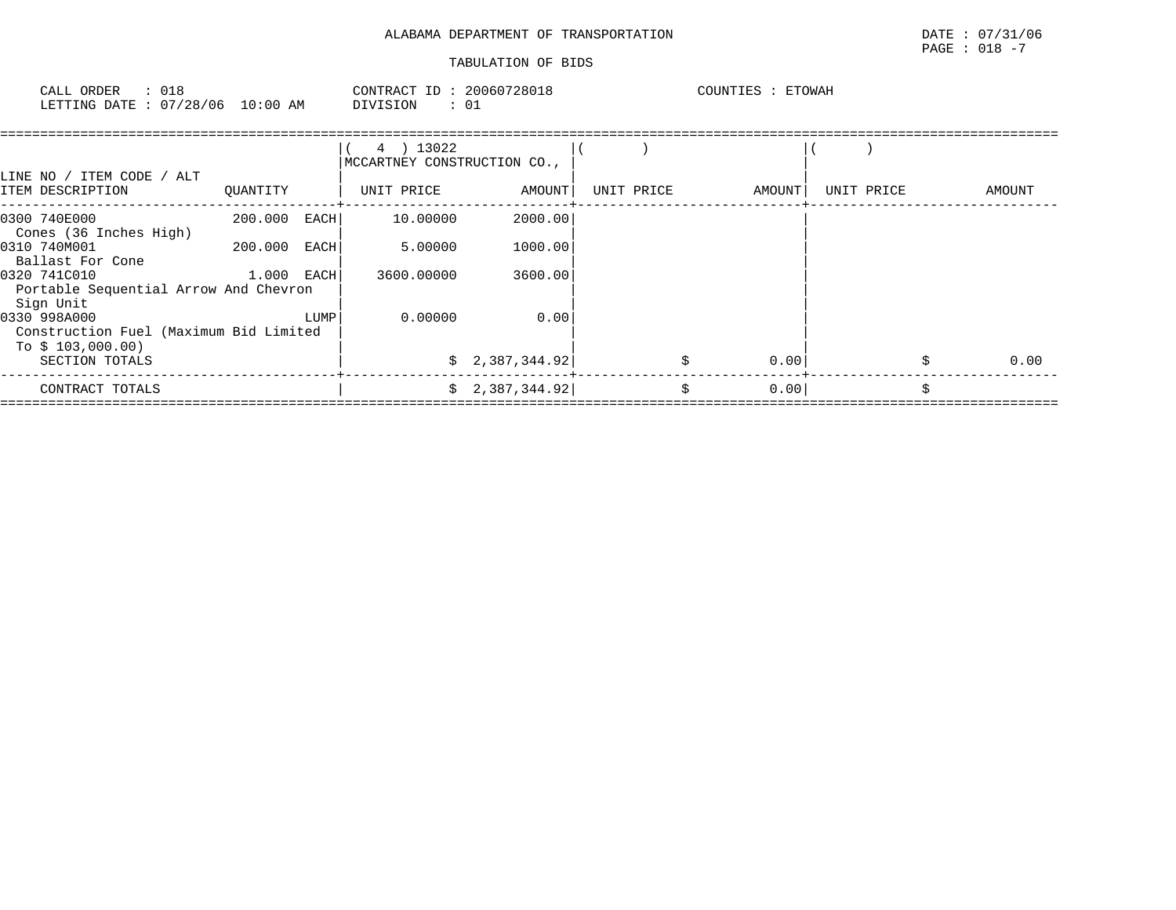# $\texttt{PAGE}$  : 018 -7

| ORDER<br>CALL                    |  | CONTRACT ID: 20060728018 | COUNTIES : ETOWAH |
|----------------------------------|--|--------------------------|-------------------|
| LETTING DATE : 07/28/06 10:00 AM |  | DIVISION                 |                   |

| LINE NO / ITEM CODE / ALT                                                   |              |      | 4 ) 13022<br>MCCARTNEY CONSTRUCTION CO., |                 |            |        |            |        |
|-----------------------------------------------------------------------------|--------------|------|------------------------------------------|-----------------|------------|--------|------------|--------|
| ITEM DESCRIPTION                                                            | QUANTITY     |      | UNIT PRICE                               | AMOUNT          | UNIT PRICE | AMOUNT | UNIT PRICE | AMOUNT |
| 0300 740E000<br>Cones (36 Inches High)                                      | 200.000      | EACH | 10.00000                                 | 2000.00         |            |        |            |        |
| 0310 740M001<br>Ballast For Cone                                            | 200.000      | EACH | 5.00000                                  | 1000.00         |            |        |            |        |
| 0320 741C010<br>Portable Sequential Arrow And Chevron<br>Sign Unit          | $1.000$ EACH |      | 3600.00000                               | 3600.00         |            |        |            |        |
| 0330 998A000<br>Construction Fuel (Maximum Bid Limited<br>To $$103,000.00)$ |              | LUMP | 0.00000                                  | 0.00            |            |        |            |        |
| SECTION TOTALS                                                              |              |      |                                          | \$2,387,344.92  |            | 0.00   |            | 0.00   |
| CONTRACT TOTALS                                                             |              |      |                                          | \$2,387,344.92] | Ŝ.         | 0.00   |            | Š.     |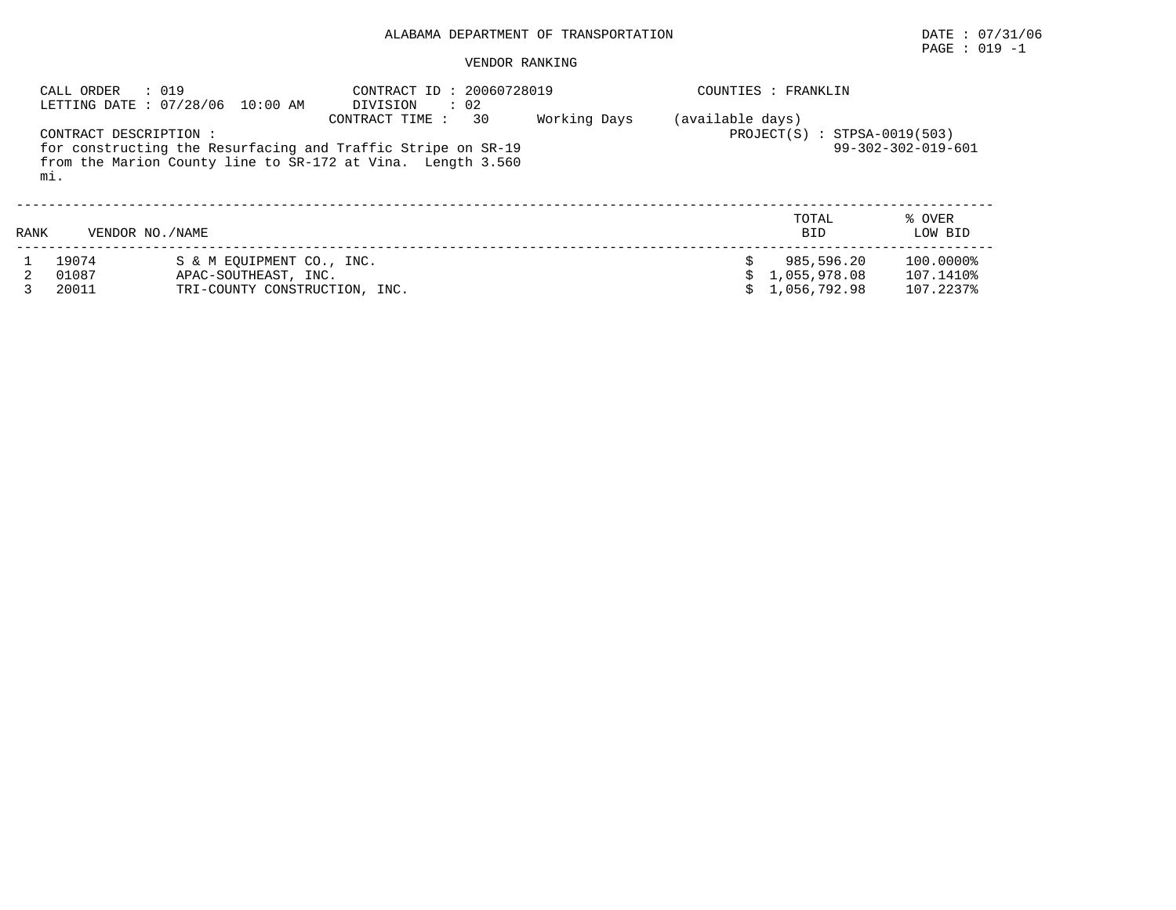# PAGE : 019 -1

| : 019<br>CALL ORDER<br>LETTING DATE: 07/28/06 10:00 AM |                              | CONTRACT ID: 20060728019<br>$\therefore$ 02<br>DIVISION |                                                                                                                                                      | COUNTIES : FRANKLIN |                  |                                   |                    |  |
|--------------------------------------------------------|------------------------------|---------------------------------------------------------|------------------------------------------------------------------------------------------------------------------------------------------------------|---------------------|------------------|-----------------------------------|--------------------|--|
|                                                        | CONTRACT DESCRIPTION:<br>mi. |                                                         | 30<br>CONTRACT TIME :<br>for constructing the Resurfacing and Traffic Stripe on SR-19<br>from the Marion County line to SR-172 at Vina. Length 3.560 | Working Days        | (available days) | $: STPSA-0019(503)$<br>PROJECT(S) | 99-302-302-019-601 |  |
| RANK                                                   | VENDOR NO. / NAME            |                                                         |                                                                                                                                                      |                     |                  | TOTAL<br><b>BID</b>               | % OVER<br>LOW BID  |  |
|                                                        | 19074                        | S & M EOUIPMENT CO., INC.                               |                                                                                                                                                      |                     |                  | 985,596.20                        | 100.0000%          |  |
|                                                        | 01087                        | APAC-SOUTHEAST, INC.                                    |                                                                                                                                                      |                     |                  | 1,055,978.08                      | 107.1410%          |  |
|                                                        | 20011                        | TRI-COUNTY CONSTRUCTION, INC.                           |                                                                                                                                                      |                     |                  | 1,056,792.98                      | 107.2237%          |  |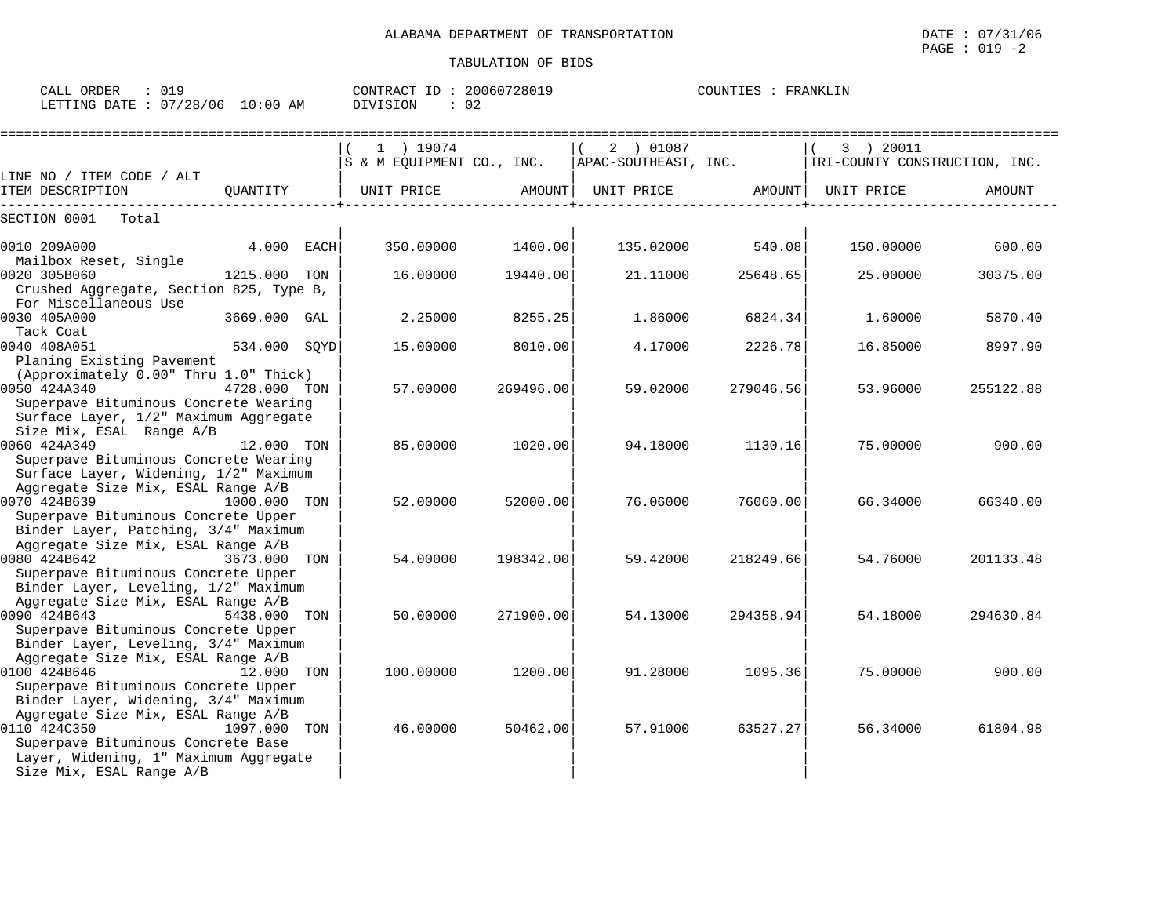| CALL ORDER<br>$\therefore$ 019<br>LETTING DATE : 07/28/06 10:00 AM                                                                                                        |              | DIVISION<br>: 02 |                   | CONTRACT ID: 20060728019 | COUNTIES : FRANKLIN |                                                                                           |           |
|---------------------------------------------------------------------------------------------------------------------------------------------------------------------------|--------------|------------------|-------------------|--------------------------|---------------------|-------------------------------------------------------------------------------------------|-----------|
|                                                                                                                                                                           |              | 1 ) 19074        |                   | 2 ) 01087<br>$\vert$ (   |                     | (3) 20011<br>S & M EQUIPMENT CO., INC. APAC-SOUTHEAST, INC. TRI-COUNTY CONSTRUCTION, INC. |           |
| LINE NO / ITEM CODE / ALT<br>ITEM DESCRIPTION                                                                                                                             |              |                  |                   |                          |                     |                                                                                           | AMOUNT    |
| SECTION 0001 Total                                                                                                                                                        |              |                  |                   |                          |                     |                                                                                           |           |
| 0010 209A000<br>Mailbox Reset, Single                                                                                                                                     | $4.000$ EACH |                  | 350.00000 1400.00 |                          | 135.02000 540.08    | 150.00000                                                                                 | 600.00    |
| 0020 305B060<br>Crushed Aggregate, Section 825, Type B,<br>For Miscellaneous Use                                                                                          | 1215.000 TON | 16.00000         | 19440.00          | 21.11000                 | 25648.65            | 25.00000                                                                                  | 30375.00  |
| 0030 405A000<br>Tack Coat                                                                                                                                                 | 3669.000 GAL | 2.25000          | 8255.25           | 1.86000                  | 6824.34             | 1.60000                                                                                   | 5870.40   |
| 0040 408A051                                                                                                                                                              | 534.000 SQYD | 15.00000         | 8010.00           | 4.17000                  | 2226.78             | 16.85000                                                                                  | 8997.90   |
| Planing Existing Pavement<br>(Approximately 0.00" Thru 1.0" Thick)<br>0050 424A340<br>Superpave Bituminous Concrete Wearing                                               | 4728.000 TON | 57.00000         | 269496.00         | 59.02000                 | 279046.56           | 53.96000                                                                                  | 255122.88 |
| Surface Layer, 1/2" Maximum Aggregate<br>Size Mix, ESAL Range A/B<br>0060 424A349<br>Superpave Bituminous Concrete Wearing                                                | 12.000 TON   | 85,00000         | 1020.00           | 94.18000                 | 1130.16             | 75.00000                                                                                  | 900.00    |
| Surface Layer, Widening, 1/2" Maximum<br>Aggregate Size Mix, ESAL Range A/B<br>0070 424B639<br>Superpave Bituminous Concrete Upper                                        | 1000.000 TON | 52.00000         | 52000.00          | 76.06000                 | 76060.00            | 66.34000                                                                                  | 66340.00  |
| Binder Layer, Patching, 3/4" Maximum<br>Aggregate Size Mix, ESAL Range A/B<br>0080 424B642<br>Superpave Bituminous Concrete Upper                                         | 3673.000 TON | 54.00000         | 198342.00         | 59.42000                 | 218249.66           | 54.76000                                                                                  | 201133.48 |
| Binder Layer, Leveling, 1/2" Maximum<br>Aggregate Size Mix, ESAL Range A/B<br>0090 424B643<br>Superpave Bituminous Concrete Upper                                         | 5438.000 TON | 50.00000         | 271900.00         | 54.13000                 | 294358.94           | 54.18000                                                                                  | 294630.84 |
| Binder Layer, Leveling, 3/4" Maximum<br>Aggregate Size Mix, ESAL Range A/B<br>0100 424B646<br>Superpave Bituminous Concrete Upper<br>Binder Layer, Widening, 3/4" Maximum | 12.000 TON   | 100.00000        | 1200.00           | 91.28000                 | 1095.36             | 75.00000                                                                                  | 900.00    |
| Aggregate Size Mix, ESAL Range A/B<br>0110 424C350<br>Superpave Bituminous Concrete Base<br>Layer, Widening, 1" Maximum Aggregate                                         | 1097.000 TON | 46.00000         | 50462.00          | 57.91000                 | 63527.27            | 56.34000                                                                                  | 61804.98  |
| Size Mix, ESAL Range A/B                                                                                                                                                  |              |                  |                   |                          |                     |                                                                                           |           |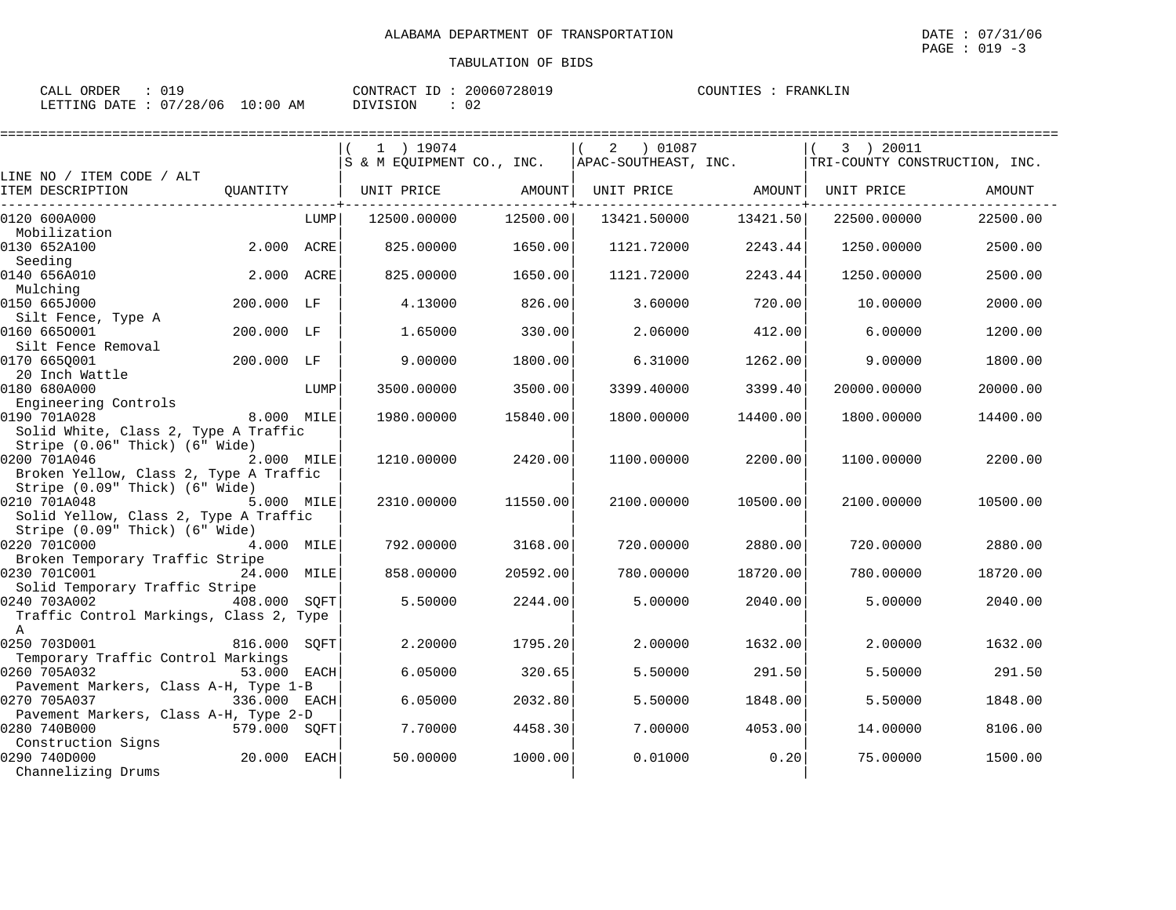| כּעום זט מטוואמטי | $\sim$ $\sim$ $\sim$ $\sim$ $\sim$ $\sim$ $\sim$ |  |  |  |  |
|-------------------|--------------------------------------------------|--|--|--|--|
|                   |                                                  |  |  |  |  |
|                   |                                                  |  |  |  |  |

| ORDER<br>CALL (                  |  | CONTRACT ID: | 20060728015 | COUNTIES | FRANKLIN |
|----------------------------------|--|--------------|-------------|----------|----------|
| LETTING DATE : 07/28/06 10:00 AM |  | DIVISION     | ົ<br>◡∠     |          |          |

|                                                                |              |      | 1 ) 19074                 |          | 2 ) 01087            |          | 3 ) 20011                     |          |
|----------------------------------------------------------------|--------------|------|---------------------------|----------|----------------------|----------|-------------------------------|----------|
|                                                                |              |      | S & M EQUIPMENT CO., INC. |          | APAC-SOUTHEAST, INC. |          | TRI-COUNTY CONSTRUCTION, INC. |          |
| LINE NO / ITEM CODE / ALT<br>ITEM DESCRIPTION                  | OUANTITY     |      | UNIT PRICE                | AMOUNT   | UNIT PRICE AMOUNT    |          | UNIT PRICE                    | AMOUNT   |
|                                                                |              |      |                           |          |                      |          |                               |          |
| 0120 600A000                                                   |              | LUMP | 12500.00000               | 12500.00 | 13421.50000          | 13421.50 | 22500.00000                   | 22500.00 |
| Mobilization                                                   |              |      |                           |          |                      |          |                               |          |
| 0130 652A100                                                   | 2.000 ACRE   |      | 825,00000                 | 1650.00  | 1121.72000           | 2243.44  | 1250.00000                    | 2500.00  |
| Seeding                                                        | 2.000 ACRE   |      |                           |          |                      |          |                               |          |
| 0140 656A010<br>Mulching                                       |              |      | 825,00000                 | 1650.00  | 1121.72000           | 2243.44  | 1250.00000                    | 2500.00  |
| 0150 665J000                                                   | 200.000 LF   |      | 4.13000                   | 826.00   | 3.60000              | 720.00   | 10.00000                      | 2000.00  |
| Silt Fence, Type A                                             |              |      |                           |          |                      |          |                               |          |
| 0160 6650001                                                   | 200.000 LF   |      | 1.65000                   | 330.00   | 2.06000              | 412.00   | 6.00000                       | 1200.00  |
| Silt Fence Removal                                             |              |      |                           |          |                      |          |                               |          |
| 0170 6650001                                                   | 200.000 LF   |      | 9.00000                   | 1800.00  | 6.31000              | 1262.00  | 9,00000                       | 1800.00  |
| 20 Inch Wattle<br>0180 680A000                                 |              | LUMP |                           |          |                      |          |                               |          |
| Engineering Controls                                           |              |      | 3500.00000                | 3500.00  | 3399.40000           | 3399.40  | 20000.00000                   | 20000.00 |
| 0190 701A028                                                   | 8.000 MILE   |      | 1980.00000                | 15840.00 | 1800.00000           | 14400.00 | 1800.00000                    | 14400.00 |
| Solid White, Class 2, Type A Traffic                           |              |      |                           |          |                      |          |                               |          |
| Stripe (0.06" Thick) (6" Wide)                                 |              |      |                           |          |                      |          |                               |          |
| 0200 701A046                                                   | 2.000 MILE   |      | 1210.00000                | 2420.00  | 1100.00000           | 2200.00  | 1100.00000                    | 2200.00  |
| Broken Yellow, Class 2, Type A Traffic                         |              |      |                           |          |                      |          |                               |          |
| Stripe (0.09" Thick) (6" Wide)<br>0210 701A048                 | 5.000 MILE   |      | 2310.00000                | 11550.00 | 2100.00000           | 10500.00 | 2100.00000                    | 10500.00 |
| Solid Yellow, Class 2, Type A Traffic                          |              |      |                           |          |                      |          |                               |          |
| Stripe (0.09" Thick) (6" Wide)                                 |              |      |                           |          |                      |          |                               |          |
| 0220 701C000                                                   | 4.000 MILE   |      | 792.00000                 | 3168.00  | 720.00000            | 2880.00  | 720,00000                     | 2880.00  |
| Broken Temporary Traffic Stripe                                |              |      |                           |          |                      |          |                               |          |
| 0230 701C001                                                   | 24.000 MILE  |      | 858,00000                 | 20592.00 | 780.00000            | 18720.00 | 780.00000                     | 18720.00 |
| Solid Temporary Traffic Stripe<br>0240 703A002<br>408.000 SQFT |              |      | 5.50000                   |          | 5.00000              | 2040.00  |                               |          |
| Traffic Control Markings, Class 2, Type                        |              |      |                           | 2244.00  |                      |          | 5.00000                       | 2040.00  |
| A                                                              |              |      |                           |          |                      |          |                               |          |
| 0250 703D001                                                   | 816.000 SQFT |      | 2.20000                   | 1795.20  | 2.00000              | 1632.00  | 2.00000                       | 1632.00  |
| Temporary Traffic Control Markings                             |              |      |                           |          |                      |          |                               |          |
| 0260 705A032                                                   | 53.000 EACH  |      | 6.05000                   | 320.65   | 5.50000              | 291.50   | 5.50000                       | 291.50   |
| Pavement Markers, Class A-H, Type 1-B                          |              |      |                           |          |                      |          |                               |          |
| 0270 705A037<br>Pavement Markers, Class A-H, Type 2-D          | 336.000 EACH |      | 6.05000                   | 2032.80  | 5.50000              | 1848.00  | 5.50000                       | 1848.00  |
| 0280 740B000                                                   | 579.000 SOFT |      | 7.70000                   | 4458.30  | 7.00000              | 4053.00  | 14,00000                      | 8106.00  |
| Construction Signs                                             |              |      |                           |          |                      |          |                               |          |
| 0290 740D000                                                   | 20.000       | EACH | 50.00000                  | 1000.00  | 0.01000              | 0.20     | 75.00000                      | 1500.00  |
| Channelizing Drums                                             |              |      |                           |          |                      |          |                               |          |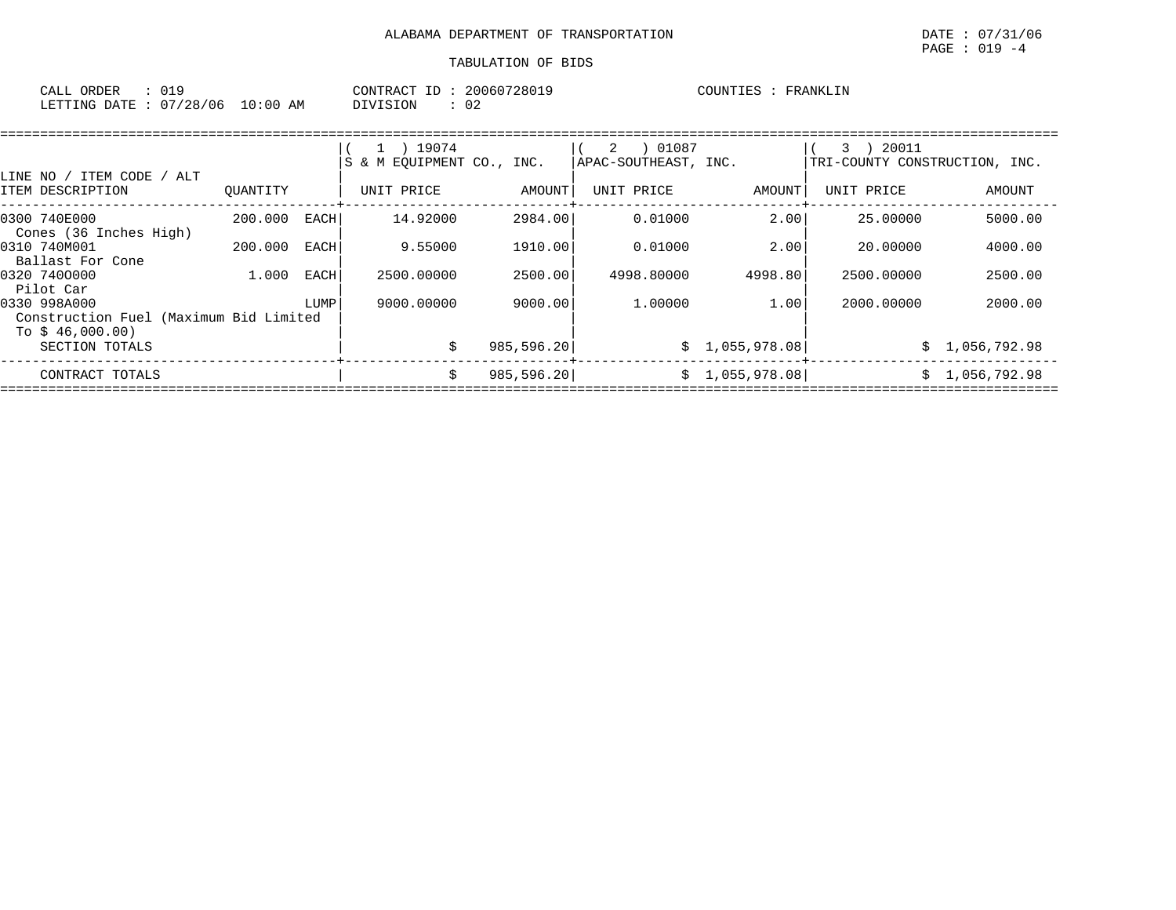| CALL ORDER             |            | CONTRACT ID:             | 20060728019 | COUNTIES :<br>FRANKLIN |
|------------------------|------------|--------------------------|-------------|------------------------|
| LETTING DATE: 07/28/06 | $10:00$ AM | $\cap$<br>DIVISION<br>∪∠ |             |                        |

| LINE NO / ITEM CODE / ALT                                                  |          |        | 1 ) 19074<br>S & M EOUIPMENT CO., INC. |             | ) 01087<br>2<br> APAC-SOUTHEAST, INC. |                 | 20011<br>3<br>TRI-COUNTY CONSTRUCTION, INC. |                |
|----------------------------------------------------------------------------|----------|--------|----------------------------------------|-------------|---------------------------------------|-----------------|---------------------------------------------|----------------|
| ITEM DESCRIPTION                                                           | OUANTITY |        | UNIT PRICE                             | AMOUNT      | UNIT PRICE                            | AMOUNT          | UNIT PRICE                                  | AMOUNT         |
| 0300 740E000<br>Cones (36 Inches High)                                     | 200.000  | EACH I | 14.92000                               | 2984.00     | 0.01000                               | 2.00            | 25.00000                                    | 5000.00        |
| 0310 740M001<br>Ballast For Cone                                           | 200.000  | EACH   | 9.55000                                | 1910.00     | 0.01000                               | 2.00            | 20.00000                                    | 4000.00        |
| 0320 7400000<br>Pilot Car                                                  | 1,000    | EACH   | 2500.00000                             | 2500.00     | 4998.80000                            | 4998.80         | 2500.00000                                  | 2500.00        |
| 0330 998A000<br>Construction Fuel (Maximum Bid Limited<br>To $$46,000.00)$ |          | LUMP   | 9000.00000                             | 9000.00     | 1,00000                               | 1.00            | 2000.00000                                  | 2000.00        |
| SECTION TOTALS                                                             |          |        | Ŝ.                                     | 985,596.20  |                                       | \$1,055,978.08] |                                             | \$1,056,792.98 |
| CONTRACT TOTALS                                                            |          |        | Ŝ.                                     | 985, 596.20 |                                       | \$1,055,978.08] | S.                                          | 1,056,792.98   |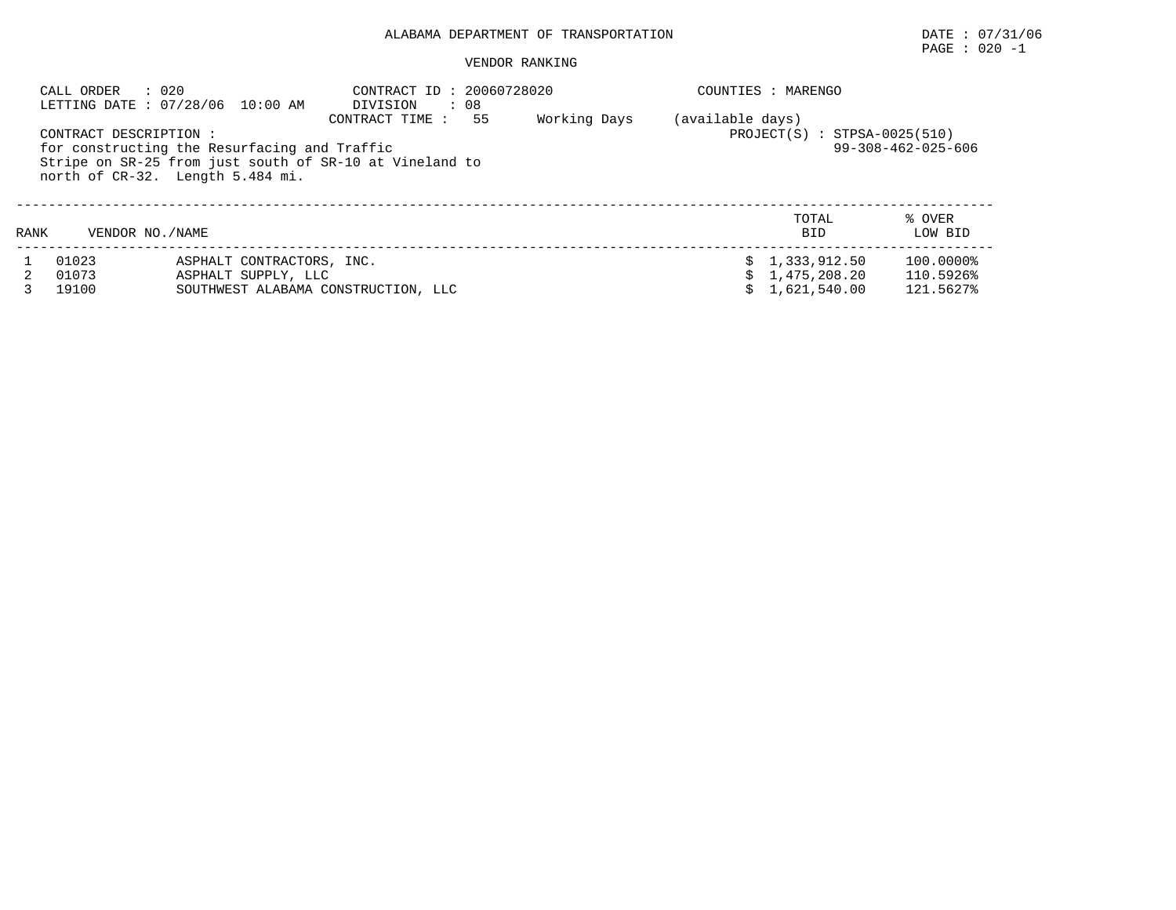# PAGE : 020 -1

|      | : 020<br>CALL ORDER     | LETTING DATE : 07/28/06 10:00 AM                                                                                                            | CONTRACT ID: 20060728020<br>DIVISION<br>: 08 |    |              |                  | COUNTIES : MARENGO                             |                                     |
|------|-------------------------|---------------------------------------------------------------------------------------------------------------------------------------------|----------------------------------------------|----|--------------|------------------|------------------------------------------------|-------------------------------------|
|      | CONTRACT DESCRIPTION :  | for constructing the Resurfacing and Traffic<br>Stripe on SR-25 from just south of SR-10 at Vineland to<br>north of CR-32. Length 5.484 mi. | CONTRACT TIME :                              | 55 | Working Days | (available days) | $PROJECT(S) : STPSA-0025(510)$                 | $99 - 308 - 462 - 025 - 606$        |
| RANK | VENDOR NO./NAME         |                                                                                                                                             |                                              |    |              |                  | TOTAL<br><b>BID</b>                            | % OVER<br>LOW BID                   |
|      | 01023<br>01073<br>19100 | ASPHALT CONTRACTORS, INC.<br>ASPHALT SUPPLY, LLC<br>SOUTHWEST ALABAMA CONSTRUCTION, LLC                                                     |                                              |    |              |                  | \$1,333,912.50<br>1,475,208.20<br>1,621,540.00 | 100.0000%<br>110.5926%<br>121.5627% |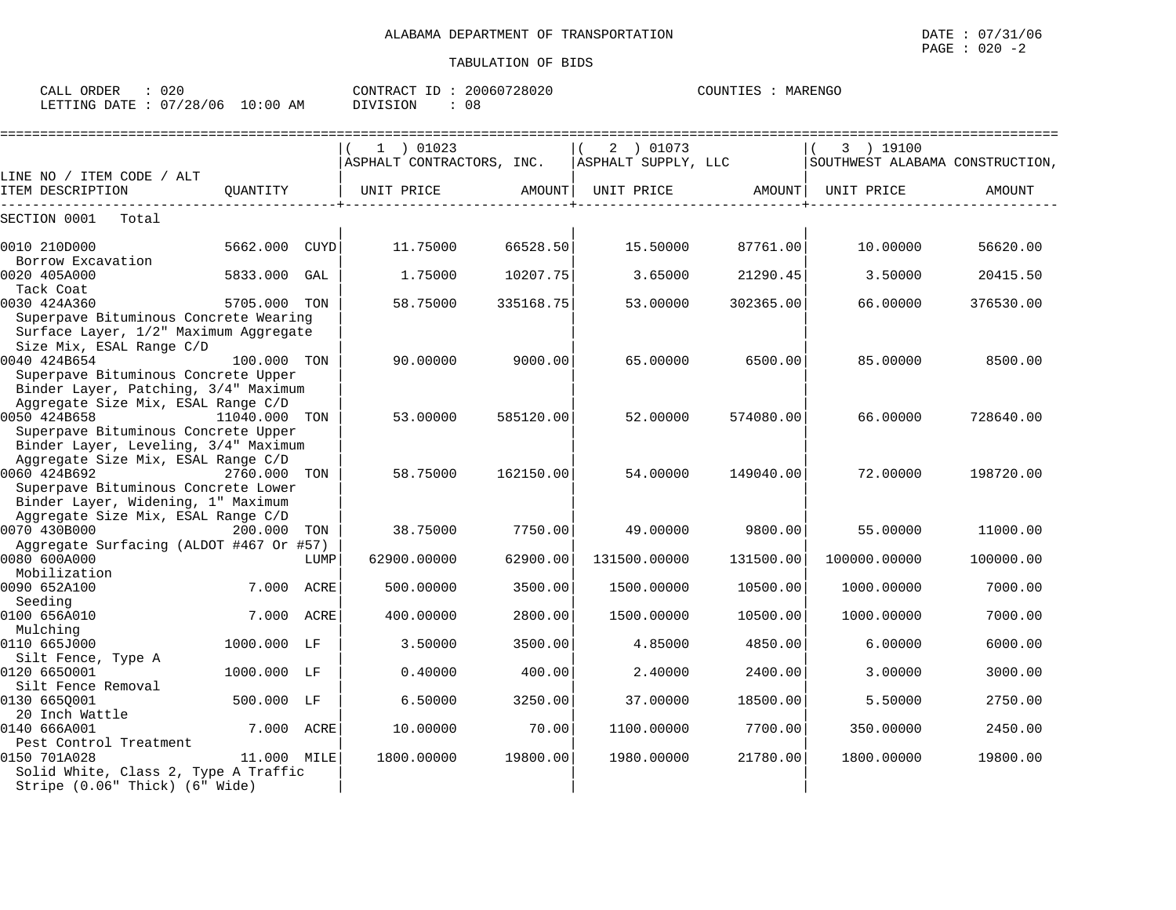| 020<br>CALL ORDER               |          | CONTRACT ID: 20060728020 | COUNTIES :<br>MARENGO |
|---------------------------------|----------|--------------------------|-----------------------|
| LETTING DATE: 07/28/06 10:00 AM | DIVISION | -08                      |                       |

|                                                                                                                   |               |      | 1 ) 01023                 |           | 2 ) 01073           |           | 3 ) 19100                       |           |
|-------------------------------------------------------------------------------------------------------------------|---------------|------|---------------------------|-----------|---------------------|-----------|---------------------------------|-----------|
|                                                                                                                   |               |      | ASPHALT CONTRACTORS, INC. |           | ASPHALT SUPPLY, LLC |           | SOUTHWEST ALABAMA CONSTRUCTION, |           |
| LINE NO / ITEM CODE / ALT<br>ITEM DESCRIPTION                                                                     | QUANTITY      |      | UNIT PRICE                | AMOUNT    | UNIT PRICE          | AMOUNT    | UNIT PRICE                      | AMOUNT    |
| Total<br>SECTION 0001                                                                                             |               |      |                           |           |                     |           |                                 |           |
| 0010 210D000<br>Borrow Excavation                                                                                 | 5662.000      | CUYD | 11.75000                  | 66528.50  | 15.50000            | 87761.00  | 10.00000                        | 56620.00  |
| 0020 405A000<br>Tack Coat                                                                                         | 5833.000 GAL  |      | 1.75000                   | 10207.75  | 3.65000             | 21290.45  | 3.50000                         | 20415.50  |
| 0030 424A360<br>Superpave Bituminous Concrete Wearing                                                             | 5705.000 TON  |      | 58.75000                  | 335168.75 | 53.00000            | 302365.00 | 66.00000                        | 376530.00 |
| Surface Layer, 1/2" Maximum Aggregate<br>Size Mix, ESAL Range C/D<br>0040 424B654                                 | 100.000 TON   |      | 90.00000                  | 9000.00   | 65.00000            | 6500.00   | 85.00000                        | 8500.00   |
| Superpave Bituminous Concrete Upper<br>Binder Layer, Patching, 3/4" Maximum<br>Aggregate Size Mix, ESAL Range C/D |               |      |                           |           |                     |           |                                 |           |
| 0050 424B658<br>Superpave Bituminous Concrete Upper<br>Binder Layer, Leveling, 3/4" Maximum                       | 11040.000 TON |      | 53.00000                  | 585120.00 | 52.00000            | 574080.00 | 66.00000                        | 728640.00 |
| Aggregate Size Mix, ESAL Range C/D<br>0060 424B692<br>Superpave Bituminous Concrete Lower                         | 2760.000      | TON  | 58.75000                  | 162150.00 | 54.00000            | 149040.00 | 72.00000                        | 198720.00 |
| Binder Layer, Widening, 1" Maximum<br>Aggregate Size Mix, ESAL Range C/D<br>0070 430B000                          | 200.000 TON   |      | 38.75000                  | 7750.00   | 49.00000            | 9800.00   | 55.00000                        | 11000.00  |
| Aggregate Surfacing (ALDOT #467 Or #57)                                                                           |               |      |                           |           |                     |           |                                 |           |
| 0080 600A000<br>Mobilization                                                                                      |               | LUMP | 62900.00000               | 62900.00  | 131500.00000        | 131500.00 | 100000.00000                    | 100000.00 |
| 0090 652A100<br>Seeding                                                                                           | 7.000         | ACRE | 500.00000                 | 3500.00   | 1500.00000          | 10500.00  | 1000.00000                      | 7000.00   |
| 0100 656A010<br>Mulching                                                                                          | 7.000         | ACRE | 400.00000                 | 2800.00   | 1500.00000          | 10500.00  | 1000.00000                      | 7000.00   |
| 0110 665J000<br>Silt Fence, Type A                                                                                | 1000.000 LF   |      | 3.50000                   | 3500.00   | 4.85000             | 4850.00   | 6.00000                         | 6000.00   |
| 0120 6650001<br>Silt Fence Removal                                                                                | 1000.000 LF   |      | 0.40000                   | 400.00    | 2.40000             | 2400.00   | 3.00000                         | 3000.00   |
| 0130 665Q001<br>20 Inch Wattle                                                                                    | 500.000 LF    |      | 6.50000                   | 3250.00   | 37.00000            | 18500.00  | 5.50000                         | 2750.00   |
| 0140 666A001<br>Pest Control Treatment                                                                            | 7.000 ACRE    |      | 10.00000                  | 70.00     | 1100.00000          | 7700.00   | 350.00000                       | 2450.00   |
| 0150 701A028<br>Solid White, Class 2, Type A Traffic<br>Stripe (0.06" Thick) (6" Wide)                            | 11.000 MILE   |      | 1800.00000                | 19800.00  | 1980.00000          | 21780.00  | 1800.00000                      | 19800.00  |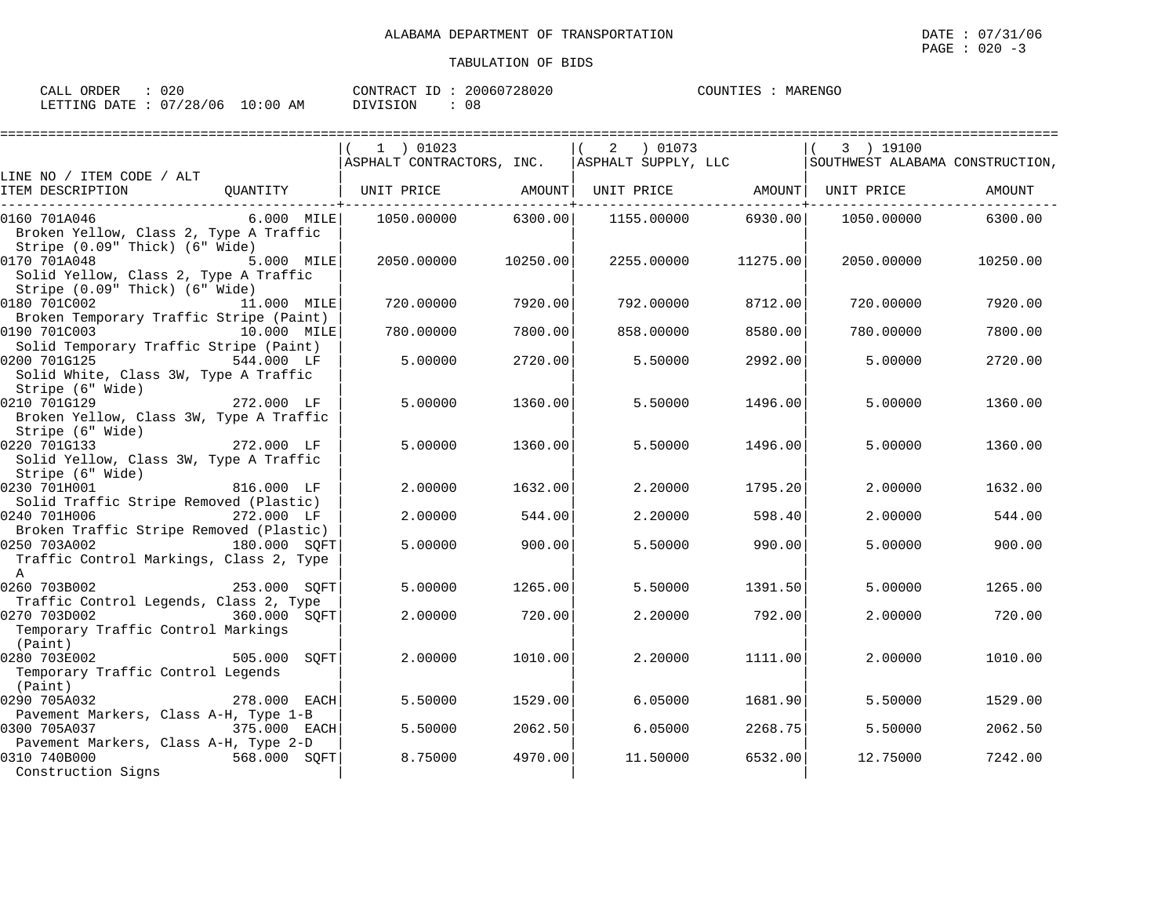| CALL ORDER                      | 020 |          | CONTRACT ID: 20060728020 | COUNTIES : MARENGO |  |
|---------------------------------|-----|----------|--------------------------|--------------------|--|
| LETTING DATE: 07/28/06 10:00 AM |     | DIVISION | 08                       |                    |  |

|                                                                                          |              | $1$ ) 01023<br>ASPHALT CONTRACTORS, INC. ASPHALT SUPPLY, LLC |          | 01073 (<br>2 |                   | 3 ) 19100<br>SOUTHWEST ALABAMA CONSTRUCTION, |          |
|------------------------------------------------------------------------------------------|--------------|--------------------------------------------------------------|----------|--------------|-------------------|----------------------------------------------|----------|
| LINE NO / ITEM CODE / ALT                                                                |              |                                                              |          |              |                   |                                              |          |
| ITEM DESCRIPTION                                                                         | OUANTITY     | UNIT PRICE                                                   | AMOUNT   |              | UNIT PRICE AMOUNT | UNIT PRICE                                   | AMOUNT   |
| 0160 701A046<br>Broken Yellow, Class 2, Type A Traffic<br>Stripe (0.09" Thick) (6" Wide) | 6.000 MILE   | 1050.00000                                                   | 6300.00  | 1155.00000   | 6930.00           | 1050.00000                                   | 6300.00  |
| 0170 701A048<br>Solid Yellow, Class 2, Type A Traffic<br>Stripe (0.09" Thick) (6" Wide)  | 5.000 MILE   | 2050.00000                                                   | 10250.00 | 2255.00000   | 11275.00          | 2050.00000                                   | 10250.00 |
| 0180 701C002<br>Broken Temporary Traffic Stripe (Paint)                                  | 11.000 MILE  | 720.00000                                                    | 7920.00  | 792.00000    | 8712.00           | 720.00000                                    | 7920.00  |
| 0190 701C003<br>Solid Temporary Traffic Stripe (Paint)                                   | 10.000 MILE  | 780.00000                                                    | 7800.00  | 858.00000    | 8580.00           | 780.00000                                    | 7800.00  |
| 0200 701G125<br>Solid White, Class 3W, Type A Traffic<br>Stripe (6" Wide)                | 544.000 LF   | 5.00000                                                      | 2720.00  | 5.50000      | 2992.00           | 5.00000                                      | 2720.00  |
| 0210 701G129<br>Broken Yellow, Class 3W, Type A Traffic<br>Stripe (6" Wide)              | 272.000 LF   | 5.00000                                                      | 1360.00  | 5.50000      | 1496.00           | 5.00000                                      | 1360.00  |
| 0220 701G133<br>Solid Yellow, Class 3W, Type A Traffic<br>Stripe (6" Wide)               | $272.000$ LF | 5.00000                                                      | 1360.00  | 5.50000      | 1496.00           | 5,00000                                      | 1360.00  |
| 0230 701H001<br>Solid Traffic Stripe Removed (Plastic)                                   | 816.000 LF   | 2.00000                                                      | 1632.00  | 2.20000      | 1795.20           | 2.00000                                      | 1632.00  |
| 0240 701H006<br>Broken Traffic Stripe Removed (Plastic)                                  | 272.000 LF   | 2.00000                                                      | 544.00   | 2.20000      | 598.40            | 2,00000                                      | 544.00   |
| 0250 703A002<br>Traffic Control Markings, Class 2, Type<br>$\mathbb{A}$                  | 180.000 SQFT | 5.00000                                                      | 900.00   | 5.50000      | 990.00            | 5.00000                                      | 900.00   |
| 0260 703B002<br>Traffic Control Legends, Class 2, Type                                   | 253.000 SOFT | 5.00000                                                      | 1265.00  | 5.50000      | 1391.50           | 5.00000                                      | 1265.00  |
| 0270 703D002<br>Temporary Traffic Control Markings<br>(Paint)                            | 360.000 SQFT | 2.00000                                                      | 720.00   | 2.20000      | 792.00            | 2.00000                                      | 720.00   |
| 0280 703E002<br>Temporary Traffic Control Legends<br>(Paint)                             | 505.000 SOFT | 2.00000                                                      | 1010.00  | 2.20000      | 1111.00           | 2,00000                                      | 1010.00  |
| 0290 705A032<br>Pavement Markers, Class A-H, Type 1-B                                    | 278.000 EACH | 5.50000                                                      | 1529.00  | 6.05000      | 1681.90           | 5.50000                                      | 1529.00  |
| 0300 705A037<br>Pavement Markers, Class A-H, Type 2-D                                    | 375.000 EACH | 5.50000                                                      | 2062.50  | 6.05000      | 2268.75           | 5.50000                                      | 2062.50  |
| 0310 740B000<br>Construction Signs                                                       | 568.000 SQFT | 8.75000                                                      | 4970.00  | 11.50000     | 6532.00           | 12.75000                                     | 7242.00  |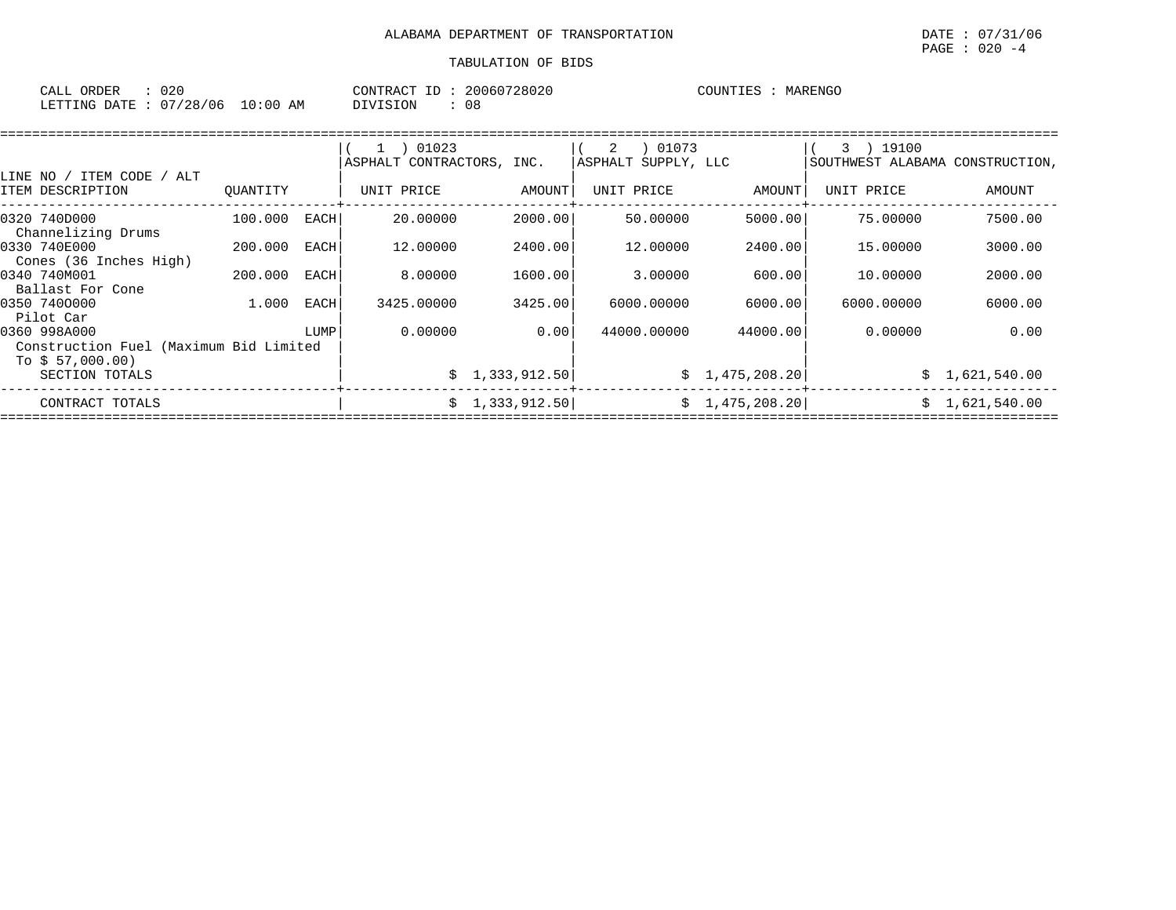| ORDER<br>CALL (        | 020 |            | CONTRACT ID : | 20060728020 | COUNTIES | MARENGO |
|------------------------|-----|------------|---------------|-------------|----------|---------|
| LETTING DATE: 07/28/06 |     | $10:00$ AM | DIVISION      | 08          |          |         |

|                                                                            |          |      | 01023<br>ASPHALT CONTRACTORS, INC. |                | 01073<br>2<br>ASPHALT SUPPLY, LLC |                | 19100<br>$3 \rightarrow$<br>SOUTHWEST ALABAMA CONSTRUCTION, |                |
|----------------------------------------------------------------------------|----------|------|------------------------------------|----------------|-----------------------------------|----------------|-------------------------------------------------------------|----------------|
| LINE NO / ITEM CODE / ALT<br>ITEM DESCRIPTION                              | OUANTITY |      | UNIT PRICE                         | AMOUNT         | UNIT PRICE                        | AMOUNT         | UNIT PRICE                                                  | AMOUNT         |
| 0320 740D000<br>Channelizing Drums                                         | 100.000  | EACH | 20,00000                           | 2000.00        | 50.00000                          | 5000.00        | 75.00000                                                    | 7500.00        |
| 0330 740E000<br>Cones (36 Inches High)                                     | 200,000  | EACH | 12,00000                           | 2400.00        | 12.00000                          | 2400.00        | 15,00000                                                    | 3000.00        |
| 0340 740M001<br>Ballast For Cone                                           | 200.000  | EACH | 8,00000                            | 1600.00        | 3.00000                           | 600.00         | 10,00000                                                    | 2000.00        |
| 0350 7400000<br>Pilot Car                                                  | 1,000    | EACH | 3425,00000                         | 3425.00        | 6000.00000                        | 6000.00        | 6000.00000                                                  | 6000.00        |
| 0360 998A000<br>Construction Fuel (Maximum Bid Limited<br>To $$57,000.00)$ |          | LUMP | 0.00000                            | 0.00           | 44000.00000                       | 44000.00       | 0.00000                                                     | 0.00           |
| SECTION TOTALS                                                             |          |      |                                    | \$1,333,912.50 |                                   | \$1,475,208.20 |                                                             | \$1,621,540.00 |
| CONTRACT TOTALS                                                            |          |      |                                    | \$1,333,912.50 |                                   | \$1,475,208.20 | Ŝ.                                                          | 1,621,540.00   |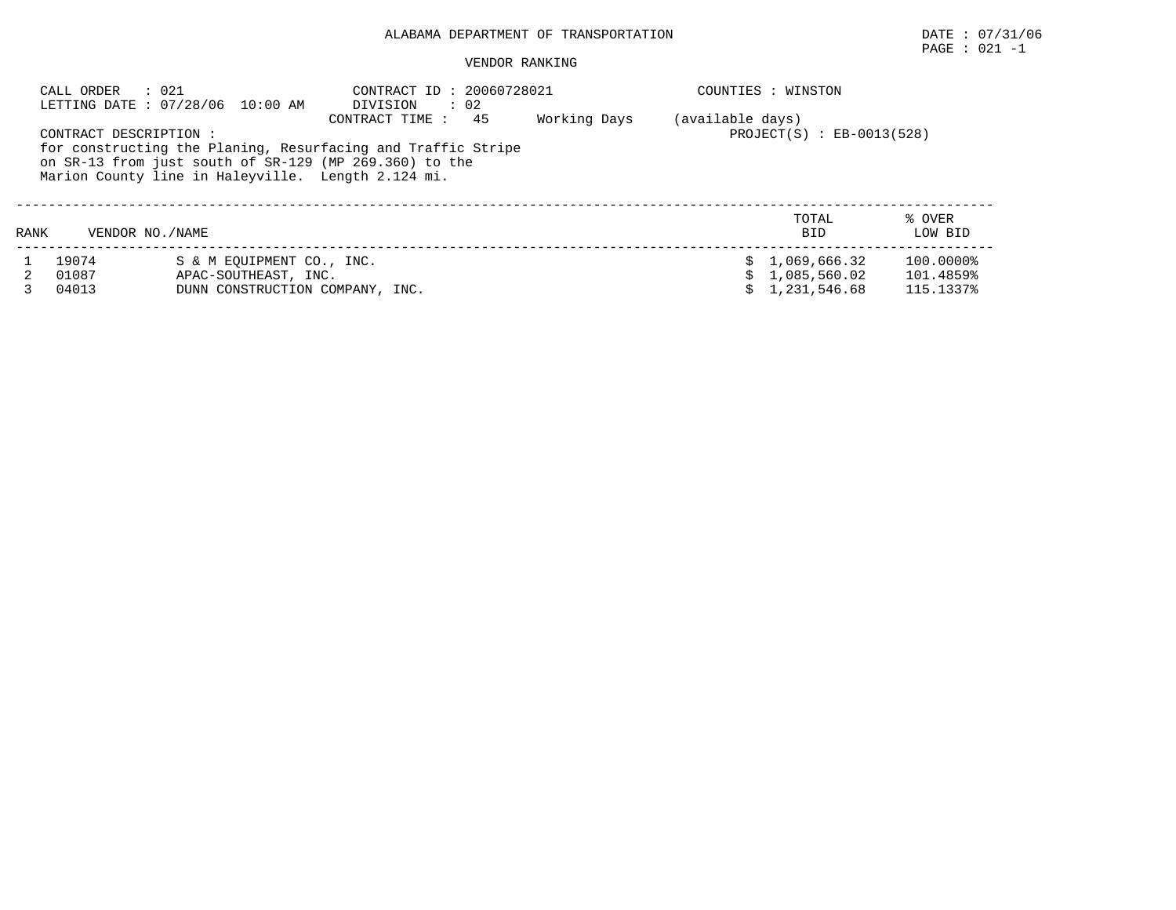PAGE : 021 -1

|      | : 021<br>CALL ORDER   | LETTING DATE: 07/28/06 10:00 AM                    | CONTRACT ID: 20060728021<br>DIVISION<br>$\therefore$ 02                              |              |                  | COUNTIES : WINSTON            |                   |
|------|-----------------------|----------------------------------------------------|--------------------------------------------------------------------------------------|--------------|------------------|-------------------------------|-------------------|
|      | CONTRACT DESCRIPTION: |                                                    | 45<br>CONTRACT TIME:<br>for constructing the Planing, Resurfacing and Traffic Stripe | Working Days | (available days) | $PROJECT(S)$ : $EB-0013(528)$ |                   |
|      |                       | Marion County line in Haleyville. Length 2.124 mi. | on SR-13 from just south of SR-129 (MP 269.360) to the                               |              |                  |                               |                   |
| RANK | VENDOR NO. / NAME     |                                                    |                                                                                      |              |                  | TOTAL<br><b>BID</b>           | % OVER<br>LOW BID |
|      | 19074                 | S & M EOUIPMENT CO., INC.                          |                                                                                      |              |                  | \$1.069.666.32                | 100.0000%         |
|      | 01087                 | APAC-SOUTHEAST, INC.                               |                                                                                      |              |                  | \$1,085,560.02                | 101.4859%         |
|      | 04013                 | DUNN CONSTRUCTION COMPANY, INC.                    |                                                                                      |              |                  | \$1,231,546.68                | 115.1337%         |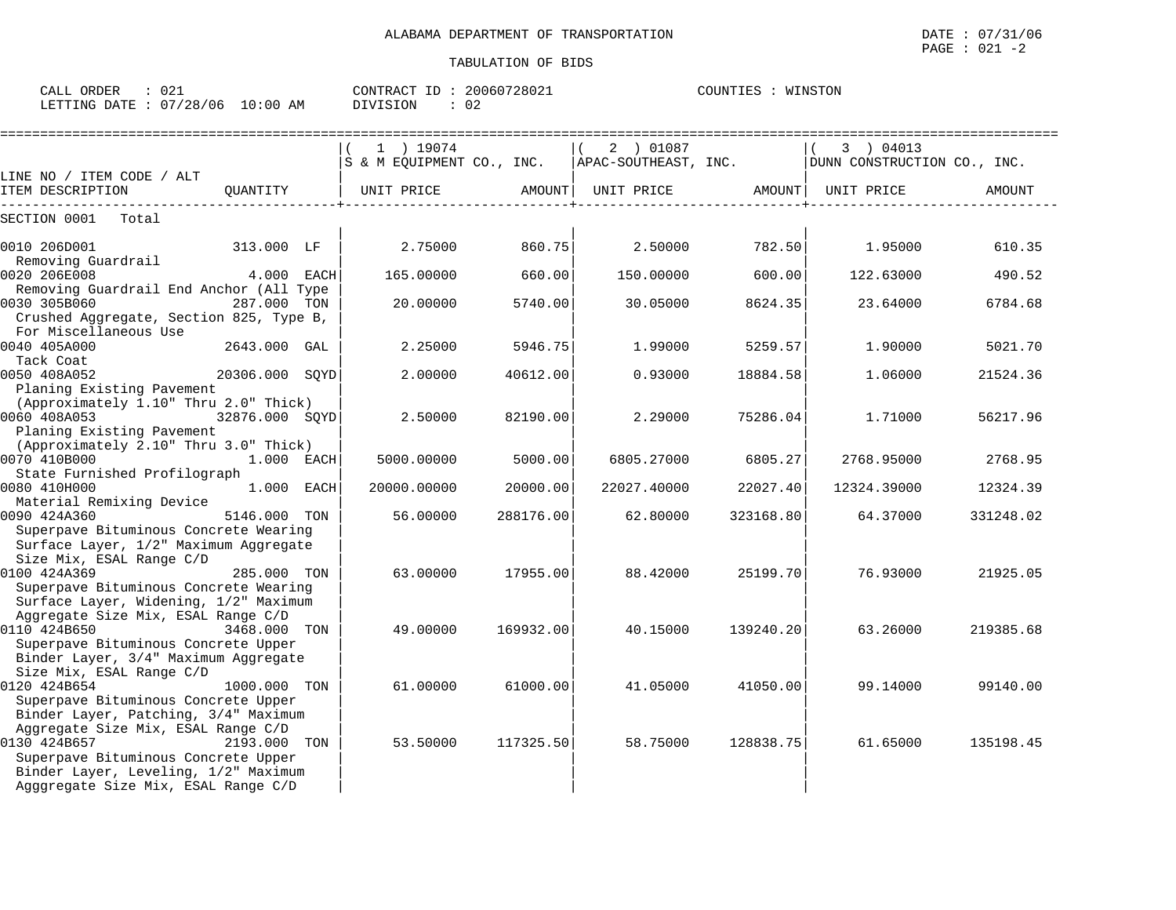CALL ORDER : 021 CONTRACT ID : 20060728021 COUNTIES : WINSTON LETTING DATE : 07/28/06 10:00 AM DIVISION : 02

|                                                                                                                                   |                |     | 1 ) 19074                 |           | 2 ) 01087            |           | 3 ) 04013                   |           |
|-----------------------------------------------------------------------------------------------------------------------------------|----------------|-----|---------------------------|-----------|----------------------|-----------|-----------------------------|-----------|
| LINE NO / ITEM CODE / ALT                                                                                                         |                |     | S & M EQUIPMENT CO., INC. |           | APAC-SOUTHEAST, INC. |           | DUNN CONSTRUCTION CO., INC. |           |
| ITEM DESCRIPTION<br>-------------------                                                                                           | OUANTITY       |     | UNIT PRICE                | AMOUNT    | UNIT PRICE AMOUNT    |           | UNIT PRICE                  | AMOUNT    |
| SECTION 0001<br>Total                                                                                                             |                |     |                           |           |                      |           |                             |           |
| 0010 206D001                                                                                                                      | 313.000 LF     |     | 2.75000                   | 860.75    | 2.50000              | 782.50    | 1.95000                     | 610.35    |
| Removing Guardrail<br>0020 206E008                                                                                                | 4.000 EACH     |     | 165.00000                 | 660.00    | 150.00000            | 600.00    | 122.63000                   | 490.52    |
| Removing Guardrail End Anchor (All Type<br>0030 305B060                                                                           | 287.000 TON    |     | 20.00000                  | 5740.00   | 30.05000             | 8624.35   | 23.64000                    | 6784.68   |
| Crushed Aggregate, Section 825, Type B,<br>For Miscellaneous Use                                                                  |                |     |                           |           |                      |           |                             |           |
| 0040 405A000<br>Tack Coat                                                                                                         | 2643.000 GAL   |     | 2.25000                   | 5946.75   | 1.99000              | 5259.57   | 1.90000                     | 5021.70   |
| 0050 408A052<br>Planing Existing Pavement                                                                                         | 20306.000 SOYD |     | 2.00000                   | 40612.00  | 0.93000              | 18884.58  | 1.06000                     | 21524.36  |
| (Approximately 1.10" Thru 2.0" Thick)<br>0060 408A053                                                                             | 32876.000 SOYD |     | 2.50000                   | 82190.00  | 2.29000              | 75286.04  | 1.71000                     | 56217.96  |
| Planing Existing Pavement<br>(Approximately 2.10" Thru 3.0" Thick)<br>0070 410B000                                                | $1.000$ EACH   |     | 5000.00000                | 5000.00   | 6805.27000           | 6805.27   | 2768.95000                  | 2768.95   |
| State Furnished Profilograph<br>0080 410H000                                                                                      | 1.000 EACH     |     | 20000.00000               | 20000.00  | 22027.40000          | 22027.40  | 12324.39000                 | 12324.39  |
| Material Remixing Device<br>0090 424A360<br>Superpave Bituminous Concrete Wearing                                                 | 5146.000       | TON | 56.00000                  | 288176.00 | 62.80000             | 323168.80 | 64.37000                    | 331248.02 |
| Surface Layer, 1/2" Maximum Aggregate<br>Size Mix, ESAL Range C/D<br>0100 424A369                                                 | 285.000 TON    |     | 63.00000                  | 17955.00  | 88.42000             | 25199.70  | 76.93000                    | 21925.05  |
| Superpave Bituminous Concrete Wearing<br>Surface Layer, Widening, 1/2" Maximum                                                    |                |     |                           |           |                      |           |                             |           |
| Aggregate Size Mix, ESAL Range C/D<br>0110 424B650<br>Superpave Bituminous Concrete Upper                                         | 3468.000 TON   |     | 49.00000                  | 169932.00 | 40.15000             | 139240.20 | 63.26000                    | 219385.68 |
| Binder Layer, 3/4" Maximum Aggregate<br>Size Mix, ESAL Range C/D                                                                  |                |     |                           |           |                      |           |                             |           |
| 0120 424B654<br>Superpave Bituminous Concrete Upper<br>Binder Layer, Patching, 3/4" Maximum                                       | 1000.000 TON   |     | 61,00000                  | 61000.00  | 41.05000             | 41050.00  | 99.14000                    | 99140.00  |
| Aggregate Size Mix, ESAL Range C/D<br>0130 424B657<br>Superpave Bituminous Concrete Upper<br>Binder Layer, Leveling, 1/2" Maximum | 2193.000 TON   |     | 53.50000                  | 117325.50 | 58.75000             | 128838.75 | 61.65000                    | 135198.45 |
| Agggregate Size Mix, ESAL Range C/D                                                                                               |                |     |                           |           |                      |           |                             |           |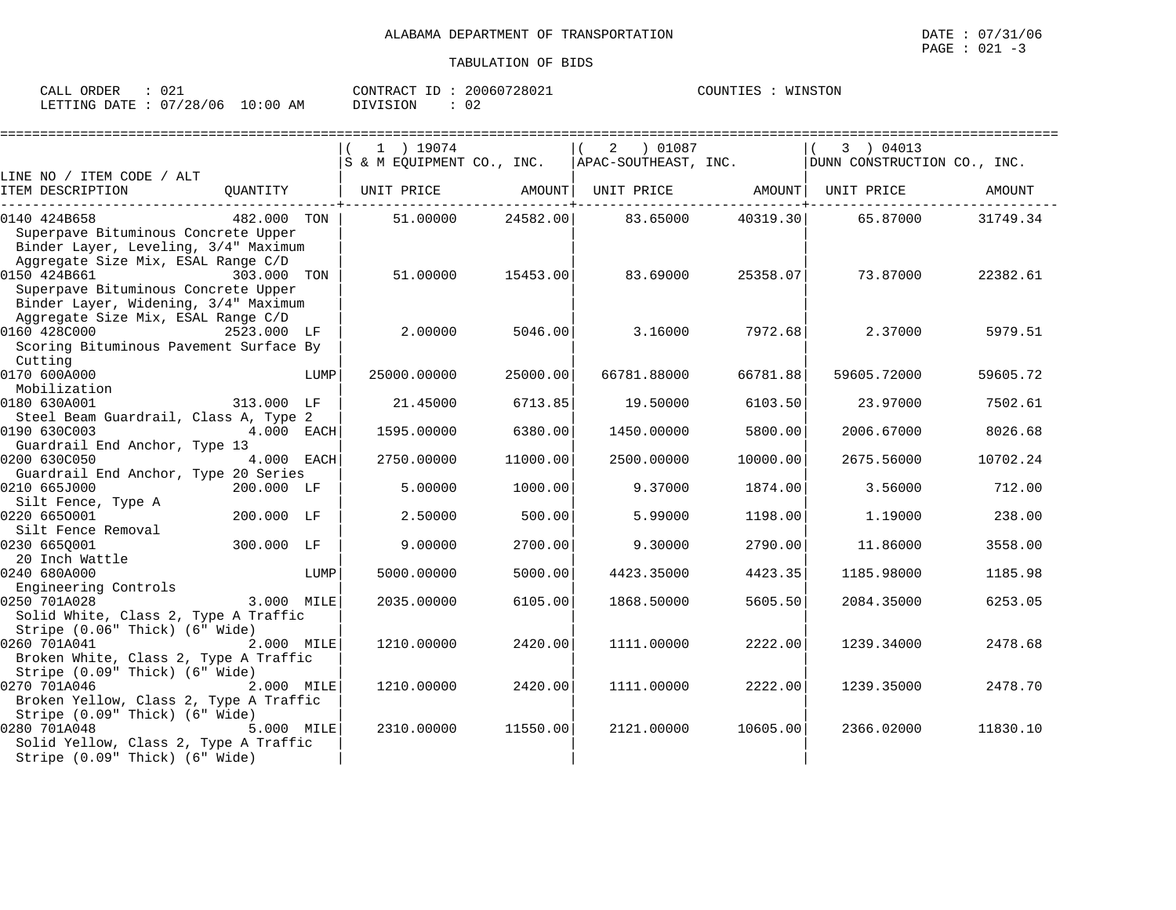| ORDER<br>$\sim$ $\sim$ $\sim$<br>CALL | $\cap$ $\cap$ $\sim$<br>- U 4 - |             | CONTRACT<br>T <sub>D</sub> | 20060728021 | COUNTIES | WINSTON |
|---------------------------------------|---------------------------------|-------------|----------------------------|-------------|----------|---------|
| LETTING<br>DATE                       | 07/28<br>/06                    | .0:00<br>AM | DIVISION                   | ◡∠          |          |         |

|                                                                                                                                                                           |             |      | 1 ) 19074<br>S & M EQUIPMENT CO., INC. |          | 2 01087<br>APAC-SOUTHEAST, INC. |          | 3 ) 04013<br>DUNN CONSTRUCTION CO., INC. |          |
|---------------------------------------------------------------------------------------------------------------------------------------------------------------------------|-------------|------|----------------------------------------|----------|---------------------------------|----------|------------------------------------------|----------|
| LINE NO / ITEM CODE / ALT<br>ITEM DESCRIPTION                                                                                                                             | QUANTITY    |      | UNIT PRICE                             | AMOUNT   | UNIT PRICE AMOUNT               |          | UNIT PRICE                               | AMOUNT   |
| 0140 424B658<br>Superpave Bituminous Concrete Upper                                                                                                                       | 482.000 TON |      | 51.00000                               | 24582.00 | 83.65000                        | 40319.30 | 65.87000                                 | 31749.34 |
| Binder Layer, Leveling, 3/4" Maximum<br>Aggregate Size Mix, ESAL Range C/D<br>0150 424B661<br>Superpave Bituminous Concrete Upper<br>Binder Layer, Widening, 3/4" Maximum | 303.000 TON |      | 51.00000                               | 15453.00 | 83.69000                        | 25358.07 | 73.87000                                 | 22382.61 |
| Aggregate Size Mix, ESAL Range C/D<br>0160 428C000<br>Scoring Bituminous Pavement Surface By                                                                              | 2523.000 LF |      | 2.00000                                | 5046.00  | 3.16000                         | 7972.68  | 2.37000                                  | 5979.51  |
| Cutting<br>0170 600A000<br>Mobilization                                                                                                                                   |             | LUMP | 25000.00000                            | 25000.00 | 66781.88000                     | 66781.88 | 59605.72000                              | 59605.72 |
| 0180 630A001                                                                                                                                                              | 313.000 LF  |      | 21.45000                               | 6713.85  | 19.50000                        | 6103.50  | 23.97000                                 | 7502.61  |
| Steel Beam Guardrail, Class A, Type 2<br>0190 630C003                                                                                                                     | 4.000 EACH  |      | 1595.00000                             | 6380.00  | 1450.00000                      | 5800.00  | 2006.67000                               | 8026.68  |
| Guardrail End Anchor, Type 13<br>0200 630C050<br>Guardrail End Anchor, Type 20 Series                                                                                     | 4.000 EACH  |      | 2750.00000                             | 11000.00 | 2500.00000                      | 10000.00 | 2675.56000                               | 10702.24 |
| 0210 665J000<br>Silt Fence, Type A                                                                                                                                        | 200.000 LF  |      | 5.00000                                | 1000.00  | 9.37000                         | 1874.00  | 3.56000                                  | 712.00   |
| 0220 6650001<br>Silt Fence Removal                                                                                                                                        | 200.000 LF  |      | 2.50000                                | 500.00   | 5.99000                         | 1198.00  | 1.19000                                  | 238.00   |
| 0230 6650001<br>20 Inch Wattle                                                                                                                                            | 300.000 LF  |      | 9,00000                                | 2700.00  | 9.30000                         | 2790.00  | 11,86000                                 | 3558.00  |
| 0240 680A000<br>Engineering Controls                                                                                                                                      |             | LUMP | 5000.00000                             | 5000.00  | 4423.35000                      | 4423.35  | 1185.98000                               | 1185.98  |
| 0250 701A028<br>Solid White, Class 2, Type A Traffic<br>Stripe (0.06" Thick) (6" Wide)                                                                                    | 3.000 MILE  |      | 2035.00000                             | 6105.00  | 1868.50000                      | 5605.50  | 2084.35000                               | 6253.05  |
| 0260 701A041<br>Broken White, Class 2, Type A Traffic                                                                                                                     | 2.000 MILE  |      | 1210.00000                             | 2420.00  | 1111.00000                      | 2222.00  | 1239.34000                               | 2478.68  |
| Stripe (0.09" Thick) (6" Wide)<br>0270 701A046<br>Broken Yellow, Class 2, Type A Traffic                                                                                  | 2.000 MILE  |      | 1210.00000                             | 2420.00  | 1111.00000                      | 2222.00  | 1239.35000                               | 2478.70  |
| Stripe (0.09" Thick) (6" Wide)<br>0280 701A048<br>Solid Yellow, Class 2, Type A Traffic<br>Stripe (0.09" Thick) (6" Wide)                                                 | 5.000 MILE  |      | 2310.00000                             | 11550.00 | 2121.00000                      | 10605.00 | 2366.02000                               | 11830.10 |

 $\texttt{PAGE}$  : 021 -3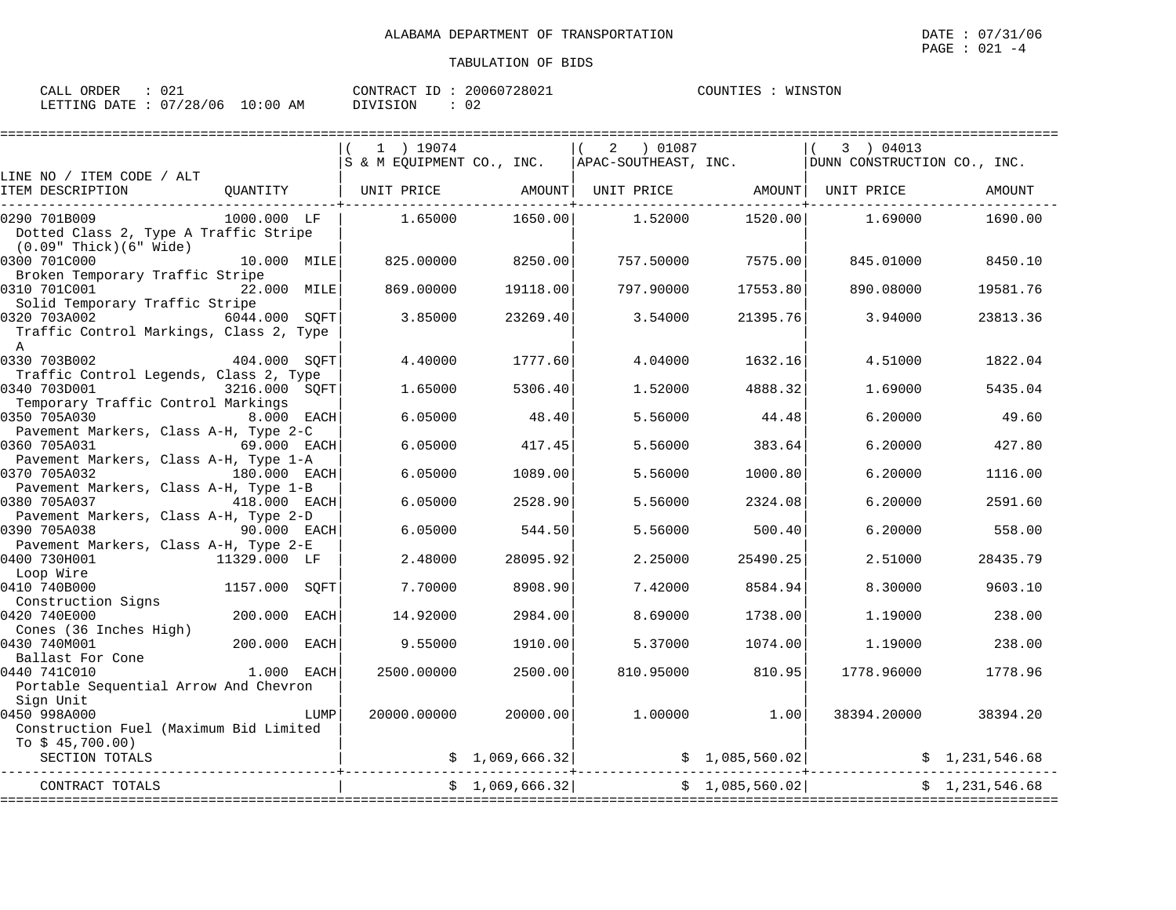|                    | PAGE : 021 -4 |
|--------------------|---------------|
| TABULATION OF BIDS |               |
|                    |               |

|                                         |                    |      | $1$ ) 19074                                      |                 | 2<br>01087                                          |                 | 3 ) 04013                   |                |
|-----------------------------------------|--------------------|------|--------------------------------------------------|-----------------|-----------------------------------------------------|-----------------|-----------------------------|----------------|
|                                         |                    |      | S & M EOUIPMENT CO., INC.   APAC-SOUTHEAST, INC. |                 |                                                     |                 | DUNN CONSTRUCTION CO., INC. |                |
| LINE NO / ITEM CODE / ALT               |                    |      |                                                  |                 |                                                     |                 |                             |                |
| ITEM DESCRIPTION                        | OUANTITY           |      | UNIT PRICE                                       |                 | AMOUNT  UNIT PRICE              AMOUNT   UNIT PRICE |                 |                             | AMOUNT         |
|                                         |                    |      |                                                  |                 |                                                     |                 |                             |                |
| 0290 701B009                            | 1000.000 LF        |      | 1.65000                                          | 1650.00         | 1.52000                                             | 1520.00         | 1,69000                     | 1690.00        |
| Dotted Class 2, Type A Traffic Stripe   |                    |      |                                                  |                 |                                                     |                 |                             |                |
| (0.09" Thick)(6" Wide)                  |                    |      |                                                  |                 |                                                     |                 |                             |                |
| 0300 701C000                            | 10.000 MILE        |      | 825.00000                                        | 8250.00         | 757.50000                                           | 7575.00         | 845.01000                   | 8450.10        |
| Broken Temporary Traffic Stripe         |                    |      |                                                  |                 |                                                     |                 |                             |                |
| 0310 701C001                            | 22.000 MILE        |      | 869,00000                                        | 19118.00        | 797.90000                                           | 17553.80        | 890.08000                   | 19581.76       |
| Solid Temporary Traffic Stripe          |                    |      |                                                  |                 |                                                     |                 |                             |                |
| 0320 703A002                            | 6044.000 SQFT      |      | 3.85000                                          | 23269.40        | 3.54000                                             | 21395.76        | 3.94000                     | 23813.36       |
| Traffic Control Markings, Class 2, Type |                    |      |                                                  |                 |                                                     |                 |                             |                |
| $\mathbb{A}$                            |                    |      |                                                  |                 |                                                     |                 |                             |                |
| 0330 703B002                            | 404.000 SQFT       |      | 4.40000                                          | 1777.60         | 4.04000                                             | 1632.16         | 4.51000                     | 1822.04        |
| Traffic Control Legends, Class 2, Type  |                    |      |                                                  |                 |                                                     |                 |                             |                |
| 0340 703D001                            | 3216.000 SOFT      |      | 1.65000                                          | 5306.40         | 1.52000                                             | 4888.32         | 1.69000                     | 5435.04        |
| Temporary Traffic Control Markings      |                    |      |                                                  |                 |                                                     |                 |                             |                |
| 0350 705A030                            | 8.000 EACH         |      | 6.05000                                          | 48.40           | 5.56000                                             | 44.48           | 6.20000                     | 49.60          |
| Pavement Markers, Class A-H, Type 2-C   |                    |      |                                                  |                 |                                                     |                 |                             |                |
| 0360 705A031                            | 69.000 EACH        |      | 6.05000                                          | 417.45          | 5.56000                                             | 383.64          | 6.20000                     | 427.80         |
| Pavement Markers, Class A-H, Type 1-A   |                    |      |                                                  |                 |                                                     |                 |                             |                |
| 0370 705A032                            | 180.000 EACH       |      | 6.05000                                          | 1089.00         | 5.56000                                             | 1000.80         | 6.20000                     | 1116.00        |
| Pavement Markers, Class A-H, Type 1-B   |                    |      |                                                  |                 |                                                     |                 |                             |                |
| 0380 705A037                            | 418.000 EACH       |      | 6.05000                                          | 2528.90         | 5.56000                                             | 2324.08         | 6.20000                     | 2591.60        |
| Pavement Markers, Class A-H, Type 2-D   |                    |      |                                                  |                 |                                                     |                 |                             |                |
| 0390 705A038                            | <b>90.000 EACH</b> |      | 6.05000                                          | 544.50          | 5.56000                                             | 500.40          | 6.20000                     | 558.00         |
| Pavement Markers, Class A-H, Type 2-E   |                    |      |                                                  |                 |                                                     |                 |                             |                |
| 0400 730H001<br>11329.000 LF            |                    |      | 2.48000                                          | 28095.92        | 2.25000                                             | 25490.25        | 2.51000                     | 28435.79       |
| Loop Wire                               |                    |      |                                                  |                 |                                                     |                 |                             |                |
| 0410 740B000                            | 1157.000 SOFT      |      | 7.70000                                          | 8908.90         | 7.42000                                             | 8584.94         | 8.30000                     | 9603.10        |
| Construction Signs                      |                    |      |                                                  |                 |                                                     |                 |                             |                |
| 0420 740E000                            | 200.000 EACH       |      | 14.92000                                         | 2984.00         | 8.69000                                             | 1738.00         | 1.19000                     | 238.00         |
| Cones (36 Inches High)                  |                    |      |                                                  |                 |                                                     |                 |                             |                |
| 0430 740M001                            | 200.000 EACH       |      | 9.55000                                          | 1910.00         | 5.37000                                             | 1074.00         | 1,19000                     | 238.00         |
| Ballast For Cone                        |                    |      |                                                  |                 |                                                     |                 |                             |                |
| 0440 741C010                            | $1.000$ EACH       |      | 2500.00000                                       | 2500.00         | 810.95000                                           | 810.95          | 1778.96000                  | 1778.96        |
| Portable Sequential Arrow And Chevron   |                    |      |                                                  |                 |                                                     |                 |                             |                |
| Sign Unit                               |                    |      |                                                  |                 |                                                     |                 |                             |                |
| 0450 998A000                            |                    | LUMP | 20000.00000                                      | 20000.00        | 1.00000                                             | 1.00            | 38394.20000                 | 38394.20       |
| Construction Fuel (Maximum Bid Limited  |                    |      |                                                  |                 |                                                     |                 |                             |                |
| To $$45,700.00)$                        |                    |      |                                                  |                 |                                                     |                 |                             |                |
| SECTION TOTALS                          |                    |      |                                                  | \$1,069,666.32] |                                                     | \$1,085,560.02] |                             | \$1,231,546.68 |
|                                         |                    |      |                                                  |                 |                                                     |                 |                             |                |
| CONTRACT TOTALS                         |                    |      |                                                  | \$1,069,666.32] |                                                     | \$1,085,560.02] |                             | \$1,231,546.68 |
|                                         |                    |      |                                                  |                 |                                                     |                 |                             |                |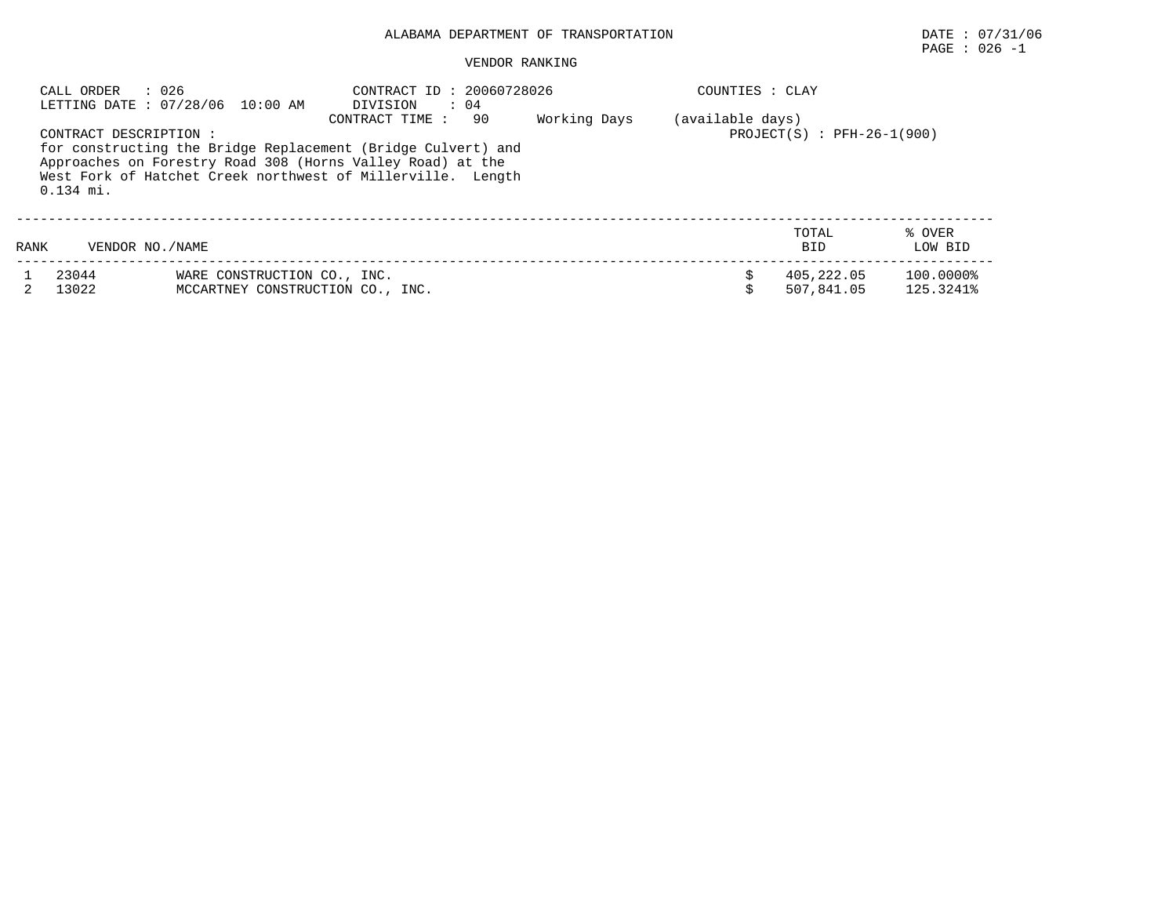# PAGE : 026 -1

|      | : 026<br>CALL ORDER                   | LETTING DATE: 07/28/06 10:00 AM                                 | CONTRACT ID: 20060728026<br>$\therefore$ 04<br>DIVISION                                                                                                                                                           |              | COUNTIES : CLAY  |                              |                        |
|------|---------------------------------------|-----------------------------------------------------------------|-------------------------------------------------------------------------------------------------------------------------------------------------------------------------------------------------------------------|--------------|------------------|------------------------------|------------------------|
|      | CONTRACT DESCRIPTION :<br>$0.134$ mi. |                                                                 | 90<br>CONTRACT TIME:<br>for constructing the Bridge Replacement (Bridge Culvert) and<br>Approaches on Forestry Road 308 (Horns Valley Road) at the<br>West Fork of Hatchet Creek northwest of Millerville. Length | Working Days | (available days) | $PROJECT(S)$ : PFH-26-1(900) |                        |
| RANK | VENDOR NO. / NAME                     |                                                                 |                                                                                                                                                                                                                   |              |                  | TOTAL<br><b>BID</b>          | % OVER<br>LOW BID      |
|      | 23044<br>13022                        | WARE CONSTRUCTION CO., INC.<br>MCCARTNEY CONSTRUCTION CO., INC. |                                                                                                                                                                                                                   |              |                  | 405,222.05<br>507,841.05     | 100.0000%<br>125.3241% |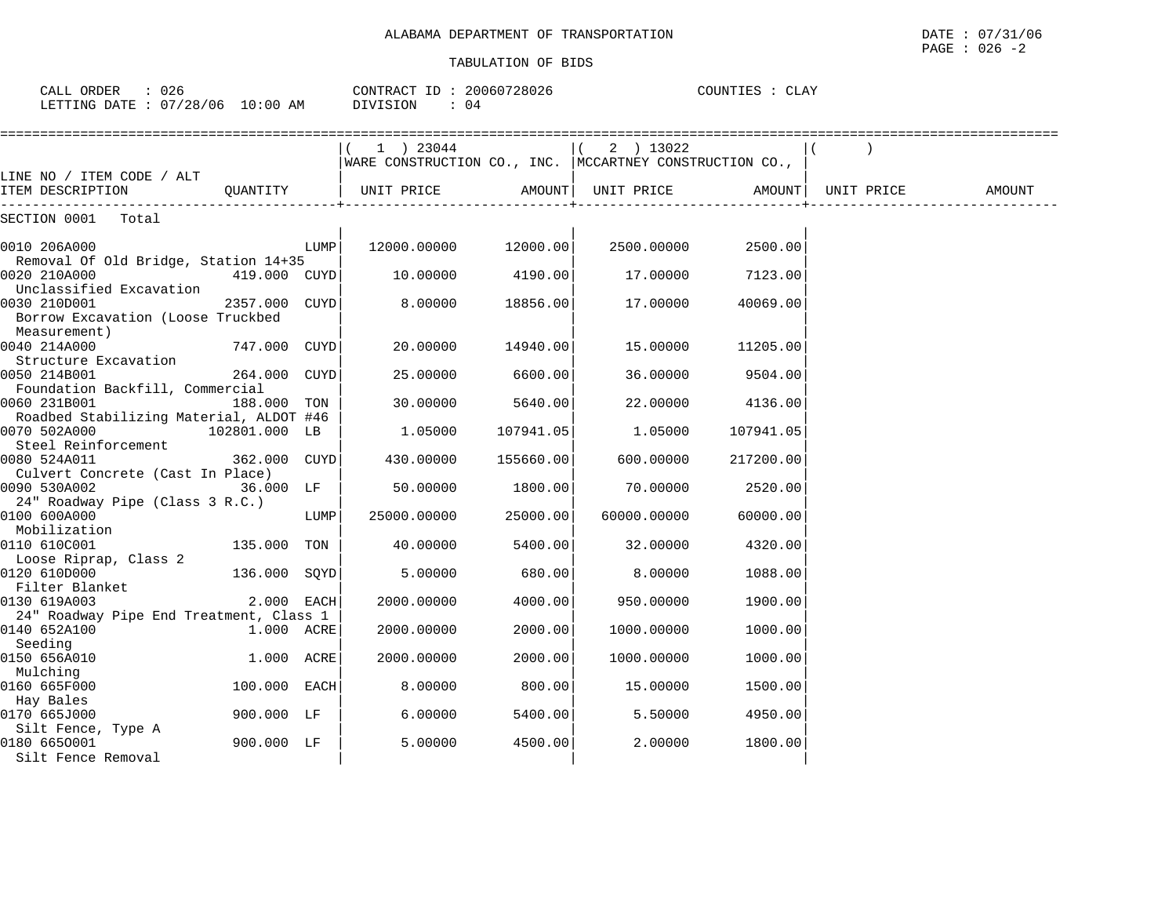| CALL ORDER                      | 026 | CONTRACT ID: 20060728026 | COUNTIES : | CLAY |
|---------------------------------|-----|--------------------------|------------|------|
| LETTING DATE: 07/28/06 10:00 AM |     | DIVISION                 |            |      |

|                                                                              |               |      | 1 ) 23044<br>WARE CONSTRUCTION CO., INC.   MCCARTNEY CONSTRUCTION CO., |                  | $(2)$ 13022 |           |            |        |
|------------------------------------------------------------------------------|---------------|------|------------------------------------------------------------------------|------------------|-------------|-----------|------------|--------|
| LINE NO / ITEM CODE / ALT                                                    |               |      |                                                                        |                  |             |           |            |        |
| ITEM DESCRIPTION                                                             |               |      | QUANTITY   UNIT PRICE                                                  | <b>AMOUNT</b>    | UNIT PRICE  | AMOUNT    | UNIT PRICE | AMOUNT |
| SECTION 0001 Total                                                           |               |      |                                                                        |                  |             |           |            |        |
| 0010 206A000                                                                 |               | LUMP | 12000.00000 12000.00                                                   |                  | 2500.00000  | 2500.00   |            |        |
| Removal Of Old Bridge, Station 14+35<br>0020 210A000                         | 419.000 CUYD  |      |                                                                        | 10.00000 4190.00 | 17.00000    | 7123.00   |            |        |
| Unclassified Excavation<br>0030 210D001<br>Borrow Excavation (Loose Truckbed | 2357.000 CUYD |      | 8,00000                                                                | 18856.00         | 17.00000    | 40069.00  |            |        |
| Measurement)<br>0040 214A000<br>Structure Excavation                         | 747.000 CUYD  |      | 20.00000                                                               | 14940.00         | 15.00000    | 11205.00  |            |        |
| 0050 214B001<br>Foundation Backfill, Commercial                              | 264.000 CUYD  |      | 25.00000                                                               | 6600.00          | 36.00000    | 9504.00   |            |        |
| 0060 231B001<br>Roadbed Stabilizing Material, ALDOT #46                      | 188.000 TON   |      | 30.00000                                                               | 5640.00          | 22.00000    | 4136.00   |            |        |
| 0070 502A000                                                                 | 102801.000 LB |      | 1.05000                                                                | 107941.05        | 1.05000     | 107941.05 |            |        |
| Steel Reinforcement<br>0080 524A011                                          | 362.000 CUYD  |      | 430.00000                                                              | 155660.00        | 600.00000   | 217200.00 |            |        |
| Culvert Concrete (Cast In Place)<br>0090 530A002                             | 36.000 LF     |      | 50.00000                                                               | 1800.00          | 70,00000    | 2520.00   |            |        |
| 24" Roadway Pipe (Class 3 R.C.)<br>0100 600A000<br>Mobilization              |               | LUMP | 25000.00000                                                            | 25000.00         | 60000.00000 | 60000.00  |            |        |
| 0110 610C001<br>Loose Riprap, Class 2                                        | 135.000 TON   |      | 40.00000                                                               | 5400.00          | 32.00000    | 4320.00   |            |        |
| 0120 610D000<br>Filter Blanket                                               | 136.000 SQYD  |      | 5.00000                                                                | 680.00           | 8.00000     | 1088.00   |            |        |
| 0130 619A003                                                                 | 2.000 EACH    |      | 2000.00000                                                             | 4000.00          | 950.00000   | 1900.00   |            |        |
| 24" Roadway Pipe End Treatment, Class 1<br>0140 652A100                      | 1.000 ACRE    |      | 2000.00000                                                             | 2000.00          | 1000.00000  | 1000.00   |            |        |
| Seeding<br>0150 656A010                                                      | 1.000 ACRE    |      | 2000.00000                                                             | 2000.00          | 1000.00000  | 1000.00   |            |        |
| Mulching<br>0160 665F000                                                     | 100.000 EACH  |      | 8.00000                                                                | 800.00           | 15.00000    | 1500.00   |            |        |
| Hay Bales<br>0170 665J000                                                    | 900.000 LF    |      | 6.00000                                                                | 5400.00          | 5.50000     | 4950.00   |            |        |
| Silt Fence, Type A<br>0180 6650001<br>Silt Fence Removal                     | 900.000 LF    |      | 5.00000                                                                | 4500.00          | 2.00000     | 1800.00   |            |        |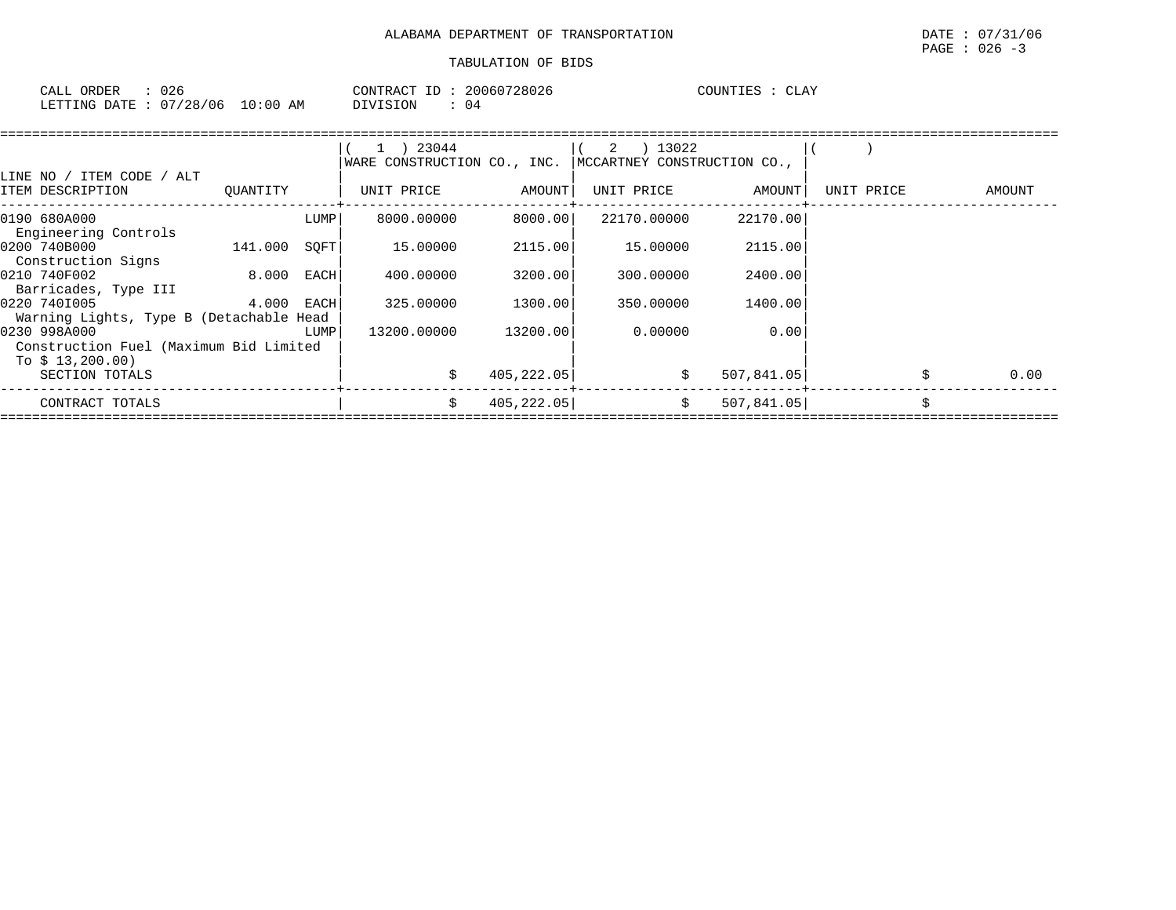| CALL ORDER                       | 026 |  |          | CONTRACT ID: 20060728026 | COUNTIES : CLAY |  |
|----------------------------------|-----|--|----------|--------------------------|-----------------|--|
| LETTING DATE : 07/28/06 10:00 AM |     |  | DIVISION | - 04                     |                 |  |

| LINE NO / ITEM CODE / ALT                                                  |              |      | $1$ ) 23044<br>WARE CONSTRUCTION CO., INC. |             | 2 ) 13022<br>MCCARTNEY CONSTRUCTION CO., |            |            |   |        |
|----------------------------------------------------------------------------|--------------|------|--------------------------------------------|-------------|------------------------------------------|------------|------------|---|--------|
| ITEM DESCRIPTION                                                           | QUANTITY     |      | UNIT PRICE                                 | AMOUNT      | UNIT PRICE                               | AMOUNT     | UNIT PRICE |   | AMOUNT |
| 0190 680A000<br>Engineering Controls                                       |              | LUMP | 8000.00000                                 | 8000.001    | 22170.00000                              | 22170.00   |            |   |        |
| 0200 740B000<br>Construction Signs                                         | 141.000      | SOFT | 15.00000                                   | 2115.00     | 15.00000                                 | 2115.00    |            |   |        |
| 0210 740F002<br>Barricades, Type III                                       | 8.000        | EACH | 400.00000                                  | 3200.00     | 300,00000                                | 2400.00    |            |   |        |
| 0220 7401005<br>Warning Lights, Type B (Detachable Head                    | $4.000$ EACH |      | 325,00000                                  | 1300.00     | 350.00000                                | 1400.00    |            |   |        |
| 0230 998A000<br>Construction Fuel (Maximum Bid Limited<br>To $$13,200.00)$ |              | LUMP | 13200.00000                                | 13200.00    | 0.00000                                  | 0.00       |            |   |        |
| SECTION TOTALS                                                             |              |      |                                            | 405,222.05  | \$                                       | 507,841.05 |            |   | 0.00   |
| CONTRACT TOTALS                                                            |              |      | Ŝ.                                         | 405, 222.05 | \$                                       | 507,841.05 |            | Ś |        |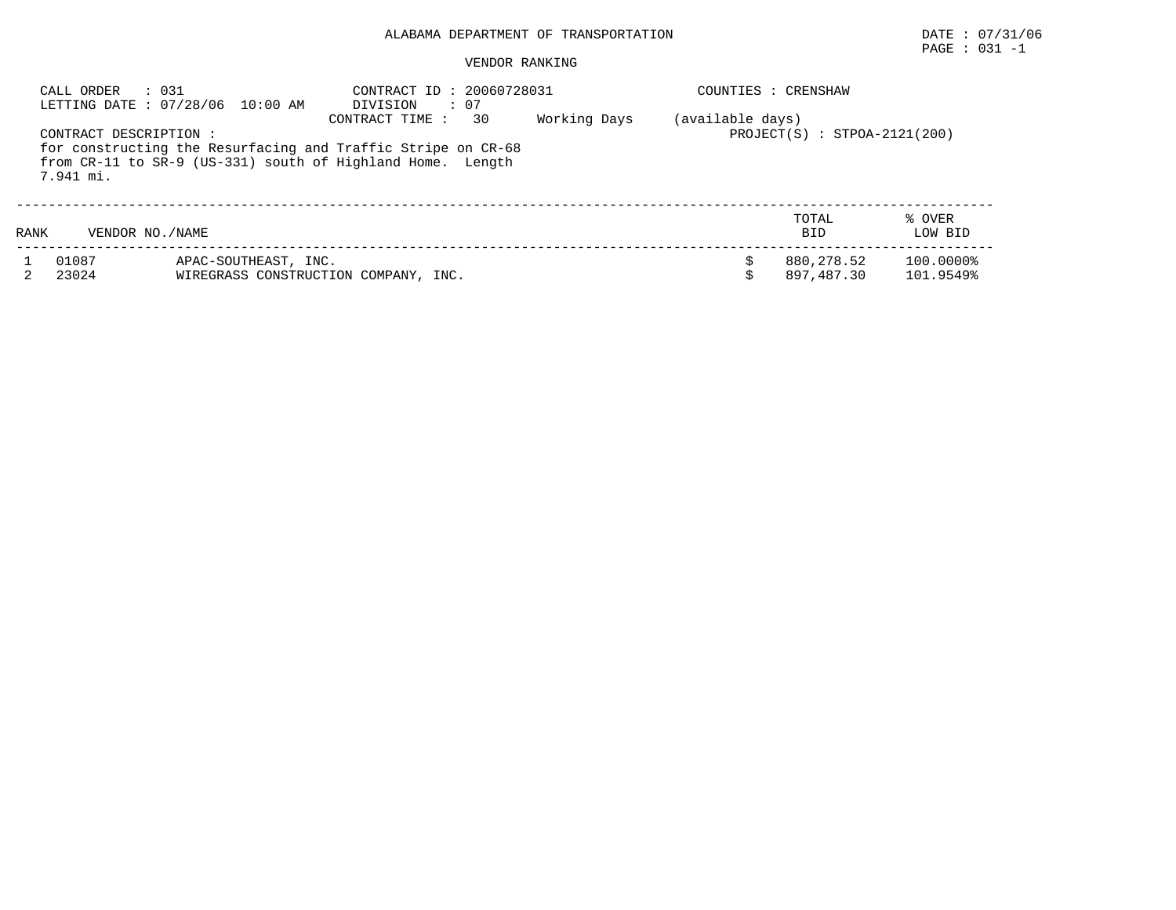# PAGE : 031 -1

|      | : 0.31<br>CALL ORDER               | LETTING DATE: 07/28/06 10:00 AM | CONTRACT ID: 20060728031<br>: 07<br>DIVISION                                                                                                       |              |                  | COUNTIES : CRENSHAW            |                        |
|------|------------------------------------|---------------------------------|----------------------------------------------------------------------------------------------------------------------------------------------------|--------------|------------------|--------------------------------|------------------------|
|      | CONTRACT DESCRIPTION:<br>7.941 mi. |                                 | 30<br>CONTRACT TIME:<br>for constructing the Resurfacing and Traffic Stripe on CR-68<br>from CR-11 to SR-9 (US-331) south of Highland Home. Length | Working Days | (available days) | $PROJECT(S) : STPOA-2121(200)$ |                        |
| RANK | VENDOR NO. / NAME                  |                                 |                                                                                                                                                    |              |                  | TOTAL<br><b>BID</b>            | % OVER<br>LOW BID      |
|      | 01087<br>23024                     | APAC-SOUTHEAST, INC.            | WIREGRASS CONSTRUCTION COMPANY, INC.                                                                                                               |              |                  | 880,278.52<br>897,487.30       | 100.0000%<br>101.9549% |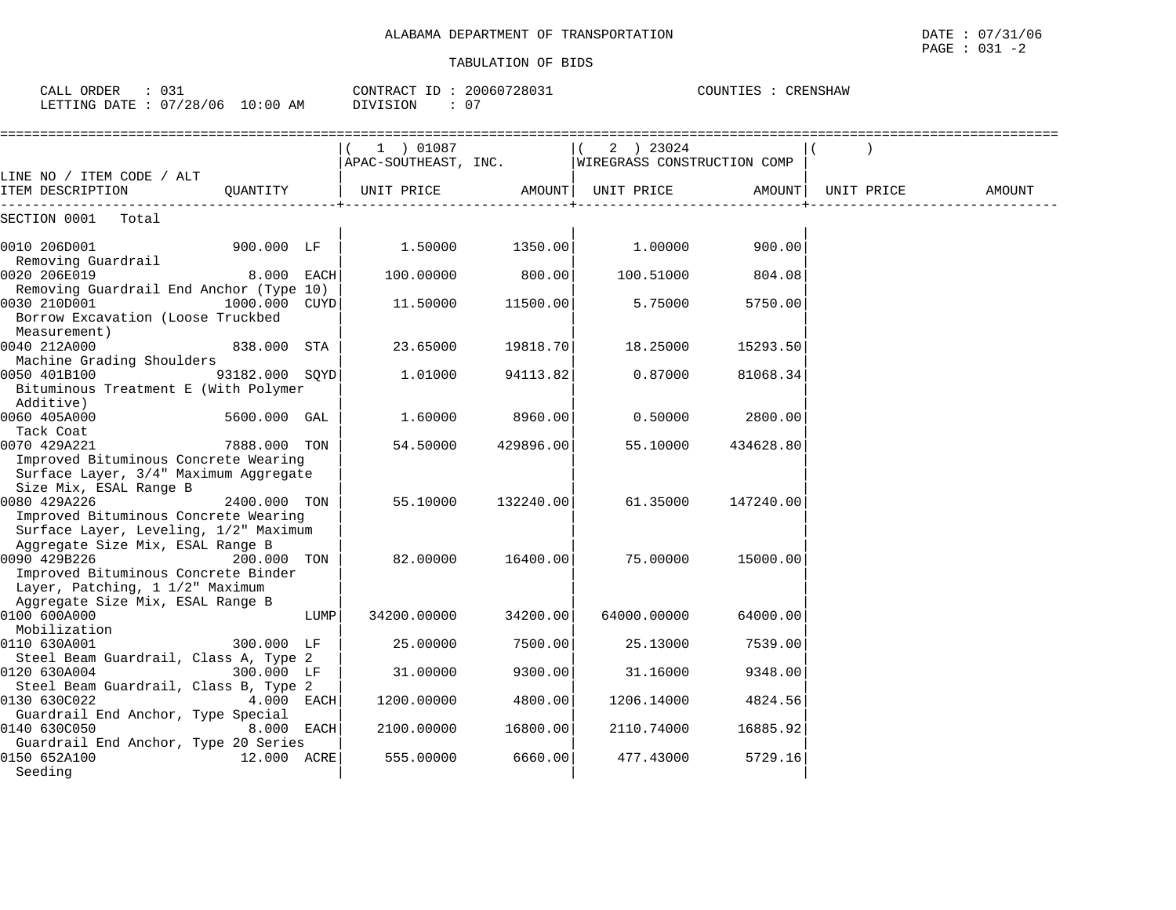| CALL ORDER : 031<br>LETTING DATE : 07/28/06 10:00 AM                                                                              |                |      | CONTRACT ID: 20060728031<br>DIVISION<br>: 07 |           |                                          | COUNTIES : CRENSHAW |            |        |
|-----------------------------------------------------------------------------------------------------------------------------------|----------------|------|----------------------------------------------|-----------|------------------------------------------|---------------------|------------|--------|
|                                                                                                                                   |                |      | $(1)$ 01087<br>APAC-SOUTHEAST, INC.          |           | 2 ) 23024<br>WIREGRASS CONSTRUCTION COMP |                     |            |        |
| LINE NO / ITEM CODE / ALT<br>ITEM DESCRIPTION                                                                                     | QUANTITY       |      | UNIT PRICE                                   | AMOUNT    | UNIT PRICE                               | AMOUNT              | UNIT PRICE | AMOUNT |
| SECTION 0001<br>Total                                                                                                             |                |      |                                              |           |                                          |                     |            |        |
| 0010 206D001                                                                                                                      | 900.000 LF     |      | 1.50000                                      | 1350.00   | 1.00000                                  | 900.00              |            |        |
| Removing Guardrail<br>0020 206E019                                                                                                | 8.000 EACH     |      | 100.00000                                    | 800.00    | 100.51000                                | 804.08              |            |        |
| Removing Guardrail End Anchor (Type 10)<br>0030 210D001                                                                           | 1000.000 CUYD  |      | 11.50000                                     | 11500.00  | 5.75000                                  | 5750.00             |            |        |
| Borrow Excavation (Loose Truckbed<br>Measurement)                                                                                 |                |      |                                              |           |                                          |                     |            |        |
| 0040 212A000<br>Machine Grading Shoulders                                                                                         | 838.000 STA    |      | 23.65000                                     | 19818.70  | 18.25000                                 | 15293.50            |            |        |
| 0050 401B100<br>Bituminous Treatment E (With Polymer<br>Additive)                                                                 | 93182.000 SOYD |      | 1,01000                                      | 94113.82  | 0.87000                                  | 81068.34            |            |        |
| 0060 405A000                                                                                                                      | 5600.000 GAL   |      | 1.60000                                      | 8960.00   | 0.50000                                  | 2800.00             |            |        |
| Tack Coat<br>0070 429A221<br>Improved Bituminous Concrete Wearing                                                                 | 7888.000 TON   |      | 54.50000                                     | 429896.00 | 55.10000                                 | 434628.80           |            |        |
| Surface Layer, 3/4" Maximum Aggregate<br>Size Mix, ESAL Range B                                                                   |                |      |                                              |           |                                          |                     |            |        |
| 0080 429A226<br>Improved Bituminous Concrete Wearing<br>Surface Layer, Leveling, 1/2" Maximum<br>Aggregate Size Mix, ESAL Range B | 2400.000 TON   |      | 55.10000                                     | 132240.00 | 61.35000                                 | 147240.00           |            |        |
| 0090 429B226<br>Improved Bituminous Concrete Binder<br>Layer, Patching, 1 1/2" Maximum                                            | 200.000 TON    |      | 82.00000                                     | 16400.00  | 75,00000                                 | 15000.00            |            |        |
| Aggregate Size Mix, ESAL Range B<br>0100 600A000                                                                                  |                | LUMP | 34200.00000                                  | 34200.00  | 64000.00000                              | 64000.00            |            |        |
| Mobilization                                                                                                                      |                |      |                                              |           |                                          |                     |            |        |
| 0110 630A001<br>Steel Beam Guardrail, Class A, Type 2                                                                             | 300.000 LF     |      | 25,00000                                     | 7500.00   | 25.13000                                 | 7539.00             |            |        |
| 0120 630A004<br>Steel Beam Guardrail, Class B, Type 2                                                                             | 300.000 LF     |      | 31,00000                                     | 9300.00   | 31.16000                                 | 9348.00             |            |        |
| 0130 630C022<br>Guardrail End Anchor, Type Special                                                                                | 4.000 EACH     |      | 1200.00000                                   | 4800.00   | 1206.14000                               | 4824.56             |            |        |
| 0140 630C050                                                                                                                      | 8.000 EACH     |      | 2100.00000                                   | 16800.00  | 2110.74000                               | 16885.92            |            |        |
| Guardrail End Anchor, Type 20 Series<br>0150 652A100<br>Seeding                                                                   | 12.000 ACRE    |      | 555.00000                                    | 6660.00   | 477.43000                                | 5729.16             |            |        |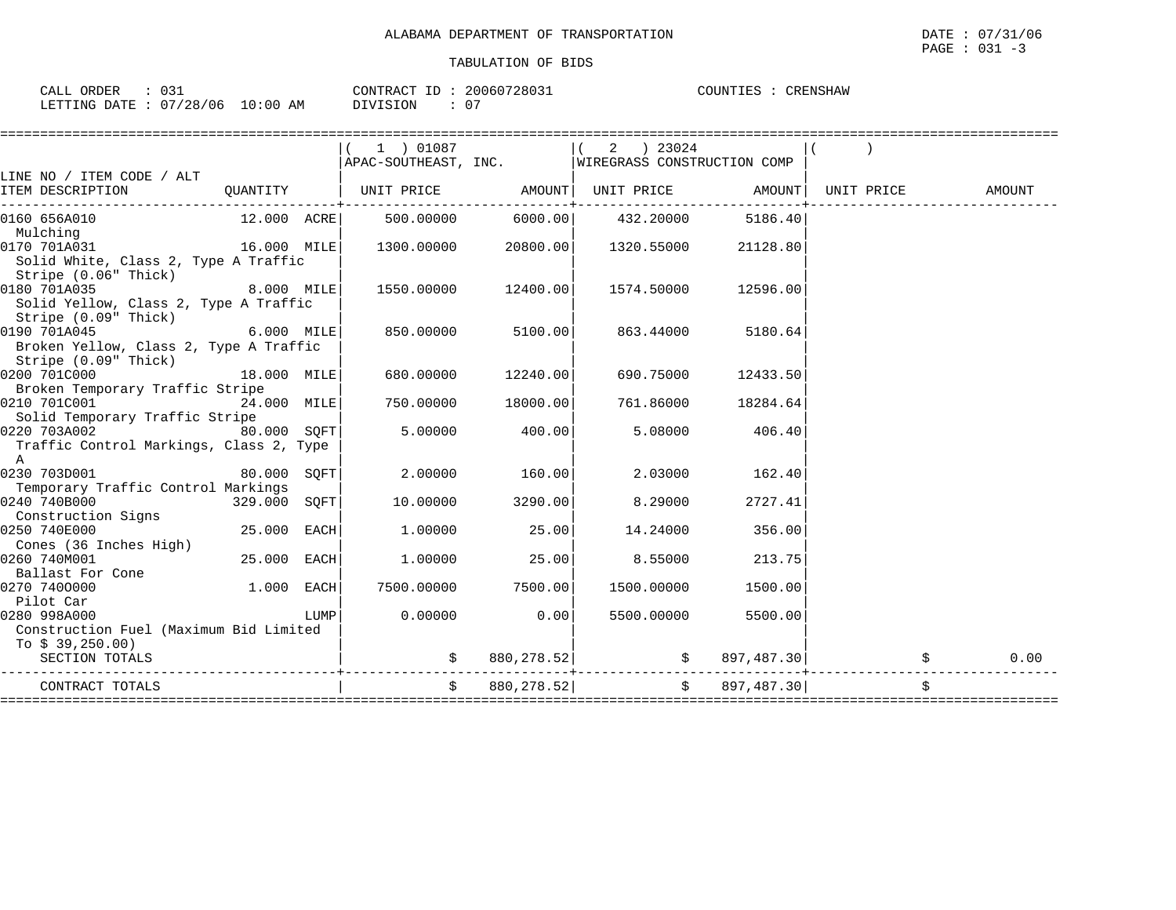| $\therefore$ 031<br>CALL ORDER  |  |          | CONTRACT ID: 20060728031 | COUNTIES | CRENSHAW |
|---------------------------------|--|----------|--------------------------|----------|----------|
| LETTING DATE: 07/28/06 10:00 AM |  | DIVISION |                          |          |          |

|                                         |               |      | 1 ) 01087                                        |                     | 2 ) 23024  |                     |    |        |
|-----------------------------------------|---------------|------|--------------------------------------------------|---------------------|------------|---------------------|----|--------|
|                                         |               |      | APAC-SOUTHEAST, INC. WIREGRASS CONSTRUCTION COMP |                     |            |                     |    |        |
| LINE NO / ITEM CODE / ALT               |               |      |                                                  |                     |            |                     |    |        |
|                                         |               |      |                                                  |                     |            |                     |    | AMOUNT |
| 0160 656A010                            |               |      | $12.000$ $ACRE$ 500.00000 6000.00 432.20000      |                     |            | 5186.40             |    |        |
| Mulching                                |               |      |                                                  |                     |            |                     |    |        |
| 0170 701A031<br>16.000 MILE             |               |      | $1300.00000$ 20800.00                            |                     | 1320.55000 | 21128.80            |    |        |
| Solid White, Class 2, Type A Traffic    |               |      |                                                  |                     |            |                     |    |        |
| Stripe (0.06" Thick)                    |               |      |                                                  |                     |            |                     |    |        |
| 0180 701A035                            | $8.000$ MILE  |      |                                                  | 1550.00000 12400.00 |            | 1574.50000 12596.00 |    |        |
| Solid Yellow, Class 2, Type A Traffic   |               |      |                                                  |                     |            |                     |    |        |
| Stripe (0.09" Thick)                    |               |      |                                                  |                     |            |                     |    |        |
| 0190 701A045                            | $6.000$ MILE  |      | 850.00000                                        | 5100.00             | 863.44000  | 5180.64             |    |        |
|                                         |               |      |                                                  |                     |            |                     |    |        |
| Broken Yellow, Class 2, Type A Traffic  |               |      |                                                  |                     |            |                     |    |        |
| Stripe (0.09" Thick)                    |               |      |                                                  |                     |            |                     |    |        |
| 0200 701C000                            | 18.000 MILE   |      |                                                  | 680.00000 12240.00  | 690.75000  | 12433.50            |    |        |
| Broken Temporary Traffic Stripe         |               |      |                                                  |                     |            |                     |    |        |
| 0210 701C001                            | $24.000$ MILE |      |                                                  | 750.00000 18000.00  | 761.86000  | 18284.64            |    |        |
| Solid Temporary Traffic Stripe          |               |      |                                                  |                     |            |                     |    |        |
| 0220 703A002  80.000 SQFT               |               |      |                                                  | 5.00000 400.00      | 5.08000    | 406.40              |    |        |
| Traffic Control Markings, Class 2, Type |               |      |                                                  |                     |            |                     |    |        |
| A                                       |               |      |                                                  |                     |            |                     |    |        |
| 0230 703D001                            | 80.000 SQFT   |      | 2,00000                                          | 160.00              | 2.03000    | 162.40              |    |        |
| Temporary Traffic Control Markings      |               |      |                                                  |                     |            |                     |    |        |
| 0240 740B000                            | 329.000 SQFT  |      | 10.00000                                         | 3290.00             | 8.29000    | 2727.41             |    |        |
| Construction Signs                      |               |      |                                                  |                     |            |                     |    |        |
| 0250 740E000                            | 25.000 EACH   |      |                                                  | $1.00000$ 25.00     | 14.24000   | 356.00              |    |        |
| Cones (36 Inches High)                  |               |      |                                                  |                     |            |                     |    |        |
| 0260 740M001                            | $25.000$ EACH |      |                                                  | $1.00000$ 25.00     | 8.55000    | 213.75              |    |        |
| Ballast For Cone                        |               |      |                                                  |                     |            |                     |    |        |
| 0270 7400000                            | $1.000$ EACH  |      |                                                  | 7500.00000 7500.00  | 1500.00000 | 1500.00             |    |        |
| Pilot Car                               |               |      |                                                  |                     |            |                     |    |        |
| 0280 998A000                            |               | LUMP | 0.00000                                          | 0.00                | 5500.00000 | 5500.00             |    |        |
| Construction Fuel (Maximum Bid Limited  |               |      |                                                  |                     |            |                     |    |        |
| To $$39,250.00)$                        |               |      |                                                  |                     |            |                     |    |        |
| SECTION TOTALS                          |               |      | \$                                               | 880,278.52          |            | 897,487.30<br>\$    |    | 0.00   |
|                                         |               |      |                                                  |                     |            |                     |    |        |
| CONTRACT TOTALS                         |               |      | Ŝ.                                               | 880, 278.52         | Ŝ.         | 897,487.30          | \$ |        |

====================================================================================================================================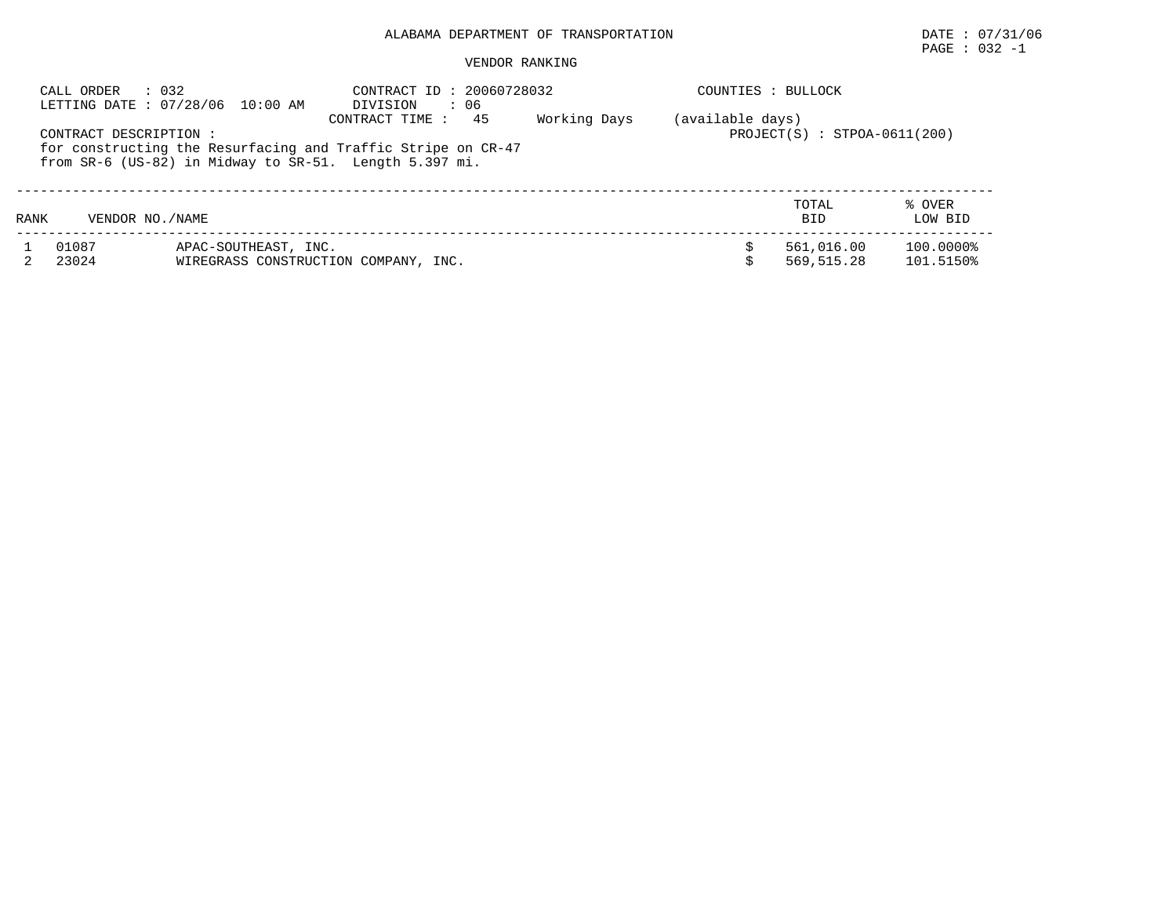# $\texttt{PAGE}$  : 032 -1

| CALL ORDER | $\therefore$ 032<br>LETTING DATE: 07/28/06 10:00 AM                                                                                              | CONTRACT ID: 20060728032<br>: 06<br>DIVISION | COUNTIES : BULLOCK |                                |                   |
|------------|--------------------------------------------------------------------------------------------------------------------------------------------------|----------------------------------------------|--------------------|--------------------------------|-------------------|
|            | CONTRACT DESCRIPTION :<br>for constructing the Resurfacing and Traffic Stripe on CR-47<br>from SR-6 (US-82) in Midway to SR-51. Length 5.397 mi. | Working Days<br>45<br>CONTRACT TIME:         | (available days)   | $PROJECT(S) : STPOA-0611(200)$ |                   |
| RANK       | VENDOR NO. / NAME                                                                                                                                |                                              |                    | TOTAL<br><b>BID</b>            | % OVER<br>LOW BID |
|            |                                                                                                                                                  |                                              |                    |                                |                   |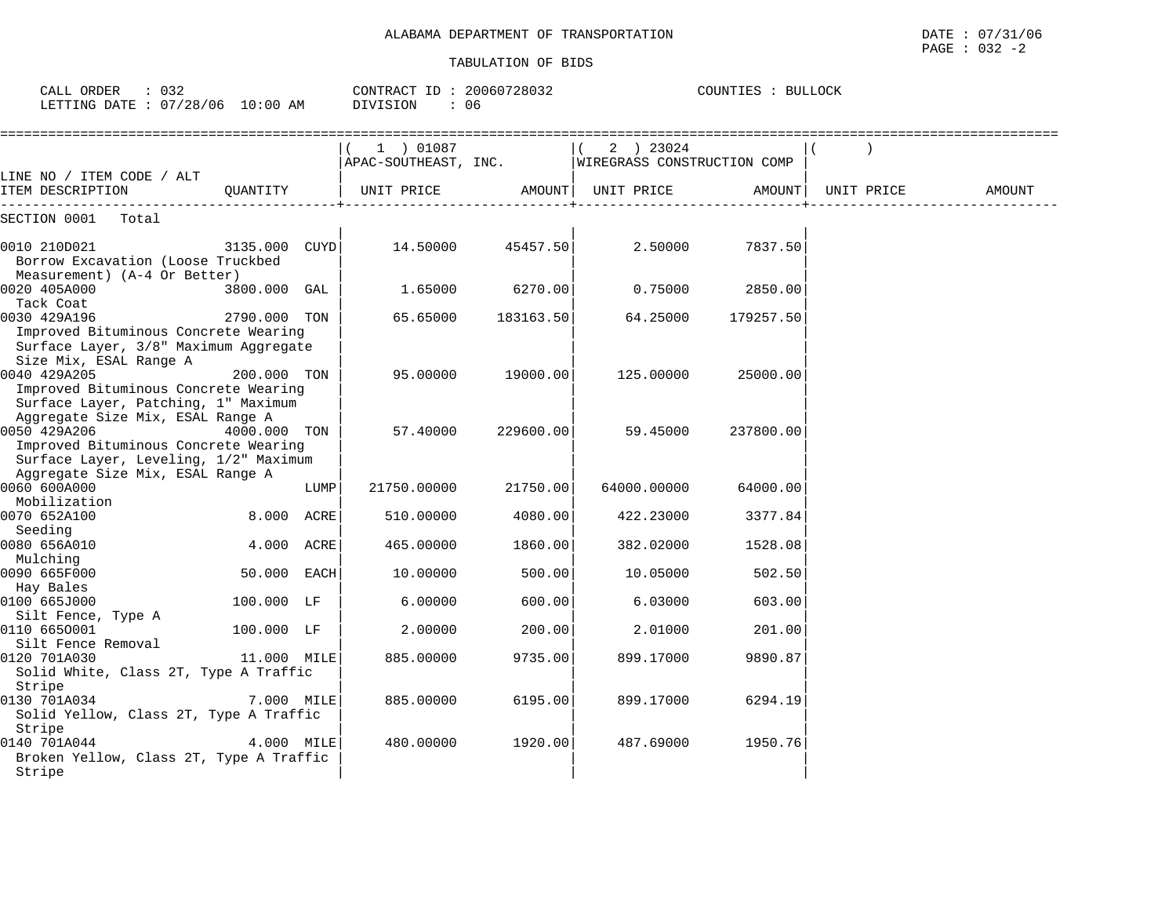| CALL ORDER : 032<br>LETTING DATE : 07/28/06 10:00 AM                                                                  |               |      | CONTRACT ID: 20060728032<br>DIVISION | : 06      |                                            | COUNTIES : BULLOCK |            |        |
|-----------------------------------------------------------------------------------------------------------------------|---------------|------|--------------------------------------|-----------|--------------------------------------------|--------------------|------------|--------|
|                                                                                                                       |               |      | 1 ) 01087<br>APAC-SOUTHEAST, INC.    |           | $(2)$ 23024<br>WIREGRASS CONSTRUCTION COMP |                    |            |        |
| LINE NO / ITEM CODE / ALT<br>ITEM DESCRIPTION                                                                         | OUANTITY      |      | UNIT PRICE                           |           | AMOUNT  UNIT PRICE                         | AMOUNT             | UNIT PRICE | AMOUNT |
| SECTION 0001 Total                                                                                                    |               |      |                                      |           |                                            |                    |            |        |
| 0010 210D021<br>Borrow Excavation (Loose Truckbed<br>Measurement) (A-4 Or Better)                                     | 3135.000 CUYD |      | 14.50000                             | 45457.50  | 2.50000                                    | 7837.50            |            |        |
| 0020 405A000                                                                                                          | 3800.000 GAL  |      | 1.65000                              | 6270.00   | 0.75000                                    | 2850.00            |            |        |
| Tack Coat<br>0030 429A196<br>Improved Bituminous Concrete Wearing<br>Surface Layer, 3/8" Maximum Aggregate            | 2790.000 TON  |      | 65.65000                             | 183163.50 | 64.25000                                   | 179257.50          |            |        |
| Size Mix, ESAL Range A<br>0040 429A205<br>Improved Bituminous Concrete Wearing<br>Surface Layer, Patching, 1" Maximum | 200.000 TON   |      | 95.00000                             | 19000.00  | 125.00000                                  | 25000.00           |            |        |
| Aggregate Size Mix, ESAL Range A<br>0050 429A206<br>Improved Bituminous Concrete Wearing                              | 4000.000 TON  |      | 57.40000                             | 229600.00 | 59.45000                                   | 237800.00          |            |        |
| Surface Layer, Leveling, 1/2" Maximum<br>Aggregate Size Mix, ESAL Range A                                             |               |      |                                      |           |                                            |                    |            |        |
| 0060 600A000<br>Mobilization                                                                                          |               | LUMP | 21750.00000                          | 21750.00  | 64000.00000                                | 64000.00           |            |        |
| 0070 652A100<br>Seeding                                                                                               | 8.000 ACRE    |      | 510.00000                            | 4080.00   | 422.23000                                  | 3377.84            |            |        |
| 0080 656A010                                                                                                          | 4.000 ACRE    |      | 465.00000                            | 1860.00   | 382.02000                                  | 1528.08            |            |        |
| Mulching<br>0090 665F000                                                                                              | 50.000 EACH   |      | 10.00000                             | 500.00    | 10.05000                                   | 502.50             |            |        |
| Hay Bales<br>0100 665J000                                                                                             | 100.000 LF    |      | 6.00000                              | 600.00    | 6.03000                                    | 603.00             |            |        |
| Silt Fence, Type A<br>0110 6650001                                                                                    | 100.000 LF    |      | 2.00000                              | 200.00    | 2.01000                                    | 201.00             |            |        |
| Silt Fence Removal<br>0120 701A030<br>Solid White, Class 2T, Type A Traffic                                           | 11.000 MILE   |      | 885.00000                            | 9735.00   | 899.17000                                  | 9890.87            |            |        |
| Stripe<br>0130 701A034<br>Solid Yellow, Class 2T, Type A Traffic                                                      | 7.000 MILE    |      | 885.00000                            | 6195.00   | 899.17000                                  | 6294.19            |            |        |
| Stripe<br>0140 701A044<br>Broken Yellow, Class 2T, Type A Traffic<br>Stripe                                           | 4.000 MILE    |      | 480.00000                            | 1920.00   | 487.69000                                  | 1950.76            |            |        |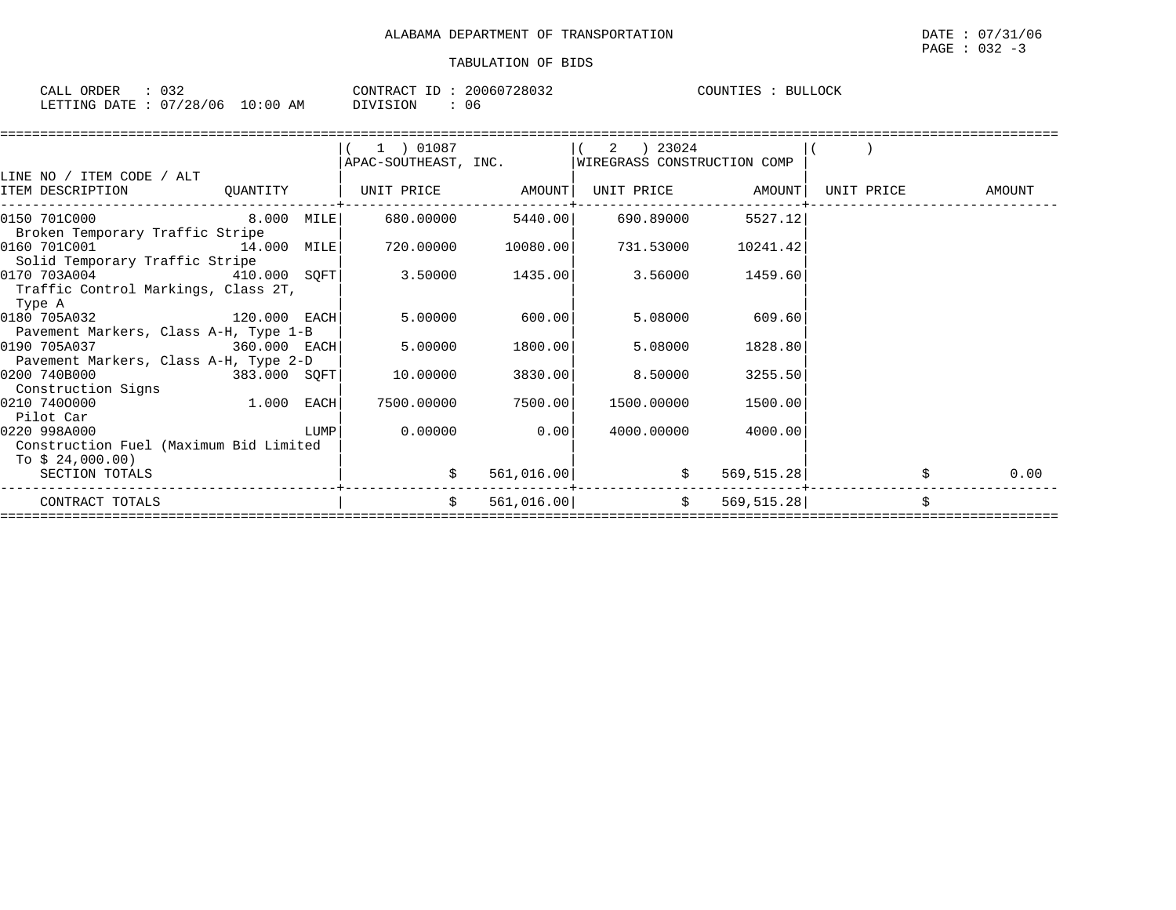| $\therefore$ 032<br>CALL ORDER  |  |          | CONTRACT ID: 20060728032 | COUNTIES : BULLOCK |  |
|---------------------------------|--|----------|--------------------------|--------------------|--|
| LETTING DATE: 07/28/06 10:00 AM |  | DIVISION | 06.                      |                    |  |

|                                                                                                                                                                                                                                                  |  | $(1)$ 01087 |                 | $(2)$ 23024<br>APAC-SOUTHEAST, INC. WIREGRASS CONSTRUCTION COMP |                    |                   |
|--------------------------------------------------------------------------------------------------------------------------------------------------------------------------------------------------------------------------------------------------|--|-------------|-----------------|-----------------------------------------------------------------|--------------------|-------------------|
| LINE NO / ITEM CODE / ALT                                                                                                                                                                                                                        |  |             |                 |                                                                 |                    |                   |
| ITEM DESCRIPTION                                                                                                                                                                                                                                 |  |             |                 | UNIT PRICE AMOUNT                                               |                    | UNIT PRICE AMOUNT |
| $\begin{array}{cccccccc} \texttt{0150} & \texttt{701C000} & & & & \texttt{8.000} & \texttt{MILE} & & & \texttt{680.00000} & & & \texttt{5440.00} & & & \texttt{690.89000} & & & \texttt{5527.12} \end{array}$<br>Broken Temporary Traffic Stripe |  |             |                 |                                                                 |                    |                   |
| 0160 701C001 14.000 MILE<br>Solid Temporary Traffic Stripe                                                                                                                                                                                       |  |             |                 | $720.00000$ $10080.00$ $731.53000$ $10241.42$                   |                    |                   |
| $[0170 703A004$ $410.000 SQFT$ 3.50000 1435.00<br>Traffic Control Markings, Class 2T,<br>Type A                                                                                                                                                  |  |             |                 | 3.56000 1459.60                                                 |                    |                   |
| 0180 705A032 120.000 EACH<br>Pavement Markers, Class A-H, Type 1-B                                                                                                                                                                               |  |             | 5.00000 600.00  |                                                                 | 5.08000 609.60     |                   |
| 360.000 EACH<br>0190 705A037<br>Pavement Markers, Class A-H, Type 2-D                                                                                                                                                                            |  |             | 5.00000 1800.00 | 5.08000                                                         | 1828.80            |                   |
| $383.000$ SQFT<br>0200 740B000<br>Construction Signs                                                                                                                                                                                             |  | 10.00000    | 3830.00         | 8.50000                                                         | 3255.50            |                   |
| $1.000$ EACH<br>0210 7400000<br>Pilot Car                                                                                                                                                                                                        |  | 7500.00000  | 7500.00         | 1500.00000                                                      | 1500.00            |                   |
| 0220 998A000<br>Construction Fuel (Maximum Bid Limited<br>To \$ 24,000.00)                                                                                                                                                                       |  |             | $0.00000$ 0.00  |                                                                 | 4000.00000 4000.00 |                   |
| SECTION TOTALS                                                                                                                                                                                                                                   |  |             |                 | $561,016.00$ $\uparrow$ 569,515.28                              |                    | 0.00              |
| CONTRACT TOTALS                                                                                                                                                                                                                                  |  | S.          |                 | $561,016.00$ \$                                                 | 569, 515.28        |                   |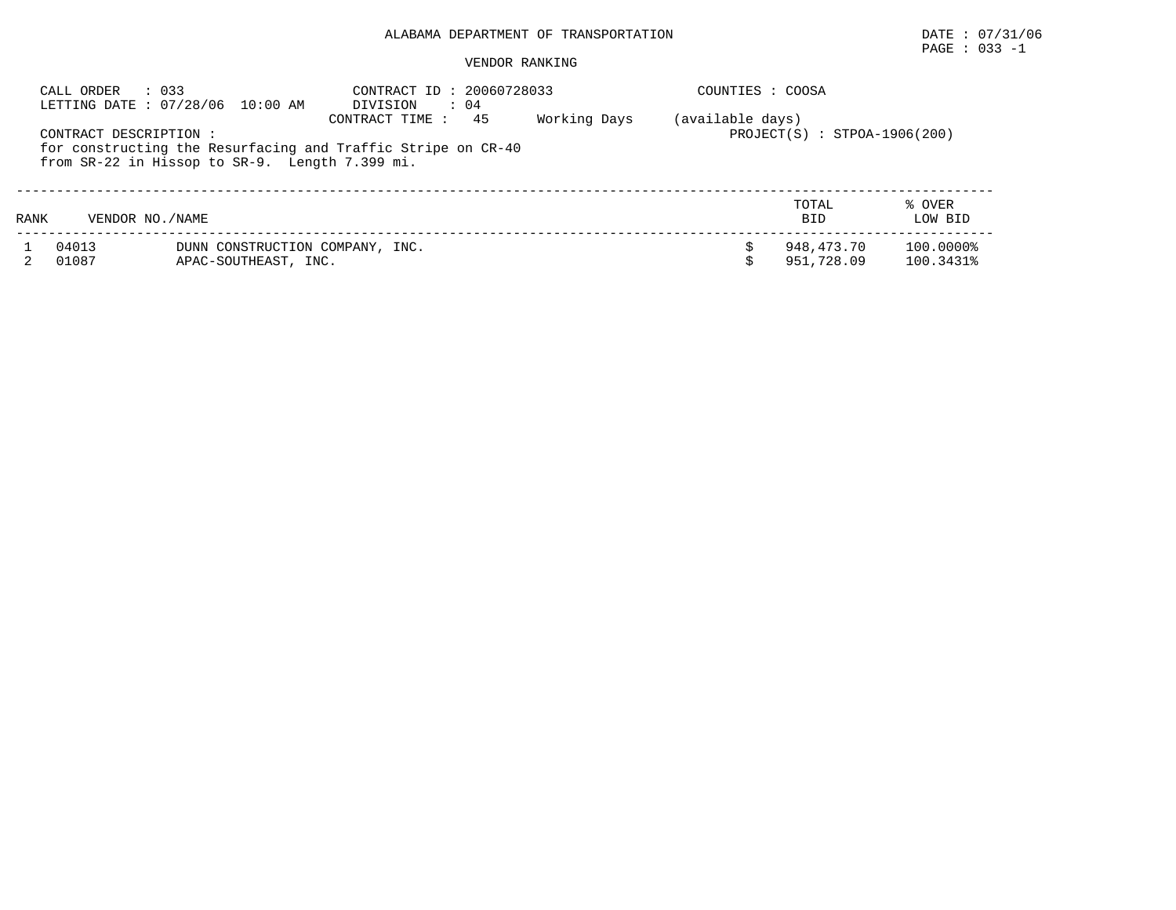# $\texttt{PAGE}$  : 033 -1

|      | : 033<br>CALL ORDER    | LETTING DATE : 07/28/06 10:00 AM                        | CONTRACT ID: 20060728033<br>$\therefore$ 04<br>DIVISION      |              | COUNTIES : COOSA |                                |                        |
|------|------------------------|---------------------------------------------------------|--------------------------------------------------------------|--------------|------------------|--------------------------------|------------------------|
|      | CONTRACT DESCRIPTION : |                                                         | 45<br>CONTRACT TIME:                                         | Working Days | (available days) | $PROJECT(S) : STPOA-1906(200)$ |                        |
|      |                        | from SR-22 in Hissop to SR-9. Length 7.399 mi.          | for constructing the Resurfacing and Traffic Stripe on CR-40 |              |                  |                                |                        |
| RANK | VENDOR NO. / NAME      |                                                         |                                                              |              |                  | TOTAL<br><b>BID</b>            | % OVER<br>LOW BID      |
|      | 04013<br>01087         | DUNN CONSTRUCTION COMPANY, INC.<br>APAC-SOUTHEAST, INC. |                                                              |              |                  | 948,473.70<br>951,728.09       | 100.0000%<br>100.3431% |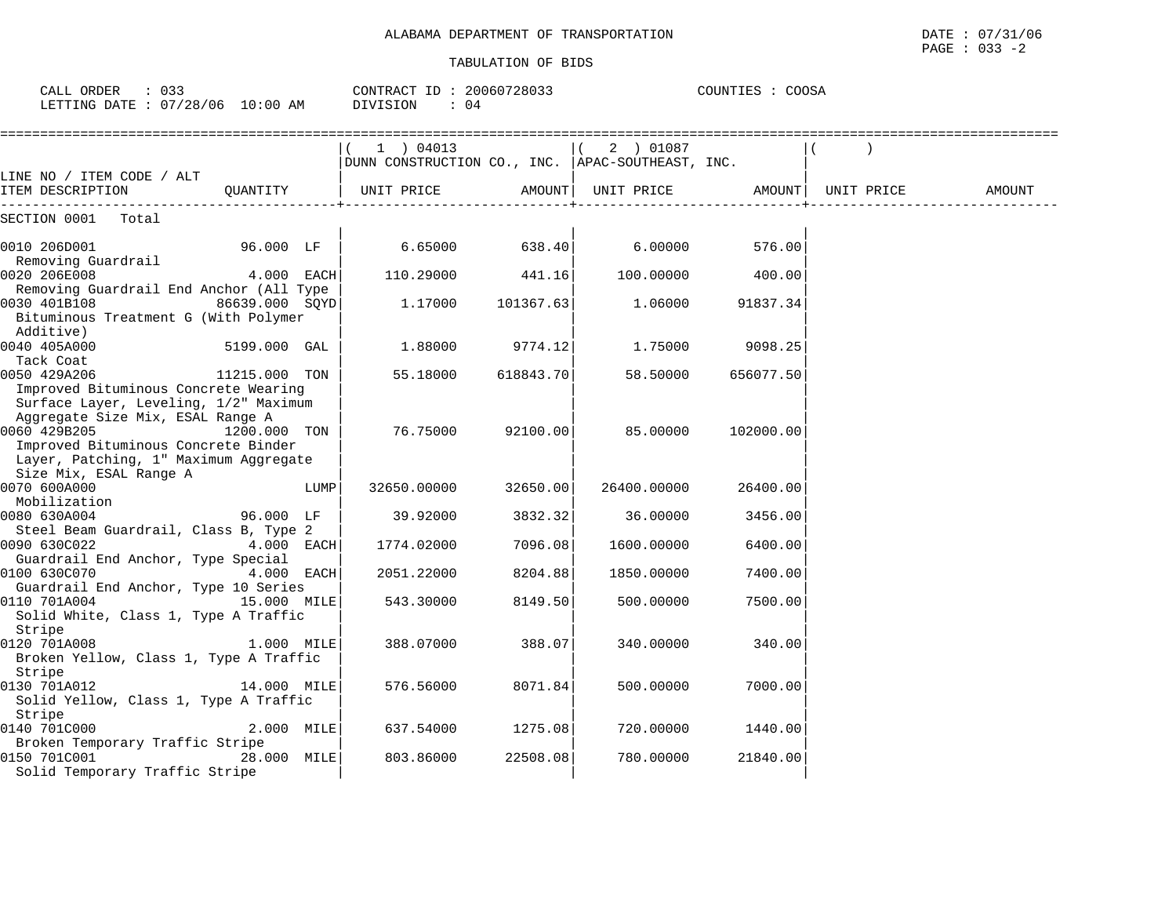| DEPARTMENT OF<br>TRANSPORTATION<br>ALABAMA | 131/06<br>$\cap$<br>DATE<br>U/L<br>the contract of the contract of the contract of the contract of the contract of the contract of the contract of |
|--------------------------------------------|----------------------------------------------------------------------------------------------------------------------------------------------------|
|                                            | 033<br>PAGE<br>$\overline{\phantom{a}}$                                                                                                            |

|                                                                                                                   |              |                                                                             | TUDATILAH AL DIDO |                                                                                                                                                                                                                                 |           |            |        |
|-------------------------------------------------------------------------------------------------------------------|--------------|-----------------------------------------------------------------------------|-------------------|---------------------------------------------------------------------------------------------------------------------------------------------------------------------------------------------------------------------------------|-----------|------------|--------|
| CALL ORDER : 033<br>LETTING DATE : 07/28/06 10:00 AM                                                              |              | $COMTRACT$ ID : 20060728033 $COMITIES$ : $COOSA$<br>DIVISION<br>$\colon$ 04 |                   |                                                                                                                                                                                                                                 |           |            |        |
| LINE NO / ITEM CODE / ALT                                                                                         |              | 1 ) 04013<br>DUNN CONSTRUCTION CO., INC.  APAC-SOUTHEAST, INC.              |                   | $(2)$ 01087                                                                                                                                                                                                                     |           |            |        |
| ITEM DESCRIPTION                                                                                                  | QUANTITY     |                                                                             |                   |                                                                                                                                                                                                                                 |           | UNIT PRICE | AMOUNT |
| SECTION 0001 Total                                                                                                |              |                                                                             |                   |                                                                                                                                                                                                                                 |           |            |        |
| 0010 206D001 96.000 LF<br>Removing Guardrail                                                                      |              | 6.65000                                                                     | 638.40            | 6.00000 6.000 6.000 6.000 6.000 6.000 6.000 6.000 6.000 6.000 6.000 6.000 6.000 6.000 6.000 6.000 6.000 6.000 6.000 6.000 6.000 6.000 6.000 6.000 6.000 6.000 6.000 6.000 6.000 6.000 6.000 6.000 6.000 6.000 6.000 6.000 6.000 | 576.00    |            |        |
| $4.000$ EACH<br>0020 206E008                                                                                      |              | $110.29000$ 441.16                                                          |                   | 100.00000                                                                                                                                                                                                                       | 400.00    |            |        |
| Removing Guardrail End Anchor (All Type<br>0030 401B108 86639.000 SQYD<br>Bituminous Treatment G (With Polymer    |              | 1.17000                                                                     | 101367.63         | 1.06000                                                                                                                                                                                                                         | 91837.34  |            |        |
| Additive)<br>0040 405A000                                                                                         | 5199.000 GAL | 1.88000 9774.12                                                             |                   | 1.75000                                                                                                                                                                                                                         | 9098.25   |            |        |
| Tack Coat<br>0050 429A206 11215.000 TON                                                                           |              | 55.18000                                                                    | 618843.70         | 58.50000                                                                                                                                                                                                                        | 656077.50 |            |        |
| Improved Bituminous Concrete Wearing<br>Surface Layer, Leveling, 1/2" Maximum<br>Aggregate Size Mix, ESAL Range A |              |                                                                             |                   |                                                                                                                                                                                                                                 |           |            |        |
| 0060 429B205 1200.000 TON                                                                                         |              |                                                                             |                   | 76.75000 92100.00 85.00000 102000.00                                                                                                                                                                                            |           |            |        |

| LINE NO / ITEM CODE / ALT                          |                |      |             |           |             |           |            |        |
|----------------------------------------------------|----------------|------|-------------|-----------|-------------|-----------|------------|--------|
| ITEM DESCRIPTION                                   | OUANTITY       |      | UNIT PRICE  | AMOUNT    | UNIT PRICE  | AMOUNT    | UNIT PRICE | AMOUNT |
| SECTION 0001 Total                                 |                |      |             |           |             |           |            |        |
|                                                    |                |      |             |           |             |           |            |        |
| 0010 206D001                                       | 96.000 LF      |      | 6.65000     | 638.40    | 6.00000     | 576.00    |            |        |
| Removing Guardrail                                 |                |      |             |           |             |           |            |        |
| 0020 206E008                                       | 4.000 EACH     |      | 110.29000   | 441.16    | 100.00000   | 400.00    |            |        |
| Removing Guardrail End Anchor (All Type            |                |      |             |           |             |           |            |        |
| 0030 401B108                                       | 86639.000 SQYD |      | 1.17000     | 101367.63 | 1.06000     | 91837.34  |            |        |
| Bituminous Treatment G (With Polymer<br>Additive)  |                |      |             |           |             |           |            |        |
| 0040 405A000                                       | 5199.000 GAL   |      | 1.88000     | 9774.12   | 1.75000     | 9098.25   |            |        |
| Tack Coat                                          |                |      |             |           |             |           |            |        |
| 0050 429A206                                       | 11215.000 TON  |      | 55.18000    | 618843.70 | 58.50000    | 656077.50 |            |        |
| Improved Bituminous Concrete Wearing               |                |      |             |           |             |           |            |        |
| Surface Layer, Leveling, 1/2" Maximum              |                |      |             |           |             |           |            |        |
| Aggregate Size Mix, ESAL Range A                   |                |      |             |           |             |           |            |        |
| 0060 429B205                                       | 1200.000 TON   |      | 76.75000    | 92100.00  | 85.00000    | 102000.00 |            |        |
| Improved Bituminous Concrete Binder                |                |      |             |           |             |           |            |        |
| Layer, Patching, 1" Maximum Aggregate              |                |      |             |           |             |           |            |        |
| Size Mix, ESAL Range A                             |                |      |             |           |             |           |            |        |
| 0070 600A000                                       |                | LUMP | 32650.00000 | 32650.00  | 26400.00000 | 26400.00  |            |        |
| Mobilization                                       |                |      |             |           |             |           |            |        |
| 0080 630A004                                       | 96.000 LF      |      | 39.92000    | 3832.32   | 36.00000    | 3456.00   |            |        |
| Steel Beam Guardrail, Class B, Type 2              |                |      |             |           |             |           |            |        |
| 0090 630C022                                       | 4.000 EACH     |      | 1774.02000  | 7096.08   | 1600.00000  | 6400.00   |            |        |
| Guardrail End Anchor, Type Special<br>0100 630C070 | 4.000 EACH     |      | 2051.22000  | 8204.88   |             | 7400.00   |            |        |
| Guardrail End Anchor, Type 10 Series               |                |      |             |           | 1850.00000  |           |            |        |
| 15.000 MILE<br>0110 701A004                        |                |      | 543.30000   | 8149.50   | 500.00000   | 7500.00   |            |        |
| Solid White, Class 1, Type A Traffic               |                |      |             |           |             |           |            |        |
| Stripe                                             |                |      |             |           |             |           |            |        |
| 0120 701A008                                       | 1.000 MILE     |      | 388.07000   | 388.07    | 340.00000   | 340.00    |            |        |
| Broken Yellow, Class 1, Type A Traffic             |                |      |             |           |             |           |            |        |
| Stripe                                             |                |      |             |           |             |           |            |        |
| 0130 701A012                                       | 14.000 MILE    |      | 576.56000   | 8071.84   | 500.00000   | 7000.00   |            |        |
| Solid Yellow, Class 1, Type A Traffic              |                |      |             |           |             |           |            |        |
| Stripe                                             |                |      |             |           |             |           |            |        |
| 0140 701C000                                       | 2.000 MILE     |      | 637.54000   | 1275.08   | 720.00000   | 1440.00   |            |        |
| Broken Temporary Traffic Stripe                    |                |      |             |           |             |           |            |        |
| 0150 701C001                                       | 28.000 MILE    |      | 803.86000   | 22508.08  | 780.00000   | 21840.00  |            |        |
| Solid Temporary Traffic Stripe                     |                |      |             |           |             |           |            |        |
|                                                    |                |      |             |           |             |           |            |        |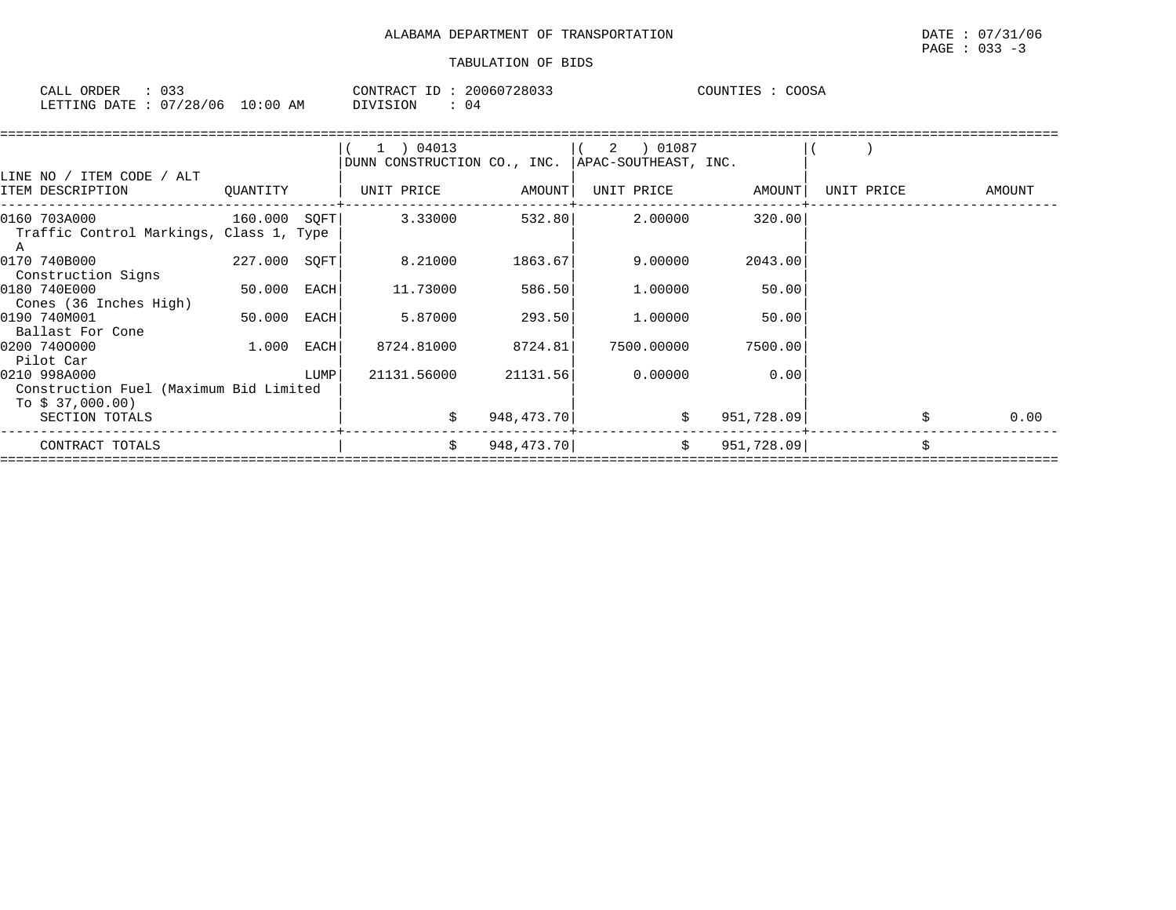| CALL ORDER                      |  |          | CONTRACT ID: 20060728033 | COUNTIES : COOSA |  |  |
|---------------------------------|--|----------|--------------------------|------------------|--|--|
| LETTING DATE: 07/28/06 10:00 AM |  | DIVISION | : 04                     |                  |  |  |

|                                                                            |              |      | 1 ) 04013<br>DUNN CONSTRUCTION CO., INC. |            | 2 ) 01087<br>APAC-SOUTHEAST, INC. |            |            |        |
|----------------------------------------------------------------------------|--------------|------|------------------------------------------|------------|-----------------------------------|------------|------------|--------|
| LINE NO / ITEM CODE / ALT<br>ITEM DESCRIPTION                              | QUANTITY     |      | UNIT PRICE                               | AMOUNT     | UNIT PRICE                        | AMOUNT     | UNIT PRICE | AMOUNT |
| 0160 703A000<br>Traffic Control Markings, Class 1, Type                    | 160.000 SOFT |      | 3.33000                                  | 532.80     | 2.00000                           | 320.00     |            |        |
| 0170 740B000<br>Construction Signs                                         | 227.000 SQFT |      | 8.21000                                  | 1863.67    | 9.00000                           | 2043.00    |            |        |
| 0180 740E000<br>Cones (36 Inches High)                                     | 50.000       | EACH | 11.73000                                 | 586.50     | 1,00000                           | 50.00      |            |        |
| 0190 740M001<br>Ballast For Cone                                           | 50.000       | EACH | 5.87000                                  | 293.50     | 1,00000                           | 50.00      |            |        |
| 0200 7400000<br>Pilot Car                                                  | 1.000        | EACH | 8724.81000                               | 8724.81    | 7500.00000                        | 7500.00    |            |        |
| 0210 998A000<br>Construction Fuel (Maximum Bid Limited<br>To $$37,000.00)$ |              | LUMP | 21131.56000                              | 21131.56   | 0.00000                           | 0.00       |            |        |
| SECTION TOTALS                                                             |              |      |                                          | 948,473.70 | \$                                | 951,728.09 |            | 0.00   |
| CONTRACT TOTALS                                                            |              |      | \$                                       | 948,473.70 | \$                                | 951,728.09 |            | \$     |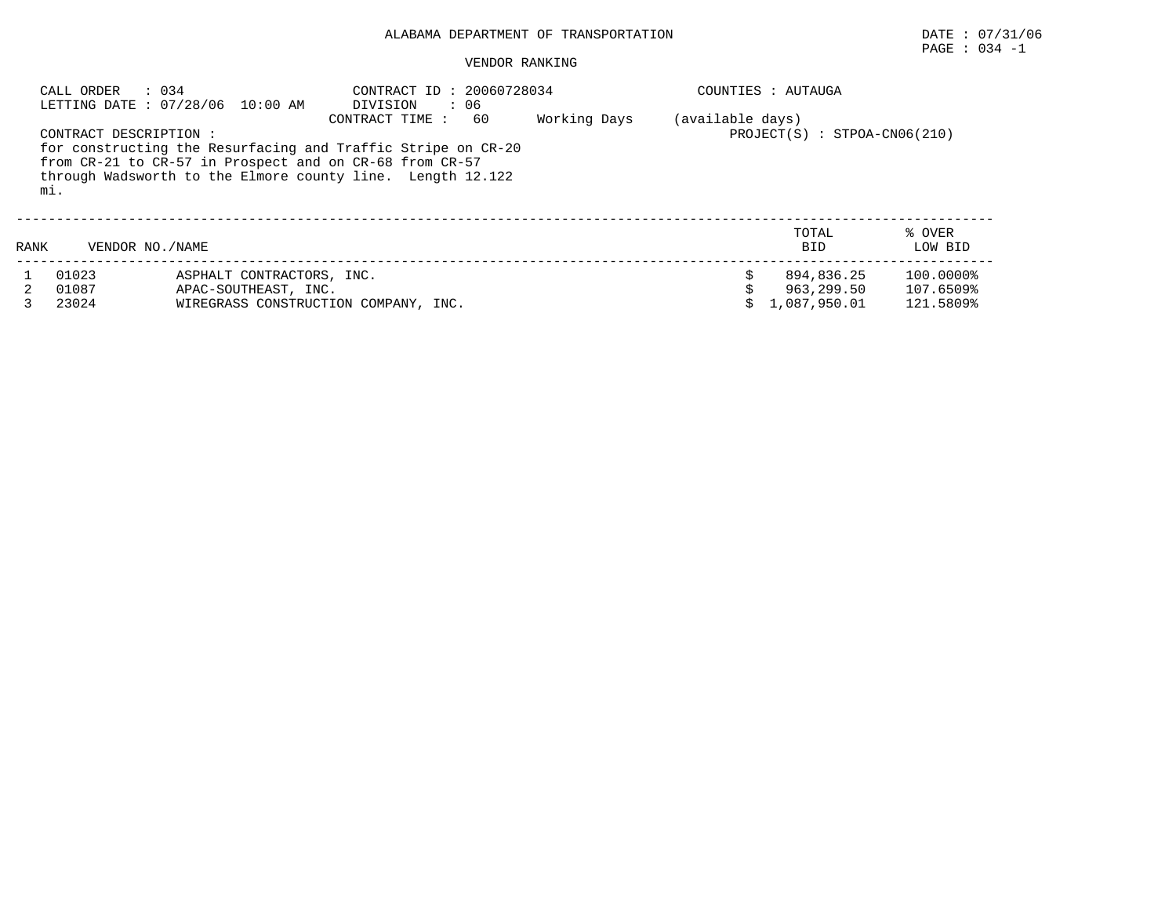## VENDOR RANKING

|      | CALL ORDER : 034              | LETTING DATE : 07/28/06 10:00 AM                                                                                                                                                      | CONTRACT ID: 20060728034<br>DIVISION<br>$\cdot$ 06 |                                |  | COUNTIES : AUTAUGA  |                   |
|------|-------------------------------|---------------------------------------------------------------------------------------------------------------------------------------------------------------------------------------|----------------------------------------------------|--------------------------------|--|---------------------|-------------------|
|      | CONTRACT DESCRIPTION :<br>mi. | for constructing the Resurfacing and Traffic Stripe on CR-20<br>from CR-21 to CR-57 in Prospect and on CR-68 from CR-57<br>through Wadsworth to the Elmore county line. Length 12.122 | (available days)                                   | $PROJECT(S) : STPOA-CN06(210)$ |  |                     |                   |
| RANK | VENDOR NO./NAME               |                                                                                                                                                                                       |                                                    |                                |  | TOTAL<br><b>BID</b> | % OVER<br>LOW BID |
|      | 01023                         | ASPHALT CONTRACTORS, INC.                                                                                                                                                             |                                                    |                                |  | 894,836.25          | 100.0000%         |
|      | 01087                         | APAC-SOUTHEAST, INC.                                                                                                                                                                  |                                                    |                                |  | 963,299.50          | 107.6509%         |
|      | 23024                         | WIREGRASS CONSTRUCTION COMPANY, INC.                                                                                                                                                  |                                                    |                                |  | 1,087,950.01        | 121.5809%         |

PAGE : 034 -1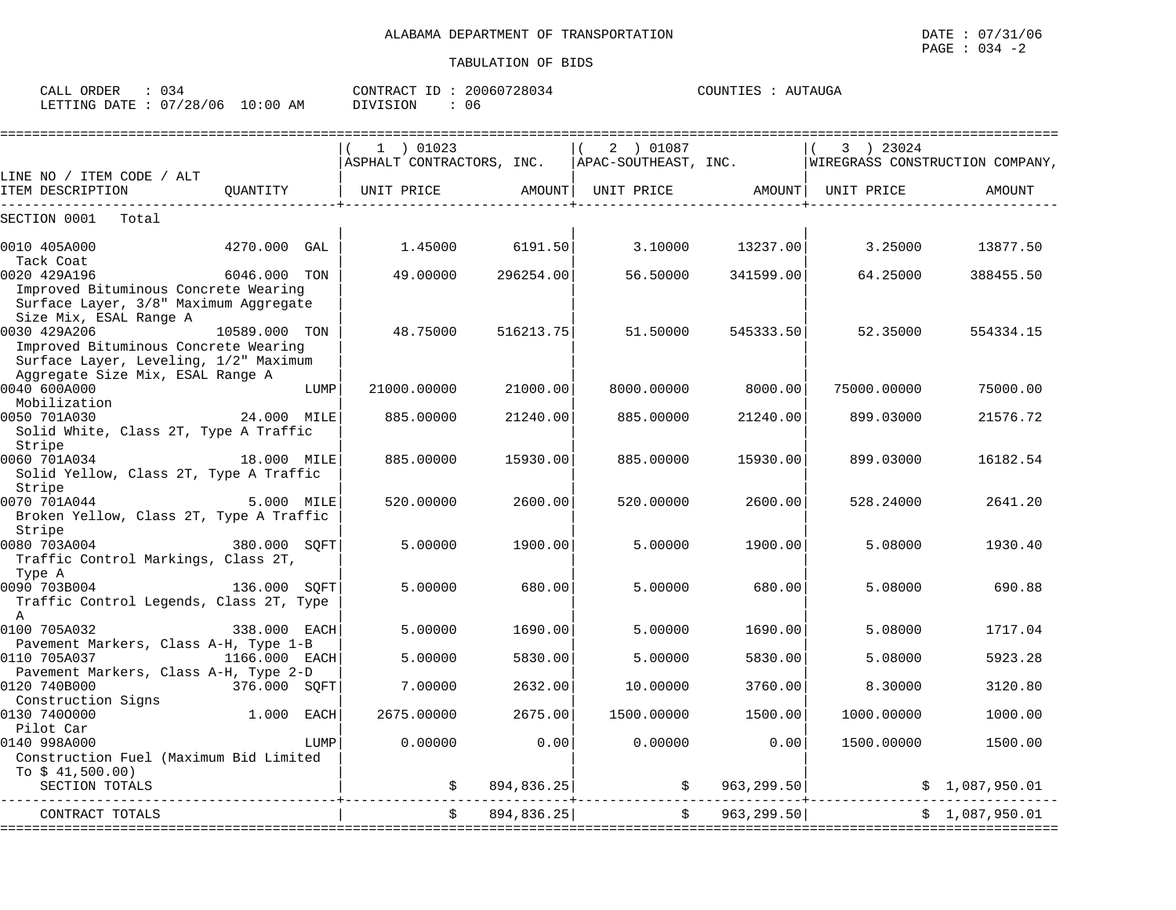| ORDER<br>CALL<br>-44<br>.         |             | 20060728034<br>CONTRACT<br>ΙD | `IITAIIGA<br>COUNTIES<br>TES.<br><b>A</b> I<br>د دب |
|-----------------------------------|-------------|-------------------------------|-----------------------------------------------------|
| '28,<br>'06<br>LETTING<br>R מים מ | 10:00<br>AΜ | VISION<br>U6                  |                                                     |

|                                         |                                     |            | $1$ ) 01023                                                                                    |            | 2 ) 01087            |                              | 3 ) 23024                       |                |
|-----------------------------------------|-------------------------------------|------------|------------------------------------------------------------------------------------------------|------------|----------------------|------------------------------|---------------------------------|----------------|
|                                         |                                     |            | ASPHALT CONTRACTORS, INC.                                                                      |            | APAC-SOUTHEAST, INC. |                              | WIREGRASS CONSTRUCTION COMPANY, |                |
| LINE NO / ITEM CODE / ALT               |                                     |            |                                                                                                |            |                      |                              |                                 |                |
| ITEM DESCRIPTION                        | QUANTITY<br>_______________________ |            | UNIT PRICE       AMOUNT  UNIT PRICE       AMOUNT  UNIT PRICE<br>______________________________ |            |                      | ---------------------------+ |                                 | AMOUNT         |
| SECTION 0001<br>Total                   |                                     |            |                                                                                                |            |                      |                              |                                 |                |
| 0010 405A000                            | 4270.000 GAL                        |            | 1.45000                                                                                        | 6191.50    | 3.10000              | 13237.00                     | 3.25000                         | 13877.50       |
| Tack Coat                               |                                     |            |                                                                                                |            |                      |                              |                                 |                |
| 0020 429A196                            | 6046.000 TON                        |            | 49.00000                                                                                       | 296254.00  | 56.50000             | 341599.00                    | 64.25000                        | 388455.50      |
| Improved Bituminous Concrete Wearing    |                                     |            |                                                                                                |            |                      |                              |                                 |                |
| Surface Layer, 3/8" Maximum Aggregate   |                                     |            |                                                                                                |            |                      |                              |                                 |                |
| Size Mix, ESAL Range A                  |                                     |            |                                                                                                |            |                      |                              |                                 |                |
| 0030 429A206                            | 10589.000 TON                       |            | 48.75000                                                                                       | 516213.75  | 51.50000             | 545333.50                    | 52.35000                        | 554334.15      |
| Improved Bituminous Concrete Wearing    |                                     |            |                                                                                                |            |                      |                              |                                 |                |
| Surface Layer, Leveling, 1/2" Maximum   |                                     |            |                                                                                                |            |                      |                              |                                 |                |
| Aggregate Size Mix, ESAL Range A        |                                     |            |                                                                                                |            |                      |                              |                                 |                |
| 0040 600A000                            |                                     | LUMP       | 21000.00000                                                                                    | 21000.00   | 8000.00000           | 8000.00                      | 75000.00000                     | 75000.00       |
| Mobilization                            | 24.000 MILE                         |            |                                                                                                |            |                      |                              |                                 |                |
| 0050 701A030                            |                                     |            | 885,00000                                                                                      | 21240.00   | 885,00000            | 21240.00                     | 899.03000                       | 21576.72       |
| Solid White, Class 2T, Type A Traffic   |                                     |            |                                                                                                |            |                      |                              |                                 |                |
| Stripe<br>0060 701A034                  | 18.000 MILE                         |            | 885,00000                                                                                      | 15930.00   | 885,00000            | 15930.00                     | 899.03000                       | 16182.54       |
| Solid Yellow, Class 2T, Type A Traffic  |                                     |            |                                                                                                |            |                      |                              |                                 |                |
| Stripe                                  |                                     |            |                                                                                                |            |                      |                              |                                 |                |
| 0070 701A044                            |                                     | 5.000 MILE | 520.00000                                                                                      | 2600.00    | 520.00000            | 2600.00                      | 528.24000                       | 2641.20        |
| Broken Yellow, Class 2T, Type A Traffic |                                     |            |                                                                                                |            |                      |                              |                                 |                |
| Stripe                                  |                                     |            |                                                                                                |            |                      |                              |                                 |                |
| 380.000 SQFT<br>0080 703A004            |                                     |            | 5,00000                                                                                        | 1900.00    | 5.00000              | 1900.00                      | 5,08000                         | 1930.40        |
| Traffic Control Markings, Class 2T,     |                                     |            |                                                                                                |            |                      |                              |                                 |                |
| Type A                                  |                                     |            |                                                                                                |            |                      |                              |                                 |                |
| 0090 703B004                            | 136.000 SQFT                        |            | 5.00000                                                                                        | 680.00     | 5.00000              | 680.00                       | 5.08000                         | 690.88         |
| Traffic Control Legends, Class 2T, Type |                                     |            |                                                                                                |            |                      |                              |                                 |                |
| A                                       |                                     |            |                                                                                                |            |                      |                              |                                 |                |
| 0100 705A032                            | 338.000 EACH                        |            | 5.00000                                                                                        | 1690.00    | 5.00000              | 1690.00                      | 5.08000                         | 1717.04        |
| Pavement Markers, Class A-H, Type 1-B   |                                     |            |                                                                                                |            |                      |                              |                                 |                |
| 0110 705A037                            | 1166.000 EACH                       |            | 5.00000                                                                                        | 5830.00    | 5.00000              | 5830.00                      | 5.08000                         | 5923.28        |
| Pavement Markers, Class A-H, Type 2-D   |                                     |            |                                                                                                |            |                      |                              |                                 |                |
| 0120 740B000                            | 376.000 SOFT                        |            | 7.00000                                                                                        | 2632.00    | 10.00000             | 3760.00                      | 8.30000                         | 3120.80        |
| Construction Signs<br>0130 7400000      | 1.000 EACH                          |            | 2675,00000                                                                                     | 2675.00    | 1500.00000           | 1500.00                      | 1000.00000                      | 1000.00        |
| Pilot Car                               |                                     |            |                                                                                                |            |                      |                              |                                 |                |
| 0140 998A000                            |                                     | LUMP       | 0.00000                                                                                        | 0.00       | 0.00000              | 0.00                         | 1500.00000                      | 1500.00        |
| Construction Fuel (Maximum Bid Limited  |                                     |            |                                                                                                |            |                      |                              |                                 |                |
| To $$41,500.00)$                        |                                     |            |                                                                                                |            |                      |                              |                                 |                |
| SECTION TOTALS                          |                                     |            | \$                                                                                             | 894,836.25 |                      | $\frac{1}{5}$ 963,299.50     |                                 | \$1,087,950.01 |
|                                         |                                     |            |                                                                                                |            | ---------------      |                              |                                 |                |
| CONTRACT TOTALS                         |                                     |            | $\ddot{s}$                                                                                     | 894,836.25 |                      | \$963, 299.50]               |                                 | \$1,087,950.01 |
|                                         |                                     |            |                                                                                                |            |                      |                              |                                 |                |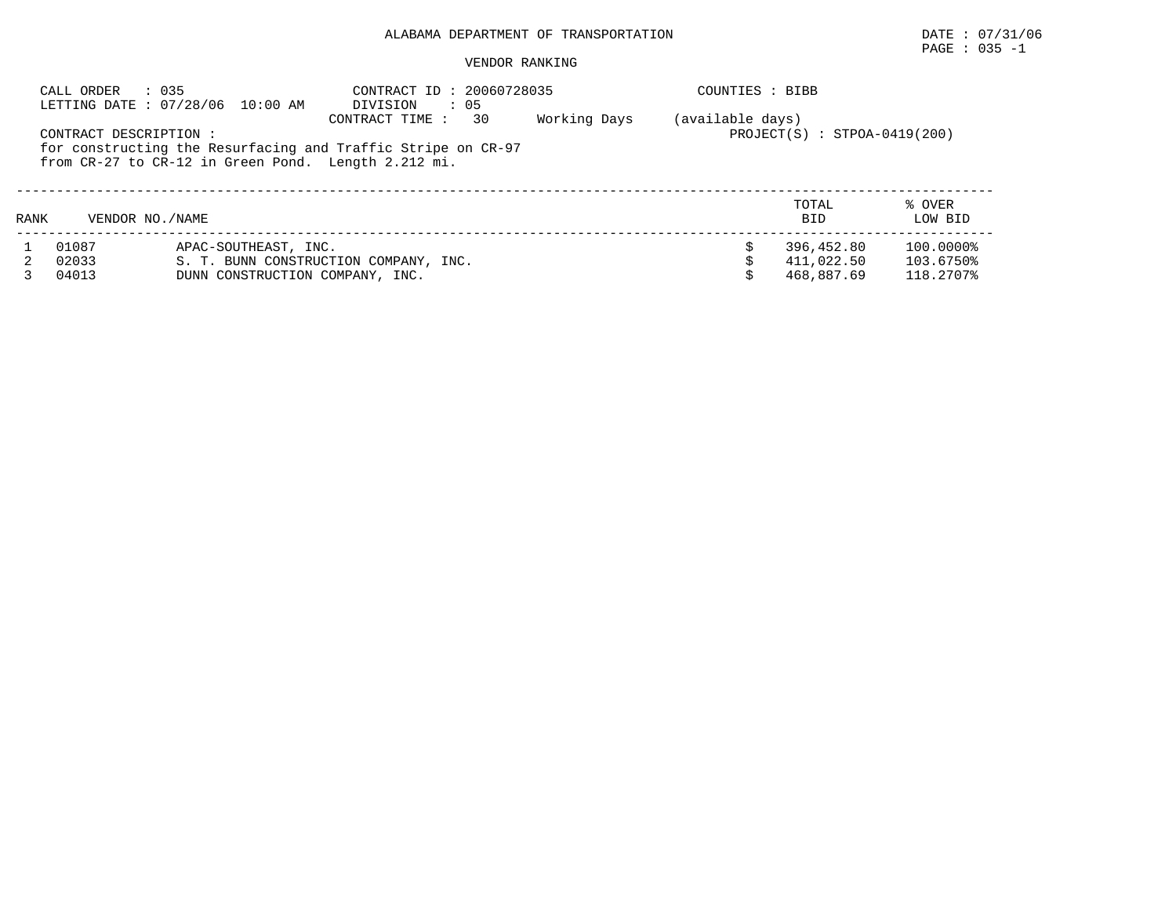# $\texttt{PAGE}$  : 035 -1

|             | : 035<br>CALL ORDER    | LETTING DATE: 07/28/06 10:00 AM                     | CONTRACT ID: 20060728035<br>$\cdot$ 05<br>DIVISION                                   |              | COUNTIES : BIBB  |                                |                        |
|-------------|------------------------|-----------------------------------------------------|--------------------------------------------------------------------------------------|--------------|------------------|--------------------------------|------------------------|
|             | CONTRACT DESCRIPTION : | from CR-27 to CR-12 in Green Pond. Length 2.212 mi. | 30<br>CONTRACT TIME:<br>for constructing the Resurfacing and Traffic Stripe on CR-97 | Working Days | (available days) | $PROJECT(S) : STPOA-0419(200)$ |                        |
| <b>RANK</b> | VENDOR NO./NAME        |                                                     |                                                                                      |              |                  | TOTAL<br><b>BID</b>            | % OVER<br>LOW BID      |
|             | 01087                  | APAC-SOUTHEAST, INC.                                |                                                                                      |              |                  | 396,452.80                     | 100.0000%              |
|             | 02033<br>04013         | DUNN CONSTRUCTION COMPANY, INC.                     | S. T. BUNN CONSTRUCTION COMPANY, INC.                                                |              |                  | 411,022.50<br>468,887.69       | 103.6750%<br>118.2707% |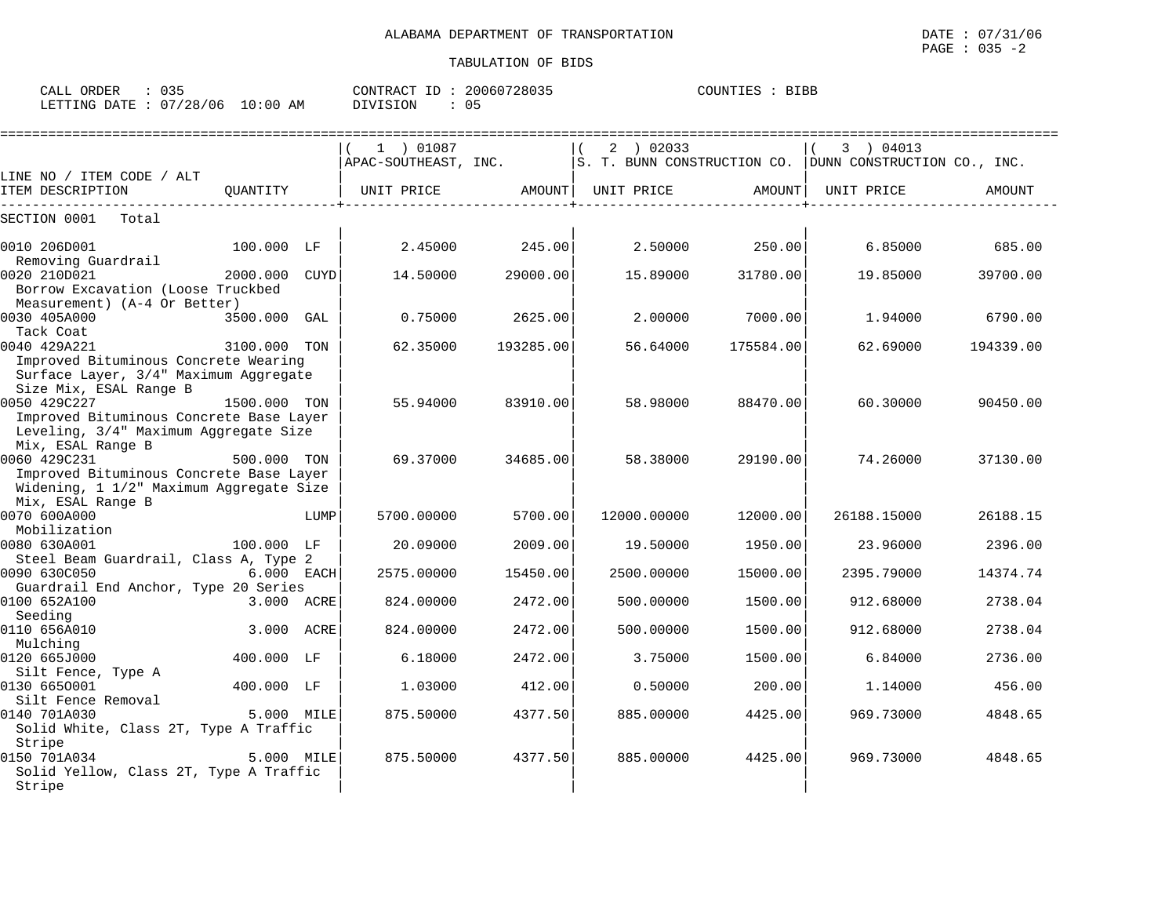| CALL ORDER                       | 035 | CONTRACT ID: 20060728035 |  | COUNTIES : BIBB |  |
|----------------------------------|-----|--------------------------|--|-----------------|--|
| LETTING DATE : 07/28/06 10:00 AM |     | DIVISION                 |  |                 |  |

|                                                                                                                                         |              |      |                                          |                |                  | ======================= |                                                                                   |                |
|-----------------------------------------------------------------------------------------------------------------------------------------|--------------|------|------------------------------------------|----------------|------------------|-------------------------|-----------------------------------------------------------------------------------|----------------|
|                                                                                                                                         |              |      | 1 ) 01087                                |                | 2 ) 02033        |                         | 3 04013<br>APAC-SOUTHEAST, INC. SUNN CONSTRUCTION CO. DUNN CONSTRUCTION CO., INC. |                |
| LINE NO / ITEM CODE / ALT                                                                                                               |              |      |                                          |                |                  |                         |                                                                                   |                |
| ITEM DESCRIPTION                                                                                                                        |              |      | QUANTITY   UNIT PRICE AMOUNT  UNIT PRICE |                |                  | AMOUNT                  | UNIT PRICE                                                                        | AMOUNT         |
| SECTION 0001<br>Total                                                                                                                   |              |      |                                          |                |                  |                         |                                                                                   |                |
| 0010 206D001<br>Removing Guardrail                                                                                                      | 100.000 LF   |      |                                          | 2.45000 245.00 | $2.50000$ 250.00 |                         |                                                                                   | 6.85000 685.00 |
| 0020 210D021<br>Borrow Excavation (Loose Truckbed<br>Measurement) (A-4 Or Better)                                                       |              |      | 14.50000                                 | 29000.00       |                  | 15.89000 31780.00       | 19.85000                                                                          | 39700.00       |
| 0030 405A000<br>Tack Coat                                                                                                               | 3500.000 GAL |      | 0.75000                                  | 2625.00        | 2.00000          | 7000.00                 | 1.94000                                                                           | 6790.00        |
| 3100.000 TON<br>0040 429A221<br>Improved Bituminous Concrete Wearing<br>Surface Layer, 3/4" Maximum Aggregate<br>Size Mix, ESAL Range B |              |      | 62.35000                                 | 193285.00      |                  | 56.64000 175584.00      | 62.69000                                                                          | 194339.00      |
| 0050 429C227<br>Improved Bituminous Concrete Base Layer<br>Leveling, 3/4" Maximum Aggregate Size                                        | 1500.000 TON |      | 55.94000                                 | 83910.00       | 58.98000         | 88470.00                | 60.30000                                                                          | 90450.00       |
| Mix, ESAL Range B<br>0060 429C231<br>Improved Bituminous Concrete Base Layer<br>Widening, 1 1/2" Maximum Aggregate Size                 | 500.000 TON  |      | 69.37000                                 | 34685.00       | 58.38000         | 29190.00                | 74.26000                                                                          | 37130.00       |
| Mix, ESAL Range B<br>0070 600A000<br>Mobilization                                                                                       |              | LUMP | 5700.00000                               | 5700.00        | 12000.00000      | 12000.00                | 26188.15000                                                                       | 26188.15       |
| 0080 630A001<br>Steel Beam Guardrail, Class A, Type 2                                                                                   | 100.000 LF   |      | 20.09000                                 | 2009.00        | 19.50000         | 1950.00                 | 23.96000                                                                          | 2396.00        |
| 0090 630C050<br>6.000 EACH<br>Guardrail End Anchor, Type 20 Series                                                                      |              |      | 2575.00000                               | 15450.00       | 2500.00000       | 15000.00                | 2395.79000                                                                        | 14374.74       |
| 0100 652A100<br>Seeding                                                                                                                 | 3.000 ACRE   |      | 824.00000                                | 2472.00        | 500.00000        | 1500.00                 | 912.68000                                                                         | 2738.04        |
| 0110 656A010<br>Mulching                                                                                                                | 3.000 ACRE   |      | 824.00000                                | 2472.00        | 500.00000        | 1500.00                 | 912.68000                                                                         | 2738.04        |
| 0120 665J000<br>Silt Fence, Type A                                                                                                      | 400.000 LF   |      | 6.18000                                  | 2472.00        | 3.75000          | 1500.00                 | 6.84000                                                                           | 2736.00        |
| 0130 6650001<br>Silt Fence Removal                                                                                                      | 400.000 LF   |      | 1,03000                                  | 412.00         | 0.50000          | 200.00                  | 1.14000                                                                           | 456.00         |
| 0140 701A030<br><b>12.000 MILE</b><br>Solid White, Class 2T, Type A Traffic<br>Stripe                                                   |              |      | 875.50000                                | 4377.50        | 885.00000        | 4425.00                 | 969.73000                                                                         | 4848.65        |
| 0150 701A034<br>Solid Yellow, Class 2T, Type A Traffic<br>Stripe                                                                        | 5.000 MILE   |      | 875.50000                                | 4377.50        | 885.00000        | 4425.00                 | 969.73000                                                                         | 4848.65        |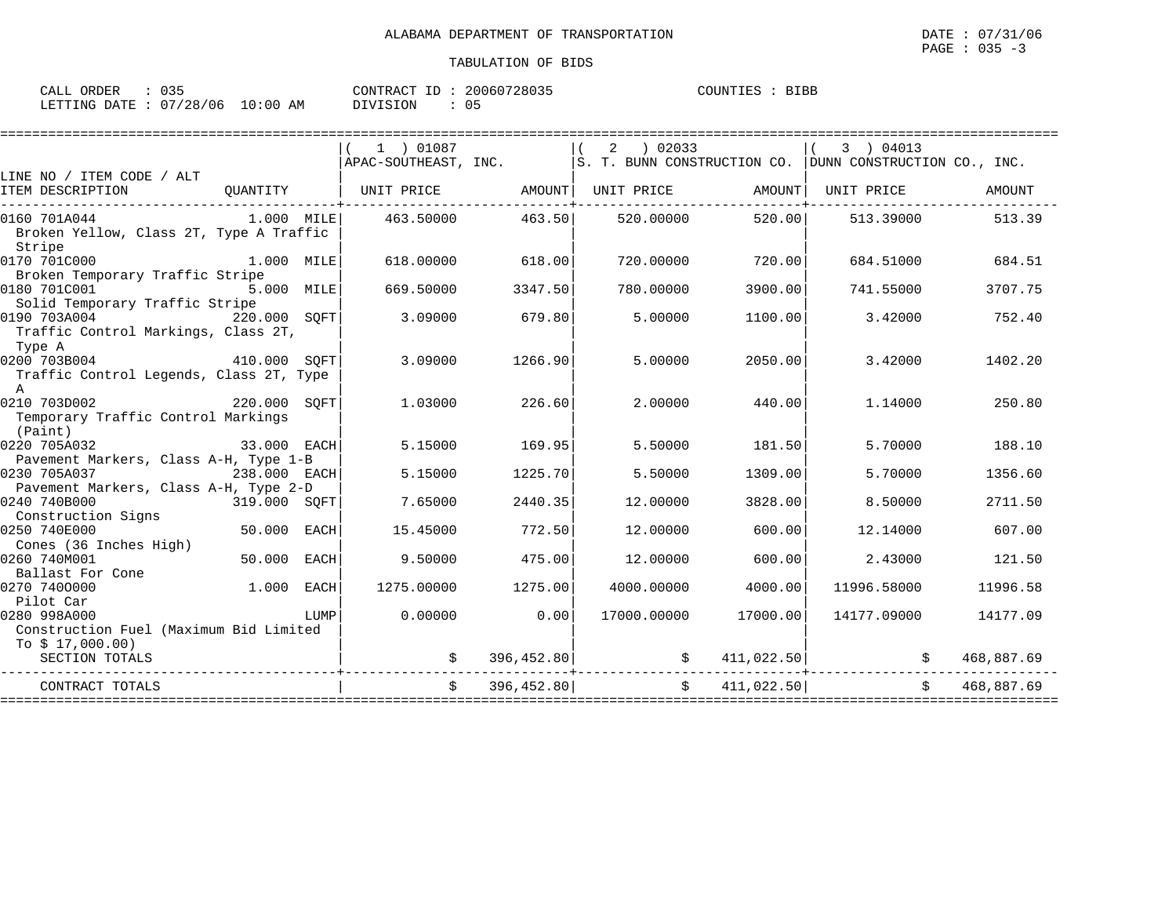| CALL ORDER                       | 035 |  | CONTRACT ID: 20060728035 |    | COUNTIES : BIBB |  |
|----------------------------------|-----|--|--------------------------|----|-----------------|--|
| LETTING DATE : 07/28/06 10:00 AM |     |  | DIVISION                 | 05 |                 |  |

|                                                                                     |              |      | 1 ) 01087                     |            | 2 ) 02033        |               | 3 ) 04013<br>$ $ APAC-SOUTHEAST, INC. $ S. T. BUNN$ CONSTRUCTION CO. $ DUNN$ CONSTRUCTION CO., INC. |            |
|-------------------------------------------------------------------------------------|--------------|------|-------------------------------|------------|------------------|---------------|-----------------------------------------------------------------------------------------------------|------------|
| LINE NO / ITEM CODE / ALT                                                           |              |      |                               |            |                  |               |                                                                                                     |            |
| ITEM DESCRIPTION                                                                    |              |      |                               |            |                  |               | QUANTITY   UNIT PRICE     AMOUNT  UNIT PRICE     AMOUNT  UNIT PRICE                                 | AMOUNT     |
| 0160 701A044<br>Broken Yellow, Class 2T, Type A Traffic<br>Stripe                   |              |      | $1.000$ MILE 463.50000 463.50 |            | 520.00000 520.00 |               | 513.39000                                                                                           | 513.39     |
| 0170 701C000<br>1.000 MILE                                                          |              |      | 618.00000                     | 618.00     | 720.00000        | 720.00        | 684.51000                                                                                           | 684.51     |
| Broken Temporary Traffic Stripe<br>0180 701C001                                     | 5.000 MILE   |      | 669.50000                     | 3347.50    | 780,00000        | 3900.00       | 741.55000                                                                                           | 3707.75    |
| Solid Temporary Traffic Stripe                                                      |              |      |                               |            |                  |               |                                                                                                     |            |
| 0190 703A004<br>220.000 SQFT<br>Traffic Control Markings, Class 2T,<br>Type A       |              |      | 3.09000                       | 679.80     | 5,00000          | 1100.00       | 3.42000                                                                                             | 752.40     |
| 0200 703B004<br>410.000 SQFT<br>Traffic Control Legends, Class 2T, Type<br>$\Delta$ |              |      | 3.09000                       | 1266.90    | 5.00000          | 2050.00       | 3.42000                                                                                             | 1402.20    |
| 0210 703D002<br>220.000 SQFT<br>Temporary Traffic Control Markings<br>(Paint)       |              |      | 1.03000                       | 226.60     | 2.00000          | 440.00        | 1.14000                                                                                             | 250.80     |
| 0220 705A032<br>Pavement Markers, Class A-H, Type 1-B                               | 33.000 EACH  |      | 5.15000                       | 169.95     | 5.50000          | 181.50        | 5.70000                                                                                             | 188.10     |
| 0230 705A037                                                                        | 238.000 EACH |      | 5.15000                       | 1225.70    | 5.50000          | 1309.00       | 5,70000                                                                                             | 1356.60    |
| Pavement Markers, Class A-H, Type 2-D<br>0240 740B000<br>319.000 SQFT               |              |      | 7.65000                       | 2440.35    | 12,00000         | 3828.00       | 8.50000                                                                                             | 2711.50    |
| Construction Signs<br>0250 740E000                                                  | 50.000 EACH  |      | 15.45000                      | 772.50     | 12.00000         | 600.00        | 12.14000                                                                                            | 607.00     |
| Cones (36 Inches High)<br>0260 740M001<br>Ballast For Cone                          | 50.000       | EACH | 9.50000                       | 475.00     | 12.00000         | 600.00        | 2.43000                                                                                             | 121.50     |
| 0270 7400000<br>Pilot Car                                                           | $1.000$ EACH |      | 1275.00000                    | 1275.00    | 4000.00000       | 4000.00       | 11996.58000                                                                                         | 11996.58   |
| 0280 998A000<br>Construction Fuel (Maximum Bid Limited                              |              | LUMP | 0.00000                       | 0.00       | 17000.00000      | 17000.00      | 14177.09000                                                                                         | 14177.09   |
| To $$17,000.00)$<br>SECTION TOTALS                                                  |              |      |                               |            |                  |               | $\zeta$ 396,452.80 $\zeta$ 411,022.50 $\zeta$                                                       | 468,887.69 |
| CONTRACT TOTALS                                                                     |              |      |                               | 396,452.80 |                  | \$ 411,022.50 | $\ddot{s}$                                                                                          | 468,887.69 |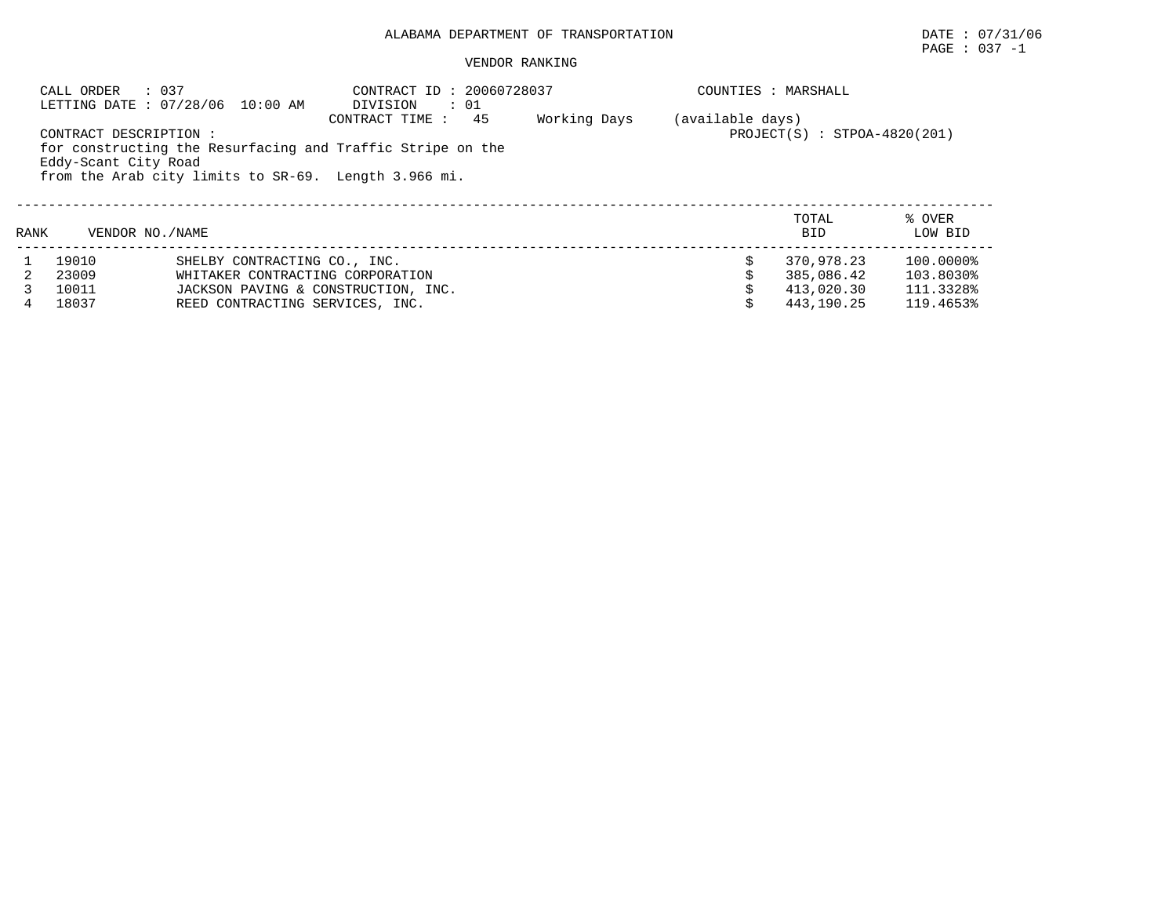## PAGE : 037 -1

|      | : 037<br>CALL ORDER                           | LETTING DATE: 07/28/06 10:00 AM                                                                                                            | CONTRACT ID: 20060728037<br>$\cdots$ 01<br>DIVISION                                 |              |                  | COUNTIES : MARSHALL                                  |                                                  |
|------|-----------------------------------------------|--------------------------------------------------------------------------------------------------------------------------------------------|-------------------------------------------------------------------------------------|--------------|------------------|------------------------------------------------------|--------------------------------------------------|
|      | CONTRACT DESCRIPTION:<br>Eddy-Scant City Road | from the Arab city limits to SR-69. Length 3.966 mi.                                                                                       | CONTRACT TIME :<br>45<br>for constructing the Resurfacing and Traffic Stripe on the | Working Days | (available days) | $PROJECT(S) : STPOA-4820(201)$                       |                                                  |
| RANK | VENDOR NO. / NAME                             |                                                                                                                                            |                                                                                     |              |                  | TOTAL<br><b>BID</b>                                  | % OVER<br>LOW BID                                |
| 4    | 19010<br>23009<br>10011<br>18037              | SHELBY CONTRACTING CO., INC.<br>WHITAKER CONTRACTING CORPORATION<br>JACKSON PAVING & CONSTRUCTION, INC.<br>REED CONTRACTING SERVICES, INC. |                                                                                     |              |                  | 370,978.23<br>385,086.42<br>413,020.30<br>443,190.25 | 100.0000%<br>103.8030%<br>111.3328%<br>119.4653% |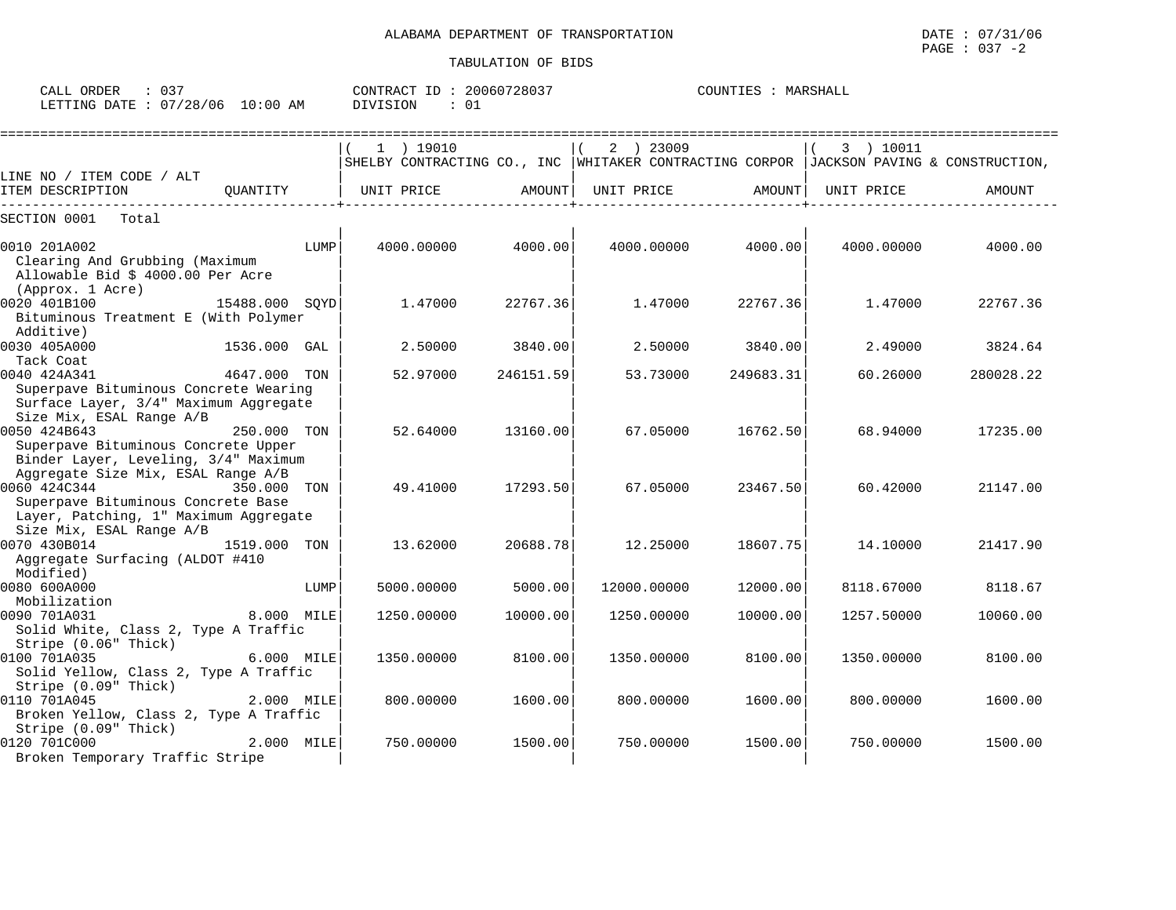| ORDER<br>CALL           | .<br>ک ل |             | CONTRACT<br>TD. | 20060728037 | MARSHALL<br>COUNTIES |
|-------------------------|----------|-------------|-----------------|-------------|----------------------|
| LETTING DATE : 07/28/06 |          | 10:00<br>AM | <b>DIVISION</b> | ັບ⊥         |                      |

|                                                                                                                                   |                |            | 1 ) 19010  |           |            | 2 ) 23009   |           | 3 ) 10011  |                                                                                        |
|-----------------------------------------------------------------------------------------------------------------------------------|----------------|------------|------------|-----------|------------|-------------|-----------|------------|----------------------------------------------------------------------------------------|
| LINE NO / ITEM CODE / ALT                                                                                                         |                |            |            |           |            |             |           |            | SHELBY CONTRACTING CO., INC WHITAKER CONTRACTING CORPOR JACKSON PAVING & CONSTRUCTION, |
| ITEM DESCRIPTION                                                                                                                  | QUANTITY       | UNIT PRICE |            | AMOUNT    | UNIT PRICE |             | AMOUNT    | UNIT PRICE | AMOUNT                                                                                 |
| SECTION 0001<br>Total                                                                                                             |                |            |            |           |            |             |           |            |                                                                                        |
| 0010 201A002<br>Clearing And Grubbing (Maximum<br>Allowable Bid \$ 4000.00 Per Acre                                               | LUMP           |            | 4000.00000 | 4000.00   |            | 4000.00000  | 4000.00   | 4000.00000 | 4000.00                                                                                |
| (Approx. 1 Acre)<br>0020 401B100<br>Bituminous Treatment E (With Polymer<br>Additive)                                             | 15488.000 SOYD |            | 1.47000    | 22767.36  |            | 1.47000     | 22767.36  | 1.47000    | 22767.36                                                                               |
| 0030 405A000<br>Tack Coat                                                                                                         | 1536.000 GAL   |            | 2.50000    | 3840.00   |            | 2.50000     | 3840.00   | 2.49000    | 3824.64                                                                                |
| 0040 424A341<br>Superpave Bituminous Concrete Wearing<br>Surface Layer, 3/4" Maximum Aggregate                                    | 4647.000 TON   |            | 52.97000   | 246151.59 |            | 53.73000    | 249683.31 | 60.26000   | 280028.22                                                                              |
| Size Mix, ESAL Range A/B<br>0050 424B643<br>Superpave Bituminous Concrete Upper<br>Binder Layer, Leveling, 3/4" Maximum           | 250.000 TON    |            | 52.64000   | 13160.00  |            | 67.05000    | 16762.50  | 68.94000   | 17235.00                                                                               |
| Aggregate Size Mix, ESAL Range A/B<br>0060 424C344<br>Superpave Bituminous Concrete Base<br>Layer, Patching, 1" Maximum Aggregate | 350.000 TON    |            | 49.41000   | 17293.50  |            | 67.05000    | 23467.50  | 60.42000   | 21147.00                                                                               |
| Size Mix, ESAL Range A/B<br>0070 430B014<br>Aggregate Surfacing (ALDOT #410<br>Modified)                                          | 1519.000 TON   |            | 13.62000   | 20688.78  |            | 12.25000    | 18607.75  | 14.10000   | 21417.90                                                                               |
| 0080 600A000<br>Mobilization                                                                                                      | LUMP           |            | 5000.00000 | 5000.00   |            | 12000.00000 | 12000.00  | 8118.67000 | 8118.67                                                                                |
| 0090 701A031<br>Solid White, Class 2, Type A Traffic<br>Stripe (0.06" Thick)                                                      | 8.000 MILE     |            | 1250.00000 | 10000.00  |            | 1250.00000  | 10000.00  | 1257.50000 | 10060.00                                                                               |
| 0100 701A035<br>Solid Yellow, Class 2, Type A Traffic<br>Stripe (0.09" Thick)                                                     | 6.000 MILE     |            | 1350.00000 | 8100.00   |            | 1350.00000  | 8100.00   | 1350.00000 | 8100.00                                                                                |
| 0110 701A045<br>Broken Yellow, Class 2, Type A Traffic<br>Stripe (0.09" Thick)                                                    | 2.000 MILE     |            | 800.00000  | 1600.00   |            | 800.00000   | 1600.00   | 800.00000  | 1600.00                                                                                |
| 0120 701C000<br>Broken Temporary Traffic Stripe                                                                                   | 2.000 MILE     |            | 750.00000  | 1500.00   |            | 750.00000   | 1500.00   | 750.00000  | 1500.00                                                                                |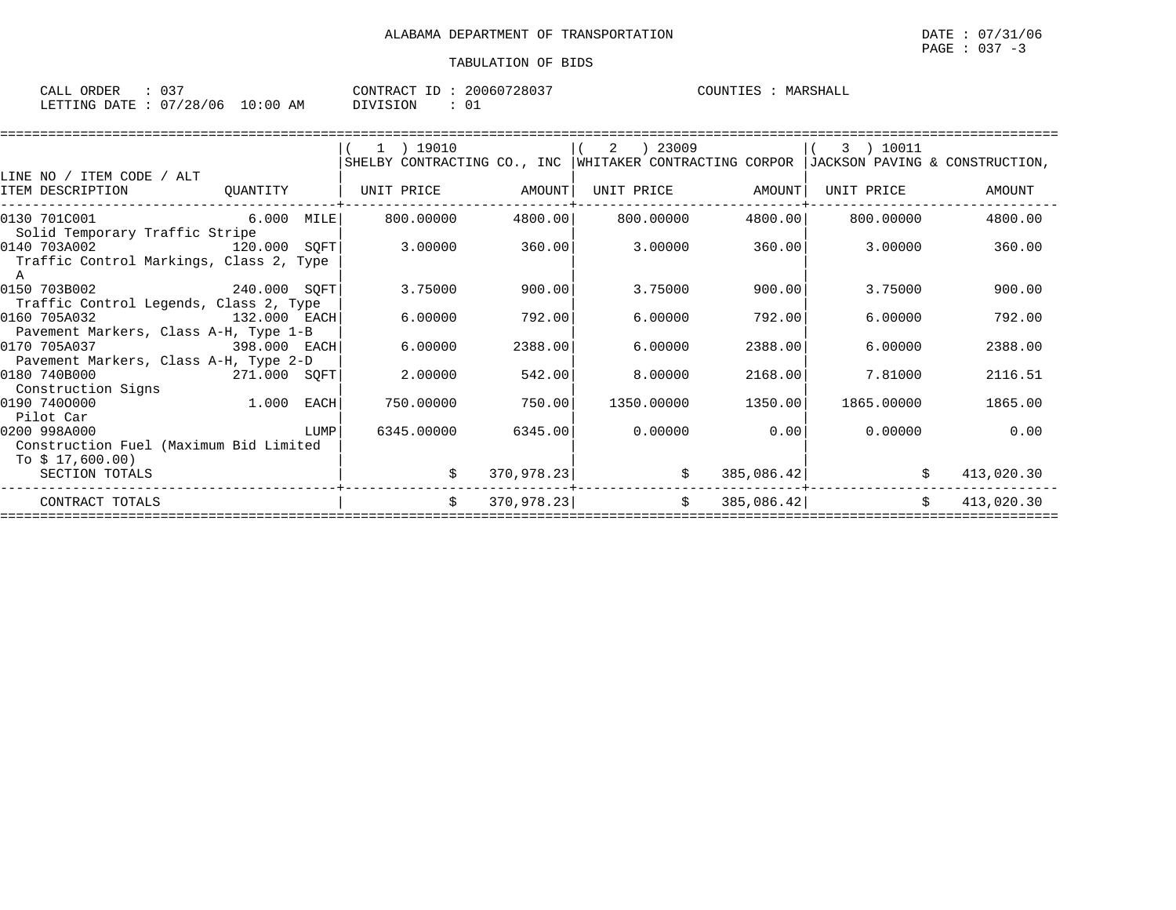| $\sim$ $\sim$ $\sim$<br>$\sim$ $\sim$ $\sim$<br>ORDER<br>U 3 |             | CONTRACT ID: | 20060728037 | COUNTIES<br>MARSHALL |
|--------------------------------------------------------------|-------------|--------------|-------------|----------------------|
| 07/28/06<br>LETTING DATE                                     | 10:00<br>AΜ | DIVISION     |             |                      |

|                                              |                                                                      | 1 ) 19010         |            |                   | 2 ) 23009  |                  |                   | 3) 10011   |                                                                                        |
|----------------------------------------------|----------------------------------------------------------------------|-------------------|------------|-------------------|------------|------------------|-------------------|------------|----------------------------------------------------------------------------------------|
|                                              |                                                                      |                   |            |                   |            |                  |                   |            | SHELBY CONTRACTING CO., INC WHITAKER CONTRACTING CORPOR JACKSON PAVING & CONSTRUCTION, |
| LINE NO / ITEM CODE / ALT                    |                                                                      |                   |            |                   |            |                  |                   |            |                                                                                        |
| ITEM DESCRIPTION                             | QUANTITY                                                             | UNIT PRICE AMOUNT |            |                   | UNIT PRICE | AMOUNT           | UNIT PRICE        |            | AMOUNT                                                                                 |
| 0130 701C001                                 | $6.000$ MILE 800.00000                                               |                   |            | 4800.00 800.00000 |            |                  | 4800.00 800.00000 |            | 4800.00                                                                                |
| Solid Temporary Traffic Stripe               |                                                                      |                   |            |                   |            |                  |                   |            |                                                                                        |
| 0140 703A002                                 | 120.000 SOFT                                                         | 3.00000           | 360.00     |                   |            | $3.00000$ 360.00 | 3.00000           |            | 360.00                                                                                 |
| Traffic Control Markings, Class 2, Type<br>A |                                                                      |                   |            |                   |            |                  |                   |            |                                                                                        |
| 0150 703B002                                 | 240.000 SQFT                                                         | 3.75000           | 900.00     |                   | 3.75000    | 900.001          |                   | 3.75000    | 900.00                                                                                 |
| Traffic Control Legends, Class 2, Type       |                                                                      |                   |            |                   |            |                  |                   |            |                                                                                        |
| 0160 705A032                                 | 132.000 EACH                                                         | 6.00000           | 792.00     |                   | 6.00000    | 792.00           |                   | 6.00000    | 792.00                                                                                 |
| Pavement Markers, Class A-H, Type 1-B        |                                                                      |                   |            |                   |            |                  |                   |            |                                                                                        |
| 0170 705A037                                 | 398.000 EACH                                                         | 6.00000           | 2388.00    |                   | 6.00000    | 2388.00          |                   | 6.00000    | 2388.00                                                                                |
| Pavement Markers, Class A-H, Type 2-D        |                                                                      |                   |            |                   |            |                  |                   |            |                                                                                        |
| 0180 740B000                                 | 271.000 SQFT                                                         | 2.00000           | 542.00     |                   | 8,00000    | 2168.00          |                   | 7.81000    | 2116.51                                                                                |
|                                              |                                                                      |                   |            |                   |            |                  |                   |            |                                                                                        |
| Construction Signs                           | 1.000 EACH                                                           |                   |            |                   |            |                  |                   |            |                                                                                        |
| 0190 7400000                                 |                                                                      | 750.00000         | 750.00     |                   | 1350.00000 | 1350.00          |                   | 1865.00000 | 1865.00                                                                                |
| Pilot Car                                    |                                                                      |                   |            |                   |            |                  |                   |            |                                                                                        |
| 0200 998A000                                 | <b>EXECUTE IN THE EXECUTIVE EXECUTIVE IN THE EXECUTIVE EXECUTIVE</b> | 6345.00000        | 6345.00    |                   | 0.00000    | 0.00             |                   |            | 0.00000<br>0.00                                                                        |
| Construction Fuel (Maximum Bid Limited       |                                                                      |                   |            |                   |            |                  |                   |            |                                                                                        |
| To $$17,600.00)$                             |                                                                      |                   |            |                   |            |                  |                   |            |                                                                                        |
| SECTION TOTALS                               |                                                                      |                   | 370,978.23 |                   | \$         | 385,086.42       |                   | \$         | 413,020.30                                                                             |
| CONTRACT TOTALS                              |                                                                      | \$                | 370,978.23 |                   | \$         | 385,086.42       |                   | \$         | 413,020.30                                                                             |
|                                              |                                                                      |                   |            |                   |            |                  |                   |            |                                                                                        |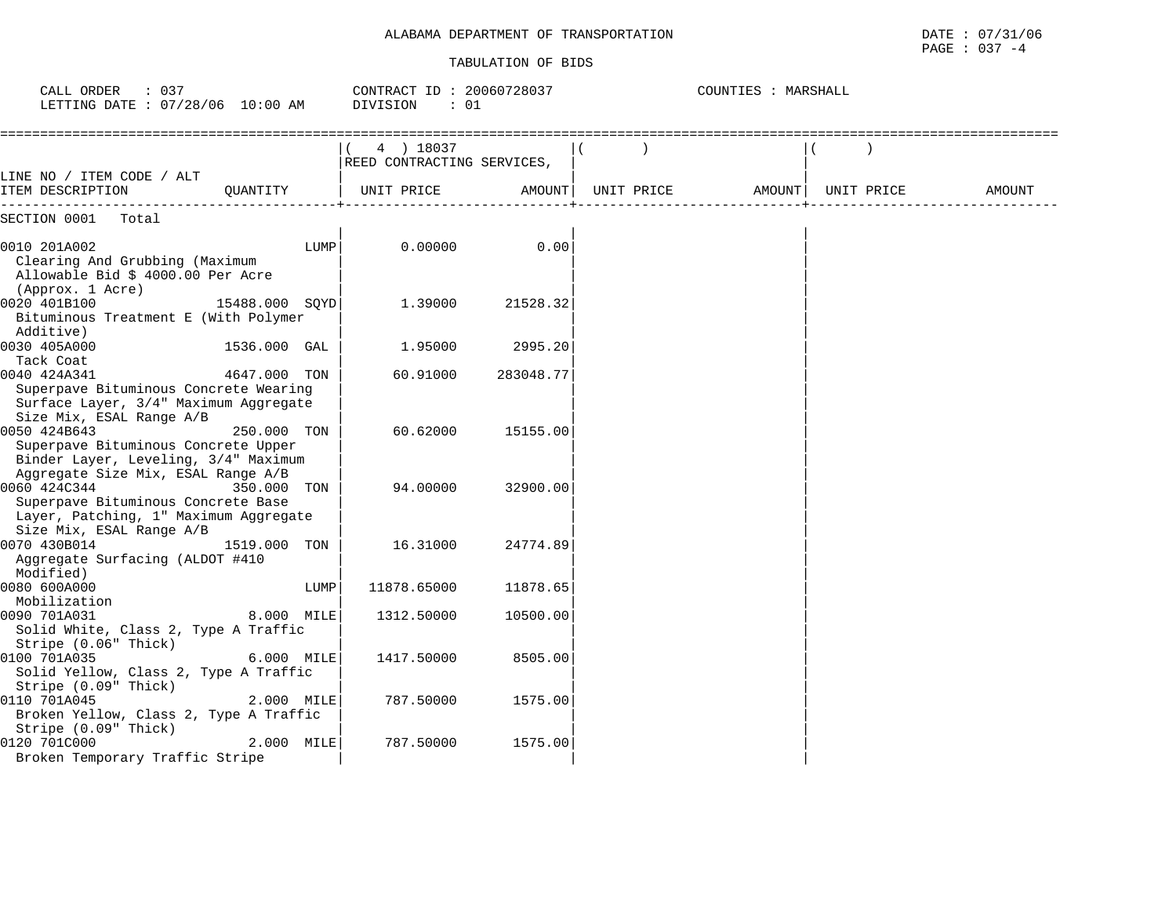| CALL ORDER<br>: 037<br>LETTING DATE : 07/28/06 10:00 AM                                                                                                 |            | CONTRACT ID: 20060728037<br>DIVISION<br>: 01 |           |            | COUNTIES : MARSHALL |            |        |
|---------------------------------------------------------------------------------------------------------------------------------------------------------|------------|----------------------------------------------|-----------|------------|---------------------|------------|--------|
|                                                                                                                                                         |            | 4 ) 18037<br>REED CONTRACTING SERVICES,      |           |            |                     |            |        |
| LINE NO / ITEM CODE / ALT<br>ITEM DESCRIPTION<br>OUANTITY                                                                                               |            | UNIT PRICE                                   | AMOUNT    | UNIT PRICE | AMOUNT              | UNIT PRICE | AMOUNT |
| SECTION 0001<br>Total                                                                                                                                   |            |                                              |           |            |                     |            |        |
| 0010 201A002<br>Clearing And Grubbing (Maximum<br>Allowable Bid \$ 4000.00 Per Acre<br>(Approx. 1 Acre)                                                 | LUMP       | 0.00000                                      | 0.00      |            |                     |            |        |
| 0020 401B100<br>15488.000 SOYD<br>Bituminous Treatment E (With Polymer<br>Additive)                                                                     |            | 1.39000                                      | 21528.32  |            |                     |            |        |
| 0030 405A000<br>1536.000 GAL                                                                                                                            |            | 1.95000                                      | 2995.20   |            |                     |            |        |
| Tack Coat<br>0040 424A341<br>4647.000 TON<br>Superpave Bituminous Concrete Wearing<br>Surface Layer, 3/4" Maximum Aggregate<br>Size Mix, ESAL Range A/B |            | 60.91000                                     | 283048.77 |            |                     |            |        |
| 0050 424B643<br>250.000 TON<br>Superpave Bituminous Concrete Upper<br>Binder Layer, Leveling, 3/4" Maximum<br>Aggregate Size Mix, ESAL Range A/B        |            | 60.62000                                     | 15155.00  |            |                     |            |        |
| 0060 424C344<br>350.000 TON<br>Superpave Bituminous Concrete Base<br>Layer, Patching, 1" Maximum Aggregate<br>Size Mix, ESAL Range A/B                  |            | 94.00000                                     | 32900.00  |            |                     |            |        |
| 0070 430B014<br>1519.000<br>Aggregate Surfacing (ALDOT #410<br>Modified)                                                                                | TON        | 16.31000                                     | 24774.89  |            |                     |            |        |
| 0080 600A000<br>Mobilization                                                                                                                            | LUMP       | 11878.65000                                  | 11878.65  |            |                     |            |        |
| 0090 701A031<br>Solid White, Class 2, Type A Traffic<br>Stripe (0.06" Thick)                                                                            | 8.000 MILE | 1312.50000                                   | 10500.00  |            |                     |            |        |
| 0100 701A035<br>Solid Yellow, Class 2, Type A Traffic<br>Stripe (0.09" Thick)                                                                           | 6.000 MILE | 1417.50000                                   | 8505.00   |            |                     |            |        |
| 0110 701A045<br>Broken Yellow, Class 2, Type A Traffic<br>Stripe (0.09" Thick)                                                                          | 2.000 MILE | 787.50000                                    | 1575.00   |            |                     |            |        |
| 0120 701C000<br>Broken Temporary Traffic Stripe                                                                                                         | 2.000 MILE | 787.50000                                    | 1575.00   |            |                     |            |        |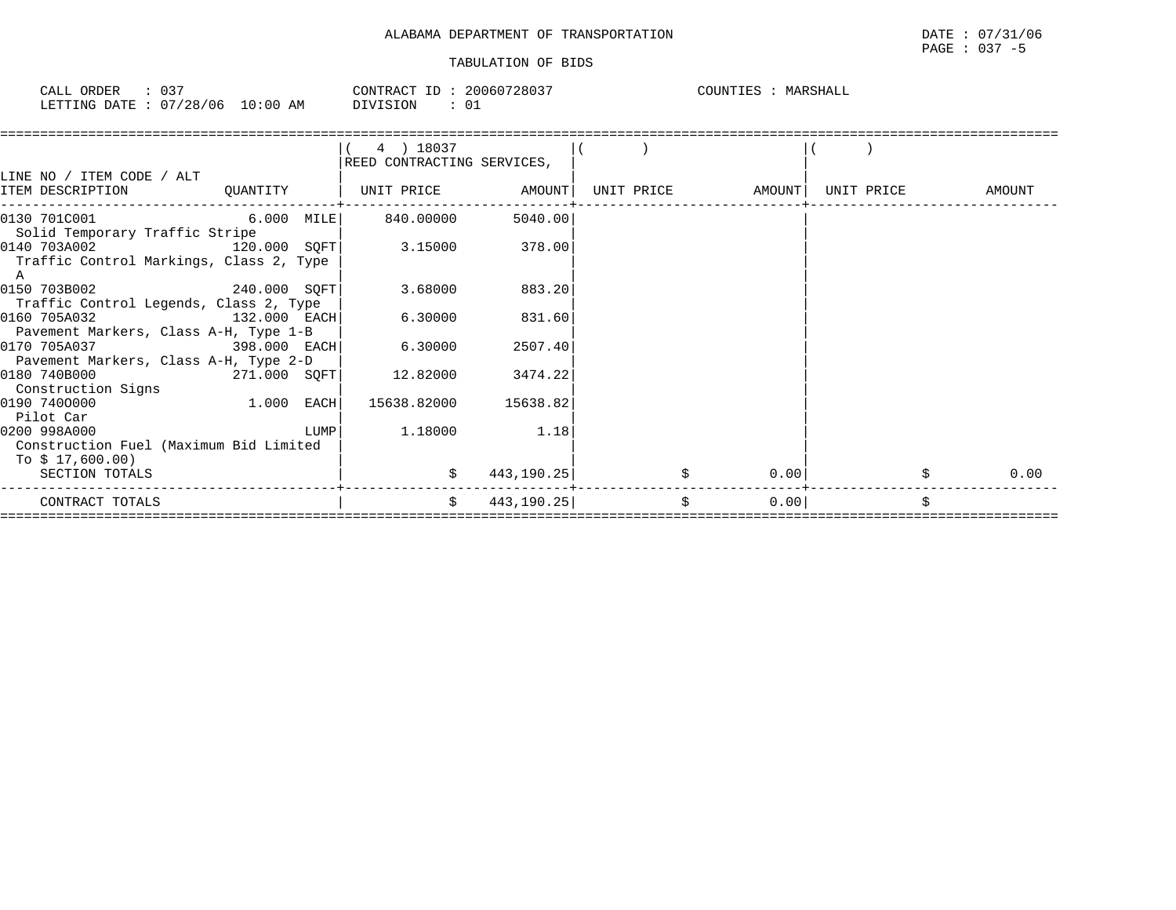| CALL ORDER                      | CONTRACT ID: 20060728037 | COUNTIES :<br>MARSHALL |
|---------------------------------|--------------------------|------------------------|
| LETTING DATE: 07/28/06 10:00 AM | DIVISION                 |                        |

|                                         |                                            | (4) 18037                    |            |                     |      |            |
|-----------------------------------------|--------------------------------------------|------------------------------|------------|---------------------|------|------------|
|                                         |                                            | REED CONTRACTING SERVICES,   |            |                     |      |            |
| LINE NO / ITEM CODE / ALT               |                                            |                              |            |                     |      |            |
| ITEM DESCRIPTION                        |                                            | QUANTITY   UNIT PRICE AMOUNT |            |                     |      | AMOUNT     |
|                                         |                                            |                              |            |                     |      |            |
| $[0130 \t 701C001$ 6.000 MILE 840.00000 |                                            |                              | 5040.00    |                     |      |            |
| Solid Temporary Traffic Stripe          |                                            |                              |            |                     |      |            |
| 0140 703A002<br>120.000 SQFT            |                                            | 3.15000 378.00               |            |                     |      |            |
| Traffic Control Markings, Class 2, Type |                                            |                              |            |                     |      |            |
| A                                       |                                            |                              |            |                     |      |            |
| 0150 703B002 240.000 SQFT               |                                            | 3.68000                      | 883.20     |                     |      |            |
| Traffic Control Legends, Class 2, Type  |                                            |                              |            |                     |      |            |
| 0160 705A032<br>$132.000$ EACH          |                                            | 6.30000                      | 831.60     |                     |      |            |
| Pavement Markers, Class A-H, Type 1-B   |                                            |                              |            |                     |      |            |
| 0170 705A037<br>398.000 EACH            |                                            | 6.30000                      | 2507.40    |                     |      |            |
| Pavement Markers, Class A-H, Type 2-D   |                                            |                              |            |                     |      |            |
| 0180 740B000                            | $271.000$ SQFT                             | 12.82000                     | 3474.22    |                     |      |            |
| Construction Signs                      |                                            |                              |            |                     |      |            |
| $1.000$ EACH<br>0190 7400000            |                                            | 15638.82000 15638.82         |            |                     |      |            |
| Pilot Car                               |                                            |                              |            |                     |      |            |
| 0200 998A000                            | $\begin{array}{c} \text{LUMP} \end{array}$ | 1.18000 1.18                 |            |                     |      |            |
| Construction Fuel (Maximum Bid Limited  |                                            |                              |            |                     |      |            |
| To \$ 17,600.00)                        |                                            |                              |            |                     |      |            |
| SECTION TOTALS                          |                                            | \$                           | 443,190.25 | \$                  | 0.00 | \$<br>0.00 |
|                                         |                                            |                              |            |                     |      |            |
| CONTRACT TOTALS                         |                                            | \$                           | 443,190.25 | $\ddot{\mathsf{s}}$ | 0.00 | \$         |
|                                         |                                            |                              |            |                     |      |            |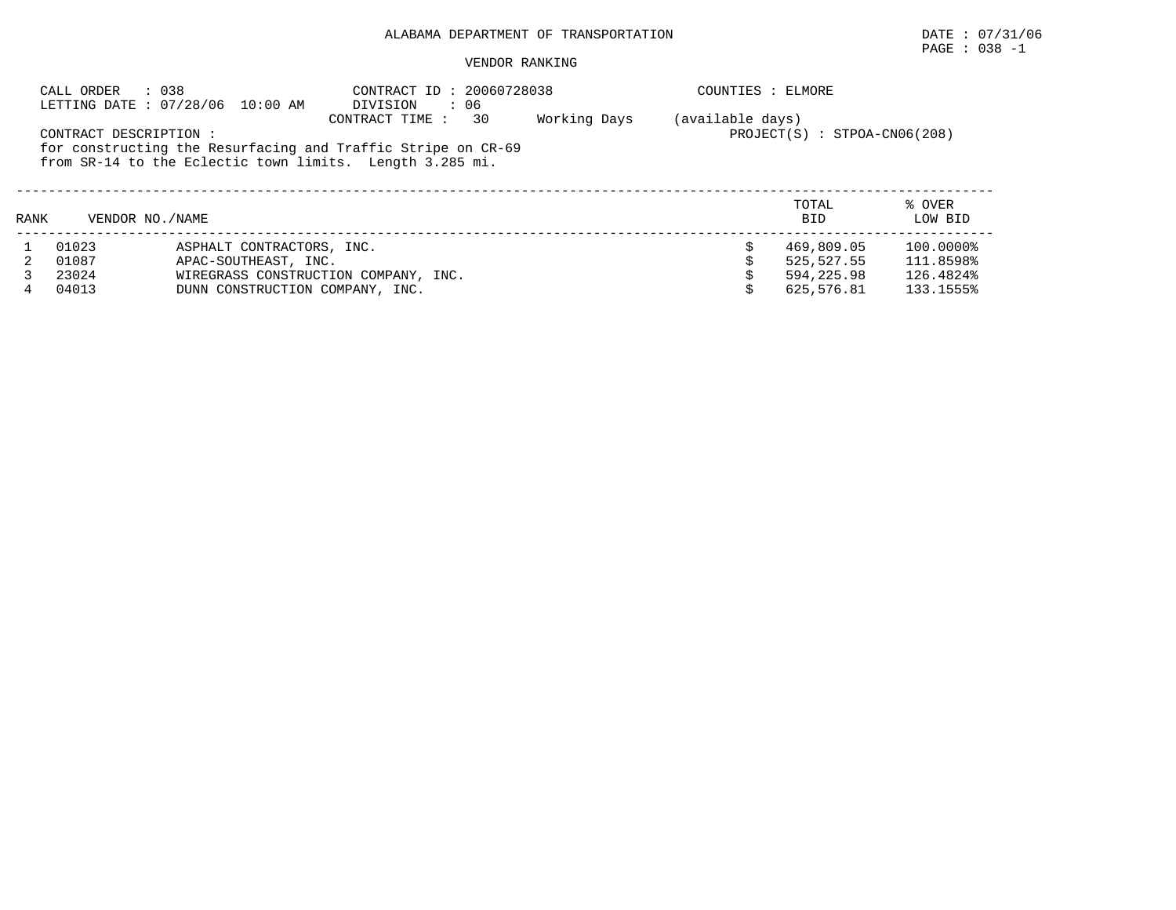# $\texttt{PAGE}$  : 038 -1

|      | : 038<br>CALL ORDER    | LETTING DATE: 07/28/06 10:00 AM                                                                                          | CONTRACT ID: 20060728038<br>DIVISION<br>$\therefore$ 06 |                                                  | COUNTIES : ELMORE |                     |                   |  |
|------|------------------------|--------------------------------------------------------------------------------------------------------------------------|---------------------------------------------------------|--------------------------------------------------|-------------------|---------------------|-------------------|--|
|      | CONTRACT DESCRIPTION : | for constructing the Resurfacing and Traffic Stripe on CR-69<br>from SR-14 to the Eclectic town limits. Length 3.285 mi. |                                                         | (available days)<br>PROJECT(S) : STPOA-CN06(208) |                   |                     |                   |  |
| RANK | VENDOR NO./NAME        |                                                                                                                          |                                                         |                                                  |                   | TOTAL<br><b>BID</b> | % OVER<br>LOW BID |  |
|      | 01023                  | ASPHALT CONTRACTORS, INC.                                                                                                |                                                         |                                                  |                   | 469,809.05          | 100.0000%         |  |
|      | 01087                  | APAC-SOUTHEAST, INC.                                                                                                     |                                                         |                                                  |                   | 525,527.55          | 111.8598%         |  |
|      | 23024                  | WIREGRASS CONSTRUCTION COMPANY, INC.                                                                                     |                                                         |                                                  |                   | 594,225.98          | 126.4824%         |  |
| 4    | 04013                  | DUNN CONSTRUCTION COMPANY, INC.                                                                                          |                                                         |                                                  |                   | 625,576.81          | 133.1555%         |  |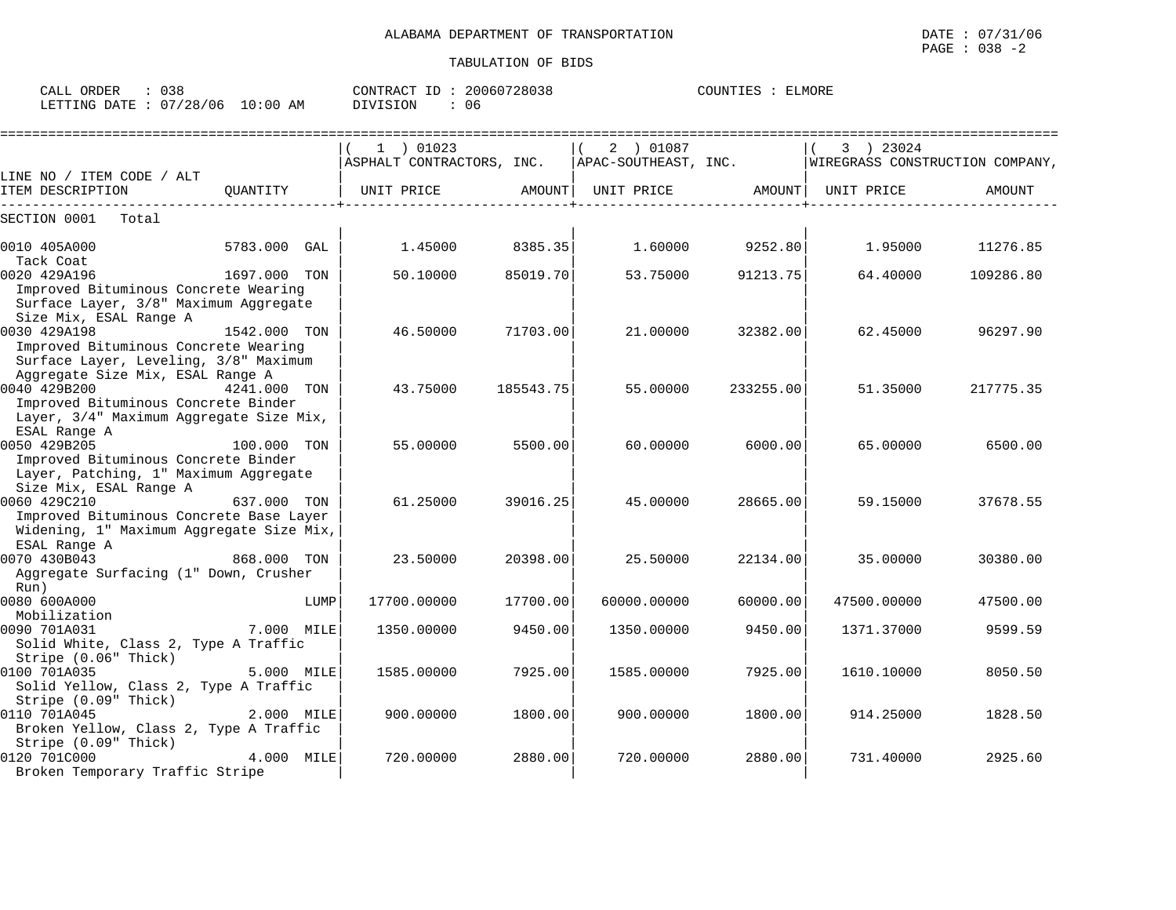| CALL<br>ORDER                   | 038 | CONTRACT<br>' ID | 20060728038 | ELMORE<br>COUNTIES |
|---------------------------------|-----|------------------|-------------|--------------------|
| LETTING DATE: 07/28/06 10:00 AM |     | DIVISION         | 06          |                    |

|                                               |              |      | 1 ) 01023                                                                          |           | 2 ) 01087         |                   | 3 ) 23024   |           |
|-----------------------------------------------|--------------|------|------------------------------------------------------------------------------------|-----------|-------------------|-------------------|-------------|-----------|
|                                               |              |      | ASPHALT CONTRACTORS, INC.   APAC-SOUTHEAST, INC.   WIREGRASS CONSTRUCTION COMPANY, |           |                   |                   |             |           |
| LINE NO / ITEM CODE / ALT<br>ITEM DESCRIPTION | OUANTITY     |      | UNIT PRICE                                                                         | AMOUNT    | UNIT PRICE AMOUNT |                   | UNIT PRICE  | AMOUNT    |
| SECTION 0001<br>Total                         |              |      |                                                                                    |           |                   |                   |             |           |
|                                               |              |      |                                                                                    |           |                   |                   |             |           |
| 0010 405A000                                  | 5783.000 GAL |      | 1.45000                                                                            | 8385.35   |                   | $1.60000$ 9252.80 | 1.95000     | 11276.85  |
| Tack Coat<br>0020 429A196                     | 1697.000 TON |      | 50.10000                                                                           | 85019.70  | 53.75000          | 91213.75          | 64.40000    | 109286.80 |
| Improved Bituminous Concrete Wearing          |              |      |                                                                                    |           |                   |                   |             |           |
| Surface Layer, 3/8" Maximum Aggregate         |              |      |                                                                                    |           |                   |                   |             |           |
| Size Mix, ESAL Range A                        |              |      |                                                                                    |           |                   |                   |             |           |
| 0030 429A198                                  | 1542.000 TON |      | 46.50000                                                                           | 71703.00  | 21.00000          | 32382.00          | 62.45000    | 96297.90  |
| Improved Bituminous Concrete Wearing          |              |      |                                                                                    |           |                   |                   |             |           |
| Surface Layer, Leveling, 3/8" Maximum         |              |      |                                                                                    |           |                   |                   |             |           |
| Aggregate Size Mix, ESAL Range A              |              |      |                                                                                    |           |                   |                   |             |           |
| 0040 429B200                                  | 4241.000 TON |      | 43.75000                                                                           | 185543.75 | 55.00000          | 233255.00         | 51.35000    | 217775.35 |
| Improved Bituminous Concrete Binder           |              |      |                                                                                    |           |                   |                   |             |           |
| Layer, 3/4" Maximum Aggregate Size Mix,       |              |      |                                                                                    |           |                   |                   |             |           |
| ESAL Range A                                  |              |      |                                                                                    |           |                   |                   |             |           |
| 100.000 TON<br>0050 429B205                   |              |      | 55.00000                                                                           | 5500.00   | 60.00000          | 6000.00           | 65.00000    | 6500.00   |
| Improved Bituminous Concrete Binder           |              |      |                                                                                    |           |                   |                   |             |           |
| Layer, Patching, 1" Maximum Aggregate         |              |      |                                                                                    |           |                   |                   |             |           |
| Size Mix, ESAL Range A                        |              |      |                                                                                    |           |                   |                   |             |           |
| 0060 429C210                                  | 637.000 TON  |      | 61.25000                                                                           | 39016.25  | 45.00000          | 28665.00          | 59.15000    | 37678.55  |
| Improved Bituminous Concrete Base Layer       |              |      |                                                                                    |           |                   |                   |             |           |
| Widening, 1" Maximum Aggregate Size Mix,      |              |      |                                                                                    |           |                   |                   |             |           |
| ESAL Range A                                  |              |      |                                                                                    |           |                   |                   |             |           |
| 0070 430B043                                  | 868.000 TON  |      | 23.50000                                                                           | 20398.00  | 25.50000          | 22134.00          | 35.00000    | 30380.00  |
| Aggregate Surfacing (1" Down, Crusher         |              |      |                                                                                    |           |                   |                   |             |           |
| Run)<br>0080 600A000                          |              | LUMP | 17700.00000                                                                        | 17700.00  | 60000.00000       | 60000.00          | 47500.00000 | 47500.00  |
| Mobilization                                  |              |      |                                                                                    |           |                   |                   |             |           |
| 0090 701A031                                  | 7.000 MILE   |      | 1350.00000                                                                         | 9450.00   | 1350.00000        | 9450.00           | 1371.37000  | 9599.59   |
| Solid White, Class 2, Type A Traffic          |              |      |                                                                                    |           |                   |                   |             |           |
| Stripe (0.06" Thick)                          |              |      |                                                                                    |           |                   |                   |             |           |
| 0100 701A035                                  | 5.000 MILE   |      | 1585.00000                                                                         | 7925.00   | 1585.00000        | 7925.00           | 1610.10000  | 8050.50   |
| Solid Yellow, Class 2, Type A Traffic         |              |      |                                                                                    |           |                   |                   |             |           |
| Stripe (0.09" Thick)                          |              |      |                                                                                    |           |                   |                   |             |           |
| 0110 701A045                                  | 2.000 MILE   |      | 900.00000                                                                          | 1800.00   | 900.00000         | 1800.00           | 914.25000   | 1828.50   |
| Broken Yellow, Class 2, Type A Traffic        |              |      |                                                                                    |           |                   |                   |             |           |
| Stripe (0.09" Thick)                          |              |      |                                                                                    |           |                   |                   |             |           |
| 0120 701C000                                  | 4.000 MILE   |      | 720.00000                                                                          | 2880.00   | 720.00000         | 2880.00           | 731.40000   | 2925.60   |
| Broken Temporary Traffic Stripe               |              |      |                                                                                    |           |                   |                   |             |           |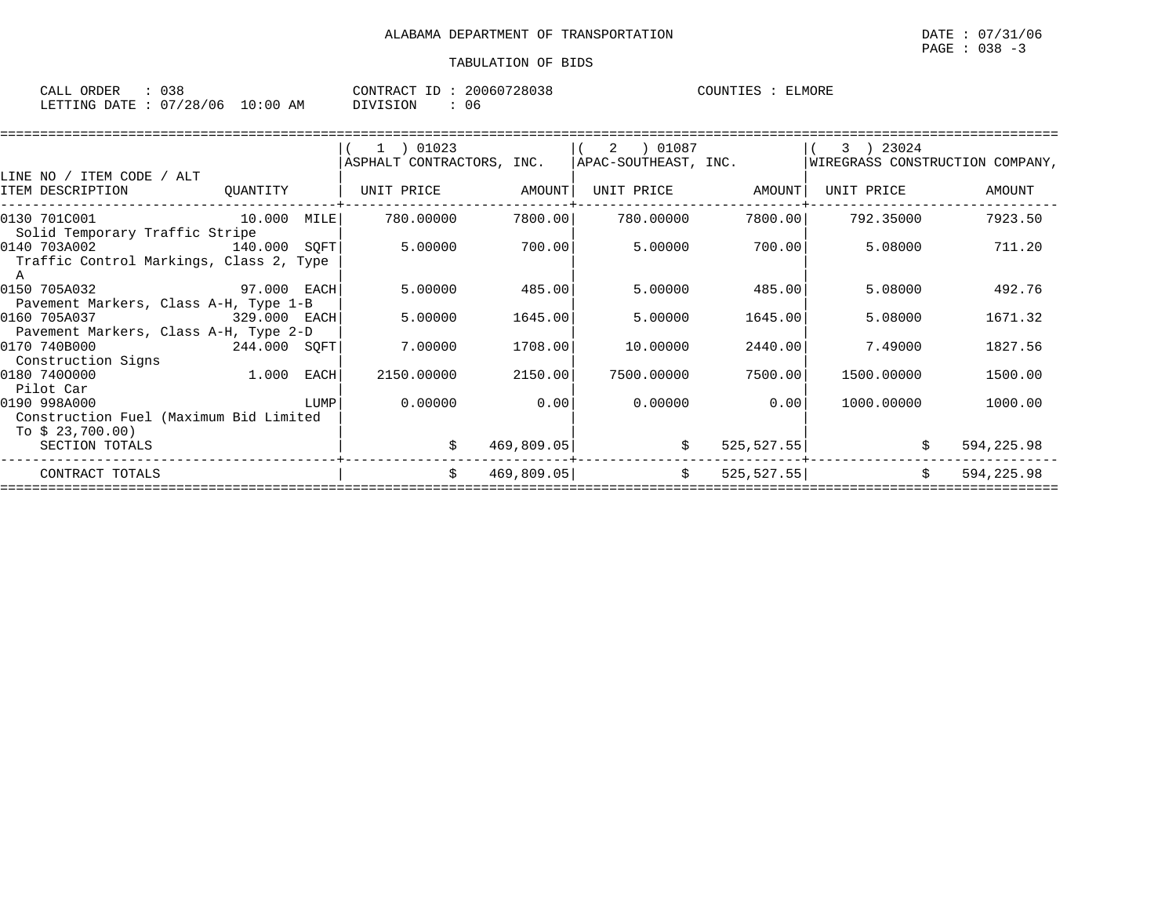| CALL ORDER                      | 038 |          | CONTRACT ID: 20060728038 | COUNTIES : | ELMORE |
|---------------------------------|-----|----------|--------------------------|------------|--------|
| LETTING DATE: 07/28/06 10:00 AM |     | DIVISION | 06                       |            |        |

|                                         |          |      | $1$ ) 01023               |            | 2 ) 01087            |             | 3 ) 23024                       |            |
|-----------------------------------------|----------|------|---------------------------|------------|----------------------|-------------|---------------------------------|------------|
|                                         |          |      | ASPHALT CONTRACTORS, INC. |            | APAC-SOUTHEAST, INC. |             | WIREGRASS CONSTRUCTION COMPANY, |            |
| LINE NO / ITEM CODE / ALT               |          |      |                           |            |                      |             |                                 |            |
| ITEM DESCRIPTION                        | OUANTITY |      | UNIT PRICE                | AMOUNT     | UNIT PRICE           | AMOUNT      | UNIT PRICE                      | AMOUNT     |
|                                         |          |      |                           |            |                      |             |                                 |            |
| 10.000 MILE<br>0130 701C001             |          |      | 780.00000                 | 7800.00    | 780.00000            | 7800.00     | 792.35000                       | 7923.50    |
| Solid Temporary Traffic Stripe          |          |      |                           |            |                      |             |                                 |            |
| 0140 703A002<br>140.000 SOFT            |          |      | 5.00000                   | 700.00     | 5.00000              | 700.00      | 5.08000                         | 711.20     |
| Traffic Control Markings, Class 2, Type |          |      |                           |            |                      |             |                                 |            |
|                                         |          |      |                           |            |                      |             |                                 |            |
| 0150 705A032<br>97.000 EACH             |          |      | 5.00000                   | 485.00     | 5.00000              | 485.00      | 5.08000                         | 492.76     |
| Pavement Markers, Class A-H, Type 1-B   |          |      |                           |            |                      |             |                                 |            |
| 0160 705A037<br>329.000 EACH            |          |      | 5.00000                   | 1645.00    | 5.00000              | 1645.00     | 5.08000                         | 1671.32    |
| Pavement Markers, Class A-H, Type 2-D   |          |      |                           |            |                      |             |                                 |            |
| 0170 740B000<br>244.000 SQFT            |          |      | 7.00000                   | 1708.00    | 10.00000             | 2440.00     | 7.49000                         | 1827.56    |
| Construction Signs                      |          |      |                           |            |                      |             |                                 |            |
| 0180 7400000                            | 1.000    | EACH | 2150.00000                | 2150.00    | 7500.00000           | 7500.00     | 1500.00000                      | 1500.00    |
| Pilot Car                               |          |      |                           |            |                      |             |                                 |            |
| 0190 998A000                            |          | LUMP | 0.00000                   | 0.00       | 0.00000              | 0.00        | 1000.00000                      | 1000.00    |
| Construction Fuel (Maximum Bid Limited  |          |      |                           |            |                      |             |                                 |            |
| To \$ 23,700.00)                        |          |      |                           |            |                      |             |                                 |            |
| SECTION TOTALS                          |          |      | \$                        | 469,809.05 | \$                   | 525, 527.55 |                                 | 594,225.98 |
|                                         |          |      | Ŝ.                        |            |                      |             |                                 |            |
| CONTRACT TOTALS                         |          |      |                           | 469,809.05 | \$                   | 525, 527.55 | \$                              | 594,225.98 |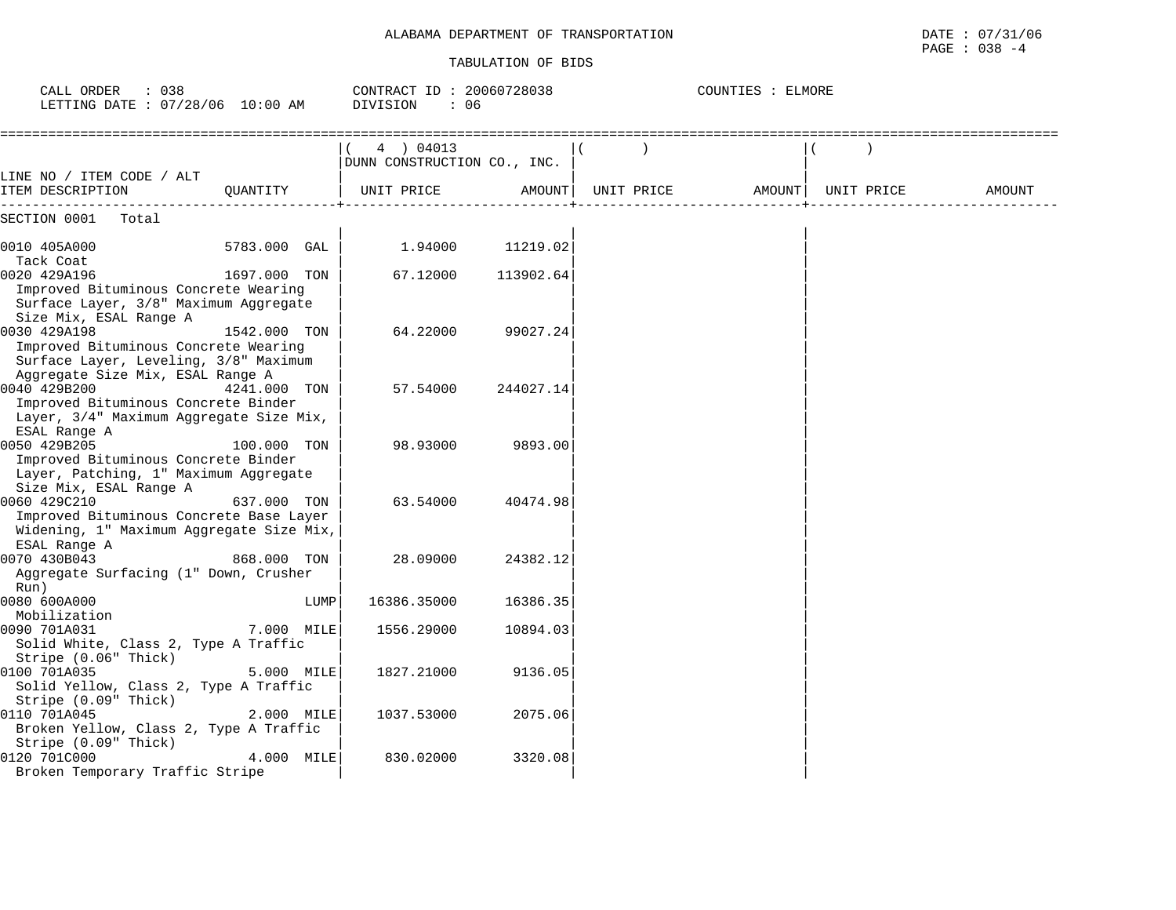#### TABULATION OF BIDS

PAGE : 038 -4

| CALL ORDER<br>: 038<br>LETTING DATE : 07/28/06 10:00 AM                                        |              | CONTRACT ID: 20060728038<br>DIVISION<br>: 06 |           | COUNTIES : ELMORE |            |        |
|------------------------------------------------------------------------------------------------|--------------|----------------------------------------------|-----------|-------------------|------------|--------|
|                                                                                                |              | 4 ) 04013<br>DUNN CONSTRUCTION CO., INC.     |           |                   |            |        |
| LINE NO / ITEM CODE / ALT<br>ITEM DESCRIPTION                                                  | QUANTITY     | UNIT PRICE                                   | AMOUNT    | UNIT PRICE AMOUNT | UNIT PRICE | AMOUNT |
| SECTION 0001<br>Total                                                                          |              |                                              |           |                   |            |        |
| 0010 405A000                                                                                   | 5783.000 GAL | 1.94000                                      | 11219.02  |                   |            |        |
| Tack Coat<br>0020 429A196<br>Improved Bituminous Concrete Wearing                              | 1697.000 TON | 67.12000                                     | 113902.64 |                   |            |        |
| Surface Layer, 3/8" Maximum Aggregate<br>Size Mix, ESAL Range A                                |              |                                              |           |                   |            |        |
| 0030 429A198<br>Improved Bituminous Concrete Wearing<br>Surface Layer, Leveling, 3/8" Maximum  | 1542.000 TON | 64.22000                                     | 99027.24  |                   |            |        |
| Aggregate Size Mix, ESAL Range A<br>0040 429B200                                               | 4241.000 TON | 57.54000                                     | 244027.14 |                   |            |        |
| Improved Bituminous Concrete Binder<br>Layer, 3/4" Maximum Aggregate Size Mix,<br>ESAL Range A |              |                                              |           |                   |            |        |
| 0050 429B205<br>Improved Bituminous Concrete Binder                                            | 100.000 TON  | 98.93000                                     | 9893.00   |                   |            |        |
| Layer, Patching, 1" Maximum Aggregate<br>Size Mix, ESAL Range A<br>0060 429C210                | 637.000 TON  | 63.54000                                     | 40474.98  |                   |            |        |
| Improved Bituminous Concrete Base Layer<br>Widening, 1" Maximum Aggregate Size Mix,            |              |                                              |           |                   |            |        |
| ESAL Range A<br>0070 430B043<br>Aggregate Surfacing (1" Down, Crusher                          | 868.000 TON  | 28,09000                                     | 24382.12  |                   |            |        |
| Run)<br>0080 600A000                                                                           | LUMP         | 16386.35000                                  | 16386.35  |                   |            |        |
| Mobilization<br>0090 701A031<br>Solid White, Class 2, Type A Traffic                           | 7.000 MILE   | 1556.29000                                   | 10894.03  |                   |            |        |
| Stripe (0.06" Thick)<br>0100 701A035                                                           | 5.000 MILE   | 1827.21000                                   | 9136.05   |                   |            |        |
| Solid Yellow, Class 2, Type A Traffic<br>Stripe (0.09" Thick)                                  |              |                                              |           |                   |            |        |
| 0110 701A045<br>Broken Yellow, Class 2, Type A Traffic<br>Stripe (0.09" Thick)                 | 2.000 MILE   | 1037.53000                                   | 2075.06   |                   |            |        |
| 0120 701C000<br>Broken Temporary Traffic Stripe                                                | 4.000 MILE   | 830.02000                                    | 3320.08   |                   |            |        |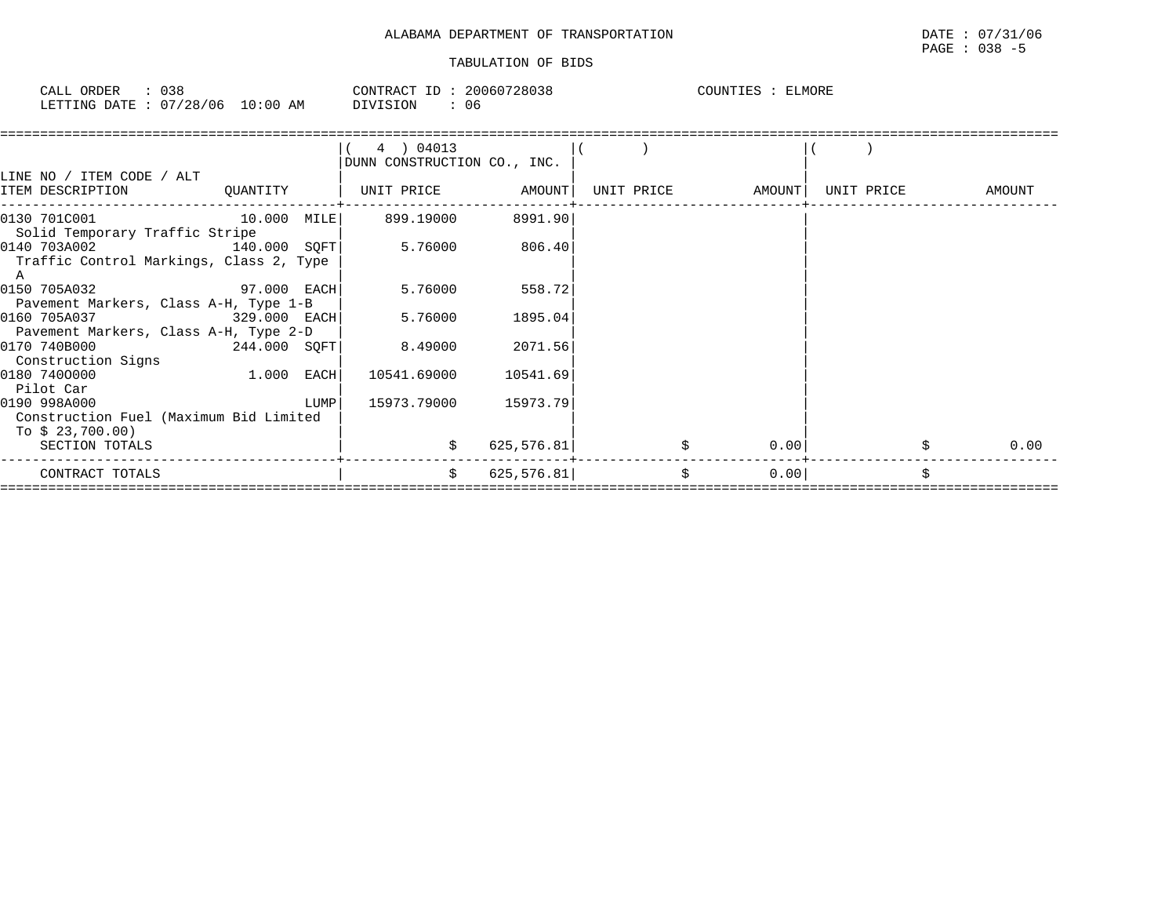| CALL<br>ORDER          | 038 |             | CONTRACT ID | 20060728038 | COUNTIES | ELMORE |
|------------------------|-----|-------------|-------------|-------------|----------|--------|
| LETTING DATE: 07/28/06 |     | 10:00<br>AΜ | DIVISION    | 06          |          |        |

| LINE NO / ITEM CODE / ALT                                                  |                |      | 4 ) 04013<br>DUNN CONSTRUCTION CO., INC. |            |    |                   |  |                   |
|----------------------------------------------------------------------------|----------------|------|------------------------------------------|------------|----|-------------------|--|-------------------|
| ITEM DESCRIPTION                                                           | QUANTITY       |      | UNIT PRICE AMOUNT                        |            |    | UNIT PRICE AMOUNT |  | UNIT PRICE AMOUNT |
| 0130 701C001 10.000 MILE<br>Solid Temporary Traffic Stripe                 |                |      | 899.19000                                | 8991.90    |    |                   |  |                   |
| 0140 703A002<br>Traffic Control Markings, Class 2, Type<br>A               | 140.000 SOFT   |      | 5.76000 806.40                           |            |    |                   |  |                   |
| 0150 705A032<br>Pavement Markers, Class A-H, Type 1-B                      | $97.000$ EACH  |      | 5.76000                                  | 558.72     |    |                   |  |                   |
| 0160 705A037<br>Pavement Markers, Class A-H, Type 2-D                      | $329.000$ EACH |      | 5.76000                                  | 1895.04    |    |                   |  |                   |
| 0170 740B000<br>Construction Signs                                         | 244.000 SQFT   |      | 8.49000                                  | 2071.56    |    |                   |  |                   |
| 0180 7400000<br>Pilot Car                                                  | $1.000$ EACH   |      | 10541.69000 10541.69                     |            |    |                   |  |                   |
| 0190 998A000<br>Construction Fuel (Maximum Bid Limited<br>To \$ 23,700.00) |                | LUMP | 15973.79000                              | 15973.79   |    |                   |  |                   |
| SECTION TOTALS                                                             |                |      | \$                                       | 625,576.81 |    | 0.00              |  | 0.00              |
| CONTRACT TOTALS                                                            |                |      | \$                                       | 625,576.81 | \$ | 0.00              |  |                   |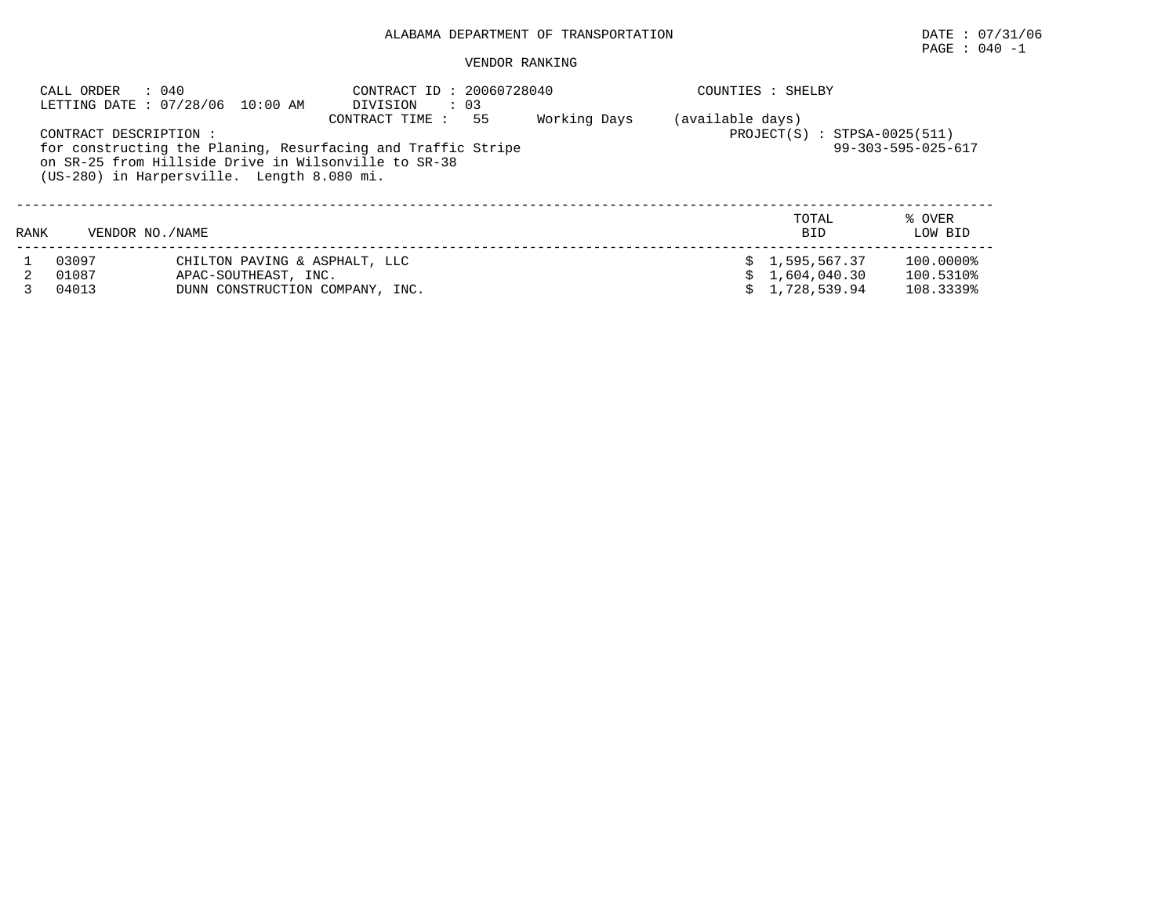# PAGE : 040 -1

| CALL ORDER                | : 040<br>LETTING DATE: 07/28/06 10:00 AM                                                                                                                                                                                                                                                                                    | CONTRACT ID: 20060728040<br>$\therefore$ 03<br>DIVISION |  | COUNTIES : SHELBY |                                                |                                     |
|---------------------------|-----------------------------------------------------------------------------------------------------------------------------------------------------------------------------------------------------------------------------------------------------------------------------------------------------------------------------|---------------------------------------------------------|--|-------------------|------------------------------------------------|-------------------------------------|
|                           | Working Days<br>(available days)<br>55<br>CONTRACT TIME :<br>$PROJECT(S) : STPSA-0025(511)$<br>CONTRACT DESCRIPTION :<br>$99 - 303 - 595 - 025 - 617$<br>for constructing the Planing, Resurfacing and Traffic Stripe<br>on SR-25 from Hillside Drive in Wilsonville to SR-38<br>(US-280) in Harpersville. Length 8.080 mi. |                                                         |  |                   |                                                |                                     |
| VENDOR NO. / NAME<br>RANK |                                                                                                                                                                                                                                                                                                                             |                                                         |  |                   | TOTAL<br><b>BID</b>                            | % OVER<br>LOW BID                   |
| 03097<br>01087<br>04013   | CHILTON PAVING & ASPHALT, LLC<br>APAC-SOUTHEAST, INC.<br>DUNN CONSTRUCTION COMPANY, INC.                                                                                                                                                                                                                                    |                                                         |  |                   | \$1,595,567.37<br>1,604,040.30<br>1,728,539.94 | 100.0000%<br>100.5310%<br>108.3339% |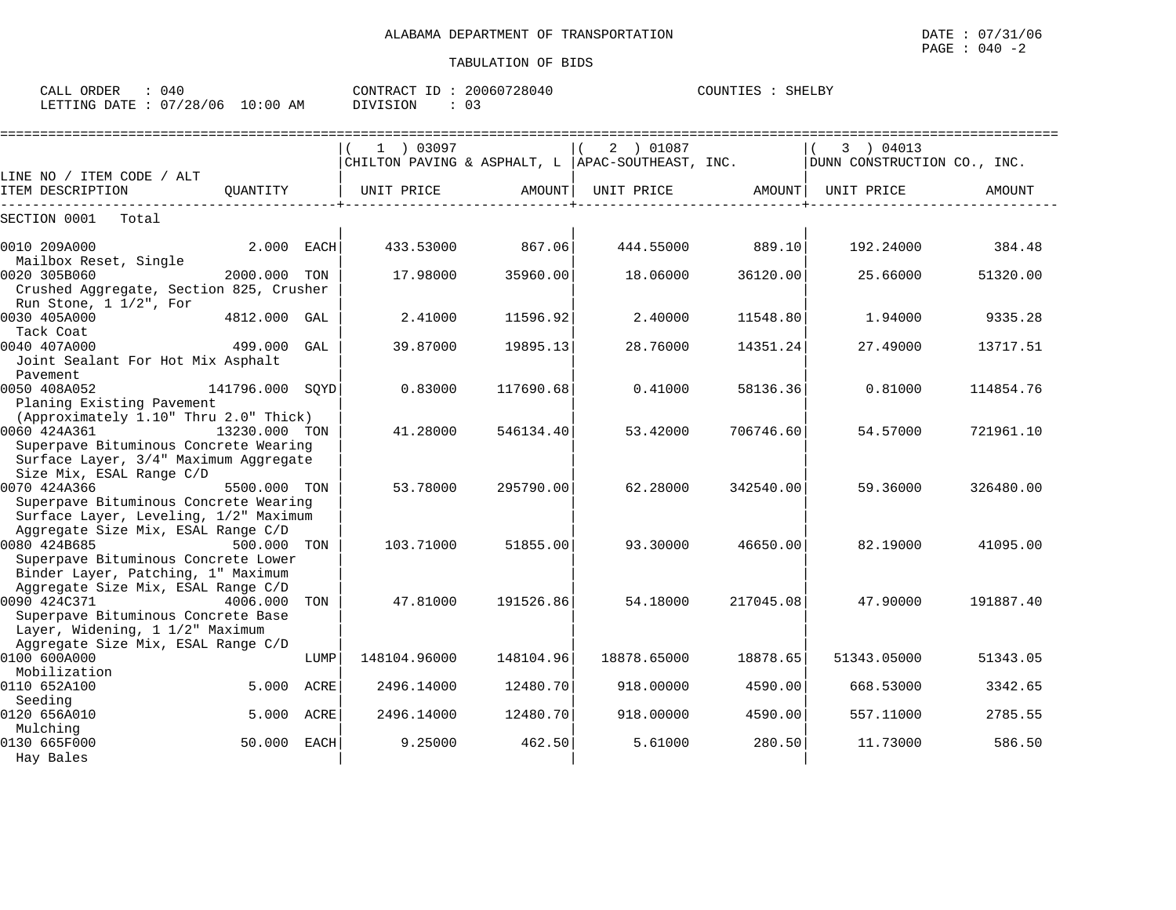| $\therefore$ 040<br>CALL ORDER  | CONTRACT ID: 20060728040    | COUNTIES : SHELBY |
|---------------------------------|-----------------------------|-------------------|
| LETTING DATE: 07/28/06 10:00 AM | DIVISION<br>$\therefore$ 03 |                   |

|                                                                                                                                 |                 |      | 1 03097      |           | 2 ) 01087                                          |           | 3 ) 04013                   |           |
|---------------------------------------------------------------------------------------------------------------------------------|-----------------|------|--------------|-----------|----------------------------------------------------|-----------|-----------------------------|-----------|
|                                                                                                                                 |                 |      |              |           | CHILTON PAVING & ASPHALT, L   APAC-SOUTHEAST, INC. |           | DUNN CONSTRUCTION CO., INC. |           |
| LINE NO / ITEM CODE / ALT<br>ITEM DESCRIPTION                                                                                   | OUANTITY        |      | UNIT PRICE   | AMOUNT    | UNIT PRICE                                         | AMOUNT    | UNIT PRICE                  | AMOUNT    |
| SECTION 0001<br>Total                                                                                                           |                 |      |              |           |                                                    |           |                             |           |
|                                                                                                                                 |                 |      |              |           |                                                    |           |                             |           |
| 0010 209A000<br>Mailbox Reset, Single                                                                                           | 2.000 EACH      |      | 433.53000    | 867.06    | 444.55000                                          | 889.10    | 192.24000                   | 384.48    |
| 0020 305B060<br>Crushed Aggregate, Section 825, Crusher<br>Run Stone, $1 \frac{1}{2}$ , For                                     | 2000.000 TON    |      | 17.98000     | 35960.00  | 18.06000                                           | 36120.00  | 25.66000                    | 51320.00  |
| 0030 405A000<br>Tack Coat                                                                                                       | 4812.000 GAL    |      | 2.41000      | 11596.92  | 2.40000                                            | 11548.80  | 1,94000                     | 9335.28   |
| 0040 407A000<br>Joint Sealant For Hot Mix Asphalt<br>Pavement                                                                   | 499.000 GAL     |      | 39.87000     | 19895.13  | 28.76000                                           | 14351.24  | 27.49000                    | 13717.51  |
| 0050 408A052<br>Planing Existing Pavement<br>(Approximately 1.10" Thru 2.0" Thick)                                              | 141796.000 SOYD |      | 0.83000      | 117690.68 | 0.41000                                            | 58136.36  | 0.81000                     | 114854.76 |
| 0060 424A361<br>Superpave Bituminous Concrete Wearing<br>Surface Layer, 3/4" Maximum Aggregate                                  | 13230.000 TON   |      | 41.28000     | 546134.40 | 53.42000                                           | 706746.60 | 54.57000                    | 721961.10 |
| Size Mix, ESAL Range C/D<br>0070 424A366<br>Superpave Bituminous Concrete Wearing<br>Surface Layer, Leveling, 1/2" Maximum      | 5500.000 TON    |      | 53.78000     | 295790.00 | 62.28000                                           | 342540.00 | 59.36000                    | 326480.00 |
| Aggregate Size Mix, ESAL Range C/D<br>0080 424B685<br>Superpave Bituminous Concrete Lower<br>Binder Layer, Patching, 1" Maximum | 500.000         | TON  | 103.71000    | 51855.00  | 93.30000                                           | 46650.00  | 82.19000                    | 41095.00  |
| Aggregate Size Mix, ESAL Range C/D<br>0090 424C371<br>Superpave Bituminous Concrete Base<br>Layer, Widening, 1 1/2" Maximum     | 4006.000        | TON  | 47.81000     | 191526.86 | 54.18000                                           | 217045.08 | 47.90000                    | 191887.40 |
| Aggregate Size Mix, ESAL Range C/D<br>0100 600A000                                                                              |                 | LUMP | 148104.96000 | 148104.96 | 18878.65000                                        | 18878.65  | 51343.05000                 | 51343.05  |
| Mobilization<br>0110 652A100                                                                                                    | 5.000           | ACRE | 2496.14000   | 12480.70  | 918.00000                                          | 4590.00   | 668.53000                   | 3342.65   |
| Seeding<br>0120 656A010<br>Mulching                                                                                             | 5.000 ACRE      |      | 2496.14000   | 12480.70  | 918.00000                                          | 4590.00   | 557.11000                   | 2785.55   |
| 0130 665F000<br>Hay Bales                                                                                                       | 50.000 EACH     |      | 9.25000      | 462.50    | 5.61000                                            | 280.50    | 11.73000                    | 586.50    |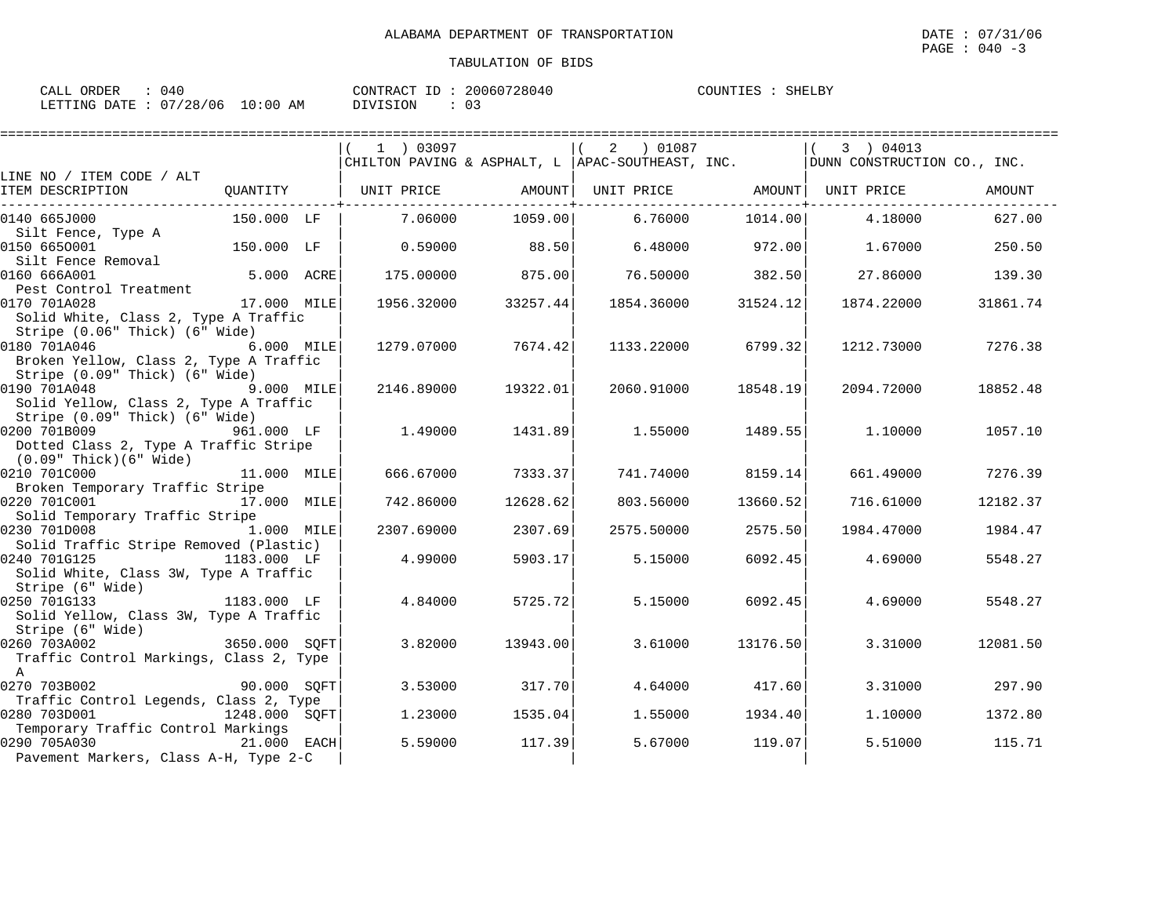| CALL ORDER                      | $\therefore$ 040 | CONTRACT ID: 20060728040 |       | COUNTIES : SHELBY |
|---------------------------------|------------------|--------------------------|-------|-------------------|
| LETTING DATE: 07/28/06 10:00 AM |                  | DIVISION                 | : 0.3 |                   |

|                                                                  |               | 1 03097                      |          | 2 01087<br>CHILTON PAVING & ASPHALT, L  APAC-SOUTHEAST, INC. |          | 3 04013<br>DUNN CONSTRUCTION CO., INC. |          |
|------------------------------------------------------------------|---------------|------------------------------|----------|--------------------------------------------------------------|----------|----------------------------------------|----------|
| LINE NO / ITEM CODE / ALT                                        |               |                              |          |                                                              |          |                                        |          |
| ITEM DESCRIPTION                                                 |               | QUANTITY   UNIT PRICE AMOUNT |          | UNIT PRICE AMOUNT UNIT PRICE                                 |          |                                        | AMOUNT   |
| 0140 665J000                                                     | 150.000 LF    | 7.06000                      | 1059.00  | 6.76000                                                      | 1014.00  | 4.18000                                | 627.00   |
| Silt Fence, Type A                                               |               |                              |          |                                                              |          |                                        |          |
| 0150 6650001                                                     | 150.000 LF    | 0.59000                      | 88.50    | 6.48000                                                      | 972.00   | 1.67000                                | 250.50   |
| Silt Fence Removal                                               | 5.000 ACRE    |                              |          |                                                              |          |                                        |          |
| 0160 666A001                                                     |               | 175.00000                    | 875.00   | 76.50000                                                     | 382.50   | 27.86000                               | 139.30   |
| Pest Control Treatment<br>0170 701A028                           | 17.000 MILE   | 1956.32000                   | 33257.44 | 1854.36000                                                   | 31524.12 | 1874.22000                             | 31861.74 |
| Solid White, Class 2, Type A Traffic                             |               |                              |          |                                                              |          |                                        |          |
| Stripe (0.06" Thick) (6" Wide)                                   |               |                              |          |                                                              |          |                                        |          |
| 0180 701A046                                                     | 6.000 MILE    | 1279.07000                   | 7674.42  | 1133.22000                                                   | 6799.32  | 1212.73000                             | 7276.38  |
| Broken Yellow, Class 2, Type A Traffic                           |               |                              |          |                                                              |          |                                        |          |
| Stripe (0.09" Thick) (6" Wide)                                   |               |                              |          |                                                              |          |                                        |          |
| 9.000 MILE<br>0190 701A048                                       |               | 2146.89000                   | 19322.01 | 2060.91000                                                   | 18548.19 | 2094.72000                             | 18852.48 |
| Solid Yellow, Class 2, Type A Traffic                            |               |                              |          |                                                              |          |                                        |          |
| Stripe (0.09" Thick) (6" Wide)                                   |               |                              |          |                                                              |          |                                        |          |
| 0200 701B009                                                     | 961.000 LF    | 1.49000                      | 1431.89  | 1.55000                                                      | 1489.55  | 1.10000                                | 1057.10  |
| Dotted Class 2, Type A Traffic Stripe                            |               |                              |          |                                                              |          |                                        |          |
| (0.09" Thick)(6" Wide)                                           |               |                              |          |                                                              |          |                                        |          |
| $11.000$ MILE<br>0210 701C000                                    |               | 666.67000                    | 7333.37  | 741.74000                                                    | 8159.14  | 661.49000                              | 7276.39  |
| Broken Temporary Traffic Stripe                                  |               |                              |          |                                                              |          |                                        |          |
| 0220 701C001 17.000 MILE                                         |               | 742.86000                    | 12628.62 | 803.56000                                                    | 13660.52 | 716.61000                              | 12182.37 |
| Solid Temporary Traffic Stripe<br>0230 701D008                   | 1.000 MILE    | 2307.69000                   | 2307.69  | 2575.50000                                                   | 2575.50  | 1984.47000                             | 1984.47  |
| Solid Traffic Stripe Removed (Plastic)                           |               |                              |          |                                                              |          |                                        |          |
| 0240 701G125                                                     | 1183.000 LF   | 4.99000                      | 5903.17  | 5.15000                                                      | 6092.45  | 4.69000                                | 5548.27  |
| Solid White, Class 3W, Type A Traffic                            |               |                              |          |                                                              |          |                                        |          |
| Stripe (6" Wide)                                                 |               |                              |          |                                                              |          |                                        |          |
| 0250 701G133<br>1183.000 LF                                      |               | 4.84000                      | 5725.72  | 5.15000                                                      | 6092.45  | 4.69000                                | 5548.27  |
| Solid Yellow, Class 3W, Type A Traffic                           |               |                              |          |                                                              |          |                                        |          |
|                                                                  |               |                              |          |                                                              |          |                                        |          |
| Stripe (6" Wide)<br>260 7034002<br>2650.000 SQFT<br>0260 703A002 |               | 3.82000                      | 13943.00 | 3.61000                                                      | 13176.50 | 3.31000                                | 12081.50 |
| Traffic Control Markings, Class 2, Type                          |               |                              |          |                                                              |          |                                        |          |
| $\mathbb A$                                                      |               |                              |          |                                                              |          |                                        |          |
| 0270 703B002                                                     | 90.000 SQFT   | 3.53000                      | 317.70   | 4.64000                                                      | 417.60   | 3.31000                                | 297.90   |
| Traffic Control Legends, Class 2, Type                           |               |                              |          |                                                              |          |                                        |          |
| 0280 703D001                                                     | 1248.000 SOFT | 1.23000                      | 1535.04  | 1.55000                                                      | 1934.40  | 1,10000                                | 1372.80  |
| Temporary Traffic Control Markings<br>0290 705A030               |               |                              | 117.39   |                                                              |          |                                        | 115.71   |
| 21.000 EACH<br>Pavement Markers, Class A-H, Type 2-C             |               | 5.59000                      |          | 5.67000                                                      | 119.07   | 5.51000                                |          |
|                                                                  |               |                              |          |                                                              |          |                                        |          |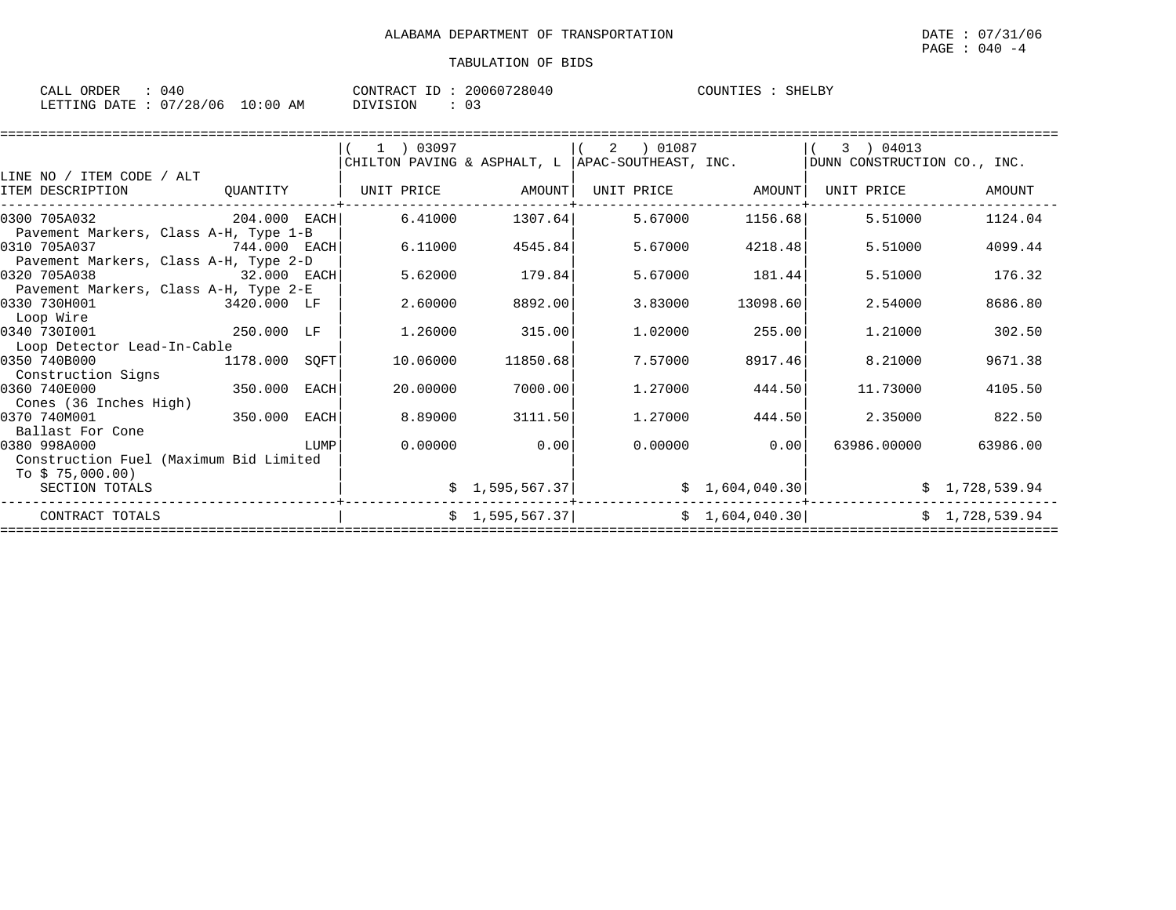SHELBY

| CALL ORDER                      | 040 |      | CONTRACT ID: 20060728040 |    | SHELBY<br>COUNTIES : |
|---------------------------------|-----|------|--------------------------|----|----------------------|
| LETTING DATE: 07/28/06 10:00 AM |     | ____ | DIVISION                 | 03 |                      |

|                                                                            |             |      |                   |                       | CHILTON PAVING & ASPHALT, L $ $ APAC-SOUTHEAST, INC. |                   | 3 ) 04013<br>DUNN CONSTRUCTION CO., INC. |                |
|----------------------------------------------------------------------------|-------------|------|-------------------|-----------------------|------------------------------------------------------|-------------------|------------------------------------------|----------------|
| LINE NO / ITEM CODE / ALT<br>ITEM DESCRIPTION                              | QUANTITY    |      | UNIT PRICE AMOUNT |                       |                                                      | UNIT PRICE AMOUNT | UNIT PRICE                               | AMOUNT         |
| 0300 705A032<br>204.000 EACH                                               |             |      | 6.41000           | 1307.64               | 5.67000                                              | 1156.68           | 5.51000                                  | 1124.04        |
| Pavement Markers, Class A-H, Type 1-B<br>0310 705A037<br>$744.000$ EACH    |             |      | 6.11000           | 4545.84               | 5.67000                                              | 4218.48           | 5.51000                                  | 4099.44        |
| Pavement Markers, Class A-H, Type 2-D<br>0320 705A038                      | 32.000 EACH |      | 5.62000           | 179.84                | 5.67000                                              | 181.44            | 5.51000                                  | 176.32         |
| Pavement Markers, Class A-H, Type 2-E<br>0330 730H001 3420.000 LF          |             |      | 2.60000           | 8892.00               | 3.83000                                              | 13098.60          | 2.54000                                  | 8686.80        |
| Loop Wire<br>0340 7301001                                                  | 250.000 LF  |      | 1.26000           | 315.00                | 1,02000                                              | 255.00            | 1,21000                                  | 302.50         |
| Loop Detector Lead-In-Cable<br>0350 740B000                                | 1178.000    | SQFT | 10.06000          | 11850.68              | 7.57000                                              | 8917.46           | 8.21000                                  | 9671.38        |
| Construction Signs<br>0360 740E000                                         | 350.000     | EACH | 20,00000          | 7000.00               | 1,27000                                              | 444.50            | 11.73000                                 | 4105.50        |
| Cones (36 Inches High)<br>0370 740M001                                     | 350.000     | EACH | 8.89000           | 3111.50               | 1,27000                                              | 444.50            | 2.35000                                  | 822.50         |
| Ballast For Cone<br>0380 998A000<br>Construction Fuel (Maximum Bid Limited |             | LUMP | 0.00000           | 0.00                  | 0.00000                                              | 0.00              | 63986.00000                              | 63986.00       |
| To \$75,000.00)<br>SECTION TOTALS                                          |             |      |                   | $\sharp$ 1,595,567.37 |                                                      |                   | $\sharp$ 1,604,040.30                    | \$1,728,539.94 |
| CONTRACT TOTALS                                                            |             |      |                   | $\sharp$ 1,595,567.37 |                                                      | \$1,604,040.30]   |                                          | \$1,728,539.94 |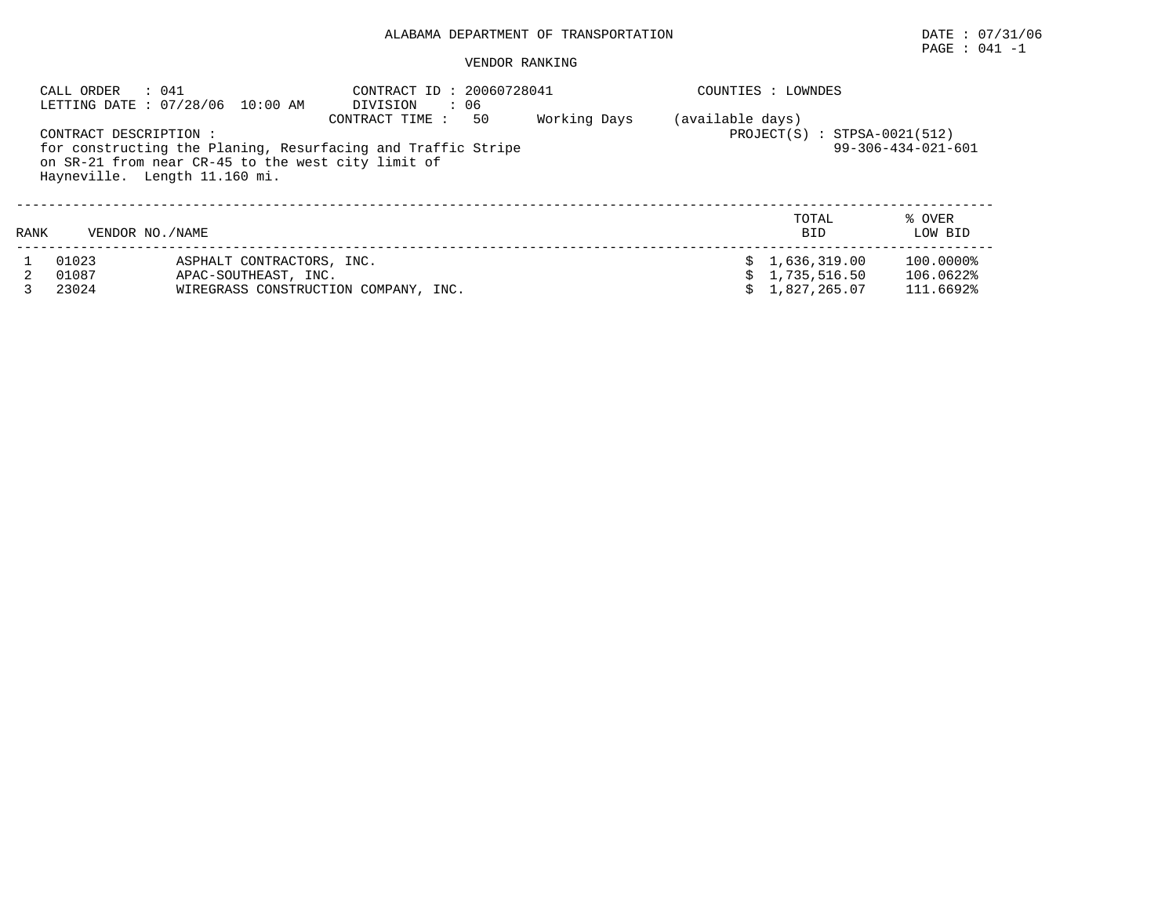PAGE : 041 -1

| CALL ORDER                | : 041<br>LETTING DATE: 07/28/06 10:00 AM                                                                                                            | CONTRACT ID: 20060728041<br>DIVISION<br>$\cdot$ 06                                 |  | COUNTIES : LOWNDES |                                                  |                                     |  |  |  |
|---------------------------|-----------------------------------------------------------------------------------------------------------------------------------------------------|------------------------------------------------------------------------------------|--|--------------------|--------------------------------------------------|-------------------------------------|--|--|--|
| CONTRACT DESCRIPTION :    | for constructing the Planing, Resurfacing and Traffic Stripe<br>on SR-21 from near CR-45 to the west city limit of<br>Hayneville. Length 11.160 mi. | (available days)<br>$PROJECT(S) : STPSA-0021(512)$<br>$99 - 306 - 434 - 021 - 601$ |  |                    |                                                  |                                     |  |  |  |
| VENDOR NO. / NAME<br>RANK |                                                                                                                                                     |                                                                                    |  |                    | TOTAL<br><b>BID</b>                              | % OVER<br>LOW BID                   |  |  |  |
| 01023<br>01087<br>23024   | ASPHALT CONTRACTORS, INC.<br>APAC-SOUTHEAST, INC.                                                                                                   | WIREGRASS CONSTRUCTION COMPANY, INC.                                               |  |                    | \$1,636,319.00<br>\$1,735,516.50<br>1,827,265.07 | 100.0000%<br>106.0622%<br>111.6692% |  |  |  |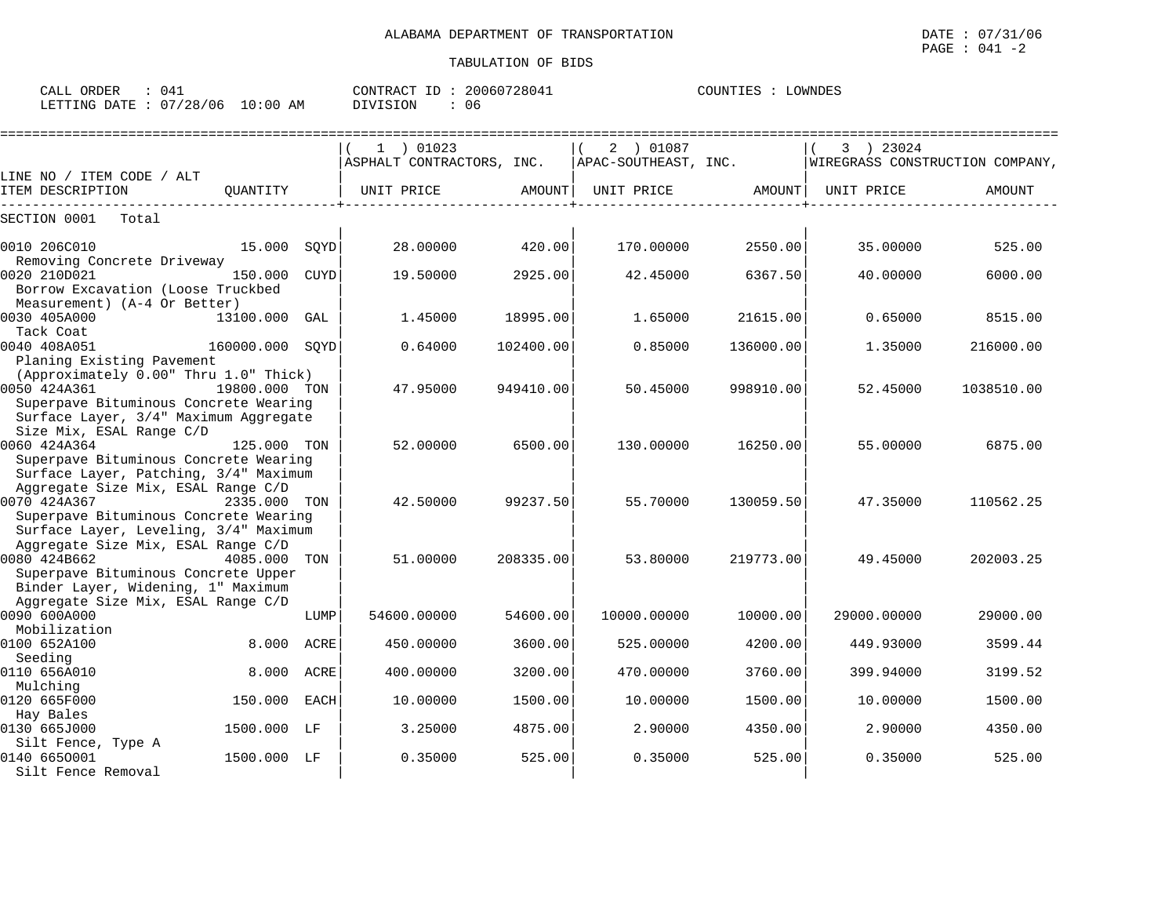| CALL<br>ORDER   | $04+$             |                   | ידים ביחיזורום        | 28041<br>200605 | .OWNDES<br>. Р. э |
|-----------------|-------------------|-------------------|-----------------------|-----------------|-------------------|
| LETTING<br>DATF | '28/<br>07<br>'06 | 10:00<br>ΆM<br>⊥∪ | :ION<br>$\mathcal{M}$ | 06              |                   |

|                                                                                                                                                                                      |             | 1 ) 01023                 |           | 2 ) 01087            |           | 3 ) 23024                       |            |
|--------------------------------------------------------------------------------------------------------------------------------------------------------------------------------------|-------------|---------------------------|-----------|----------------------|-----------|---------------------------------|------------|
|                                                                                                                                                                                      |             | ASPHALT CONTRACTORS, INC. |           | APAC-SOUTHEAST, INC. |           | WIREGRASS CONSTRUCTION COMPANY, |            |
| LINE NO / ITEM CODE / ALT                                                                                                                                                            |             |                           |           |                      |           |                                 |            |
| ITEM DESCRIPTION<br>OUANTITY                                                                                                                                                         |             | UNIT PRICE                | AMOUNT    | UNIT PRICE           | AMOUNT    | UNIT PRICE                      | AMOUNT     |
| SECTION 0001<br>Total                                                                                                                                                                |             |                           |           |                      |           |                                 |            |
| 0010 206C010<br>15.000                                                                                                                                                               | SOYD        | 28.00000                  | 420.00    | 170.00000            | 2550.00   | 35,00000                        | 525.00     |
| Removing Concrete Driveway<br>0020 210D021<br>150.000<br>Borrow Excavation (Loose Truckbed                                                                                           | <b>CUYD</b> | 19.50000                  | 2925.00   | 42.45000             | 6367.50   | 40.00000                        | 6000.00    |
| Measurement) (A-4 Or Better)<br>0030 405A000<br>13100.000<br>Tack Coat                                                                                                               | GAL         | 1.45000                   | 18995.00  | 1.65000              | 21615.00  | 0.65000                         | 8515.00    |
| 0040 408A051<br>160000.000 SOYD<br>Planing Existing Pavement                                                                                                                         |             | 0.64000                   | 102400.00 | 0.85000              | 136000.00 | 1.35000                         | 216000.00  |
| (Approximately 0.00" Thru 1.0" Thick)<br>0050 424A361<br>19800.000 TON<br>Superpave Bituminous Concrete Wearing<br>Surface Layer, 3/4" Maximum Aggregate                             |             | 47.95000                  | 949410.00 | 50.45000             | 998910.00 | 52.45000                        | 1038510.00 |
| Size Mix, ESAL Range C/D<br>0060 424A364<br>125.000 TON<br>Superpave Bituminous Concrete Wearing                                                                                     |             | 52.00000                  | 6500.00   | 130.00000            | 16250.00  | 55.00000                        | 6875.00    |
| Surface Layer, Patching, 3/4" Maximum<br>Aggregate Size Mix, ESAL Range C/D<br>0070 424A367<br>2335.000 TON<br>Superpave Bituminous Concrete Wearing                                 |             | 42.50000                  | 99237.50  | 55.70000             | 130059.50 | 47.35000                        | 110562.25  |
| Surface Layer, Leveling, 3/4" Maximum<br>Aggregate Size Mix, ESAL Range C/D<br>0080 424B662<br>4085.000<br>Superpave Bituminous Concrete Upper<br>Binder Layer, Widening, 1" Maximum | TON         | 51.00000                  | 208335.00 | 53.80000             | 219773.00 | 49.45000                        | 202003.25  |
| Aggregate Size Mix, ESAL Range C/D<br>0090 600A000<br>Mobilization                                                                                                                   | LUMP        | 54600.00000               | 54600.00  | 10000.00000          | 10000.00  | 29000.00000                     | 29000.00   |
| 0100 652A100<br>8,000                                                                                                                                                                | ACRE        | 450.00000                 | 3600.00   | 525.00000            | 4200.00   | 449.93000                       | 3599.44    |
| Seeding<br>0110 656A010<br>8,000                                                                                                                                                     | <b>ACRE</b> | 400.00000                 | 3200.00   | 470.00000            | 3760.00   | 399.94000                       | 3199.52    |
| Mulching<br>0120 665F000<br>150.000                                                                                                                                                  | <b>EACH</b> | 10.00000                  | 1500.00   | 10,00000             | 1500.00   | 10,00000                        | 1500.00    |
| Hay Bales<br>0130 665J000<br>1500.000<br>LF                                                                                                                                          |             | 3.25000                   | 4875.00   | 2.90000              | 4350.00   | 2.90000                         | 4350.00    |
| Silt Fence, Type A<br>0140 6650001<br>1500.000 LF<br>Silt Fence Removal                                                                                                              |             | 0.35000                   | 525.00    | 0.35000              | 525.00    | 0.35000                         | 525.00     |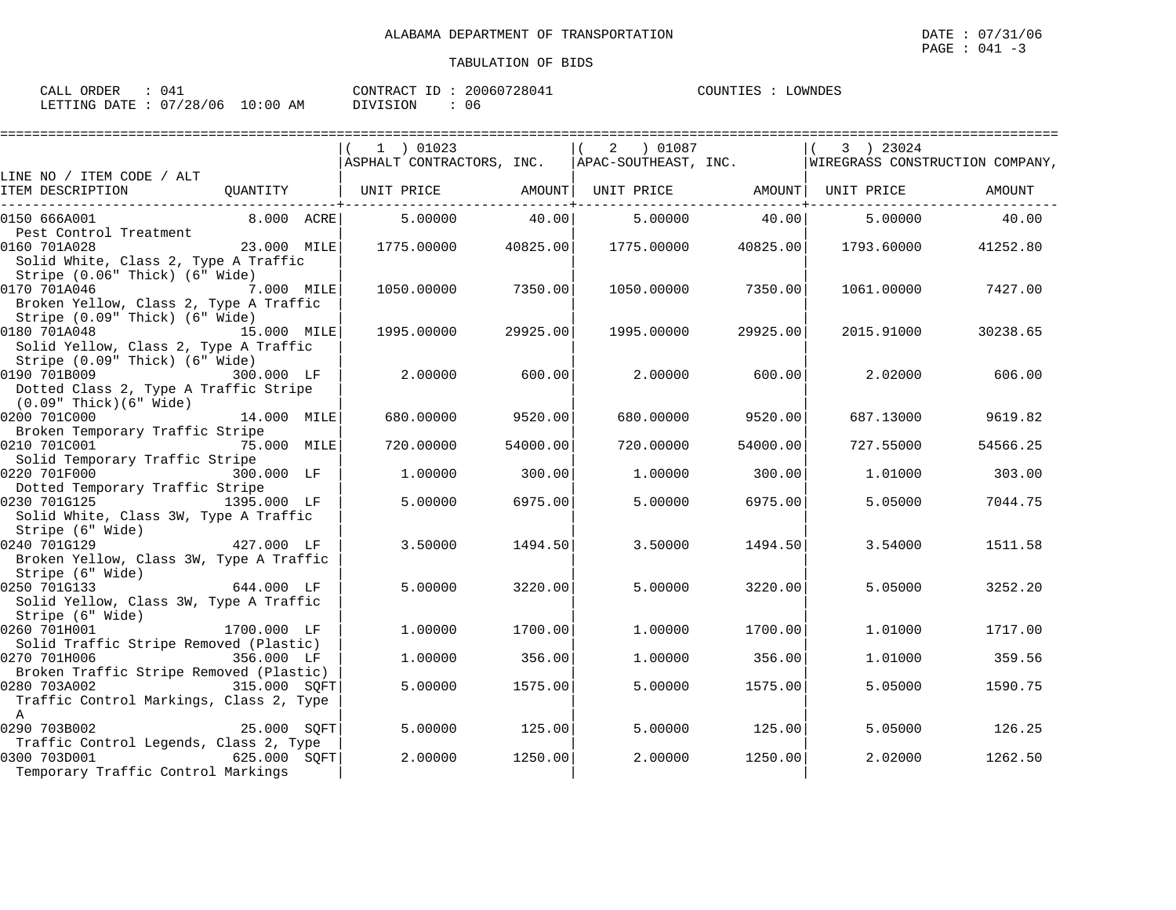| CALL ORDER                      | 04 |          | CONTRACT ID: 20060728041 | COUNTIES : | LOWNDES |
|---------------------------------|----|----------|--------------------------|------------|---------|
| LETTING DATE: 07/28/06 10:00 AM |    | DIVISION | 06                       |            |         |

|                                                                      |               | ===========================                                                                       |          |             |                     |            |               |
|----------------------------------------------------------------------|---------------|---------------------------------------------------------------------------------------------------|----------|-------------|---------------------|------------|---------------|
|                                                                      |               | 1 ) 01023<br>  ASPHALT CONTRACTORS, INC.   APAC-SOUTHEAST, INC.   WIREGRASS CONSTRUCTION COMPANY, |          | $(2)$ 01087 |                     | 3 ) 23024  |               |
| LINE NO / ITEM CODE / ALT<br>ITEM DESCRIPTION                        |               | QUANTITY   UNIT PRICE       AMOUNT  UNIT PRICE       AMOUNT  UNIT PRICE       AMOUNT              |          |             |                     |            |               |
|                                                                      |               |                                                                                                   |          |             |                     |            |               |
| 0150 666A001                                                         | 8.000 ACRE    | 5.00000                                                                                           | 40.00    |             | 5.00000 40.00       |            | 5.00000 40.00 |
| Pest Control Treatment                                               |               |                                                                                                   |          |             |                     |            |               |
| 0160 701A028<br>Solid White, Class 2, Type A Traffic                 | $23.000$ MILE | 1775.00000 40825.00                                                                               |          |             | 1775.00000 40825.00 | 1793.60000 | 41252.80      |
| Stripe (0.06" Thick) (6" Wide)                                       |               |                                                                                                   |          |             |                     |            |               |
| 0170 701A046<br>7.000 MILE<br>Broken Yellow, Class 2, Type A Traffic |               | 1050.00000                                                                                        | 7350.00  | 1050.00000  | 7350.00             | 1061.00000 | 7427.00       |
| Stripe (0.09" Thick) (6" Wide)                                       |               |                                                                                                   |          |             |                     |            |               |
| 0180 701A048                                                         | 15.000 MILE   | 1995.00000                                                                                        | 29925.00 | 1995.00000  | 29925.00            | 2015.91000 | 30238.65      |
| Solid Yellow, Class 2, Type A Traffic                                |               |                                                                                                   |          |             |                     |            |               |
| Stripe (0.09" Thick) (6" Wide)                                       |               |                                                                                                   |          |             |                     |            |               |
| 0190 701B009 300.000 LF                                              |               | 2,00000                                                                                           | 600.00   | 2.00000     | 600.00              | 2.02000    | 606.00        |
| Dotted Class 2, Type A Traffic Stripe                                |               |                                                                                                   |          |             |                     |            |               |
| (0.09" Thick)(6" Wide)                                               |               |                                                                                                   |          |             |                     |            |               |
| 0200 701C000                                                         | 14.000 MILE   | 680.00000                                                                                         | 9520.00  | 680.00000   | 9520.00             | 687.13000  | 9619.82       |
| Broken Temporary Traffic Stripe                                      |               |                                                                                                   |          |             |                     |            |               |
| 0210 701C001<br>75.000 MILE                                          |               | 720.00000                                                                                         | 54000.00 | 720.00000   | 54000.00            | 727.55000  | 54566.25      |
| Solid Temporary Traffic Stripe<br>0220 701F000                       | 300.000 LF    | 1.00000                                                                                           | 300.00   | 1,00000     | 300.00              | 1.01000    | 303.00        |
| Dotted Temporary Traffic Stripe                                      |               |                                                                                                   |          |             |                     |            |               |
| 0230 701G125<br>1395.000 LF                                          |               | 5.00000                                                                                           | 6975.00  | 5,00000     | 6975.00             | 5.05000    | 7044.75       |
| Solid White, Class 3W, Type A Traffic                                |               |                                                                                                   |          |             |                     |            |               |
| Stripe (6" Wide)                                                     |               |                                                                                                   |          |             |                     |            |               |
| 427.000 LF<br>0240 701G129                                           |               | 3.50000                                                                                           | 1494.50  | 3.50000     | 1494.50             | 3.54000    | 1511.58       |
| Broken Yellow, Class 3W, Type A Traffic                              |               |                                                                                                   |          |             |                     |            |               |
| Stripe (6" Wide)                                                     |               |                                                                                                   |          |             |                     |            |               |
| $644.000$ LF<br>0250 701G133                                         |               | 5.00000                                                                                           | 3220.00  | 5,00000     | 3220.00             | 5.05000    | 3252.20       |
| Solid Yellow, Class 3W, Type A Traffic                               |               |                                                                                                   |          |             |                     |            |               |
| Stripe (6" Wide)<br>0260 701H001                                     | 1700.000 LF   | 1,00000                                                                                           | 1700.00  | 1,00000     | 1700.00             | 1.01000    | 1717.00       |
| Solid Traffic Stripe Removed (Plastic)                               |               |                                                                                                   |          |             |                     |            |               |
| 356.000 LF<br>0270 701H006                                           |               | 1,00000                                                                                           | 356.00   | 1,00000     | 356.00              | 1.01000    | 359.56        |
| Broken Traffic Stripe Removed (Plastic)                              |               |                                                                                                   |          |             |                     |            |               |
| 0280 703A002 315.000 SQFT                                            |               | 5.00000                                                                                           | 1575.00  | 5.00000     | 1575.00             | 5.05000    | 1590.75       |
| Traffic Control Markings, Class 2, Type                              |               |                                                                                                   |          |             |                     |            |               |
| $\mathbb{A}$                                                         |               |                                                                                                   |          |             |                     |            |               |
| 0290 703B002                                                         | 25.000 SQFT   | 5.00000                                                                                           | 125.00   | 5.00000     | 125.00              | 5.05000    | 126.25        |
| Traffic Control Legends, Class 2, Type                               |               |                                                                                                   |          |             |                     |            |               |
| 0300 703D001 625.000 SOFT                                            |               | 2,00000                                                                                           | 1250.00  | 2,00000     | 1250.00             | 2.02000    | 1262.50       |
| Temporary Traffic Control Markings                                   |               |                                                                                                   |          |             |                     |            |               |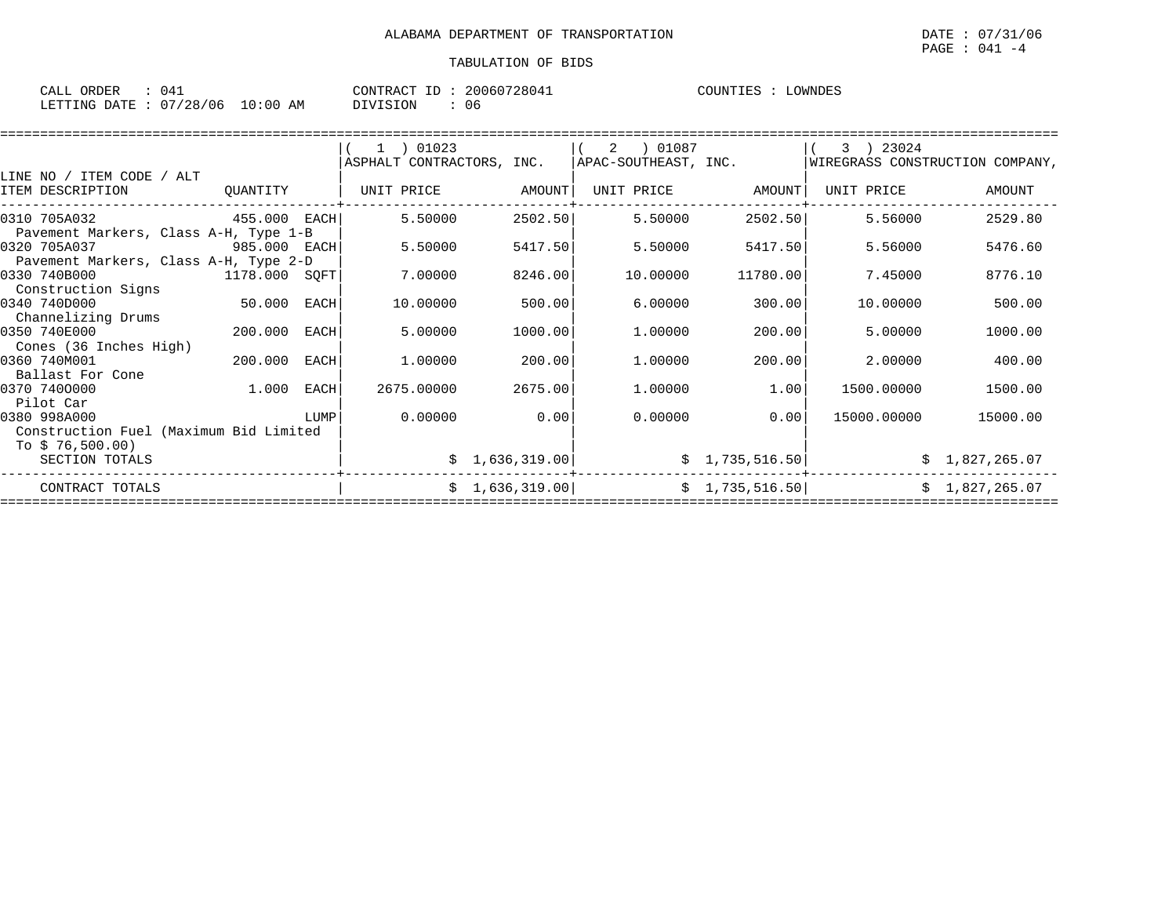| ORDER<br>CALL                    | 04 <sup>7</sup> | CONTRACT ID: | 20060728041 | COUNTIES | LOWNDES |
|----------------------------------|-----------------|--------------|-------------|----------|---------|
| LETTING DATE : 07/28/06 10:00 AM |                 | DIVISION     | 06          |          |         |

|                                        |               |      | 1 ) 01023                 |                | 01087 (<br>2         |                 | 3 ) 23024                       |                |
|----------------------------------------|---------------|------|---------------------------|----------------|----------------------|-----------------|---------------------------------|----------------|
|                                        |               |      | ASPHALT CONTRACTORS, INC. |                | APAC-SOUTHEAST, INC. |                 | WIREGRASS CONSTRUCTION COMPANY, |                |
| LINE NO / ITEM CODE / ALT              |               |      |                           |                |                      |                 |                                 |                |
| ITEM DESCRIPTION                       | QUANTITY      |      | UNIT PRICE                | AMOUNT         | UNIT PRICE           | AMOUNT          | UNIT PRICE                      | AMOUNT         |
| 0310 705A032                           | 455.000 EACH  |      | 5.50000                   | 2502.50        | 5.50000              | 2502.50         | 5.56000                         | 2529.80        |
| Pavement Markers, Class A-H, Type 1-B  |               |      |                           |                |                      |                 |                                 |                |
| 0320 705A037                           | 985.000 EACH  |      | 5.50000                   | 5417.50        | 5.50000              | 5417.50         | 5.56000                         | 5476.60        |
| Pavement Markers, Class A-H, Type 2-D  |               |      |                           |                |                      |                 |                                 |                |
| 0330 740B000                           | 1178.000 SQFT |      | 7.00000                   | 8246.00        | 10.00000             | 11780.00        | 7.45000                         | 8776.10        |
| Construction Signs                     |               |      |                           |                |                      |                 |                                 |                |
| 0340 740D000                           | 50.000        | EACH | 10.00000                  | 500.00         | 6.00000              | 300.00          | 10,00000                        | 500.00         |
| Channelizing Drums                     |               |      |                           |                |                      |                 |                                 |                |
| 0350 740E000                           | 200.000       | EACH | 5.00000                   | 1000.00        | 1,00000              | 200.00          | 5.00000                         | 1000.00        |
| Cones (36 Inches High)                 |               |      |                           |                |                      |                 |                                 |                |
| 0360 740M001                           | 200.000       | EACH | 1.00000                   | 200.00         | 1,00000              | 200.00          | 2.00000                         | 400.00         |
| Ballast For Cone                       |               |      |                           |                |                      |                 |                                 |                |
| 0370 7400000                           | 1.000         | EACH | 2675.00000                | 2675.00        | 1,00000              | 1.00            | 1500.00000                      | 1500.00        |
| Pilot Car                              |               |      |                           |                |                      |                 |                                 |                |
| 0380 998A000                           |               | LUMP | 0.00000                   | 0.00           | 0.00000              | 0.00            | 15000.00000                     | 15000.00       |
| Construction Fuel (Maximum Bid Limited |               |      |                           |                |                      |                 |                                 |                |
| To $$76,500.00)$                       |               |      |                           |                |                      |                 |                                 |                |
| SECTION TOTALS                         |               |      |                           | \$1,636,319.00 |                      | \$1,735,516.50] |                                 | \$1,827,265.07 |
| CONTRACT TOTALS                        |               |      |                           | \$1,636,319.00 |                      | \$1,735,516.50  |                                 | \$1,827,265.07 |
|                                        |               |      |                           |                |                      |                 |                                 |                |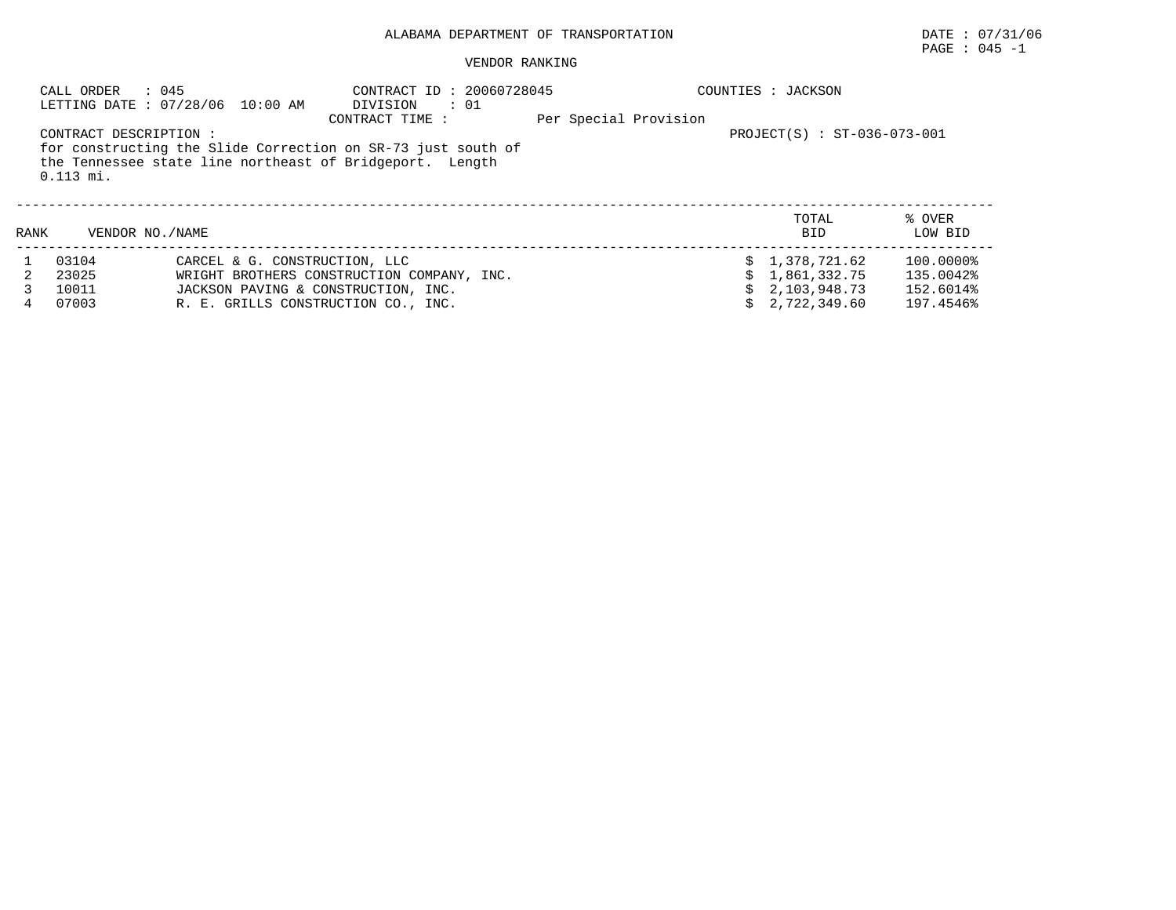#### VENDOR RANKING

|      | CALL ORDER<br>: 045   | LETTING DATE: 07/28/06 10:00 AM     | CONTRACT ID: 20060728045<br>DIVISION<br>$\therefore$ 01<br>CONTRACT TIME : | Per Special Provision |  | COUNTIES : JACKSON            |           |
|------|-----------------------|-------------------------------------|----------------------------------------------------------------------------|-----------------------|--|-------------------------------|-----------|
|      | CONTRACT DESCRIPTION: |                                     |                                                                            |                       |  | $PROJECT(S) : ST-036-073-001$ |           |
|      |                       |                                     | for constructing the Slide Correction on SR-73 just south of               |                       |  |                               |           |
|      |                       |                                     | the Tennessee state line northeast of Bridgeport. Length                   |                       |  |                               |           |
|      | $0.113$ mi.           |                                     |                                                                            |                       |  |                               |           |
|      |                       |                                     |                                                                            |                       |  |                               |           |
|      |                       |                                     |                                                                            |                       |  | TOTAL                         | % OVER    |
| RANK | VENDOR NO. / NAME     |                                     |                                                                            |                       |  | <b>BID</b>                    | LOW BID   |
|      | 03104                 | CARCEL & G. CONSTRUCTION, LLC       |                                                                            |                       |  | \$1,378,721.62                | 100.0000% |
|      | 23025                 |                                     | WRIGHT BROTHERS CONSTRUCTION COMPANY, INC.                                 |                       |  | 1,861,332.75                  | 135.0042% |
|      | 10011                 | JACKSON PAVING & CONSTRUCTION, INC. |                                                                            |                       |  | 2,103,948.73                  | 152.6014% |
|      | 07003                 | R. E. GRILLS CONSTRUCTION CO., INC. |                                                                            |                       |  | 2,722,349.60                  | 197.4546% |

PAGE : 045 -1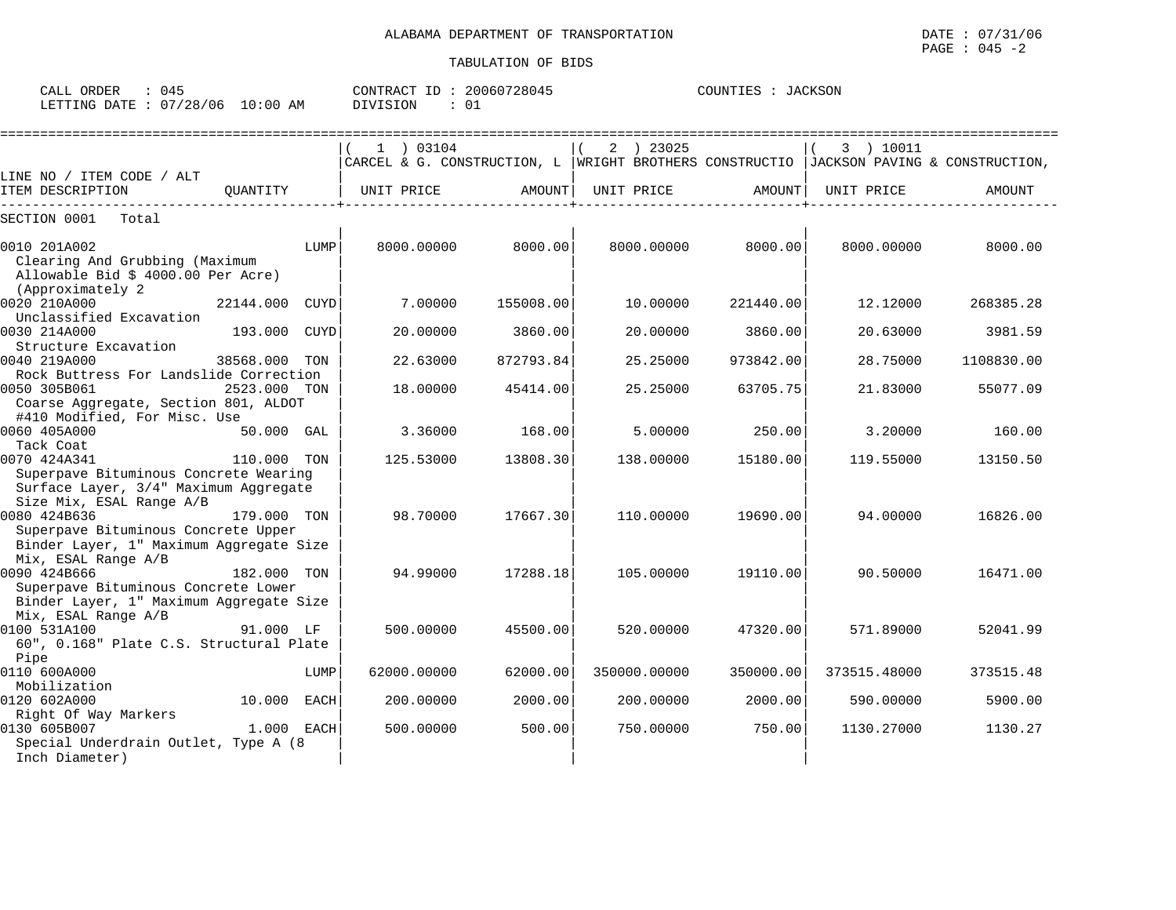| ORDER<br>CALL (                  | 045 | CONTRACT ID : | 20060728045 | COUNTIES | JACKSON |
|----------------------------------|-----|---------------|-------------|----------|---------|
| LETTING DATE : 07/28/06 10:00 AM |     | DIVISION      |             |          |         |

|                                                                                                                            |             |             | ==========================                                                                 |           |              |           |              |            |
|----------------------------------------------------------------------------------------------------------------------------|-------------|-------------|--------------------------------------------------------------------------------------------|-----------|--------------|-----------|--------------|------------|
|                                                                                                                            |             |             | 1 ) 03104                                                                                  |           | 2 ) 23025    |           | 3 ) 10011    |            |
|                                                                                                                            |             |             | CARCEL & G. CONSTRUCTION, L   WRIGHT BROTHERS CONSTRUCTIO   JACKSON PAVING & CONSTRUCTION, |           |              |           |              |            |
| LINE NO / ITEM CODE / ALT<br>ITEM DESCRIPTION                                                                              | QUANTITY    |             | UNIT PRICE                                                                                 | AMOUNT    | UNIT PRICE   | AMOUNT    | UNIT PRICE   | AMOUNT     |
| SECTION 0001<br>Total                                                                                                      |             |             |                                                                                            |           |              |           |              |            |
| 0010 201A002<br>Clearing And Grubbing (Maximum<br>Allowable Bid \$ 4000.00 Per Acre)<br>(Approximately 2)                  |             | LUMP        | 8000,00000                                                                                 | 8000.00   | 8000.00000   | 8000.00   | 8000.00000   | 8000.00    |
| 0020 210A000<br>Unclassified Excavation                                                                                    | 22144.000   | CUYD        | 7.00000                                                                                    | 155008.00 | 10.00000     | 221440.00 | 12.12000     | 268385.28  |
| 0030 214A000<br>Structure Excavation                                                                                       | 193.000     | <b>CUYD</b> | 20.00000                                                                                   | 3860.00   | 20.00000     | 3860.00   | 20.63000     | 3981.59    |
| 0040 219A000<br>Rock Buttress For Landslide Correction                                                                     | 38568.000   | TON         | 22.63000                                                                                   | 872793.84 | 25.25000     | 973842.00 | 28.75000     | 1108830.00 |
| 0050 305B061<br>Coarse Aggregate, Section 801, ALDOT<br>#410 Modified, For Misc. Use                                       | 2523.000    | TON         | 18,00000                                                                                   | 45414.00  | 25.25000     | 63705.75  | 21.83000     | 55077.09   |
| 0060 405A000<br>Tack Coat                                                                                                  | 50.000 GAL  |             | 3.36000                                                                                    | 168.00    | 5,00000      | 250.00    | 3,20000      | 160.00     |
| 0070 424A341<br>Superpave Bituminous Concrete Wearing<br>Surface Layer, 3/4" Maximum Aggregate<br>Size Mix, ESAL Range A/B | 110.000 TON |             | 125.53000                                                                                  | 13808.30  | 138.00000    | 15180.00  | 119.55000    | 13150.50   |
| 0080 424B636<br>Superpave Bituminous Concrete Upper<br>Binder Layer, 1" Maximum Aggregate Size<br>Mix, ESAL Range A/B      | 179.000 TON |             | 98.70000                                                                                   | 17667.30  | 110.00000    | 19690.00  | 94.00000     | 16826.00   |
| 0090 424B666<br>Superpave Bituminous Concrete Lower<br>Binder Layer, 1" Maximum Aggregate Size<br>Mix, ESAL Range A/B      | 182.000 TON |             | 94.99000                                                                                   | 17288.18  | 105,00000    | 19110.00  | 90.50000     | 16471.00   |
| 0100 531A100<br>60", 0.168" Plate C.S. Structural Plate<br>Pipe                                                            | 91.000 LF   |             | 500.00000                                                                                  | 45500.00  | 520.00000    | 47320.00  | 571.89000    | 52041.99   |
| 0110 600A000<br>Mobilization                                                                                               |             | LUMP        | 62000.00000                                                                                | 62000.00  | 350000.00000 | 350000.00 | 373515.48000 | 373515.48  |
| 0120 602A000<br>Right Of Way Markers                                                                                       | 10.000 EACH |             | 200.00000                                                                                  | 2000.00   | 200.00000    | 2000.00   | 590.00000    | 5900.00    |
| 0130 605B007<br>Special Underdrain Outlet, Type A (8<br>Inch Diameter)                                                     | 1.000 EACH  |             | 500,00000                                                                                  | 500.00    | 750.00000    | 750.00    | 1130.27000   | 1130.27    |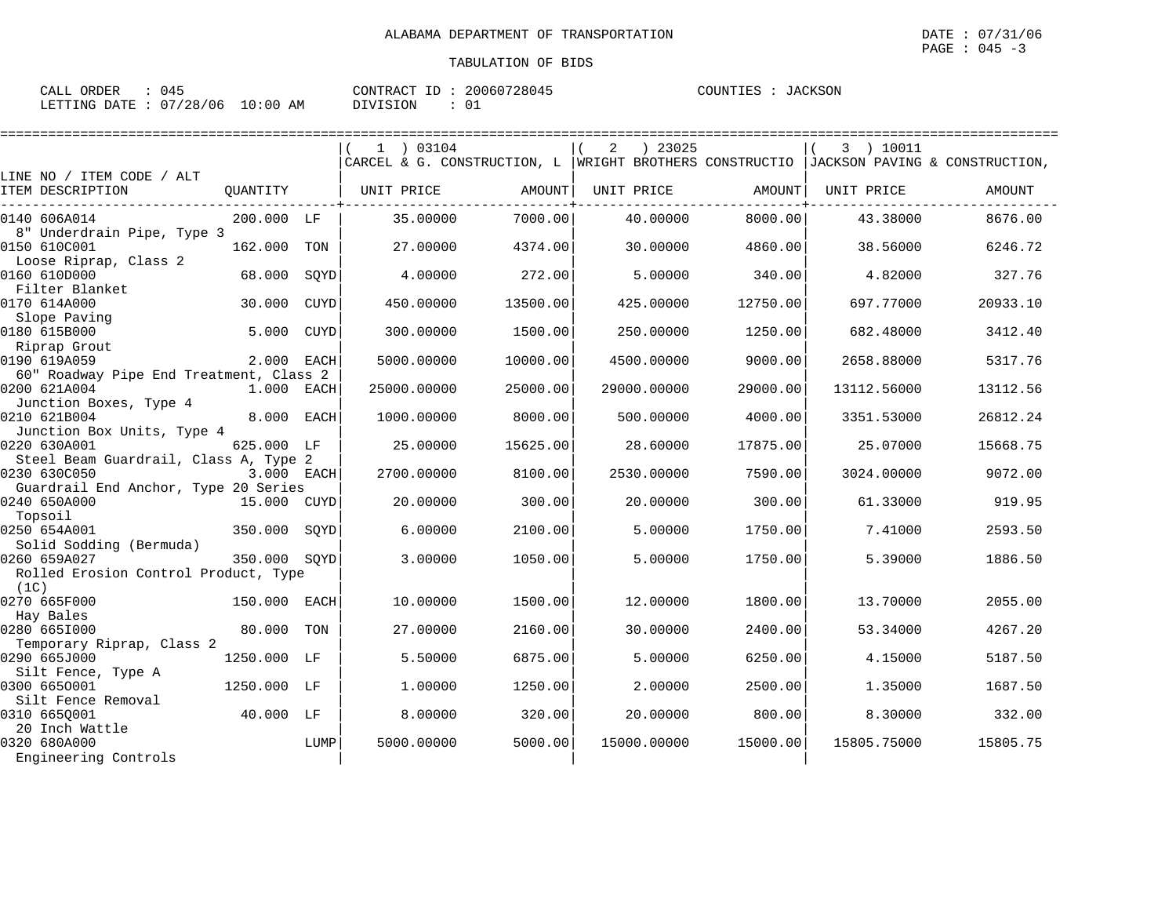| CALL ORDER                      | 045 |          | CONTRACT ID: 20060728045 | COUNTIES : JACKSON |  |
|---------------------------------|-----|----------|--------------------------|--------------------|--|
| LETTING DATE: 07/28/06 10:00 AM |     | DIVISION |                          |                    |  |

|                                                                                                    | 1 03104     |          | ) 23025<br>2                                                                           |          | 3 ) 10011   |          |
|----------------------------------------------------------------------------------------------------|-------------|----------|----------------------------------------------------------------------------------------|----------|-------------|----------|
| LINE NO / ITEM CODE / ALT                                                                          |             |          | CARCEL & G. CONSTRUCTION, L WRIGHT BROTHERS CONSTRUCTIO JACKSON PAVING & CONSTRUCTION, |          |             |          |
| ITEM DESCRIPTION<br>OUANTITY                                                                       | UNIT PRICE  | AMOUNT   | UNIT PRICE                                                                             | AMOUNT   | UNIT PRICE  | AMOUNT   |
| 0140 606A014<br>200.000 LF<br>8" Underdrain Pipe, Type 3                                           | 35.00000    | 7000.00  | 40.00000                                                                               | 8000.00  | 43.38000    | 8676.00  |
| 0150 610C001<br>162.000<br>TON<br>Loose Riprap, Class 2                                            | 27.00000    | 4374.00  | 30,00000                                                                               | 4860.00  | 38.56000    | 6246.72  |
| 0160 610D000<br>68.000<br>SQYD<br>Filter Blanket                                                   | 4.00000     | 272.00   | 5.00000                                                                                | 340.00   | 4.82000     | 327.76   |
| 0170 614A000<br>30.000<br><b>CUYD</b><br>Slope Paving                                              | 450.00000   | 13500.00 | 425.00000                                                                              | 12750.00 | 697.77000   | 20933.10 |
| 0180 615B000<br>5.000<br><b>CUYD</b><br>Riprap Grout                                               | 300.00000   | 1500.00  | 250.00000                                                                              | 1250.00  | 682.48000   | 3412.40  |
| 0190 619A059<br>2.000<br>EACH<br>60" Roadway Pipe End Treatment, Class 2                           | 5000.00000  | 10000.00 | 4500.00000                                                                             | 9000.00  | 2658.88000  | 5317.76  |
| 0200 621A004<br>1.000<br>EACH                                                                      | 25000.00000 | 25000.00 | 29000.00000                                                                            | 29000.00 | 13112.56000 | 13112.56 |
| Junction Boxes, Type 4<br>0210 621B004<br>8.000<br>EACH                                            | 1000.00000  | 8000.00  | 500.00000                                                                              | 4000.00  | 3351.53000  | 26812.24 |
| Junction Box Units, Type 4<br>0220 630A001<br>625.000 LF                                           | 25.00000    | 15625.00 | 28.60000                                                                               | 17875.00 | 25.07000    | 15668.75 |
| Steel Beam Guardrail, Class A, Type 2<br>0230 630C050<br>3.000 EACH                                | 2700.00000  | 8100.00  | 2530.00000                                                                             | 7590.00  | 3024.00000  | 9072.00  |
| Guardrail End Anchor, Type 20 Series<br>0240 650A000<br>15.000<br>CUYD                             | 20.00000    | 300.00   | 20.00000                                                                               | 300.00   | 61.33000    | 919.95   |
| Topsoil<br>0250 654A001<br>350.000<br>SOYD                                                         | 6.00000     | 2100.00  | 5.00000                                                                                | 1750.00  | 7.41000     | 2593.50  |
| Solid Sodding (Bermuda)<br>0260 659A027<br>350.000<br>SOYD<br>Rolled Erosion Control Product, Type | 3.00000     | 1050.00  | 5.00000                                                                                | 1750.00  | 5.39000     | 1886.50  |
| (1C)                                                                                               |             |          |                                                                                        |          |             |          |
| 0270 665F000<br>150.000<br><b>EACH</b><br>Hay Bales                                                | 10.00000    | 1500.00  | 12.00000                                                                               | 1800.00  | 13.70000    | 2055.00  |
| 0280 6651000<br>80.000<br>TON<br>Temporary Riprap, Class 2                                         | 27.00000    | 2160.00  | 30.00000                                                                               | 2400.00  | 53.34000    | 4267.20  |
| 0290 665J000<br>1250.000 LF<br>Silt Fence, Type A                                                  | 5.50000     | 6875.00  | 5.00000                                                                                | 6250.00  | 4.15000     | 5187.50  |
| 0300 6650001<br>1250.000<br>LF<br>Silt Fence Removal                                               | 1.00000     | 1250.00  | 2.00000                                                                                | 2500.00  | 1.35000     | 1687.50  |
| 0310 665Q001<br>40.000 LF                                                                          | 8.00000     | 320.00   | 20.00000                                                                               | 800.00   | 8.30000     | 332.00   |
| 20 Inch Wattle<br>0320 680A000<br>LUMP<br>Engineering Controls                                     | 5000.00000  | 5000.00  | 15000.00000                                                                            | 15000.00 | 15805.75000 | 15805.75 |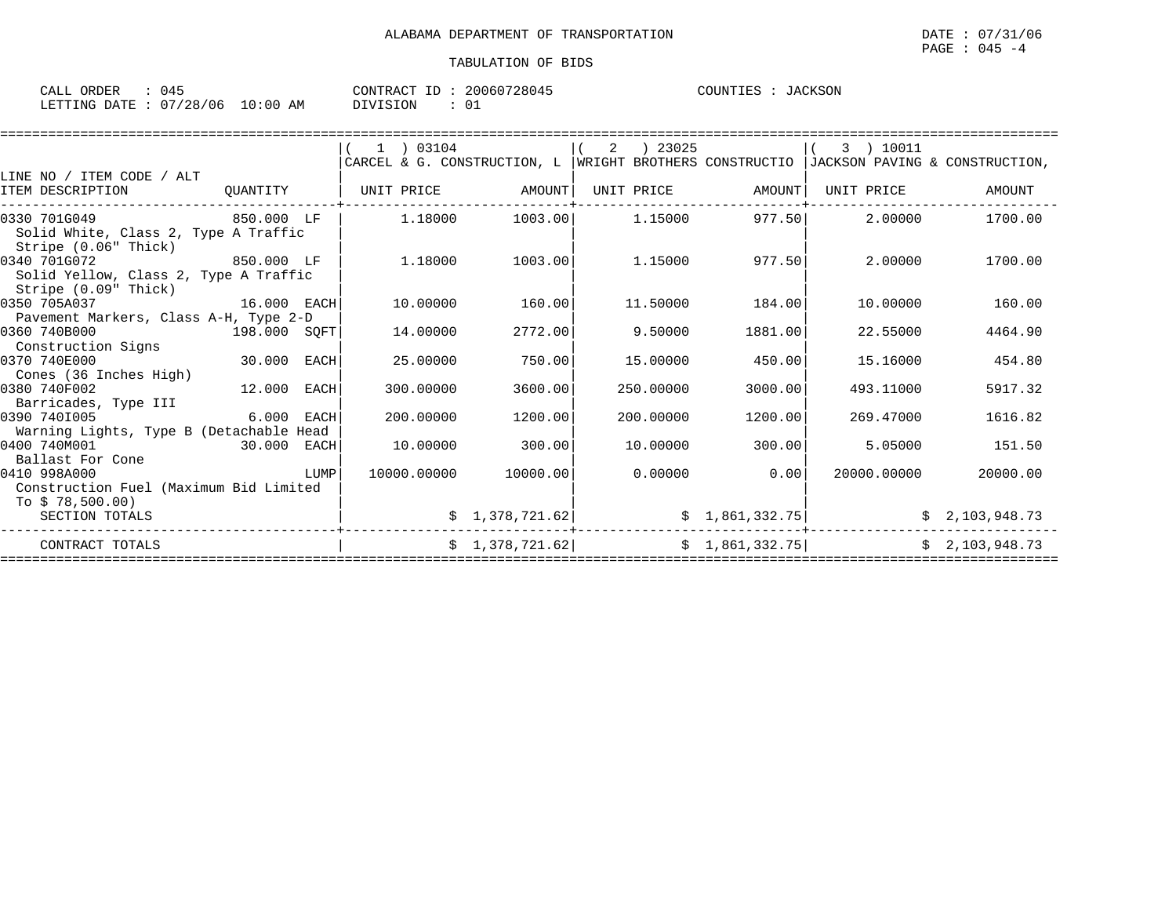| ORDER<br>CALL | 045      |             | T<br>CONTRACT | 20060728045 | COUNTIES | TACKSON |
|---------------|----------|-------------|---------------|-------------|----------|---------|
| LETTING DATE  | 07/28/06 | 10:00<br>AΜ | SION<br>NTIJ. | ◡∸          |          |         |

|                                                                                                                     |              |             | 1 ) 03104<br>CARCEL & G. CONSTRUCTION, L WRIGHT BROTHERS CONSTRUCTIO |                 | 2 | 23025      |                 | 3 ) 10011<br>JACKSON PAVING & CONSTRUCTION, |                |
|---------------------------------------------------------------------------------------------------------------------|--------------|-------------|----------------------------------------------------------------------|-----------------|---|------------|-----------------|---------------------------------------------|----------------|
| LINE NO / ITEM CODE / ALT                                                                                           |              |             |                                                                      |                 |   |            |                 |                                             |                |
| ITEM DESCRIPTION                                                                                                    | OUANTITY     |             | UNIT PRICE                                                           | AMOUNT          |   | UNIT PRICE | AMOUNT          | UNIT PRICE                                  | AMOUNT         |
| 0330 701G049<br>Solid White, Class 2, Type A Traffic                                                                | 850.000 LF   |             | 1.18000                                                              | 1003.00         |   | 1.15000    | 977.50          | 2.00000                                     | 1700.00        |
| Stripe (0.06" Thick)<br>0340 701G072<br>850.000 LF<br>Solid Yellow, Class 2, Type A Traffic<br>Stripe (0.09" Thick) |              |             | 1,18000                                                              | 1003.00         |   | 1.15000    | 977.50          | 2.00000                                     | 1700.00        |
| 16.000 EACH<br>0350 705A037                                                                                         |              |             | 10.00000                                                             | 160.00          |   | 11.50000   | 184.00          | 10.00000                                    | 160.00         |
| Pavement Markers, Class A-H, Type 2-D<br>0360 740B000<br>Construction Signs                                         | 198.000 SQFT |             | 14,00000                                                             | 2772.00         |   | 9.50000    | 1881.00         | 22.55000                                    | 4464.90        |
| 0370 740E000<br>Cones (36 Inches High)                                                                              | 30.000       | EACH        | 25.00000                                                             | 750.00          |   | 15.00000   | 450.00          | 15.16000                                    | 454.80         |
| 0380 740F002<br>Barricades, Type III                                                                                | 12.000       | <b>EACH</b> | 300.00000                                                            | 3600.00         |   | 250.00000  | 3000.00         | 493.11000                                   | 5917.32        |
| 0390 7401005<br>Warning Lights, Type B (Detachable Head                                                             | 6.000        | EACH        | 200,00000                                                            | 1200.00         |   | 200.00000  | 1200.00         | 269.47000                                   | 1616.82        |
| 0400 740M001<br>Ballast For Cone                                                                                    | 30.000 EACH  |             | 10.00000                                                             | 300.00          |   | 10,00000   | 300.00          | 5.05000                                     | 151.50         |
| 0410 998A000<br>Construction Fuel (Maximum Bid Limited                                                              |              | LUMP        | 10000.00000                                                          | 10000.00        |   | 0.00000    | 0.00            | 20000.00000                                 | 20000.00       |
| To $$78,500.00)$<br>SECTION TOTALS                                                                                  |              |             |                                                                      | \$1,378,721.62] |   |            | \$1,861,332.75] |                                             | \$2,103,948.73 |
| CONTRACT TOTALS                                                                                                     |              |             |                                                                      | \$1,378,721.62] |   |            | \$1,861,332.75] |                                             | \$2,103,948.73 |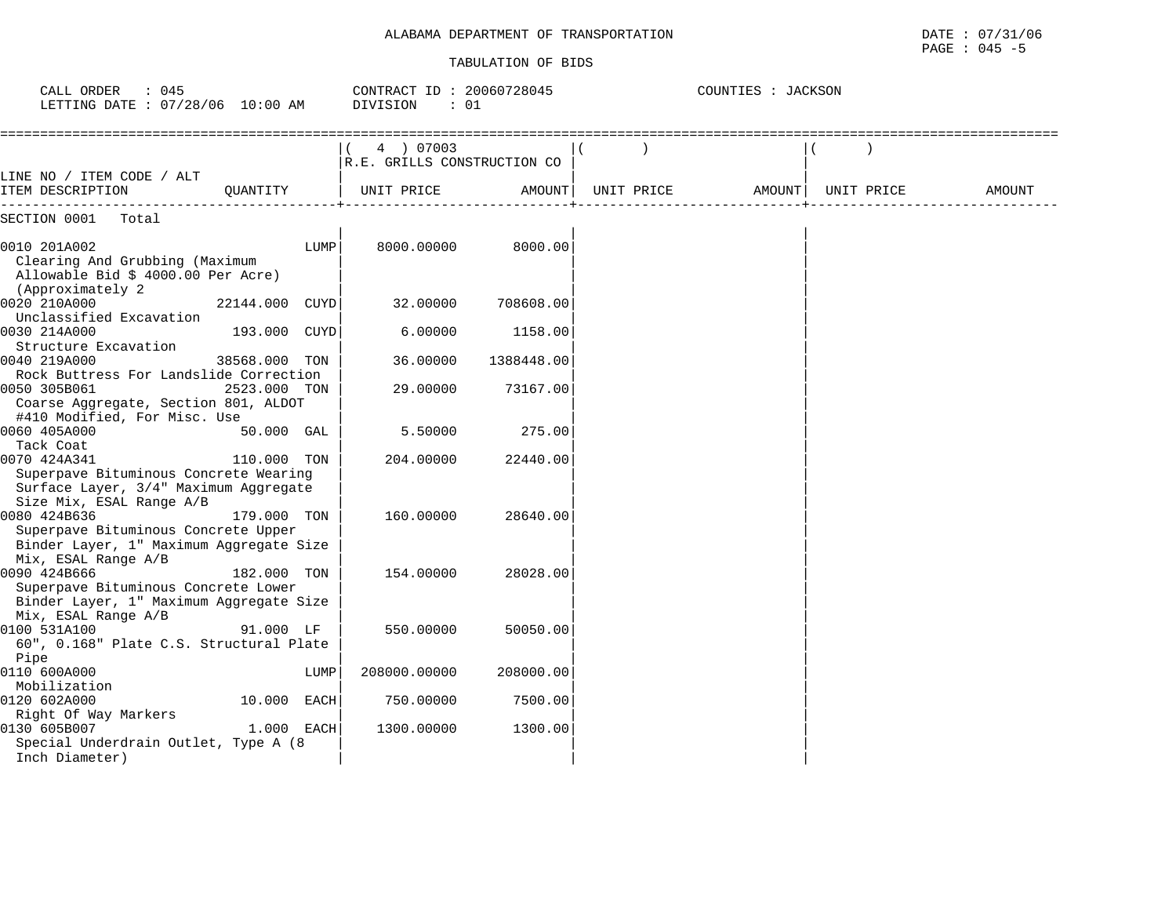### ALABAMA DEPARTMENT OF TRANSPORTATION

| ALABAMA DEPARTMENT OF TRANSPORTATION | DATE<br>: 07/31/06 |
|--------------------------------------|--------------------|
|                                      | $045 - 5$<br>PAGE  |

| : 045<br>CALL ORDER<br>LETTING DATE : 07/28/06 10:00 AM |                |      | CONTRACT ID: 20060728045<br>DIVISION<br>: 01 |               |            | COUNTIES : JACKSON |  |            |        |
|---------------------------------------------------------|----------------|------|----------------------------------------------|---------------|------------|--------------------|--|------------|--------|
|                                                         |                |      | 4 ) 07003                                    |               |            |                    |  |            |        |
|                                                         |                |      | R.E. GRILLS CONSTRUCTION CO                  |               |            |                    |  |            |        |
| LINE NO / ITEM CODE / ALT                               |                |      |                                              |               |            |                    |  |            |        |
| ITEM DESCRIPTION                                        | OUANTITY       |      | UNIT PRICE                                   | <b>AMOUNT</b> | UNIT PRICE | AMOUNT             |  | UNIT PRICE | AMOUNT |
| SECTION 0001<br>Total                                   |                |      |                                              |               |            |                    |  |            |        |
| 0010 201A002                                            |                | LUMP | 8000.00000                                   | 8000.00       |            |                    |  |            |        |
| Clearing And Grubbing (Maximum                          |                |      |                                              |               |            |                    |  |            |        |
| Allowable Bid \$ 4000.00 Per Acre)                      |                |      |                                              |               |            |                    |  |            |        |
| (Approximately 2)                                       |                |      |                                              |               |            |                    |  |            |        |
| 0020 210A000                                            | 22144.000 CUYD |      | 32.00000                                     | 708608.00     |            |                    |  |            |        |
| Unclassified Excavation                                 |                |      |                                              |               |            |                    |  |            |        |
| 0030 214A000                                            | 193.000 CUYD   |      | 6.00000                                      | 1158.00       |            |                    |  |            |        |
| Structure Excavation                                    |                |      |                                              |               |            |                    |  |            |        |
| 0040 219A000                                            | 38568.000 TON  |      | 36.00000                                     | 1388448.00    |            |                    |  |            |        |
| Rock Buttress For Landslide Correction                  |                |      |                                              |               |            |                    |  |            |        |
| 0050 305B061                                            | 2523.000 TON   |      | 29.00000                                     | 73167.00      |            |                    |  |            |        |
| Coarse Aggregate, Section 801, ALDOT                    |                |      |                                              |               |            |                    |  |            |        |
| #410 Modified, For Misc. Use                            |                |      |                                              |               |            |                    |  |            |        |
| 0060 405A000                                            | 50.000 GAL     |      | 5.50000                                      | 275.00        |            |                    |  |            |        |
| Tack Coat                                               |                |      |                                              |               |            |                    |  |            |        |
| 0070 424A341                                            | 110.000 TON    |      | 204,00000                                    | 22440.00      |            |                    |  |            |        |
| Superpave Bituminous Concrete Wearing                   |                |      |                                              |               |            |                    |  |            |        |
| Surface Layer, 3/4" Maximum Aggregate                   |                |      |                                              |               |            |                    |  |            |        |
| Size Mix, ESAL Range A/B                                |                |      |                                              |               |            |                    |  |            |        |
| 0080 424B636                                            | 179.000 TON    |      | 160.00000                                    | 28640.00      |            |                    |  |            |        |
| Superpave Bituminous Concrete Upper                     |                |      |                                              |               |            |                    |  |            |        |
| Binder Layer, 1" Maximum Aggregate Size                 |                |      |                                              |               |            |                    |  |            |        |
| Mix, ESAL Range A/B                                     |                |      |                                              |               |            |                    |  |            |        |
| 0090 424B666                                            | 182.000 TON    |      | 154.00000                                    | 28028.00      |            |                    |  |            |        |
| Superpave Bituminous Concrete Lower                     |                |      |                                              |               |            |                    |  |            |        |
| Binder Layer, 1" Maximum Aggregate Size                 |                |      |                                              |               |            |                    |  |            |        |
| Mix, ESAL Range A/B                                     |                |      |                                              |               |            |                    |  |            |        |
| 0100 531A100                                            | 91.000 LF      |      | 550.00000                                    | 50050.00      |            |                    |  |            |        |
| 60", 0.168" Plate C.S. Structural Plate                 |                |      |                                              |               |            |                    |  |            |        |
| Pipe                                                    |                |      |                                              |               |            |                    |  |            |        |
| 0110 600A000                                            |                | LUMP | 208000.00000                                 | 208000.00     |            |                    |  |            |        |
| Mobilization                                            |                |      |                                              |               |            |                    |  |            |        |
| 0120 602A000                                            | 10.000 EACH    |      | 750.00000                                    | 7500.00       |            |                    |  |            |        |
| Right Of Way Markers                                    |                |      |                                              |               |            |                    |  |            |        |
| 0130 605B007                                            | 1.000 EACH     |      | 1300.00000                                   | 1300.00       |            |                    |  |            |        |
| Special Underdrain Outlet, Type A (8                    |                |      |                                              |               |            |                    |  |            |        |
| Inch Diameter)                                          |                |      |                                              |               |            |                    |  |            |        |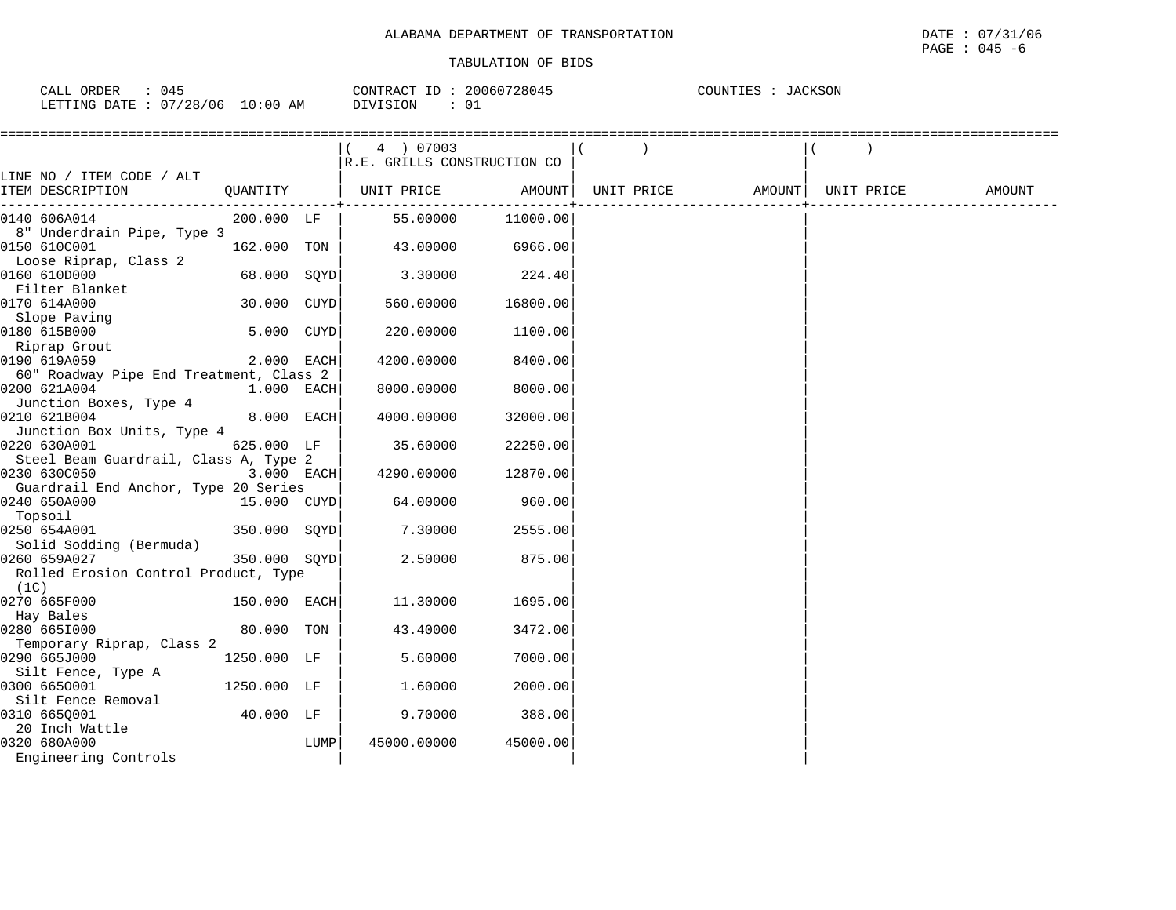| 045<br>ORDER<br>CALL ( |       | 20060728045<br>CONTRACT ID | <b>JACKSON</b><br>COUNTIES |
|------------------------|-------|----------------------------|----------------------------|
| 07/28/06               | 10:00 | DIVISION                   |                            |
| LETTING DATE           | AM    | ັ∪⊥                        |                            |

|                                         |              |      | 4 ) 07003                   |          |                   |            |        |
|-----------------------------------------|--------------|------|-----------------------------|----------|-------------------|------------|--------|
|                                         |              |      | R.E. GRILLS CONSTRUCTION CO |          |                   |            |        |
| LINE NO / ITEM CODE / ALT               |              |      |                             | AMOUNT   |                   |            |        |
| ITEM DESCRIPTION                        | QUANTITY     |      | UNIT PRICE                  |          | UNIT PRICE AMOUNT | UNIT PRICE | AMOUNT |
| 0140 606A014                            | 200.000 LF   |      | 55.00000                    | 11000.00 |                   |            |        |
| 8" Underdrain Pipe, Type 3              |              |      |                             |          |                   |            |        |
| 0150 610C001                            | 162.000 TON  |      | 43.00000                    | 6966.00  |                   |            |        |
| Loose Riprap, Class 2                   |              |      |                             |          |                   |            |        |
| 0160 610D000                            | 68.000 SOYD  |      | 3.30000                     | 224.40   |                   |            |        |
| Filter Blanket                          |              |      |                             |          |                   |            |        |
| 0170 614A000                            | 30.000 CUYD  |      | 560.00000                   | 16800.00 |                   |            |        |
| Slope Paving                            |              |      |                             |          |                   |            |        |
| 0180 615B000                            | 5.000 CUYD   |      | 220.00000                   | 1100.00  |                   |            |        |
| Riprap Grout                            |              |      |                             |          |                   |            |        |
| 0190 619A059                            | 2.000 EACH   |      | 4200.00000                  | 8400.00  |                   |            |        |
| 60" Roadway Pipe End Treatment, Class 2 |              |      |                             |          |                   |            |        |
| 0200 621A004                            | 1.000 EACH   |      | 8000.00000                  | 8000.00  |                   |            |        |
| Junction Boxes, Type 4                  |              |      |                             |          |                   |            |        |
| 0210 621B004                            | 8.000 EACH   |      | 4000.00000                  | 32000.00 |                   |            |        |
| Junction Box Units, Type 4              |              |      |                             |          |                   |            |        |
| 0220 630A001                            | 625.000 LF   |      | 35.60000                    | 22250.00 |                   |            |        |
| Steel Beam Guardrail, Class A, Type 2   |              |      |                             |          |                   |            |        |
| 0230 630C050                            | 3.000 EACH   |      | 4290.00000                  | 12870.00 |                   |            |        |
| Guardrail End Anchor, Type 20 Series    |              |      |                             |          |                   |            |        |
| 0240 650A000                            | 15.000 CUYD  |      | 64.00000                    | 960.00   |                   |            |        |
| Topsoil                                 |              |      |                             |          |                   |            |        |
| 0250 654A001                            | 350.000 SOYD |      | 7.30000                     | 2555.00  |                   |            |        |
| Solid Sodding (Bermuda)                 |              |      |                             |          |                   |            |        |
| 0260 659A027                            | 350.000 SOYD |      | 2.50000                     | 875.00   |                   |            |        |
| Rolled Erosion Control Product, Type    |              |      |                             |          |                   |            |        |
| (1C)                                    |              |      |                             |          |                   |            |        |
| 0270 665F000                            | 150.000 EACH |      | 11.30000                    | 1695.00  |                   |            |        |
| Hay Bales                               |              |      |                             |          |                   |            |        |
| 0280 665I000                            | 80.000 TON   |      | 43.40000                    | 3472.00  |                   |            |        |
| Temporary Riprap, Class 2               |              |      |                             |          |                   |            |        |
| 0290 665J000                            | 1250.000 LF  |      | 5.60000                     | 7000.00  |                   |            |        |
| Silt Fence, Type A<br>0300 6650001      | 1250.000 LF  |      | 1.60000                     | 2000.00  |                   |            |        |
| Silt Fence Removal                      |              |      |                             |          |                   |            |        |
| 0310 665Q001                            | 40.000 LF    |      |                             |          |                   |            |        |
| 20 Inch Wattle                          |              |      | 9.70000                     | 388.00   |                   |            |        |
| 0320 680A000                            |              | LUMP | 45000.00000                 | 45000.00 |                   |            |        |
| Engineering Controls                    |              |      |                             |          |                   |            |        |
|                                         |              |      |                             |          |                   |            |        |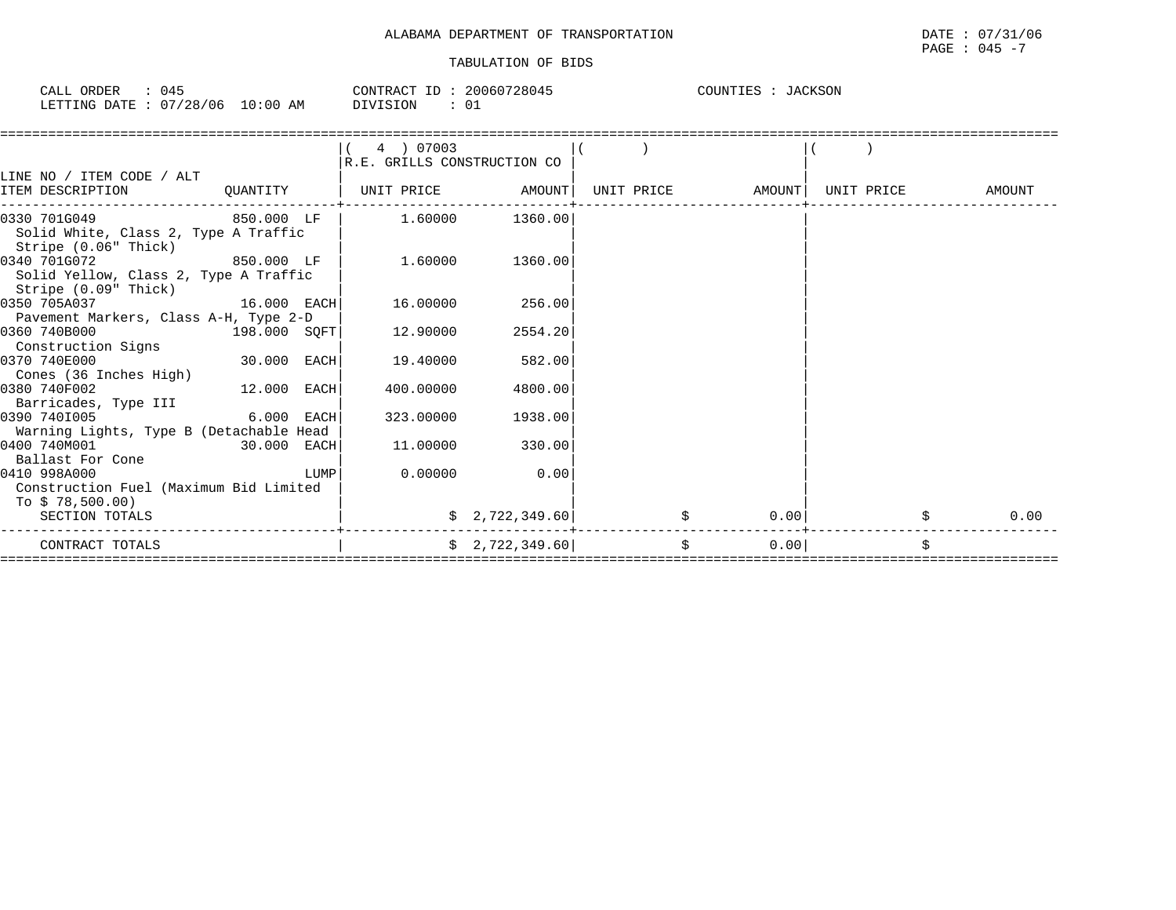| CALL ORDER | : 045                           | CONTRACT ID: 20060728045 | COUNTIES : JACKSON |
|------------|---------------------------------|--------------------------|--------------------|
|            | LETTING DATE: 07/28/06 10:00 AM | DIVISION<br>01           |                    |

|                                                              |              | 4 ) 07003                   |                 |                   |      |            |        |
|--------------------------------------------------------------|--------------|-----------------------------|-----------------|-------------------|------|------------|--------|
|                                                              |              | R.E. GRILLS CONSTRUCTION CO |                 |                   |      |            |        |
| LINE NO / ITEM CODE / ALT                                    |              |                             |                 |                   |      |            |        |
| ITEM DESCRIPTION                                             | QUANTITY     | UNIT PRICE                  | AMOUNT          | UNIT PRICE AMOUNT |      | UNIT PRICE | AMOUNT |
| 0330 701G049                                                 |              | 1.60000                     | 1360.00         |                   |      |            |        |
| Solid White, Class 2, Type A Traffic<br>Stripe (0.06" Thick) |              |                             |                 |                   |      |            |        |
| 0340 701G072                                                 | 850.000 LF   | 1.60000                     | 1360.00         |                   |      |            |        |
| Solid Yellow, Class 2, Type A Traffic                        |              |                             |                 |                   |      |            |        |
| Stripe (0.09" Thick)                                         |              |                             |                 |                   |      |            |        |
| 0350 705A037                                                 | 16.000 EACH  | 16.00000                    | 256.00          |                   |      |            |        |
| Pavement Markers, Class A-H, Type 2-D                        |              |                             |                 |                   |      |            |        |
| 0360 740B000                                                 | 198.000 SOFT | 12.90000                    | 2554.20         |                   |      |            |        |
| Construction Signs                                           |              |                             |                 |                   |      |            |        |
| 0370 740E000                                                 | 30.000 EACH  | 19.40000                    | 582.00          |                   |      |            |        |
| Cones (36 Inches High)                                       |              |                             |                 |                   |      |            |        |
| 0380 740F002                                                 | 12.000 EACH  | 400.00000                   | 4800.00         |                   |      |            |        |
| Barricades, Type III                                         |              |                             |                 |                   |      |            |        |
| 0390 7401005                                                 | 6.000 EACH   | 323.00000                   | 1938.00         |                   |      |            |        |
| Warning Lights, Type B (Detachable Head                      |              |                             |                 |                   |      |            |        |
| 0400 740M001                                                 | 30.000 EACH  | 11,00000                    | 330.00          |                   |      |            |        |
| Ballast For Cone                                             |              |                             |                 |                   |      |            |        |
| 0410 998A000                                                 | LUMP         | 0.00000                     | 0.00            |                   |      |            |        |
| Construction Fuel (Maximum Bid Limited                       |              |                             |                 |                   |      |            |        |
| To \$78,500.00)                                              |              |                             |                 |                   |      |            |        |
| SECTION TOTALS                                               |              |                             | \$2,722,349.60] | \$                | 0.00 | \$         | 0.00   |
| CONTRACT TOTALS                                              |              |                             | \$2,722,349.60] | \$                | 0.00 | \$         |        |
|                                                              |              |                             |                 |                   |      |            |        |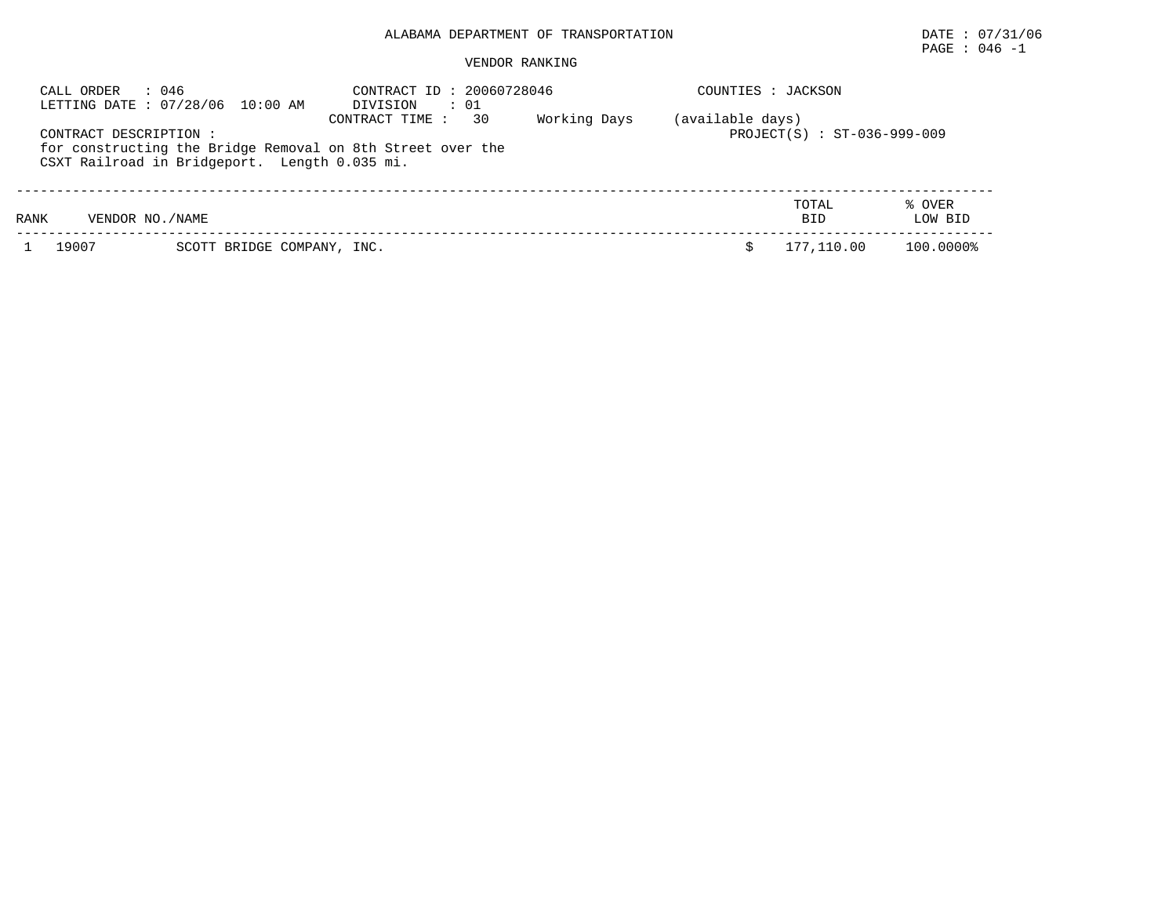# PAGE : 046 -1

| : 046<br>CALL ORDER<br>LETTING DATE: 07/28/06 10:00 AM                                                                               | CONTRACT ID: 20060728046<br>DIVISION<br>$\cdots$ 01 | COUNTIES : JACKSON                              |                   |
|--------------------------------------------------------------------------------------------------------------------------------------|-----------------------------------------------------|-------------------------------------------------|-------------------|
| CONTRACT DESCRIPTION:<br>for constructing the Bridge Removal on 8th Street over the<br>CSXT Railroad in Bridgeport. Length 0.035 mi. | Working Days<br>CONTRACT TIME :<br>30               | (available days)<br>PROJECT(S) : ST-036-999-009 |                   |
| RANK<br>VENDOR NO./NAME                                                                                                              |                                                     | TOTAL<br><b>BID</b>                             | % OVER<br>LOW BID |
| 19007<br>SCOTT BRIDGE COMPANY, INC.                                                                                                  |                                                     | 177,110.00                                      | 100.0000%         |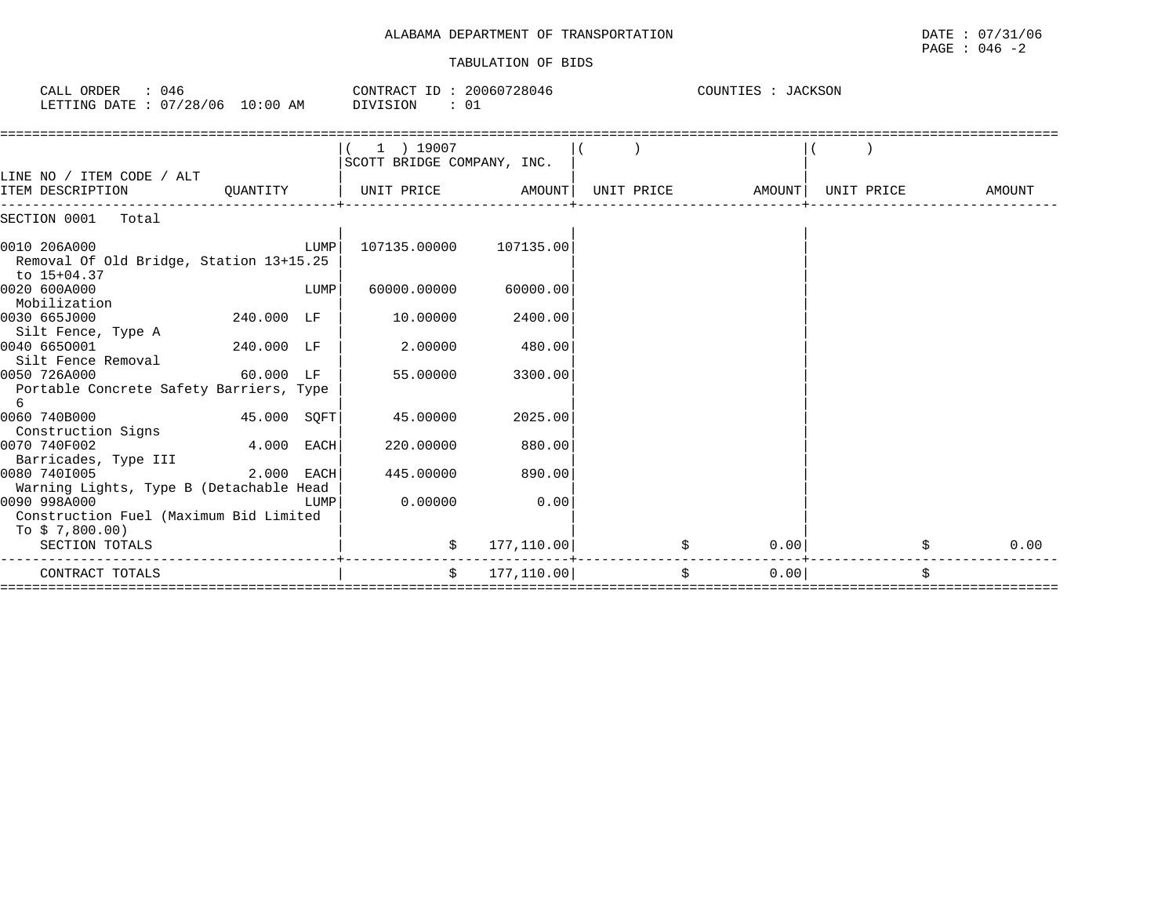# ALABAMA DEPARTMENT OF TRANSPORTATION **EXECUTE 1999** DATE : 07/31/06 TABULATION OF BIDS

| CALL ORDER : 046<br>LETTING DATE: 07/28/06 10:00 AM DIVISION : 01        |                                                                                                                      |      | CONTRACT ID: 20060728046 COUNTIES : JACKSON |             |                               |                    |            |
|--------------------------------------------------------------------------|----------------------------------------------------------------------------------------------------------------------|------|---------------------------------------------|-------------|-------------------------------|--------------------|------------|
| LINE NO / ITEM CODE / ALT                                                |                                                                                                                      |      | 1 ) 19007<br>SCOTT BRIDGE COMPANY, INC.     |             |                               |                    |            |
| ITEM DESCRIPTION                                                         | QUANTITY                                                                                                             |      | UNIT PRICE AMOUNT                           |             |                               |                    | AMOUNT     |
| SECTION 0001 Total                                                       |                                                                                                                      |      |                                             |             |                               |                    |            |
| 0010 206A000<br>Removal Of Old Bridge, Station 13+15.25<br>to 15+04.37   |                                                                                                                      | LUMP | 107135.00000 107135.00                      |             |                               |                    |            |
| 0020 600A000<br>Mobilization                                             |                                                                                                                      | LUMP | 60000.00000                                 | 60000.00    |                               |                    |            |
| 0030 665J000<br>Silt Fence, Type A                                       | 240.000 LF                                                                                                           |      | 10.00000                                    | 2400.00     |                               |                    |            |
| 0040 6650001<br>Silt Fence Removal                                       | 240.000 LF                                                                                                           |      | 2.00000                                     | 480.00      |                               |                    |            |
| 0050 726A000<br>Portable Concrete Safety Barriers, Type<br>6             | 60.000 LF                                                                                                            |      | 55.00000                                    | 3300.00     |                               |                    |            |
| 0060 740B000<br>Construction Signs                                       | 45.000 SQFT                                                                                                          |      | 45.00000                                    | 2025.00     |                               |                    |            |
| 0070 740F002<br>Barricades, Type III                                     | 4.000 EACH                                                                                                           |      | 220,00000                                   | 880.00      |                               |                    |            |
| 0080 740I005<br>Warning Lights, Type B (Detachable Head                  | $2.000$ EACH                                                                                                         |      | 445.00000                                   | 890.00      |                               |                    |            |
| 0090 998A000<br>Construction Fuel (Maximum Bid Limited<br>To \$7,800.00) | <b>EXECUTE IN THE EXECUTIVE IN THE EXECUTIVE IN THE EXECUTIVE IN THE EXECUTIVE IN THE EXECUTIVE IN THE EXECUTIVE</b> |      | 0.00000                                     | 0.00        |                               |                    |            |
| SECTION TOTALS                                                           |                                                                                                                      |      |                                             | 177, 110.00 |                               | 0.00               | 0.00<br>\$ |
| CONTRACT TOTALS                                                          |                                                                                                                      |      | $\ddot{s}$                                  | 177,110.00  | ============================= | $\ddot{s}$<br>0.00 | \$         |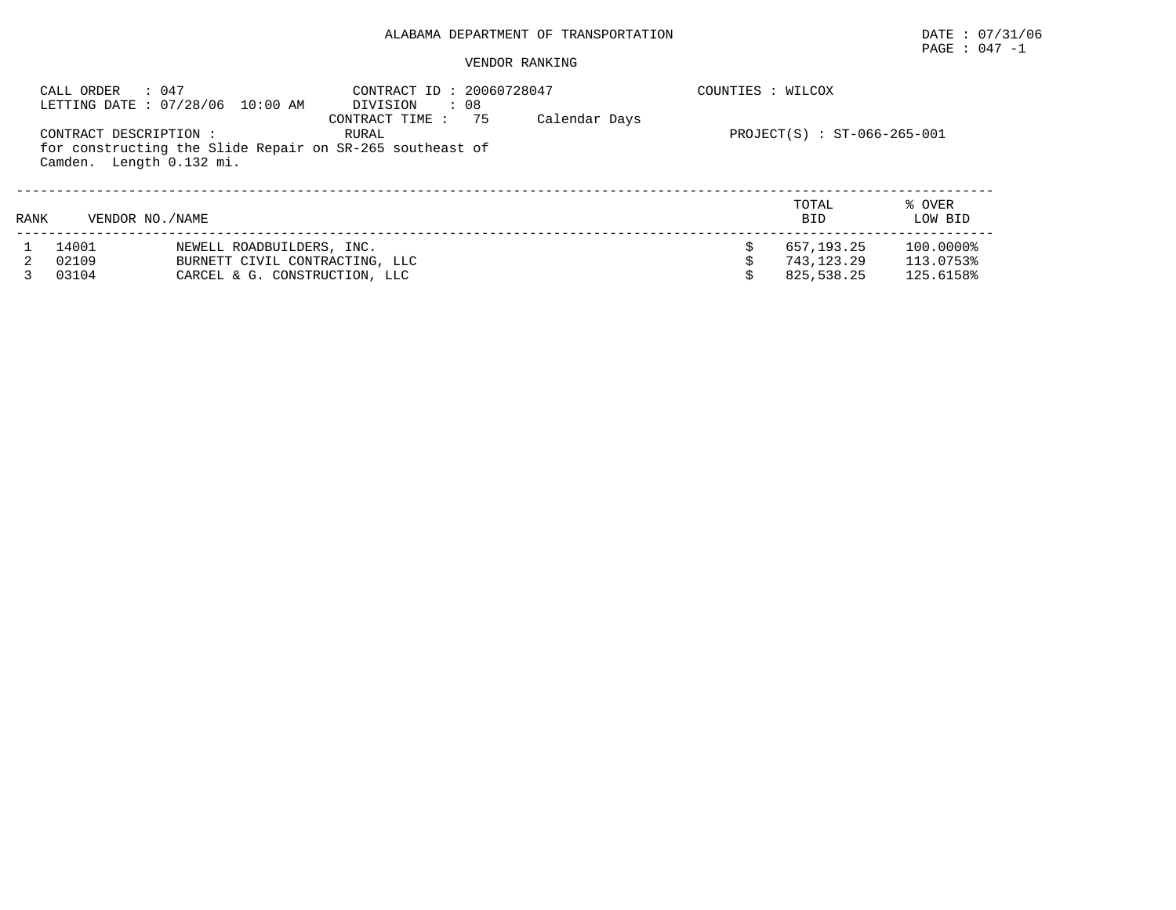# PAGE : 047 -1

|      | CALL ORDER<br>: 047<br>CONTRACT DESCRIPTION:<br>Camden. Length 0.132 mi. | LETTING DATE : 07/28/06 10:00 AM<br>for constructing the Slide Repair on SR-265 southeast of | CONTRACT ID: 20060728047<br>$\therefore$ 08<br>DIVISION<br>CONTRACT TIME:<br>RURAL | 75 | Calendar Days | COUNTIES : WILCOX | $PROJECT(S) : ST-066-265-001$          |                                     |
|------|--------------------------------------------------------------------------|----------------------------------------------------------------------------------------------|------------------------------------------------------------------------------------|----|---------------|-------------------|----------------------------------------|-------------------------------------|
| RANK | VENDOR NO./NAME                                                          |                                                                                              |                                                                                    |    |               |                   | TOTAL<br><b>BID</b>                    | % OVER<br>LOW BID                   |
|      | 14001<br>02109<br>03104                                                  | NEWELL ROADBUILDERS, INC.<br>BURNETT CIVIL CONTRACTING, LLC<br>CARCEL & G. CONSTRUCTION, LLC |                                                                                    |    |               | Ś                 | 657,193.25<br>743,123.29<br>825,538.25 | 100.0000%<br>113.0753%<br>125.6158% |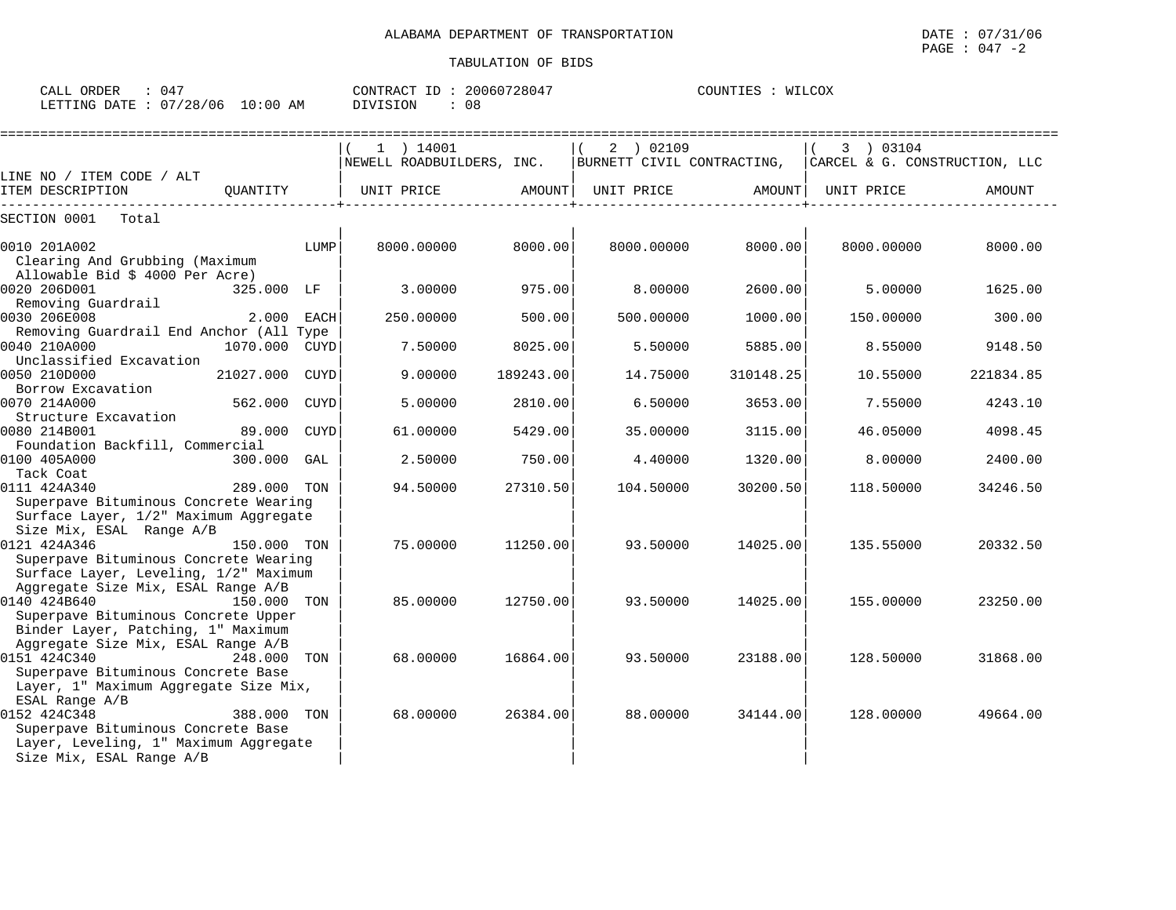| ORDER<br>CALL          | በ45 |            | CONTRACT ID: | . 20060728047 | COUNTIES | WILCOX |
|------------------------|-----|------------|--------------|---------------|----------|--------|
| LETTING DATE: 07/28/06 |     | $10:00$ AM | DIVISION     | 08            |          |        |

|                                                                           |                |             | =========================== |           |                            |           |                               |           |
|---------------------------------------------------------------------------|----------------|-------------|-----------------------------|-----------|----------------------------|-----------|-------------------------------|-----------|
|                                                                           |                |             | $1$ ) 14001                 |           | 2 ) 02109                  |           | 3 ) 03104                     |           |
|                                                                           |                |             | NEWELL ROADBUILDERS, INC.   |           | BURNETT CIVIL CONTRACTING, |           | CARCEL & G. CONSTRUCTION, LLC |           |
| LINE NO / ITEM CODE / ALT                                                 |                |             |                             |           |                            |           |                               |           |
| ITEM DESCRIPTION                                                          | OUANTITY       |             | UNIT PRICE                  | AMOUNT    | UNIT PRICE                 | AMOUNT    | UNIT PRICE                    | AMOUNT    |
| SECTION 0001<br>Total                                                     |                |             |                             |           |                            |           |                               |           |
| 0010 201A002                                                              |                | LUMP        | 8000.00000                  | 8000.00   | 8000.00000                 | 8000.00   | 8000.00000                    | 8000.00   |
| Clearing And Grubbing (Maximum                                            |                |             |                             |           |                            |           |                               |           |
| Allowable Bid $$4000$ Per Acre)                                           |                |             |                             |           |                            |           |                               |           |
| 0020 206D001                                                              | 325.000 LF     |             | 3.00000                     | 975.00    | 8.00000                    | 2600.00   | 5.00000                       | 1625.00   |
| Removing Guardrail                                                        |                |             |                             |           |                            |           |                               |           |
| 0030 206E008                                                              | 2.000          | <b>EACH</b> | 250.00000                   | 500.00    | 500.00000                  | 1000.00   | 150.00000                     | 300.00    |
| Removing Guardrail End Anchor (All Type                                   |                |             |                             |           |                            |           |                               |           |
| 0040 210A000                                                              | 1070.000 CUYD  |             | 7.50000                     | 8025.00   | 5.50000                    | 5885.00   | 8.55000                       | 9148.50   |
| Unclassified Excavation<br>0050 210D000                                   | 21027.000 CUYD |             | 9.00000                     | 189243.00 | 14.75000                   | 310148.25 | 10.55000                      | 221834.85 |
| Borrow Excavation                                                         |                |             |                             |           |                            |           |                               |           |
| 0070 214A000                                                              | 562.000        | <b>CUYD</b> | 5.00000                     | 2810.00   | 6.50000                    | 3653.00   | 7.55000                       | 4243.10   |
| Structure Excavation                                                      |                |             |                             |           |                            |           |                               |           |
| 0080 214B001                                                              | 89.000         | <b>CUYD</b> | 61.00000                    | 5429.00   | 35.00000                   | 3115.00   | 46.05000                      | 4098.45   |
| Foundation Backfill, Commercial                                           |                |             |                             |           |                            |           |                               |           |
| 0100 405A000                                                              | 300.000 GAL    |             | 2.50000                     | 750.00    | 4.40000                    | 1320.00   | 8,00000                       | 2400.00   |
| Tack Coat                                                                 |                |             |                             |           |                            |           |                               |           |
| 0111 424A340<br>Superpave Bituminous Concrete Wearing                     | 289.000 TON    |             | 94.50000                    | 27310.50  | 104.50000                  | 30200.50  | 118.50000                     | 34246.50  |
| Surface Layer, 1/2" Maximum Aggregate                                     |                |             |                             |           |                            |           |                               |           |
| Size Mix, ESAL Range A/B                                                  |                |             |                             |           |                            |           |                               |           |
| 0121 424A346                                                              | 150.000 TON    |             | 75,00000                    | 11250.00  | 93.50000                   | 14025.00  | 135.55000                     | 20332.50  |
| Superpave Bituminous Concrete Wearing                                     |                |             |                             |           |                            |           |                               |           |
| Surface Layer, Leveling, 1/2" Maximum                                     |                |             |                             |           |                            |           |                               |           |
| Aggregate Size Mix, ESAL Range A/B                                        |                |             |                             |           |                            |           |                               |           |
| 0140 424B640                                                              | 150.000        | TON         | 85.00000                    | 12750.00  | 93.50000                   | 14025.00  | 155.00000                     | 23250.00  |
| Superpave Bituminous Concrete Upper<br>Binder Layer, Patching, 1" Maximum |                |             |                             |           |                            |           |                               |           |
| Aggregate Size Mix, ESAL Range A/B                                        |                |             |                             |           |                            |           |                               |           |
| 0151 424C340                                                              | 248.000        | TON         | 68,00000                    | 16864.00  | 93.50000                   | 23188.00  | 128.50000                     | 31868.00  |
| Superpave Bituminous Concrete Base                                        |                |             |                             |           |                            |           |                               |           |
| Layer, 1" Maximum Aggregate Size Mix,                                     |                |             |                             |           |                            |           |                               |           |
| ESAL Range A/B                                                            |                |             |                             |           |                            |           |                               |           |
| 0152 424C348                                                              | 388.000 TON    |             | 68,00000                    | 26384.00  | 88,00000                   | 34144.00  | 128,00000                     | 49664.00  |
| Superpave Bituminous Concrete Base                                        |                |             |                             |           |                            |           |                               |           |
| Layer, Leveling, 1" Maximum Aggregate                                     |                |             |                             |           |                            |           |                               |           |
| Size Mix, ESAL Range A/B                                                  |                |             |                             |           |                            |           |                               |           |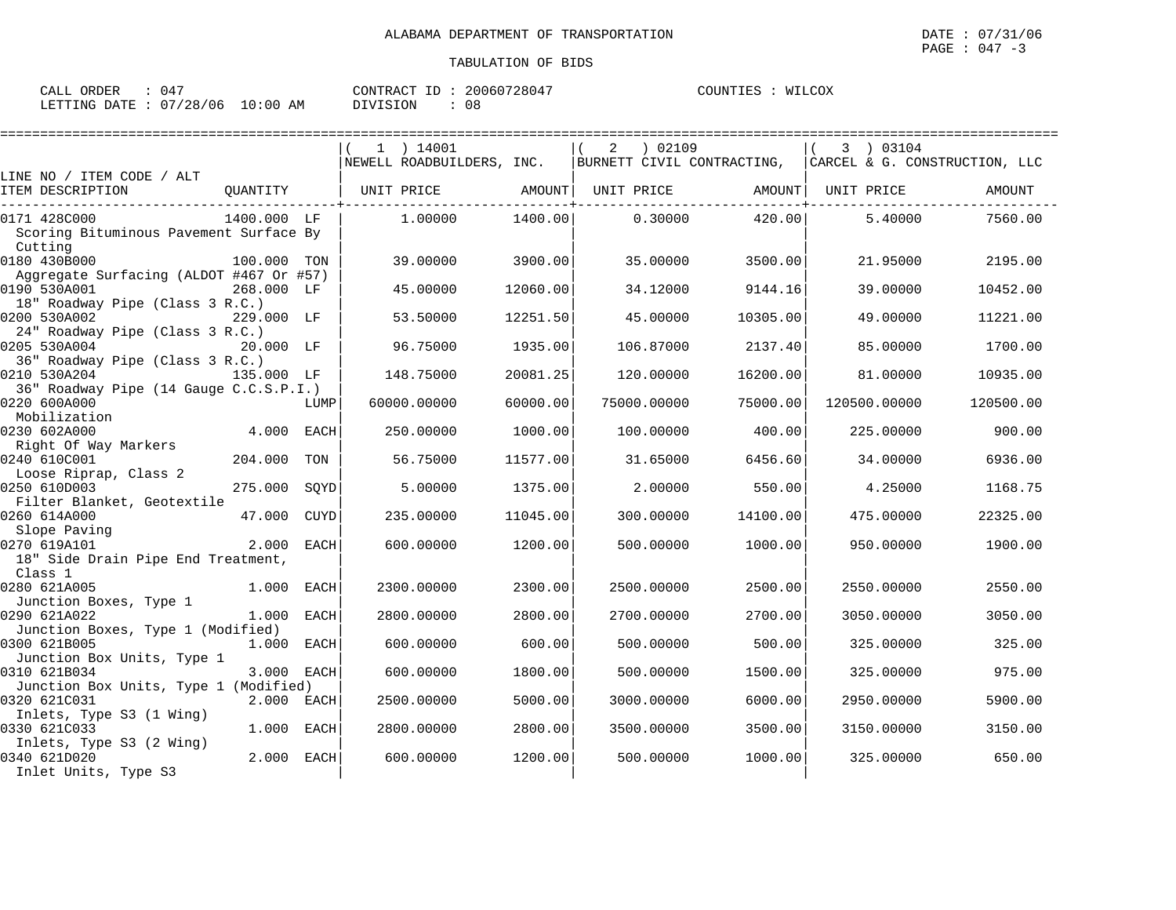| CALL ORDER                      | 047 |          | CONTRACT ID: 20060728047 | COUNTIES : WILCOX |  |
|---------------------------------|-----|----------|--------------------------|-------------------|--|
| LETTING DATE: 07/28/06 10:00 AM |     | DIVISION | 08                       |                   |  |

| $1$ ) 14001<br>02109<br>2<br>3 ) 03104<br>NEWELL ROADBUILDERS, INC.<br>BURNETT CIVIL CONTRACTING, CARCEL & G. CONSTRUCTION, LLC<br>LINE NO / ITEM CODE / ALT<br>OUANTITY<br>  UNIT PRICE AMOUNT  UNIT PRICE AMOUNT <br>ITEM DESCRIPTION<br>UNIT PRICE<br>AMOUNT<br>1400.000 LF<br>1,00000<br>1400.00<br>0.30000<br>420.00<br>0171 428C000<br>5.40000<br>7560.00<br>Scoring Bituminous Pavement Surface By<br>Cutting<br>0180 430B000<br>35,00000<br>2195.00<br>100.000 TON<br>39,00000<br>3900.00<br>3500.00<br>21,95000<br>Aggregate Surfacing (ALDOT #467 Or #57)<br>0190 530A001<br>34.12000<br>268,000 LF<br>45.00000<br>12060.00<br>9144.16<br>39,00000<br>10452.00<br>18" Roadway Pipe (Class 3 R.C.)<br>0200 530A002<br>229.000 LF<br>53.50000<br>12251.50<br>45.00000<br>10305.00<br>49.00000<br>11221.00<br>24" Roadway Pipe (Class 3 R.C.)<br>0205 530A004<br>20.000 LF<br>96.75000<br>1935.00<br>106.87000<br>2137.40<br>85,00000<br>1700.00<br>36" Roadway Pipe (Class 3 R.C.)<br>0210 530A204<br>148.75000<br>20081.25<br>16200.00<br>81.00000<br>135.000 LF<br>120.00000<br>10935.00<br>36" Roadway Pipe (14 Gauge C.C.S.P.I.)<br>0220 600A000<br>60000.00000<br>60000.00<br>75000.00000<br>75000.00<br>120500.00000<br>120500.00<br>LUMP<br>Mobilization<br>0230 602A000<br>4.000 EACH<br>1000.00<br>400.00<br>250.00000<br>100.00000<br>225.00000<br>900.00<br>Right Of Way Markers<br>204.000<br>0240 610C001<br>56.75000<br>11577.00<br>31.65000<br>6456.60<br>TON<br>34.00000<br>6936.00<br>Loose Riprap, Class 2<br>0250 610D003<br>275.000<br>SOYD<br>5.00000<br>1375.00<br>2,00000<br>550.00<br>4.25000<br>1168.75<br>Filter Blanket, Geotextile<br>0260 614A000<br>47.000<br>11045.00<br>22325.00<br>CUYD<br>235.00000<br>300.00000<br>14100.00<br>475,00000<br>Slope Paving |
|-----------------------------------------------------------------------------------------------------------------------------------------------------------------------------------------------------------------------------------------------------------------------------------------------------------------------------------------------------------------------------------------------------------------------------------------------------------------------------------------------------------------------------------------------------------------------------------------------------------------------------------------------------------------------------------------------------------------------------------------------------------------------------------------------------------------------------------------------------------------------------------------------------------------------------------------------------------------------------------------------------------------------------------------------------------------------------------------------------------------------------------------------------------------------------------------------------------------------------------------------------------------------------------------------------------------------------------------------------------------------------------------------------------------------------------------------------------------------------------------------------------------------------------------------------------------------------------------------------------------------------------------------------------------------------------------------------------------------------------------------------------------------------------------------------|
|                                                                                                                                                                                                                                                                                                                                                                                                                                                                                                                                                                                                                                                                                                                                                                                                                                                                                                                                                                                                                                                                                                                                                                                                                                                                                                                                                                                                                                                                                                                                                                                                                                                                                                                                                                                                     |
|                                                                                                                                                                                                                                                                                                                                                                                                                                                                                                                                                                                                                                                                                                                                                                                                                                                                                                                                                                                                                                                                                                                                                                                                                                                                                                                                                                                                                                                                                                                                                                                                                                                                                                                                                                                                     |
|                                                                                                                                                                                                                                                                                                                                                                                                                                                                                                                                                                                                                                                                                                                                                                                                                                                                                                                                                                                                                                                                                                                                                                                                                                                                                                                                                                                                                                                                                                                                                                                                                                                                                                                                                                                                     |
|                                                                                                                                                                                                                                                                                                                                                                                                                                                                                                                                                                                                                                                                                                                                                                                                                                                                                                                                                                                                                                                                                                                                                                                                                                                                                                                                                                                                                                                                                                                                                                                                                                                                                                                                                                                                     |
|                                                                                                                                                                                                                                                                                                                                                                                                                                                                                                                                                                                                                                                                                                                                                                                                                                                                                                                                                                                                                                                                                                                                                                                                                                                                                                                                                                                                                                                                                                                                                                                                                                                                                                                                                                                                     |
|                                                                                                                                                                                                                                                                                                                                                                                                                                                                                                                                                                                                                                                                                                                                                                                                                                                                                                                                                                                                                                                                                                                                                                                                                                                                                                                                                                                                                                                                                                                                                                                                                                                                                                                                                                                                     |
|                                                                                                                                                                                                                                                                                                                                                                                                                                                                                                                                                                                                                                                                                                                                                                                                                                                                                                                                                                                                                                                                                                                                                                                                                                                                                                                                                                                                                                                                                                                                                                                                                                                                                                                                                                                                     |
|                                                                                                                                                                                                                                                                                                                                                                                                                                                                                                                                                                                                                                                                                                                                                                                                                                                                                                                                                                                                                                                                                                                                                                                                                                                                                                                                                                                                                                                                                                                                                                                                                                                                                                                                                                                                     |
|                                                                                                                                                                                                                                                                                                                                                                                                                                                                                                                                                                                                                                                                                                                                                                                                                                                                                                                                                                                                                                                                                                                                                                                                                                                                                                                                                                                                                                                                                                                                                                                                                                                                                                                                                                                                     |
|                                                                                                                                                                                                                                                                                                                                                                                                                                                                                                                                                                                                                                                                                                                                                                                                                                                                                                                                                                                                                                                                                                                                                                                                                                                                                                                                                                                                                                                                                                                                                                                                                                                                                                                                                                                                     |
|                                                                                                                                                                                                                                                                                                                                                                                                                                                                                                                                                                                                                                                                                                                                                                                                                                                                                                                                                                                                                                                                                                                                                                                                                                                                                                                                                                                                                                                                                                                                                                                                                                                                                                                                                                                                     |
|                                                                                                                                                                                                                                                                                                                                                                                                                                                                                                                                                                                                                                                                                                                                                                                                                                                                                                                                                                                                                                                                                                                                                                                                                                                                                                                                                                                                                                                                                                                                                                                                                                                                                                                                                                                                     |
|                                                                                                                                                                                                                                                                                                                                                                                                                                                                                                                                                                                                                                                                                                                                                                                                                                                                                                                                                                                                                                                                                                                                                                                                                                                                                                                                                                                                                                                                                                                                                                                                                                                                                                                                                                                                     |
|                                                                                                                                                                                                                                                                                                                                                                                                                                                                                                                                                                                                                                                                                                                                                                                                                                                                                                                                                                                                                                                                                                                                                                                                                                                                                                                                                                                                                                                                                                                                                                                                                                                                                                                                                                                                     |
|                                                                                                                                                                                                                                                                                                                                                                                                                                                                                                                                                                                                                                                                                                                                                                                                                                                                                                                                                                                                                                                                                                                                                                                                                                                                                                                                                                                                                                                                                                                                                                                                                                                                                                                                                                                                     |
|                                                                                                                                                                                                                                                                                                                                                                                                                                                                                                                                                                                                                                                                                                                                                                                                                                                                                                                                                                                                                                                                                                                                                                                                                                                                                                                                                                                                                                                                                                                                                                                                                                                                                                                                                                                                     |
|                                                                                                                                                                                                                                                                                                                                                                                                                                                                                                                                                                                                                                                                                                                                                                                                                                                                                                                                                                                                                                                                                                                                                                                                                                                                                                                                                                                                                                                                                                                                                                                                                                                                                                                                                                                                     |
|                                                                                                                                                                                                                                                                                                                                                                                                                                                                                                                                                                                                                                                                                                                                                                                                                                                                                                                                                                                                                                                                                                                                                                                                                                                                                                                                                                                                                                                                                                                                                                                                                                                                                                                                                                                                     |
|                                                                                                                                                                                                                                                                                                                                                                                                                                                                                                                                                                                                                                                                                                                                                                                                                                                                                                                                                                                                                                                                                                                                                                                                                                                                                                                                                                                                                                                                                                                                                                                                                                                                                                                                                                                                     |
|                                                                                                                                                                                                                                                                                                                                                                                                                                                                                                                                                                                                                                                                                                                                                                                                                                                                                                                                                                                                                                                                                                                                                                                                                                                                                                                                                                                                                                                                                                                                                                                                                                                                                                                                                                                                     |
|                                                                                                                                                                                                                                                                                                                                                                                                                                                                                                                                                                                                                                                                                                                                                                                                                                                                                                                                                                                                                                                                                                                                                                                                                                                                                                                                                                                                                                                                                                                                                                                                                                                                                                                                                                                                     |
|                                                                                                                                                                                                                                                                                                                                                                                                                                                                                                                                                                                                                                                                                                                                                                                                                                                                                                                                                                                                                                                                                                                                                                                                                                                                                                                                                                                                                                                                                                                                                                                                                                                                                                                                                                                                     |
|                                                                                                                                                                                                                                                                                                                                                                                                                                                                                                                                                                                                                                                                                                                                                                                                                                                                                                                                                                                                                                                                                                                                                                                                                                                                                                                                                                                                                                                                                                                                                                                                                                                                                                                                                                                                     |
|                                                                                                                                                                                                                                                                                                                                                                                                                                                                                                                                                                                                                                                                                                                                                                                                                                                                                                                                                                                                                                                                                                                                                                                                                                                                                                                                                                                                                                                                                                                                                                                                                                                                                                                                                                                                     |
|                                                                                                                                                                                                                                                                                                                                                                                                                                                                                                                                                                                                                                                                                                                                                                                                                                                                                                                                                                                                                                                                                                                                                                                                                                                                                                                                                                                                                                                                                                                                                                                                                                                                                                                                                                                                     |
|                                                                                                                                                                                                                                                                                                                                                                                                                                                                                                                                                                                                                                                                                                                                                                                                                                                                                                                                                                                                                                                                                                                                                                                                                                                                                                                                                                                                                                                                                                                                                                                                                                                                                                                                                                                                     |
|                                                                                                                                                                                                                                                                                                                                                                                                                                                                                                                                                                                                                                                                                                                                                                                                                                                                                                                                                                                                                                                                                                                                                                                                                                                                                                                                                                                                                                                                                                                                                                                                                                                                                                                                                                                                     |
| 2.000<br>0270 619A101<br><b>EACH</b><br>600.00000<br>1200.00<br>500.00000<br>1000.00<br>950.00000<br>1900.00                                                                                                                                                                                                                                                                                                                                                                                                                                                                                                                                                                                                                                                                                                                                                                                                                                                                                                                                                                                                                                                                                                                                                                                                                                                                                                                                                                                                                                                                                                                                                                                                                                                                                        |
| 18" Side Drain Pipe End Treatment,                                                                                                                                                                                                                                                                                                                                                                                                                                                                                                                                                                                                                                                                                                                                                                                                                                                                                                                                                                                                                                                                                                                                                                                                                                                                                                                                                                                                                                                                                                                                                                                                                                                                                                                                                                  |
| Class 1                                                                                                                                                                                                                                                                                                                                                                                                                                                                                                                                                                                                                                                                                                                                                                                                                                                                                                                                                                                                                                                                                                                                                                                                                                                                                                                                                                                                                                                                                                                                                                                                                                                                                                                                                                                             |
| 0280 621A005<br>1.000<br>2300.00<br>2550.00<br>EACH<br>2300.00000<br>2500.00000<br>2500.00<br>2550.00000                                                                                                                                                                                                                                                                                                                                                                                                                                                                                                                                                                                                                                                                                                                                                                                                                                                                                                                                                                                                                                                                                                                                                                                                                                                                                                                                                                                                                                                                                                                                                                                                                                                                                            |
| Junction Boxes, Type 1                                                                                                                                                                                                                                                                                                                                                                                                                                                                                                                                                                                                                                                                                                                                                                                                                                                                                                                                                                                                                                                                                                                                                                                                                                                                                                                                                                                                                                                                                                                                                                                                                                                                                                                                                                              |
| 0290 621A022<br>1.000 EACH<br>2800.00000<br>2800.00<br>2700.00000<br>2700.00<br>3050.00<br>3050.00000                                                                                                                                                                                                                                                                                                                                                                                                                                                                                                                                                                                                                                                                                                                                                                                                                                                                                                                                                                                                                                                                                                                                                                                                                                                                                                                                                                                                                                                                                                                                                                                                                                                                                               |
| Junction Boxes, Type 1 (Modified)<br>0300 621B005<br>600.00<br>325.00                                                                                                                                                                                                                                                                                                                                                                                                                                                                                                                                                                                                                                                                                                                                                                                                                                                                                                                                                                                                                                                                                                                                                                                                                                                                                                                                                                                                                                                                                                                                                                                                                                                                                                                               |
| 1.000 EACH<br>600.00000<br>500.00000<br>500.00<br>325.00000<br>Junction Box Units, Type 1                                                                                                                                                                                                                                                                                                                                                                                                                                                                                                                                                                                                                                                                                                                                                                                                                                                                                                                                                                                                                                                                                                                                                                                                                                                                                                                                                                                                                                                                                                                                                                                                                                                                                                           |
| 0310 621B034<br>3.000 EACH<br>975.00<br>600.00000<br>1800.00<br>500.00000<br>1500.00<br>325,00000                                                                                                                                                                                                                                                                                                                                                                                                                                                                                                                                                                                                                                                                                                                                                                                                                                                                                                                                                                                                                                                                                                                                                                                                                                                                                                                                                                                                                                                                                                                                                                                                                                                                                                   |
| Junction Box Units, Type 1 (Modified)                                                                                                                                                                                                                                                                                                                                                                                                                                                                                                                                                                                                                                                                                                                                                                                                                                                                                                                                                                                                                                                                                                                                                                                                                                                                                                                                                                                                                                                                                                                                                                                                                                                                                                                                                               |
| 5000.00<br>5900.00<br>0320 621C031<br>2.000 EACH<br>2500.00000<br>3000.00000<br>6000.00<br>2950.00000                                                                                                                                                                                                                                                                                                                                                                                                                                                                                                                                                                                                                                                                                                                                                                                                                                                                                                                                                                                                                                                                                                                                                                                                                                                                                                                                                                                                                                                                                                                                                                                                                                                                                               |
| Inlets, Type S3 (1 Wing)                                                                                                                                                                                                                                                                                                                                                                                                                                                                                                                                                                                                                                                                                                                                                                                                                                                                                                                                                                                                                                                                                                                                                                                                                                                                                                                                                                                                                                                                                                                                                                                                                                                                                                                                                                            |
| 0330 621C033<br>1.000 EACH<br>2800.00000<br>2800.00<br>3500.00000<br>3500.00<br>3150.00<br>3150.00000                                                                                                                                                                                                                                                                                                                                                                                                                                                                                                                                                                                                                                                                                                                                                                                                                                                                                                                                                                                                                                                                                                                                                                                                                                                                                                                                                                                                                                                                                                                                                                                                                                                                                               |
| Inlets, Type S3 (2 Wing)                                                                                                                                                                                                                                                                                                                                                                                                                                                                                                                                                                                                                                                                                                                                                                                                                                                                                                                                                                                                                                                                                                                                                                                                                                                                                                                                                                                                                                                                                                                                                                                                                                                                                                                                                                            |
| 2.000 EACH<br>0340 621D020<br>1200.00<br>500.00000<br>1000.00<br>650.00<br>600,00000<br>325,00000                                                                                                                                                                                                                                                                                                                                                                                                                                                                                                                                                                                                                                                                                                                                                                                                                                                                                                                                                                                                                                                                                                                                                                                                                                                                                                                                                                                                                                                                                                                                                                                                                                                                                                   |
| Inlet Units, Type S3                                                                                                                                                                                                                                                                                                                                                                                                                                                                                                                                                                                                                                                                                                                                                                                                                                                                                                                                                                                                                                                                                                                                                                                                                                                                                                                                                                                                                                                                                                                                                                                                                                                                                                                                                                                |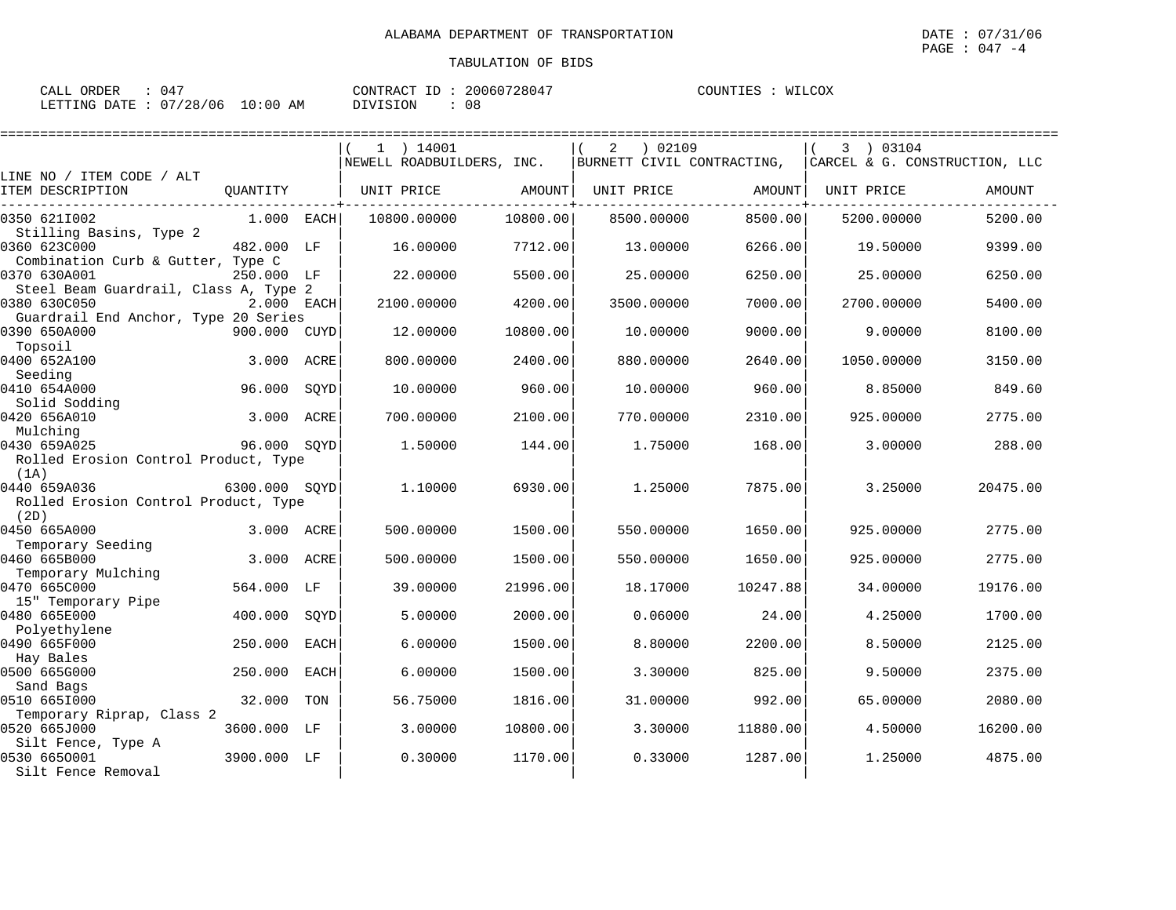| CALL ORDER                      | 047 |          | CONTRACT ID: 20060728047 | COUNTIES : WILCOX |  |
|---------------------------------|-----|----------|--------------------------|-------------------|--|
| LETTING DATE: 07/28/06 10:00 AM |     | DIVISION | 08                       |                   |  |

| ====================                              |               |             |                           |          |                            |          |            |                               |
|---------------------------------------------------|---------------|-------------|---------------------------|----------|----------------------------|----------|------------|-------------------------------|
|                                                   |               |             | 1 ) 14001                 |          | ) 02109<br>2               |          | 3 03104    |                               |
|                                                   |               |             | NEWELL ROADBUILDERS, INC. |          | BURNETT CIVIL CONTRACTING, |          |            | CARCEL & G. CONSTRUCTION, LLC |
| LINE NO / ITEM CODE / ALT                         |               |             |                           |          |                            |          |            |                               |
| ITEM DESCRIPTION                                  | OUANTITY      |             | UNIT PRICE                | AMOUNT   | UNIT PRICE                 | AMOUNT   | UNIT PRICE | AMOUNT                        |
| 0350 6211002                                      | 1.000 EACH    |             | 10800.00000               | 10800.00 | 8500.00000                 | 8500.00  | 5200.00000 | 5200.00                       |
| Stilling Basins, Type 2                           |               |             |                           |          |                            |          |            |                               |
| 0360 623C000<br>Combination Curb & Gutter, Type C | 482.000 LF    |             | 16.00000                  | 7712.00  | 13,00000                   | 6266.00  | 19.50000   | 9399.00                       |
| 0370 630A001                                      | 250.000 LF    |             | 22.00000                  | 5500.00  | 25.00000                   | 6250.00  | 25.00000   | 6250.00                       |
| Steel Beam Guardrail, Class A, Type 2             |               |             |                           |          |                            |          |            |                               |
| 0380 630C050                                      | 2.000 EACH    |             | 2100.00000                | 4200.00  | 3500.00000                 | 7000.00  | 2700.00000 | 5400.00                       |
| Guardrail End Anchor, Type 20 Series              |               |             |                           |          |                            |          |            |                               |
| 0390 650A000                                      | 900.000 CUYD  |             | 12.00000                  | 10800.00 | 10.00000                   | 9000.00  | 9.00000    | 8100.00                       |
| Topsoil                                           |               |             |                           |          |                            |          |            |                               |
| 0400 652A100                                      | 3.000         | ACRE        | 800.00000                 | 2400.00  | 880.00000                  | 2640.00  | 1050.00000 | 3150.00                       |
| Seeding                                           |               |             |                           |          |                            |          |            |                               |
| 0410 654A000<br>Solid Sodding                     | 96.000        | SOYD        | 10.00000                  | 960.00   | 10,00000                   | 960.00   | 8.85000    | 849.60                        |
| 0420 656A010                                      | 3.000         | ACRE        | 700.00000                 | 2100.00  | 770.00000                  | 2310.00  | 925.00000  | 2775.00                       |
| Mulching                                          |               |             |                           |          |                            |          |            |                               |
| 0430 659A025                                      | 96.000 SQYD   |             | 1.50000                   | 144.00   | 1.75000                    | 168.00   | 3.00000    | 288.00                        |
| Rolled Erosion Control Product, Type              |               |             |                           |          |                            |          |            |                               |
| (1A)                                              |               |             |                           |          |                            |          |            |                               |
| 0440 659A036                                      | 6300.000 SOYD |             | 1.10000                   | 6930.00  | 1.25000                    | 7875.00  | 3.25000    | 20475.00                      |
| Rolled Erosion Control Product, Type              |               |             |                           |          |                            |          |            |                               |
| (2D)                                              |               |             |                           |          |                            |          |            |                               |
| 0450 665A000                                      | 3.000         | ACRE        | 500.00000                 | 1500.00  | 550.00000                  | 1650.00  | 925.00000  | 2775.00                       |
| Temporary Seeding<br>0460 665B000                 | 3.000         | ACRE        | 500.00000                 | 1500.00  | 550.00000                  | 1650.00  | 925.00000  | 2775.00                       |
| Temporary Mulching                                |               |             |                           |          |                            |          |            |                               |
| 0470 665C000                                      | 564.000       | LF          | 39.00000                  | 21996.00 | 18.17000                   | 10247.88 | 34.00000   | 19176.00                      |
| 15" Temporary Pipe                                |               |             |                           |          |                            |          |            |                               |
| 0480 665E000                                      | 400.000       | SQYD        | 5.00000                   | 2000.00  | 0.06000                    | 24.00    | 4.25000    | 1700.00                       |
| Polyethylene                                      |               |             |                           |          |                            |          |            |                               |
| 0490 665F000                                      | 250.000       | <b>EACH</b> | 6.00000                   | 1500.00  | 8.80000                    | 2200.00  | 8.50000    | 2125.00                       |
| Hay Bales                                         |               |             |                           |          |                            |          |            |                               |
| 0500 665G000<br>Sand Bags                         | 250.000       | <b>EACH</b> | 6.00000                   | 1500.00  | 3.30000                    | 825.00   | 9.50000    | 2375.00                       |
| 0510 6651000                                      | 32.000        | TON         | 56.75000                  | 1816.00  | 31,00000                   | 992.00   | 65.00000   | 2080.00                       |
| Temporary Riprap, Class 2                         |               |             |                           |          |                            |          |            |                               |
| 0520 665J000                                      | 3600.000      | LF          | 3.00000                   | 10800.00 | 3.30000                    | 11880.00 | 4.50000    | 16200.00                      |
| Silt Fence, Type A                                |               |             |                           |          |                            |          |            |                               |
| 0530 6650001                                      | 3900.000 LF   |             | 0.30000                   | 1170.00  | 0.33000                    | 1287.00  | 1.25000    | 4875.00                       |
| Silt Fence Removal                                |               |             |                           |          |                            |          |            |                               |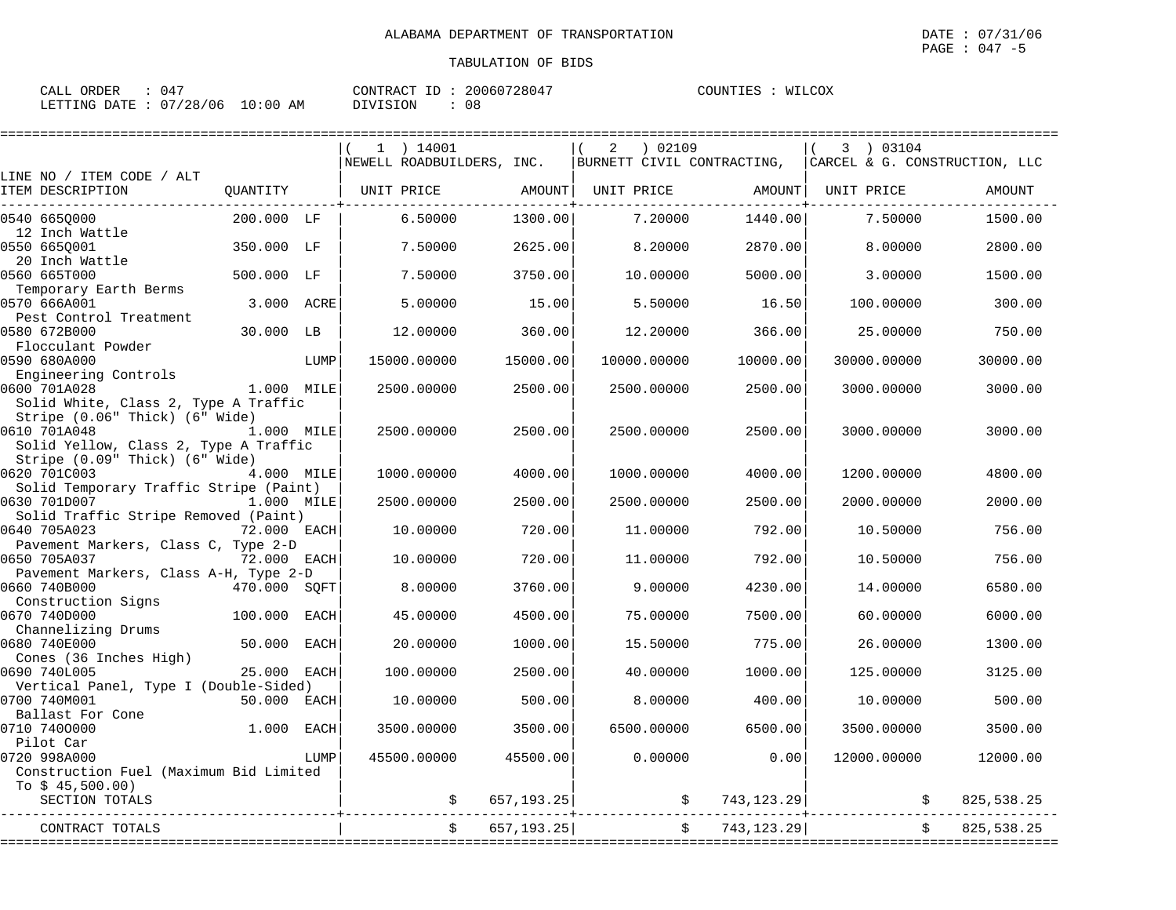| : 047<br>CALL ORDER             |          | CONTRACT ID: 20060728047 | COUNTIES : WILCOX |
|---------------------------------|----------|--------------------------|-------------------|
| LETTING DATE: 07/28/06 10:00 AM | DIVISION | 08                       |                   |

| $1$ ) 14001<br>) 02109<br>3 ) 03104<br>2<br>BURNETT CIVIL CONTRACTING,<br>NEWELL ROADBUILDERS, INC.<br>CARCEL & G. CONSTRUCTION, LLC<br>LINE NO / ITEM CODE / ALT<br>ITEM DESCRIPTION<br>OUANTITY<br>UNIT PRICE<br>AMOUNT<br>UNIT PRICE AMOUNT   UNIT PRICE<br>AMOUNT<br>6.50000<br>1300.00<br>7.20000<br>0540 6650000<br>200.000 LF<br>1440.00<br>7.50000<br>1500.00<br>12 Inch Wattle<br>0550 6650001<br>350.000 LF<br>7.50000<br>2625.00<br>8.20000<br>2870.00<br>8.00000<br>2800.00<br>20 Inch Wattle<br>0560 665T000<br>500.000 LF<br>3750.00<br>7.50000<br>10.00000<br>5000.00<br>3.00000<br>1500.00<br>Temporary Earth Berms<br>0570 666A001<br>3.000 ACRE<br>5,00000<br>15.00<br>5.50000<br>16.50<br>100.00000<br>300.00<br>Pest Control Treatment<br>0580 672B000<br>30.000 LB<br>12.00000<br>360.00<br>12.20000<br>366.00<br>25.00000<br>750.00<br>Flocculant Powder<br>15000.00000<br>15000.00<br>10000.00000<br>10000.00<br>30000.00000<br>30000.00<br>LUMP<br>Engineering Controls<br>1.000 MILE<br>2500.00000<br>2500.00<br>2500.00000<br>2500.00<br>3000.00000<br>3000.00<br>Solid White, Class 2, Type A Traffic<br>Stripe (0.06" Thick) (6" Wide)<br>0610 701A048<br>1.000 MILE<br>2500.00<br>2500.00<br>2500.00000<br>2500.00000<br>3000.00000<br>3000.00<br>Solid Yellow, Class 2, Type A Traffic<br>Stripe (0.09" Thick) (6" Wide)<br>0620 701C003<br>4.000 MILE<br>1000.00000<br>4000.00<br>1000.00000<br>4000.00<br>1200.00000<br>4800.00<br>Solid Temporary Traffic Stripe (Paint)<br>0630 701D007<br>1.000 MILE<br>2500.00000<br>2500.00<br>2500.00000<br>2500.00<br>2000.00000<br>2000.00<br>Solid Traffic Stripe Removed (Paint)<br>0640 705A023<br>720.00<br>756.00<br>72.000 EACH<br>10.00000<br>11.00000<br>792.00<br>10.50000<br>Pavement Markers, Class C, Type 2-D<br>0650 705A037<br>72.000 EACH<br>10.00000<br>720.00<br>11,00000<br>792.00<br>10.50000<br>756.00<br>Pavement Markers, Class A-H, Type 2-D<br>0660 740B000<br>470.000 SOFT<br>8.00000<br>3760.00<br>9.00000<br>4230.00<br>14.00000<br>6580.00<br>Construction Signs<br>0670 740D000<br>100.000<br>45.00000<br>4500.00<br>75.00000<br>7500.00<br>60.00000<br>6000.00<br>EACH<br>Channelizing Drums<br>0680 740E000<br>50.000<br>20.00000<br>1000.00<br>775.00<br>26.00000<br>EACH<br>15.50000<br>1300.00<br>Cones (36 Inches High)<br>0690 740L005<br>25.000 EACH<br>100.00000<br>2500.00<br>40.00000<br>1000.00<br>125.00000<br>3125.00<br>Vertical Panel, Type I (Double-Sided)<br>50.000 EACH<br>10.00000<br>500.00<br>8,00000<br>400.00<br>10.00000<br>500.00<br>0700 740M001<br>Ballast For Cone<br>$1.000$ EACH<br>3500.00000<br>3500.00<br>6500.00000<br>6500.00<br>3500.00000<br>3500.00<br>Pilot Car<br>0.00000<br>0720 998A000<br>LUMP<br>45500.00000<br>45500.00<br>0.00<br>12000.00000<br>12000.00<br>Construction Fuel (Maximum Bid Limited<br>To $$45,500.00)$<br>SECTION TOTALS<br>657, 193.25<br>\$743, 123.29]<br>825,538.25<br>\$<br>657, 193.25<br>$\ddot{s}$<br>743,123.29<br>825,538.25<br>\$<br>CONTRACT TOTALS |              |  |  |  |  |
|----------------------------------------------------------------------------------------------------------------------------------------------------------------------------------------------------------------------------------------------------------------------------------------------------------------------------------------------------------------------------------------------------------------------------------------------------------------------------------------------------------------------------------------------------------------------------------------------------------------------------------------------------------------------------------------------------------------------------------------------------------------------------------------------------------------------------------------------------------------------------------------------------------------------------------------------------------------------------------------------------------------------------------------------------------------------------------------------------------------------------------------------------------------------------------------------------------------------------------------------------------------------------------------------------------------------------------------------------------------------------------------------------------------------------------------------------------------------------------------------------------------------------------------------------------------------------------------------------------------------------------------------------------------------------------------------------------------------------------------------------------------------------------------------------------------------------------------------------------------------------------------------------------------------------------------------------------------------------------------------------------------------------------------------------------------------------------------------------------------------------------------------------------------------------------------------------------------------------------------------------------------------------------------------------------------------------------------------------------------------------------------------------------------------------------------------------------------------------------------------------------------------------------------------------------------------------------------------------------------------------------------------------------------------------------------------------------------------------------------------------------------------------------------------------------------------------------------------------------------------------------------------------------------------------------------------------------------------------------------------------------------------------------------|--------------|--|--|--|--|
|                                                                                                                                                                                                                                                                                                                                                                                                                                                                                                                                                                                                                                                                                                                                                                                                                                                                                                                                                                                                                                                                                                                                                                                                                                                                                                                                                                                                                                                                                                                                                                                                                                                                                                                                                                                                                                                                                                                                                                                                                                                                                                                                                                                                                                                                                                                                                                                                                                                                                                                                                                                                                                                                                                                                                                                                                                                                                                                                                                                                                                        |              |  |  |  |  |
|                                                                                                                                                                                                                                                                                                                                                                                                                                                                                                                                                                                                                                                                                                                                                                                                                                                                                                                                                                                                                                                                                                                                                                                                                                                                                                                                                                                                                                                                                                                                                                                                                                                                                                                                                                                                                                                                                                                                                                                                                                                                                                                                                                                                                                                                                                                                                                                                                                                                                                                                                                                                                                                                                                                                                                                                                                                                                                                                                                                                                                        |              |  |  |  |  |
|                                                                                                                                                                                                                                                                                                                                                                                                                                                                                                                                                                                                                                                                                                                                                                                                                                                                                                                                                                                                                                                                                                                                                                                                                                                                                                                                                                                                                                                                                                                                                                                                                                                                                                                                                                                                                                                                                                                                                                                                                                                                                                                                                                                                                                                                                                                                                                                                                                                                                                                                                                                                                                                                                                                                                                                                                                                                                                                                                                                                                                        |              |  |  |  |  |
|                                                                                                                                                                                                                                                                                                                                                                                                                                                                                                                                                                                                                                                                                                                                                                                                                                                                                                                                                                                                                                                                                                                                                                                                                                                                                                                                                                                                                                                                                                                                                                                                                                                                                                                                                                                                                                                                                                                                                                                                                                                                                                                                                                                                                                                                                                                                                                                                                                                                                                                                                                                                                                                                                                                                                                                                                                                                                                                                                                                                                                        |              |  |  |  |  |
|                                                                                                                                                                                                                                                                                                                                                                                                                                                                                                                                                                                                                                                                                                                                                                                                                                                                                                                                                                                                                                                                                                                                                                                                                                                                                                                                                                                                                                                                                                                                                                                                                                                                                                                                                                                                                                                                                                                                                                                                                                                                                                                                                                                                                                                                                                                                                                                                                                                                                                                                                                                                                                                                                                                                                                                                                                                                                                                                                                                                                                        |              |  |  |  |  |
|                                                                                                                                                                                                                                                                                                                                                                                                                                                                                                                                                                                                                                                                                                                                                                                                                                                                                                                                                                                                                                                                                                                                                                                                                                                                                                                                                                                                                                                                                                                                                                                                                                                                                                                                                                                                                                                                                                                                                                                                                                                                                                                                                                                                                                                                                                                                                                                                                                                                                                                                                                                                                                                                                                                                                                                                                                                                                                                                                                                                                                        |              |  |  |  |  |
|                                                                                                                                                                                                                                                                                                                                                                                                                                                                                                                                                                                                                                                                                                                                                                                                                                                                                                                                                                                                                                                                                                                                                                                                                                                                                                                                                                                                                                                                                                                                                                                                                                                                                                                                                                                                                                                                                                                                                                                                                                                                                                                                                                                                                                                                                                                                                                                                                                                                                                                                                                                                                                                                                                                                                                                                                                                                                                                                                                                                                                        |              |  |  |  |  |
|                                                                                                                                                                                                                                                                                                                                                                                                                                                                                                                                                                                                                                                                                                                                                                                                                                                                                                                                                                                                                                                                                                                                                                                                                                                                                                                                                                                                                                                                                                                                                                                                                                                                                                                                                                                                                                                                                                                                                                                                                                                                                                                                                                                                                                                                                                                                                                                                                                                                                                                                                                                                                                                                                                                                                                                                                                                                                                                                                                                                                                        |              |  |  |  |  |
|                                                                                                                                                                                                                                                                                                                                                                                                                                                                                                                                                                                                                                                                                                                                                                                                                                                                                                                                                                                                                                                                                                                                                                                                                                                                                                                                                                                                                                                                                                                                                                                                                                                                                                                                                                                                                                                                                                                                                                                                                                                                                                                                                                                                                                                                                                                                                                                                                                                                                                                                                                                                                                                                                                                                                                                                                                                                                                                                                                                                                                        |              |  |  |  |  |
|                                                                                                                                                                                                                                                                                                                                                                                                                                                                                                                                                                                                                                                                                                                                                                                                                                                                                                                                                                                                                                                                                                                                                                                                                                                                                                                                                                                                                                                                                                                                                                                                                                                                                                                                                                                                                                                                                                                                                                                                                                                                                                                                                                                                                                                                                                                                                                                                                                                                                                                                                                                                                                                                                                                                                                                                                                                                                                                                                                                                                                        |              |  |  |  |  |
|                                                                                                                                                                                                                                                                                                                                                                                                                                                                                                                                                                                                                                                                                                                                                                                                                                                                                                                                                                                                                                                                                                                                                                                                                                                                                                                                                                                                                                                                                                                                                                                                                                                                                                                                                                                                                                                                                                                                                                                                                                                                                                                                                                                                                                                                                                                                                                                                                                                                                                                                                                                                                                                                                                                                                                                                                                                                                                                                                                                                                                        |              |  |  |  |  |
|                                                                                                                                                                                                                                                                                                                                                                                                                                                                                                                                                                                                                                                                                                                                                                                                                                                                                                                                                                                                                                                                                                                                                                                                                                                                                                                                                                                                                                                                                                                                                                                                                                                                                                                                                                                                                                                                                                                                                                                                                                                                                                                                                                                                                                                                                                                                                                                                                                                                                                                                                                                                                                                                                                                                                                                                                                                                                                                                                                                                                                        |              |  |  |  |  |
|                                                                                                                                                                                                                                                                                                                                                                                                                                                                                                                                                                                                                                                                                                                                                                                                                                                                                                                                                                                                                                                                                                                                                                                                                                                                                                                                                                                                                                                                                                                                                                                                                                                                                                                                                                                                                                                                                                                                                                                                                                                                                                                                                                                                                                                                                                                                                                                                                                                                                                                                                                                                                                                                                                                                                                                                                                                                                                                                                                                                                                        |              |  |  |  |  |
|                                                                                                                                                                                                                                                                                                                                                                                                                                                                                                                                                                                                                                                                                                                                                                                                                                                                                                                                                                                                                                                                                                                                                                                                                                                                                                                                                                                                                                                                                                                                                                                                                                                                                                                                                                                                                                                                                                                                                                                                                                                                                                                                                                                                                                                                                                                                                                                                                                                                                                                                                                                                                                                                                                                                                                                                                                                                                                                                                                                                                                        |              |  |  |  |  |
|                                                                                                                                                                                                                                                                                                                                                                                                                                                                                                                                                                                                                                                                                                                                                                                                                                                                                                                                                                                                                                                                                                                                                                                                                                                                                                                                                                                                                                                                                                                                                                                                                                                                                                                                                                                                                                                                                                                                                                                                                                                                                                                                                                                                                                                                                                                                                                                                                                                                                                                                                                                                                                                                                                                                                                                                                                                                                                                                                                                                                                        | 0590 680A000 |  |  |  |  |
|                                                                                                                                                                                                                                                                                                                                                                                                                                                                                                                                                                                                                                                                                                                                                                                                                                                                                                                                                                                                                                                                                                                                                                                                                                                                                                                                                                                                                                                                                                                                                                                                                                                                                                                                                                                                                                                                                                                                                                                                                                                                                                                                                                                                                                                                                                                                                                                                                                                                                                                                                                                                                                                                                                                                                                                                                                                                                                                                                                                                                                        |              |  |  |  |  |
|                                                                                                                                                                                                                                                                                                                                                                                                                                                                                                                                                                                                                                                                                                                                                                                                                                                                                                                                                                                                                                                                                                                                                                                                                                                                                                                                                                                                                                                                                                                                                                                                                                                                                                                                                                                                                                                                                                                                                                                                                                                                                                                                                                                                                                                                                                                                                                                                                                                                                                                                                                                                                                                                                                                                                                                                                                                                                                                                                                                                                                        | 0600 701A028 |  |  |  |  |
|                                                                                                                                                                                                                                                                                                                                                                                                                                                                                                                                                                                                                                                                                                                                                                                                                                                                                                                                                                                                                                                                                                                                                                                                                                                                                                                                                                                                                                                                                                                                                                                                                                                                                                                                                                                                                                                                                                                                                                                                                                                                                                                                                                                                                                                                                                                                                                                                                                                                                                                                                                                                                                                                                                                                                                                                                                                                                                                                                                                                                                        |              |  |  |  |  |
|                                                                                                                                                                                                                                                                                                                                                                                                                                                                                                                                                                                                                                                                                                                                                                                                                                                                                                                                                                                                                                                                                                                                                                                                                                                                                                                                                                                                                                                                                                                                                                                                                                                                                                                                                                                                                                                                                                                                                                                                                                                                                                                                                                                                                                                                                                                                                                                                                                                                                                                                                                                                                                                                                                                                                                                                                                                                                                                                                                                                                                        |              |  |  |  |  |
|                                                                                                                                                                                                                                                                                                                                                                                                                                                                                                                                                                                                                                                                                                                                                                                                                                                                                                                                                                                                                                                                                                                                                                                                                                                                                                                                                                                                                                                                                                                                                                                                                                                                                                                                                                                                                                                                                                                                                                                                                                                                                                                                                                                                                                                                                                                                                                                                                                                                                                                                                                                                                                                                                                                                                                                                                                                                                                                                                                                                                                        |              |  |  |  |  |
|                                                                                                                                                                                                                                                                                                                                                                                                                                                                                                                                                                                                                                                                                                                                                                                                                                                                                                                                                                                                                                                                                                                                                                                                                                                                                                                                                                                                                                                                                                                                                                                                                                                                                                                                                                                                                                                                                                                                                                                                                                                                                                                                                                                                                                                                                                                                                                                                                                                                                                                                                                                                                                                                                                                                                                                                                                                                                                                                                                                                                                        |              |  |  |  |  |
|                                                                                                                                                                                                                                                                                                                                                                                                                                                                                                                                                                                                                                                                                                                                                                                                                                                                                                                                                                                                                                                                                                                                                                                                                                                                                                                                                                                                                                                                                                                                                                                                                                                                                                                                                                                                                                                                                                                                                                                                                                                                                                                                                                                                                                                                                                                                                                                                                                                                                                                                                                                                                                                                                                                                                                                                                                                                                                                                                                                                                                        |              |  |  |  |  |
|                                                                                                                                                                                                                                                                                                                                                                                                                                                                                                                                                                                                                                                                                                                                                                                                                                                                                                                                                                                                                                                                                                                                                                                                                                                                                                                                                                                                                                                                                                                                                                                                                                                                                                                                                                                                                                                                                                                                                                                                                                                                                                                                                                                                                                                                                                                                                                                                                                                                                                                                                                                                                                                                                                                                                                                                                                                                                                                                                                                                                                        |              |  |  |  |  |
|                                                                                                                                                                                                                                                                                                                                                                                                                                                                                                                                                                                                                                                                                                                                                                                                                                                                                                                                                                                                                                                                                                                                                                                                                                                                                                                                                                                                                                                                                                                                                                                                                                                                                                                                                                                                                                                                                                                                                                                                                                                                                                                                                                                                                                                                                                                                                                                                                                                                                                                                                                                                                                                                                                                                                                                                                                                                                                                                                                                                                                        |              |  |  |  |  |
|                                                                                                                                                                                                                                                                                                                                                                                                                                                                                                                                                                                                                                                                                                                                                                                                                                                                                                                                                                                                                                                                                                                                                                                                                                                                                                                                                                                                                                                                                                                                                                                                                                                                                                                                                                                                                                                                                                                                                                                                                                                                                                                                                                                                                                                                                                                                                                                                                                                                                                                                                                                                                                                                                                                                                                                                                                                                                                                                                                                                                                        |              |  |  |  |  |
|                                                                                                                                                                                                                                                                                                                                                                                                                                                                                                                                                                                                                                                                                                                                                                                                                                                                                                                                                                                                                                                                                                                                                                                                                                                                                                                                                                                                                                                                                                                                                                                                                                                                                                                                                                                                                                                                                                                                                                                                                                                                                                                                                                                                                                                                                                                                                                                                                                                                                                                                                                                                                                                                                                                                                                                                                                                                                                                                                                                                                                        |              |  |  |  |  |
|                                                                                                                                                                                                                                                                                                                                                                                                                                                                                                                                                                                                                                                                                                                                                                                                                                                                                                                                                                                                                                                                                                                                                                                                                                                                                                                                                                                                                                                                                                                                                                                                                                                                                                                                                                                                                                                                                                                                                                                                                                                                                                                                                                                                                                                                                                                                                                                                                                                                                                                                                                                                                                                                                                                                                                                                                                                                                                                                                                                                                                        |              |  |  |  |  |
|                                                                                                                                                                                                                                                                                                                                                                                                                                                                                                                                                                                                                                                                                                                                                                                                                                                                                                                                                                                                                                                                                                                                                                                                                                                                                                                                                                                                                                                                                                                                                                                                                                                                                                                                                                                                                                                                                                                                                                                                                                                                                                                                                                                                                                                                                                                                                                                                                                                                                                                                                                                                                                                                                                                                                                                                                                                                                                                                                                                                                                        |              |  |  |  |  |
|                                                                                                                                                                                                                                                                                                                                                                                                                                                                                                                                                                                                                                                                                                                                                                                                                                                                                                                                                                                                                                                                                                                                                                                                                                                                                                                                                                                                                                                                                                                                                                                                                                                                                                                                                                                                                                                                                                                                                                                                                                                                                                                                                                                                                                                                                                                                                                                                                                                                                                                                                                                                                                                                                                                                                                                                                                                                                                                                                                                                                                        |              |  |  |  |  |
|                                                                                                                                                                                                                                                                                                                                                                                                                                                                                                                                                                                                                                                                                                                                                                                                                                                                                                                                                                                                                                                                                                                                                                                                                                                                                                                                                                                                                                                                                                                                                                                                                                                                                                                                                                                                                                                                                                                                                                                                                                                                                                                                                                                                                                                                                                                                                                                                                                                                                                                                                                                                                                                                                                                                                                                                                                                                                                                                                                                                                                        |              |  |  |  |  |
|                                                                                                                                                                                                                                                                                                                                                                                                                                                                                                                                                                                                                                                                                                                                                                                                                                                                                                                                                                                                                                                                                                                                                                                                                                                                                                                                                                                                                                                                                                                                                                                                                                                                                                                                                                                                                                                                                                                                                                                                                                                                                                                                                                                                                                                                                                                                                                                                                                                                                                                                                                                                                                                                                                                                                                                                                                                                                                                                                                                                                                        |              |  |  |  |  |
|                                                                                                                                                                                                                                                                                                                                                                                                                                                                                                                                                                                                                                                                                                                                                                                                                                                                                                                                                                                                                                                                                                                                                                                                                                                                                                                                                                                                                                                                                                                                                                                                                                                                                                                                                                                                                                                                                                                                                                                                                                                                                                                                                                                                                                                                                                                                                                                                                                                                                                                                                                                                                                                                                                                                                                                                                                                                                                                                                                                                                                        |              |  |  |  |  |
|                                                                                                                                                                                                                                                                                                                                                                                                                                                                                                                                                                                                                                                                                                                                                                                                                                                                                                                                                                                                                                                                                                                                                                                                                                                                                                                                                                                                                                                                                                                                                                                                                                                                                                                                                                                                                                                                                                                                                                                                                                                                                                                                                                                                                                                                                                                                                                                                                                                                                                                                                                                                                                                                                                                                                                                                                                                                                                                                                                                                                                        |              |  |  |  |  |
|                                                                                                                                                                                                                                                                                                                                                                                                                                                                                                                                                                                                                                                                                                                                                                                                                                                                                                                                                                                                                                                                                                                                                                                                                                                                                                                                                                                                                                                                                                                                                                                                                                                                                                                                                                                                                                                                                                                                                                                                                                                                                                                                                                                                                                                                                                                                                                                                                                                                                                                                                                                                                                                                                                                                                                                                                                                                                                                                                                                                                                        |              |  |  |  |  |
|                                                                                                                                                                                                                                                                                                                                                                                                                                                                                                                                                                                                                                                                                                                                                                                                                                                                                                                                                                                                                                                                                                                                                                                                                                                                                                                                                                                                                                                                                                                                                                                                                                                                                                                                                                                                                                                                                                                                                                                                                                                                                                                                                                                                                                                                                                                                                                                                                                                                                                                                                                                                                                                                                                                                                                                                                                                                                                                                                                                                                                        |              |  |  |  |  |
|                                                                                                                                                                                                                                                                                                                                                                                                                                                                                                                                                                                                                                                                                                                                                                                                                                                                                                                                                                                                                                                                                                                                                                                                                                                                                                                                                                                                                                                                                                                                                                                                                                                                                                                                                                                                                                                                                                                                                                                                                                                                                                                                                                                                                                                                                                                                                                                                                                                                                                                                                                                                                                                                                                                                                                                                                                                                                                                                                                                                                                        |              |  |  |  |  |
|                                                                                                                                                                                                                                                                                                                                                                                                                                                                                                                                                                                                                                                                                                                                                                                                                                                                                                                                                                                                                                                                                                                                                                                                                                                                                                                                                                                                                                                                                                                                                                                                                                                                                                                                                                                                                                                                                                                                                                                                                                                                                                                                                                                                                                                                                                                                                                                                                                                                                                                                                                                                                                                                                                                                                                                                                                                                                                                                                                                                                                        |              |  |  |  |  |
|                                                                                                                                                                                                                                                                                                                                                                                                                                                                                                                                                                                                                                                                                                                                                                                                                                                                                                                                                                                                                                                                                                                                                                                                                                                                                                                                                                                                                                                                                                                                                                                                                                                                                                                                                                                                                                                                                                                                                                                                                                                                                                                                                                                                                                                                                                                                                                                                                                                                                                                                                                                                                                                                                                                                                                                                                                                                                                                                                                                                                                        |              |  |  |  |  |
|                                                                                                                                                                                                                                                                                                                                                                                                                                                                                                                                                                                                                                                                                                                                                                                                                                                                                                                                                                                                                                                                                                                                                                                                                                                                                                                                                                                                                                                                                                                                                                                                                                                                                                                                                                                                                                                                                                                                                                                                                                                                                                                                                                                                                                                                                                                                                                                                                                                                                                                                                                                                                                                                                                                                                                                                                                                                                                                                                                                                                                        |              |  |  |  |  |
|                                                                                                                                                                                                                                                                                                                                                                                                                                                                                                                                                                                                                                                                                                                                                                                                                                                                                                                                                                                                                                                                                                                                                                                                                                                                                                                                                                                                                                                                                                                                                                                                                                                                                                                                                                                                                                                                                                                                                                                                                                                                                                                                                                                                                                                                                                                                                                                                                                                                                                                                                                                                                                                                                                                                                                                                                                                                                                                                                                                                                                        | 0710 7400000 |  |  |  |  |
|                                                                                                                                                                                                                                                                                                                                                                                                                                                                                                                                                                                                                                                                                                                                                                                                                                                                                                                                                                                                                                                                                                                                                                                                                                                                                                                                                                                                                                                                                                                                                                                                                                                                                                                                                                                                                                                                                                                                                                                                                                                                                                                                                                                                                                                                                                                                                                                                                                                                                                                                                                                                                                                                                                                                                                                                                                                                                                                                                                                                                                        |              |  |  |  |  |
|                                                                                                                                                                                                                                                                                                                                                                                                                                                                                                                                                                                                                                                                                                                                                                                                                                                                                                                                                                                                                                                                                                                                                                                                                                                                                                                                                                                                                                                                                                                                                                                                                                                                                                                                                                                                                                                                                                                                                                                                                                                                                                                                                                                                                                                                                                                                                                                                                                                                                                                                                                                                                                                                                                                                                                                                                                                                                                                                                                                                                                        |              |  |  |  |  |
|                                                                                                                                                                                                                                                                                                                                                                                                                                                                                                                                                                                                                                                                                                                                                                                                                                                                                                                                                                                                                                                                                                                                                                                                                                                                                                                                                                                                                                                                                                                                                                                                                                                                                                                                                                                                                                                                                                                                                                                                                                                                                                                                                                                                                                                                                                                                                                                                                                                                                                                                                                                                                                                                                                                                                                                                                                                                                                                                                                                                                                        |              |  |  |  |  |
|                                                                                                                                                                                                                                                                                                                                                                                                                                                                                                                                                                                                                                                                                                                                                                                                                                                                                                                                                                                                                                                                                                                                                                                                                                                                                                                                                                                                                                                                                                                                                                                                                                                                                                                                                                                                                                                                                                                                                                                                                                                                                                                                                                                                                                                                                                                                                                                                                                                                                                                                                                                                                                                                                                                                                                                                                                                                                                                                                                                                                                        |              |  |  |  |  |
|                                                                                                                                                                                                                                                                                                                                                                                                                                                                                                                                                                                                                                                                                                                                                                                                                                                                                                                                                                                                                                                                                                                                                                                                                                                                                                                                                                                                                                                                                                                                                                                                                                                                                                                                                                                                                                                                                                                                                                                                                                                                                                                                                                                                                                                                                                                                                                                                                                                                                                                                                                                                                                                                                                                                                                                                                                                                                                                                                                                                                                        |              |  |  |  |  |
|                                                                                                                                                                                                                                                                                                                                                                                                                                                                                                                                                                                                                                                                                                                                                                                                                                                                                                                                                                                                                                                                                                                                                                                                                                                                                                                                                                                                                                                                                                                                                                                                                                                                                                                                                                                                                                                                                                                                                                                                                                                                                                                                                                                                                                                                                                                                                                                                                                                                                                                                                                                                                                                                                                                                                                                                                                                                                                                                                                                                                                        |              |  |  |  |  |
|                                                                                                                                                                                                                                                                                                                                                                                                                                                                                                                                                                                                                                                                                                                                                                                                                                                                                                                                                                                                                                                                                                                                                                                                                                                                                                                                                                                                                                                                                                                                                                                                                                                                                                                                                                                                                                                                                                                                                                                                                                                                                                                                                                                                                                                                                                                                                                                                                                                                                                                                                                                                                                                                                                                                                                                                                                                                                                                                                                                                                                        |              |  |  |  |  |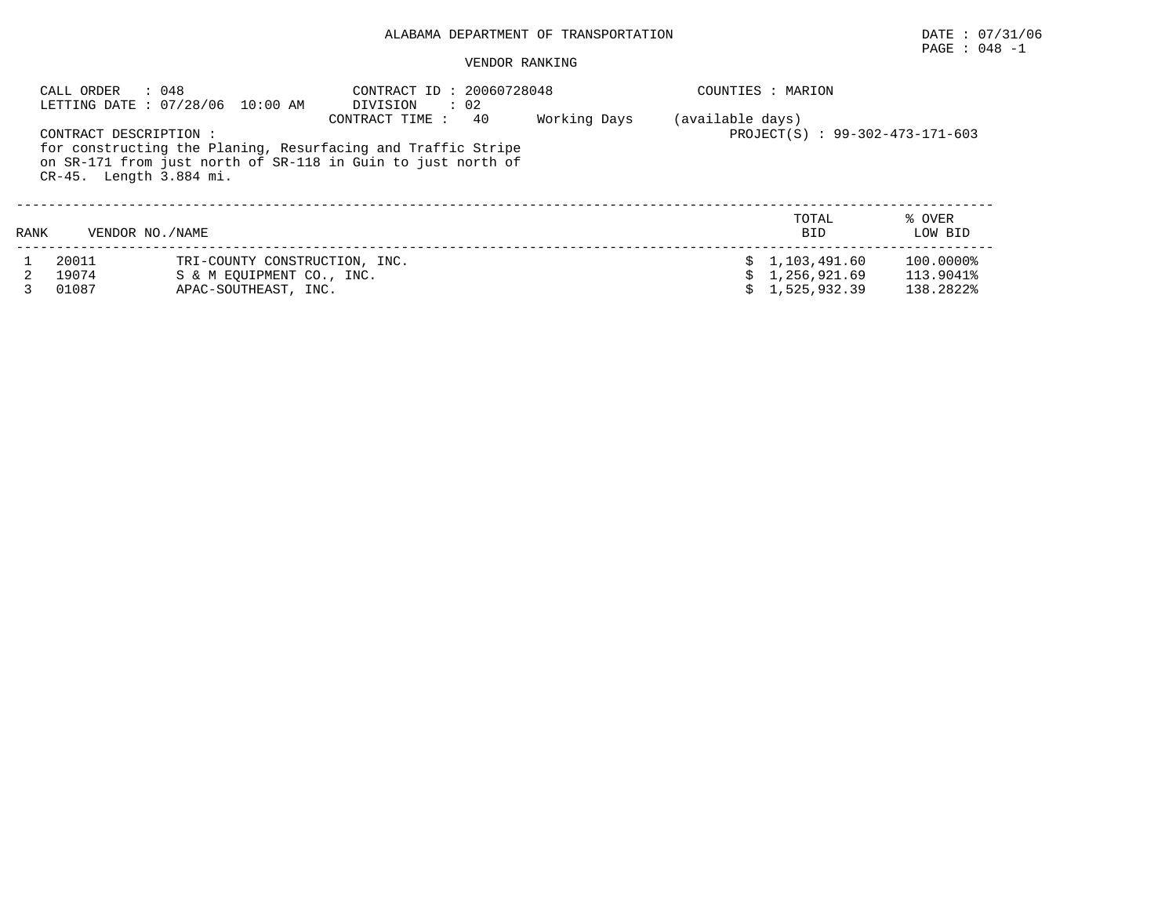# PAGE : 048 -1

|      | : 048<br>CALL ORDER                               | LETTING DATE: 07/28/06 10:00 AM | CONTRACT ID: 20060728048<br>DIVISION<br>$\therefore$ 02                                                                      |    |              |                  | COUNTIES : MARION               |                   |
|------|---------------------------------------------------|---------------------------------|------------------------------------------------------------------------------------------------------------------------------|----|--------------|------------------|---------------------------------|-------------------|
|      |                                                   |                                 | CONTRACT TIME :                                                                                                              | 40 | Working Days | (available days) |                                 |                   |
|      | CONTRACT DESCRIPTION :<br>CR-45. Length 3.884 mi. |                                 | for constructing the Planing, Resurfacing and Traffic Stripe<br>on SR-171 from just north of SR-118 in Guin to just north of |    |              |                  | PROJECT(S) : 99-302-473-171-603 |                   |
| RANK | VENDOR NO. / NAME                                 |                                 |                                                                                                                              |    |              |                  | TOTAL<br><b>BID</b>             | % OVER<br>LOW BID |
|      | 20011                                             | TRI-COUNTY CONSTRUCTION, INC.   |                                                                                                                              |    |              |                  | \$1,103,491.60                  | 100.0000%         |
|      | 19074                                             | S & M EOUIPMENT CO., INC.       |                                                                                                                              |    |              |                  | 1,256,921.69                    | 113.9041%         |
|      | 01087                                             | APAC-SOUTHEAST, INC.            |                                                                                                                              |    |              |                  | 1,525,932.39                    | 138.2822%         |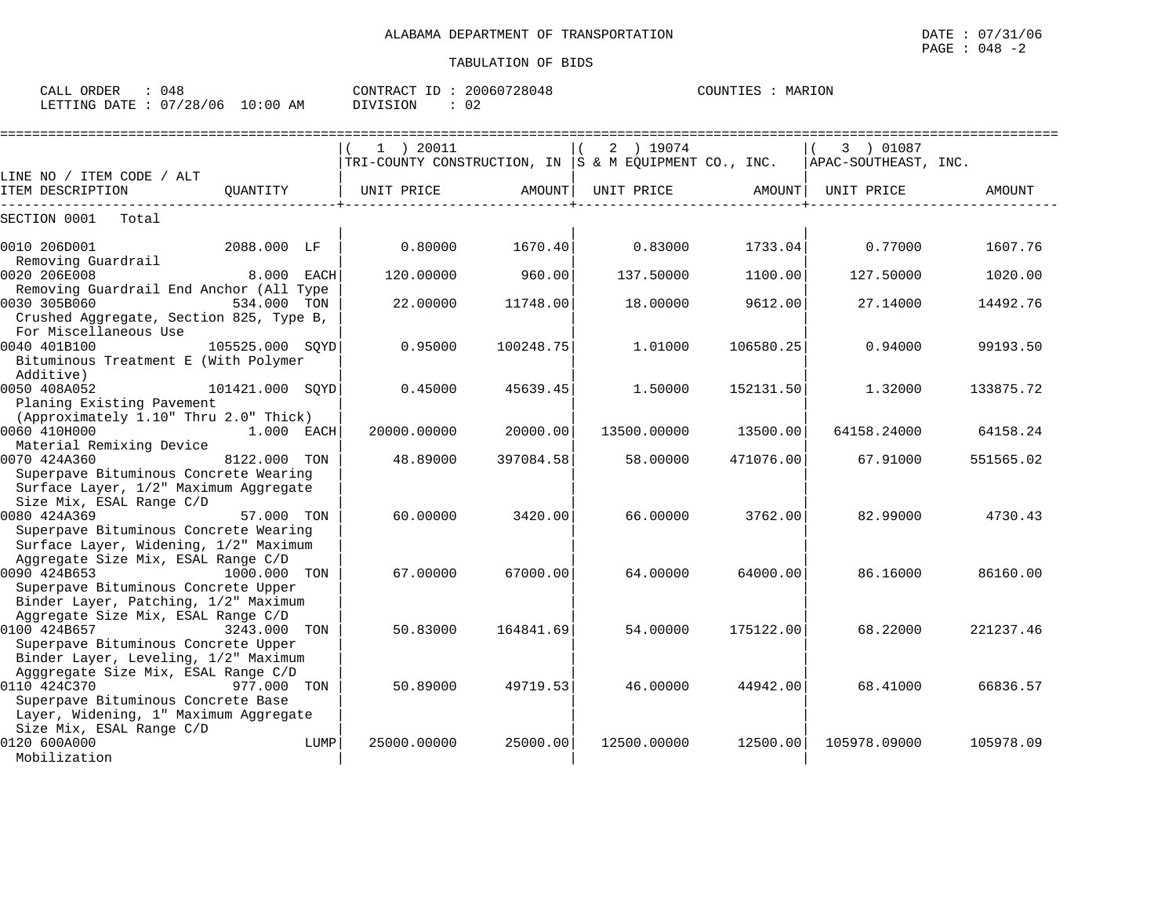|                                                                                |                 |     | $1$ ) 20011                                           |           | 2 ) 19074   |           | 3 ) 01087            |           |
|--------------------------------------------------------------------------------|-----------------|-----|-------------------------------------------------------|-----------|-------------|-----------|----------------------|-----------|
|                                                                                |                 |     | TRI-COUNTY CONSTRUCTION, IN S & M EQUIPMENT CO., INC. |           |             |           | APAC-SOUTHEAST, INC. |           |
| LINE NO / ITEM CODE / ALT                                                      |                 |     |                                                       |           |             |           |                      |           |
| ITEM DESCRIPTION                                                               | OUANTITY        |     | UNIT PRICE                                            | AMOUNT    | UNIT PRICE  | AMOUNT    | UNIT PRICE           | AMOUNT    |
| SECTION 0001<br>Total                                                          |                 |     |                                                       |           |             |           |                      |           |
| 0010 206D001                                                                   | 2088.000 LF     |     | 0.80000                                               | 1670.40   | 0.83000     | 1733.04   | 0.77000              | 1607.76   |
| Removing Guardrail                                                             |                 |     |                                                       |           |             |           |                      |           |
| 0020 206E008                                                                   | 8.000 EACH      |     | 120,00000                                             | 960.001   | 137.50000   | 1100.00   | 127.50000            | 1020.00   |
| Removing Guardrail End Anchor (All Type                                        |                 |     |                                                       |           |             |           |                      |           |
| 0030 305B060                                                                   | 534.000         | TON | 22,00000                                              | 11748.00  | 18,00000    | 9612.00   | 27.14000             | 14492.76  |
| Crushed Aggregate, Section 825, Type B,<br>For Miscellaneous Use               |                 |     |                                                       |           |             |           |                      |           |
| 0040 401B100                                                                   | 105525.000 SOYD |     | 0.95000                                               | 100248.75 | 1.01000     | 106580.25 | 0.94000              | 99193.50  |
| Bituminous Treatment E (With Polymer                                           |                 |     |                                                       |           |             |           |                      |           |
| Additive)                                                                      |                 |     |                                                       |           |             |           |                      |           |
| 0050 408A052                                                                   | 101421.000 SOYD |     | 0.45000                                               | 45639.45  | 1,50000     | 152131.50 | 1,32000              | 133875.72 |
| Planing Existing Pavement                                                      |                 |     |                                                       |           |             |           |                      |           |
| (Approximately 1.10" Thru 2.0" Thick)                                          |                 |     |                                                       |           |             |           |                      |           |
| 0060 410H000                                                                   | $1.000$ EACH    |     | 20000,00000                                           | 20000.00  | 13500.00000 | 13500.00  | 64158.24000          | 64158.24  |
| Material Remixing Device                                                       |                 |     |                                                       |           |             |           |                      |           |
| 0070 424A360                                                                   | 8122.000        | TON | 48.89000                                              | 397084.58 | 58.00000    | 471076.00 | 67.91000             | 551565.02 |
| Superpave Bituminous Concrete Wearing                                          |                 |     |                                                       |           |             |           |                      |           |
| Surface Layer, 1/2" Maximum Aggregate                                          |                 |     |                                                       |           |             |           |                      |           |
| Size Mix, ESAL Range C/D                                                       |                 |     |                                                       |           |             |           |                      |           |
| 0080 424A369                                                                   | 57.000 TON      |     | 60.00000                                              | 3420.00   | 66.00000    | 3762.00   | 82.99000             | 4730.43   |
| Superpave Bituminous Concrete Wearing<br>Surface Layer, Widening, 1/2" Maximum |                 |     |                                                       |           |             |           |                      |           |
| Aggregate Size Mix, ESAL Range C/D                                             |                 |     |                                                       |           |             |           |                      |           |
| 0090 424B653                                                                   | 1000.000 TON    |     | 67.00000                                              | 67000.00  | 64.00000    | 64000.00  | 86.16000             | 86160.00  |
| Superpave Bituminous Concrete Upper                                            |                 |     |                                                       |           |             |           |                      |           |
| Binder Layer, Patching, 1/2" Maximum                                           |                 |     |                                                       |           |             |           |                      |           |
| Aggregate Size Mix, ESAL Range C/D                                             |                 |     |                                                       |           |             |           |                      |           |
| 0100 424B657 3243.000 TON                                                      |                 |     | 50.83000                                              | 164841.69 | 54.00000    | 175122.00 | 68.22000             | 221237.46 |

0100 424B657 3243.000 TON | 50.83000 164841.69| 54.00000 175122.00| 68.22000 221237.46

0110 424C370 977.000 TON | 50.89000 49719.53| 46.00000 44942.00| 68.41000 66836.57

0120 600A000 LUMP| 25000.00000 25000.000| 12500.00000 105978.09000 105978.09

Agggregate Size Mix, ESAL Range C/D | | |

Size Mix, ESAL Range C/D | | |

Superpave Bituminous Concrete Upper Binder Layer, Leveling, 1/2" Maximum

Superpave Bituminous Concrete Base Layer, Widening, 1" Maximum Aggregate

Mobilization | | |

CALL ORDER :  $048$  CONTRACT ID :  $20060728048$ COUNTIES : MARION LETTING DATE : 07/28/06 10:00 AM DIVISION : 02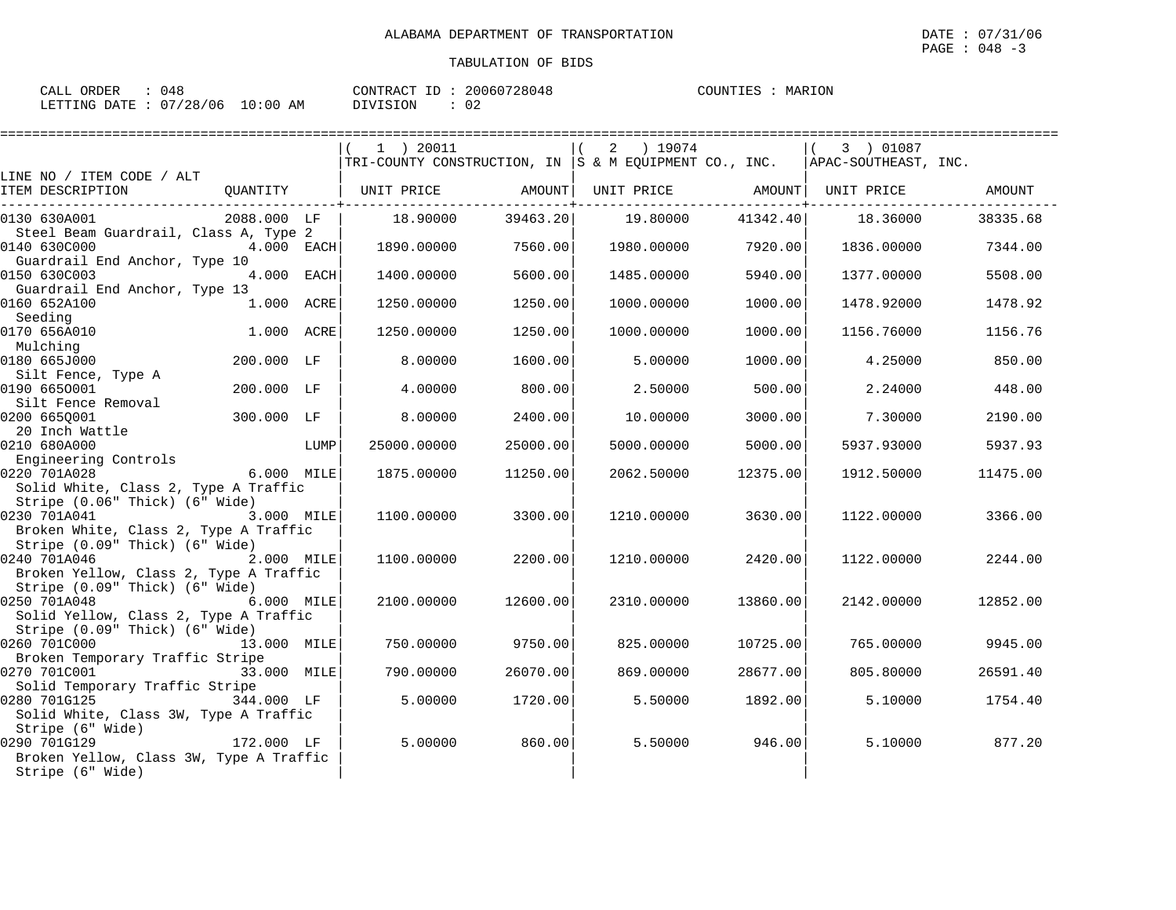| CALL ORDER                      | : 048 |          | CONTRACT ID: 20060728048 | COUNTIES : MARION |  |
|---------------------------------|-------|----------|--------------------------|-------------------|--|
| LETTING DATE: 07/28/06 10:00 AM |       | DIVISION | $\therefore$ 02          |                   |  |

|                                                      |                 |      | 1 ) 20011                                                                       |          | 2 ) 19074         |          | 3 ) 01087  |          |
|------------------------------------------------------|-----------------|------|---------------------------------------------------------------------------------|----------|-------------------|----------|------------|----------|
| LINE NO / ITEM CODE / ALT                            |                 |      | $ TRI-COUNTY CONSTRUCTION, IN  S & M EQUIPMENT CO., INC.  APAC-SOUTHEAST, INC.$ |          |                   |          |            |          |
| ITEM DESCRIPTION                                     |                 |      |                                                                                 |          | UNIT PRICE AMOUNT |          | UNIT PRICE | AMOUNT   |
|                                                      |                 |      |                                                                                 |          |                   |          |            |          |
| 0130 630A001                                         | 2088.000 LF     |      | 18.90000                                                                        | 39463.20 | 19.80000          | 41342.40 | 18.36000   | 38335.68 |
| Steel Beam Guardrail, Class A, Type 2                |                 |      |                                                                                 |          |                   |          |            |          |
| 0140 630C000                                         | 4.000 EACH      |      | 1890.00000                                                                      | 7560.00  | 1980.00000        | 7920.00  | 1836.00000 | 7344.00  |
| Guardrail End Anchor, Type 10                        |                 |      |                                                                                 |          |                   |          |            |          |
| 0150 630C003                                         | 4.000 EACH      |      | 1400.00000                                                                      | 5600.00  | 1485.00000        | 5940.00  | 1377.00000 | 5508.00  |
| Guardrail End Anchor, Type 13                        |                 |      |                                                                                 |          |                   |          |            |          |
| 0160 652A100<br>Seeding                              | 1.000 ACRE      |      | 1250.00000                                                                      | 1250.00  | 1000.00000        | 1000.00  | 1478.92000 | 1478.92  |
| 0170 656A010                                         | 1.000 ACRE      |      | 1250.00000                                                                      | 1250.00  | 1000.00000        | 1000.00  | 1156.76000 | 1156.76  |
| Mulching                                             |                 |      |                                                                                 |          |                   |          |            |          |
| 0180 665J000                                         | 200.000 LF      |      | 8,00000                                                                         | 1600.00  | 5.00000           | 1000.00  | 4.25000    | 850.00   |
| Silt Fence, Type A                                   |                 |      |                                                                                 |          |                   |          |            |          |
| 0190 6650001                                         | 200.000 LF      |      | 4.00000                                                                         | 800.00   | 2.50000           | 500.00   | 2.24000    | 448.00   |
| Silt Fence Removal                                   |                 |      |                                                                                 |          |                   |          |            |          |
| 0200 6650001                                         | 300.000 LF      |      | 8,00000                                                                         | 2400.00  | 10.00000          | 3000.00  | 7.30000    | 2190.00  |
| 20 Inch Wattle                                       |                 |      |                                                                                 |          |                   |          |            |          |
| 0210 680A000                                         |                 | LUMP | 25000.00000                                                                     | 25000.00 | 5000.00000        | 5000.00  | 5937.93000 | 5937.93  |
| Engineering Controls                                 |                 |      |                                                                                 |          |                   |          |            |          |
| 0220 701A028<br>Solid White, Class 2, Type A Traffic | 6.000 MILE      |      | 1875.00000                                                                      | 11250.00 | 2062.50000        | 12375.00 | 1912.50000 | 11475.00 |
| Stripe (0.06" Thick) (6" Wide)                       |                 |      |                                                                                 |          |                   |          |            |          |
| 0230 701A041                                         | 3.000 MILE      |      | 1100.00000                                                                      | 3300.00  | 1210.00000        | 3630.00  | 1122.00000 | 3366.00  |
| Broken White, Class 2, Type A Traffic                |                 |      |                                                                                 |          |                   |          |            |          |
| Stripe (0.09" Thick) (6" Wide)                       |                 |      |                                                                                 |          |                   |          |            |          |
| 0240 701A046                                         | 2.000 MILE      |      | 1100.00000                                                                      | 2200.00  | 1210.00000        | 2420.00  | 1122.00000 | 2244.00  |
| Broken Yellow, Class 2, Type A Traffic               |                 |      |                                                                                 |          |                   |          |            |          |
| Stripe (0.09" Thick) (6" Wide)                       |                 |      |                                                                                 |          |                   |          |            |          |
| 0250 701A048                                         | 6.000 MILE      |      | 2100.00000                                                                      | 12600.00 | 2310.00000        | 13860.00 | 2142.00000 | 12852.00 |
| Solid Yellow, Class 2, Type A Traffic                |                 |      |                                                                                 |          |                   |          |            |          |
| Stripe (0.09" Thick) (6" Wide)                       |                 |      |                                                                                 |          |                   |          |            |          |
| 0260 701C000                                         | 13.000 MILE     |      | 750.00000                                                                       | 9750.00  | 825.00000         | 10725.00 | 765.00000  | 9945.00  |
| Broken Temporary Traffic Stripe<br>0270 701C001      | 33.000 MILE     |      | 790.00000                                                                       | 26070.00 | 869,00000         | 28677.00 | 805,80000  | 26591.40 |
| Solid Temporary Traffic Stripe                       |                 |      |                                                                                 |          |                   |          |            |          |
| 0280 701G125 344.000 LF                              |                 |      | 5.00000                                                                         | 1720.00  | 5.50000           | 1892.00  | 5.10000    | 1754.40  |
| Solid White, Class 3W, Type A Traffic                |                 |      |                                                                                 |          |                   |          |            |          |
| Stripe (6" Wide)                                     |                 |      |                                                                                 |          |                   |          |            |          |
| 0290 701G129                                         | ли и 172.000 LF |      | 5,00000                                                                         | 860.00   | 5.50000           | 946.00   | 5.10000    | 877.20   |
| Broken Yellow, Class 3W, Type A Traffic              |                 |      |                                                                                 |          |                   |          |            |          |
| Stripe (6" Wide)                                     |                 |      |                                                                                 |          |                   |          |            |          |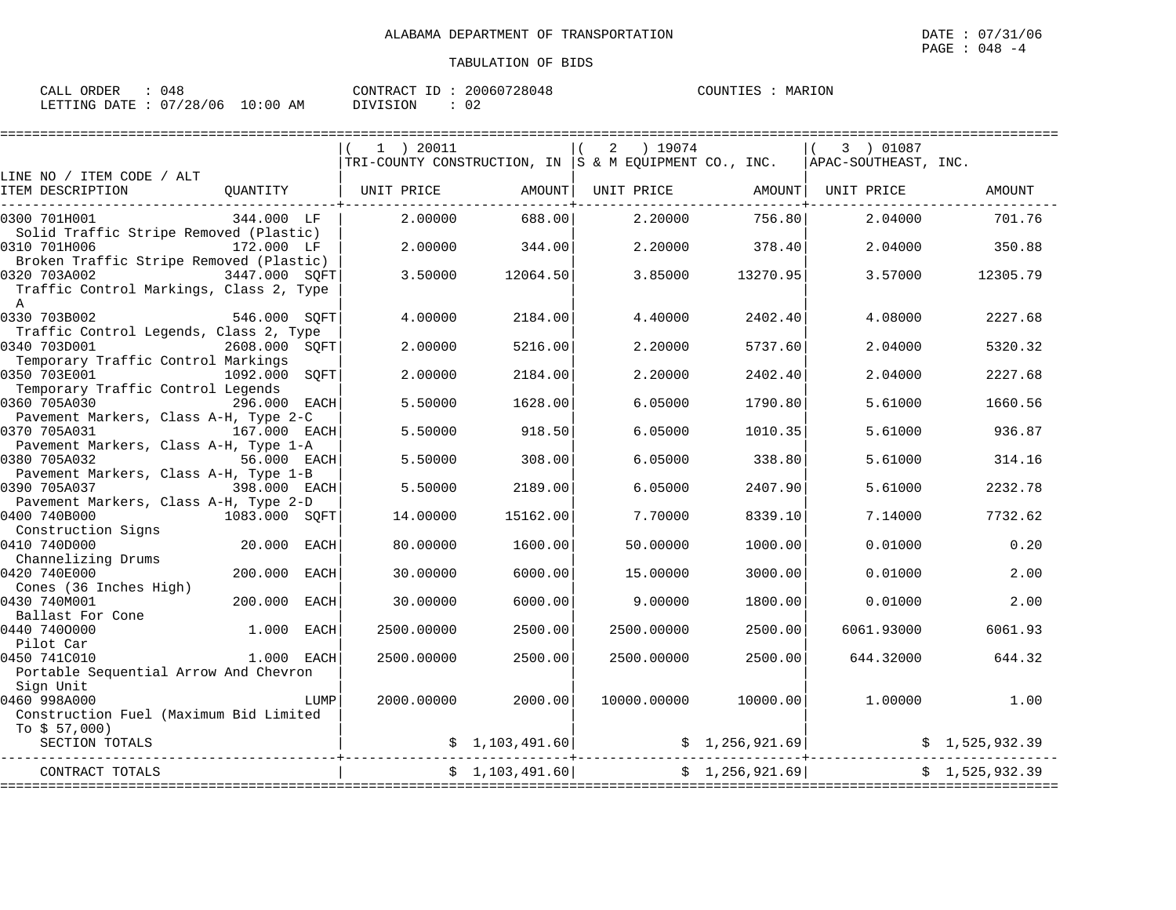| CALL ORDER                      | : 048 |          | CONTRACT ID: 20060728048 | COUNTIES : MARION |  |
|---------------------------------|-------|----------|--------------------------|-------------------|--|
| LETTING DATE: 07/28/06 10:00 AM |       | DIVISION | : 02                     |                   |  |

|                                                                             |               |             | $1$ ) 20011<br>$\lceil$ TRI-COUNTY CONSTRUCTION, IN $\lceil$ S & M EQUIPMENT CO., INC. |                 | ) 19074<br>2 |                | 3 ) 01087<br>APAC-SOUTHEAST, INC. |                |
|-----------------------------------------------------------------------------|---------------|-------------|----------------------------------------------------------------------------------------|-----------------|--------------|----------------|-----------------------------------|----------------|
| LINE NO / ITEM CODE / ALT                                                   |               |             |                                                                                        |                 |              |                |                                   |                |
| ITEM DESCRIPTION                                                            |               |             | OUANTITY   UNIT PRICE                                                                  | AMOUNT          | UNIT PRICE   | AMOUNT         | UNIT PRICE                        | <b>AMOUNT</b>  |
| 0300 701H001<br>Solid Traffic Stripe Removed (Plastic)                      | 344.000 LF    |             | 2,00000                                                                                | 688.00          | 2.20000      | 756.80         | 2.04000                           | 701.76         |
| 0310 701H006<br>Broken Traffic Stripe Removed (Plastic)                     | 172.000 LF    |             | 2,00000                                                                                | 344.00          | 2.20000      | 378.40         | 2.04000                           | 350.88         |
| 0320 703A002<br>Traffic Control Markings, Class 2, Type<br>$\mathbb{A}$     | 3447.000 SQFT |             | 3.50000                                                                                | 12064.50        | 3.85000      | 13270.95       | 3.57000                           | 12305.79       |
| 0330 703B002<br>Traffic Control Legends, Class 2, Type                      | 546.000 SOFT  |             | 4.00000                                                                                | 2184.00         | 4.40000      | 2402.40        | 4.08000                           | 2227.68        |
| 0340 703D001<br>Temporary Traffic Control Markings                          | 2608.000 SQFT |             | 2.00000                                                                                | 5216.00         | 2.20000      | 5737.60        | 2.04000                           | 5320.32        |
| 0350 703E001<br>Temporary Traffic Control Legends                           | 1092.000 SOFT |             | 2.00000                                                                                | 2184.00         | 2.20000      | 2402.40        | 2.04000                           | 2227.68        |
| 0360 705A030<br>Pavement Markers, Class A-H, Type 2-C                       | 296.000 EACH  |             | 5.50000                                                                                | 1628.00         | 6.05000      | 1790.80        | 5.61000                           | 1660.56        |
| 0370 705A031<br>Pavement Markers, Class A-H, Type 1-A                       | 167.000 EACH  |             | 5.50000                                                                                | 918.50          | 6.05000      | 1010.35        | 5.61000                           | 936.87         |
| 0380 705A032<br>Pavement Markers, Class A-H, Type 1-B                       | 56.000 EACH   |             | 5.50000                                                                                | 308.00          | 6.05000      | 338.80         | 5.61000                           | 314.16         |
| 0390 705A037                                                                | 398.000 EACH  |             | 5.50000                                                                                | 2189.00         | 6.05000      | 2407.90        | 5.61000                           | 2232.78        |
| Pavement Markers, Class A-H, Type 2-D<br>0400 740B000<br>Construction Signs | 1083.000 SOFT |             | 14.00000                                                                               | 15162.00        | 7.70000      | 8339.10        | 7.14000                           | 7732.62        |
| 0410 740D000                                                                | 20.000        | EACH        | 80.00000                                                                               | 1600.00         | 50.00000     | 1000.00        | 0.01000                           | 0.20           |
| Channelizing Drums<br>0420 740E000<br>Cones (36 Inches High)                | 200.000       | EACH        | 30.00000                                                                               | 6000.00         | 15.00000     | 3000.00        | 0.01000                           | 2.00           |
| 0430 740M001                                                                | 200.000       | <b>EACH</b> | 30.00000                                                                               | 6000.00         | 9,00000      | 1800.00        | 0.01000                           | 2.00           |
| Ballast For Cone<br>0440 7400000                                            | 1.000         | EACH        | 2500.00000                                                                             | 2500.00         | 2500.00000   | 2500.00        | 6061.93000                        | 6061.93        |
| Pilot Car<br>0450 741C010                                                   | 1.000 EACH    |             | 2500.00000                                                                             | 2500.00         | 2500.00000   | 2500.00        | 644.32000                         | 644.32         |
| Portable Sequential Arrow And Chevron                                       |               |             |                                                                                        |                 |              |                |                                   |                |
| Sign Unit<br>0460 998A000                                                   |               | LUMP        | 2000.00000                                                                             | 2000.00         | 10000.00000  | 10000.00       | 1,00000                           | 1.00           |
| Construction Fuel (Maximum Bid Limited                                      |               |             |                                                                                        |                 |              |                |                                   |                |
| To $$57,000$ )<br>SECTION TOTALS                                            |               |             |                                                                                        | \$1,103,491.60] |              | \$1,256,921.69 |                                   | \$1,525,932.39 |
| CONTRACT TOTALS                                                             |               |             |                                                                                        | \$1,103,491.60] |              | \$1,256,921.69 |                                   | \$1,525,932.39 |
|                                                                             |               |             |                                                                                        |                 |              |                |                                   |                |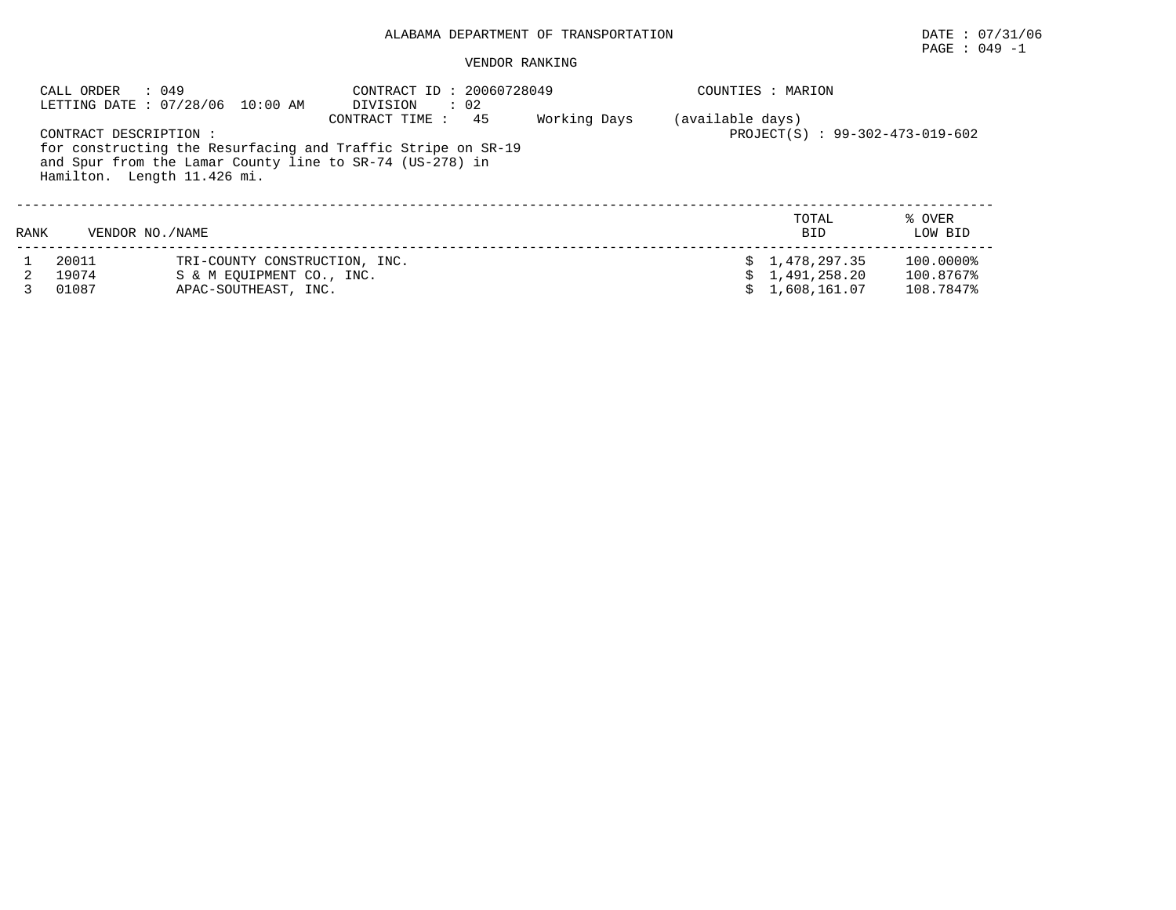# PAGE : 049 -1

| CALL ORDER                                            | : 049<br>LETTING DATE: 07/28/06 10:00 AM                                           | CONTRACT ID: 20060728049<br>DIVISION<br>$\therefore$ 02                                                                                           |              |                  | COUNTIES : MARION                              |                                     |
|-------------------------------------------------------|------------------------------------------------------------------------------------|---------------------------------------------------------------------------------------------------------------------------------------------------|--------------|------------------|------------------------------------------------|-------------------------------------|
| CONTRACT DESCRIPTION :<br>Hamilton. Length 11.426 mi. |                                                                                    | 45<br>CONTRACT TIME :<br>for constructing the Resurfacing and Traffic Stripe on SR-19<br>and Spur from the Lamar County line to SR-74 (US-278) in | Working Days | (available days) | PROJECT(S) : 99-302-473-019-602                |                                     |
| VENDOR NO. / NAME<br>RANK                             |                                                                                    |                                                                                                                                                   |              |                  | TOTAL<br><b>BID</b>                            | % OVER<br>LOW BID                   |
| 20011<br>19074<br>01087                               | TRI-COUNTY CONSTRUCTION, INC.<br>S & M EOUIPMENT CO., INC.<br>APAC-SOUTHEAST, INC. |                                                                                                                                                   |              |                  | \$1,478,297.35<br>1,491,258.20<br>1,608,161.07 | 100.0000%<br>100.8767%<br>108.7847% |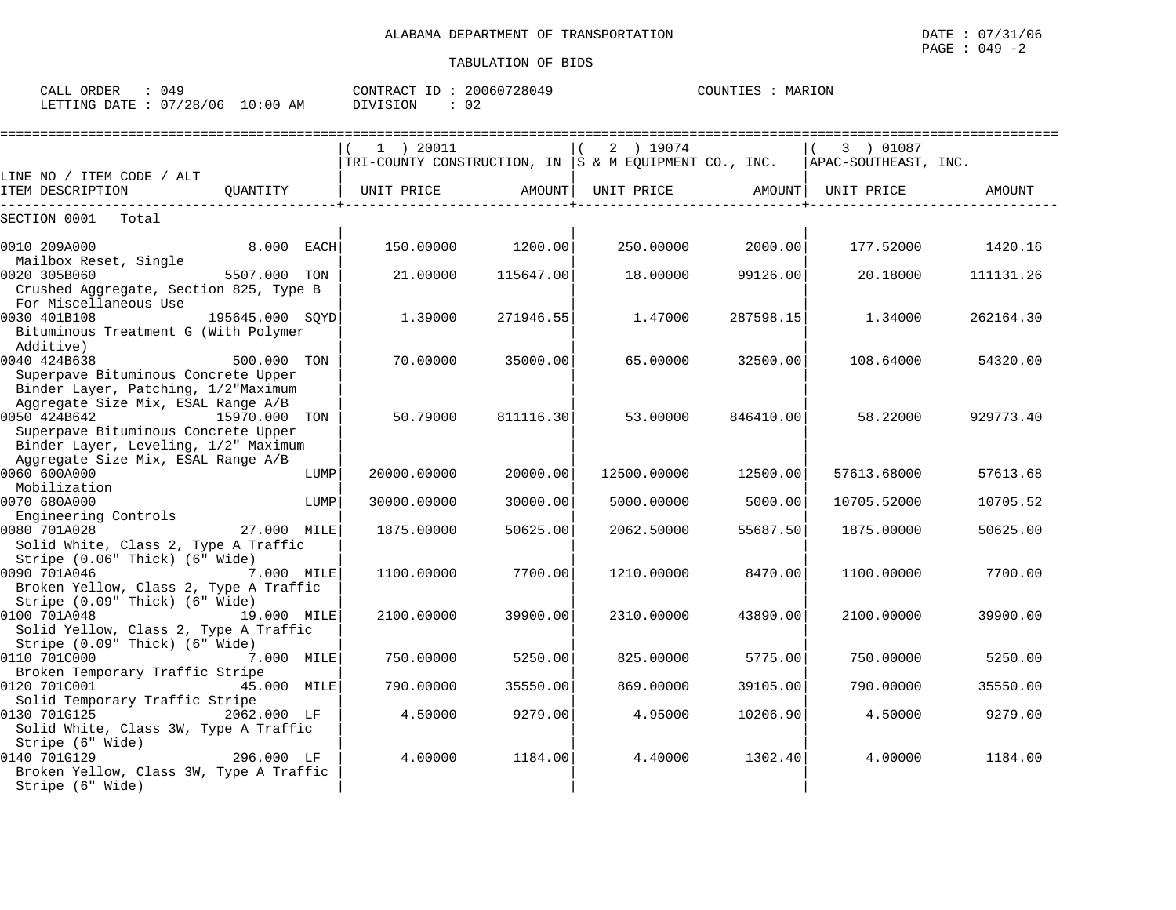| LETTING DATE: 07/28/06 10:00 AM DIVISION                                                                                                        |              |      | $\therefore$ 02                                                                         |                   |                   |           |             |                   |
|-------------------------------------------------------------------------------------------------------------------------------------------------|--------------|------|-----------------------------------------------------------------------------------------|-------------------|-------------------|-----------|-------------|-------------------|
| LINE NO / ITEM CODE / ALT                                                                                                                       |              |      | 1 ) 20011<br>TRI-COUNTY CONSTRUCTION, IN S & M EQUIPMENT CO., INC. APAC-SOUTHEAST, INC. |                   | 2 ) 19074         |           | 3 ) 01087   |                   |
| ITEM DESCRIPTION                                                                                                                                | QUANTITY     |      | UNIT PRICE AMOUNT                                                                       |                   | UNIT PRICE AMOUNT |           | UNIT PRICE  | AMOUNT            |
| SECTION 0001 Total                                                                                                                              |              |      |                                                                                         |                   |                   |           |             |                   |
| $8.000$ EACH<br>0010 209A000<br>Mailbox Reset, Single                                                                                           |              |      |                                                                                         | 150.00000 1200.00 | 250.00000         | 2000.00   |             | 177.52000 1420.16 |
| 0020 305B060<br>Crushed Aggregate, Section 825, Type B<br>For Miscellaneous Use                                                                 | 5507.000 TON |      | 21.00000                                                                                | 115647.00         | 18.00000          | 99126.00  | 20.18000    | 111131.26         |
| 0030 401B108 195645.000 SOYD<br>Bituminous Treatment G (With Polymer<br>Additive)                                                               |              |      | 1,39000                                                                                 | 271946.55         | 1.47000           | 287598.15 | 1.34000     | 262164.30         |
| 0040 424B638<br>Superpave Bituminous Concrete Upper<br>Binder Layer, Patching, 1/2"Maximum                                                      | 500.000 TON  |      | 70.00000                                                                                | 35000.00          | 65.00000          | 32500.00  | 108.64000   | 54320.00          |
| Aggregate Size Mix, ESAL Range A/B<br>0050 424B642 15970.000 TON<br>Superpave Bituminous Concrete Upper<br>Binder Layer, Leveling, 1/2" Maximum |              |      | 50.79000                                                                                | 811116.30         | 53.00000          | 846410.00 | 58.22000    | 929773.40         |
| Aggregate Size Mix, ESAL Range A/B<br>0060 600A000                                                                                              |              | LUMP | 20000.00000                                                                             | 20000.00          | 12500.00000       | 12500.00  | 57613.68000 | 57613.68          |
| Mobilization<br>0070 680A000<br>Engineering Controls                                                                                            |              | LUMP | 30000.00000                                                                             | 30000.00          | 5000.00000        | 5000.00   | 10705.52000 | 10705.52          |
| 0080 701A028<br>27.000 MILE<br>Solid White, Class 2, Type A Traffic<br>Stripe (0.06" Thick) (6" Wide)                                           |              |      | 1875.00000                                                                              | 50625.00          | 2062.50000        | 55687.50  | 1875.00000  | 50625.00          |
| 0090 701A046                                                                                                                                    | $7.000$ MILE |      | 1100.00000                                                                              | 7700.00           | 1210.00000        | 8470.00   | 1100.00000  | 7700.00           |

| CALL ORDER                      | 049 | CONTRACT ID: | 20060728049 | COUNTIES : | MARION |
|---------------------------------|-----|--------------|-------------|------------|--------|
| LETTING DATE: 07/28/06 10:00 AM |     | DIVISION     |             |            |        |

| $D$ is called the castle of the change of $D$                  |               |      |             |           |             |           |             |           |
|----------------------------------------------------------------|---------------|------|-------------|-----------|-------------|-----------|-------------|-----------|
| Additive)                                                      |               |      |             |           |             |           |             |           |
| 0040 424B638                                                   | 500.000 TON   |      | 70.00000    | 35000.00  | 65.00000    | 32500.00  | 108.64000   | 54320.00  |
| Superpave Bituminous Concrete Upper                            |               |      |             |           |             |           |             |           |
| Binder Layer, Patching, 1/2"Maximum                            |               |      |             |           |             |           |             |           |
| Aggregate Size Mix, ESAL Range A/B                             |               |      |             |           |             |           |             |           |
| 0050 424B642                                                   | 15970.000 TON |      | 50.79000    | 811116.30 | 53.00000    | 846410.00 | 58.22000    | 929773.40 |
| Superpave Bituminous Concrete Upper                            |               |      |             |           |             |           |             |           |
| Binder Layer, Leveling, 1/2" Maximum                           |               |      |             |           |             |           |             |           |
| Aggregate Size Mix, ESAL Range A/B                             |               |      |             |           |             |           |             |           |
| 0060 600A000                                                   |               | LUMP | 20000.00000 | 20000.00  | 12500.00000 | 12500.00  | 57613.68000 | 57613.68  |
| Mobilization                                                   |               |      |             |           |             |           |             |           |
| 0070 680A000                                                   |               | LUMP | 30000.00000 | 30000.00  | 5000.00000  | 5000.00   | 10705.52000 | 10705.52  |
| Engineering Controls                                           |               |      |             |           |             |           |             |           |
| 0080 701A028                                                   | 27.000 MILE   |      | 1875.00000  | 50625.00  | 2062.50000  | 55687.50  | 1875.00000  | 50625.00  |
| Solid White, Class 2, Type A Traffic                           |               |      |             |           |             |           |             |           |
| Stripe (0.06" Thick) (6" Wide)                                 |               |      |             |           |             |           |             |           |
|                                                                | 7.000 MILE    |      | 1100.00000  | 7700.00   | 1210.00000  | 8470.00   | 1100.00000  | 7700.00   |
| Broken Yellow, Class 2, Type A Traffic                         |               |      |             |           |             |           |             |           |
| Stripe (0.09" Thick) (6" Wide)                                 |               |      |             |           |             |           |             |           |
| 0100 701A048                                                   | 19.000 MILE   |      | 2100.00000  | 39900.00  | 2310.00000  | 43890.00  | 2100,00000  | 39900.00  |
| Solid Yellow, Class 2, Type A Traffic                          |               |      |             |           |             |           |             |           |
| Stripe (0.09" Thick) (6" Wide)<br>0110 701C000                 | 7.000 MILE    |      | 750.00000   | 5250.00   |             | 5775.00   | 750.00000   |           |
|                                                                |               |      |             |           | 825,00000   |           |             | 5250.00   |
| Broken Temporary Traffic Stripe<br>0120 701C001<br>45.000 MILE |               |      | 790.00000   | 35550.00  | 869.00000   | 39105.00  | 790.00000   | 35550.00  |
| Solid Temporary Traffic Stripe                                 |               |      |             |           |             |           |             |           |
| 0130 701G125                                                   | 2062.000 LF   |      | 4.50000     | 9279.00   | 4.95000     | 10206.90  | 4.50000     | 9279.00   |
| Solid White, Class 3W, Type A Traffic                          |               |      |             |           |             |           |             |           |
| Stripe (6" Wide)                                               |               |      |             |           |             |           |             |           |
| 0140 701G129                                                   | 296.000 LF    |      | 4.00000     | 1184.00   | 4.40000     | 1302.40   | 4.00000     | 1184.00   |
| Broken Yellow, Class 3W, Type A Traffic                        |               |      |             |           |             |           |             |           |
| Stripe (6" Wide)                                               |               |      |             |           |             |           |             |           |
|                                                                |               |      |             |           |             |           |             |           |
|                                                                |               |      |             |           |             |           |             |           |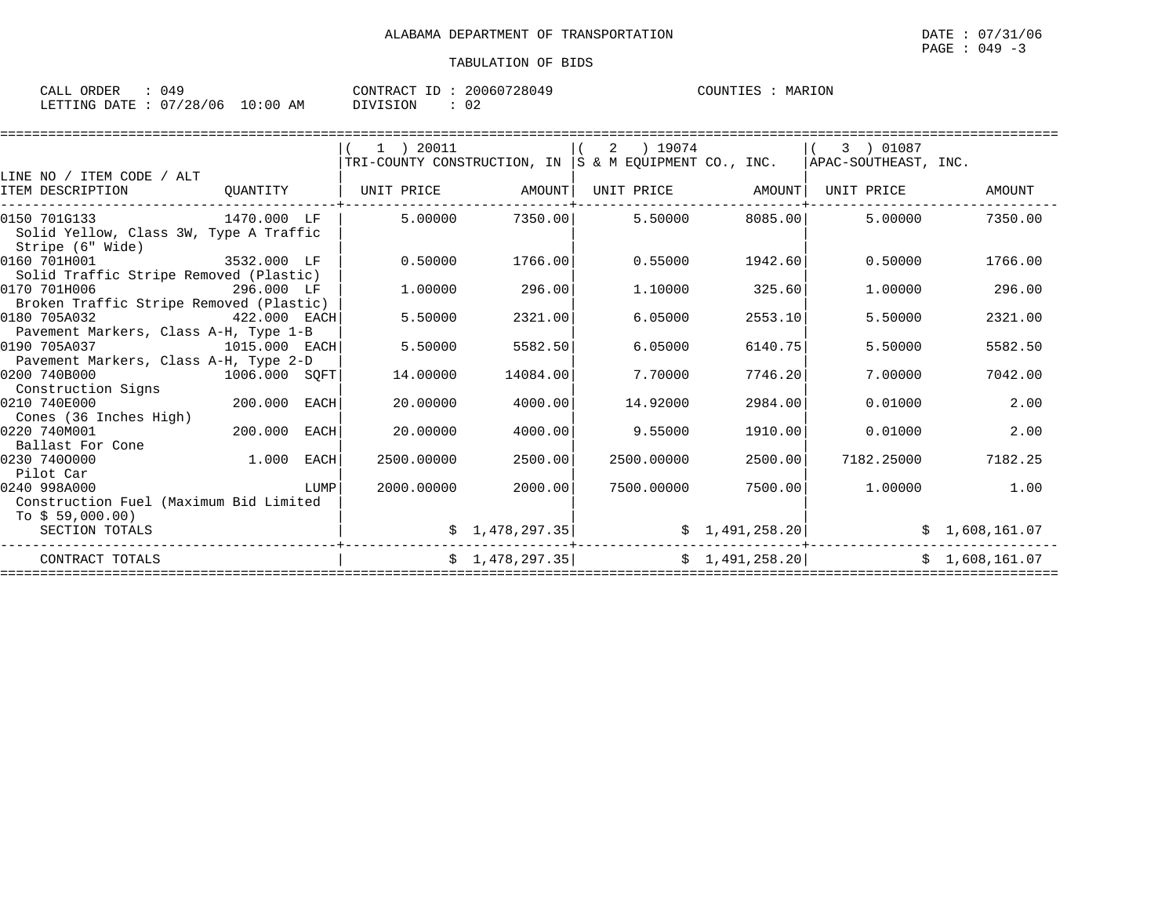| CALL<br>ORDER |          |             | CONTRACT<br>TD. | 20060728049         | COUNTIES | MARION<br>MAR |
|---------------|----------|-------------|-----------------|---------------------|----------|---------------|
| LETTING DATE  | 07/28/06 | 10:00<br>AM | DIVISION        | $\sim$ $\sim$<br>◡∠ |          |               |

|                                         |               |      | 1 ) 20011         |                 | ) 19074<br>2 |                   | 3 ) 01087                                                                              |                |
|-----------------------------------------|---------------|------|-------------------|-----------------|--------------|-------------------|----------------------------------------------------------------------------------------|----------------|
|                                         |               |      |                   |                 |              |                   | $ TRI$ -COUNTY CONSTRUCTION, IN $ S \& M$ EQUIPMENT CO., INC. $ APAC-SOUTHEAST$ , INC. |                |
| LINE NO / ITEM CODE / ALT               |               |      |                   |                 |              |                   |                                                                                        |                |
| ITEM DESCRIPTION                        | OUANTITY      |      | UNIT PRICE AMOUNT |                 |              | UNIT PRICE AMOUNT | UNIT PRICE                                                                             | AMOUNT         |
|                                         |               |      |                   |                 |              |                   |                                                                                        |                |
| 0150 701G133                            | 1470.000 LF   |      | 5.00000           | 7350.00         | 5.50000      | 8085.00           | 5.00000                                                                                | 7350.00        |
| Solid Yellow, Class 3W, Type A Traffic  |               |      |                   |                 |              |                   |                                                                                        |                |
| Stripe (6" Wide)                        |               |      |                   |                 |              |                   |                                                                                        |                |
| 0160 701H001                            | 3532.000 LF   |      | 0.50000           | 1766.00         | 0.55000      | 1942.60           | 0.50000                                                                                | 1766.00        |
| Solid Traffic Stripe Removed (Plastic)  |               |      |                   |                 |              |                   |                                                                                        |                |
| 0170 701H006                            | 296.000 LF    |      | 1,00000           | 296.00          | 1,10000      | 325.60            | 1,00000                                                                                | 296.00         |
| Broken Traffic Stripe Removed (Plastic) |               |      |                   |                 |              |                   |                                                                                        |                |
| 0180 705A032                            | 422.000 EACH  |      | 5.50000           | 2321.00         | 6.05000      | 2553.10           | 5.50000                                                                                | 2321.00        |
| Pavement Markers, Class A-H, Type 1-B   |               |      |                   |                 |              |                   |                                                                                        |                |
| 0190 705A037                            | 1015.000 EACH |      | 5.50000           | 5582.50         | 6.05000      | 6140.75           | 5.50000                                                                                | 5582.50        |
| Pavement Markers, Class A-H, Type 2-D   |               |      |                   |                 |              |                   |                                                                                        |                |
| 0200 740B000                            | 1006.000 SOFT |      | 14.00000          | 14084.00        | 7.70000      | 7746.20           | 7.00000                                                                                | 7042.00        |
| Construction Signs                      |               |      |                   |                 |              |                   |                                                                                        |                |
| 0210 740E000                            | 200.000 EACH  |      | 20.00000          | 4000.00         | 14.92000     | 2984.00           | 0.01000                                                                                | 2.00           |
| Cones (36 Inches High)                  |               |      |                   |                 |              |                   |                                                                                        |                |
| 0220 740M001                            | 200.000       | EACH | 20.00000          | 4000.00         | 9.55000      | 1910.00           | 0.01000                                                                                | 2.00           |
| Ballast For Cone                        |               |      |                   |                 |              |                   |                                                                                        |                |
| 0230 7400000                            | 1.000 EACH    |      | 2500.00000        | 2500.00         | 2500.00000   | 2500.00           | 7182.25000                                                                             | 7182.25        |
| Pilot Car                               |               |      |                   |                 |              |                   |                                                                                        |                |
| 0240 998A000                            | <b>LUMP</b>   |      | 2000.00000        | 2000.00         | 7500.00000   | 7500.00           | 1,00000                                                                                | 1.00           |
| Construction Fuel (Maximum Bid Limited  |               |      |                   |                 |              |                   |                                                                                        |                |
| To $$59,000.00)$                        |               |      |                   |                 |              |                   |                                                                                        |                |
| SECTION TOTALS                          |               |      |                   | \$1,478,297.35] |              | \$1,491,258.20]   |                                                                                        | \$1,608,161.07 |
| CONTRACT TOTALS                         |               |      |                   | \$1,478,297.35] |              | \$1,491,258.20]   |                                                                                        | \$1,608,161.07 |
|                                         |               |      |                   |                 |              |                   |                                                                                        |                |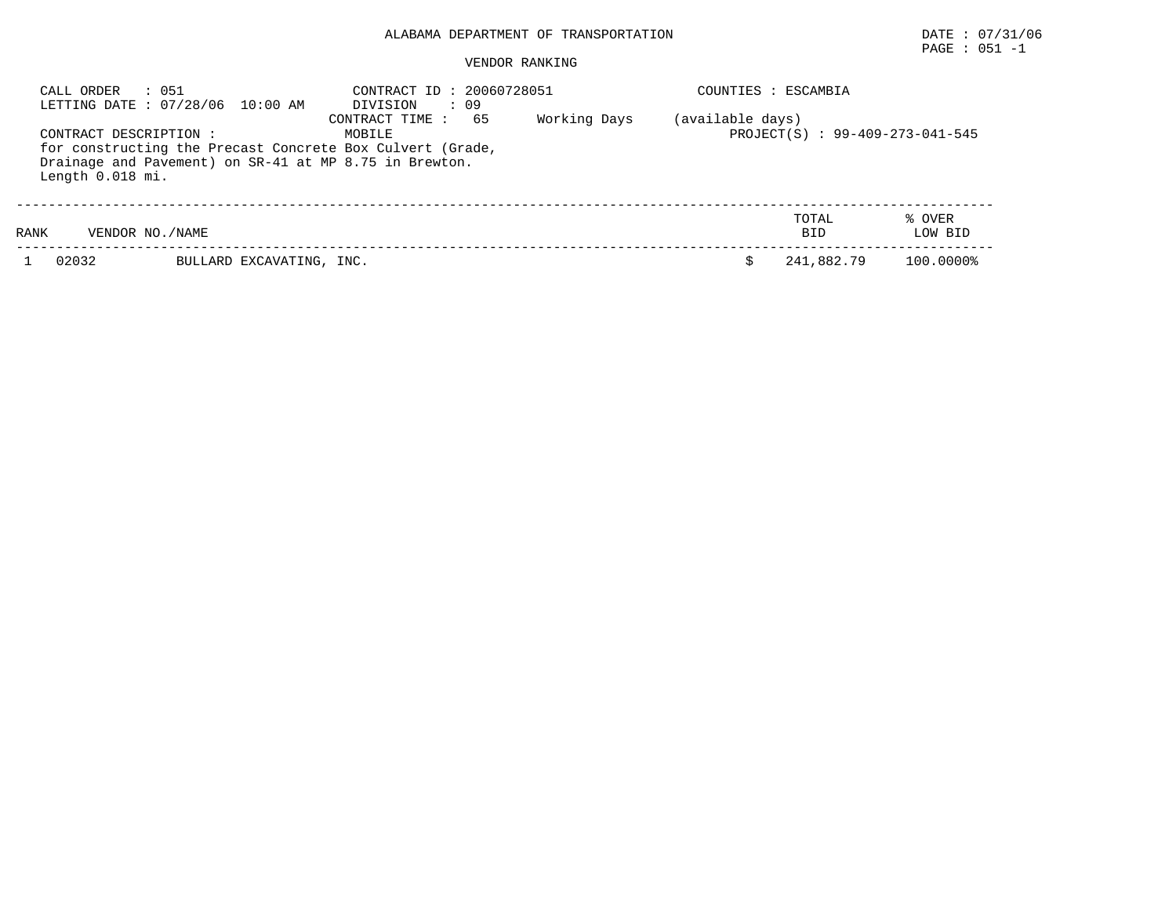# PAGE : 051 -1

| CALL ORDER                                   | : 051<br>LETTING DATE: 07/28/06 10:00 AM               | CONTRACT ID: 20060728051<br>: 09<br>DIVISION                                                 |              |                  | COUNTIES : ESCAMBIA             |                   |
|----------------------------------------------|--------------------------------------------------------|----------------------------------------------------------------------------------------------|--------------|------------------|---------------------------------|-------------------|
| CONTRACT DESCRIPTION :<br>Length $0.018$ mi. | Drainage and Pavement) on SR-41 at MP 8.75 in Brewton. | 65<br>CONTRACT TIME :<br>MOBILE<br>for constructing the Precast Concrete Box Culvert (Grade, | Working Days | (available days) | PROJECT(S) : 99-409-273-041-545 |                   |
| RANK                                         | VENDOR NO. / NAME                                      |                                                                                              |              |                  | TOTAL<br><b>BID</b>             | % OVER<br>LOW BID |
| 02032                                        | BULLARD EXCAVATING, INC.                               |                                                                                              |              |                  | 241,882.79                      | 100.0000%         |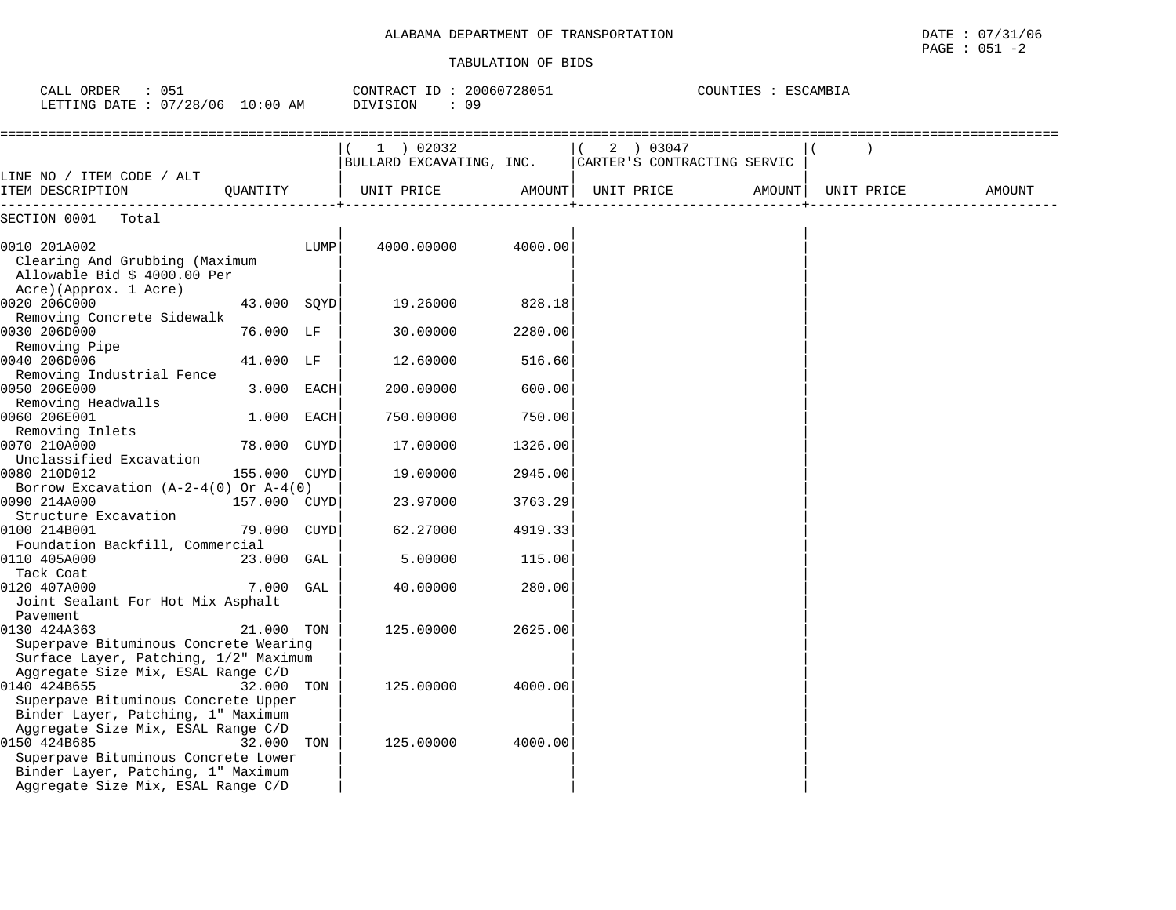| CALL ORDER<br>: 051<br>LETTING DATE : 07/28/06 10:00 AM                                                                                                               |              |      | CONTRACT ID: 20060728051<br>DIVISION<br>: 09 |         |                                          | COUNTIES : ESCAMBIA |            |        |
|-----------------------------------------------------------------------------------------------------------------------------------------------------------------------|--------------|------|----------------------------------------------|---------|------------------------------------------|---------------------|------------|--------|
|                                                                                                                                                                       |              |      | $1$ ) 02032<br>BULLARD EXCAVATING, INC.      |         | 2 ) 03047<br>CARTER'S CONTRACTING SERVIC |                     |            |        |
| LINE NO / ITEM CODE / ALT<br>ITEM DESCRIPTION                                                                                                                         | OUANTITY     |      | UNIT PRICE                                   |         | AMOUNT  UNIT PRICE                       | AMOUNT              | UNIT PRICE | AMOUNT |
| -----------------<br>SECTION 0001<br>Total                                                                                                                            |              |      |                                              |         |                                          |                     |            |        |
|                                                                                                                                                                       |              |      |                                              |         |                                          |                     |            |        |
| 0010 201A002<br>Clearing And Grubbing (Maximum<br>Allowable Bid \$ 4000.00 Per<br>Acre)(Approx. 1 Acre)                                                               |              | LUMP | 4000.00000                                   | 4000.00 |                                          |                     |            |        |
| 0020 206C000                                                                                                                                                          | 43.000 SQYD  |      | 19.26000                                     | 828.18  |                                          |                     |            |        |
| Removing Concrete Sidewalk<br>0030 206D000<br>Removing Pipe                                                                                                           | 76.000 LF    |      | 30.00000                                     | 2280.00 |                                          |                     |            |        |
| 0040 206D006<br>Removing Industrial Fence                                                                                                                             | 41.000 LF    |      | 12.60000                                     | 516.60  |                                          |                     |            |        |
| 0050 206E000<br>Removing Headwalls                                                                                                                                    | 3.000 EACH   |      | 200.00000                                    | 600.00  |                                          |                     |            |        |
| 0060 206E001<br>Removing Inlets                                                                                                                                       | $1.000$ EACH |      | 750.00000                                    | 750.00  |                                          |                     |            |        |
| 0070 210A000<br>Unclassified Excavation                                                                                                                               | 78.000 CUYD  |      | 17.00000                                     | 1326.00 |                                          |                     |            |        |
| 0080 210D012<br>Borrow Excavation $(A-2-4(0)$ Or $A-4(0)$                                                                                                             | 155.000 CUYD |      | 19,00000                                     | 2945.00 |                                          |                     |            |        |
| 0090 214A000<br>Structure Excavation                                                                                                                                  | 157.000 CUYD |      | 23.97000                                     | 3763.29 |                                          |                     |            |        |
| 0100 214B001<br>Foundation Backfill, Commercial                                                                                                                       | 79.000 CUYD  |      | 62.27000                                     | 4919.33 |                                          |                     |            |        |
| 0110 405A000<br>Tack Coat                                                                                                                                             | 23.000 GAL   |      | 5.00000                                      | 115.00  |                                          |                     |            |        |
| 0120 407A000<br>Joint Sealant For Hot Mix Asphalt<br>Pavement                                                                                                         | 7.000        | GAL  | 40.00000                                     | 280.00  |                                          |                     |            |        |
| 0130 424A363<br>Superpave Bituminous Concrete Wearing<br>Surface Layer, Patching, 1/2" Maximum                                                                        | 21.000       | TON  | 125.00000                                    | 2625.00 |                                          |                     |            |        |
| Aggregate Size Mix, ESAL Range C/D<br>0140 424B655<br>Superpave Bituminous Concrete Upper<br>Binder Layer, Patching, 1" Maximum                                       | 32.000       | TON  | 125.00000                                    | 4000.00 |                                          |                     |            |        |
| Aggregate Size Mix, ESAL Range C/D<br>0150 424B685<br>Superpave Bituminous Concrete Lower<br>Binder Layer, Patching, 1" Maximum<br>Aggregate Size Mix, ESAL Range C/D | 32.000       | TON  | 125.00000                                    | 4000.00 |                                          |                     |            |        |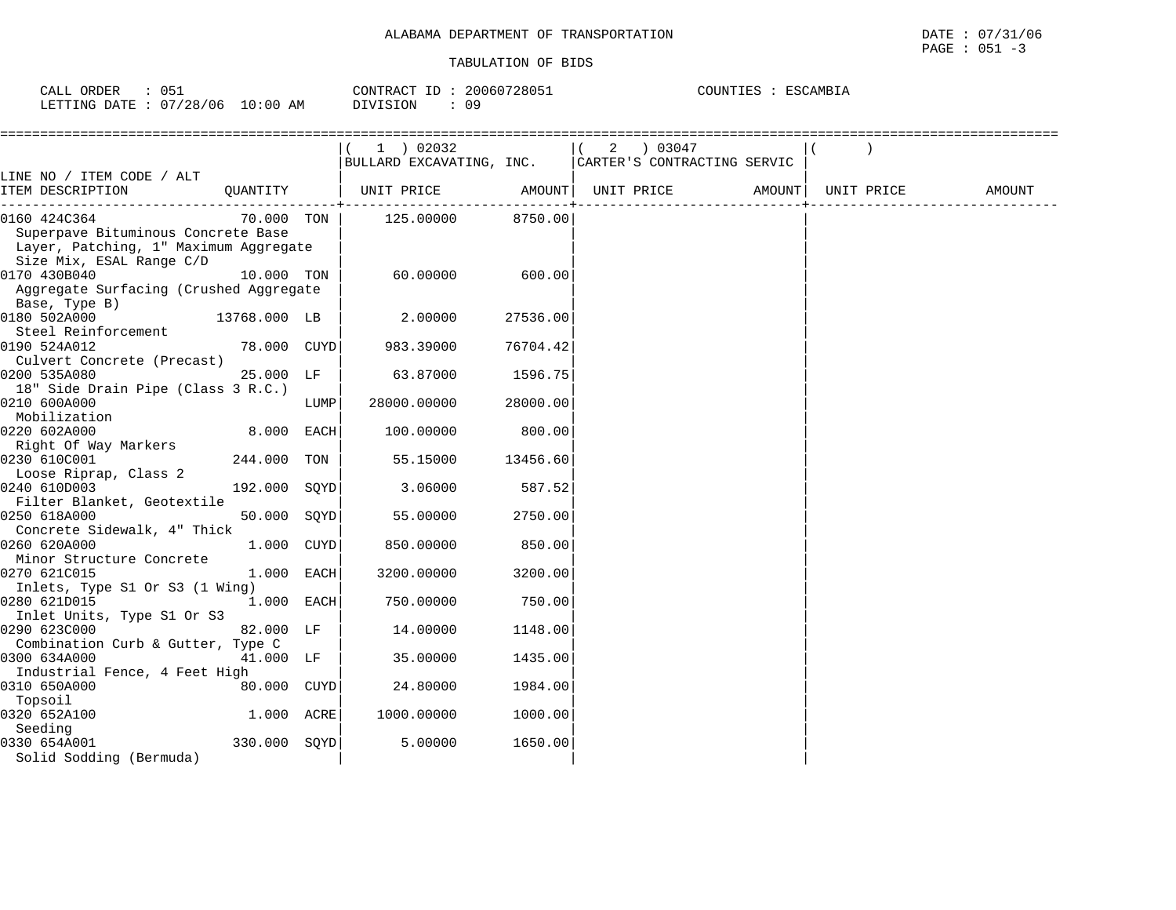| CALL ORDER                      |  | CONTRACT ID: 20060728051 | COUNTIES : ESCAMBIA |
|---------------------------------|--|--------------------------|---------------------|
| LETTING DATE: 07/28/06 10:00 AM |  | DIVISION                 |                     |

|                                        |              |      | 1 ) 02032                                              |          |  |  |            |        |
|----------------------------------------|--------------|------|--------------------------------------------------------|----------|--|--|------------|--------|
|                                        |              |      | BULLARD EXCAVATING, INC.   CARTER'S CONTRACTING SERVIC |          |  |  |            |        |
| LINE NO / ITEM CODE / ALT              |              |      |                                                        |          |  |  |            |        |
| ITEM DESCRIPTION<br>QUANTITY           |              |      | ----+------------------------------                    |          |  |  | UNIT PRICE | AMOUNT |
| 0160 424C364                           |              |      | 70.000 TON   125.00000 8750.00                         |          |  |  |            |        |
| Superpave Bituminous Concrete Base     |              |      |                                                        |          |  |  |            |        |
| Layer, Patching, 1" Maximum Aggregate  |              |      |                                                        |          |  |  |            |        |
| Size Mix, ESAL Range C/D               |              |      |                                                        |          |  |  |            |        |
| 0170 430B040                           | 10.000 TON   |      | 60.00000                                               | 600.00   |  |  |            |        |
| Aggregate Surfacing (Crushed Aggregate |              |      |                                                        |          |  |  |            |        |
| Base, Type B)                          |              |      |                                                        |          |  |  |            |        |
| 0180 502A000<br>13768.000 LB           |              |      | 2.00000                                                | 27536.00 |  |  |            |        |
| Steel Reinforcement                    |              |      |                                                        |          |  |  |            |        |
| 0190 524A012                           | 78.000 CUYD  |      | 983.39000                                              | 76704.42 |  |  |            |        |
| Culvert Concrete (Precast)             |              |      |                                                        |          |  |  |            |        |
| 0200 535A080                           | 25.000 LF    |      | 63.87000                                               | 1596.75  |  |  |            |        |
| 18" Side Drain Pipe (Class 3 R.C.)     |              |      |                                                        |          |  |  |            |        |
| 0210 600A000                           |              | LUMP | 28000.00000                                            | 28000.00 |  |  |            |        |
| Mobilization                           |              |      |                                                        |          |  |  |            |        |
| 0220 602A000                           | 8.000 EACH   |      | 100.00000                                              | 800.00   |  |  |            |        |
| Right Of Way Markers<br>0230 610C001   | 244.000 TON  |      | 55.15000                                               | 13456.60 |  |  |            |        |
| Loose Riprap, Class 2                  |              |      |                                                        |          |  |  |            |        |
| 0240 610D003                           | 192.000 SOYD |      | 3.06000                                                | 587.52   |  |  |            |        |
| Filter Blanket, Geotextile             |              |      |                                                        |          |  |  |            |        |
| 0250 618A000                           | 50.000 SOYD  |      | 55.00000                                               | 2750.00  |  |  |            |        |
| Concrete Sidewalk, 4" Thick            |              |      |                                                        |          |  |  |            |        |
| 0260 620A000                           | 1.000 CUYD   |      | 850.00000                                              | 850.00   |  |  |            |        |
| Minor Structure Concrete               |              |      |                                                        |          |  |  |            |        |
| 0270 621C015                           | 1.000 EACH   |      | 3200.00000                                             | 3200.00  |  |  |            |        |
| Inlets, Type S1 Or S3 (1 Wing)         |              |      |                                                        |          |  |  |            |        |
| 0280 621D015                           | 1.000 EACH   |      | 750.00000                                              | 750.00   |  |  |            |        |
| Inlet Units, Type S1 Or S3             |              |      |                                                        |          |  |  |            |        |
| 0290 623C000                           | 82.000 LF    |      | 14.00000                                               | 1148.00  |  |  |            |        |
| Combination Curb & Gutter, Type C      |              |      |                                                        |          |  |  |            |        |
| 0300 634A000                           | 41.000 LF    |      | 35.00000                                               | 1435.00  |  |  |            |        |
| Industrial Fence, 4 Feet High          |              |      |                                                        |          |  |  |            |        |
| 0310 650A000                           | 80.000 CUYD  |      | 24.80000                                               | 1984.00  |  |  |            |        |
| Topsoil                                |              |      |                                                        |          |  |  |            |        |
| 0320 652A100                           | 1.000 ACRE   |      | 1000.00000                                             | 1000.00  |  |  |            |        |
| Seeding                                |              |      |                                                        |          |  |  |            |        |
| 0330 654A001                           | 330.000 SOYD |      | 5.00000                                                | 1650.00  |  |  |            |        |
| Solid Sodding (Bermuda)                |              |      |                                                        |          |  |  |            |        |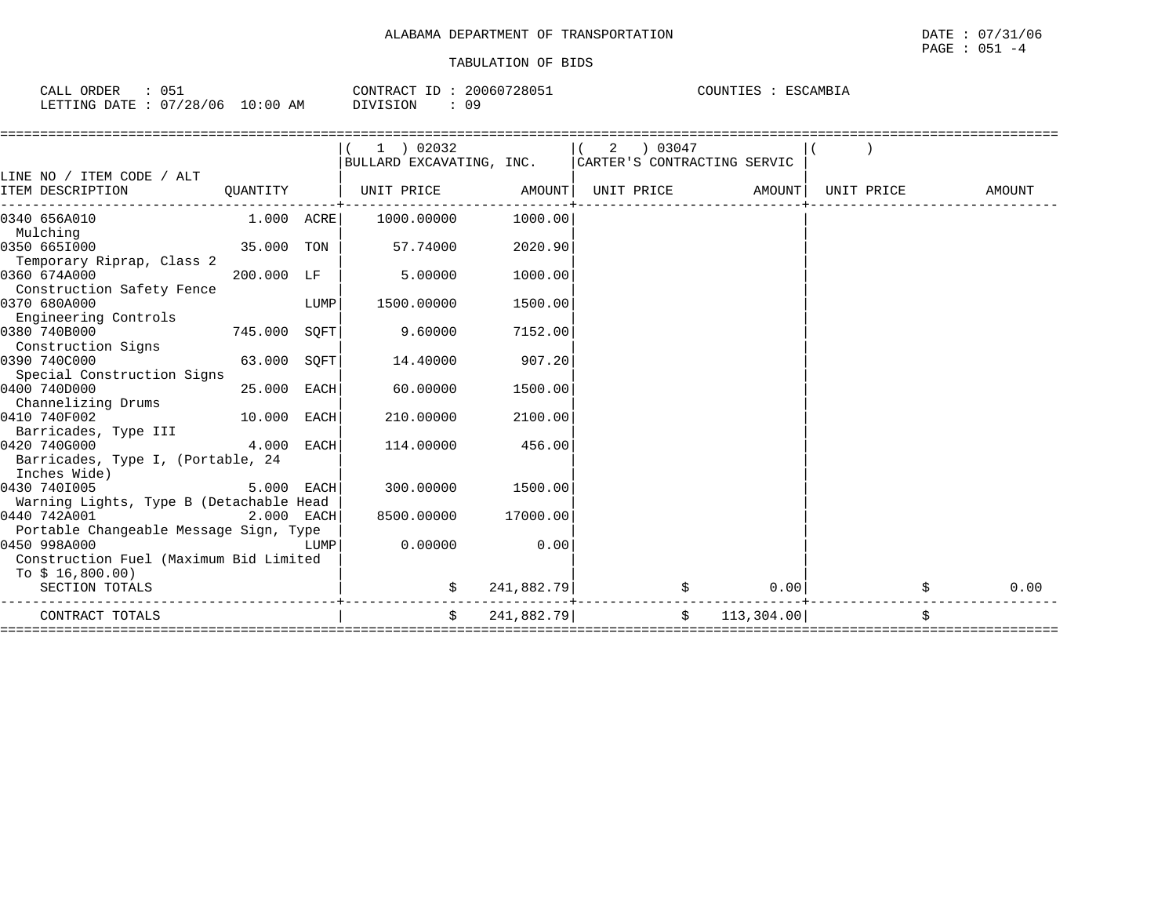| ∩ҕ<br>CALL ORDER<br>ັບປີ |            | 20060728051<br>CONTRACT ID | COUNTIES<br>ESCAMBIA |
|--------------------------|------------|----------------------------|----------------------|
| LETTING DATE: 07/28/06   | $10:00$ AM | 09<br>DIVISION             |                      |

|                                                                                                                                      |              |      | BULLARD EXCAVATING, INC.   CARTER'S CONTRACTING SERVIC |            | 2 | 03047 |                   |            |        |
|--------------------------------------------------------------------------------------------------------------------------------------|--------------|------|--------------------------------------------------------|------------|---|-------|-------------------|------------|--------|
| LINE NO / ITEM CODE / ALT                                                                                                            |              |      |                                                        |            |   |       |                   |            |        |
| ITEM DESCRIPTION                                                                                                                     | QUANTITY     |      | UNIT PRICE AMOUNT                                      |            |   |       | UNIT PRICE AMOUNT | UNIT PRICE | AMOUNT |
| 0340 656A010                                                                                                                         | 1.000 ACRE   |      | 1000.00000                                             | 1000.00    |   |       |                   |            |        |
| Mulching                                                                                                                             |              |      |                                                        |            |   |       |                   |            |        |
| 0350 6651000                                                                                                                         | 35.000 TON   |      | 57.74000                                               | 2020.90    |   |       |                   |            |        |
| Temporary Riprap, Class 2                                                                                                            |              |      |                                                        |            |   |       |                   |            |        |
| 0360 674A000                                                                                                                         | 200.000 LF   |      | 5.00000                                                | 1000.00    |   |       |                   |            |        |
| Construction Safety Fence                                                                                                            |              |      |                                                        |            |   |       |                   |            |        |
| 0370 680A000                                                                                                                         |              | LUMP | 1500.00000                                             | 1500.00    |   |       |                   |            |        |
| Engineering Controls<br>0380 740B000                                                                                                 | 745.000 SQFT |      | 9.60000                                                | 7152.00    |   |       |                   |            |        |
| Construction Signs                                                                                                                   |              |      |                                                        |            |   |       |                   |            |        |
| 0390 740C000                                                                                                                         | 63.000 SOFT  |      | 14.40000                                               | 907.20     |   |       |                   |            |        |
| Special Construction Signs                                                                                                           |              |      |                                                        |            |   |       |                   |            |        |
| 0400 740D000                                                                                                                         | 25.000 EACH  |      | 60.00000                                               | 1500.00    |   |       |                   |            |        |
| Channelizing Drums                                                                                                                   |              |      |                                                        |            |   |       |                   |            |        |
| 0410 740F002                                                                                                                         | 10.000 EACH  |      | 210.00000                                              | 2100.00    |   |       |                   |            |        |
| Barricades, Type III                                                                                                                 |              |      |                                                        |            |   |       |                   |            |        |
| 0420 740G000                                                                                                                         | 4.000 EACH   |      | 114.00000                                              | 456.00     |   |       |                   |            |        |
| Barricades, Type I, (Portable, 24                                                                                                    |              |      |                                                        |            |   |       |                   |            |        |
| Inches Wide)                                                                                                                         |              |      |                                                        |            |   |       |                   |            |        |
| 0430 7401005                                                                                                                         | 5.000 EACH   |      | 300.00000                                              | 1500.00    |   |       |                   |            |        |
| Warning Lights, Type B (Detachable Head                                                                                              |              |      |                                                        |            |   |       |                   |            |        |
| 0440 742A001                                                                                                                         | 2.000 EACH   |      | 8500.00000                                             | 17000.00   |   |       |                   |            |        |
| Portable Changeable Message Sign, Type                                                                                               |              |      |                                                        |            |   |       |                   |            |        |
| 0450 998A000<br><b>EXECUTE IN THE EXECUTIVE IN THE EXECUTIVE IN THE EXECUTIVE IN THE EXECUTIVE IN THE EXECUTIVE IN THE EXECUTIVE</b> |              |      | 0.00000                                                | 0.00       |   |       |                   |            |        |
| Construction Fuel (Maximum Bid Limited                                                                                               |              |      |                                                        |            |   |       |                   |            |        |
| To \$ 16,800.00)                                                                                                                     |              |      |                                                        |            |   |       |                   |            |        |
| SECTION TOTALS                                                                                                                       |              |      |                                                        | 241,882.79 |   |       | 0.00              |            | 0.00   |
| CONTRACT TOTALS                                                                                                                      |              |      | Ŝ.                                                     | 241,882.79 |   |       | \$113,304.00]     |            |        |
|                                                                                                                                      |              |      |                                                        |            |   |       |                   |            |        |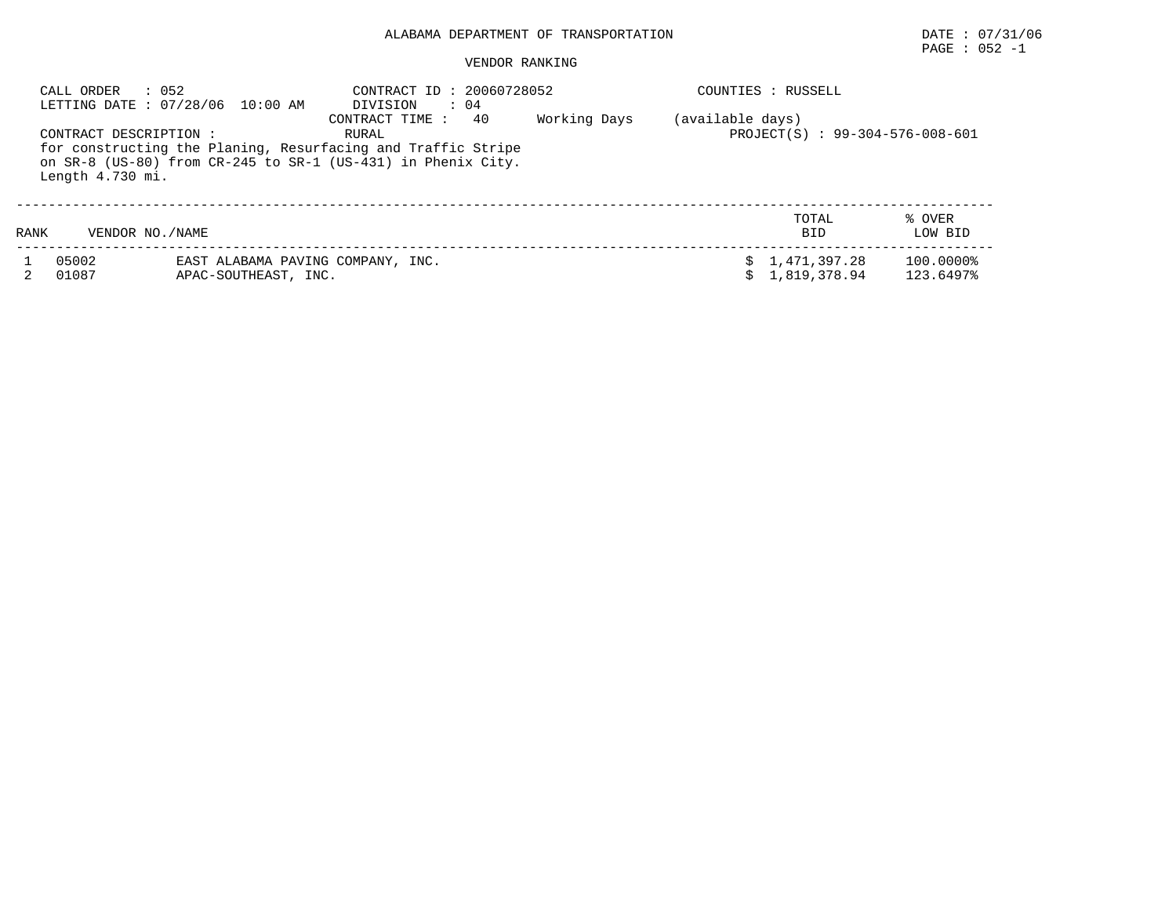# $\texttt{PAGE}$  : 052 -1

| CALL ORDER                                 | $\therefore$ 052<br>LETTING DATE: 07/28/06 10:00 AM       | CONTRACT ID: 20060728052<br>DIVISION<br>$\therefore$ 04                                                                                                        |              |                  | COUNTIES : RUSSELL              |                        |
|--------------------------------------------|-----------------------------------------------------------|----------------------------------------------------------------------------------------------------------------------------------------------------------------|--------------|------------------|---------------------------------|------------------------|
| CONTRACT DESCRIPTION :<br>Length 4.730 mi. |                                                           | 40<br>CONTRACT TIME :<br>RURAL<br>for constructing the Planing, Resurfacing and Traffic Stripe<br>on SR-8 (US-80) from CR-245 to SR-1 (US-431) in Phenix City. | Working Days | (available days) | PROJECT(S) : 99-304-576-008-601 |                        |
| RANK                                       | VENDOR NO. / NAME                                         |                                                                                                                                                                |              |                  | TOTAL<br><b>BID</b>             | % OVER<br>LOW BID      |
| 05002<br>01087                             | EAST ALABAMA PAVING COMPANY, INC.<br>APAC-SOUTHEAST, INC. |                                                                                                                                                                |              |                  | \$1,471,397.28<br>1,819,378.94  | 100.0000%<br>123.6497% |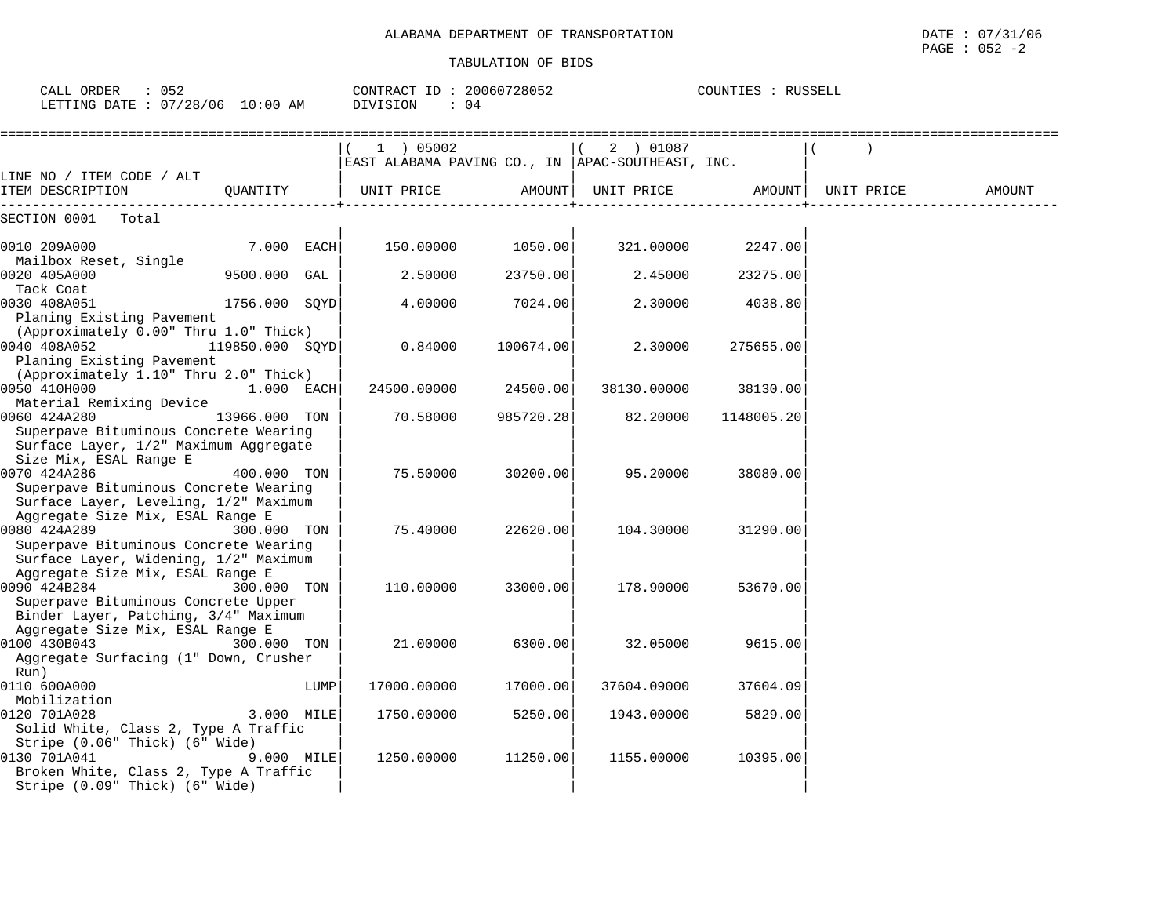| CALL ORDER : 052<br>LETTING DATE : 07/28/06 10:00 AM                      |                 |      | CONTRACT ID: 20060728052<br>DIVISION<br>: 04     |           |                        | COUNTIES : RUSSELL |            |        |
|---------------------------------------------------------------------------|-----------------|------|--------------------------------------------------|-----------|------------------------|--------------------|------------|--------|
|                                                                           |                 |      |                                                  |           | $1$ ) 05002 ((2) 01087 |                    |            |        |
| LINE NO / ITEM CODE / ALT                                                 |                 |      | EAST ALABAMA PAVING CO., IN APAC-SOUTHEAST, INC. |           |                        |                    |            |        |
| ITEM DESCRIPTION                                                          |                 |      | QUANTITY   UNIT PRICE AMOUNT  UNIT PRICE AMOUNT  |           |                        |                    | UNIT PRICE | AMOUNT |
| SECTION 0001 Total                                                        |                 |      |                                                  |           |                        |                    |            |        |
| 0010 209A000                                                              | $7.000$ EACH    |      | 150.00000 1050.00                                |           | 321.00000              | 2247.00            |            |        |
| Mailbox Reset, Single<br>0020 405A000                                     | 9500.000 GAL    |      | 2.50000                                          | 23750.00  | 2.45000                | 23275.00           |            |        |
| Tack Coat<br>0030 408A051                                                 | 1756.000 SQYD   |      | 4.00000                                          | 7024.00   | 2.30000                | 4038.80            |            |        |
| Planing Existing Pavement<br>(Approximately 0.00" Thru 1.0" Thick)        |                 |      |                                                  |           |                        |                    |            |        |
| 0040 408A052<br>Planing Existing Pavement                                 | 119850.000 SQYD |      | 0.84000                                          | 100674.00 | 2.30000                | 275655.00          |            |        |
| (Approximately 1.10" Thru 2.0" Thick)<br>0050 410H000<br>$1.000$ EACH     |                 |      | 24500.00000                                      | 24500.00  | 38130.00000            | 38130.00           |            |        |
| Material Remixing Device                                                  |                 |      |                                                  |           |                        |                    |            |        |
| 0060 424A280<br>Superpave Bituminous Concrete Wearing                     | 13966.000 TON   |      | 70.58000                                         | 985720.28 | 82.20000               | 1148005.20         |            |        |
| Surface Layer, 1/2" Maximum Aggregate                                     |                 |      |                                                  |           |                        |                    |            |        |
| Size Mix, ESAL Range E                                                    |                 |      |                                                  |           |                        |                    |            |        |
| 0070 424A286<br>Superpave Bituminous Concrete Wearing                     | 400.000 TON     |      | 75.50000                                         | 30200.00  | 95.20000               | 38080.00           |            |        |
| Surface Layer, Leveling, 1/2" Maximum                                     |                 |      |                                                  |           |                        |                    |            |        |
| Aggregate Size Mix, ESAL Range E                                          |                 |      |                                                  |           |                        |                    |            |        |
| 0080 424A289                                                              | 300.000 TON     |      | 75.40000                                         | 22620.00  | 104.30000              | 31290.00           |            |        |
| Superpave Bituminous Concrete Wearing                                     |                 |      |                                                  |           |                        |                    |            |        |
| Surface Layer, Widening, 1/2" Maximum<br>Aggregate Size Mix, ESAL Range E |                 |      |                                                  |           |                        |                    |            |        |
| 0090 424B284                                                              | 300.000 TON     |      | 110.00000                                        | 33000.00  | 178.90000              | 53670.00           |            |        |
| Superpave Bituminous Concrete Upper                                       |                 |      |                                                  |           |                        |                    |            |        |
| Binder Layer, Patching, 3/4" Maximum                                      |                 |      |                                                  |           |                        |                    |            |        |
| Aggregate Size Mix, ESAL Range E                                          |                 |      |                                                  |           |                        |                    |            |        |
| 0100 430B043                                                              | 300.000 TON     |      | 21,00000                                         | 6300.00   | 32.05000               | 9615.00            |            |        |
| Aggregate Surfacing (1" Down, Crusher<br>Run)                             |                 |      |                                                  |           |                        |                    |            |        |
| 0110 600A000                                                              |                 | LUMP | 17000.00000                                      | 17000.00  | 37604.09000            | 37604.09           |            |        |
| Mobilization                                                              |                 |      |                                                  |           |                        |                    |            |        |
| 0120 701A028                                                              | 3.000 MILE      |      | 1750.00000                                       | 5250.00   | 1943.00000             | 5829.00            |            |        |
| Solid White, Class 2, Type A Traffic                                      |                 |      |                                                  |           |                        |                    |            |        |
| Stripe (0.06" Thick) (6" Wide)                                            |                 |      |                                                  |           |                        |                    |            |        |
| 0130 701A041                                                              | $9.000$ MILE    |      | 1250.00000                                       | 11250.00  | 1155.00000             | 10395.00           |            |        |
| Broken White, Class 2, Type A Traffic<br>Stripe (0.09" Thick) (6" Wide)   |                 |      |                                                  |           |                        |                    |            |        |
|                                                                           |                 |      |                                                  |           |                        |                    |            |        |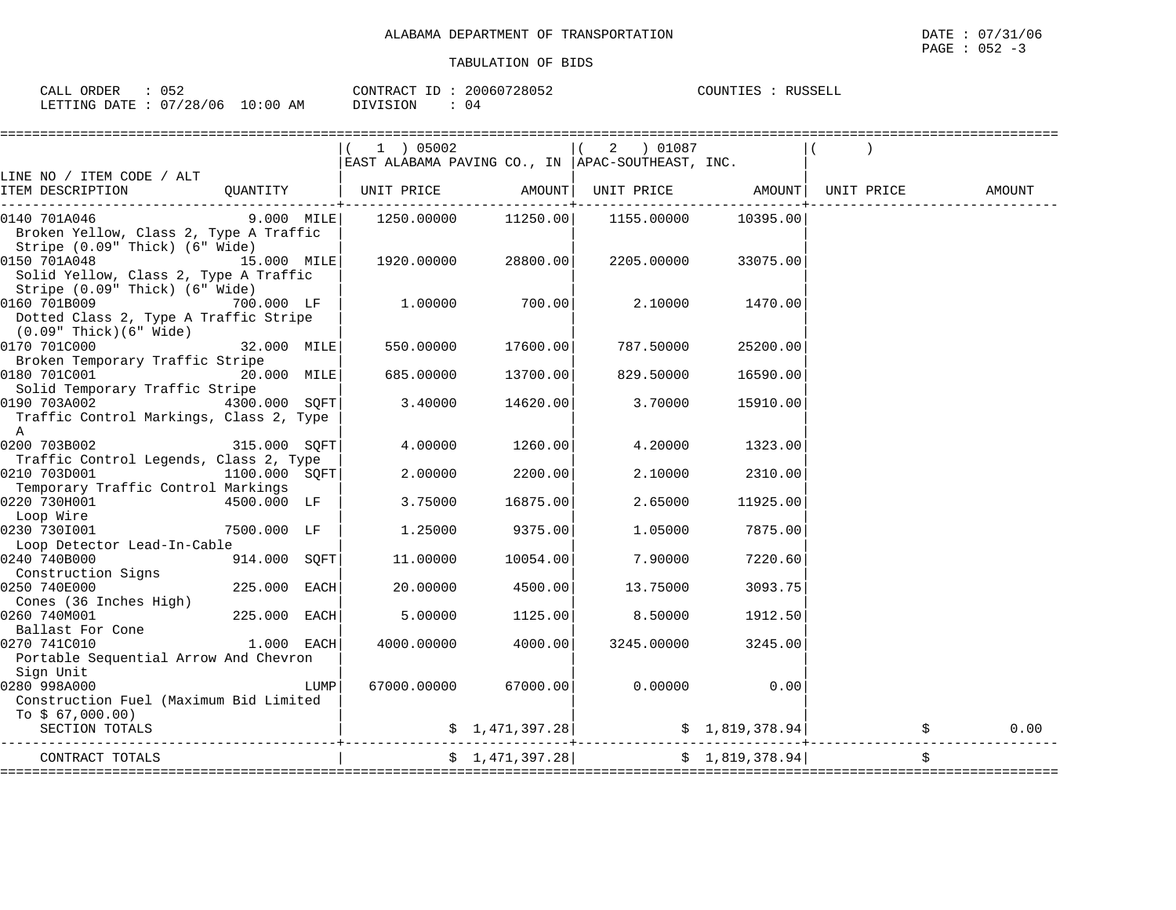| ヿに゚<br>ORDER<br>CALL<br>◡◡▵            | CONTRACT             | 160728052<br>20060<br>. TRAC | COUNTIES | RUSSELL |
|----------------------------------------|----------------------|------------------------------|----------|---------|
| 07/28<br>ETTING"<br>. DATF<br>ᄖ<br>___ | /06<br>LO : 00<br>AΜ | 04                           |          |         |

|                                                                                                          |                 |      | 1 ) 05002                                                                                         |                      | 2 ) 01087<br>EAST ALABAMA PAVING CO., IN   APAC-SOUTHEAST, INC. |                 |    |        |
|----------------------------------------------------------------------------------------------------------|-----------------|------|---------------------------------------------------------------------------------------------------|----------------------|-----------------------------------------------------------------|-----------------|----|--------|
| LINE NO / ITEM CODE / ALT                                                                                |                 |      |                                                                                                   |                      |                                                                 |                 |    |        |
| ITEM DESCRIPTION QUANTITY   UNIT PRICE AMOUNT                                                            |                 |      |                                                                                                   |                      |                                                                 |                 |    | AMOUNT |
| 0140 701A046<br>Broken Yellow, Class 2, Type A Traffic<br>Stripe (0.09" Thick) (6" Wide)                 |                 |      | 9.000 MILE   1250.00000                                                                           | 11250.00             | 1155.00000                                                      | 10395.00        |    |        |
| 0150 701A048<br>Solid Yellow, Class 2, Type A Traffic<br>Stripe (0.09" Thick) (6" Wide)                  | 15.000 MILE     |      |                                                                                                   | 1920.00000 28800.00  | 2205.00000                                                      | 33075.00        |    |        |
| 0160 701B009<br>Dotted Class 2, Type A Traffic Stripe<br>(0.09" Thick)(6" Wide)                          | 700.000 LF      |      | 1.00000                                                                                           | 700.001              | 2.10000                                                         | 1470.00         |    |        |
| 0170 701C000                                                                                             | 32.000 MILE     |      | 550.00000                                                                                         | 17600.00             | 787.50000                                                       | 25200.00        |    |        |
| Broken Temporary Traffic Stripe<br>0180 701C001                                                          | 20.000 MILE     |      | 685.00000                                                                                         | 13700.00             | 829.50000                                                       | 16590.00        |    |        |
| Solid Temporary Traffic Stripe<br>0190 703A002<br>Traffic Control Markings, Class 2, Type<br>$\mathbb A$ | 4300.000 SOFT   |      | 3.40000                                                                                           | 14620.00             | 3.70000                                                         | 15910.00        |    |        |
| 0200 703B002 315.000 SQFT<br>Traffic Control Legends, Class 2, Type                                      |                 |      | 4.00000                                                                                           | 1260.00              | 4.20000                                                         | 1323.00         |    |        |
| 0210 703D001                                                                                             | $1100.000$ SQFT |      | 2.00000                                                                                           | 2200.00              | 2.10000                                                         | 2310.00         |    |        |
| Temporary Traffic Control Markings<br>0220 730H001<br>Loop Wire                                          | 4500.000 LF     |      | 3.75000                                                                                           | 16875.00             | 2.65000                                                         | 11925.00        |    |        |
| 0230 7301001<br>Loop Detector Lead-In-Cable                                                              | 7500.000 LF     |      | 1.25000                                                                                           | 9375.00              | 1.05000                                                         | 7875.00         |    |        |
| 0240 740B000<br>Construction Signs                                                                       | 914.000 SQFT    |      | 11.00000                                                                                          | 10054.00             | 7.90000                                                         | 7220.60         |    |        |
| 0250 740E000<br>Cones (36 Inches High)                                                                   | 225.000 EACH    |      | 20.00000                                                                                          | 4500.00              | 13.75000                                                        | 3093.75         |    |        |
| 0260 740M001<br>Ballast For Cone                                                                         | 225.000 EACH    |      | 5.00000                                                                                           | 1125.00              | 8.50000                                                         | 1912.50         |    |        |
| 0270 741C010<br>Portable Sequential Arrow And Chevron<br>Sign Unit                                       | $1.000$ EACH    |      | 4000.00000                                                                                        | 4000.00              | 3245.00000                                                      | 3245.00         |    |        |
| 0280 998A000<br>Construction Fuel (Maximum Bid Limited<br>To $$67,000.00)$                               |                 | LUMP |                                                                                                   | 67000.00000 67000.00 | 0.00000                                                         | 0.00            |    |        |
| SECTION TOTALS                                                                                           |                 |      |                                                                                                   | \$1,471,397.28]      |                                                                 | \$1,819,378.94] |    | 0.00   |
| CONTRACT TOTALS                                                                                          |                 |      | $\begin{bmatrix} 5 & 1,471,397.28 \end{bmatrix}$ $\begin{bmatrix} 5 & 1,819,378.94 \end{bmatrix}$ |                      |                                                                 |                 | \$ |        |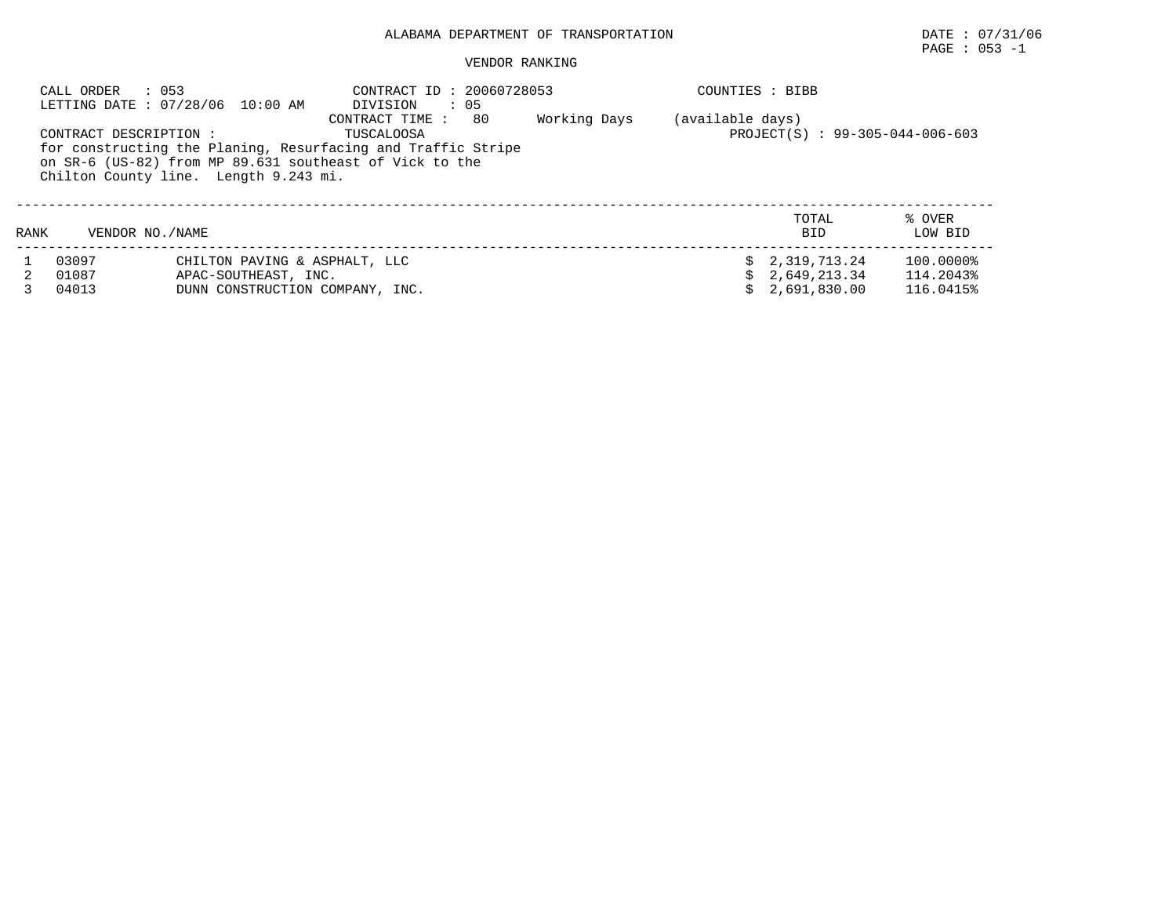#### VENDOR RANKING

|      | $\therefore$ 053<br>CALL ORDER | LETTING DATE: 07/28/06 10:00 AM                                                          | CONTRACT ID: 20060728053<br>$\cdot$ 05<br>DIVISION                                                                                                             |              | COUNTIES : BIBB  |                                                    |                                     |
|------|--------------------------------|------------------------------------------------------------------------------------------|----------------------------------------------------------------------------------------------------------------------------------------------------------------|--------------|------------------|----------------------------------------------------|-------------------------------------|
|      | CONTRACT DESCRIPTION :         | Chilton County line. Length 9.243 mi.                                                    | 80<br>CONTRACT TIME :<br>TUSCALOOSA<br>for constructing the Planing, Resurfacing and Traffic Stripe<br>on SR-6 (US-82) from MP 89.631 southeast of Vick to the | Working Days | (available days) | PROJECT(S) : 99-305-044-006-603                    |                                     |
| RANK | VENDOR NO. / NAME              |                                                                                          |                                                                                                                                                                |              |                  | TOTAL<br><b>BID</b>                                | % OVER<br>LOW BID                   |
|      | 03097<br>01087<br>04013        | CHILTON PAVING & ASPHALT, LLC<br>APAC-SOUTHEAST, INC.<br>DUNN CONSTRUCTION COMPANY, INC. |                                                                                                                                                                |              |                  | \$2,319,713.24<br>\$2,649,213.34<br>\$2,691,830.00 | 100.0000%<br>114.2043%<br>116.0415% |

# PAGE : 053 -1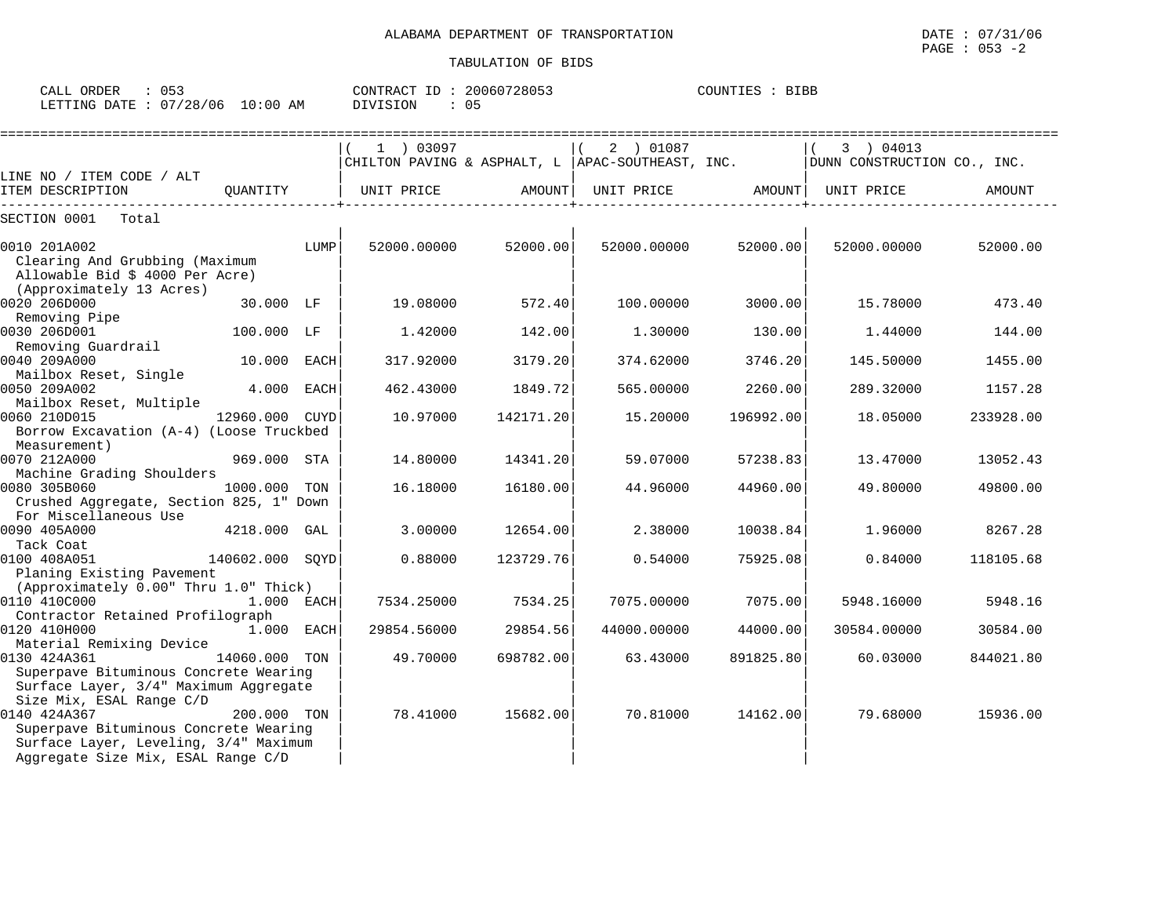| )RDER<br>∶ז⊼ר<br>للسائد               | . .<br>ັບບຸ                       |                             | $\sim$<br>דידידגר∧י<br>$\cdots$<br>$\overline{\phantom{a}}$ | 200.<br>72805.<br>$\overline{h}$ | $\sim$ $\sim$ $\sim$ $\sim$<br>ا∽ ≞⊥. | 3IBB |
|---------------------------------------|-----------------------------------|-----------------------------|-------------------------------------------------------------|----------------------------------|---------------------------------------|------|
| TNG-<br>ר ∆תו<br><b>TRAPPER</b><br>⊣™ | ົງ Q<br>106<br>$\sim$<br>$\cdots$ | $\sim$<br>:0C<br>AΜ<br>⊥0 ° | ™ON                                                         | ∩⊏<br>◡ ◡                        |                                       |      |

|                                                                                                                                                                  |                |      | 1 ) 03097<br>CHILTON PAVING & ASPHALT, L  APAC-SOUTHEAST, INC. |           | 2 ) 01087         |           | 3 ) 04013<br>DUNN CONSTRUCTION CO., INC. |           |
|------------------------------------------------------------------------------------------------------------------------------------------------------------------|----------------|------|----------------------------------------------------------------|-----------|-------------------|-----------|------------------------------------------|-----------|
| LINE NO / ITEM CODE / ALT                                                                                                                                        |                |      |                                                                |           |                   |           |                                          |           |
| ITEM DESCRIPTION                                                                                                                                                 | OUANTITY       |      | UNIT PRICE                                                     | AMOUNT    | UNIT PRICE AMOUNT |           | UNIT PRICE                               | AMOUNT    |
| SECTION 0001<br>Total                                                                                                                                            |                |      |                                                                |           |                   |           |                                          |           |
| 0010 201A002<br>Clearing And Grubbing (Maximum<br>Allowable Bid \$ 4000 Per Acre)                                                                                |                | LUMP | 52000.00000                                                    | 52000.00  | 52000.00000       | 52000.00  | 52000.00000                              | 52000.00  |
| (Approximately 13 Acres)<br>0020 206D000<br>Removing Pipe                                                                                                        | 30.000 LF      |      | 19.08000                                                       | 572.40    | 100.00000         | 3000.00   | 15.78000                                 | 473.40    |
| 0030 206D001<br>Removing Guardrail                                                                                                                               | 100.000 LF     |      | 1.42000                                                        | 142.00    | 1,30000           | 130.00    | 1.44000                                  | 144.00    |
| 0040 209A000<br>Mailbox Reset, Single                                                                                                                            | 10.000 EACH    |      | 317.92000                                                      | 3179.20   | 374.62000         | 3746.20   | 145.50000                                | 1455.00   |
| 0050 209A002<br>Mailbox Reset, Multiple                                                                                                                          | 4.000 EACH     |      | 462.43000                                                      | 1849.72   | 565,00000         | 2260.00   | 289.32000                                | 1157.28   |
| 0060 210D015<br>Borrow Excavation (A-4) (Loose Truckbed<br>Measurement)                                                                                          | 12960.000 CUYD |      | 10.97000                                                       | 142171.20 | 15.20000          | 196992.00 | 18.05000                                 | 233928.00 |
| 0070 212A000<br>Machine Grading Shoulders                                                                                                                        | 969.000 STA    |      | 14.80000                                                       | 14341.20  | 59.07000          | 57238.83  | 13.47000                                 | 13052.43  |
| 0080 305B060<br>Crushed Aggregate, Section 825, 1" Down<br>For Miscellaneous Use                                                                                 | 1000.000 TON   |      | 16.18000                                                       | 16180.00  | 44.96000          | 44960.00  | 49.80000                                 | 49800.00  |
| 0090 405A000<br>Tack Coat                                                                                                                                        | 4218.000 GAL   |      | 3,00000                                                        | 12654.00  | 2.38000           | 10038.84  | 1,96000                                  | 8267.28   |
| $140602.000$ SQYD<br>0100 408A051<br>Planing Existing Pavement                                                                                                   |                |      | 0.88000                                                        | 123729.76 | 0.54000           | 75925.08  | 0.84000                                  | 118105.68 |
| (Approximately 0.00" Thru 1.0" Thick)<br>0110 410C000<br>Contractor Retained Profilograph                                                                        | 1.000 EACH     |      | 7534.25000                                                     | 7534.25   | 7075.00000        | 7075.00   | 5948.16000                               | 5948.16   |
| 0120 410H000<br>Material Remixing Device                                                                                                                         | 1.000 EACH     |      | 29854.56000                                                    | 29854.56  | 44000.00000       | 44000.00  | 30584.00000                              | 30584.00  |
| 0130 424A361<br>14060.000 TON<br>Superpave Bituminous Concrete Wearing<br>Surface Layer, 3/4" Maximum Aggregate                                                  |                |      | 49.70000                                                       | 698782.00 | 63.43000          | 891825.80 | 60.03000                                 | 844021.80 |
| Size Mix, ESAL Range C/D<br>0140 424A367<br>Superpave Bituminous Concrete Wearing<br>Surface Layer, Leveling, 3/4" Maximum<br>Aggregate Size Mix, ESAL Range C/D | 200.000 TON    |      | 78.41000                                                       | 15682.00  | 70.81000          | 14162.00  | 79.68000                                 | 15936.00  |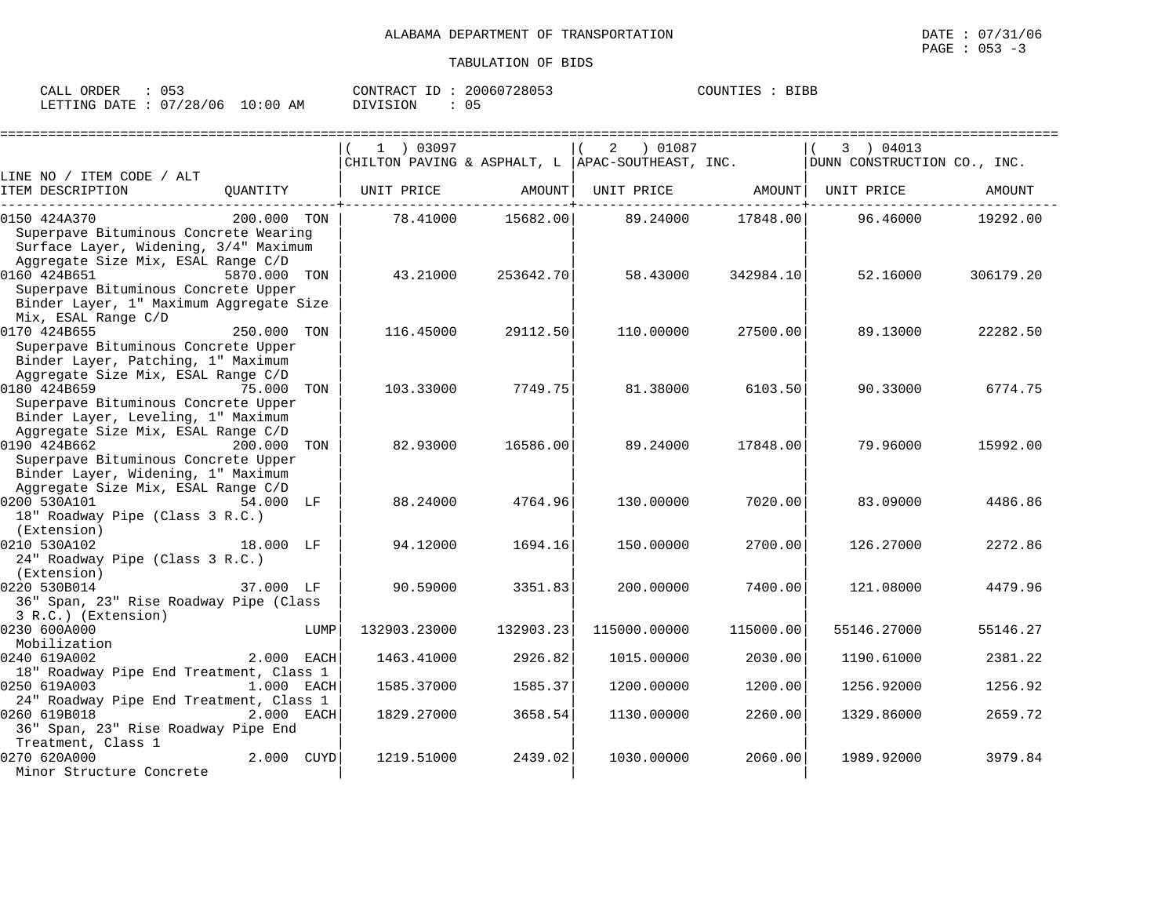| ORDER<br>CALL (              | 053 |    | CONTRACT ID: | 20060728053 | COUNTIES | <b>BIBB</b> |
|------------------------------|-----|----|--------------|-------------|----------|-------------|
| LETTING DATE: 07/28/06 10:00 |     | ΆM | DIVISION     | 05          |          |             |

|                                                                                                                                                |              |      | 1 03097<br>CHILTON PAVING & ASPHALT, L APAC-SOUTHEAST, INC. |           | 01087 (<br>2                   |           | 3 ) 04013                   |           |
|------------------------------------------------------------------------------------------------------------------------------------------------|--------------|------|-------------------------------------------------------------|-----------|--------------------------------|-----------|-----------------------------|-----------|
| LINE NO / ITEM CODE / ALT                                                                                                                      |              |      |                                                             |           |                                |           | DUNN CONSTRUCTION CO., INC. |           |
| ITEM DESCRIPTION                                                                                                                               |              |      | OUANTITY   UNIT PRICE                                       | AMOUNT    | UNIT PRICE AMOUNT   UNIT PRICE |           |                             | AMOUNT    |
| 0150 424A370<br>Superpave Bituminous Concrete Wearing<br>Surface Layer, Widening, 3/4" Maximum<br>Aggregate Size Mix, ESAL Range C/D           | 200.000 TON  |      | 78.41000                                                    | 15682.00  | 89.24000                       | 17848.00  | 96.46000                    | 19292.00  |
| 0160 424B651<br>Superpave Bituminous Concrete Upper<br>Binder Layer, 1" Maximum Aggregate Size<br>Mix, ESAL Range C/D                          | 5870.000 TON |      | 43.21000                                                    | 253642.70 | 58.43000                       | 342984.10 | 52.16000                    | 306179.20 |
| 0170 424B655<br>Superpave Bituminous Concrete Upper<br>Binder Layer, Patching, 1" Maximum<br>Aggregate Size Mix, ESAL Range C/D                | 250.000 TON  |      | 116.45000                                                   | 29112.50  | 110.00000                      | 27500.00  | 89.13000                    | 22282.50  |
| 0180 424B659<br>Superpave Bituminous Concrete Upper<br>Binder Layer, Leveling, 1" Maximum<br>Aggregate Size Mix, ESAL Range C/D                | 75.000 TON   |      | 103.33000                                                   | 7749.75   | 81.38000                       | 6103.50   | 90.33000                    | 6774.75   |
| 0190 424B662<br>200.000 TON<br>Superpave Bituminous Concrete Upper<br>Binder Layer, Widening, 1" Maximum<br>Aggregate Size Mix, ESAL Range C/D |              |      | 82.93000                                                    | 16586.00  | 89.24000                       | 17848.00  | 79.96000                    | 15992.00  |
| 0200 530A101<br>18" Roadway Pipe (Class 3 R.C.)<br>(Extension)                                                                                 | 54.000 LF    |      | 88.24000                                                    | 4764.96   | 130.00000                      | 7020.00   | 83.09000                    | 4486.86   |
| 0210 530A102<br>24" Roadway Pipe (Class 3 R.C.)<br>(Extension)                                                                                 | 18.000 LF    |      | 94.12000                                                    | 1694.16   | 150.00000                      | 2700.00   | 126.27000                   | 2272.86   |
| 0220 530B014<br>36" Span, 23" Rise Roadway Pipe (Class<br>3 R.C.) (Extension)                                                                  | 37.000 LF    |      | 90.59000                                                    | 3351.83   | 200,00000                      | 7400.00   | 121.08000                   | 4479.96   |
| 0230 600A000<br>Mobilization                                                                                                                   |              | LUMP | 132903.23000                                                | 132903.23 | 115000.00000                   | 115000.00 | 55146.27000                 | 55146.27  |
| 0240 619A002<br>18" Roadway Pipe End Treatment, Class 1                                                                                        | 2.000 EACH   |      | 1463.41000                                                  | 2926.82   | 1015.00000                     | 2030.00   | 1190.61000                  | 2381.22   |
| 0250 619A003<br>$1.000$ EACH<br>24" Roadway Pipe End Treatment, Class 1                                                                        |              |      | 1585.37000                                                  | 1585.37   | 1200.00000                     | 1200.00   | 1256.92000                  | 1256.92   |
| 0260 619B018<br>36" Span, 23" Rise Roadway Pipe End<br>Treatment, Class 1                                                                      | 2.000 EACH   |      | 1829.27000                                                  | 3658.54   | 1130.00000                     | 2260.00   | 1329.86000                  | 2659.72   |
| 0270 620A000<br>Minor Structure Concrete                                                                                                       | 2.000 CUYD   |      | 1219.51000                                                  | 2439.02   | 1030.00000                     | 2060.00   | 1989.92000                  | 3979.84   |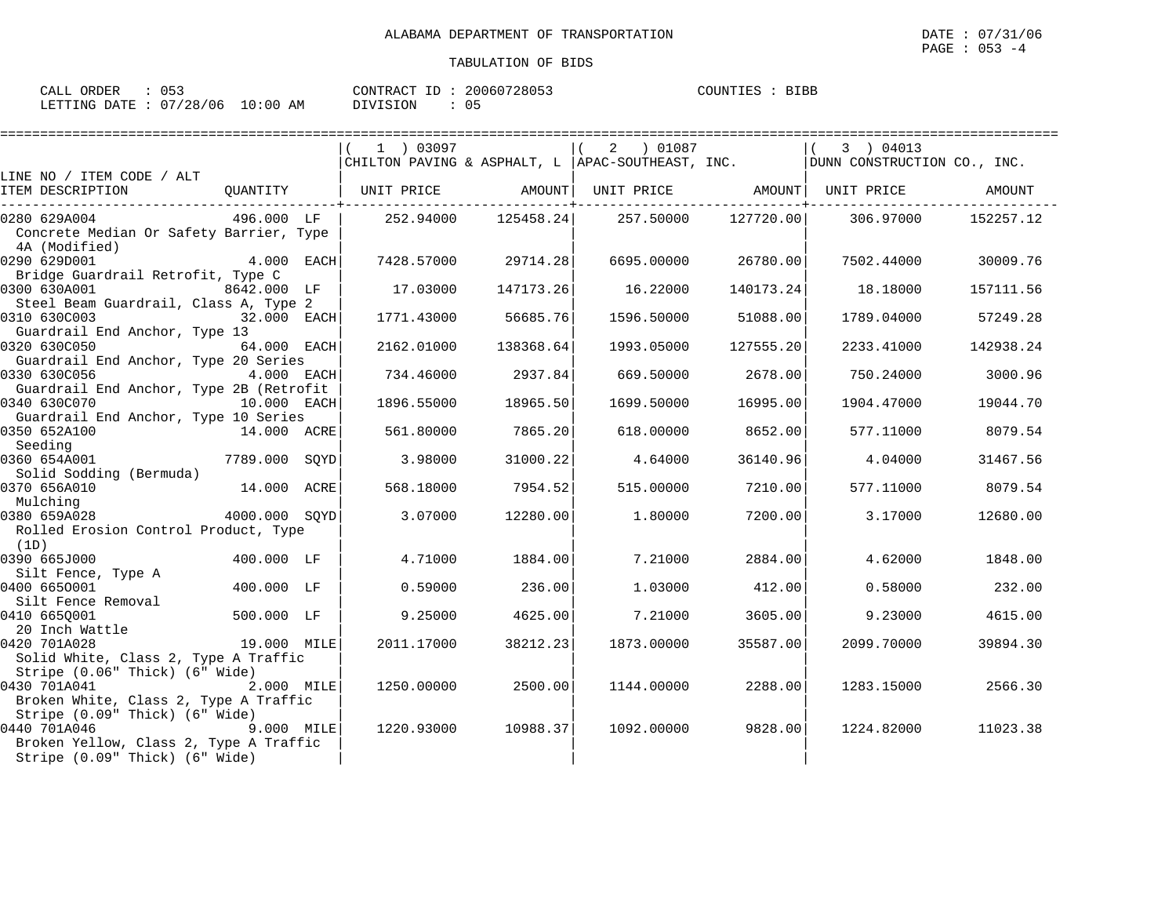| CALL ORDER                       | : 053 |          | CONTRACT ID: 20060728053 | COUNTIES : BIBB |  |
|----------------------------------|-------|----------|--------------------------|-----------------|--|
| LETTING DATE : 07/28/06 10:00 AM |       | DIVISION | : 05                     |                 |  |

|                                                                          |               | 1 ) 03097                                                   |           | 2 ) 01087  |           | 3 ) 04013<br>CHILTON PAVING & ASPHALT, L   APAC-SOUTHEAST, INC. $ $ DUNN CONSTRUCTION CO., INC. |           |
|--------------------------------------------------------------------------|---------------|-------------------------------------------------------------|-----------|------------|-----------|-------------------------------------------------------------------------------------------------|-----------|
| LINE NO / ITEM CODE / ALT                                                |               |                                                             |           |            |           |                                                                                                 |           |
| ITEM DESCRIPTION                                                         |               | QUANTITY   UNIT PRICE AMOUNT  UNIT PRICE AMOUNT  UNIT PRICE |           |            |           |                                                                                                 | AMOUNT    |
| 0280 629A004                                                             |               | 496.000 LF   252.94000                                      |           |            |           | $125458.24$ $257.50000$ $127720.00$ $306.97000$                                                 | 152257.12 |
| Concrete Median Or Safety Barrier, Type<br>4A (Modified)                 |               |                                                             |           |            |           |                                                                                                 |           |
| 0290 629D001                                                             | 4.000 EACH    | 7428.57000                                                  | 29714.28  | 6695.00000 | 26780.00  | 7502.44000                                                                                      | 30009.76  |
| Bridge Guardrail Retrofit, Type C<br>0300 630A001                        | 8642.000 LF   | 17.03000                                                    | 147173.26 | 16.22000   | 140173.24 | 18.18000                                                                                        | 157111.56 |
| Steel Beam Guardrail, Class A, Type 2                                    |               |                                                             |           |            |           |                                                                                                 |           |
| 0310 630C003<br>32.000 EACH<br>Guardrail End Anchor, Type 13             |               | 1771.43000                                                  | 56685.76  | 1596.50000 | 51088.00  | 1789.04000                                                                                      | 57249.28  |
| 0320 630C050                                                             | 64.000 EACH   | 2162.01000                                                  | 138368.64 | 1993.05000 | 127555.20 | 2233.41000                                                                                      | 142938.24 |
| Guardrail End Anchor, Type 20 Series<br>0330 630C056                     | 4.000 EACH    | 734.46000                                                   | 2937.84   | 669.50000  | 2678.00   | 750.24000                                                                                       | 3000.96   |
| Guardrail End Anchor, Type 2B (Retrofit<br>0340 630C070<br>10.000 EACH   |               | 1896.55000                                                  | 18965.50  | 1699.50000 | 16995.00  | 1904.47000                                                                                      | 19044.70  |
| Guardrail End Anchor, Type 10 Series                                     |               |                                                             |           |            |           |                                                                                                 |           |
| 0350 652A100<br>14.000 ACRE<br>Seeding                                   |               | 561.80000                                                   | 7865.20   | 618,00000  | 8652.00   | 577.11000                                                                                       | 8079.54   |
| 0360 654A001                                                             | 7789.000 SQYD | 3.98000                                                     | 31000.22  | 4.64000    | 36140.96  | 4.04000                                                                                         | 31467.56  |
| Solid Sodding (Bermuda)                                                  |               |                                                             |           |            |           |                                                                                                 |           |
| 0370 656A010<br>Mulching                                                 | 14.000 ACRE   | 568.18000                                                   | 7954.521  | 515,00000  | 7210.00   | 577.11000                                                                                       | 8079.54   |
| 0380 659A028                                                             | 4000.000 SOYD | 3.07000                                                     | 12280.00  | 1,80000    | 7200.00   | 3.17000                                                                                         | 12680.00  |
| Rolled Erosion Control Product, Type<br>(1D)                             |               |                                                             |           |            |           |                                                                                                 |           |
| 0390 665J000                                                             | 400.000 LF    | 4.71000                                                     | 1884.00   | 7.21000    | 2884.00   | 4.62000                                                                                         | 1848.00   |
| Silt Fence, Type A                                                       |               |                                                             |           |            |           |                                                                                                 |           |
| 0400 6650001                                                             | 400.000 LF    | 0.59000                                                     | 236.00    | 1.03000    | 412.00    | 0.58000                                                                                         | 232.00    |
| Silt Fence Removal                                                       |               |                                                             |           |            |           |                                                                                                 |           |
| 0410 6650001                                                             | 500.000 LF    | 9.25000                                                     | 4625.00   | 7.21000    | 3605.00   | 9.23000                                                                                         | 4615.00   |
| 20 Inch Wattle<br>19.000 MILE                                            |               |                                                             |           |            |           |                                                                                                 |           |
| 0420 701A028<br>Solid White, Class 2, Type A Traffic                     |               | 2011.17000                                                  | 38212.23  | 1873.00000 | 35587.00  | 2099.70000                                                                                      | 39894.30  |
| Stripe (0.06" Thick) (6" Wide)                                           |               |                                                             |           |            |           |                                                                                                 |           |
| 0430 701A041                                                             | 2.000 MILE    | 1250.00000                                                  | 2500.00   | 1144.00000 | 2288.00   | 1283.15000                                                                                      | 2566.30   |
| Broken White, Class 2, Type A Traffic                                    |               |                                                             |           |            |           |                                                                                                 |           |
| Stripe (0.09" Thick) (6" Wide)                                           |               |                                                             |           |            |           |                                                                                                 |           |
| 0440 701A046<br>9.000 MILE                                               |               | 1220.93000                                                  | 10988.37  | 1092.00000 | 9828.00   | 1224.82000                                                                                      | 11023.38  |
| Broken Yellow, Class 2, Type A Traffic<br>Stripe (0.09" Thick) (6" Wide) |               |                                                             |           |            |           |                                                                                                 |           |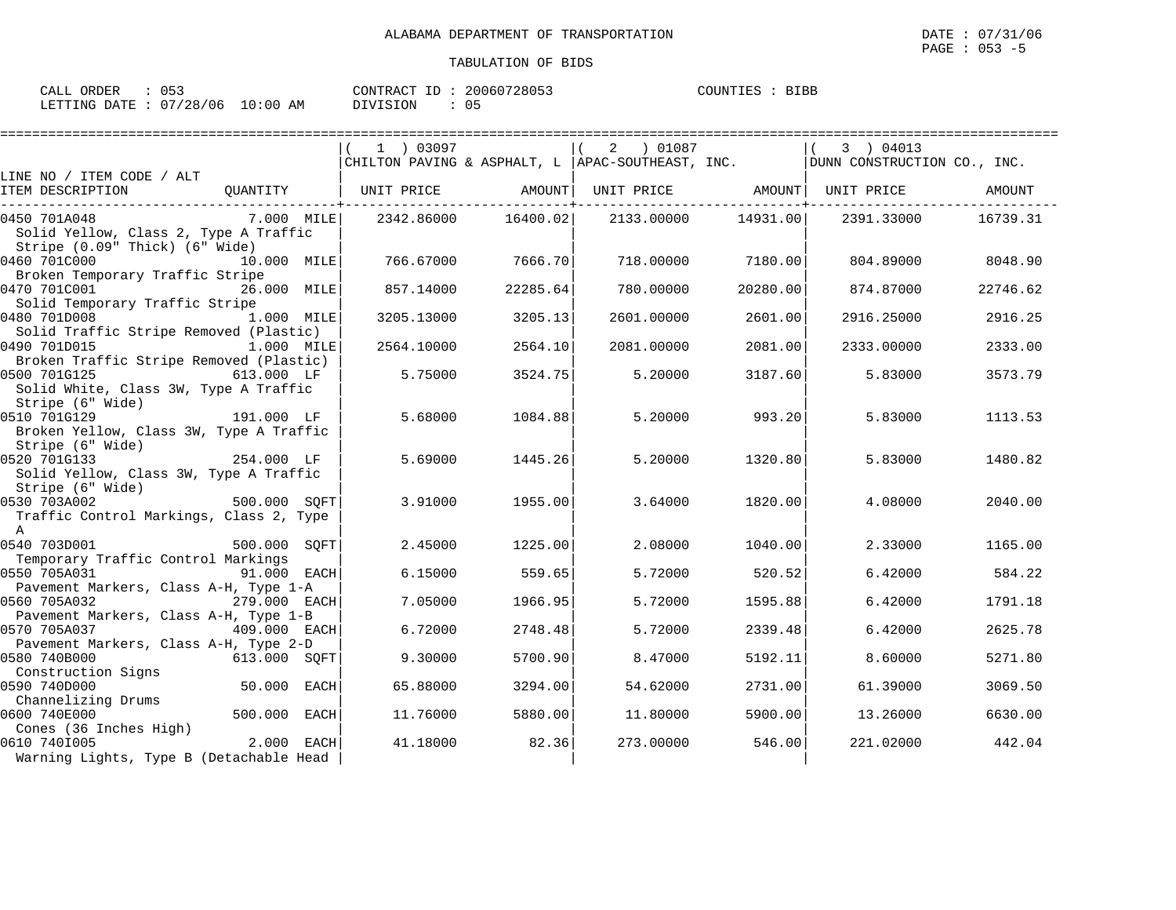| CALL ORDER                      | $\therefore$ 053 |          | CONTRACT ID: 20060728053 | COUNTIES : BIBB |  |
|---------------------------------|------------------|----------|--------------------------|-----------------|--|
| LETTING DATE: 07/28/06 10:00 AM |                  | DIVISION | : 05                     |                 |  |

|                                                                                         |              | 1 ) 03097                    |          | CHILTON PAVING & ASPHALT, L APAC-SOUTHEAST, INC. |                     | 3 ) 04013<br>DUNN CONSTRUCTION CO., INC. |          |
|-----------------------------------------------------------------------------------------|--------------|------------------------------|----------|--------------------------------------------------|---------------------|------------------------------------------|----------|
| LINE NO / ITEM CODE / ALT                                                               |              |                              |          |                                                  |                     |                                          |          |
| ITEM DESCRIPTION                                                                        |              | QUANTITY   UNIT PRICE AMOUNT |          |                                                  |                     | UNIT PRICE AMOUNT   UNIT PRICE           | AMOUNT   |
| 0450 701A048<br>Solid Yellow, Class 2, Type A Traffic<br>Stripe (0.09" Thick) (6" Wide) | 7.000 MILE   | 2342.86000                   | 16400.02 |                                                  | 2133.00000 14931.00 | 2391.33000                               | 16739.31 |
| 0460 701C000<br>Broken Temporary Traffic Stripe                                         | 10.000 MILE  | 766.67000                    | 7666.70  | 718.00000                                        | 7180.00             | 804.89000                                | 8048.90  |
| 0470 701C001<br>Solid Temporary Traffic Stripe                                          | 26.000 MILE  | 857.14000                    | 22285.64 | 780.00000                                        | 20280.00            | 874.87000                                | 22746.62 |
| 0480 701D008<br>Solid Traffic Stripe Removed (Plastic)                                  | 1.000 MILE   | 3205.13000                   | 3205.13  | 2601,00000                                       | 2601.00             | 2916.25000                               | 2916.25  |
| 0490 701D015<br>Broken Traffic Stripe Removed (Plastic)                                 | 1.000 MILE   | 2564.10000                   | 2564.10  | 2081,00000                                       | 2081.00             | 2333.00000                               | 2333.00  |
| 0500 701G125<br>Solid White, Class 3W, Type A Traffic<br>Stripe (6" Wide)               | 613.000 LF   | 5.75000                      | 3524.75  | 5.20000                                          | 3187.60             | 5.83000                                  | 3573.79  |
| 0510 701G129<br>Broken Yellow, Class 3W, Type A Traffic<br>Stripe (6" Wide)             | 191.000 LF   | 5.68000                      | 1084.88  | 5.20000                                          | 993.20              | 5.83000                                  | 1113.53  |
| 0520 701G133<br>Solid Yellow, Class 3W, Type A Traffic<br>Stripe (6" Wide)              | 254.000 LF   | 5.69000                      | 1445.26  | 5.20000                                          | 1320.80             | 5.83000                                  | 1480.82  |
| 0530 703A002<br>Traffic Control Markings, Class 2, Type<br>$\mathsf{A}$                 | 500.000 SQFT | 3.91000                      | 1955.00  | 3.64000                                          | 1820.00             | 4.08000                                  | 2040.00  |
| 0540 703D001<br>Temporary Traffic Control Markings                                      | 500.000 SOFT | 2.45000                      | 1225.00  | 2.08000                                          | 1040.00             | 2.33000                                  | 1165.00  |
| 0550 705A031<br>Pavement Markers, Class A-H, Type 1-A                                   | 91.000 EACH  | 6.15000                      | 559.65   | 5.72000                                          | 520.52              | 6.42000                                  | 584.22   |
| 0560 705A032<br>Pavement Markers, Class A-H, Type 1-B                                   | 279.000 EACH | 7.05000                      | 1966.95  | 5.72000                                          | 1595.88             | 6.42000                                  | 1791.18  |
| 0570 705A037<br>Pavement Markers, Class A-H, Type 2-D                                   | 409.000 EACH | 6.72000                      | 2748.48  | 5.72000                                          | 2339.48             | 6.42000                                  | 2625.78  |
| 0580 740B000<br>Construction Signs                                                      | 613.000 SQFT | 9.30000                      | 5700.90  | 8.47000                                          | 5192.11             | 8.60000                                  | 5271.80  |
| 0590 740D000<br>Channelizing Drums                                                      | 50.000 EACH  | 65.88000                     | 3294.00  | 54.62000                                         | 2731.00             | 61.39000                                 | 3069.50  |
| 0600 740E000<br>Cones (36 Inches High)                                                  | 500.000 EACH | 11.76000                     | 5880.00  | 11,80000                                         | 5900.00             | 13.26000                                 | 6630.00  |
| 0610 7401005<br>Warning Lights, Type B (Detachable Head                                 | 2.000 EACH   | 41.18000                     | 82.36    | 273,00000                                        | 546.00              | 221.02000                                | 442.04   |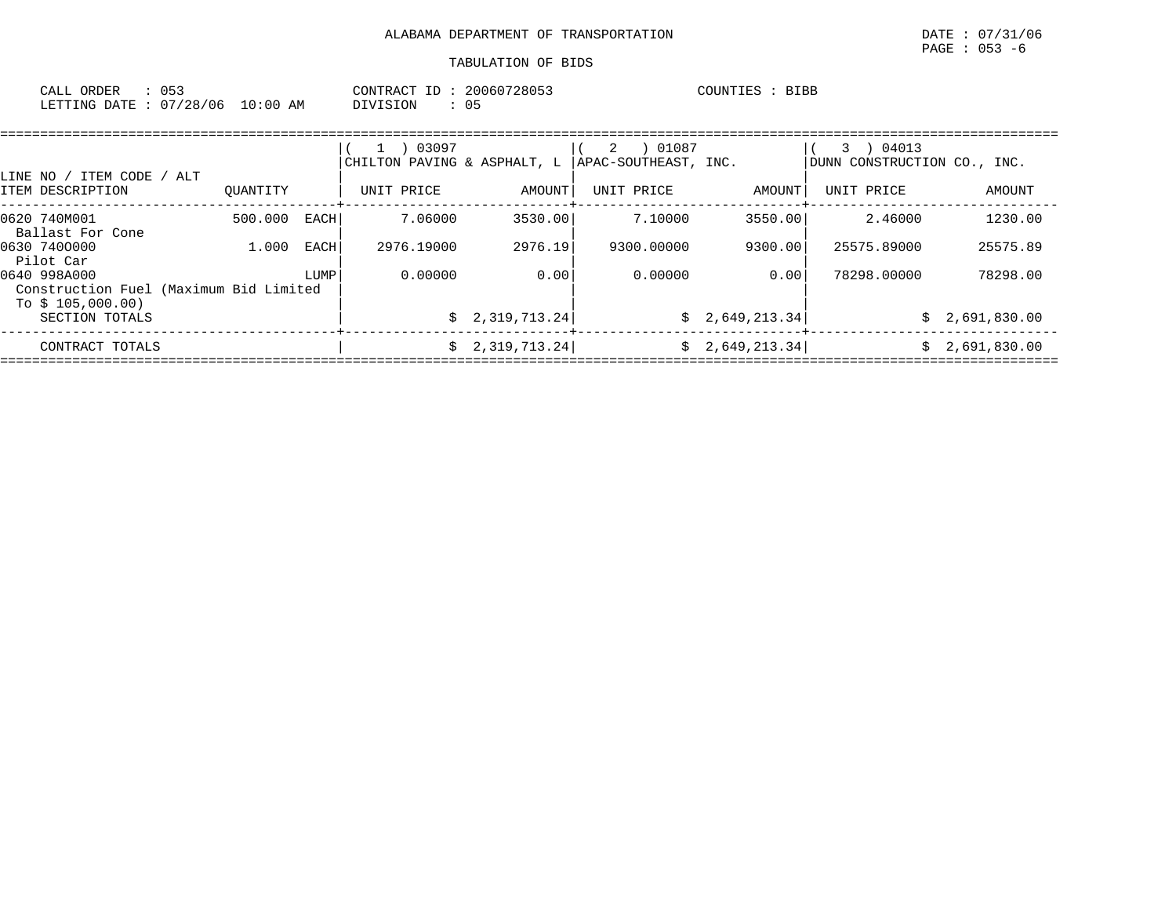| CALL ORDER                       | $\therefore$ 053 |          | CONTRACT ID: 20060728053 | COUNTIES : BIBB |
|----------------------------------|------------------|----------|--------------------------|-----------------|
| LETTING DATE : 07/28/06 10:00 AM |                  | DIVISION |                          |                 |

|                                                                             |                 |      | 03097<br>$\perp$<br>CHILTON PAVING & ASPHALT, L |                 | 01087<br>2<br>APAC-SOUTHEAST, INC. |                 | 04013<br>3<br>DUNN CONSTRUCTION CO., INC. |              |
|-----------------------------------------------------------------------------|-----------------|------|-------------------------------------------------|-----------------|------------------------------------|-----------------|-------------------------------------------|--------------|
| LINE NO /<br>ITEM CODE /<br>ITEM DESCRIPTION                                | ALT<br>OUANTITY |      | UNIT PRICE                                      | AMOUNT          | UNIT PRICE                         | AMOUNT          | UNIT PRICE                                | AMOUNT       |
| 0620 740M001<br>Ballast For Cone                                            | 500.000         | EACH | 7.06000                                         | 3530.00         | 7.10000                            | 3550.00         | 2.46000                                   | 1230.00      |
| 0630 7400000<br>Pilot Car                                                   | 1,000           | EACH | 2976.19000                                      | 2976.19         | 9300.00000                         | 9300.00         | 25575.89000                               | 25575.89     |
| 0640 998A000<br>Construction Fuel (Maximum Bid Limited<br>To \$ 105,000.00) |                 | LUMP | 0.00000                                         | 0.00            | 0.00000                            | 0.00            | 78298.00000                               | 78298.00     |
| SECTION TOTALS                                                              |                 |      |                                                 | \$2,319,713.24  |                                    | \$2,649,213.34  | Ŝ.                                        | 2,691,830.00 |
| CONTRACT TOTALS                                                             |                 |      |                                                 | \$2,319,713.24] |                                    | \$2,649,213.34] | S.                                        | 2,691,830.00 |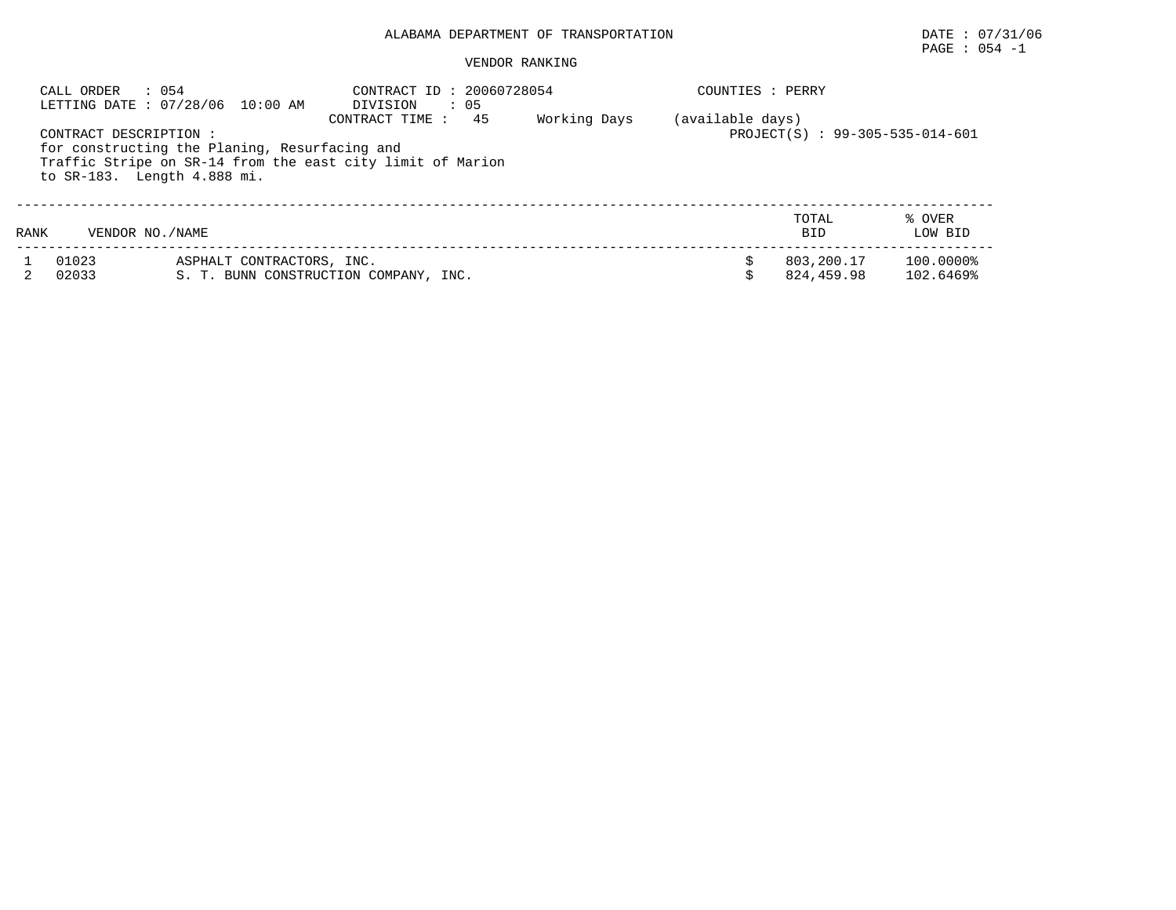# PAGE : 054 -1

|      | CALL ORDER<br>: 054                                   | LETTING DATE : 07/28/06 10:00 AM                                                                            | CONTRACT ID: 20060728054<br>DIVISION<br>$\cdot$ 05 |     |              | COUNTIES : PERRY                                    |                          |                        |  |  |
|------|-------------------------------------------------------|-------------------------------------------------------------------------------------------------------------|----------------------------------------------------|-----|--------------|-----------------------------------------------------|--------------------------|------------------------|--|--|
|      | CONTRACT DESCRIPTION :<br>to SR-183. Length 4.888 mi. | for constructing the Planing, Resurfacing and<br>Traffic Stripe on SR-14 from the east city limit of Marion | CONTRACT TIME :                                    | -45 | Working Days | (available days)<br>PROJECT(S) : 99-305-535-014-601 |                          |                        |  |  |
| RANK | VENDOR NO./NAME                                       |                                                                                                             |                                                    |     |              |                                                     | TOTAL<br><b>BID</b>      | % OVER<br>LOW BID      |  |  |
|      | 01023<br>02033                                        | ASPHALT CONTRACTORS, INC.<br>S. T. BUNN CONSTRUCTION COMPANY, INC.                                          |                                                    |     |              |                                                     | 803,200.17<br>824,459.98 | 100.0000%<br>102.6469% |  |  |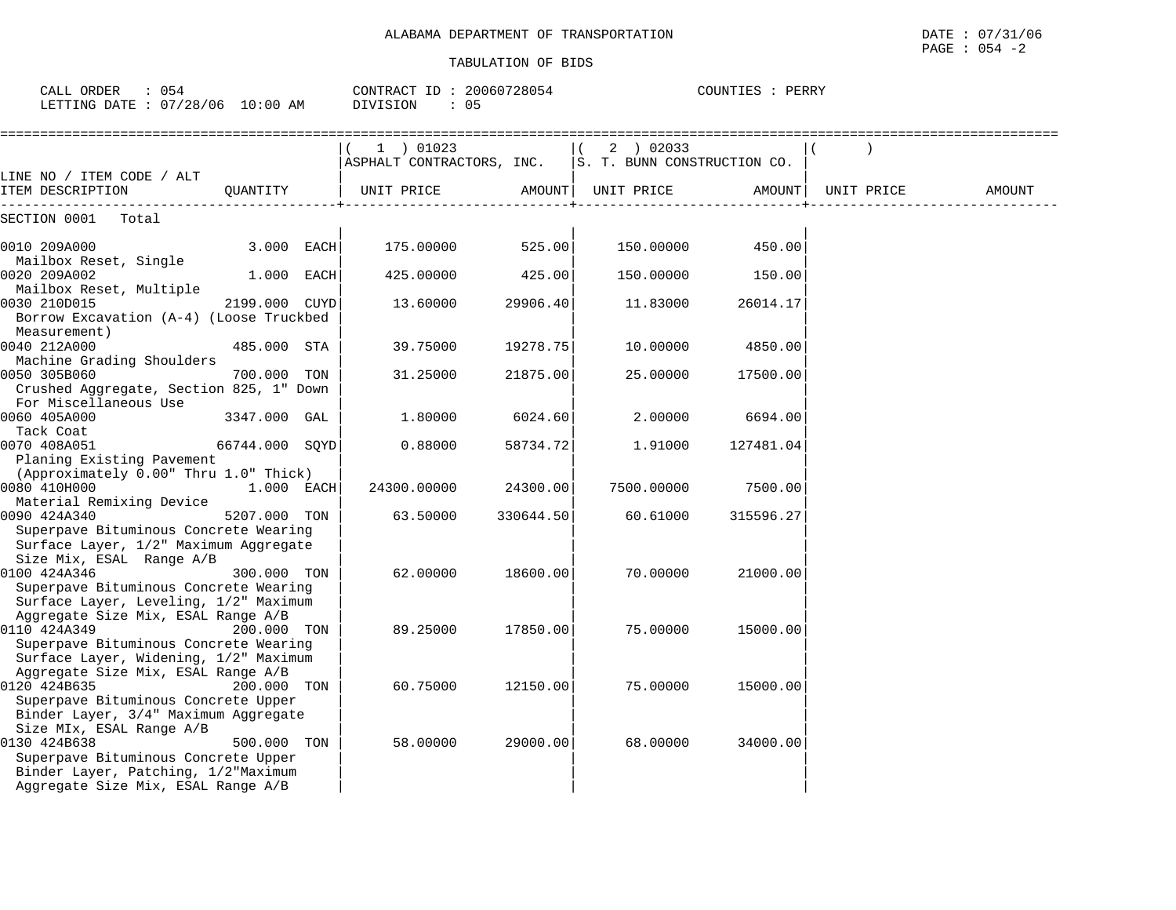| CALL ORDER<br>$\therefore$ 054<br>LETTING DATE : 07/28/06 10:00 AM                                                                                           |                | CONTRACT ID: 20060728054<br>: 05<br>DIVISION |           |                                          | COUNTIES : PERRY |                     |        |
|--------------------------------------------------------------------------------------------------------------------------------------------------------------|----------------|----------------------------------------------|-----------|------------------------------------------|------------------|---------------------|--------|
|                                                                                                                                                              |                | 1 ) 01023<br>ASPHALT CONTRACTORS, INC.       |           | (2) 02033<br>S. T. BUNN CONSTRUCTION CO. |                  |                     |        |
| LINE NO / ITEM CODE / ALT<br>ITEM DESCRIPTION                                                                                                                | OUANTITY       | UNIT PRICE                                   |           | AMOUNT   UNIT PRICE                      |                  | AMOUNT   UNIT PRICE | AMOUNT |
| SECTION 0001 Total                                                                                                                                           |                |                                              |           |                                          |                  |                     |        |
| 0010 209A000                                                                                                                                                 | 3.000 EACH     | 175.00000                                    | 525.00    | 150.00000                                | 450.00           |                     |        |
| Mailbox Reset, Single<br>0020 209A002                                                                                                                        | 1.000 EACH     | 425.00000                                    | 425.00    | 150.00000                                | 150.00           |                     |        |
| Mailbox Reset, Multiple<br>0030 210D015<br>Borrow Excavation (A-4) (Loose Truckbed                                                                           | 2199.000 CUYD  | 13.60000                                     | 29906.40  | 11.83000                                 | 26014.17         |                     |        |
| Measurement)<br>0040 212A000<br>Machine Grading Shoulders                                                                                                    | 485.000 STA    | 39.75000                                     | 19278.75  | 10.00000                                 | 4850.00          |                     |        |
| 0050 305B060<br>Crushed Aggregate, Section 825, 1" Down                                                                                                      | 700.000 TON    | 31.25000                                     | 21875.00  | 25.00000                                 | 17500.00         |                     |        |
| For Miscellaneous Use<br>0060 405A000<br>Tack Coat                                                                                                           | 3347.000 GAL   | 1.80000                                      | 6024.60   | 2,00000                                  | 6694.00          |                     |        |
| 0070 408A051<br>Planing Existing Pavement                                                                                                                    | 66744.000 SOYD | 0.88000                                      | 58734.72  | 1.91000                                  | 127481.04        |                     |        |
| (Approximately 0.00" Thru 1.0" Thick)<br>0080 410H000                                                                                                        | 1.000 EACH     | 24300.00000                                  | 24300.00  | 7500.00000                               | 7500.00          |                     |        |
| Material Remixing Device<br>0090 424A340<br>Superpave Bituminous Concrete Wearing<br>Surface Layer, 1/2" Maximum Aggregate                                   | 5207.000 TON   | 63.50000                                     | 330644.50 | 60.61000                                 | 315596.27        |                     |        |
| Size Mix, ESAL Range A/B<br>0100 424A346<br>Superpave Bituminous Concrete Wearing<br>Surface Layer, Leveling, 1/2" Maximum                                   | 300.000 TON    | 62.00000                                     | 18600.00  | 70.00000                                 | 21000.00         |                     |        |
| Aggregate Size Mix, ESAL Range A/B<br>0110 424A349<br>Superpave Bituminous Concrete Wearing<br>Surface Layer, Widening, 1/2" Maximum                         | 200.000 TON    | 89.25000                                     | 17850.00  | 75.00000                                 | 15000.00         |                     |        |
| Aggregate Size Mix, ESAL Range A/B<br>0120 424B635<br>Superpave Bituminous Concrete Upper<br>Binder Layer, 3/4" Maximum Aggregate                            | 200.000 TON    | 60.75000                                     | 12150.00  | 75.00000                                 | 15000.00         |                     |        |
| Size MIx, ESAL Range A/B<br>0130 424B638<br>Superpave Bituminous Concrete Upper<br>Binder Layer, Patching, 1/2"Maximum<br>Aggregate Size Mix, ESAL Range A/B | 500.000 TON    | 58.00000                                     | 29000.00  | 68.00000                                 | 34000.00         |                     |        |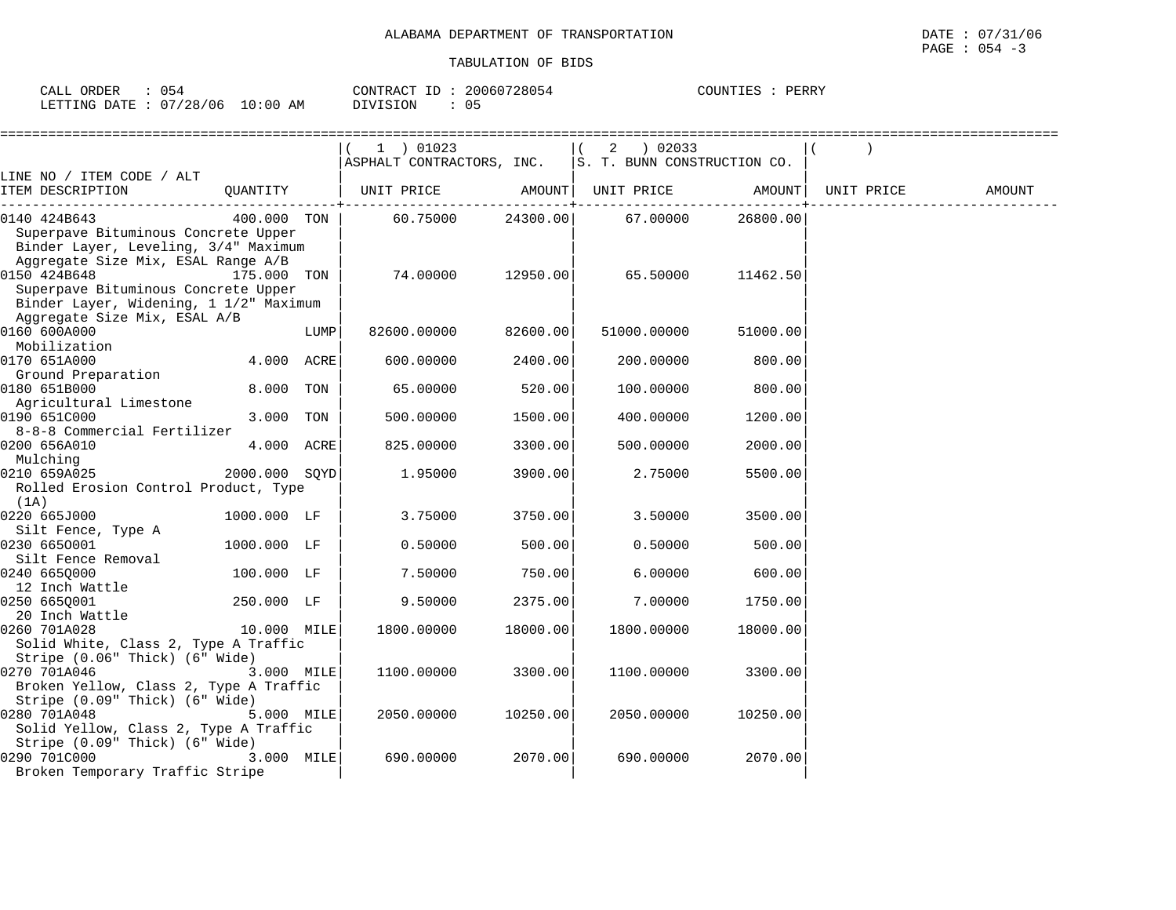| CALL ORDER                      | 054 | CONTRACT ID: 20060728054 | COUNTIES : | PERRY |
|---------------------------------|-----|--------------------------|------------|-------|
| LETTING DATE: 07/28/06 10:00 AM |     | DIVISION                 |            |       |

|                                                |               |      | ==================        |                         |                             |                        |            |        |
|------------------------------------------------|---------------|------|---------------------------|-------------------------|-----------------------------|------------------------|------------|--------|
|                                                |               |      | 1 ) 01023                 |                         | 02033<br>2                  |                        |            |        |
|                                                |               |      | ASPHALT CONTRACTORS, INC. |                         | S. T. BUNN CONSTRUCTION CO. |                        |            |        |
| LINE NO / ITEM CODE / ALT<br>ITEM DESCRIPTION  |               |      |                           |                         |                             |                        | UNIT PRICE | AMOUNT |
|                                                | QUANTITY      |      | UNIT PRICE                | AMOUNT<br>-----------+- | UNIT PRICE                  | AMOUNT  <br>---------- |            |        |
| 0140 424B643                                   | 400.000 TON   |      | 60.75000                  | 24300.00                | 67.00000                    | 26800.00               |            |        |
| Superpave Bituminous Concrete Upper            |               |      |                           |                         |                             |                        |            |        |
| Binder Layer, Leveling, 3/4" Maximum           |               |      |                           |                         |                             |                        |            |        |
| Aggregate Size Mix, ESAL Range A/B             |               |      |                           |                         |                             |                        |            |        |
| 0150 424B648                                   | 175.000 TON   |      | 74.00000                  | 12950.00                | 65.50000                    | 11462.50               |            |        |
| Superpave Bituminous Concrete Upper            |               |      |                           |                         |                             |                        |            |        |
| Binder Layer, Widening, 1 1/2" Maximum         |               |      |                           |                         |                             |                        |            |        |
| Aggregate Size Mix, ESAL A/B<br>0160 600A000   |               | LUMP | 82600.00000               | 82600.00                | 51000.00000                 | 51000.00               |            |        |
| Mobilization                                   |               |      |                           |                         |                             |                        |            |        |
| 0170 651A000                                   | 4.000 ACRE    |      | 600.00000                 | 2400.00                 | 200.00000                   | 800.00                 |            |        |
| Ground Preparation                             |               |      |                           |                         |                             |                        |            |        |
| 0180 651B000                                   | 8.000         | TON  | 65.00000                  | 520.00                  | 100.00000                   | 800.00                 |            |        |
| Agricultural Limestone                         |               |      |                           |                         |                             |                        |            |        |
| 0190 651C000                                   | 3.000         | TON  | 500.00000                 | 1500.00                 | 400.00000                   | 1200.00                |            |        |
| 8-8-8 Commercial Fertilizer                    |               |      |                           |                         |                             |                        |            |        |
| 0200 656A010                                   | 4.000 ACRE    |      | 825.00000                 | 3300.00                 | 500.00000                   | 2000.00                |            |        |
| Mulching                                       |               |      |                           |                         |                             |                        |            |        |
| 0210 659A025                                   | 2000.000 SOYD |      | 1.95000                   | 3900.00                 | 2.75000                     | 5500.00                |            |        |
| Rolled Erosion Control Product, Type           |               |      |                           |                         |                             |                        |            |        |
| (1A)<br>0220 665J000                           | 1000.000 LF   |      | 3.75000                   | 3750.00                 | 3.50000                     | 3500.00                |            |        |
| Silt Fence, Type A                             |               |      |                           |                         |                             |                        |            |        |
| 0230 6650001                                   | 1000.000 LF   |      | 0.50000                   | 500.00                  | 0.50000                     | 500.00                 |            |        |
| Silt Fence Removal                             |               |      |                           |                         |                             |                        |            |        |
| 0240 6650000                                   | 100.000 LF    |      | 7.50000                   | 750.00                  | 6.00000                     | 600.00                 |            |        |
| 12 Inch Wattle                                 |               |      |                           |                         |                             |                        |            |        |
| 0250 665Q001                                   | 250.000 LF    |      | 9.50000                   | 2375.00                 | 7.00000                     | 1750.00                |            |        |
| 20 Inch Wattle                                 |               |      |                           |                         |                             |                        |            |        |
| 0260 701A028                                   | 10.000 MILE   |      | 1800.00000                | 18000.00                | 1800.00000                  | 18000.00               |            |        |
| Solid White, Class 2, Type A Traffic           |               |      |                           |                         |                             |                        |            |        |
| Stripe (0.06" Thick) (6" Wide)<br>0270 701A046 |               |      |                           |                         |                             |                        |            |        |
| Broken Yellow, Class 2, Type A Traffic         | 3.000 MILE    |      | 1100.00000                | 3300.00                 | 1100.00000                  | 3300.00                |            |        |
| Stripe (0.09" Thick) (6" Wide)                 |               |      |                           |                         |                             |                        |            |        |
| 0280 701A048                                   | 5.000 MILE    |      | 2050.00000                | 10250.00                | 2050.00000                  | 10250.00               |            |        |
| Solid Yellow, Class 2, Type A Traffic          |               |      |                           |                         |                             |                        |            |        |
| Stripe (0.09" Thick) (6" Wide)                 |               |      |                           |                         |                             |                        |            |        |
| 0290 701C000                                   | 3.000 MILE    |      | 690.00000                 | 2070.00                 | 690.00000                   | 2070.00                |            |        |
| Broken Temporary Traffic Stripe                |               |      |                           |                         |                             |                        |            |        |